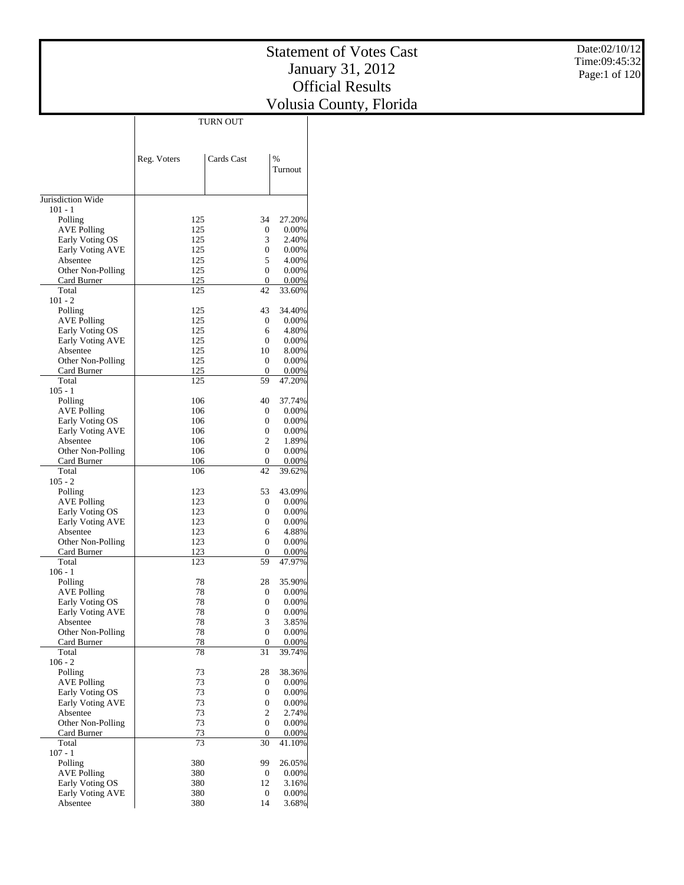|                                     |             | <b>TURN OUT</b>                  |                 |
|-------------------------------------|-------------|----------------------------------|-----------------|
|                                     |             |                                  |                 |
|                                     |             |                                  |                 |
|                                     | Reg. Voters | Cards Cast                       | %               |
|                                     |             |                                  | Turnout         |
|                                     |             |                                  |                 |
| Jurisdiction Wide<br>$101 - 1$      |             |                                  |                 |
| Polling                             | 125         | 34                               | 27.20%          |
| <b>AVE Polling</b>                  | 125         | 0                                | 0.00%           |
| Early Voting OS                     | 125         | 3                                | 2.40%           |
| Early Voting AVE                    | 125         | $\overline{0}$                   | 0.00%           |
| Absentee<br>Other Non-Polling       | 125<br>125  | 5<br>$\overline{0}$              | 4.00%<br>0.00%  |
| Card Burner                         | 125         | $\boldsymbol{0}$                 | 0.00%           |
| Total                               | 125         | 42                               | 33.60%          |
| $101 - 2$                           |             |                                  |                 |
| Polling<br><b>AVE Polling</b>       | 125<br>125  | 43<br>$\boldsymbol{0}$           | 34.40%<br>0.00% |
| Early Voting OS                     | 125         | 6                                | 4.80%           |
| Early Voting AVE                    | 125         | $\overline{0}$                   | 0.00%           |
| Absentee                            | 125         | 10                               | 8.00%           |
| Other Non-Polling                   | 125         | $\overline{0}$                   | 0.00%           |
| Card Burner<br>Total                | 125<br>125  | $\boldsymbol{0}$<br>59           | 0.00%<br>47.20% |
| $105 - 1$                           |             |                                  |                 |
| Polling                             | 106         | 40                               | 37.74%          |
| <b>AVE Polling</b>                  | 106         | $\boldsymbol{0}$                 | 0.00%           |
| Early Voting OS                     | 106         | $\overline{0}$                   | 0.00%           |
| Early Voting AVE                    | 106         | $\overline{0}$                   | 0.00%           |
| Absentee<br>Other Non-Polling       | 106<br>106  | $\overline{2}$<br>$\overline{0}$ | 1.89%<br>0.00%  |
| Card Burner                         | 106         | $\boldsymbol{0}$                 | 0.00%           |
| Total                               | 106         | 42                               | 39.62%          |
| $105 - 2$                           |             |                                  |                 |
| Polling<br><b>AVE Polling</b>       | 123<br>123  | 53<br>$\overline{0}$             | 43.09%<br>0.00% |
| Early Voting OS                     | 123         | $\overline{0}$                   | 0.00%           |
| Early Voting AVE                    | 123         | $\overline{0}$                   | 0.00%           |
| Absentee                            | 123         | 6                                | 4.88%           |
| Other Non-Polling                   | 123         | $\overline{0}$                   | 0.00%           |
| Card Burner<br>Total                | 123<br>123  | 0<br>59                          | 0.00%<br>47.97% |
| $106 - 1$                           |             |                                  |                 |
| Polling                             | 78          | 28                               | 35.90%          |
| <b>AVE Polling</b>                  | 78          | $\boldsymbol{0}$                 | 0.00%           |
| Early Voting OS                     | 78          | $\overline{0}$                   | 0.00%           |
| <b>Early Voting AVE</b><br>Absentee | 78<br>78    | $\overline{0}$<br>3              | 0.00%<br>3.85%  |
| Other Non-Polling                   | 78          | $\boldsymbol{0}$                 | 0.00%           |
| Card Burner                         | 78          | $\boldsymbol{0}$                 | 0.00%           |
| Total                               | 78          | 31                               | 39.74%          |
| $106 - 2$<br>Polling                | 73          | 28                               | 38.36%          |
| <b>AVE Polling</b>                  | 73          | 0                                | 0.00%           |
| Early Voting OS                     | 73          | $\boldsymbol{0}$                 | 0.00%           |
| Early Voting AVE                    | 73          | $\mathbf{0}$                     | 0.00%           |
| Absentee                            | 73          | 2                                | 2.74%           |
| Other Non-Polling                   | 73          | $\mathbf{0}$                     | 0.00%           |
| Card Burner<br>Total                | 73<br>73    | $\boldsymbol{0}$<br>30           | 0.00%<br>41.10% |
| $107 - 1$                           |             |                                  |                 |
| Polling                             | 380         | 99                               | 26.05%          |
| <b>AVE Polling</b>                  | 380         | 0                                | 0.00%           |
| Early Voting OS<br>Early Voting AVE | 380<br>380  | 12<br>0                          | 3.16%<br>0.00%  |
| Absentee                            | 380         | 14                               | 3.68%           |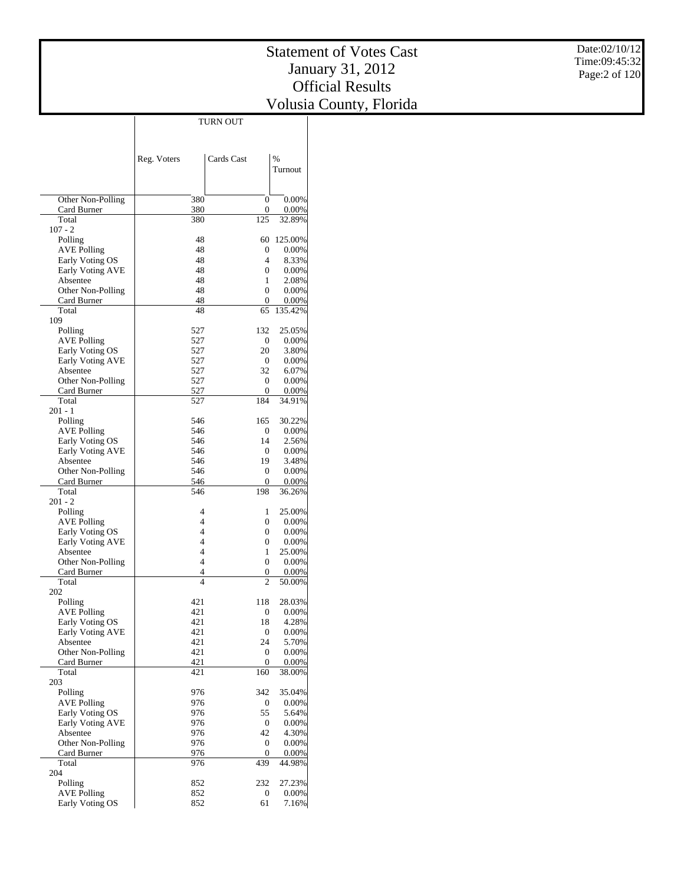|                                     |                | <b>TURN OUT</b>  |                     |
|-------------------------------------|----------------|------------------|---------------------|
|                                     |                |                  |                     |
|                                     |                |                  |                     |
|                                     | Reg. Voters    | Cards Cast       | $\frac{0}{0}$       |
|                                     |                |                  | Turnout             |
|                                     |                |                  |                     |
|                                     |                |                  |                     |
| Other Non-Polling                   | 380            | 0                | 0.00%               |
| Card Burner                         | 380            | 0                | 0.00%               |
| Total                               | 380            | 125              | 32.89%              |
| $107 - 2$                           | 48             |                  |                     |
| Polling<br><b>AVE Polling</b>       | 48             | 60<br>0          | 125.00%<br>$0.00\%$ |
| Early Voting OS                     | 48             | 4                | 8.33%               |
| <b>Early Voting AVE</b>             | 48             | $\mathbf{0}$     | 0.00%               |
| Absentee                            | 48             | 1                | 2.08%               |
| Other Non-Polling                   | 48             | $\mathbf{0}$     | 0.00%               |
| Card Burner                         | 48             | 0                | 0.00%               |
| Total                               | 48             | 65               | 135.42%             |
| 109                                 |                |                  |                     |
| Polling                             | 527            | 132              | 25.05%              |
| <b>AVE Polling</b>                  | 527            | 0                | 0.00%               |
| Early Voting OS<br>Early Voting AVE | 527<br>527     | 20<br>0          | 3.80%<br>0.00%      |
| Absentee                            | 527            | 32               | 6.07%               |
| Other Non-Polling                   | 527            | 0                | 0.00%               |
| Card Burner                         | 527            | 0                | 0.00%               |
| Total                               | 527            | 184              | 34.91%              |
| $201 - 1$                           |                |                  |                     |
| Polling                             | 546            | 165              | 30.22%              |
| <b>AVE Polling</b>                  | 546            | 0                | $0.00\%$            |
| Early Voting OS                     | 546            | 14               | 2.56%               |
| Early Voting AVE                    | 546            | 0                | 0.00%               |
| Absentee                            | 546            | 19               | 3.48%               |
| Other Non-Polling                   | 546            | 0                | 0.00%               |
| Card Burner<br>Total                | 546<br>546     | 0<br>198         | 0.00%<br>36.26%     |
| $201 - 2$                           |                |                  |                     |
| Polling                             | 4              | 1                | 25.00%              |
| <b>AVE Polling</b>                  | $\overline{4}$ | $\overline{0}$   | 0.00%               |
| Early Voting OS                     | 4              | 0                | 0.00%               |
| Early Voting AVE                    | 4              | 0                | 0.00%               |
| Absentee                            | 4              | 1                | 25.00%              |
| Other Non-Polling                   | $\overline{4}$ | $\boldsymbol{0}$ | 0.00%               |
| Card Burner                         | 4              | 0                | 0.00%               |
| Total                               | $\overline{4}$ | 2                | 50.00%              |
| 202                                 |                |                  |                     |
| Polling<br><b>AVE Polling</b>       | 421<br>421     | 118<br>0         | 28.03%<br>0.00%     |
| Early Voting OS                     | 421            | 18               | 4.28%               |
| <b>Early Voting AVE</b>             | 421            | 0                | 0.00%               |
| Absentee                            | 421            | 24               | 5.70%               |
| Other Non-Polling                   | 421            | 0                | 0.00%               |
| Card Burner                         | 421            | $\overline{0}$   | 0.00%               |
| Total                               | 421            | 160              | 38.00%              |
| 203                                 |                |                  |                     |
| Polling                             | 976            | 342              | 35.04%              |
| <b>AVE Polling</b>                  | 976            | 0                | 0.00%               |
| Early Voting OS                     | 976            | 55               | 5.64%               |
| Early Voting AVE<br>Absentee        | 976            | 0<br>42          | 0.00%               |
|                                     | 976<br>976     |                  | 4.30%               |
| Other Non-Polling<br>Card Burner    | 976            | 0<br>0           | 0.00%<br>0.00%      |
| Total                               | 976            | 439              | 44.98%              |
| 204                                 |                |                  |                     |
| Polling                             | 852            | 232              | 27.23%              |
| <b>AVE Polling</b>                  | 852            | 0                | $0.00\%$            |
| Early Voting OS                     | 852            | 61               | 7.16%               |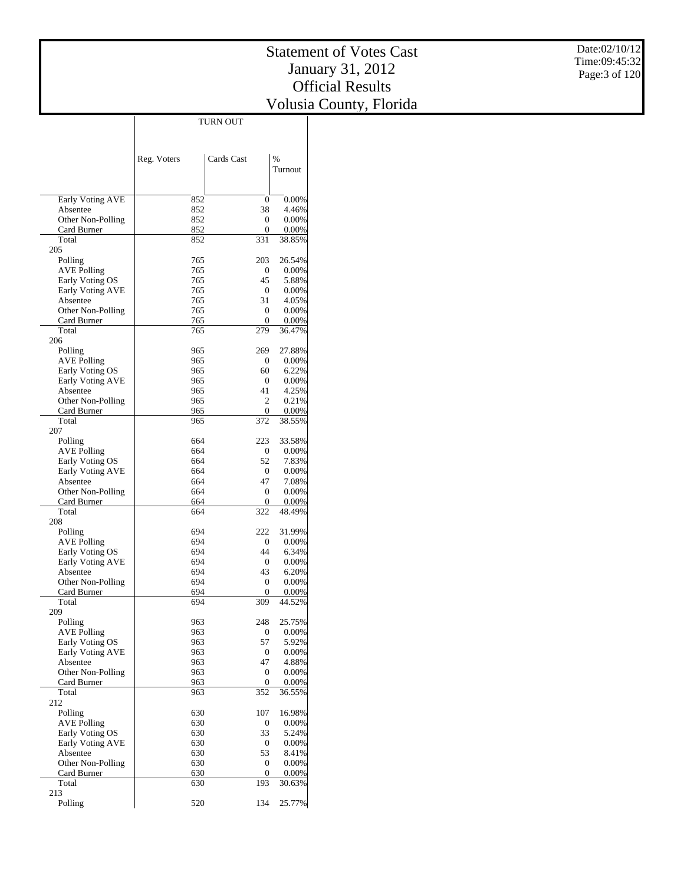|                                     |             | <b>TURN OUT</b>  |                 |
|-------------------------------------|-------------|------------------|-----------------|
|                                     |             |                  |                 |
|                                     |             |                  |                 |
|                                     | Reg. Voters | Cards Cast       | $\frac{0}{0}$   |
|                                     |             |                  | Turnout         |
|                                     |             |                  |                 |
|                                     |             |                  |                 |
| Early Voting AVE                    | 852         | 0                | 0.00%           |
| Absentee                            | 852         | 38               | 4.46%           |
| Other Non-Polling                   | 852         | 0                | 0.00%           |
| Card Burner                         | 852         | 0                | 0.00%           |
| Total                               | 852         | 331              | 38.85%          |
| 205<br>Polling                      | 765         | 203              | 26.54%          |
| <b>AVE Polling</b>                  | 765         | 0                | $0.00\%$        |
| Early Voting OS                     | 765         | 45               | 5.88%           |
| Early Voting AVE                    | 765         | 0                | 0.00%           |
| Absentee                            | 765         | 31               | 4.05%           |
| Other Non-Polling                   | 765         | 0                | 0.00%           |
| Card Burner                         | 765         | 0                | 0.00%           |
| Total                               | 765         | 279              | 36.47%          |
| 206                                 |             |                  |                 |
| Polling                             | 965         | 269              | 27.88%          |
| <b>AVE Polling</b>                  | 965         | 0                | 0.00%           |
| Early Voting OS<br>Early Voting AVE | 965<br>965  | 60<br>0          | 6.22%<br>0.00%  |
| Absentee                            | 965         | 41               | 4.25%           |
| Other Non-Polling                   | 965         | 2                | 0.21%           |
| Card Burner                         | 965         | 0                | 0.00%           |
| Total                               | 965         | 372              | 38.55%          |
| 207                                 |             |                  |                 |
| Polling                             | 664         | 223              | 33.58%          |
| <b>AVE Polling</b>                  | 664         | 0                | $0.00\%$        |
| Early Voting OS                     | 664         | 52               | 7.83%           |
| Early Voting AVE                    | 664         | 0                | 0.00%           |
| Absentee                            | 664         | 47               | 7.08%           |
| Other Non-Polling                   | 664         | 0                | 0.00%           |
| Card Burner<br>Total                | 664<br>664  | 0<br>322         | 0.00%<br>48.49% |
| 208                                 |             |                  |                 |
| Polling                             | 694         | 222              | 31.99%          |
| AVE Polling                         | 694         | 0                | 0.00%           |
| Early Voting OS                     | 694         | 44               | 6.34%           |
| <b>Early Voting AVE</b>             | 694         | 0                | 0.00%           |
| Absentee                            | 694         | 43               | 6.20%           |
| Other Non-Polling                   | 694         | 0                | 0.00%           |
| Card Burner                         | 694         | 0                | 0.00%           |
| Total                               | 694         | 309              | 44.52%          |
| 209                                 |             |                  |                 |
| Polling<br><b>AVE Polling</b>       | 963<br>963  | 248<br>0         | 25.75%<br>0.00% |
| Early Voting OS                     | 963         | 57               | 5.92%           |
| Early Voting AVE                    | 963         | 0                | 0.00%           |
| Absentee                            | 963         | 47               | 4.88%           |
| Other Non-Polling                   | 963         | 0                | 0.00%           |
| Card Burner                         | 963         | $\boldsymbol{0}$ | 0.00%           |
| Total                               | 963         | 352              | 36.55%          |
| 212                                 |             |                  |                 |
| Polling                             | 630         | 107              | 16.98%          |
| <b>AVE Polling</b>                  | 630         | 0                | 0.00%           |
| Early Voting OS                     | 630         | 33               | 5.24%           |
| <b>Early Voting AVE</b>             | 630         | 0                | 0.00%           |
| Absentee                            | 630         | 53               | 8.41%           |
| Other Non-Polling<br>Card Burner    | 630<br>630  | 0<br>0           | 0.00%<br>0.00%  |
| Total                               | 630         | 193              | 30.63%          |
| 213                                 |             |                  |                 |
| Polling                             | 520         | 134              | 25.77%          |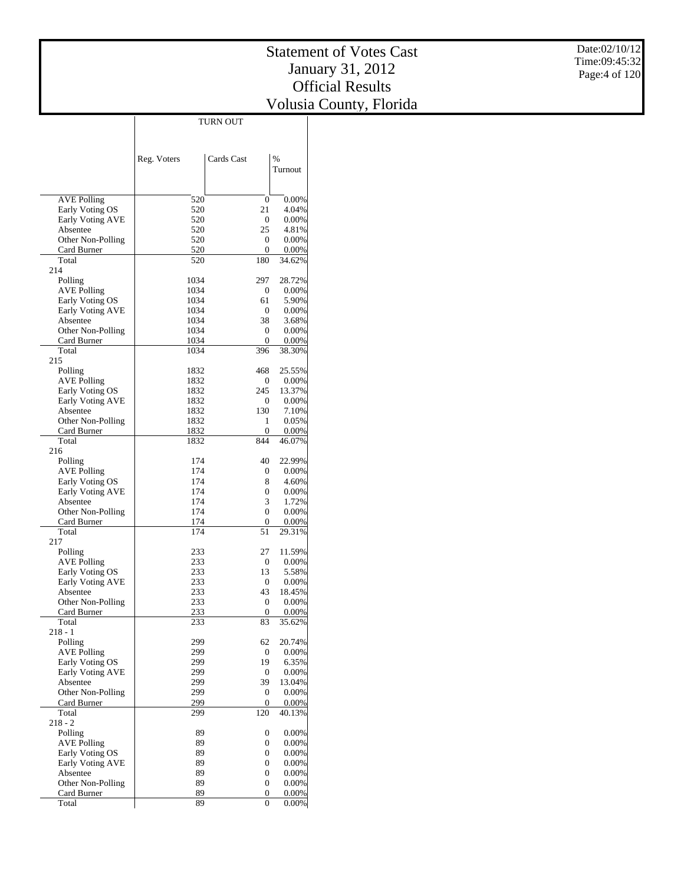|                                       | TURN OUT     |                    |                   |
|---------------------------------------|--------------|--------------------|-------------------|
|                                       |              |                    |                   |
|                                       |              |                    |                   |
|                                       | Reg. Voters  | Cards Cast         | %                 |
|                                       |              |                    | Turnout           |
|                                       |              |                    |                   |
|                                       |              |                    |                   |
| <b>AVE Polling</b>                    | 520          | $\overline{0}$     | 0.00%             |
| Early Voting OS                       | 520          | 21                 | 4.04%             |
| Early Voting AVE                      | 520          | $\overline{0}$     | 0.00%             |
| Absentee<br>Other Non-Polling         | 520<br>520   | 25<br>$\mathbf{0}$ | 4.81%<br>0.00%    |
| Card Burner                           | 520          | 0                  | 0.00%             |
| Total                                 | 520          | 180                | 34.62%            |
| 214                                   |              |                    |                   |
| Polling                               | 1034         | 297                | 28.72%            |
| <b>AVE Polling</b>                    | 1034         | 0                  | 0.00%             |
| Early Voting OS                       | 1034         | 61                 | 5.90%             |
| Early Voting AVE                      | 1034         | 0                  | 0.00%             |
| Absentee                              | 1034         | 38                 | 3.68%             |
| Other Non-Polling                     | 1034         | 0                  | 0.00%             |
| Card Burner<br>Total                  | 1034<br>1034 | 0<br>396           | 0.00%<br>38.30%   |
| 215                                   |              |                    |                   |
| Polling                               | 1832         | 468                | 25.55%            |
| <b>AVE Polling</b>                    | 1832         | $\overline{0}$     | 0.00%             |
| Early Voting OS                       | 1832         | 245                | 13.37%            |
| Early Voting AVE                      | 1832         | 0                  | 0.00%             |
| Absentee                              | 1832         | 130                | 7.10%             |
| Other Non-Polling                     | 1832         | 1                  | 0.05%             |
| Card Burner                           | 1832         | 0                  | 0.00%             |
| Total                                 | 1832         | 844                | 46.07%            |
| 216                                   |              |                    |                   |
| Polling                               | 174          | 40                 | 22.99%            |
| <b>AVE Polling</b><br>Early Voting OS | 174<br>174   | 0<br>8             | 0.00%<br>4.60%    |
| Early Voting AVE                      | 174          | 0                  | 0.00%             |
| Absentee                              | 174          | 3                  | 1.72%             |
| Other Non-Polling                     | 174          | 0                  | 0.00%             |
| Card Burner                           | 174          | $\boldsymbol{0}$   | 0.00%             |
| Total                                 | 174          | 51                 | 29.31%            |
| 217                                   |              |                    |                   |
| Polling                               | 233          | 27                 | 11.59%            |
| <b>AVE Polling</b>                    | 233          | $\mathbf{0}$       | 0.00%             |
| Early Voting OS                       | 233          | 13                 | 5.58%             |
| Early Voting AVE                      | 233          | $\mathbf{0}$       | 0.00%             |
| Absentee                              | 233          | 43<br>0            | 18.45%            |
| Other Non-Polling<br>Card Burner      | 233<br>233   | 0                  | 0.00%<br>$0.00\%$ |
| Total                                 | 233          | 83                 | 35.62%            |
| 218 - 1                               |              |                    |                   |
| Polling                               | 299          | 62                 | 20.74%            |
| <b>AVE Polling</b>                    | 299          | 0                  | 0.00%             |
| Early Voting OS                       | 299          | 19                 | 6.35%             |
| <b>Early Voting AVE</b>               | 299          | $\mathbf{0}$       | 0.00%             |
| Absentee                              | 299          | 39                 | 13.04%            |
| Other Non-Polling                     | 299          | 0                  | 0.00%             |
| Card Burner                           | 299          | $\boldsymbol{0}$   | 0.00%             |
| Total                                 | 299          | 120                | 40.13%            |
| $218 - 2$                             |              |                    |                   |
| Polling<br><b>AVE Polling</b>         | 89<br>89     | 0<br>0             | 0.00%<br>0.00%    |
| Early Voting OS                       | 89           | 0                  | 0.00%             |
| Early Voting AVE                      | 89           | 0                  | 0.00%             |
| Absentee                              | 89           | 0                  | 0.00%             |
| Other Non-Polling                     | 89           | 0                  | $0.00\%$          |
| Card Burner                           | 89           | 0                  | 0.00%             |
| Total                                 | 89           | 0                  | 0.00%             |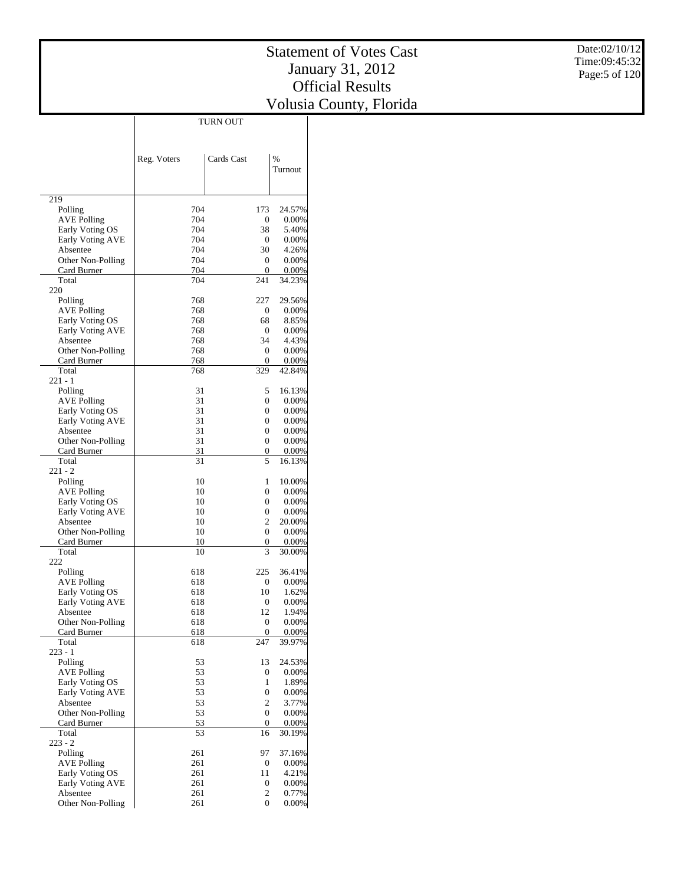|                              |             | TURN OUT                         |                    |
|------------------------------|-------------|----------------------------------|--------------------|
|                              |             |                                  |                    |
|                              |             |                                  |                    |
|                              |             |                                  |                    |
|                              | Reg. Voters | Cards Cast                       | $\%$               |
|                              |             |                                  | Turnout            |
|                              |             |                                  |                    |
| 219                          |             |                                  |                    |
| Polling                      | 704         | 173                              | 24.57%             |
| <b>AVE Polling</b>           | 704         | 0                                | $0.00\%$           |
| Early Voting OS              | 704         | 38                               | 5.40%              |
| Early Voting AVE             | 704         | 0                                | $0.00\%$           |
| Absentee                     | 704         | 30                               | 4.26%              |
| Other Non-Polling            | 704         | 0                                | $0.00\%$           |
| Card Burner                  | 704         | 0                                | $0.00\%$           |
| Total                        | 704         | 241                              | 34.23%             |
| 220                          |             |                                  |                    |
| Polling                      | 768         | 227                              | 29.56%             |
| <b>AVE Polling</b>           | 768         | 0                                | $0.00\%$           |
| Early Voting OS              | 768         | 68                               | 8.85%              |
| Early Voting AVE             | 768         | 0                                | $0.00\%$           |
| Absentee                     | 768         | 34                               | 4.43%              |
| Other Non-Polling            | 768         | 0                                | $0.00\%$           |
| Card Burner                  | 768         | $\mathbf{0}$                     | 0.00%              |
| Total                        | 768         | 329                              | 42.84%             |
| 221 - 1                      |             |                                  |                    |
| Polling                      | 31          | 5                                | 16.13%             |
| <b>AVE Polling</b>           | 31          | 0                                | $0.00\%$           |
| Early Voting OS              | 31          | 0                                | $0.00\%$           |
| Early Voting AVE             | 31          | 0                                | $0.00\%$           |
| Absentee                     | 31          | 0                                | $0.00\%$           |
| Other Non-Polling            | 31          | 0                                | $0.00\%$           |
| Card Burner                  | 31          | 0                                | $0.00\%$           |
| Total                        | 31          | 5                                | 16.13%             |
| 221 - 2                      |             |                                  |                    |
| Polling                      | 10          | 1                                | 10.00%             |
| <b>AVE Polling</b>           | 10          | 0                                | $0.00\%$           |
| Early Voting OS              | 10          | 0<br>0                           | $0.00\%$           |
| Early Voting AVE<br>Absentee | 10<br>10    | 2                                | $0.00\%$<br>20.00% |
| Other Non-Polling            | 10          | 0                                | $0.00\%$           |
| Card Burner                  | 10          | 0                                | $0.00\%$           |
| Total                        | 10          | 3                                | 30.00%             |
| 222                          |             |                                  |                    |
| Polling                      | 618         | 225                              | 36.41%             |
| <b>AVE Polling</b>           | 618         | 0                                | $0.00\%$           |
| Early Voting OS              | 618         | 10                               | 1.62%              |
| Early Voting AVE             | 618         | 0                                | $0.00\%$           |
| Absentee                     | 618         | 12                               | 1.94%              |
| Other Non-Polling            | 618         | 0                                | $0.00\%$           |
| Card Burner                  | 618         | 0                                | $0.00\%$           |
| Total                        | 618         | 247                              | 39.97%             |
| 223 - 1                      |             |                                  |                    |
| Polling                      | 53          | 13                               | 24.53%             |
| <b>AVE Polling</b>           | 53          | 0                                | $0.00\%$           |
| Early Voting OS              | 53          | 1                                | 1.89%              |
| Early Voting AVE             | 53          | 0                                | $0.00\%$           |
| Absentee                     | 53          | 2                                | 3.77%              |
| Other Non-Polling            | 53          | $\overline{0}$                   | $0.00\%$           |
| Card Burner                  | 53          | $\overline{0}$                   | $0.00\%$           |
| Total                        | 53          | 16                               | 30.19%             |
| $223 - 2$                    |             |                                  |                    |
| Polling                      | 261         | 97                               | 37.16%             |
| <b>AVE Polling</b>           | 261         | 0                                | $0.00\%$           |
| Early Voting OS              | 261         | 11                               | 4.21%              |
| Early Voting AVE             | 261         | 0                                | $0.00\%$           |
| Absentee                     | 261         | $\overline{c}$<br>$\overline{0}$ | 0.77%              |
| Other Non-Polling            | 261         |                                  | $0.00\%$           |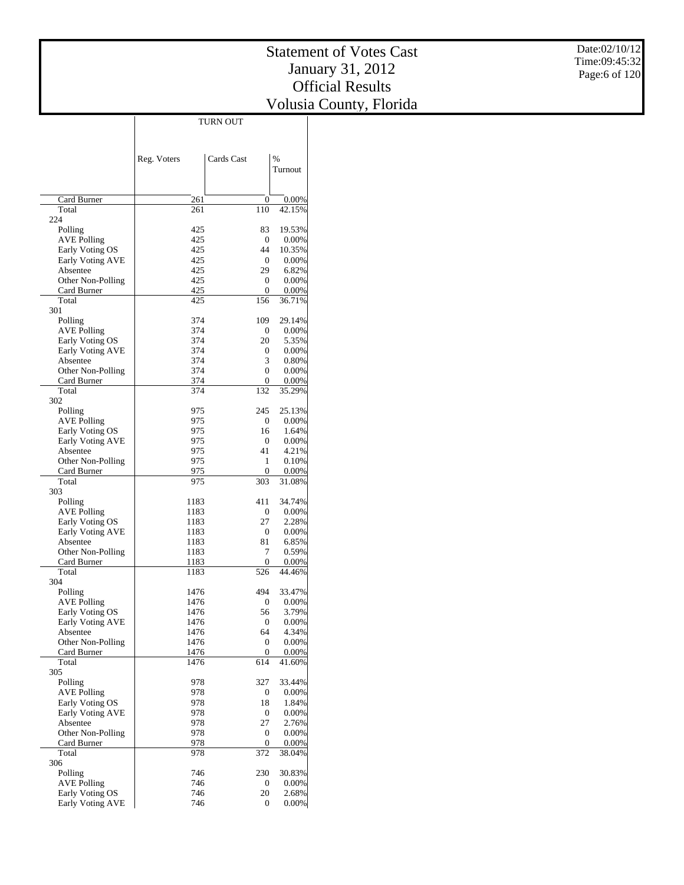|                                       |              | TURN OUT                |                 |
|---------------------------------------|--------------|-------------------------|-----------------|
|                                       |              |                         |                 |
|                                       |              |                         |                 |
|                                       | Reg. Voters  | Cards Cast              | %               |
|                                       |              |                         | Turnout         |
|                                       |              |                         |                 |
| Card Burner                           | 261          | 0                       | 0.00%           |
| Total                                 | 261          | 110                     | 42.15%          |
| 224                                   |              |                         |                 |
| Polling<br><b>AVE Polling</b>         | 425<br>425   | 83<br>$\mathbf{0}$      | 19.53%<br>0.00% |
| Early Voting OS                       | 425          | 44                      | 10.35%          |
| Early Voting AVE                      | 425          | $\mathbf{0}$            | 0.00%           |
| Absentee                              | 425          | 29                      | 6.82%           |
| Other Non-Polling                     | 425          | $\overline{0}$          | 0.00%           |
| Card Burner<br>Total                  | 425<br>425   | $\boldsymbol{0}$<br>156 | 0.00%<br>36.71% |
| 301                                   |              |                         |                 |
| Polling                               | 374          | 109                     | 29.14%          |
| <b>AVE Polling</b>                    | 374          | 0                       | 0.00%           |
| Early Voting OS                       | 374          | 20                      | 5.35%           |
| Early Voting AVE<br>Absentee          | 374<br>374   | 0<br>3                  | 0.00%<br>0.80%  |
| Other Non-Polling                     | 374          | $\mathbf{0}$            | 0.00%           |
| Card Burner                           | 374          | $\mathbf{0}$            | 0.00%           |
| Total                                 | 374          | 132                     | 35.29%          |
| 302                                   |              |                         |                 |
| Polling                               | 975          | 245                     | 25.13%          |
| <b>AVE Polling</b><br>Early Voting OS | 975<br>975   | 0<br>16                 | 0.00%<br>1.64%  |
| Early Voting AVE                      | 975          | $\overline{0}$          | 0.00%           |
| Absentee                              | 975          | 41                      | 4.21%           |
| Other Non-Polling                     | 975          | 1                       | 0.10%           |
| Card Burner                           | 975          | 0                       | 0.00%           |
| Total                                 | 975          | 303                     | 31.08%          |
| 303<br>Polling                        | 1183         | 411                     | 34.74%          |
| <b>AVE Polling</b>                    | 1183         | 0                       | 0.00%           |
| Early Voting OS                       | 1183         | 27                      | 2.28%           |
| Early Voting AVE                      | 1183         | $\boldsymbol{0}$        | 0.00%           |
| Absentee                              | 1183         | 81                      | 6.85%           |
| Other Non-Polling<br>Card Burner      | 1183<br>1183 | 7<br>$\boldsymbol{0}$   | 0.59%<br>0.00%  |
| Total                                 | 1183         | 526                     | 44.46%          |
| 304                                   |              |                         |                 |
| Polling                               | 1476         | 494                     | 33.47%          |
| <b>AVE Polling</b>                    | 1476         | $\boldsymbol{0}$        | 0.00%           |
| Early Voting OS<br>Early Voting AVE   | 1476         | 56                      | 3.79%           |
| Absentee                              | 1476<br>1476 | 0<br>64                 | 0.00%<br>4.34%  |
| Other Non-Polling                     | 1476         | 0                       | 0.00%           |
| Card Burner                           | 1476         | $\boldsymbol{0}$        | 0.00%           |
| Total                                 | 1476         | 614                     | 41.60%          |
| 305                                   | 978          |                         | 33.44%          |
| Polling<br><b>AVE Polling</b>         | 978          | 327<br>0                | 0.00%           |
| Early Voting OS                       | 978          | 18                      | 1.84%           |
| Early Voting AVE                      | 978          | 0                       | 0.00%           |
| Absentee                              | 978          | 27                      | 2.76%           |
| Other Non-Polling                     | 978          | $\boldsymbol{0}$        | 0.00%           |
| Card Burner<br>Total                  | 978<br>978   | $\boldsymbol{0}$<br>372 | 0.00%<br>38.04% |
| 306                                   |              |                         |                 |
| Polling                               | 746          | 230                     | 30.83%          |
| <b>AVE Polling</b>                    | 746          | 0                       | 0.00%           |
| Early Voting OS                       | 746          | 20                      | 2.68%           |
| Early Voting AVE                      | 746          | 0                       | 0.00%           |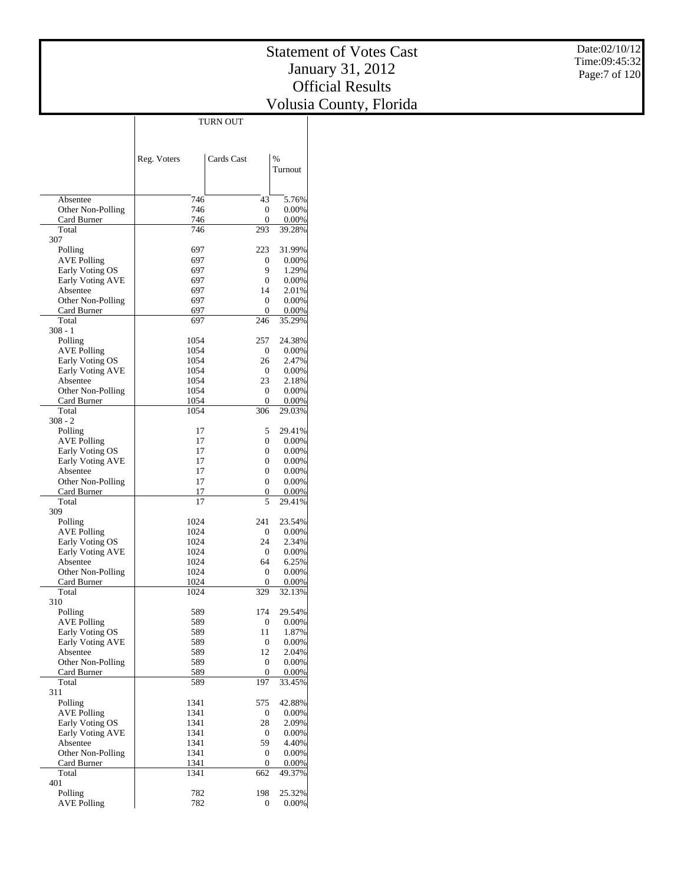|                                     |              | <b>TURN OUT</b>        |                   |
|-------------------------------------|--------------|------------------------|-------------------|
|                                     |              |                        |                   |
|                                     |              |                        |                   |
|                                     | Reg. Voters  | Cards Cast             | $\frac{0}{0}$     |
|                                     |              |                        | Turnout           |
|                                     |              |                        |                   |
|                                     |              |                        |                   |
| Absentee                            | 746          | 43                     | 5.76%             |
| Other Non-Polling                   | 746          | 0                      | 0.00%             |
| Card Burner                         | 746          | 0                      | 0.00%             |
| Total                               | 746          | 293                    | 39.28%            |
| 307                                 |              |                        |                   |
| Polling                             | 697          | 223                    | 31.99%            |
| <b>AVE Polling</b>                  | 697<br>697   | 0<br>9                 | $0.00\%$<br>1.29% |
| Early Voting OS<br>Early Voting AVE | 697          | 0                      | $0.00\%$          |
| Absentee                            | 697          | 14                     | 2.01%             |
| Other Non-Polling                   | 697          | 0                      | 0.00%             |
| Card Burner                         | 697          | 0                      | 0.00%             |
| Total                               | 697          | 246                    | 35.29%            |
| $308 - 1$                           |              |                        |                   |
| Polling                             | 1054         | 257                    | 24.38%            |
| <b>AVE Polling</b>                  | 1054         | 0                      | $0.00\%$          |
| Early Voting OS                     | 1054         | 26                     | 2.47%             |
| Early Voting AVE                    | 1054         | 0                      | $0.00\%$          |
| Absentee                            | 1054<br>1054 | 23<br>0                | 2.18%<br>$0.00\%$ |
| Other Non-Polling<br>Card Burner    | 1054         | 0                      | 0.00%             |
| Total                               | 1054         | 306                    | 29.03%            |
| $308 - 2$                           |              |                        |                   |
| Polling                             | 17           | 5                      | 29.41%            |
| AVE Polling                         | 17           | 0                      | $0.00\%$          |
| Early Voting OS                     | 17           | 0                      | 0.00%             |
| Early Voting AVE                    | 17           | 0                      | 0.00%             |
| Absentee                            | 17           | $\mathbf{0}$           | $0.00\%$          |
| Other Non-Polling                   | 17           | $\mathbf{0}$           | 0.00%             |
| Card Burner                         | 17           | 0                      | 0.00%             |
| Total<br>309                        | 17           | 5                      | 29.41%            |
| Polling                             | 1024         | 241                    | 23.54%            |
| <b>AVE Polling</b>                  | 1024         | 0                      | $0.00\%$          |
| Early Voting OS                     | 1024         | 24                     | 2.34%             |
| Early Voting AVE                    | 1024         | 0                      | $0.00\%$          |
| Absentee                            | 1024         | 64                     | 6.25%             |
| Other Non-Polling                   | 1024         | 0                      | 0.00%             |
| Card Burner                         | 1024         | 0                      | 0.00%             |
| Total                               | 1024         | 329                    | 32.13%            |
| 310                                 |              |                        |                   |
| Polling                             | 589          | 174                    | 29.54%            |
| <b>AVE Polling</b>                  | 589          | 0                      | 0.00%             |
| Early Voting OS<br>Early Voting AVE | 589<br>589   | 11<br>$\boldsymbol{0}$ | 1.87%<br>0.00%    |
| Absentee                            | 589          | 12                     | 2.04%             |
| Other Non-Polling                   | 589          | 0                      | 0.00%             |
| Card Burner                         | 589          | 0                      | 0.00%             |
| Total                               | 589          | 197                    | 33.45%            |
| 311                                 |              |                        |                   |
| Polling                             | 1341         | 575                    | 42.88%            |
| <b>AVE Polling</b>                  | 1341         | 0                      | 0.00%             |
| Early Voting OS                     | 1341         | 28                     | 2.09%             |
| Early Voting AVE                    | 1341         | 0                      | 0.00%             |
| Absentee                            | 1341         | 59                     | 4.40%             |
| Other Non-Polling                   | 1341         | 0                      | 0.00%             |
| Card Burner<br>Total                | 1341         | $\boldsymbol{0}$       | 0.00%             |
| 401                                 | 1341         | 662                    | 49.37%            |
| Polling                             | 782          | 198                    | 25.32%            |
| <b>AVE Polling</b>                  | 782          | 0                      | 0.00%             |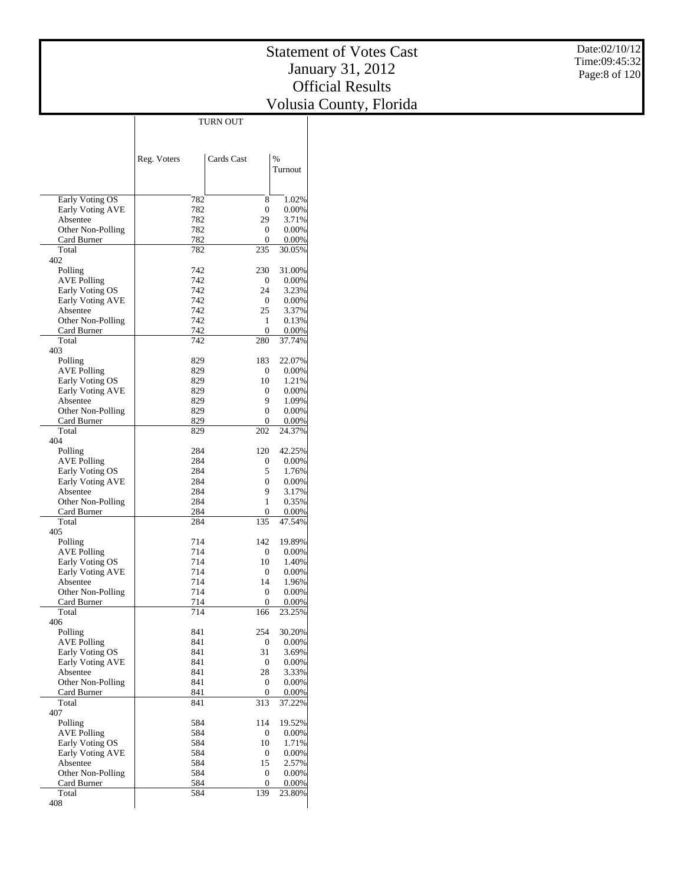|                                  |             | TURN OUT           |                 |
|----------------------------------|-------------|--------------------|-----------------|
|                                  |             |                    |                 |
|                                  |             |                    |                 |
|                                  | Reg. Voters | Cards Cast         | %               |
|                                  |             |                    | Turnout         |
|                                  |             |                    |                 |
|                                  |             |                    |                 |
| Early Voting OS                  | 782         | 8                  | 1.02%           |
| Early Voting AVE                 | 782         | 0                  | 0.00%           |
| Absentee                         | 782         | 29                 | 3.71%           |
| Other Non-Polling                | 782         | 0                  | 0.00%           |
| Card Burner                      | 782         | 0                  | 0.00%           |
| Total                            | 782         | 235                | 30.05%          |
| 402                              |             |                    |                 |
| Polling                          | 742         | 230                | 31.00%          |
| <b>AVE Polling</b>               | 742         | $\mathbf{0}$       | 0.00%           |
| Early Voting OS                  | 742<br>742  | 24<br>$\mathbf{0}$ | 3.23%           |
| Early Voting AVE<br>Absentee     | 742         | 25                 | 0.00%<br>3.37%  |
| Other Non-Polling                | 742         | 1                  | 0.13%           |
| Card Burner                      | 742         | 0                  | 0.00%           |
| Total                            | 742         | 280                | 37.74%          |
| 403                              |             |                    |                 |
| Polling                          | 829         | 183                | 22.07%          |
| <b>AVE Polling</b>               | 829         | 0                  | 0.00%           |
| Early Voting OS                  | 829         | 10                 | 1.21%           |
| Early Voting AVE                 | 829         | 0                  | 0.00%           |
| Absentee                         | 829         | 9                  | 1.09%           |
| Other Non-Polling                | 829         | 0                  | 0.00%           |
| Card Burner                      | 829         | 0                  | 0.00%           |
| Total                            | 829         | 202                | 24.37%          |
| 404                              |             |                    |                 |
| Polling                          | 284         | 120                | 42.25%          |
| <b>AVE Polling</b>               | 284         | 0                  | 0.00%           |
| Early Voting OS                  | 284         | 5                  | 1.76%           |
| Early Voting AVE                 | 284         | 0                  | 0.00%           |
| Absentee                         | 284<br>284  | 9<br>1             | 3.17%           |
| Other Non-Polling<br>Card Burner | 284         | 0                  | 0.35%<br>0.00%  |
| Total                            | 284         | 135                | 47.54%          |
| 405                              |             |                    |                 |
| Polling                          | 714         | 142                | 19.89%          |
| <b>AVE Polling</b>               | 714         | 0                  | 0.00%           |
| Early Voting OS                  | 714         | 10                 | 1.40%           |
| Early Voting AVE                 | 714         | 0                  | 0.00%           |
| Absentee                         | 714         | 14                 | 1.96%           |
| Other Non-Polling                | 714         | 0                  | 0.00%           |
| Card Burner                      | 714         | $\boldsymbol{0}$   | 0.00%           |
| Total                            | 714         | 166                | 23.25%          |
| 406                              |             |                    |                 |
| Polling                          | 841         | 254                | 30.20%          |
| <b>AVE Polling</b>               | 841         | 0                  | 0.00%           |
| Early Voting OS                  | 841         | 31                 | 3.69%           |
| Early Voting AVE                 | 841         | $\overline{0}$     | 0.00%           |
| Absentee                         | 841         | 28                 | 3.33%           |
| Other Non-Polling                | 841<br>841  | 0<br>0             | 0.00%           |
| Card Burner<br>Total             | 841         | 313                | 0.00%<br>37.22% |
| 407                              |             |                    |                 |
| Polling                          | 584         | 114                | 19.52%          |
| <b>AVE Polling</b>               | 584         | 0                  | 0.00%           |
| Early Voting OS                  | 584         | 10                 | 1.71%           |
| Early Voting AVE                 | 584         | 0                  | 0.00%           |
| Absentee                         | 584         | 15                 | 2.57%           |
| Other Non-Polling                | 584         | $\mathbf{0}$       | 0.00%           |
| Card Burner                      | 584         | $\boldsymbol{0}$   | 0.00%           |
| Total                            | 584         | 139                | 23.80%          |
| 408                              |             |                    |                 |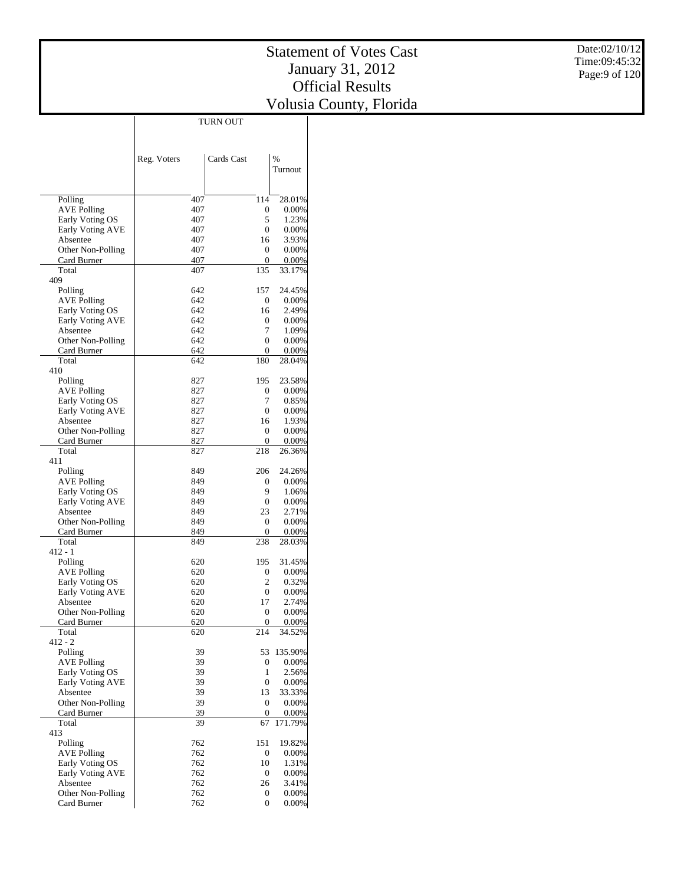|                                     |             | <b>TURN OUT</b>       |                  |
|-------------------------------------|-------------|-----------------------|------------------|
|                                     |             |                       |                  |
|                                     |             |                       |                  |
|                                     | Reg. Voters | Cards Cast            | $\frac{0}{0}$    |
|                                     |             |                       | Turnout          |
|                                     |             |                       |                  |
|                                     |             |                       |                  |
| Polling                             | 407         | 114                   | 28.01%           |
| <b>AVE Polling</b>                  | 407         | 0                     | 0.00%            |
| Early Voting OS                     | 407         | 5                     | 1.23%            |
| Early Voting AVE                    | 407         | $\mathbf{0}$          | 0.00%            |
| Absentee                            | 407         | 16                    | 3.93%            |
| Other Non-Polling                   | 407         | 0                     | 0.00%            |
| Card Burner                         | 407         | 0                     | 0.00%            |
| Total                               | 407         | 135                   | 33.17%           |
| 409                                 |             |                       |                  |
| Polling                             | 642<br>642  | 157<br>0              | 24.45%<br>0.00%  |
| AVE Polling<br>Early Voting OS      | 642         | 16                    | 2.49%            |
| Early Voting AVE                    | 642         | 0                     | $0.00\%$         |
| Absentee                            | 642         | 7                     | 1.09%            |
| Other Non-Polling                   | 642         | $\mathbf{0}$          | 0.00%            |
| Card Burner                         | 642         | 0                     | 0.00%            |
| Total                               | 642         | 180                   | 28.04%           |
| 410                                 |             |                       |                  |
| Polling                             | 827         | 195                   | 23.58%           |
| <b>AVE Polling</b>                  | 827         | 0                     | $0.00\%$         |
| Early Voting OS                     | 827         | 7                     | 0.85%            |
| Early Voting AVE                    | 827         | $\mathbf{0}$          | 0.00%            |
| Absentee                            | 827         | 16                    | 1.93%            |
| Other Non-Polling                   | 827         | 0                     | 0.00%            |
| Card Burner<br>Total                | 827<br>827  | 0<br>218              | 0.00%<br>26.36%  |
| 411                                 |             |                       |                  |
| Polling                             | 849         | 206                   | 24.26%           |
| AVE Polling                         | 849         | 0                     | $0.00\%$         |
| Early Voting OS                     | 849         | 9                     | 1.06%            |
| Early Voting AVE                    | 849         | 0                     | 0.00%            |
| Absentee                            | 849         | 23                    | 2.71%            |
| Other Non-Polling                   | 849         | 0                     | 0.00%            |
| Card Burner                         | 849         | 0                     | 0.00%            |
| Total                               | 849         | 238                   | 28.03%           |
| $412 - 1$                           |             |                       |                  |
| Polling                             | 620         | 195                   | 31.45%           |
| <b>AVE Polling</b>                  | 620<br>620  | 0<br>2                | 0.00%<br>0.32%   |
| Early Voting OS<br>Early Voting AVE | 620         | 0                     | 0.00%            |
| Absentee                            | 620         | 17                    | 2.74%            |
| Other Non-Polling                   | 620         | 0                     | 0.00%            |
| Card Burner                         | 620         | 0                     | 0.00%            |
| Total                               | 620         | 214                   | 34.52%           |
| $412 - 2$                           |             |                       |                  |
| Polling                             | 39          | 53                    | 135.90%          |
| <b>AVE Polling</b>                  | 39          | 0                     | 0.00%            |
| Early Voting OS                     | 39          | 1                     | 2.56%            |
| Early Voting AVE                    | 39          | $\boldsymbol{0}$      | 0.00%            |
| Absentee                            | 39          | 13                    | 33.33%           |
| Other Non-Polling                   | 39          | $\boldsymbol{0}$<br>0 | 0.00%            |
| Card Burner<br>Total                | 39<br>39    | 67                    | 0.00%<br>171.79% |
| 413                                 |             |                       |                  |
| Polling                             | 762         | 151                   | 19.82%           |
| <b>AVE Polling</b>                  | 762         | 0                     | 0.00%            |
| Early Voting OS                     | 762         | 10                    | 1.31%            |
| <b>Early Voting AVE</b>             | 762         | 0                     | 0.00%            |
| Absentee                            | 762         | 26                    | 3.41%            |
| Other Non-Polling                   | 762         | 0                     | $0.00\%$         |
| Card Burner                         | 762         | $\mathbf{0}$          | 0.00%            |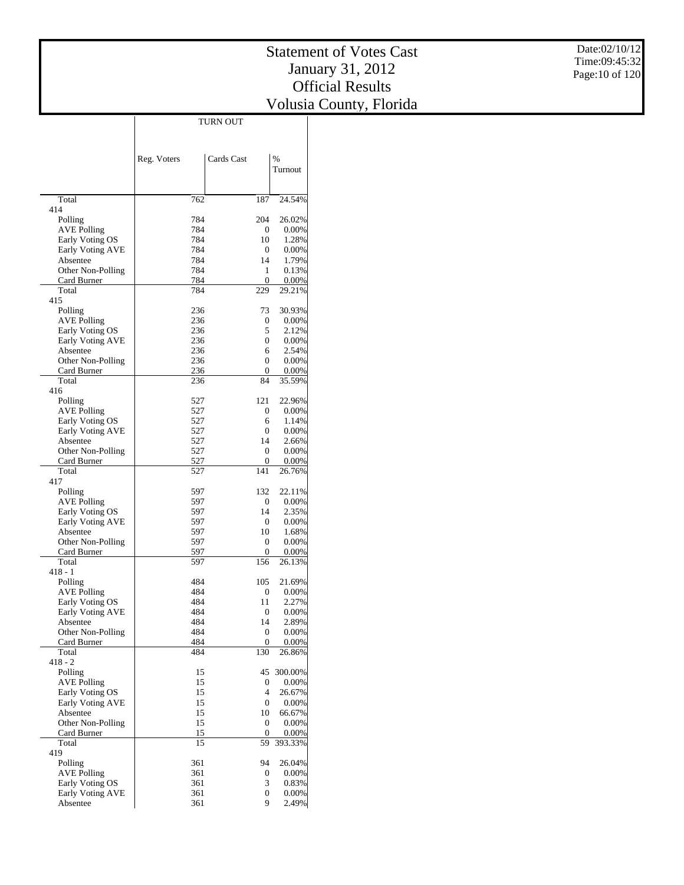|                                     | Reg. Voters | Cards Cast        | %                 |
|-------------------------------------|-------------|-------------------|-------------------|
|                                     |             |                   | Turnout           |
|                                     |             |                   |                   |
| Total<br>414                        | 762         | 187               | 24.54%            |
| Polling                             | 784         | 204               | 26.02%            |
| <b>AVE Polling</b>                  | 784         | 0                 | $0.00\%$          |
| Early Voting OS                     | 784         | 10                | 1.28%             |
| Early Voting AVE<br>Absentee        | 784<br>784  | 0<br>14           | $0.00\%$<br>1.79% |
| Other Non-Polling                   | 784         | 1                 | 0.13%             |
| Card Burner                         | 784         | 0                 | $0.00\%$          |
| Total                               | 784         | 229               | 29.21%            |
| 415<br>Polling                      | 236         | 73                | 30.93%            |
| <b>AVE Polling</b>                  | 236         | 0                 | $0.00\%$          |
| Early Voting OS                     | 236         | 5                 | 2.12%             |
| Early Voting AVE                    | 236         | 0                 | $0.00\%$          |
| Absentee                            | 236         | 6                 | 2.54%             |
| Other Non-Polling                   | 236<br>236  | $\mathbf{0}$<br>0 | 0.00%<br>0.00%    |
| Card Burner<br>Total                | 236         | 84                | 35.59%            |
| 416                                 |             |                   |                   |
| Polling                             | 527         | 121               | 22.96%            |
| AVE Polling                         | 527         | 0                 | $0.00\%$          |
| Early Voting OS                     | 527<br>527  | 6<br>0            | 1.14%             |
| <b>Early Voting AVE</b><br>Absentee | 527         | 14                | $0.00\%$<br>2.66% |
| Other Non-Polling                   | 527         | $\mathbf{0}$      | 0.00%             |
| Card Burner                         | 527         | 0                 | $0.00\%$          |
| Total                               | 527         | 141               | 26.76%            |
| 417<br>Polling                      | 597         | 132               | 22.11%            |
| <b>AVE Polling</b>                  | 597         | 0                 | $0.00\%$          |
| Early Voting OS                     | 597         | 14                | 2.35%             |
| Early Voting AVE                    | 597         | 0                 | $0.00\%$          |
| Absentee                            | 597         | 10                | 1.68%             |
| Other Non-Polling<br>Card Burner    | 597<br>597  | 0<br>0            | 0.00%<br>0.00%    |
| Total                               | 597         | 156               | 26.13%            |
| $418 - 1$                           |             |                   |                   |
| Polling                             | 484         | 105               | 21.69%            |
| <b>AVE Polling</b>                  | 484         | 0                 | $0.00\%$          |
| Early Voting OS<br>Early Voting AVE | 484<br>484  | 11<br>0           | 2.27%<br>$0.00\%$ |
| Absentee                            | 484         | 14                | 2.89%             |
| Other Non-Polling                   | 484         | $\boldsymbol{0}$  | 0.00%             |
| Card Burner                         | 484         | 0                 | 0.00%             |
| Total                               | 484         | 130               | 26.86%            |
| $418 - 2$<br>Polling                | 15          | 45                | 300.00%           |
| <b>AVE Polling</b>                  | 15          | 0                 | 0.00%             |
| Early Voting OS                     | 15          | 4                 | 26.67%            |
| Early Voting AVE                    | 15          | 0                 | $0.00\%$          |
| Absentee                            | 15          | 10                | 66.67%            |
| Other Non-Polling<br>Card Burner    | 15<br>15    | 0<br>0            | 0.00%<br>0.00%    |
| Total                               | 15          | 59                | 393.33%           |
| 419                                 |             |                   |                   |
| Polling                             | 361         | 94                | 26.04%            |
| <b>AVE Polling</b>                  | 361         | 0                 | 0.00%             |
| Early Voting OS<br>Early Voting AVE | 361<br>361  | 3<br>0            | 0.83%<br>0.00%    |
| Absentee                            | 361         | 9                 | 2.49%             |
|                                     |             |                   |                   |

TURN OUT

 $\overline{\phantom{a}}$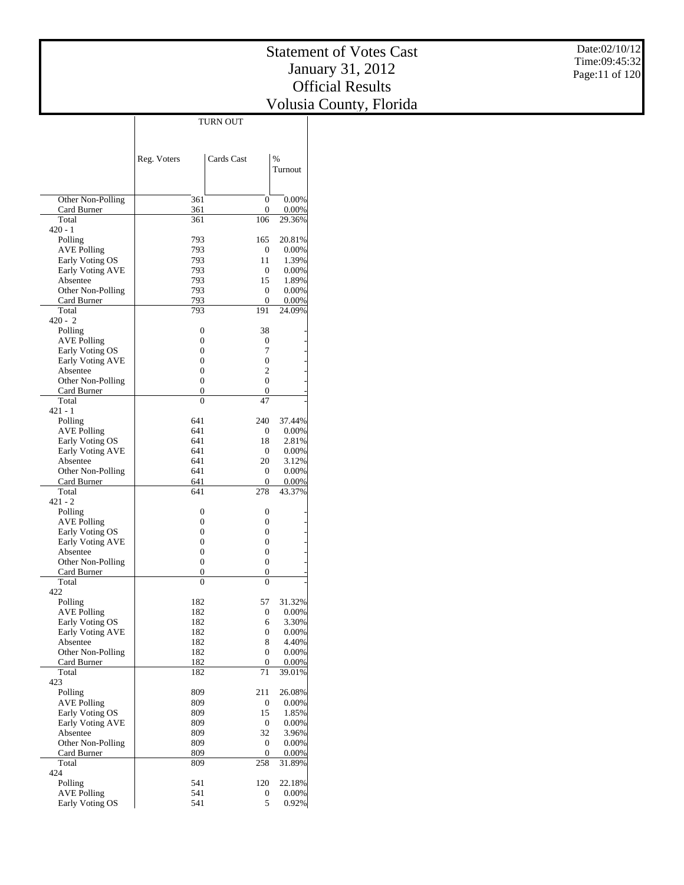$\overline{\phantom{a}}$ 

Date:02/10/12 Time:09:45:32 Page:11 of 120

|                                       | Reg. Voters    | Cards Cast                           | $\frac{0}{0}$     |
|---------------------------------------|----------------|--------------------------------------|-------------------|
|                                       |                |                                      | Turnout           |
|                                       |                |                                      |                   |
| Other Non-Polling                     | 361            | $\boldsymbol{0}$                     | 0.00%             |
| Card Burner                           | 361            | $\boldsymbol{0}$                     | 0.00%             |
| Total<br>$420 - 1$                    | 361            | 106                                  | 29.36%            |
| Polling                               | 793            | 165                                  | 20.81%            |
| <b>AVE Polling</b>                    | 793            | 0                                    | 0.00%             |
| Early Voting OS                       | 793            | 11                                   | 1.39%             |
| Early Voting AVE                      | 793            | $\boldsymbol{0}$                     | 0.00%             |
| Absentee                              | 793            | 15                                   | 1.89%             |
| Other Non-Polling                     | 793<br>793     | 0<br>0                               | 0.00%             |
| Card Burner<br>Total                  | 793            | 191                                  | 0.00%<br>24.09%   |
| $420 - 2$                             |                |                                      |                   |
| Polling                               | 0              | 38                                   |                   |
| <b>AVE Polling</b>                    | 0              | 0                                    |                   |
| Early Voting OS                       | 0              | 7                                    |                   |
| Early Voting AVE                      | 0              | $\boldsymbol{0}$                     |                   |
| Absentee                              | 0<br>0         | $\overline{c}$<br>$\boldsymbol{0}$   |                   |
| Other Non-Polling<br>Card Burner      | 0              | $\boldsymbol{0}$                     |                   |
| Total                                 | $\overline{0}$ | 47                                   |                   |
| 421 - 1                               |                |                                      |                   |
| Polling                               | 641            | 240                                  | 37.44%            |
| <b>AVE Polling</b>                    | 641            | 0                                    | 0.00%             |
| Early Voting OS                       | 641            | 18                                   | 2.81%             |
| Early Voting AVE                      | 641            | 0<br>20                              | 0.00%             |
| Absentee<br>Other Non-Polling         | 641<br>641     | 0                                    | 3.12%<br>0.00%    |
| Card Burner                           | 641            | 0                                    | 0.00%             |
| Total                                 | 641            | 278                                  | 43.37%            |
| $421 - 2$                             |                |                                      |                   |
| Polling                               | 0              | 0                                    |                   |
| <b>AVE Polling</b>                    | 0              | 0                                    |                   |
| Early Voting OS                       | 0<br>0         | $\boldsymbol{0}$<br>$\boldsymbol{0}$ |                   |
| Early Voting AVE<br>Absentee          | 0              | $\boldsymbol{0}$                     |                   |
| Other Non-Polling                     | 0              | $\boldsymbol{0}$                     |                   |
| Card Burner                           | 0              | 0                                    |                   |
| Total                                 | 0              | 0                                    |                   |
| 422                                   |                |                                      |                   |
| Polling                               | 182            | 57                                   | 31.32%            |
| <b>AVE Polling</b>                    | 182            | 0                                    | 0.00%             |
| Early Voting OS<br>Early Voting AVE   | 182<br>182     | 6<br>0                               | 3.30%<br>$0.00\%$ |
| Absentee                              | 182            | 8                                    | 4.40%             |
| Other Non-Polling                     | 182            | 0                                    | 0.00%             |
| Card Burner                           | 182            | 0                                    | 0.00%             |
| Total                                 | 182            | 71                                   | 39.01%            |
| 423                                   |                |                                      |                   |
| Polling                               | 809            | 211                                  | 26.08%            |
| <b>AVE Polling</b><br>Early Voting OS | 809<br>809     | 0<br>15                              | $0.00\%$<br>1.85% |
| <b>Early Voting AVE</b>               | 809            | 0                                    | 0.00%             |
| Absentee                              | 809            | 32                                   | 3.96%             |
| Other Non-Polling                     | 809            | 0                                    | 0.00%             |
| Card Burner                           | 809            | 0                                    | 0.00%             |
| Total                                 | 809            | 258                                  | 31.89%            |
| 424                                   |                |                                      |                   |
| Polling<br><b>AVE Polling</b>         | 541<br>541     | 120<br>0                             | 22.18%<br>0.00%   |
| Early Voting OS                       | 541            | 5                                    | 0.92%             |

TURN OUT

 $\overline{\phantom{a}}$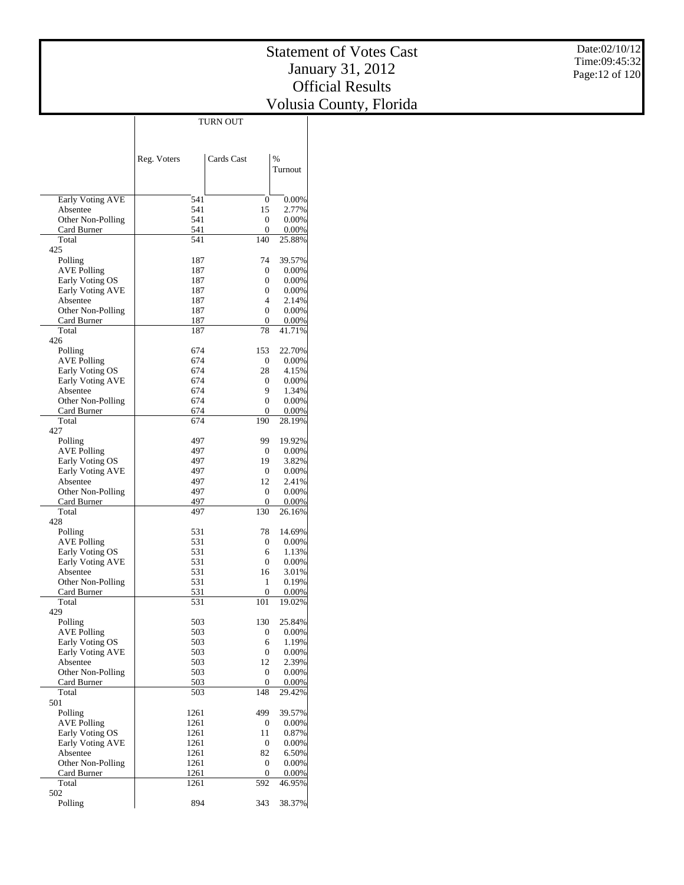|                                     | <b>TURN OUT</b> |                         |                 |
|-------------------------------------|-----------------|-------------------------|-----------------|
|                                     |                 |                         |                 |
|                                     |                 |                         |                 |
|                                     | Reg. Voters     | Cards Cast              | $\frac{0}{0}$   |
|                                     |                 |                         | Turnout         |
|                                     |                 |                         |                 |
|                                     |                 |                         |                 |
| Early Voting AVE                    | 541             | 0                       | 0.00%           |
| Absentee                            | 541             | 15                      | 2.77%           |
| Other Non-Polling                   | 541             | 0                       | 0.00%           |
| Card Burner<br>Total                | 541<br>541      | 0<br>140                | 0.00%           |
| 425                                 |                 |                         | 25.88%          |
| Polling                             | 187             | 74                      | 39.57%          |
| <b>AVE Polling</b>                  | 187             | 0                       | 0.00%           |
| Early Voting OS                     | 187             | 0                       | 0.00%           |
| Early Voting AVE                    | 187             | 0                       | 0.00%           |
| Absentee                            | 187             | 4                       | 2.14%           |
| Other Non-Polling                   | 187             | $\mathbf{0}$            | $0.00\%$        |
| Card Burner                         | 187             | 0                       | $0.00\%$        |
| Total                               | 187             | 78                      | 41.71%          |
| 426                                 |                 |                         |                 |
| Polling                             | 674             | 153                     | 22.70%          |
| AVE Polling                         | 674             | 0                       | 0.00%           |
| Early Voting OS                     | 674             | 28                      | 4.15%           |
| Early Voting AVE<br>Absentee        | 674<br>674      | 0<br>9                  | 0.00%<br>1.34%  |
| Other Non-Polling                   | 674             | $\mathbf{0}$            | 0.00%           |
| Card Burner                         | 674             | 0                       | 0.00%           |
| Total                               | 674             | 190                     | 28.19%          |
| 427                                 |                 |                         |                 |
| Polling                             | 497             | 99                      | 19.92%          |
| <b>AVE Polling</b>                  | 497             | 0                       | $0.00\%$        |
| Early Voting OS                     | 497             | 19                      | 3.82%           |
| Early Voting AVE                    | 497             | 0                       | 0.00%           |
| Absentee                            | 497             | 12                      | 2.41%           |
| Other Non-Polling                   | 497             | 0                       | 0.00%           |
| Card Burner                         | 497             | 0                       | 0.00%           |
| Total                               | 497             | 130                     | 26.16%          |
| 428                                 |                 |                         |                 |
| Polling                             | 531             | 78                      | 14.69%          |
| AVE Polling                         | 531<br>531      | 0<br>6                  | 0.00%<br>1.13%  |
| Early Voting OS<br>Early Voting AVE | 531             | 0                       | 0.00%           |
| Absentee                            | 531             | 16                      | 3.01%           |
| Other Non-Polling                   | 531             | 1                       | 0.19%           |
| Card Burner                         | 531             | 0                       | 0.00%           |
| Total                               | 531             | 101                     | 19.02%          |
| 429                                 |                 |                         |                 |
| Polling                             | 503             | 130                     | 25.84%          |
| <b>AVE Polling</b>                  | 503             | 0                       | 0.00%           |
| Early Voting OS                     | 503             | 6                       | 1.19%           |
| Early Voting AVE                    | 503             | $\boldsymbol{0}$        | 0.00%           |
| Absentee                            | 503             | 12                      | 2.39%           |
| Other Non-Polling                   | 503             | 0                       | 0.00%           |
| Card Burner<br>Total                | 503             | $\boldsymbol{0}$<br>148 | 0.00%<br>29.42% |
| 501                                 | 503             |                         |                 |
| Polling                             | 1261            | 499                     | 39.57%          |
| <b>AVE Polling</b>                  | 1261            | 0                       | 0.00%           |
| Early Voting OS                     | 1261            | 11                      | 0.87%           |
| <b>Early Voting AVE</b>             | 1261            | $\boldsymbol{0}$        | 0.00%           |
| Absentee                            | 1261            | 82                      | 6.50%           |
| Other Non-Polling                   | 1261            | 0                       | 0.00%           |
| Card Burner                         | 1261            | 0                       | 0.00%           |
| Total                               | 1261            | 592                     | 46.95%          |
| 502                                 |                 |                         |                 |
| Polling                             | 894             | 343                     | 38.37%          |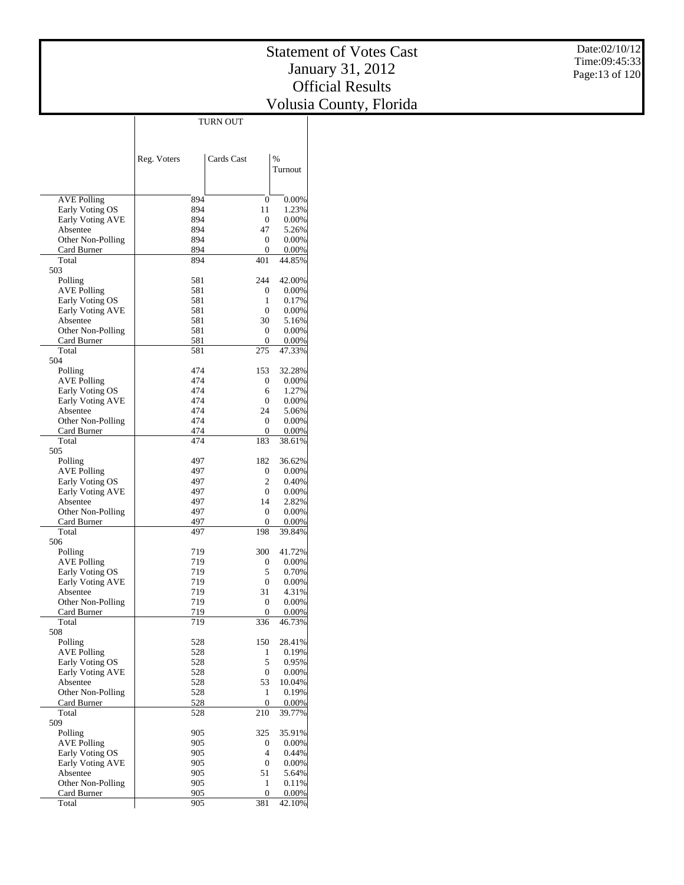| $\frac{9}{6}$<br>Cards Cast<br>Reg. Voters<br>Turnout<br>894<br>0.00%<br>AVE Polling<br>0<br>894<br>11<br>Early Voting OS<br>1.23%<br>Early Voting AVE<br>894<br>0<br>$0.00\%$<br>894<br>47<br>Absentee<br>5.26%<br>894<br>Other Non-Polling<br>0<br>0.00%<br>894<br>Card Burner<br>0<br>0.00%<br>401<br>Total<br>894<br>44.85%<br>503<br>244<br>42.00%<br>Polling<br>581<br>581<br><b>AVE Polling</b><br>0<br>$0.00\%$<br>581<br>Early Voting OS<br>1<br>0.17%<br>581<br>$\mathbf{0}$<br>Early Voting AVE<br>$0.00\%$<br>581<br>30<br>Absentee<br>5.16%<br>581<br>Other Non-Polling<br>0<br>0.00%<br>581<br>Card Burner<br>0<br>0.00%<br>Total<br>581<br>275<br>47.33%<br>504<br>32.28%<br>Polling<br>474<br>153<br>474<br>AVE Polling<br>0<br>0.00%<br>474<br>Early Voting OS<br>6<br>1.27%<br>474<br><b>Early Voting AVE</b><br>0<br>$0.00\%$<br>474<br>24<br>Absentee<br>5.06%<br>474<br>Other Non-Polling<br>0<br>0.00%<br>474<br>0<br>0.00%<br>Card Burner<br>474<br>183<br>Total<br>38.61%<br>505<br>Polling<br>497<br>182<br>36.62%<br>497<br><b>AVE Polling</b><br>0<br>$0.00\%$<br>Early Voting OS<br>2<br>497<br>0.40%<br>497<br>Early Voting AVE<br>0<br>$0.00\%$<br>497<br>Absentee<br>14<br>2.82%<br>497<br>Other Non-Polling<br>0<br>0.00%<br>497<br>Card Burner<br>0<br>0.00%<br>Total<br>497<br>198<br>39.84%<br>506<br>300<br>Polling<br>719<br>41.72%<br>AVE Polling<br>719<br>0<br>0.00%<br>5<br>Early Voting OS<br>719<br>0.70%<br>Early Voting AVE<br>$\boldsymbol{0}$<br>719<br>0.00%<br>31<br>Absentee<br>719<br>4.31%<br>Other Non-Polling<br>719<br>0<br>0.00%<br>0<br>719<br>0.00%<br>Card Burner<br>Total<br>719<br>336<br>46.73%<br>508<br>Polling<br>150<br>28.41%<br>528<br><b>AVE Polling</b><br>528<br>1<br>0.19%<br>528<br>5<br>Early Voting OS<br>0.95%<br>Early Voting AVE<br>528<br>0<br>0.00%<br>Absentee<br>528<br>53<br>10.04%<br>Other Non-Polling<br>528<br>0.19%<br>1<br>528<br>Card Burner<br>$\boldsymbol{0}$<br>0.00%<br>Total<br>528<br>210<br>39.77%<br>509<br>Polling<br>905<br>325<br>35.91%<br><b>AVE Polling</b><br>905<br>0<br>0.00%<br>$\overline{4}$<br>Early Voting OS<br>905<br>0.44%<br>Early Voting AVE<br>905<br>0<br>0.00%<br>Absentee<br>905<br>51<br>5.64%<br>Other Non-Polling<br>905<br>1<br>0.11%<br>905<br>$0.00\%$<br>Card Burner<br>0<br>381<br>905<br>42.10%<br>Total |  | <b>TURN OUT</b> |  |
|---------------------------------------------------------------------------------------------------------------------------------------------------------------------------------------------------------------------------------------------------------------------------------------------------------------------------------------------------------------------------------------------------------------------------------------------------------------------------------------------------------------------------------------------------------------------------------------------------------------------------------------------------------------------------------------------------------------------------------------------------------------------------------------------------------------------------------------------------------------------------------------------------------------------------------------------------------------------------------------------------------------------------------------------------------------------------------------------------------------------------------------------------------------------------------------------------------------------------------------------------------------------------------------------------------------------------------------------------------------------------------------------------------------------------------------------------------------------------------------------------------------------------------------------------------------------------------------------------------------------------------------------------------------------------------------------------------------------------------------------------------------------------------------------------------------------------------------------------------------------------------------------------------------------------------------------------------------------------------------------------------------------------------------------------------------------------------------------------------------------------------------------------------------------------------------------------------------------------------------------------------------------------------------------------------------------------------------------|--|-----------------|--|
|                                                                                                                                                                                                                                                                                                                                                                                                                                                                                                                                                                                                                                                                                                                                                                                                                                                                                                                                                                                                                                                                                                                                                                                                                                                                                                                                                                                                                                                                                                                                                                                                                                                                                                                                                                                                                                                                                                                                                                                                                                                                                                                                                                                                                                                                                                                                             |  |                 |  |
|                                                                                                                                                                                                                                                                                                                                                                                                                                                                                                                                                                                                                                                                                                                                                                                                                                                                                                                                                                                                                                                                                                                                                                                                                                                                                                                                                                                                                                                                                                                                                                                                                                                                                                                                                                                                                                                                                                                                                                                                                                                                                                                                                                                                                                                                                                                                             |  |                 |  |
|                                                                                                                                                                                                                                                                                                                                                                                                                                                                                                                                                                                                                                                                                                                                                                                                                                                                                                                                                                                                                                                                                                                                                                                                                                                                                                                                                                                                                                                                                                                                                                                                                                                                                                                                                                                                                                                                                                                                                                                                                                                                                                                                                                                                                                                                                                                                             |  |                 |  |
|                                                                                                                                                                                                                                                                                                                                                                                                                                                                                                                                                                                                                                                                                                                                                                                                                                                                                                                                                                                                                                                                                                                                                                                                                                                                                                                                                                                                                                                                                                                                                                                                                                                                                                                                                                                                                                                                                                                                                                                                                                                                                                                                                                                                                                                                                                                                             |  |                 |  |
|                                                                                                                                                                                                                                                                                                                                                                                                                                                                                                                                                                                                                                                                                                                                                                                                                                                                                                                                                                                                                                                                                                                                                                                                                                                                                                                                                                                                                                                                                                                                                                                                                                                                                                                                                                                                                                                                                                                                                                                                                                                                                                                                                                                                                                                                                                                                             |  |                 |  |
|                                                                                                                                                                                                                                                                                                                                                                                                                                                                                                                                                                                                                                                                                                                                                                                                                                                                                                                                                                                                                                                                                                                                                                                                                                                                                                                                                                                                                                                                                                                                                                                                                                                                                                                                                                                                                                                                                                                                                                                                                                                                                                                                                                                                                                                                                                                                             |  |                 |  |
|                                                                                                                                                                                                                                                                                                                                                                                                                                                                                                                                                                                                                                                                                                                                                                                                                                                                                                                                                                                                                                                                                                                                                                                                                                                                                                                                                                                                                                                                                                                                                                                                                                                                                                                                                                                                                                                                                                                                                                                                                                                                                                                                                                                                                                                                                                                                             |  |                 |  |
|                                                                                                                                                                                                                                                                                                                                                                                                                                                                                                                                                                                                                                                                                                                                                                                                                                                                                                                                                                                                                                                                                                                                                                                                                                                                                                                                                                                                                                                                                                                                                                                                                                                                                                                                                                                                                                                                                                                                                                                                                                                                                                                                                                                                                                                                                                                                             |  |                 |  |
|                                                                                                                                                                                                                                                                                                                                                                                                                                                                                                                                                                                                                                                                                                                                                                                                                                                                                                                                                                                                                                                                                                                                                                                                                                                                                                                                                                                                                                                                                                                                                                                                                                                                                                                                                                                                                                                                                                                                                                                                                                                                                                                                                                                                                                                                                                                                             |  |                 |  |
|                                                                                                                                                                                                                                                                                                                                                                                                                                                                                                                                                                                                                                                                                                                                                                                                                                                                                                                                                                                                                                                                                                                                                                                                                                                                                                                                                                                                                                                                                                                                                                                                                                                                                                                                                                                                                                                                                                                                                                                                                                                                                                                                                                                                                                                                                                                                             |  |                 |  |
|                                                                                                                                                                                                                                                                                                                                                                                                                                                                                                                                                                                                                                                                                                                                                                                                                                                                                                                                                                                                                                                                                                                                                                                                                                                                                                                                                                                                                                                                                                                                                                                                                                                                                                                                                                                                                                                                                                                                                                                                                                                                                                                                                                                                                                                                                                                                             |  |                 |  |
|                                                                                                                                                                                                                                                                                                                                                                                                                                                                                                                                                                                                                                                                                                                                                                                                                                                                                                                                                                                                                                                                                                                                                                                                                                                                                                                                                                                                                                                                                                                                                                                                                                                                                                                                                                                                                                                                                                                                                                                                                                                                                                                                                                                                                                                                                                                                             |  |                 |  |
|                                                                                                                                                                                                                                                                                                                                                                                                                                                                                                                                                                                                                                                                                                                                                                                                                                                                                                                                                                                                                                                                                                                                                                                                                                                                                                                                                                                                                                                                                                                                                                                                                                                                                                                                                                                                                                                                                                                                                                                                                                                                                                                                                                                                                                                                                                                                             |  |                 |  |
|                                                                                                                                                                                                                                                                                                                                                                                                                                                                                                                                                                                                                                                                                                                                                                                                                                                                                                                                                                                                                                                                                                                                                                                                                                                                                                                                                                                                                                                                                                                                                                                                                                                                                                                                                                                                                                                                                                                                                                                                                                                                                                                                                                                                                                                                                                                                             |  |                 |  |
|                                                                                                                                                                                                                                                                                                                                                                                                                                                                                                                                                                                                                                                                                                                                                                                                                                                                                                                                                                                                                                                                                                                                                                                                                                                                                                                                                                                                                                                                                                                                                                                                                                                                                                                                                                                                                                                                                                                                                                                                                                                                                                                                                                                                                                                                                                                                             |  |                 |  |
|                                                                                                                                                                                                                                                                                                                                                                                                                                                                                                                                                                                                                                                                                                                                                                                                                                                                                                                                                                                                                                                                                                                                                                                                                                                                                                                                                                                                                                                                                                                                                                                                                                                                                                                                                                                                                                                                                                                                                                                                                                                                                                                                                                                                                                                                                                                                             |  |                 |  |
|                                                                                                                                                                                                                                                                                                                                                                                                                                                                                                                                                                                                                                                                                                                                                                                                                                                                                                                                                                                                                                                                                                                                                                                                                                                                                                                                                                                                                                                                                                                                                                                                                                                                                                                                                                                                                                                                                                                                                                                                                                                                                                                                                                                                                                                                                                                                             |  |                 |  |
|                                                                                                                                                                                                                                                                                                                                                                                                                                                                                                                                                                                                                                                                                                                                                                                                                                                                                                                                                                                                                                                                                                                                                                                                                                                                                                                                                                                                                                                                                                                                                                                                                                                                                                                                                                                                                                                                                                                                                                                                                                                                                                                                                                                                                                                                                                                                             |  |                 |  |
|                                                                                                                                                                                                                                                                                                                                                                                                                                                                                                                                                                                                                                                                                                                                                                                                                                                                                                                                                                                                                                                                                                                                                                                                                                                                                                                                                                                                                                                                                                                                                                                                                                                                                                                                                                                                                                                                                                                                                                                                                                                                                                                                                                                                                                                                                                                                             |  |                 |  |
|                                                                                                                                                                                                                                                                                                                                                                                                                                                                                                                                                                                                                                                                                                                                                                                                                                                                                                                                                                                                                                                                                                                                                                                                                                                                                                                                                                                                                                                                                                                                                                                                                                                                                                                                                                                                                                                                                                                                                                                                                                                                                                                                                                                                                                                                                                                                             |  |                 |  |
|                                                                                                                                                                                                                                                                                                                                                                                                                                                                                                                                                                                                                                                                                                                                                                                                                                                                                                                                                                                                                                                                                                                                                                                                                                                                                                                                                                                                                                                                                                                                                                                                                                                                                                                                                                                                                                                                                                                                                                                                                                                                                                                                                                                                                                                                                                                                             |  |                 |  |
|                                                                                                                                                                                                                                                                                                                                                                                                                                                                                                                                                                                                                                                                                                                                                                                                                                                                                                                                                                                                                                                                                                                                                                                                                                                                                                                                                                                                                                                                                                                                                                                                                                                                                                                                                                                                                                                                                                                                                                                                                                                                                                                                                                                                                                                                                                                                             |  |                 |  |
|                                                                                                                                                                                                                                                                                                                                                                                                                                                                                                                                                                                                                                                                                                                                                                                                                                                                                                                                                                                                                                                                                                                                                                                                                                                                                                                                                                                                                                                                                                                                                                                                                                                                                                                                                                                                                                                                                                                                                                                                                                                                                                                                                                                                                                                                                                                                             |  |                 |  |
|                                                                                                                                                                                                                                                                                                                                                                                                                                                                                                                                                                                                                                                                                                                                                                                                                                                                                                                                                                                                                                                                                                                                                                                                                                                                                                                                                                                                                                                                                                                                                                                                                                                                                                                                                                                                                                                                                                                                                                                                                                                                                                                                                                                                                                                                                                                                             |  |                 |  |
|                                                                                                                                                                                                                                                                                                                                                                                                                                                                                                                                                                                                                                                                                                                                                                                                                                                                                                                                                                                                                                                                                                                                                                                                                                                                                                                                                                                                                                                                                                                                                                                                                                                                                                                                                                                                                                                                                                                                                                                                                                                                                                                                                                                                                                                                                                                                             |  |                 |  |
|                                                                                                                                                                                                                                                                                                                                                                                                                                                                                                                                                                                                                                                                                                                                                                                                                                                                                                                                                                                                                                                                                                                                                                                                                                                                                                                                                                                                                                                                                                                                                                                                                                                                                                                                                                                                                                                                                                                                                                                                                                                                                                                                                                                                                                                                                                                                             |  |                 |  |
|                                                                                                                                                                                                                                                                                                                                                                                                                                                                                                                                                                                                                                                                                                                                                                                                                                                                                                                                                                                                                                                                                                                                                                                                                                                                                                                                                                                                                                                                                                                                                                                                                                                                                                                                                                                                                                                                                                                                                                                                                                                                                                                                                                                                                                                                                                                                             |  |                 |  |
|                                                                                                                                                                                                                                                                                                                                                                                                                                                                                                                                                                                                                                                                                                                                                                                                                                                                                                                                                                                                                                                                                                                                                                                                                                                                                                                                                                                                                                                                                                                                                                                                                                                                                                                                                                                                                                                                                                                                                                                                                                                                                                                                                                                                                                                                                                                                             |  |                 |  |
|                                                                                                                                                                                                                                                                                                                                                                                                                                                                                                                                                                                                                                                                                                                                                                                                                                                                                                                                                                                                                                                                                                                                                                                                                                                                                                                                                                                                                                                                                                                                                                                                                                                                                                                                                                                                                                                                                                                                                                                                                                                                                                                                                                                                                                                                                                                                             |  |                 |  |
|                                                                                                                                                                                                                                                                                                                                                                                                                                                                                                                                                                                                                                                                                                                                                                                                                                                                                                                                                                                                                                                                                                                                                                                                                                                                                                                                                                                                                                                                                                                                                                                                                                                                                                                                                                                                                                                                                                                                                                                                                                                                                                                                                                                                                                                                                                                                             |  |                 |  |
|                                                                                                                                                                                                                                                                                                                                                                                                                                                                                                                                                                                                                                                                                                                                                                                                                                                                                                                                                                                                                                                                                                                                                                                                                                                                                                                                                                                                                                                                                                                                                                                                                                                                                                                                                                                                                                                                                                                                                                                                                                                                                                                                                                                                                                                                                                                                             |  |                 |  |
|                                                                                                                                                                                                                                                                                                                                                                                                                                                                                                                                                                                                                                                                                                                                                                                                                                                                                                                                                                                                                                                                                                                                                                                                                                                                                                                                                                                                                                                                                                                                                                                                                                                                                                                                                                                                                                                                                                                                                                                                                                                                                                                                                                                                                                                                                                                                             |  |                 |  |
|                                                                                                                                                                                                                                                                                                                                                                                                                                                                                                                                                                                                                                                                                                                                                                                                                                                                                                                                                                                                                                                                                                                                                                                                                                                                                                                                                                                                                                                                                                                                                                                                                                                                                                                                                                                                                                                                                                                                                                                                                                                                                                                                                                                                                                                                                                                                             |  |                 |  |
|                                                                                                                                                                                                                                                                                                                                                                                                                                                                                                                                                                                                                                                                                                                                                                                                                                                                                                                                                                                                                                                                                                                                                                                                                                                                                                                                                                                                                                                                                                                                                                                                                                                                                                                                                                                                                                                                                                                                                                                                                                                                                                                                                                                                                                                                                                                                             |  |                 |  |
|                                                                                                                                                                                                                                                                                                                                                                                                                                                                                                                                                                                                                                                                                                                                                                                                                                                                                                                                                                                                                                                                                                                                                                                                                                                                                                                                                                                                                                                                                                                                                                                                                                                                                                                                                                                                                                                                                                                                                                                                                                                                                                                                                                                                                                                                                                                                             |  |                 |  |
|                                                                                                                                                                                                                                                                                                                                                                                                                                                                                                                                                                                                                                                                                                                                                                                                                                                                                                                                                                                                                                                                                                                                                                                                                                                                                                                                                                                                                                                                                                                                                                                                                                                                                                                                                                                                                                                                                                                                                                                                                                                                                                                                                                                                                                                                                                                                             |  |                 |  |
|                                                                                                                                                                                                                                                                                                                                                                                                                                                                                                                                                                                                                                                                                                                                                                                                                                                                                                                                                                                                                                                                                                                                                                                                                                                                                                                                                                                                                                                                                                                                                                                                                                                                                                                                                                                                                                                                                                                                                                                                                                                                                                                                                                                                                                                                                                                                             |  |                 |  |
|                                                                                                                                                                                                                                                                                                                                                                                                                                                                                                                                                                                                                                                                                                                                                                                                                                                                                                                                                                                                                                                                                                                                                                                                                                                                                                                                                                                                                                                                                                                                                                                                                                                                                                                                                                                                                                                                                                                                                                                                                                                                                                                                                                                                                                                                                                                                             |  |                 |  |
|                                                                                                                                                                                                                                                                                                                                                                                                                                                                                                                                                                                                                                                                                                                                                                                                                                                                                                                                                                                                                                                                                                                                                                                                                                                                                                                                                                                                                                                                                                                                                                                                                                                                                                                                                                                                                                                                                                                                                                                                                                                                                                                                                                                                                                                                                                                                             |  |                 |  |
|                                                                                                                                                                                                                                                                                                                                                                                                                                                                                                                                                                                                                                                                                                                                                                                                                                                                                                                                                                                                                                                                                                                                                                                                                                                                                                                                                                                                                                                                                                                                                                                                                                                                                                                                                                                                                                                                                                                                                                                                                                                                                                                                                                                                                                                                                                                                             |  |                 |  |
|                                                                                                                                                                                                                                                                                                                                                                                                                                                                                                                                                                                                                                                                                                                                                                                                                                                                                                                                                                                                                                                                                                                                                                                                                                                                                                                                                                                                                                                                                                                                                                                                                                                                                                                                                                                                                                                                                                                                                                                                                                                                                                                                                                                                                                                                                                                                             |  |                 |  |
|                                                                                                                                                                                                                                                                                                                                                                                                                                                                                                                                                                                                                                                                                                                                                                                                                                                                                                                                                                                                                                                                                                                                                                                                                                                                                                                                                                                                                                                                                                                                                                                                                                                                                                                                                                                                                                                                                                                                                                                                                                                                                                                                                                                                                                                                                                                                             |  |                 |  |
|                                                                                                                                                                                                                                                                                                                                                                                                                                                                                                                                                                                                                                                                                                                                                                                                                                                                                                                                                                                                                                                                                                                                                                                                                                                                                                                                                                                                                                                                                                                                                                                                                                                                                                                                                                                                                                                                                                                                                                                                                                                                                                                                                                                                                                                                                                                                             |  |                 |  |
|                                                                                                                                                                                                                                                                                                                                                                                                                                                                                                                                                                                                                                                                                                                                                                                                                                                                                                                                                                                                                                                                                                                                                                                                                                                                                                                                                                                                                                                                                                                                                                                                                                                                                                                                                                                                                                                                                                                                                                                                                                                                                                                                                                                                                                                                                                                                             |  |                 |  |
|                                                                                                                                                                                                                                                                                                                                                                                                                                                                                                                                                                                                                                                                                                                                                                                                                                                                                                                                                                                                                                                                                                                                                                                                                                                                                                                                                                                                                                                                                                                                                                                                                                                                                                                                                                                                                                                                                                                                                                                                                                                                                                                                                                                                                                                                                                                                             |  |                 |  |
|                                                                                                                                                                                                                                                                                                                                                                                                                                                                                                                                                                                                                                                                                                                                                                                                                                                                                                                                                                                                                                                                                                                                                                                                                                                                                                                                                                                                                                                                                                                                                                                                                                                                                                                                                                                                                                                                                                                                                                                                                                                                                                                                                                                                                                                                                                                                             |  |                 |  |
|                                                                                                                                                                                                                                                                                                                                                                                                                                                                                                                                                                                                                                                                                                                                                                                                                                                                                                                                                                                                                                                                                                                                                                                                                                                                                                                                                                                                                                                                                                                                                                                                                                                                                                                                                                                                                                                                                                                                                                                                                                                                                                                                                                                                                                                                                                                                             |  |                 |  |
|                                                                                                                                                                                                                                                                                                                                                                                                                                                                                                                                                                                                                                                                                                                                                                                                                                                                                                                                                                                                                                                                                                                                                                                                                                                                                                                                                                                                                                                                                                                                                                                                                                                                                                                                                                                                                                                                                                                                                                                                                                                                                                                                                                                                                                                                                                                                             |  |                 |  |
|                                                                                                                                                                                                                                                                                                                                                                                                                                                                                                                                                                                                                                                                                                                                                                                                                                                                                                                                                                                                                                                                                                                                                                                                                                                                                                                                                                                                                                                                                                                                                                                                                                                                                                                                                                                                                                                                                                                                                                                                                                                                                                                                                                                                                                                                                                                                             |  |                 |  |
|                                                                                                                                                                                                                                                                                                                                                                                                                                                                                                                                                                                                                                                                                                                                                                                                                                                                                                                                                                                                                                                                                                                                                                                                                                                                                                                                                                                                                                                                                                                                                                                                                                                                                                                                                                                                                                                                                                                                                                                                                                                                                                                                                                                                                                                                                                                                             |  |                 |  |
|                                                                                                                                                                                                                                                                                                                                                                                                                                                                                                                                                                                                                                                                                                                                                                                                                                                                                                                                                                                                                                                                                                                                                                                                                                                                                                                                                                                                                                                                                                                                                                                                                                                                                                                                                                                                                                                                                                                                                                                                                                                                                                                                                                                                                                                                                                                                             |  |                 |  |
|                                                                                                                                                                                                                                                                                                                                                                                                                                                                                                                                                                                                                                                                                                                                                                                                                                                                                                                                                                                                                                                                                                                                                                                                                                                                                                                                                                                                                                                                                                                                                                                                                                                                                                                                                                                                                                                                                                                                                                                                                                                                                                                                                                                                                                                                                                                                             |  |                 |  |
|                                                                                                                                                                                                                                                                                                                                                                                                                                                                                                                                                                                                                                                                                                                                                                                                                                                                                                                                                                                                                                                                                                                                                                                                                                                                                                                                                                                                                                                                                                                                                                                                                                                                                                                                                                                                                                                                                                                                                                                                                                                                                                                                                                                                                                                                                                                                             |  |                 |  |
|                                                                                                                                                                                                                                                                                                                                                                                                                                                                                                                                                                                                                                                                                                                                                                                                                                                                                                                                                                                                                                                                                                                                                                                                                                                                                                                                                                                                                                                                                                                                                                                                                                                                                                                                                                                                                                                                                                                                                                                                                                                                                                                                                                                                                                                                                                                                             |  |                 |  |
|                                                                                                                                                                                                                                                                                                                                                                                                                                                                                                                                                                                                                                                                                                                                                                                                                                                                                                                                                                                                                                                                                                                                                                                                                                                                                                                                                                                                                                                                                                                                                                                                                                                                                                                                                                                                                                                                                                                                                                                                                                                                                                                                                                                                                                                                                                                                             |  |                 |  |
|                                                                                                                                                                                                                                                                                                                                                                                                                                                                                                                                                                                                                                                                                                                                                                                                                                                                                                                                                                                                                                                                                                                                                                                                                                                                                                                                                                                                                                                                                                                                                                                                                                                                                                                                                                                                                                                                                                                                                                                                                                                                                                                                                                                                                                                                                                                                             |  |                 |  |
|                                                                                                                                                                                                                                                                                                                                                                                                                                                                                                                                                                                                                                                                                                                                                                                                                                                                                                                                                                                                                                                                                                                                                                                                                                                                                                                                                                                                                                                                                                                                                                                                                                                                                                                                                                                                                                                                                                                                                                                                                                                                                                                                                                                                                                                                                                                                             |  |                 |  |
|                                                                                                                                                                                                                                                                                                                                                                                                                                                                                                                                                                                                                                                                                                                                                                                                                                                                                                                                                                                                                                                                                                                                                                                                                                                                                                                                                                                                                                                                                                                                                                                                                                                                                                                                                                                                                                                                                                                                                                                                                                                                                                                                                                                                                                                                                                                                             |  |                 |  |
|                                                                                                                                                                                                                                                                                                                                                                                                                                                                                                                                                                                                                                                                                                                                                                                                                                                                                                                                                                                                                                                                                                                                                                                                                                                                                                                                                                                                                                                                                                                                                                                                                                                                                                                                                                                                                                                                                                                                                                                                                                                                                                                                                                                                                                                                                                                                             |  |                 |  |
|                                                                                                                                                                                                                                                                                                                                                                                                                                                                                                                                                                                                                                                                                                                                                                                                                                                                                                                                                                                                                                                                                                                                                                                                                                                                                                                                                                                                                                                                                                                                                                                                                                                                                                                                                                                                                                                                                                                                                                                                                                                                                                                                                                                                                                                                                                                                             |  |                 |  |
|                                                                                                                                                                                                                                                                                                                                                                                                                                                                                                                                                                                                                                                                                                                                                                                                                                                                                                                                                                                                                                                                                                                                                                                                                                                                                                                                                                                                                                                                                                                                                                                                                                                                                                                                                                                                                                                                                                                                                                                                                                                                                                                                                                                                                                                                                                                                             |  |                 |  |
|                                                                                                                                                                                                                                                                                                                                                                                                                                                                                                                                                                                                                                                                                                                                                                                                                                                                                                                                                                                                                                                                                                                                                                                                                                                                                                                                                                                                                                                                                                                                                                                                                                                                                                                                                                                                                                                                                                                                                                                                                                                                                                                                                                                                                                                                                                                                             |  |                 |  |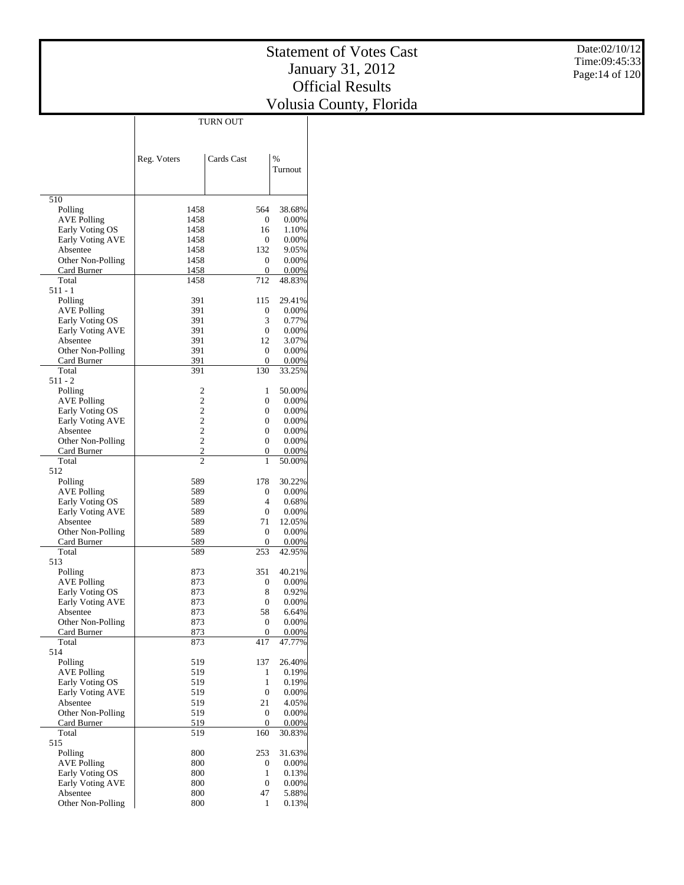|                               |                | TURN OUT         |                |
|-------------------------------|----------------|------------------|----------------|
|                               |                |                  |                |
|                               |                |                  |                |
|                               |                |                  | %              |
|                               | Reg. Voters    | Cards Cast       | Turnout        |
|                               |                |                  |                |
|                               |                |                  |                |
| 510                           |                |                  |                |
| Polling                       | 1458           | 564              | 38.68%         |
| <b>AVE Polling</b>            | 1458           | 0                | 0.00%          |
| Early Voting OS               | 1458           | 16               | 1.10%          |
| Early Voting AVE              | 1458           | $\mathbf{0}$     | 0.00%          |
| Absentee                      | 1458           | 132              | 9.05%          |
| Other Non-Polling             | 1458           | 0                | 0.00%          |
| Card Burner                   | 1458           | 0                | 0.00%          |
| Total                         | 1458           | 712              | 48.83%         |
| 511 - 1                       |                |                  |                |
| Polling                       | 391            | 115              | 29.41%         |
| <b>AVE Polling</b>            | 391            | 0                | $0.00\%$       |
| Early Voting OS               | 391            | 3                | 0.77%          |
| Early Voting AVE              | 391            | $\mathbf{0}$     | $0.00\%$       |
| Absentee                      | 391            | 12               | 3.07%          |
| Other Non-Polling             | 391            | $\mathbf{0}$     | 0.00%          |
| Card Burner                   | 391<br>391     | 0                | 0.00%          |
| Total<br>$511 - 2$            |                | 130              | 33.25%         |
| Polling                       | 2              | 1                | 50.00%         |
| <b>AVE Polling</b>            | $\overline{c}$ | 0                | 0.00%          |
| Early Voting OS               | $\overline{c}$ | 0                | 0.00%          |
| Early Voting AVE              | $\overline{c}$ | 0                | 0.00%          |
| Absentee                      | $\overline{c}$ | 0                | 0.00%          |
| Other Non-Polling             | $\overline{c}$ | 0                | 0.00%          |
| Card Burner                   | $\overline{2}$ | 0                | 0.00%          |
| Total                         | $\overline{c}$ | 1                | 50.00%         |
| 512                           |                |                  |                |
| Polling                       | 589            | 178              | 30.22%         |
| <b>AVE Polling</b>            | 589            | 0                | 0.00%          |
| Early Voting OS               | 589            | 4                | 0.68%          |
| Early Voting AVE              | 589            | 0                | $0.00\%$       |
| Absentee                      | 589            | 71               | 12.05%         |
| Other Non-Polling             | 589            | 0                | 0.00%          |
| Card Burner                   | 589            | 0                | 0.00%          |
| Total                         | 589            | 253              | 42.95%         |
| 513                           |                |                  |                |
| Polling                       | 873            | 351              | 40.21%         |
| AVE Polling                   | 873            | 0                | 0.00%          |
| Early Voting OS               | 873            | 8                | 0.92%          |
| Early Voting AVE              | 873<br>873     | 0                | 0.00%          |
| Absentee<br>Other Non-Polling | 873            | 58<br>0          | 6.64%<br>0.00% |
| Card Burner                   | 873            | 0                | 0.00%          |
| Total                         | 873            | 417              | 47.77%         |
| 514                           |                |                  |                |
| Polling                       | 519            | 137              | 26.40%         |
| <b>AVE Polling</b>            | 519            | 1                | 0.19%          |
| Early Voting OS               | 519            | 1                | 0.19%          |
| Early Voting AVE              | 519            | 0                | 0.00%          |
| Absentee                      | 519            | 21               | 4.05%          |
| Other Non-Polling             | 519            | 0                | 0.00%          |
| Card Burner                   | 519            | 0                | 0.00%          |
| Total                         | 519            | 160              | 30.83%         |
| 515                           |                |                  |                |
| Polling                       | 800            | 253              | 31.63%         |
| <b>AVE Polling</b>            | 800            | $\boldsymbol{0}$ | 0.00%          |
| Early Voting OS               | 800            | 1                | 0.13%          |
| Early Voting AVE              | 800            | $\mathbf{0}$     | 0.00%          |
| Absentee                      | 800            | 47               | 5.88%          |
| Other Non-Polling             | 800            | 1                | 0.13%          |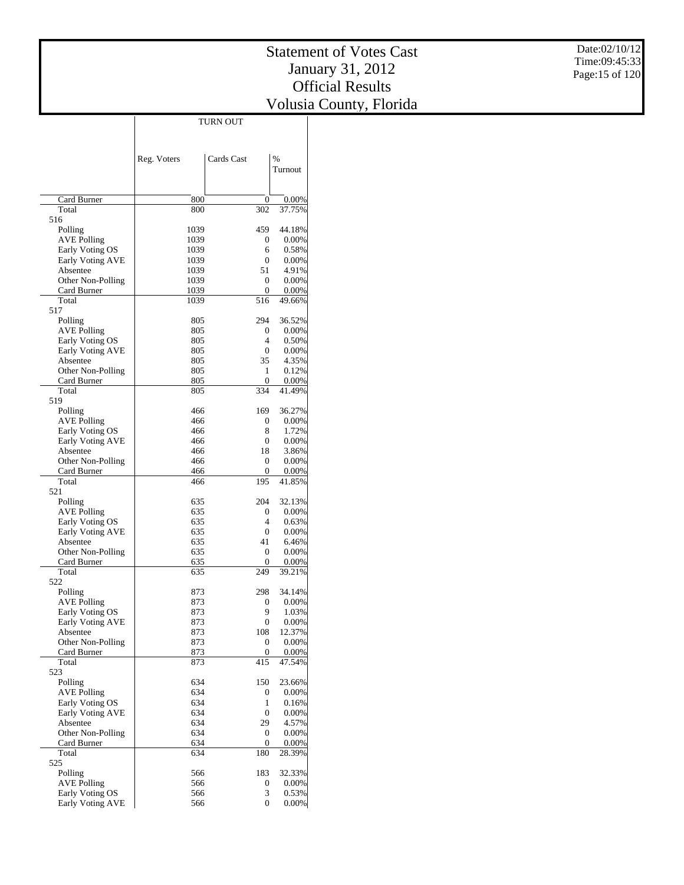|                                       |              | <b>TURN OUT</b>         |                 |
|---------------------------------------|--------------|-------------------------|-----------------|
|                                       |              |                         |                 |
|                                       |              |                         |                 |
|                                       | Reg. Voters  | Cards Cast              | $\frac{0}{0}$   |
|                                       |              |                         | Turnout         |
|                                       |              |                         |                 |
|                                       |              |                         |                 |
| Card Burner                           | 800          | 0                       | 0.00%           |
| Total                                 | 800          | 302                     | 37.75%          |
| 516                                   |              |                         |                 |
| Polling                               | 1039         | 459                     | 44.18%          |
| <b>AVE Polling</b>                    | 1039         | 0                       | 0.00%           |
| Early Voting OS                       | 1039         | 6                       | 0.58%           |
| Early Voting AVE                      | 1039         | 0                       | 0.00%           |
| Absentee                              | 1039         | 51                      | 4.91%           |
| Other Non-Polling                     | 1039         | 0                       | 0.00%           |
| Card Burner<br>Total                  | 1039<br>1039 | 0<br>516                | 0.00%<br>49.66% |
| 517                                   |              |                         |                 |
| Polling                               | 805          | 294                     | 36.52%          |
| <b>AVE Polling</b>                    | 805          | 0                       | $0.00\%$        |
| Early Voting OS                       | 805          | 4                       | 0.50%           |
| Early Voting AVE                      | 805          | 0                       | 0.00%           |
| Absentee                              | 805          | 35                      | 4.35%           |
| Other Non-Polling                     | 805          | 1                       | 0.12%           |
| Card Burner                           | 805          | 0                       | 0.00%           |
| Total                                 | 805          | 334                     | 41.49%          |
| 519                                   |              |                         |                 |
| Polling                               | 466          | 169                     | 36.27%          |
| AVE Polling                           | 466          | 0                       | $0.00\%$        |
| Early Voting OS                       | 466          | 8                       | 1.72%           |
| Early Voting AVE                      | 466          | 0                       | $0.00\%$        |
| Absentee                              | 466          | 18                      | 3.86%           |
| Other Non-Polling                     | 466          | 0                       | 0.00%           |
| Card Burner<br>Total                  | 466<br>466   | 0<br>195                | 0.00%<br>41.85% |
| 521                                   |              |                         |                 |
| Polling                               | 635          | 204                     | 32.13%          |
| <b>AVE Polling</b>                    | 635          | 0                       | $0.00\%$        |
| Early Voting OS                       | 635          | 4                       | 0.63%           |
| Early Voting AVE                      | 635          | 0                       | 0.00%           |
| Absentee                              | 635          | 41                      | 6.46%           |
| Other Non-Polling                     | 635          | 0                       | 0.00%           |
| Card Burner                           | 635          | 0                       | 0.00%           |
| Total                                 | 635          | 249                     | 39.21%          |
| 522                                   |              |                         |                 |
| Polling                               | 873          | 298                     | 34.14%          |
| <b>AVE Polling</b>                    | 873          | 0                       | 0.00%           |
| Early Voting OS<br>Early Voting AVE   | 873          | 9                       | 1.03%           |
| Absentee                              | 873<br>873   | $\boldsymbol{0}$<br>108 | 0.00%<br>12.37% |
| Other Non-Polling                     | 873          | 0                       | 0.00%           |
| Card Burner                           | 873          | 0                       | 0.00%           |
| Total                                 | 873          | 415                     | 47.54%          |
| 523                                   |              |                         |                 |
| Polling                               | 634          | 150                     | 23.66%          |
| <b>AVE Polling</b>                    | 634          | 0                       | 0.00%           |
| Early Voting OS                       | 634          | 1                       | 0.16%           |
| Early Voting AVE                      | 634          | 0                       | 0.00%           |
| Absentee                              | 634          | 29                      | 4.57%           |
| Other Non-Polling                     | 634          | 0                       | 0.00%           |
| Card Burner                           | 634          | $\boldsymbol{0}$        | 0.00%           |
| Total                                 | 634          | 180                     | 28.39%          |
| 525                                   |              |                         |                 |
| Polling                               | 566          | 183                     | 32.33%          |
| <b>AVE Polling</b><br>Early Voting OS | 566<br>566   | 0<br>3                  | 0.00%<br>0.53%  |
| <b>Early Voting AVE</b>               | 566          | 0                       | 0.00%           |
|                                       |              |                         |                 |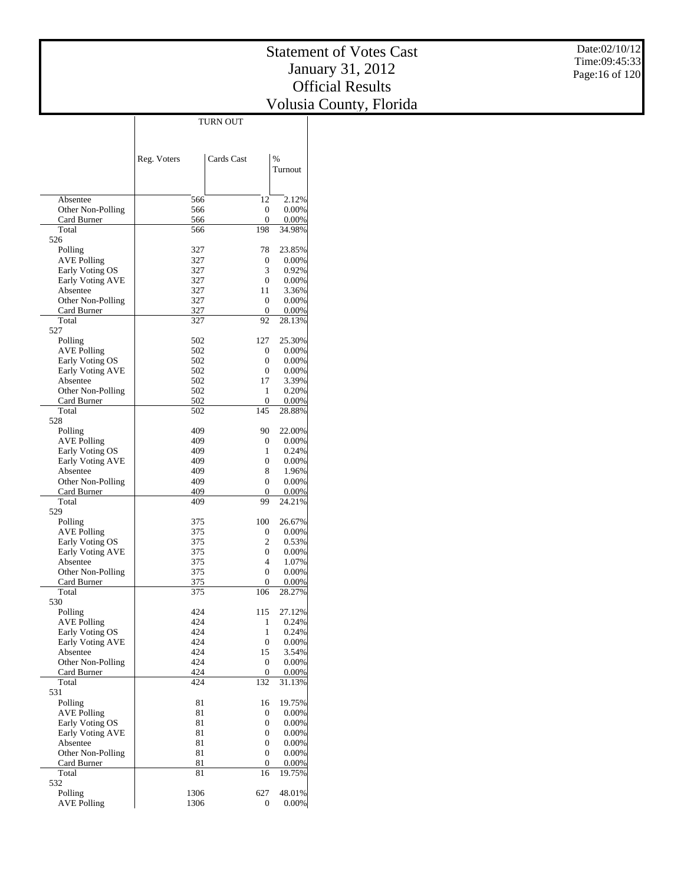|                                  |              | TURN OUT         |                 |
|----------------------------------|--------------|------------------|-----------------|
|                                  |              |                  |                 |
|                                  |              |                  |                 |
|                                  | Reg. Voters  | Cards Cast       | %               |
|                                  |              |                  | Turnout         |
|                                  |              |                  |                 |
|                                  |              |                  |                 |
| Absentee                         | 566          | 12               | 2.12%           |
| Other Non-Polling                | 566          | 0                | 0.00%           |
| Card Burner                      | 566          | 0                | 0.00%           |
| Total<br>526                     | 566          | 198              | 34.98%          |
| Polling                          | 327          | 78               | 23.85%          |
| <b>AVE Polling</b>               | 327          | 0                | 0.00%           |
| Early Voting OS                  | 327          | 3                | 0.92%           |
| Early Voting AVE                 | 327          | $\mathbf{0}$     | 0.00%           |
| Absentee                         | 327          | 11               | 3.36%           |
| Other Non-Polling                | 327          | $\mathbf{0}$     | 0.00%           |
| Card Burner                      | 327          | $\boldsymbol{0}$ | 0.00%           |
| Total                            | 327          | 92               | 28.13%          |
| 527                              |              |                  |                 |
| Polling<br><b>AVE Polling</b>    | 502<br>502   | 127<br>0         | 25.30%<br>0.00% |
| Early Voting OS                  | 502          | 0                | 0.00%           |
| Early Voting AVE                 | 502          | 0                | 0.00%           |
| Absentee                         | 502          | 17               | 3.39%           |
| Other Non-Polling                | 502          | 1                | 0.20%           |
| Card Burner                      | 502          | $\mathbf{0}$     | 0.00%           |
| Total                            | 502          | 145              | 28.88%          |
| 528                              |              |                  |                 |
| Polling                          | 409          | 90               | 22.00%          |
| <b>AVE Polling</b>               | 409          | 0                | 0.00%           |
| Early Voting OS                  | 409          | 1                | 0.24%           |
| Early Voting AVE<br>Absentee     | 409<br>409   | 0<br>8           | 0.00%<br>1.96%  |
| Other Non-Polling                | 409          | 0                | 0.00%           |
| Card Burner                      | 409          | 0                | 0.00%           |
| Total                            | 409          | 99               | 24.21%          |
| 529                              |              |                  |                 |
| Polling                          | 375          | 100              | 26.67%          |
| <b>AVE Polling</b>               | 375          | 0                | 0.00%           |
| Early Voting OS                  | 375          | 2                | 0.53%           |
| Early Voting AVE                 | 375          | 0                | 0.00%           |
| Absentee                         | 375          | 4                | 1.07%           |
| Other Non-Polling<br>Card Burner | 375<br>375   | 0<br>0           | 0.00%<br>0.00%  |
| Total                            | 375          | 106              | 28.27%          |
| 530                              |              |                  |                 |
| Polling                          | 424          | 115              | 27.12%          |
| <b>AVE Polling</b>               | 424          | 1                | 0.24%           |
| Early Voting OS                  | 424          | 1                | 0.24%           |
| Early Voting AVE                 | 424          | 0                | 0.00%           |
| Absentee                         | 424          | 15               | 3.54%           |
| Other Non-Polling                | 424          | $\mathbf{0}$     | 0.00%           |
| Card Burner                      | 424<br>424   | 0<br>132         | 0.00%           |
| Total<br>531                     |              |                  | 31.13%          |
| Polling                          | 81           | 16               | 19.75%          |
| <b>AVE Polling</b>               | 81           | 0                | 0.00%           |
| Early Voting OS                  | 81           | 0                | 0.00%           |
| <b>Early Voting AVE</b>          | 81           | 0                | 0.00%           |
| Absentee                         | 81           | 0                | 0.00%           |
| Other Non-Polling                | 81           | 0                | 0.00%           |
| Card Burner                      | 81           | 0                | 0.00%           |
| Total                            | 81           | 16               | 19.75%          |
| 532                              |              |                  |                 |
| Polling<br><b>AVE Polling</b>    | 1306<br>1306 | 627<br>0         | 48.01%<br>0.00% |
|                                  |              |                  |                 |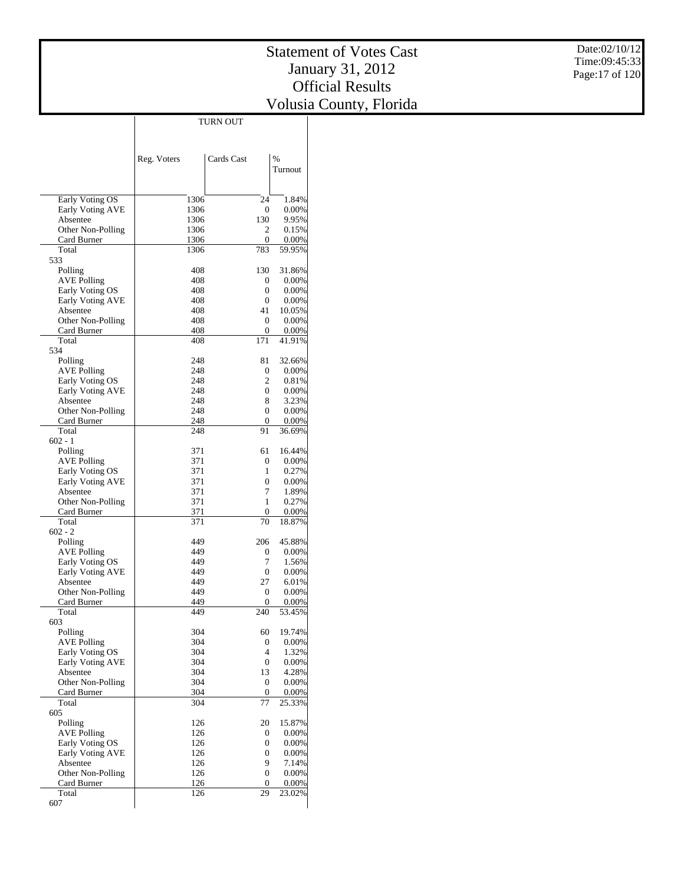Date:02/10/12 Time:09:45:33 Page:17 of 120

|                                |             | <b>TURN OUT</b>       |                    |
|--------------------------------|-------------|-----------------------|--------------------|
|                                |             |                       |                    |
|                                |             |                       |                    |
|                                | Reg. Voters | Cards Cast            | $\frac{0}{0}$      |
|                                |             |                       | Turnout            |
|                                |             |                       |                    |
|                                |             |                       |                    |
| Early Voting OS                | 1306        | 24                    | 1.84%              |
| Early Voting AVE               | 1306        | 0                     | $0.00\%$           |
| Absentee                       | 1306        | 130                   | 9.95%              |
| Other Non-Polling              | 1306        | 2                     | 0.15%              |
| Card Burner                    | 1306        | 0                     | 0.00%              |
| Total                          | 1306        | 783                   | 59.95%             |
| 533                            |             | 130                   |                    |
| Polling                        | 408<br>408  | 0                     | 31.86%<br>$0.00\%$ |
| AVE Polling<br>Early Voting OS | 408         | 0                     | $0.00\%$           |
| Early Voting AVE               | 408         | 0                     | $0.00\%$           |
| Absentee                       | 408         | 41                    | 10.05%             |
| Other Non-Polling              | 408         | 0                     | $0.00\%$           |
| Card Burner                    | 408         | 0                     | 0.00%              |
| Total                          | 408         | 171                   | 41.91%             |
| 534                            |             |                       |                    |
| Polling                        | 248         | 81                    | 32.66%             |
| <b>AVE Polling</b>             | 248         | 0                     | $0.00\%$           |
| Early Voting OS                | 248         | 2                     | 0.81%              |
| Early Voting AVE               | 248         | $\mathbf{0}$          | $0.00\%$           |
| Absentee                       | 248         | 8                     | 3.23%              |
| Other Non-Polling              | 248         | $\mathbf{0}$          | 0.00%              |
| Card Burner                    | 248         | 0                     | 0.00%              |
| Total                          | 248         | 91                    | 36.69%             |
| $602 - 1$<br>Polling           | 371         | 61                    | 16.44%             |
| AVE Polling                    | 371         | 0                     | $0.00\%$           |
| Early Voting OS                | 371         | 1                     | 0.27%              |
| Early Voting AVE               | 371         | $\overline{0}$        | $0.00\%$           |
| Absentee                       | 371         | 7                     | 1.89%              |
| Other Non-Polling              | 371         | 1                     | 0.27%              |
| Card Burner                    | 371         | 0                     | 0.00%              |
| Total                          | 371         | 70                    | 18.87%             |
| $602 - 2$                      |             |                       |                    |
| Polling                        | 449         | 206                   | 45.88%             |
| <b>AVE Polling</b>             | 449         | 0                     | 0.00%              |
| Early Voting OS                | 449         | 7                     | 1.56%              |
| Early Voting AVE               | 449         | 0                     | 0.00%              |
| Absentee                       | 449         | 27                    | 6.01%              |
| Other Non-Polling              | 449<br>449  | 0<br>0                | 0.00%              |
| Card Burner<br>Total           | 449         | 240                   | 0.00%<br>53.45%    |
| 603                            |             |                       |                    |
| Polling                        | 304         | 60                    | 19.74%             |
| <b>AVE Polling</b>             | 304         | 0                     | 0.00%              |
| Early Voting OS                | 304         | $\overline{4}$        | 1.32%              |
| <b>Early Voting AVE</b>        | 304         | $\mathbf{0}$          | 0.00%              |
| Absentee                       | 304         | 13                    | 4.28%              |
| Other Non-Polling              | 304         | $\boldsymbol{0}$      | 0.00%              |
| Card Burner                    | 304         | 0                     | 0.00%              |
| Total                          | 304         | 77                    | 25.33%             |
| 605                            |             |                       |                    |
| Polling                        | 126         | 20                    | 15.87%             |
| <b>AVE Polling</b>             | 126         | 0                     | 0.00%              |
| Early Voting OS                | 126<br>126  | 0<br>$\boldsymbol{0}$ | 0.00%              |
| Early Voting AVE<br>Absentee   | 126         | 9                     | 0.00%<br>7.14%     |
| Other Non-Polling              | 126         | $\boldsymbol{0}$      | 0.00%              |
| Card Burner                    | 126         | $\mathbf{0}$          | 0.00%              |
| Total                          | 126         | 29                    | 23.02%             |
| 607                            |             |                       |                    |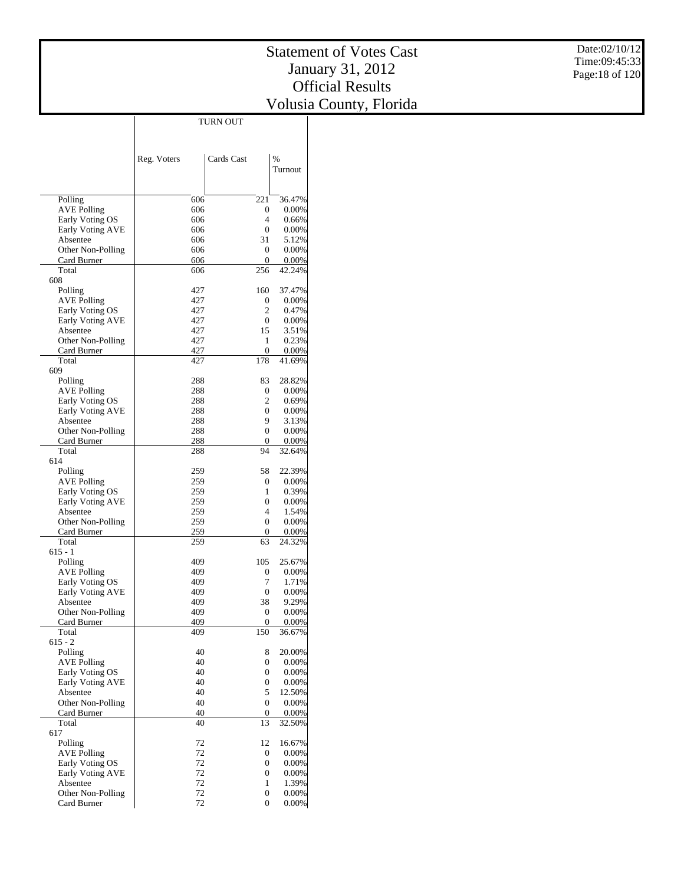|                                     | <b>TURN OUT</b> |                        |                   |
|-------------------------------------|-----------------|------------------------|-------------------|
|                                     |                 |                        |                   |
|                                     |                 |                        |                   |
|                                     | Reg. Voters     | Cards Cast             | $\frac{0}{0}$     |
|                                     |                 |                        | Turnout           |
|                                     |                 |                        |                   |
|                                     |                 |                        |                   |
| Polling                             | 606             | 221                    | 36.47%            |
| <b>AVE Polling</b>                  | 606             | 0                      | $0.00\%$          |
| Early Voting OS                     | 606             | 4                      | 0.66%             |
| Early Voting AVE                    | 606             | $\mathbf{0}$           | $0.00\%$          |
| Absentee                            | 606             | 31                     | 5.12%             |
| Other Non-Polling                   | 606             | 0                      | 0.00%             |
| Card Burner                         | 606             | 0                      | 0.00%             |
| Total                               | 606             | 256                    | 42.24%            |
| 608                                 |                 |                        |                   |
| Polling                             | 427<br>427      | 160                    | 37.47%            |
| AVE Polling<br>Early Voting OS      | 427             | 0<br>2                 | $0.00\%$<br>0.47% |
| Early Voting AVE                    | 427             | $\mathbf{0}$           | $0.00\%$          |
| Absentee                            | 427             | 15                     | 3.51%             |
| Other Non-Polling                   | 427             | 1                      | 0.23%             |
| Card Burner                         | 427             | 0                      | 0.00%             |
| Total                               | 427             | 178                    | 41.69%            |
| 609                                 |                 |                        |                   |
| Polling                             | 288             | 83                     | 28.82%            |
| <b>AVE Polling</b>                  | 288             | 0                      | $0.00\%$          |
| Early Voting OS                     | 288             | 2                      | 0.69%             |
| Early Voting AVE                    | 288             | $\boldsymbol{0}$       | $0.00\%$          |
| Absentee                            | 288             | 9                      | 3.13%             |
| Other Non-Polling                   | 288             | $\boldsymbol{0}$       | 0.00%             |
| Card Burner<br>Total                | 288<br>288      | 0<br>94                | 0.00%<br>32.64%   |
| 614                                 |                 |                        |                   |
| Polling                             | 259             | 58                     | 22.39%            |
| AVE Polling                         | 259             | 0                      | $0.00\%$          |
| Early Voting OS                     | 259             | 1                      | 0.39%             |
| Early Voting AVE                    | 259             | $\boldsymbol{0}$       | 0.00%             |
| Absentee                            | 259             | 4                      | 1.54%             |
| Other Non-Polling                   | 259             | $\boldsymbol{0}$       | 0.00%             |
| Card Burner                         | 259             | 0                      | 0.00%             |
| Total                               | 259             | 63                     | 24.32%            |
| 615 - 1                             |                 |                        |                   |
| Polling                             | 409             | 105                    | 25.67%            |
| <b>AVE Polling</b>                  | 409<br>409      | 0<br>7                 | 0.00%<br>1.71%    |
| Early Voting OS<br>Early Voting AVE | 409             | $\mathbf{0}$           | 0.00%             |
| Absentee                            | 409             | 38                     | 9.29%             |
| Other Non-Polling                   | 409             | 0                      | 0.00%             |
| Card Burner                         | 409             | 0                      | 0.00%             |
| Total                               | 409             | 150                    | 36.67%            |
| $615 - 2$                           |                 |                        |                   |
| Polling                             | 40              | 8                      | 20.00%            |
| <b>AVE Polling</b>                  | 40              | $\boldsymbol{0}$       | 0.00%             |
| Early Voting OS                     | 40              | $\boldsymbol{0}$       | 0.00%             |
| Early Voting AVE                    | 40              | $\boldsymbol{0}$       | 0.00%             |
| Absentee                            | 40              | 5                      | 12.50%            |
| Other Non-Polling                   | 40<br>40        | $\boldsymbol{0}$       | 0.00%             |
| Card Burner<br>Total                | 40              | $\boldsymbol{0}$<br>13 | 0.00%<br>32.50%   |
| 617                                 |                 |                        |                   |
| Polling                             | 72              | 12                     | 16.67%            |
| <b>AVE Polling</b>                  | 72              | 0                      | 0.00%             |
| Early Voting OS                     | 72              | $\boldsymbol{0}$       | 0.00%             |
| Early Voting AVE                    | 72              | $\boldsymbol{0}$       | 0.00%             |
| Absentee                            | 72              | 1                      | 1.39%             |
| Other Non-Polling                   | 72              | $\boldsymbol{0}$       | $0.00\%$          |
| Card Burner                         | 72              | 0                      | 0.00%             |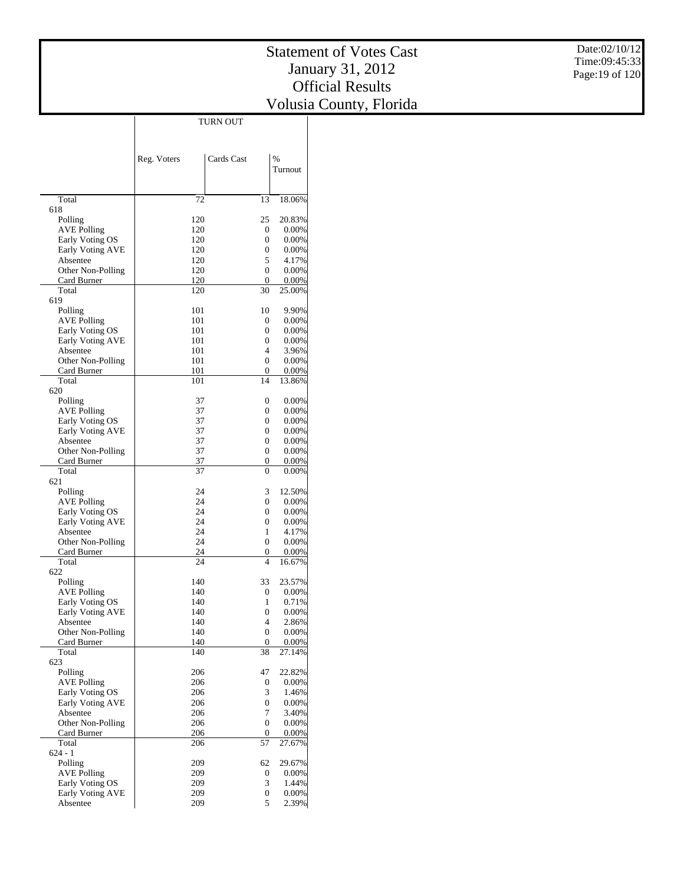|                                       |             | TURN OUT          |                   |
|---------------------------------------|-------------|-------------------|-------------------|
|                                       |             |                   |                   |
|                                       |             |                   |                   |
|                                       | Reg. Voters | Cards Cast        | %                 |
|                                       |             |                   | Turnout           |
|                                       |             |                   |                   |
|                                       |             |                   |                   |
| Total                                 | 72          | 13                | 18.06%            |
| 618                                   |             |                   |                   |
| Polling                               | 120         | 25                | 20.83%            |
| <b>AVE Polling</b>                    | 120         | 0                 | 0.00%             |
| Early Voting OS                       | 120         | $\mathbf{0}$      | 0.00%             |
| Early Voting AVE<br>Absentee          | 120<br>120  | $\mathbf{0}$<br>5 | 0.00%<br>4.17%    |
| Other Non-Polling                     | 120         | $\mathbf{0}$      | 0.00%             |
| Card Burner                           | 120         | $\mathbf{0}$      | 0.00%             |
| Total                                 | 120         | 30                | 25.00%            |
| 619                                   |             |                   |                   |
| Polling                               | 101         | 10                | 9.90%             |
| <b>AVE Polling</b>                    | 101         | $\mathbf{0}$      | 0.00%             |
| Early Voting OS                       | 101         | $\mathbf{0}$      | 0.00%             |
| Early Voting AVE                      | 101         | $\mathbf{0}$      | 0.00%             |
| Absentee                              | 101         | 4<br>$\mathbf{0}$ | 3.96%<br>0.00%    |
| Other Non-Polling<br>Card Burner      | 101<br>101  | 0                 | 0.00%             |
| Total                                 | 101         | 14                | 13.86%            |
| 620                                   |             |                   |                   |
| Polling                               | 37          | $\boldsymbol{0}$  | 0.00%             |
| <b>AVE Polling</b>                    | 37          | $\mathbf{0}$      | 0.00%             |
| Early Voting OS                       | 37          | $\mathbf{0}$      | 0.00%             |
| Early Voting AVE                      | 37          | $\mathbf{0}$      | 0.00%             |
| Absentee                              | 37          | $\mathbf{0}$      | 0.00%             |
| Other Non-Polling                     | 37          | $\mathbf{0}$      | 0.00%             |
| Card Burner                           | 37          | 0                 | 0.00%             |
| Total<br>621                          | 37          | 0                 | 0.00%             |
| Polling                               | 24          | 3                 | 12.50%            |
| AVE Polling                           | 24          | $\mathbf{0}$      | 0.00%             |
| Early Voting OS                       | 24          | $\mathbf{0}$      | 0.00%             |
| Early Voting AVE                      | 24          | $\mathbf{0}$      | 0.00%             |
| Absentee                              | 24          | $\mathbf{1}$      | 4.17%             |
| Other Non-Polling                     | 24          | $\mathbf{0}$      | 0.00%             |
| Card Burner                           | 24          | 0                 | 0.00%             |
| Total                                 | 24          | 4                 | 16.67%            |
| 622                                   | 140         | 33                | 23.57%            |
| Polling<br><b>AVE Polling</b>         | 140         | $\boldsymbol{0}$  | 0.00%             |
| Early Voting OS                       | 140         | 1                 | 0.71%             |
| Early Voting AVE                      | 140         | $\overline{0}$    | 0.00%             |
| Absentee                              | 140         | 4                 | 2.86%             |
| Other Non-Polling                     | 140         | $\boldsymbol{0}$  | 0.00%             |
| Card Burner                           | 140         | $\boldsymbol{0}$  | 0.00%             |
| Total                                 | 140         | 38                | 27.14%            |
| 623                                   |             |                   |                   |
| Polling                               | 206         | 47                | 22.82%<br>0.00%   |
| <b>AVE Polling</b><br>Early Voting OS | 206<br>206  | 0<br>3            | 1.46%             |
| Early Voting AVE                      | 206         | $\overline{0}$    | 0.00%             |
| Absentee                              | 206         | 7                 | 3.40%             |
| Other Non-Polling                     | 206         | $\overline{0}$    | 0.00%             |
| Card Burner                           | 206         | 0                 | 0.00%             |
| Total                                 | 206         | 57                | 27.67%            |
| $624 - 1$                             |             |                   |                   |
| Polling                               | 209         | 62                | 29.67%            |
| <b>AVE Polling</b>                    | 209         | 0                 | 0.00%             |
| Early Voting OS                       | 209         | 3                 | 1.44%             |
| Early Voting AVE<br>Absentee          | 209<br>209  | 0<br>5            | $0.00\%$<br>2.39% |
|                                       |             |                   |                   |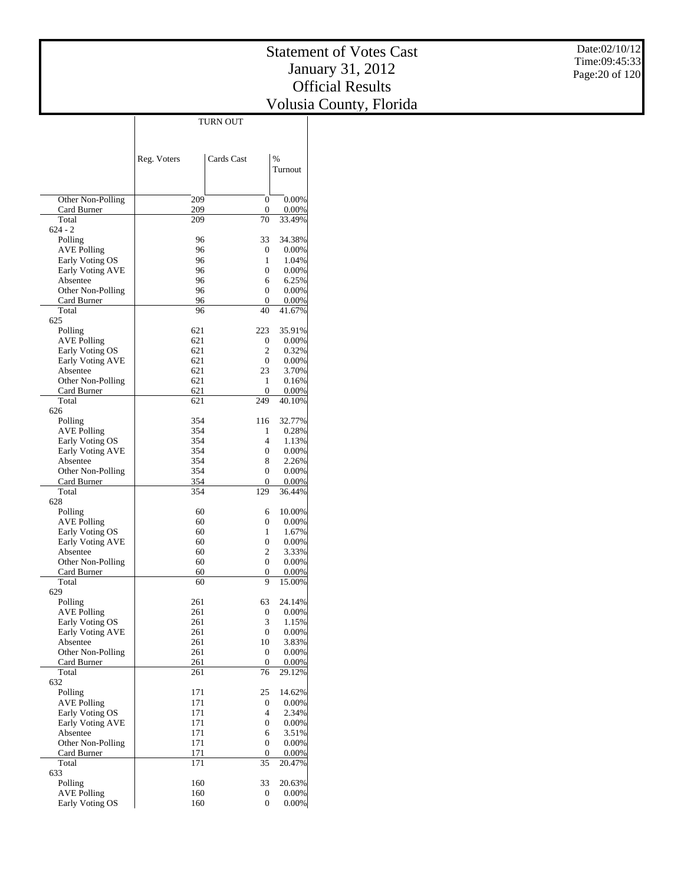|                                     | <b>TURN OUT</b> |                       |                   |
|-------------------------------------|-----------------|-----------------------|-------------------|
|                                     |                 |                       |                   |
|                                     |                 |                       |                   |
|                                     | Reg. Voters     | Cards Cast            | $\frac{0}{0}$     |
|                                     |                 |                       | Turnout           |
|                                     |                 |                       |                   |
|                                     |                 |                       |                   |
| Other Non-Polling<br>Card Burner    | 209<br>209      | 0<br>$\mathbf{0}$     | 0.00%<br>0.00%    |
| Total                               | 209             | 70                    | 33.49%            |
| $624 - 2$                           |                 |                       |                   |
| Polling                             | 96              | 33                    | 34.38%            |
| AVE Polling                         | 96              | 0                     | $0.00\%$          |
| Early Voting OS                     | 96              | 1                     | 1.04%             |
| Early Voting AVE                    | 96              | 0                     | $0.00\%$          |
| Absentee                            | 96              | 6                     | 6.25%             |
| Other Non-Polling                   | 96              | 0                     | $0.00\%$          |
| Card Burner<br>Total                | 96<br>96        | 0<br>40               | 0.00%<br>41.67%   |
| 625                                 |                 |                       |                   |
| Polling                             | 621             | 223                   | 35.91%            |
| AVE Polling                         | 621             | 0                     | 0.00%             |
| Early Voting OS                     | 621             | $\overline{2}$        | 0.32%             |
| Early Voting AVE                    | 621             | 0                     | 0.00%             |
| Absentee                            | 621             | 23                    | 3.70%             |
| Other Non-Polling                   | 621             | 1                     | 0.16%             |
| Card Burner                         | 621             | 0                     | 0.00%             |
| Total                               | 621             | 249                   | 40.10%            |
| 626<br>Polling                      | 354             | 116                   | 32.77%            |
| <b>AVE Polling</b>                  | 354             | 1                     | 0.28%             |
| Early Voting OS                     | 354             | 4                     | 1.13%             |
| Early Voting AVE                    | 354             | 0                     | $0.00\%$          |
| Absentee                            | 354             | 8                     | 2.26%             |
| Other Non-Polling                   | 354             | 0                     | $0.00\%$          |
| Card Burner                         | 354             | 0                     | 0.00%             |
| Total                               | 354             | 129                   | 36.44%            |
| 628                                 |                 |                       |                   |
| Polling                             | 60              | 6                     | 10.00%            |
| AVE Polling<br>Early Voting OS      | 60<br>60        | 0<br>1                | $0.00\%$<br>1.67% |
| Early Voting AVE                    | 60              | 0                     | $0.00\%$          |
| Absentee                            | 60              | 2                     | 3.33%             |
| Other Non-Polling                   | 60              | 0                     | $0.00\%$          |
| Card Burner                         | 60              | 0                     | 0.00%             |
| Total                               | 60              | 9                     | 15.00%            |
| 629                                 |                 |                       |                   |
| Polling                             | 261             | 63                    | 24.14%            |
| AVE Polling                         | 261             | 0                     | 0.00%             |
| Early Voting OS<br>Early Voting AVE | 261             | 3<br>0                | 1.15%             |
| Absentee                            | 261<br>261      | 10                    | 0.00%<br>3.83%    |
| Other Non-Polling                   | 261             | 0                     | 0.00%             |
| Card Burner                         | 261             | $\overline{0}$        | 0.00%             |
| Total                               | 261             | 76                    | 29.12%            |
| 632                                 |                 |                       |                   |
| Polling                             | 171             | 25                    | 14.62%            |
| <b>AVE Polling</b>                  | 171             | 0                     | 0.00%             |
| Early Voting OS                     | 171             | $\overline{4}$        | 2.34%             |
| <b>Early Voting AVE</b>             | 171             | $\boldsymbol{0}$      | 0.00%             |
| Absentee<br>Other Non-Polling       | 171<br>171      | 6<br>$\boldsymbol{0}$ | 3.51%<br>0.00%    |
| Card Burner                         | 171             | 0                     | 0.00%             |
| Total                               | 171             | 35                    | 20.47%            |
| 633                                 |                 |                       |                   |
| Polling                             | 160             | 33                    | 20.63%            |
| <b>AVE Polling</b>                  | 160             | 0                     | $0.00\%$          |
| Early Voting OS                     | 160             | 0                     | $0.00\%$          |

TURN OUT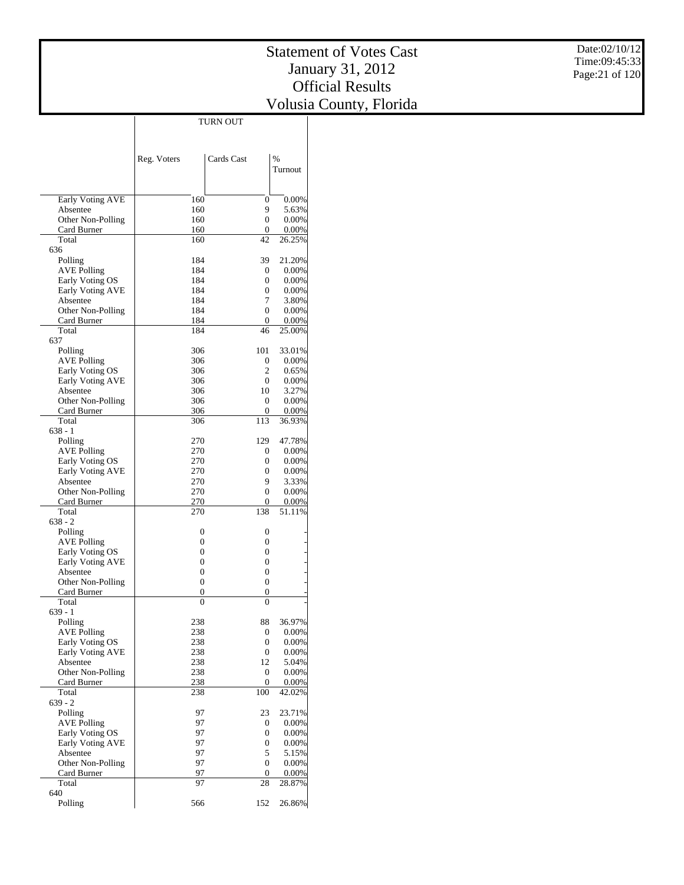|                                       | TURN OUT       |                        |                 |
|---------------------------------------|----------------|------------------------|-----------------|
|                                       |                |                        |                 |
|                                       |                |                        |                 |
|                                       | Reg. Voters    | Cards Cast             | %               |
|                                       |                |                        | Turnout         |
|                                       |                |                        |                 |
|                                       |                |                        |                 |
| Early Voting AVE<br>Absentee          | 160<br>160     | 0<br>9                 | 0.00%<br>5.63%  |
| Other Non-Polling                     | 160            | 0                      | 0.00%           |
| Card Burner                           | 160            | 0                      | 0.00%           |
| Total                                 | 160            | 42                     | 26.25%          |
| 636                                   |                |                        |                 |
| Polling                               | 184            | 39                     | 21.20%          |
| <b>AVE Polling</b><br>Early Voting OS | 184<br>184     | 0<br>0                 | 0.00%<br>0.00%  |
| Early Voting AVE                      | 184            | 0                      | 0.00%           |
| Absentee                              | 184            | 7                      | 3.80%           |
| Other Non-Polling                     | 184            | 0                      | 0.00%           |
| Card Burner                           | 184            | $\mathbf{0}$           | 0.00%           |
| Total                                 | 184            | 46                     | 25.00%          |
| 637<br>Polling                        | 306            | 101                    | 33.01%          |
| <b>AVE Polling</b>                    | 306            | 0                      | 0.00%           |
| Early Voting OS                       | 306            | 2                      | 0.65%           |
| Early Voting AVE                      | 306            | $\mathbf{0}$           | 0.00%           |
| Absentee                              | 306            | 10                     | 3.27%           |
| Other Non-Polling                     | 306            | 0                      | 0.00%           |
| Card Burner                           | 306            | 0                      | 0.00%           |
| Total<br>$638 - 1$                    | 306            | 113                    | 36.93%          |
| Polling                               | 270            | 129                    | 47.78%          |
| <b>AVE Polling</b>                    | 270            | 0                      | 0.00%           |
| Early Voting OS                       | 270            | 0                      | 0.00%           |
| Early Voting AVE                      | 270            | 0                      | 0.00%           |
| Absentee                              | 270            | 9                      | 3.33%           |
| Other Non-Polling                     | 270            | 0                      | 0.00%           |
| Card Burner<br>Total                  | 270<br>270     | 0<br>138               | 0.00%<br>51.11% |
| $638 - 2$                             |                |                        |                 |
| Polling                               | 0              | 0                      |                 |
| <b>AVE Polling</b>                    | 0              | 0                      |                 |
| Early Voting OS                       | $\overline{0}$ | 0                      |                 |
| Early Voting AVE                      | $\overline{0}$ | 0                      |                 |
| Absentee                              | $\overline{0}$ | 0                      |                 |
| Other Non-Polling<br>Card Burner      | 0<br>0         | 0<br>0                 |                 |
| Total                                 | 0              | 0                      |                 |
| $639 - 1$                             |                |                        |                 |
| Polling                               | 238            | 88                     | 36.97%          |
| <b>AVE Polling</b>                    | 238            | 0                      | 0.00%           |
| Early Voting OS                       | 238            | 0                      | 0.00%           |
| <b>Early Voting AVE</b>               | 238            | 0                      | 0.00%           |
| Absentee<br>Other Non-Polling         | 238<br>238     | 12<br>$\boldsymbol{0}$ | 5.04%<br>0.00%  |
| Card Burner                           | 238            | $\boldsymbol{0}$       | 0.00%           |
| Total                                 | 238            | 100                    | 42.02%          |
| $639 - 2$                             |                |                        |                 |
| Polling                               | 97             | 23                     | 23.71%          |
| <b>AVE Polling</b>                    | 97             | 0                      | 0.00%           |
| Early Voting OS                       | 97             | 0                      | 0.00%           |
| Early Voting AVE<br>Absentee          | 97<br>97       | 0<br>5                 | 0.00%<br>5.15%  |
| Other Non-Polling                     | 97             | 0                      | 0.00%           |
| Card Burner                           | 97             | 0                      | 0.00%           |
| Total                                 | 97             | 28                     | 28.87%          |
| 640                                   |                |                        |                 |
| Polling                               | 566            | 152                    | 26.86%          |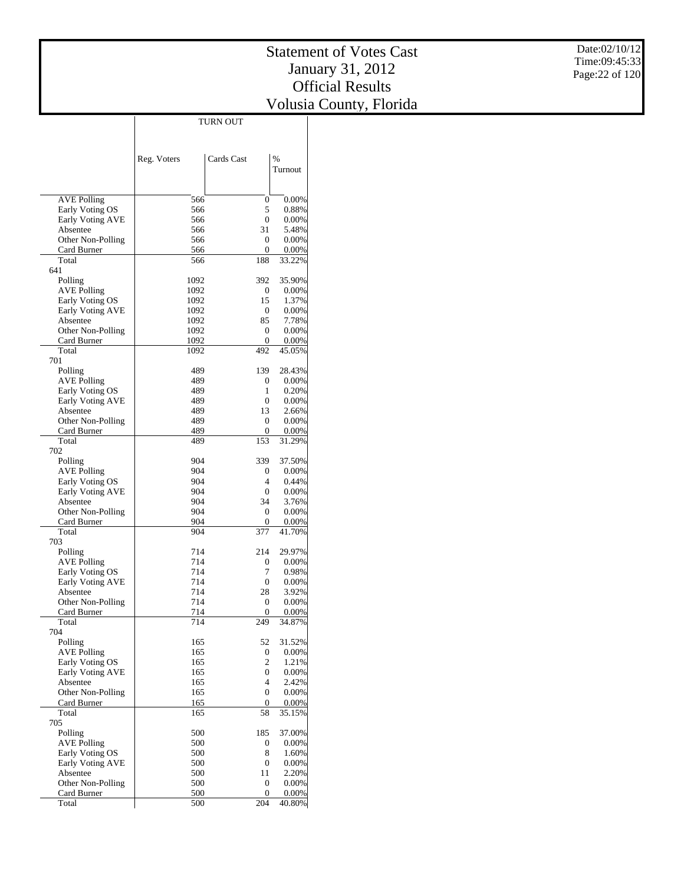|                               | <b>TURN OUT</b> |                        |                   |
|-------------------------------|-----------------|------------------------|-------------------|
|                               |                 |                        |                   |
|                               |                 |                        |                   |
|                               | Reg. Voters     | Cards Cast             | $\frac{0}{0}$     |
|                               |                 |                        | Turnout           |
|                               |                 |                        |                   |
|                               |                 |                        |                   |
| AVE Polling                   | 566             | 0                      | 0.00%             |
| Early Voting OS               | 566             | 5                      | 0.88%             |
| <b>Early Voting AVE</b>       | 566             | $\overline{0}$         | $0.00\%$          |
| Absentee                      | 566             | 31                     | 5.48%             |
| Other Non-Polling             | 566             | 0<br>0                 | $0.00\%$          |
| Card Burner<br>Total          | 566<br>566      | 188                    | 0.00%<br>33.22%   |
| 641                           |                 |                        |                   |
| Polling                       | 1092            | 392                    | 35.90%            |
| <b>AVE Polling</b>            | 1092            | 0                      | $0.00\%$          |
| Early Voting OS               | 1092            | 15                     | 1.37%             |
| Early Voting AVE              | 1092            | 0                      | 0.00%             |
| Absentee                      | 1092            | 85                     | 7.78%             |
| Other Non-Polling             | 1092            | 0                      | 0.00%             |
| Card Burner                   | 1092            | 0                      | 0.00%             |
| Total                         | 1092            | 492                    | 45.05%            |
| 701                           |                 | 139                    |                   |
| Polling<br>AVE Polling        | 489<br>489      | 0                      | 28.43%<br>0.00%   |
| Early Voting OS               | 489             | 1                      | 0.20%             |
| Early Voting AVE              | 489             | $\overline{0}$         | $0.00\%$          |
| Absentee                      | 489             | 13                     | 2.66%             |
| Other Non-Polling             | 489             | $\boldsymbol{0}$       | 0.00%             |
| Card Burner                   | 489             | 0                      | 0.00%             |
| Total                         | 489             | 153                    | 31.29%            |
| 702                           |                 |                        |                   |
| Polling                       | 904             | 339                    | 37.50%            |
| <b>AVE Polling</b>            | 904             | 0                      | $0.00\%$          |
| Early Voting OS               | 904             | 4                      | 0.44%             |
| Early Voting AVE              | 904             | 0<br>34                | $0.00\%$          |
| Absentee<br>Other Non-Polling | 904<br>904      | 0                      | 3.76%<br>$0.00\%$ |
| Card Burner                   | 904             | 0                      | 0.00%             |
| Total                         | 904             | 377                    | 41.70%            |
| 703                           |                 |                        |                   |
| Polling                       | 714             | 214                    | 29.97%            |
| AVE Polling                   | 714             | 0                      | 0.00%             |
| Early Voting OS               | 714             | 7                      | 0.98%             |
| Early Voting AVE              | 714             | $\boldsymbol{0}$       | 0.00%             |
| Absentee                      | 714             | 28                     | 3.92%             |
| Other Non-Polling             | 714             | 0                      | 0.00%             |
| Card Burner                   | 714             | 0                      | 0.00%             |
| Total<br>704                  | 714             | 249                    | 34.87%            |
| Polling                       | 165             | 52                     | 31.52%            |
| <b>AVE Polling</b>            | 165             | 0                      | 0.00%             |
| Early Voting OS               | 165             | 2                      | 1.21%             |
| <b>Early Voting AVE</b>       | 165             | 0                      | 0.00%             |
| Absentee                      | 165             | $\overline{4}$         | 2.42%             |
| Other Non-Polling             | 165             | $\boldsymbol{0}$       | 0.00%             |
| Card Burner                   | 165             | $\mathbf{0}$           | 0.00%             |
| Total                         | 165             | 58                     | 35.15%            |
| 705                           |                 |                        |                   |
| Polling                       | 500             | 185                    | 37.00%            |
| <b>AVE Polling</b>            | 500             | 0                      | 0.00%             |
| Early Voting OS               | 500             | 8                      | 1.60%             |
| Early Voting AVE<br>Absentee  | 500<br>500      | $\boldsymbol{0}$<br>11 | 0.00%<br>2.20%    |
| Other Non-Polling             | 500             | $\boldsymbol{0}$       | 0.00%             |
| Card Burner                   | 500             | 0                      | $0.00\%$          |
| Total                         | 500             | 204                    | 40.80%            |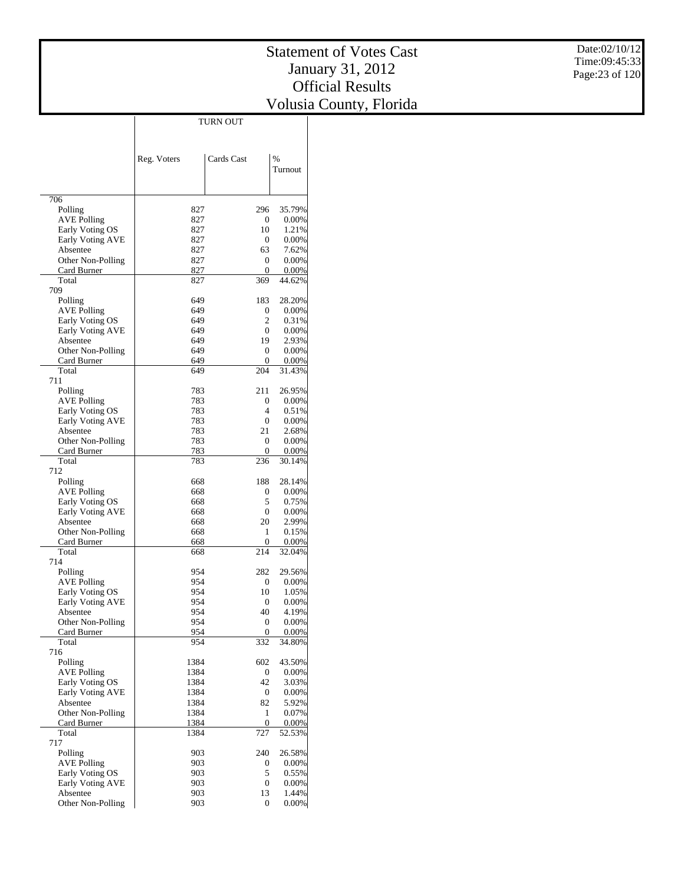Date:02/10/12

|                         | TURN OUT    |              |              |
|-------------------------|-------------|--------------|--------------|
|                         |             |              |              |
|                         |             |              |              |
|                         |             |              |              |
|                         | Reg. Voters | Cards Cast   | %<br>Turnout |
|                         |             |              |              |
|                         |             |              |              |
| 706                     |             |              |              |
| Polling                 | 827         | 296          | 35.79%       |
| <b>AVE Polling</b>      | 827         | 0            | 0.00%        |
| Early Voting OS         | 827         | 10           | 1.21%        |
| Early Voting AVE        | 827         | $\mathbf{0}$ | 0.00%        |
| Absentee                | 827         | 63           | 7.62%        |
| Other Non-Polling       | 827         | 0            | 0.00%        |
| Card Burner             | 827         | 0            | 0.00%        |
| Total                   | 827         | 369          | 44.62%       |
| 709                     |             |              |              |
| Polling                 | 649         | 183          | 28.20%       |
| <b>AVE Polling</b>      | 649         | 0            | $0.00\%$     |
| Early Voting OS         | 649         | 2            | 0.31%        |
| Early Voting AVE        | 649         | $\mathbf{0}$ | 0.00%        |
| Absentee                | 649         | 19           | 2.93%        |
| Other Non-Polling       | 649         | 0            | 0.00%        |
| Card Burner             | 649         | 0            | 0.00%        |
| Total                   | 649         | 204          | 31.43%       |
| 711                     |             |              |              |
| Polling                 | 783         | 211          | 26.95%       |
| <b>AVE Polling</b>      | 783         | $\mathbf{0}$ | 0.00%        |
| Early Voting OS         | 783         | 4            | 0.51%        |
| Early Voting AVE        | 783         | 0            | 0.00%        |
| Absentee                | 783         | 21           | 2.68%        |
| Other Non-Polling       | 783         | 0            | 0.00%        |
| Card Burner             | 783         | 0            | 0.00%        |
| Total                   | 783         | 236          | 30.14%       |
| 712                     |             |              |              |
| Polling                 | 668         | 188          | 28.14%       |
| <b>AVE Polling</b>      | 668         | 0            | 0.00%        |
| Early Voting OS         | 668         | 5            | 0.75%        |
| Early Voting AVE        | 668         | 0            | $0.00\%$     |
| Absentee                | 668         | 20           | 2.99%        |
| Other Non-Polling       | 668         | 1            | 0.15%        |
| Card Burner             | 668         | $\mathbf{0}$ | 0.00%        |
| Total                   | 668         | 214          | 32.04%       |
| 714                     |             |              |              |
| Polling                 | 954         | 282          | 29.56%       |
| AVE Polling             | 954         | 0            | 0.00%        |
| Early Voting OS         | 954         | 10           | 1.05%        |
| Early Voting AVE        | 954         | 0            | 0.00%        |
| Absentee                | 954         | 40           | 4.19%        |
| Other Non-Polling       | 954         | 0            | 0.00%        |
| Card Burner             | 954         | 0            | 0.00%        |
| Total                   | 954         | 332          | 34.80%       |
| 716                     |             |              |              |
| Polling                 | 1384        | 602          | 43.50%       |
| <b>AVE Polling</b>      | 1384        | 0            | 0.00%        |
| Early Voting OS         | 1384        | 42           | 3.03%        |
| <b>Early Voting AVE</b> | 1384        | 0            | 0.00%        |
| Absentee                | 1384        | 82           | 5.92%        |
| Other Non-Polling       | 1384        | 1            | 0.07%        |
| Card Burner             | 1384        | $\mathbf{0}$ | 0.00%        |
| Total                   | 1384        | 727          | 52.53%       |
| 717                     |             |              |              |
| Polling                 | 903         | 240          | 26.58%       |
| <b>AVE Polling</b>      | 903         | 0            | 0.00%        |
| Early Voting OS         | 903         | 5            | 0.55%        |
| Early Voting AVE        | 903         | 0            | 0.00%        |
| Absentee                | 903         | 13           | 1.44%        |
| Other Non-Polling       | 903         | $\mathbf{0}$ | 0.00%        |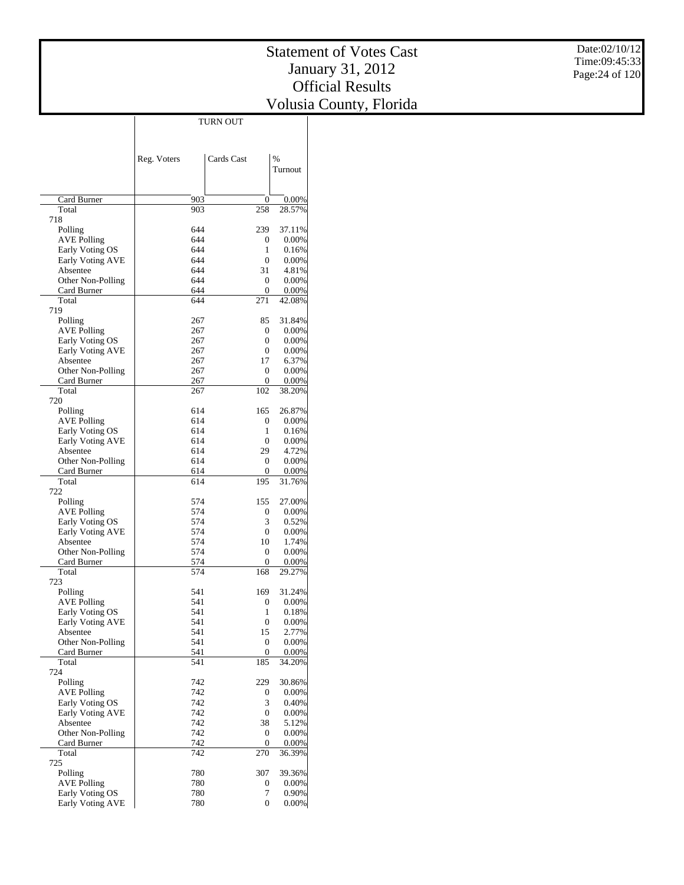$\mathbb{R}$ 

|                                       |             | <b>TURN OUT</b> |                      |
|---------------------------------------|-------------|-----------------|----------------------|
|                                       |             |                 |                      |
|                                       |             |                 |                      |
|                                       | Reg. Voters | Cards Cast      | $\frac{0}{0}$        |
|                                       |             |                 | Turnout              |
|                                       |             |                 |                      |
|                                       |             |                 |                      |
| Card Burner                           | 903         | 0               | 0.00%                |
| Total<br>718                          | 903         | 258             | 28.57%               |
| Polling                               | 644         | 239             | 37.11%               |
| <b>AVE Polling</b>                    | 644         | 0               | $0.00\%$             |
| Early Voting OS                       | 644         | 1               | 0.16%                |
| Early Voting AVE                      | 644         | 0               | $0.00\%$             |
| Absentee                              | 644         | 31              | 4.81%                |
| Other Non-Polling                     | 644         | 0               | $0.00\%$             |
| Card Burner                           | 644         | 0               | 0.00%                |
| Total                                 | 644         | 271             | 42.08%               |
| 719                                   |             |                 |                      |
| Polling                               | 267         | 85              | 31.84%               |
| <b>AVE Polling</b><br>Early Voting OS | 267<br>267  | 0<br>0          | $0.00\%$<br>$0.00\%$ |
| Early Voting AVE                      | 267         | 0               | 0.00%                |
| Absentee                              | 267         | 17              | 6.37%                |
| Other Non-Polling                     | 267         | 0               | $0.00\%$             |
| Card Burner                           | 267         | 0               | $0.00\%$             |
| Total                                 | 267         | 102             | 38.20%               |
| 720                                   |             |                 |                      |
| Polling                               | 614         | 165             | 26.87%               |
| <b>AVE Polling</b>                    | 614         | 0               | $0.00\%$             |
| Early Voting OS                       | 614         | 1               | 0.16%                |
| Early Voting AVE                      | 614         | 0               | $0.00\%$             |
| Absentee                              | 614         | 29              | 4.72%                |
| Other Non-Polling                     | 614         | 0<br>0          | $0.00\%$             |
| Card Burner<br>Total                  | 614<br>614  | 195             | 0.00%<br>31.76%      |
| 722                                   |             |                 |                      |
| Polling                               | 574         | 155             | 27.00%               |
| <b>AVE Polling</b>                    | 574         | 0               | $0.00\%$             |
| Early Voting OS                       | 574         | 3               | 0.52%                |
| Early Voting AVE                      | 574         | 0               | $0.00\%$             |
| Absentee                              | 574         | 10              | 1.74%                |
| Other Non-Polling                     | 574         | 0               | 0.00%                |
| Card Burner                           | 574         | 0               | 0.00%                |
| Total                                 | 574         | 168             | 29.27%               |
| 723                                   |             |                 |                      |
| Polling                               | 541         | 169             | 31.24%<br>$0.00\%$   |
| AVE Polling<br>Early Voting OS        | 541<br>541  | 0<br>1          | 0.18%                |
| Early Voting AVE                      | 541         | 0               | $0.00\%$             |
| Absentee                              | 541         | 15              | 2.77%                |
| Other Non-Polling                     | 541         | 0               | 0.00%                |
| Card Burner                           | 541         | 0               | 0.00%                |
| Total                                 | 541         | 185             | 34.20%               |
| 724                                   |             |                 |                      |
| Polling                               | 742         | 229             | 30.86%               |
| <b>AVE Polling</b>                    | 742         | 0               | 0.00%                |
| Early Voting OS                       | 742         | 3               | 0.40%                |
| Early Voting AVE                      | 742         | 0               | 0.00%                |
| Absentee                              | 742         | 38              | 5.12%                |
| Other Non-Polling                     | 742         | 0               | 0.00%                |
| Card Burner<br>Total                  | 742<br>742  | 0<br>270        | 0.00%<br>36.39%      |
| 725                                   |             |                 |                      |
| Polling                               | 780         | 307             | 39.36%               |
| <b>AVE Polling</b>                    | 780         | 0               | $0.00\%$             |
| Early Voting OS                       | 780         | 7               | $0.90\%$             |
| Early Voting AVE                      | 780         | $\overline{0}$  | $0.00\%$             |

TURN OUT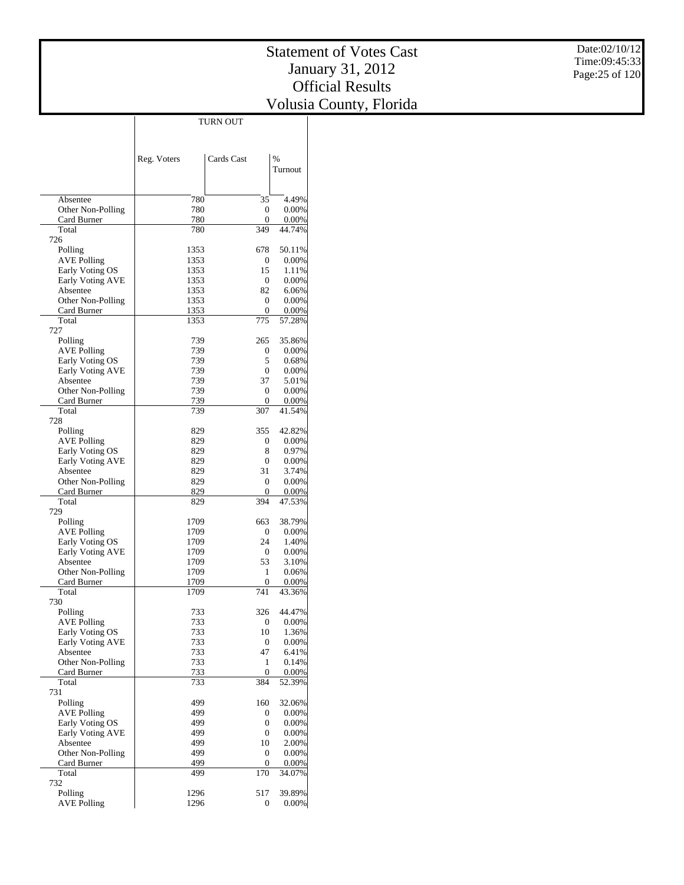|                         |              | <b>TURN OUT</b>  |                 |
|-------------------------|--------------|------------------|-----------------|
|                         |              |                  |                 |
|                         |              |                  |                 |
|                         | Reg. Voters  | Cards Cast       | $\frac{0}{0}$   |
|                         |              |                  | Turnout         |
|                         |              |                  |                 |
|                         |              |                  |                 |
| Absentee                | 780          | 35               | 4.49%           |
| Other Non-Polling       | 780          | 0                | $0.00\%$        |
| Card Burner             | 780          | 0                | 0.00%           |
| Total                   | 780          | 349              | 44.74%          |
| 726                     |              |                  |                 |
| Polling                 | 1353         | 678              | 50.11%          |
| <b>AVE Polling</b>      | 1353         | 0                | $0.00\%$        |
| Early Voting OS         | 1353         | 15               | 1.11%           |
| Early Voting AVE        | 1353         | 0                | $0.00\%$        |
| Absentee                | 1353         | 82               | 6.06%           |
| Other Non-Polling       | 1353         | 0<br>0           | 0.00%           |
| Card Burner<br>Total    | 1353<br>1353 | 775              | 0.00%<br>57.28% |
| 727                     |              |                  |                 |
| Polling                 | 739          | 265              | 35.86%          |
| <b>AVE Polling</b>      | 739          | 0                | $0.00\%$        |
| Early Voting OS         | 739          | 5                | 0.68%           |
| Early Voting AVE        | 739          | 0                | $0.00\%$        |
| Absentee                | 739          | 37               | 5.01%           |
| Other Non-Polling       | 739          | 0                | $0.00\%$        |
| Card Burner             | 739          | 0                | 0.00%           |
| Total                   | 739          | 307              | 41.54%          |
| 728                     |              |                  |                 |
| Polling                 | 829          | 355              | 42.82%          |
| AVE Polling             | 829          | 0                | $0.00\%$        |
| Early Voting OS         | 829          | 8                | 0.97%           |
| <b>Early Voting AVE</b> | 829          | 0                | $0.00\%$        |
| Absentee                | 829          | 31               | 3.74%           |
| Other Non-Polling       | 829          | 0                | $0.00\%$        |
| Card Burner             | 829          | 0                | 0.00%           |
| Total<br>729            | 829          | 394              | 47.53%          |
| Polling                 | 1709         | 663              | 38.79%          |
| <b>AVE Polling</b>      | 1709         | 0                | $0.00\%$        |
| Early Voting OS         | 1709         | 24               | 1.40%           |
| <b>Early Voting AVE</b> | 1709         | 0                | $0.00\%$        |
| Absentee                | 1709         | 53               | 3.10%           |
| Other Non-Polling       | 1709         | 1                | 0.06%           |
| Card Burner             | 1709         | 0                | 0.00%           |
| Total                   | 1709         | 741              | 43.36%          |
| 730                     |              |                  |                 |
| Polling                 | 733          | 326              | 44.47%          |
| <b>AVE Polling</b>      | 733          | $\boldsymbol{0}$ | 0.00%           |
| Early Voting OS         | 733          | 10               | 1.36%           |
| Early Voting AVE        | 733          | 0                | 0.00%           |
| Absentee                | 733          | 47               | 6.41%           |
| Other Non-Polling       | 733          | 1                | 0.14%           |
| Card Burner<br>Total    | 733          | 0<br>384         | 0.00%           |
| 731                     | 733          |                  | 52.39%          |
| Polling                 | 499          | 160              | 32.06%          |
| <b>AVE Polling</b>      | 499          | 0                | 0.00%           |
| Early Voting OS         | 499          | 0                | 0.00%           |
| <b>Early Voting AVE</b> | 499          | $\boldsymbol{0}$ | 0.00%           |
| Absentee                | 499          | 10               | 2.00%           |
| Other Non-Polling       | 499          | 0                | 0.00%           |
| Card Burner             | 499          | 0                | 0.00%           |
| Total                   | 499          | 170              | 34.07%          |
| 732                     |              |                  |                 |
| Polling                 | 1296         | 517              | 39.89%          |
| <b>AVE Polling</b>      | 1296         | 0                | 0.00%           |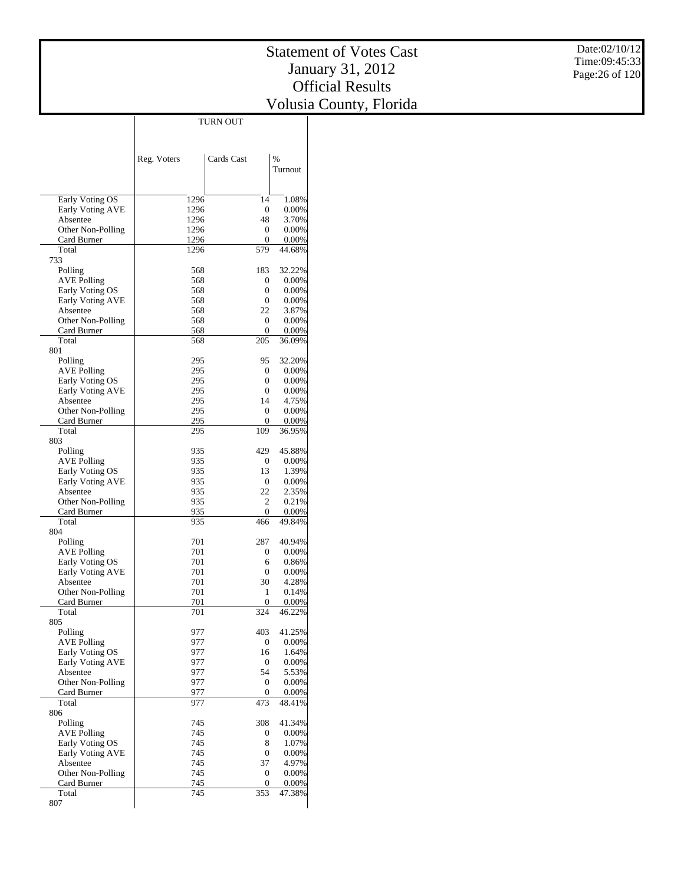|                              |             | TURN OUT         |                 |
|------------------------------|-------------|------------------|-----------------|
|                              |             |                  |                 |
|                              |             |                  |                 |
|                              | Reg. Voters | Cards Cast       | %               |
|                              |             |                  | Turnout         |
|                              |             |                  |                 |
|                              |             |                  |                 |
| Early Voting OS              | 1296        | 14               | 1.08%           |
| Early Voting AVE             | 1296        | 0                | 0.00%           |
| Absentee                     | 1296        | 48               | 3.70%           |
| Other Non-Polling            | 1296        | 0                | 0.00%           |
| Card Burner                  | 1296        | 0                | 0.00%           |
| Total                        | 1296        | 579              | 44.68%          |
| 733                          |             |                  |                 |
| Polling                      | 568         | 183              | 32.22%          |
| <b>AVE Polling</b>           | 568         | 0                | 0.00%           |
| Early Voting OS              | 568         | 0                | $0.00\%$        |
| Early Voting AVE<br>Absentee | 568<br>568  | 0<br>22          | 0.00%<br>3.87%  |
| Other Non-Polling            | 568         | 0                | 0.00%           |
| Card Burner                  | 568         | 0                | 0.00%           |
| Total                        | 568         | 205              | 36.09%          |
| 801                          |             |                  |                 |
| Polling                      | 295         | 95               | 32.20%          |
| <b>AVE Polling</b>           | 295         | 0                | 0.00%           |
| Early Voting OS              | 295         | 0                | 0.00%           |
| Early Voting AVE             | 295         | 0                | $0.00\%$        |
| Absentee                     | 295         | 14               | 4.75%           |
| Other Non-Polling            | 295         | 0                | 0.00%           |
| Card Burner                  | 295         | 0                | 0.00%           |
| Total                        | 295         | 109              | 36.95%          |
| 803                          |             |                  |                 |
| Polling                      | 935         | 429              | 45.88%          |
| <b>AVE Polling</b>           | 935         | 0                | 0.00%           |
| Early Voting OS              | 935         | 13               | 1.39%           |
| Early Voting AVE             | 935         | $\mathbf{0}$     | 0.00%           |
| Absentee                     | 935         | 22               | 2.35%           |
| Other Non-Polling            | 935         | 2<br>0           | 0.21%           |
| Card Burner<br>Total         | 935<br>935  | 466              | 0.00%<br>49.84% |
| 804                          |             |                  |                 |
| Polling                      | 701         | 287              | 40.94%          |
| <b>AVE Polling</b>           | 701         | 0                | $0.00\%$        |
| Early Voting OS              | 701         | 6                | 0.86%           |
| <b>Early Voting AVE</b>      | 701         | 0                | 0.00%           |
| Absentee                     | 701         | 30               | 4.28%           |
| Other Non-Polling            | 701         | 1                | 0.14%           |
| Card Burner                  | 701         | $\boldsymbol{0}$ | 0.00%           |
| Total                        | 701         | 324              | 46.22%          |
| 805                          |             |                  |                 |
| Polling                      | 977         | 403              | 41.25%          |
| <b>AVE Polling</b>           | 977         | 0                | 0.00%           |
| Early Voting OS              | 977         | 16               | 1.64%           |
| <b>Early Voting AVE</b>      | 977         | 0                | 0.00%           |
| Absentee                     | 977         | 54               | 5.53%           |
| Other Non-Polling            | 977         | 0                | 0.00%           |
| Card Burner<br>Total         | 977         | 0                | 0.00%           |
| 806                          | 977         | 473              | 48.41%          |
| Polling                      | 745         | 308              | 41.34%          |
| <b>AVE Polling</b>           | 745         | 0                | 0.00%           |
| Early Voting OS              | 745         | 8                | 1.07%           |
| <b>Early Voting AVE</b>      | 745         | 0                | 0.00%           |
| Absentee                     | 745         | 37               | 4.97%           |
| Other Non-Polling            | 745         | 0                | 0.00%           |
| Card Burner                  | 745         | 0                | 0.00%           |
| Total                        | 745         | 353              | 47.38%          |
| 807                          |             |                  |                 |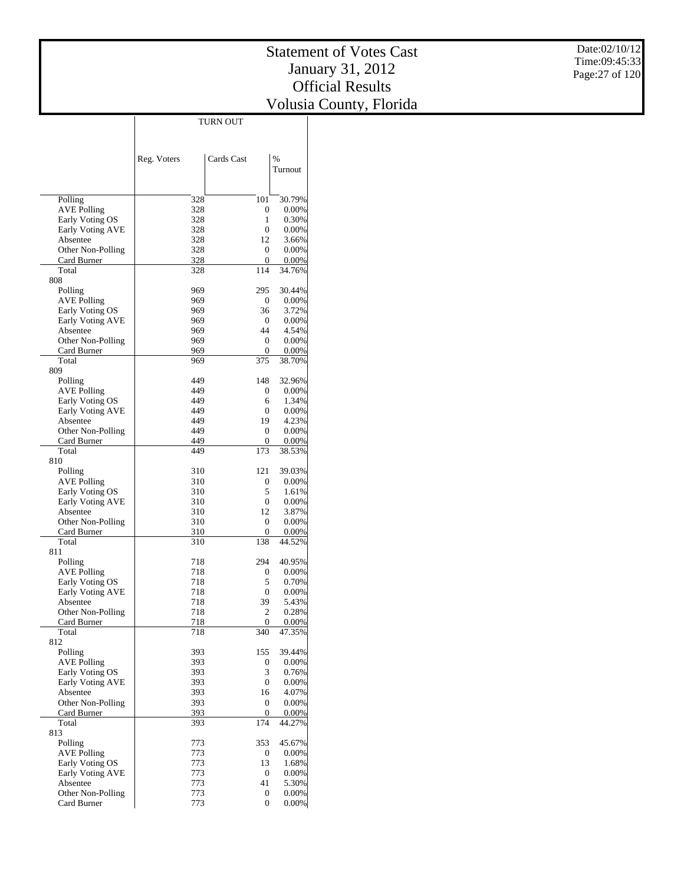|                                     |             | <b>TURN OUT</b>        |                 |
|-------------------------------------|-------------|------------------------|-----------------|
|                                     |             |                        |                 |
|                                     |             |                        |                 |
|                                     | Reg. Voters | Cards Cast             | $\frac{0}{0}$   |
|                                     |             |                        | Turnout         |
|                                     |             |                        |                 |
|                                     |             |                        |                 |
| Polling                             | 328         | 101                    | 30.79%          |
| <b>AVE Polling</b>                  | 328         | 0                      | 0.00%           |
| Early Voting OS                     | 328         | 1                      | 0.30%           |
| <b>Early Voting AVE</b>             | 328         | $\mathbf{0}$           | 0.00%           |
| Absentee                            | 328         | 12                     | 3.66%           |
| Other Non-Polling<br>Card Burner    | 328<br>328  | 0<br>0                 | 0.00%<br>0.00%  |
| Total                               | 328         | 114                    | 34.76%          |
| 808                                 |             |                        |                 |
| Polling                             | 969         | 295                    | 30.44%          |
| AVE Polling                         | 969         | 0                      | 0.00%           |
| Early Voting OS                     | 969         | 36                     | 3.72%           |
| Early Voting AVE                    | 969         | 0                      | 0.00%           |
| Absentee                            | 969         | 44                     | 4.54%           |
| Other Non-Polling                   | 969         | 0                      | 0.00%           |
| Card Burner                         | 969         | 0                      | 0.00%           |
| Total                               | 969         | 375                    | 38.70%          |
| 809                                 |             | 148                    |                 |
| Polling<br><b>AVE Polling</b>       | 449<br>449  | 0                      | 32.96%<br>0.00% |
| Early Voting OS                     | 449         | 6                      | 1.34%           |
| Early Voting AVE                    | 449         | 0                      | 0.00%           |
| Absentee                            | 449         | 19                     | 4.23%           |
| Other Non-Polling                   | 449         | 0                      | 0.00%           |
| Card Burner                         | 449         | 0                      | 0.00%           |
| Total                               | 449         | 173                    | 38.53%          |
| 810                                 |             |                        |                 |
| Polling                             | 310         | 121                    | 39.03%          |
| AVE Polling                         | 310         | 0                      | 0.00%           |
| Early Voting OS                     | 310         | 5                      | 1.61%           |
| Early Voting AVE                    | 310         | $\mathbf{0}$           | 0.00%           |
| Absentee                            | 310<br>310  | 12<br>$\boldsymbol{0}$ | 3.87%<br>0.00%  |
| Other Non-Polling<br>Card Burner    | 310         | 0                      | 0.00%           |
| Total                               | 310         | 138                    | 44.52%          |
| 811                                 |             |                        |                 |
| Polling                             | 718         | 294                    | 40.95%          |
| <b>AVE Polling</b>                  | 718         | 0                      | 0.00%           |
| Early Voting OS                     | 718         | 5                      | 0.70%           |
| Early Voting AVE                    | 718         | 0                      | 0.00%           |
| Absentee                            | 718         | 39                     | 5.43%           |
| Other Non-Polling                   | 718         | 2                      | 0.28%           |
| Card Burner                         | 718         | 0                      | 0.00%           |
| Total<br>812                        | 718         | 340                    | 47.35%          |
| Polling                             | 393         | 155                    | 39.44%          |
| <b>AVE Polling</b>                  | 393         | 0                      | 0.00%           |
| Early Voting OS                     | 393         | 3                      | 0.76%           |
| Early Voting AVE                    | 393         | $\boldsymbol{0}$       | 0.00%           |
| Absentee                            | 393         | 16                     | 4.07%           |
| Other Non-Polling                   | 393         | 0                      | 0.00%           |
| Card Burner                         | 393         | 0                      | 0.00%           |
| Total                               | 393         | 174                    | 44.27%          |
| 813                                 |             |                        |                 |
| Polling                             | 773         | 353                    | 45.67%          |
| <b>AVE Polling</b>                  | 773         | 0                      | 0.00%           |
| Early Voting OS                     | 773<br>773  | 13                     | 1.68%           |
| <b>Early Voting AVE</b><br>Absentee | 773         | 0<br>41                | 0.00%<br>5.30%  |
| Other Non-Polling                   | 773         | 0                      | $0.00\%$        |
| Card Burner                         | 773         | $\mathbf{0}$           | 0.00%           |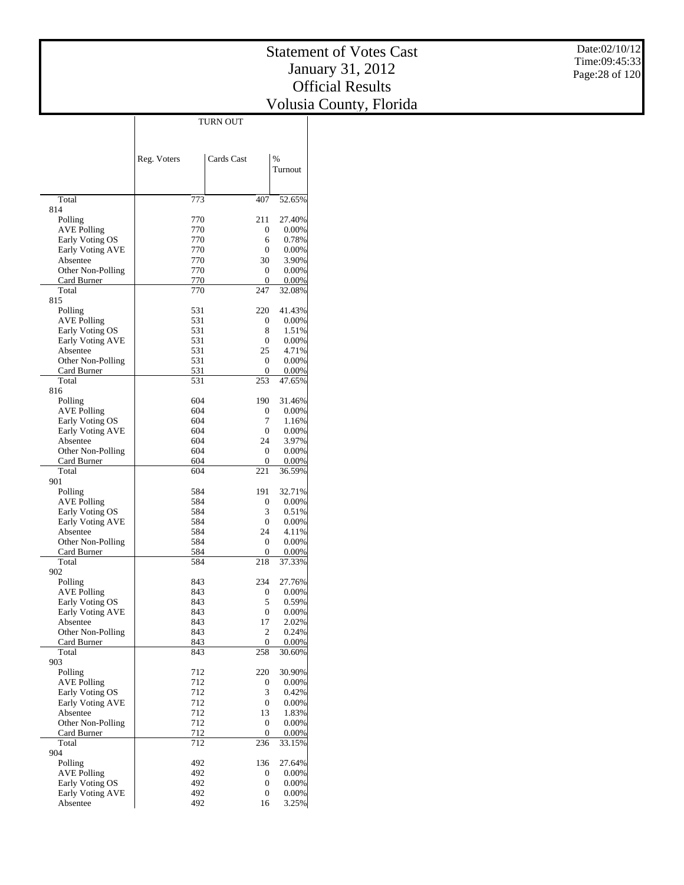|                                            |             | <b>TURN OUT</b>  |                    |
|--------------------------------------------|-------------|------------------|--------------------|
|                                            |             |                  |                    |
|                                            |             |                  |                    |
|                                            | Reg. Voters | Cards Cast       | $\frac{0}{0}$      |
|                                            |             |                  | Turnout            |
|                                            |             |                  |                    |
|                                            |             |                  |                    |
| Total                                      | 773         | 407              | 52.65%             |
| 814                                        |             |                  |                    |
| Polling<br><b>AVE Polling</b>              | 770<br>770  | 211<br>0         | 27.40%<br>$0.00\%$ |
| Early Voting OS                            | 770         | 6                | 0.78%              |
| <b>Early Voting AVE</b>                    | 770         | 0                | 0.00%              |
| Absentee                                   | 770         | 30               | 3.90%              |
| Other Non-Polling                          | 770         | 0                | 0.00%              |
| Card Burner                                | 770         | 0                | 0.00%              |
| Total                                      | 770         | 247              | 32.08%             |
| 815                                        |             |                  |                    |
| Polling                                    | 531         | 220              | 41.43%             |
| AVE Polling                                | 531<br>531  | 0<br>8           | $0.00\%$           |
| Early Voting OS<br><b>Early Voting AVE</b> | 531         | 0                | 1.51%<br>0.00%     |
| Absentee                                   | 531         | 25               | 4.71%              |
| Other Non-Polling                          | 531         | 0                | 0.00%              |
| Card Burner                                | 531         | 0                | 0.00%              |
| Total                                      | 531         | 253              | 47.65%             |
| 816                                        |             |                  |                    |
| Polling                                    | 604         | 190              | 31.46%             |
| <b>AVE Polling</b>                         | 604         | 0                | $0.00\%$           |
| Early Voting OS                            | 604         | 7                | 1.16%              |
| <b>Early Voting AVE</b>                    | 604         | $\mathbf{0}$     | $0.00\%$           |
| Absentee                                   | 604<br>604  | 24<br>0          | 3.97%              |
| Other Non-Polling<br>Card Burner           | 604         | 0                | 0.00%<br>0.00%     |
| Total                                      | 604         | 221              | 36.59%             |
| 901                                        |             |                  |                    |
| Polling                                    | 584         | 191              | 32.71%             |
| AVE Polling                                | 584         | 0                | 0.00%              |
| Early Voting OS                            | 584         | 3                | 0.51%              |
| Early Voting AVE                           | 584         | 0                | 0.00%              |
| Absentee                                   | 584         | 24               | 4.11%              |
| Other Non-Polling                          | 584         | 0                | 0.00%              |
| Card Burner<br>Total                       | 584<br>584  | 0<br>218         | 0.00%<br>37.33%    |
| 902                                        |             |                  |                    |
| Polling                                    | 843         | 234              | 27.76%             |
| <b>AVE Polling</b>                         | 843         | 0                | 0.00%              |
| Early Voting OS                            | 843         | 5                | 0.59%              |
| Early Voting AVE                           | 843         | $\overline{0}$   | 0.00%              |
| Absentee                                   | 843         | 17               | 2.02%              |
| Other Non-Polling                          | 843         | 2                | 0.24%              |
| Card Burner                                | 843         | $\boldsymbol{0}$ | 0.00%              |
| Total                                      | 843         | 258              | 30.60%             |
| 903<br>Polling                             | 712         | 220              | 30.90%             |
| <b>AVE Polling</b>                         | 712         | 0                | 0.00%              |
| Early Voting OS                            | 712         | 3                | 0.42%              |
| <b>Early Voting AVE</b>                    | 712         | $\boldsymbol{0}$ | 0.00%              |
| Absentee                                   | 712         | 13               | 1.83%              |
| Other Non-Polling                          | 712         | $\boldsymbol{0}$ | 0.00%              |
| Card Burner                                | 712         | 0                | 0.00%              |
| Total                                      | 712         | 236              | 33.15%             |
| 904                                        |             |                  |                    |
| Polling                                    | 492         | 136              | 27.64%             |
| <b>AVE Polling</b><br>Early Voting OS      | 492<br>492  | 0<br>0           | 0.00%<br>0.00%     |
| <b>Early Voting AVE</b>                    | 492         | 0                | $0.00\%$           |
| Absentee                                   | 492         | 16               | 3.25%              |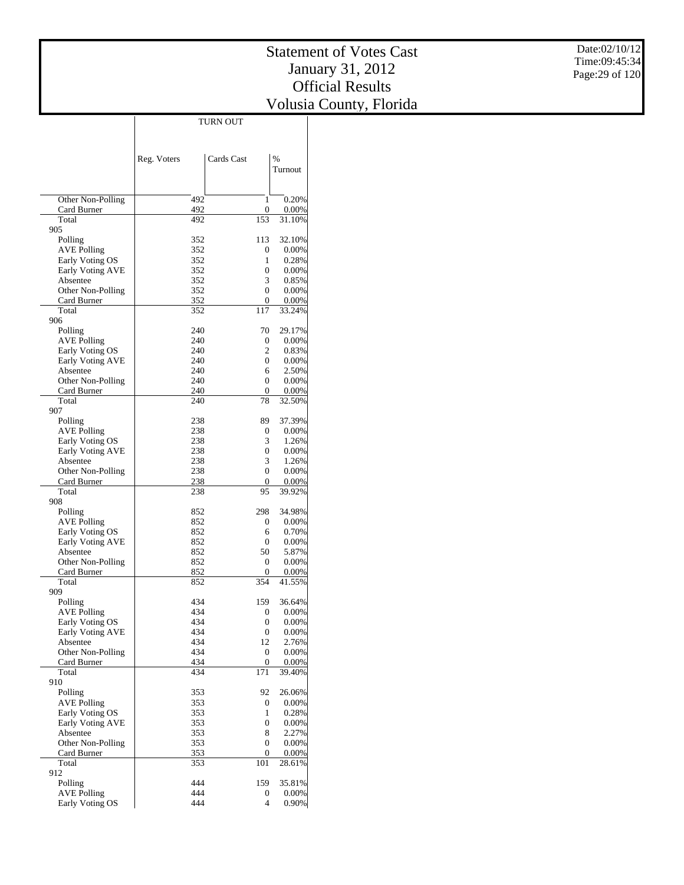|                                  |             | <b>TURN OUT</b>     |                 |
|----------------------------------|-------------|---------------------|-----------------|
|                                  |             |                     |                 |
|                                  |             |                     |                 |
|                                  | Reg. Voters | Cards Cast          | $\frac{0}{0}$   |
|                                  |             |                     | Turnout         |
|                                  |             |                     |                 |
|                                  |             |                     |                 |
| Other Non-Polling                | 492         | 1                   | 0.20%           |
| Card Burner                      | 492         | 0                   | 0.00%           |
| Total                            | 492         | 153                 | 31.10%          |
| 905                              |             |                     |                 |
| Polling                          | 352         | 113                 | 32.10%          |
| <b>AVE Polling</b>               | 352         | 0                   | 0.00%           |
| Early Voting OS                  | 352         | 1                   | 0.28%           |
| <b>Early Voting AVE</b>          | 352         | 0                   | $0.00\%$        |
| Absentee                         | 352         | 3<br>$\overline{0}$ | 0.85%           |
| Other Non-Polling<br>Card Burner | 352<br>352  | 0                   | 0.00%<br>0.00%  |
| Total                            | 352         | 117                 | 33.24%          |
| 906                              |             |                     |                 |
| Polling                          | 240         | 70                  | 29.17%          |
| AVE Polling                      | 240         | 0                   | 0.00%           |
| Early Voting OS                  | 240         | 2                   | 0.83%           |
| Early Voting AVE                 | 240         | 0                   | $0.00\%$        |
| Absentee                         | 240         | 6                   | 2.50%           |
| Other Non-Polling                | 240         | 0                   | 0.00%           |
| Card Burner                      | 240         | 0                   | 0.00%           |
| Total                            | 240         | 78                  | 32.50%          |
| 907                              |             |                     |                 |
| Polling                          | 238         | 89                  | 37.39%          |
| <b>AVE Polling</b>               | 238         | 0                   | $0.00\%$        |
| Early Voting OS                  | 238         | 3                   | 1.26%           |
| Early Voting AVE                 | 238         | $\boldsymbol{0}$    | $0.00\%$        |
| Absentee                         | 238         | 3                   | 1.26%           |
| Other Non-Polling                | 238<br>238  | $\overline{0}$<br>0 | 0.00%           |
| Card Burner<br>Total             | 238         | 95                  | 0.00%<br>39.92% |
| 908                              |             |                     |                 |
| Polling                          | 852         | 298                 | 34.98%          |
| <b>AVE Polling</b>               | 852         | 0                   | 0.00%           |
| Early Voting OS                  | 852         | 6                   | 0.70%           |
| Early Voting AVE                 | 852         | 0                   | 0.00%           |
| Absentee                         | 852         | 50                  | 5.87%           |
| Other Non-Polling                | 852         | 0                   | 0.00%           |
| Card Burner                      | 852         | 0                   | 0.00%           |
| Total                            | 852         | 354                 | 41.55%          |
| 909                              |             |                     |                 |
| Polling                          | 434         | 159                 | 36.64%          |
| <b>AVE Polling</b>               | 434         | 0                   | 0.00%           |
| Early Voting OS                  | 434         | $\boldsymbol{0}$    | 0.00%           |
| Early Voting AVE<br>Absentee     | 434<br>434  | 0<br>12             | 0.00%<br>2.76%  |
| Other Non-Polling                | 434         | 0                   | $0.00\%$        |
| Card Burner                      | 434         | $\boldsymbol{0}$    | 0.00%           |
| Total                            | 434         | 171                 | 39.40%          |
| 910                              |             |                     |                 |
| Polling                          | 353         | 92                  | 26.06%          |
| <b>AVE Polling</b>               | 353         | 0                   | 0.00%           |
| Early Voting OS                  | 353         | 1                   | 0.28%           |
| Early Voting AVE                 | 353         | 0                   | 0.00%           |
| Absentee                         | 353         | 8                   | 2.27%           |
| Other Non-Polling                | 353         | 0                   | 0.00%           |
| Card Burner                      | 353         | 0                   | 0.00%           |
| Total                            | 353         | 101                 | 28.61%          |
| 912                              |             |                     |                 |
| Polling                          | 444         | 159                 | 35.81%          |
| <b>AVE Polling</b>               | 444<br>444  | 0<br>$\overline{4}$ | $0.00\%$        |
| Early Voting OS                  |             |                     | 0.90%           |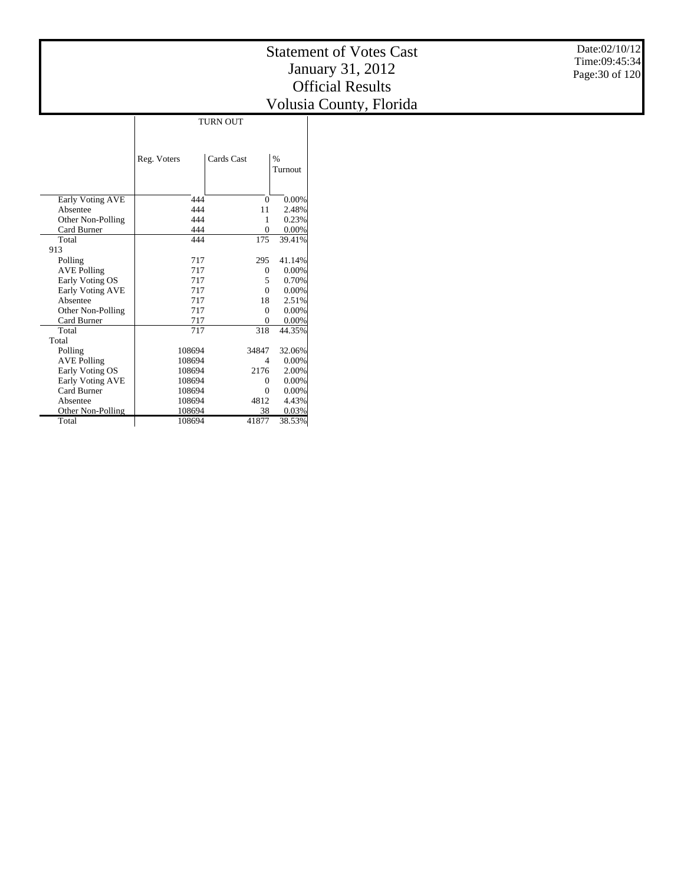|                    |             | <b>TURN OUT</b> |                 |
|--------------------|-------------|-----------------|-----------------|
|                    | Reg. Voters | Cards Cast      | $\%$<br>Turnout |
| Early Voting AVE   | 444         | $\Omega$        | 0.00%           |
| Absentee           | 444         | 11              | 2.48%           |
| Other Non-Polling  | 444         | 1               | 0.23%           |
| Card Burner        | 444         | $\Omega$        | 0.00%           |
| Total              | 444         | 175             | 39.41%          |
| 913                |             |                 |                 |
| Polling            | 717         | 295             | 41.14%          |
| <b>AVE Polling</b> | 717         | $\Omega$        | 0.00%           |
| Early Voting OS    | 717         | 5               | 0.70%           |
| Early Voting AVE   | 717         | $\Omega$        | 0.00%           |
| Absentee           | 717         | 18              | 2.51%           |
| Other Non-Polling  | 717         | $\Omega$        | 0.00%           |
| Card Burner        | 717         | $\Omega$        | 0.00%           |
| Total              | 717         | 318             | 44.35%          |
| Total              |             |                 |                 |
| Polling            | 108694      | 34847           | 32.06%          |
| <b>AVE Polling</b> | 108694      | $\overline{4}$  | 0.00%           |
| Early Voting OS    | 108694      | 2176            | 2.00%           |
| Early Voting AVE   | 108694      | $\Omega$        | 0.00%           |
| Card Burner        | 108694      | $\Omega$        | 0.00%           |
| Absentee           | 108694      | 4812            | 4.43%           |
| Other Non-Polling  | 108694      | 38              | 0.03%           |
| Total              | 108694      | 41877           | 38.53%          |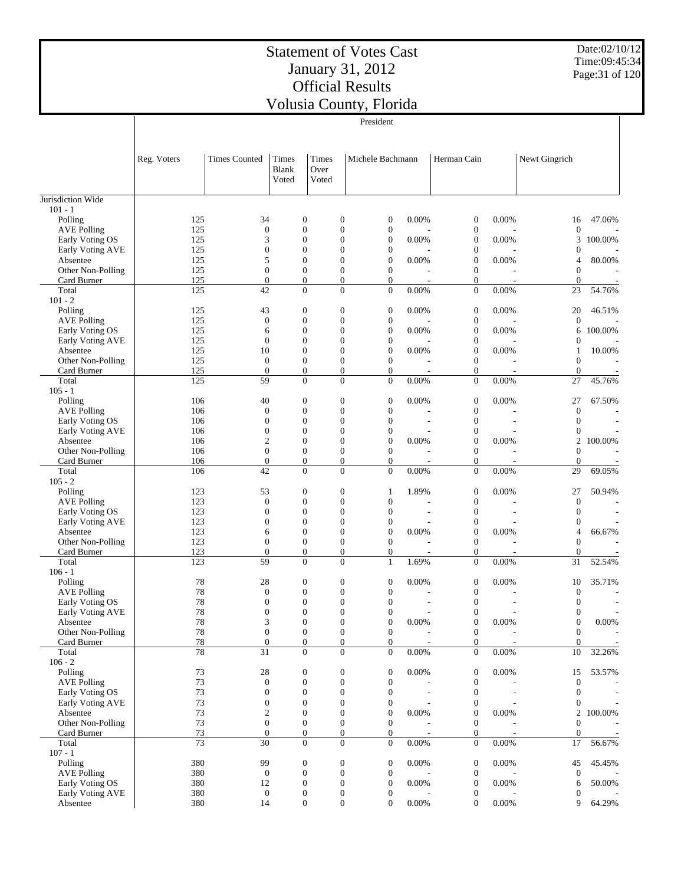Date:02/10/12 Time:09:45:34 Page:31 of 120

|                                     |             | President                            |                                      |                                    |                                      |                                      |                |                                      |                |                                  |                |
|-------------------------------------|-------------|--------------------------------------|--------------------------------------|------------------------------------|--------------------------------------|--------------------------------------|----------------|--------------------------------------|----------------|----------------------------------|----------------|
|                                     | Reg. Voters | <b>Times Counted</b>                 | Times<br><b>Blank</b><br>Voted       | Times<br>Over<br>Voted             |                                      | Michele Bachmann                     |                | Herman Cain                          |                | Newt Gingrich                    |                |
| Jurisdiction Wide                   |             |                                      |                                      |                                    |                                      |                                      |                |                                      |                |                                  |                |
| $101 - 1$<br>Polling                | 125         | 34                                   | $\mathbf{0}$                         |                                    | $\boldsymbol{0}$                     | 0                                    | 0.00%          | $\boldsymbol{0}$                     | 0.00%          | 16                               | 47.06%         |
| <b>AVE Polling</b>                  | 125         | $\mathbf{0}$                         | $\mathbf{0}$                         |                                    | $\boldsymbol{0}$                     | $\boldsymbol{0}$                     |                | $\boldsymbol{0}$                     |                | $\mathbf{0}$                     |                |
| Early Voting OS                     | 125         | 3                                    |                                      | $\boldsymbol{0}$                   | $\overline{0}$                       | $\boldsymbol{0}$                     | 0.00%          | $\boldsymbol{0}$                     | 0.00%          | 3                                | 100.00%        |
| Early Voting AVE                    | 125         | $\boldsymbol{0}$                     | $\mathbf{0}$                         |                                    | $\boldsymbol{0}$                     | $\boldsymbol{0}$                     |                | $\boldsymbol{0}$                     |                | $\overline{0}$                   |                |
| Absentee                            | 125         | 5                                    | $\mathbf{0}$                         |                                    | $\overline{0}$                       | $\boldsymbol{0}$                     | 0.00%          | $\boldsymbol{0}$                     | 0.00%          | 4                                | 80.00%         |
| Other Non-Polling                   | 125         | $\mathbf{0}$                         |                                      | $\boldsymbol{0}$                   | $\boldsymbol{0}$                     | $\boldsymbol{0}$                     |                | $\boldsymbol{0}$                     |                | $\overline{0}$                   |                |
| Card Burner<br>Total                | 125<br>125  | $\mathbf{0}$<br>42                   |                                      | $\boldsymbol{0}$<br>$\overline{0}$ | $\boldsymbol{0}$<br>$\overline{0}$   | $\boldsymbol{0}$<br>$\overline{0}$   | 0.00%          | $\boldsymbol{0}$<br>$\overline{0}$   | 0.00%          | $\mathbf{0}$<br>23               | 54.76%         |
| $101 - 2$                           |             |                                      |                                      |                                    |                                      |                                      |                |                                      |                |                                  |                |
| Polling                             | 125         | 43                                   |                                      | $\boldsymbol{0}$                   | $\mathbf{0}$                         | $\boldsymbol{0}$                     | 0.00%          | $\boldsymbol{0}$                     | 0.00%          | 20                               | 46.51%         |
| <b>AVE Polling</b>                  | 125         | $\mathbf{0}$                         | $\boldsymbol{0}$                     |                                    | $\boldsymbol{0}$                     | $\boldsymbol{0}$                     |                | $\boldsymbol{0}$                     |                | $\theta$                         |                |
| Early Voting OS                     | 125         | 6                                    | $\mathbf{0}$                         |                                    | $\boldsymbol{0}$                     | $\boldsymbol{0}$                     | 0.00%          | $\boldsymbol{0}$                     | 0.00%          | 6                                | 100.00%        |
| Early Voting AVE                    | 125         | $\boldsymbol{0}$                     |                                      | $\overline{0}$                     | $\overline{0}$                       | $\boldsymbol{0}$                     |                | $\boldsymbol{0}$                     |                | $\mathbf{0}$                     |                |
| Absentee                            | 125         | 10<br>$\mathbf{0}$                   | $\overline{0}$<br>$\boldsymbol{0}$   |                                    | $\overline{0}$<br>$\boldsymbol{0}$   | $\boldsymbol{0}$<br>$\boldsymbol{0}$ | 0.00%          | $\boldsymbol{0}$<br>$\boldsymbol{0}$ | 0.00%          | 1                                | 10.00%         |
| Other Non-Polling<br>Card Burner    | 125<br>125  | $\mathbf{0}$                         |                                      | $\boldsymbol{0}$                   | $\boldsymbol{0}$                     | $\boldsymbol{0}$                     |                | $\boldsymbol{0}$                     |                | $\mathbf{0}$<br>$\overline{0}$   |                |
| Total                               | 125         | 59                                   |                                      | $\overline{0}$                     | $\overline{0}$                       | $\overline{0}$                       | 0.00%          | $\boldsymbol{0}$                     | 0.00%          | 27                               | 45.76%         |
| $105 - 1$                           |             |                                      |                                      |                                    |                                      |                                      |                |                                      |                |                                  |                |
| Polling                             | 106         | 40                                   | $\mathbf{0}$                         |                                    | $\boldsymbol{0}$                     | $\boldsymbol{0}$                     | 0.00%          | $\boldsymbol{0}$                     | 0.00%          | 27                               | 67.50%         |
| <b>AVE Polling</b>                  | 106         | $\mathbf{0}$                         |                                      | $\boldsymbol{0}$                   | $\boldsymbol{0}$                     | $\boldsymbol{0}$                     |                | $\boldsymbol{0}$                     |                | $\mathbf{0}$                     |                |
| Early Voting OS                     | 106         | $\overline{0}$                       |                                      | $\boldsymbol{0}$                   | $\overline{0}$                       | $\boldsymbol{0}$                     | $\overline{a}$ | $\boldsymbol{0}$                     |                | $\overline{0}$                   |                |
| Early Voting AVE                    | 106         | $\boldsymbol{0}$                     | $\overline{0}$<br>$\mathbf{0}$       |                                    | $\boldsymbol{0}$<br>$\overline{0}$   | $\boldsymbol{0}$<br>$\boldsymbol{0}$ |                | $\boldsymbol{0}$<br>$\boldsymbol{0}$ |                | $\theta$                         |                |
| Absentee<br>Other Non-Polling       | 106<br>106  | $\mathfrak{2}$<br>$\boldsymbol{0}$   | $\boldsymbol{0}$                     |                                    | $\boldsymbol{0}$                     | $\boldsymbol{0}$                     | 0.00%          | $\boldsymbol{0}$                     | 0.00%          | 2<br>$\overline{0}$              | 100.00%        |
| Card Burner                         | 106         | $\mathbf{0}$                         |                                      | $\boldsymbol{0}$                   | $\boldsymbol{0}$                     | $\boldsymbol{0}$                     |                | $\boldsymbol{0}$                     |                | $\overline{0}$                   |                |
| Total                               | 106         | 42                                   |                                      | $\overline{0}$                     | $\overline{0}$                       | $\overline{0}$                       | 0.00%          | $\overline{0}$                       | 0.00%          | 29                               | 69.05%         |
| $105 - 2$                           |             |                                      |                                      |                                    |                                      |                                      |                |                                      |                |                                  |                |
| Polling                             | 123         | 53                                   | $\boldsymbol{0}$                     |                                    | $\boldsymbol{0}$                     | $\mathbf{1}$                         | 1.89%          | $\boldsymbol{0}$                     | 0.00%          | 27                               | 50.94%         |
| <b>AVE Polling</b>                  | 123         | $\boldsymbol{0}$                     |                                      | $\boldsymbol{0}$                   | $\boldsymbol{0}$                     | $\boldsymbol{0}$                     |                | $\boldsymbol{0}$                     |                | $\mathbf{0}$                     |                |
| Early Voting OS                     | 123         | $\overline{0}$                       | $\mathbf{0}$<br>$\boldsymbol{0}$     |                                    | $\boldsymbol{0}$<br>$\overline{0}$   | $\boldsymbol{0}$                     |                | $\boldsymbol{0}$<br>$\boldsymbol{0}$ |                | $\theta$                         |                |
| Early Voting AVE<br>Absentee        | 123<br>123  | $\mathbf{0}$<br>6                    | $\mathbf{0}$                         |                                    | $\boldsymbol{0}$                     | $\boldsymbol{0}$<br>$\boldsymbol{0}$ | 0.00%          | $\boldsymbol{0}$                     | 0.00%          | $\overline{0}$<br>$\overline{4}$ | 66.67%         |
| Other Non-Polling                   | 123         | $\boldsymbol{0}$                     | $\boldsymbol{0}$                     |                                    | $\boldsymbol{0}$                     | $\boldsymbol{0}$                     |                | $\boldsymbol{0}$                     |                | $\mathbf{0}$                     |                |
| Card Burner                         | 123         | $\mathbf{0}$                         |                                      | $\boldsymbol{0}$                   | $\boldsymbol{0}$                     | $\boldsymbol{0}$                     |                | $\boldsymbol{0}$                     |                | $\overline{0}$                   |                |
| Total                               | 123         | 59                                   |                                      | $\overline{0}$                     | $\mathbf{0}$                         | $\mathbf{1}$                         | 1.69%          | $\mathbf{0}$                         | 0.00%          | 31                               | 52.54%         |
| $106 - 1$                           |             |                                      |                                      |                                    |                                      |                                      |                |                                      |                |                                  |                |
| Polling                             | 78          | 28                                   |                                      | $\boldsymbol{0}$                   | $\boldsymbol{0}$                     | $\boldsymbol{0}$                     | 0.00%          | $\boldsymbol{0}$                     | 0.00%          | 10                               | 35.71%         |
| <b>AVE Polling</b>                  | 78<br>78    | $\boldsymbol{0}$                     | $\boldsymbol{0}$<br>$\boldsymbol{0}$ |                                    | $\mathbf{0}$<br>$\overline{0}$       | $\boldsymbol{0}$<br>$\boldsymbol{0}$ |                | $\boldsymbol{0}$<br>$\boldsymbol{0}$ |                | $\mathbf{0}$                     |                |
| Early Voting OS<br>Early Voting AVE | 78          | $\boldsymbol{0}$<br>$\boldsymbol{0}$ | $\boldsymbol{0}$                     |                                    | $\boldsymbol{0}$                     | $\boldsymbol{0}$                     |                | $\boldsymbol{0}$                     | $\overline{a}$ | $\mathbf{0}$<br>$\mathbf{0}$     | $\overline{a}$ |
| Absentee                            | 78          | 3                                    | $\boldsymbol{0}$                     |                                    | $\boldsymbol{0}$                     | $\boldsymbol{0}$                     | 0.00%          | $\boldsymbol{0}$                     | 0.00%          | $\boldsymbol{0}$                 | $0.00\%$       |
| Other Non-Polling                   | $78\,$      | $\boldsymbol{0}$                     | $\boldsymbol{0}$                     |                                    | $\boldsymbol{0}$                     | $\boldsymbol{0}$                     |                | $\boldsymbol{0}$                     |                | $\mathbf{0}$                     |                |
| Card Burner                         | 78          | $\boldsymbol{0}$                     |                                      | $\boldsymbol{0}$                   | $\boldsymbol{0}$                     | $\boldsymbol{0}$                     |                | $\boldsymbol{0}$                     |                | $\mathbf{0}$                     |                |
| Total                               | 78          | 31                                   |                                      | $\boldsymbol{0}$                   | $\overline{0}$                       | $\overline{0}$                       | 0.00%          | $\boldsymbol{0}$                     | 0.00%          | 10                               | 32.26%         |
| $106 - 2$                           |             |                                      |                                      |                                    |                                      |                                      |                |                                      |                |                                  |                |
| Polling<br><b>AVE Polling</b>       | 73<br>73    | 28<br>$\boldsymbol{0}$               | $\boldsymbol{0}$                     | $\boldsymbol{0}$                   | $\boldsymbol{0}$<br>$\boldsymbol{0}$ | $\boldsymbol{0}$<br>$\boldsymbol{0}$ | 0.00%          | $\boldsymbol{0}$<br>$\boldsymbol{0}$ | 0.00%          | 15<br>$\boldsymbol{0}$           | 53.57%         |
| Early Voting OS                     | 73          | $\boldsymbol{0}$                     |                                      | $\boldsymbol{0}$                   | $\boldsymbol{0}$                     | $\boldsymbol{0}$                     |                | $\boldsymbol{0}$                     |                | $\overline{0}$                   | $\sim$         |
| Early Voting AVE                    | 73          | $\boldsymbol{0}$                     |                                      | $\boldsymbol{0}$                   | $\boldsymbol{0}$                     | 0                                    |                | $\boldsymbol{0}$                     |                | $\mathbf{0}$                     |                |
| Absentee                            | 73          | $\boldsymbol{2}$                     |                                      | $\boldsymbol{0}$                   | $\boldsymbol{0}$                     | $\boldsymbol{0}$                     | 0.00%          | $\boldsymbol{0}$                     | 0.00%          | 2                                | 100.00%        |
| Other Non-Polling                   | 73          | $\boldsymbol{0}$                     |                                      | $\boldsymbol{0}$                   | $\boldsymbol{0}$                     | $\boldsymbol{0}$                     |                | $\boldsymbol{0}$                     |                | $\mathbf{0}$                     |                |
| Card Burner                         | 73          | $\boldsymbol{0}$                     |                                      | $\boldsymbol{0}$                   | $\boldsymbol{0}$                     | $\boldsymbol{0}$                     |                | $\boldsymbol{0}$                     |                | $\mathbf{0}$                     |                |
| Total                               | 73          | 30                                   |                                      | $\boldsymbol{0}$                   | $\overline{0}$                       | $\boldsymbol{0}$                     | 0.00%          | $\boldsymbol{0}$                     | 0.00%          | 17                               | 56.67%         |
| $107 - 1$<br>Polling                | 380         | 99                                   | $\boldsymbol{0}$                     |                                    | $\boldsymbol{0}$                     | $\boldsymbol{0}$                     | 0.00%          | $\boldsymbol{0}$                     | 0.00%          | 45                               | 45.45%         |
| <b>AVE Polling</b>                  | 380         | $\boldsymbol{0}$                     |                                      | $\boldsymbol{0}$                   | $\boldsymbol{0}$                     | $\boldsymbol{0}$                     |                | $\boldsymbol{0}$                     |                | $\mathbf{0}$                     |                |
| Early Voting OS                     | 380         | 12                                   |                                      | $\boldsymbol{0}$                   | $\boldsymbol{0}$                     | $\boldsymbol{0}$                     | 0.00%          | $\boldsymbol{0}$                     | 0.00%          | 6                                | 50.00%         |
| Early Voting AVE                    | 380         | $\boldsymbol{0}$                     |                                      | $\boldsymbol{0}$                   | $\boldsymbol{0}$                     | $\boldsymbol{0}$                     |                | $\boldsymbol{0}$                     |                | $\boldsymbol{0}$                 |                |
| Absentee                            | 380         | 14                                   | $\boldsymbol{0}$                     |                                    | $\boldsymbol{0}$                     | $\boldsymbol{0}$                     | 0.00%          | $\boldsymbol{0}$                     | 0.00%          | 9                                | 64.29%         |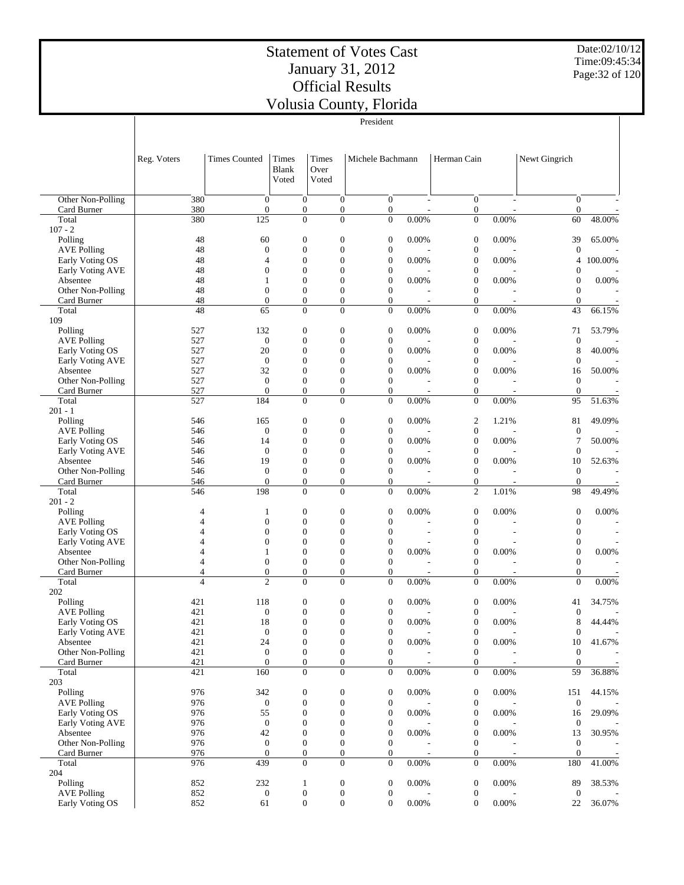# Statement of Votes Cast January 31, 2012 Official Results

 Early Voting OS Early Voting AVE Absentee Other Non-Polling Card Burner Total 204 Polling AVE Polling Early Voting OS

Date:02/10/12 Time:09:45:34 Page:32 of 120

Volusia County, Florida

|                                            | President           |                                      |                                      |                                      |                                      |                |                                      |                          |                                      |         |
|--------------------------------------------|---------------------|--------------------------------------|--------------------------------------|--------------------------------------|--------------------------------------|----------------|--------------------------------------|--------------------------|--------------------------------------|---------|
|                                            | Reg. Voters         | <b>Times Counted</b>                 | Times<br><b>Blank</b><br>Voted       | Times<br>Over<br>Voted               | Michele Bachmann                     |                | Herman Cain                          |                          | Newt Gingrich                        |         |
| Other Non-Polling                          | 380                 | $\theta$                             | $\mathbf{0}$                         | $\boldsymbol{0}$                     | $\overline{0}$                       | $\overline{a}$ | $\boldsymbol{0}$                     |                          | $\boldsymbol{0}$                     |         |
| Card Burner                                | 380                 | $\mathbf{0}$                         | $\mathbf{0}$                         | $\boldsymbol{0}$                     | $\mathbf{0}$                         |                | $\boldsymbol{0}$                     |                          | $\boldsymbol{0}$                     |         |
| Total                                      | 380                 | 125                                  | $\overline{0}$                       | $\Omega$                             | $\overline{0}$                       | $0.00\%$       | $\boldsymbol{0}$                     | $0.00\%$                 | 60                                   | 48.00%  |
| $107 - 2$                                  |                     |                                      |                                      |                                      |                                      |                |                                      |                          |                                      |         |
| Polling                                    | 48                  | 60                                   | $\mathbf{0}$                         | $\boldsymbol{0}$                     | $\boldsymbol{0}$                     | 0.00%          | $\boldsymbol{0}$                     | 0.00%                    | 39                                   | 65.00%  |
| <b>AVE Polling</b>                         | 48<br>48            | $\boldsymbol{0}$<br>$\overline{4}$   | $\boldsymbol{0}$<br>$\boldsymbol{0}$ | $\boldsymbol{0}$<br>$\boldsymbol{0}$ | $\boldsymbol{0}$<br>$\boldsymbol{0}$ |                | $\boldsymbol{0}$<br>$\boldsymbol{0}$ |                          | $\boldsymbol{0}$<br>4                |         |
| Early Voting OS<br><b>Early Voting AVE</b> | 48                  | $\boldsymbol{0}$                     | $\mathbf{0}$                         | $\boldsymbol{0}$                     | $\mathbf{0}$                         | 0.00%          | $\boldsymbol{0}$                     | 0.00%                    | $\boldsymbol{0}$                     | 100.00% |
| Absentee                                   | 48                  | $\mathbf{1}$                         | $\boldsymbol{0}$                     | $\overline{0}$                       | $\boldsymbol{0}$                     | 0.00%          | $\boldsymbol{0}$                     | $0.00\%$                 | $\boldsymbol{0}$                     | 0.00%   |
| Other Non-Polling                          | 48                  | $\boldsymbol{0}$                     | $\boldsymbol{0}$                     | $\boldsymbol{0}$                     | $\mathbf{0}$                         |                | $\boldsymbol{0}$                     |                          | $\boldsymbol{0}$                     |         |
| Card Burner                                | 48                  | $\boldsymbol{0}$                     | $\boldsymbol{0}$                     | $\boldsymbol{0}$                     | $\mathbf{0}$                         | $\sim$         | $\boldsymbol{0}$                     |                          | $\boldsymbol{0}$                     |         |
| Total                                      | 48                  | 65                                   | $\overline{0}$                       | $\overline{0}$                       | $\overline{0}$                       | 0.00%          | $\boldsymbol{0}$                     | 0.00%                    | 43                                   | 66.15%  |
| 109                                        |                     |                                      |                                      |                                      |                                      |                |                                      |                          |                                      |         |
| Polling                                    | 527                 | 132                                  | $\mathbf{0}$                         | $\boldsymbol{0}$                     | $\boldsymbol{0}$                     | 0.00%          | $\boldsymbol{0}$                     | 0.00%                    | 71                                   | 53.79%  |
| <b>AVE Polling</b>                         | 527                 | $\boldsymbol{0}$                     | $\boldsymbol{0}$                     | $\boldsymbol{0}$                     | $\boldsymbol{0}$                     |                | $\boldsymbol{0}$                     |                          | $\mathbf{0}$                         |         |
| Early Voting OS                            | 527                 | 20                                   | $\mathbf{0}$                         | $\boldsymbol{0}$                     | $\theta$                             | 0.00%          | $\boldsymbol{0}$                     | 0.00%                    | 8                                    | 40.00%  |
| <b>Early Voting AVE</b>                    | 527                 | $\boldsymbol{0}$                     | $\boldsymbol{0}$                     | $\boldsymbol{0}$                     | $\mathbf{0}$                         |                | $\boldsymbol{0}$                     |                          | $\theta$                             |         |
| Absentee                                   | 527                 | 32                                   | $\mathbf{0}$                         | $\boldsymbol{0}$                     | $\theta$                             | 0.00%          | $\boldsymbol{0}$                     | 0.00%                    | 16                                   | 50.00%  |
| Other Non-Polling                          | 527                 | $\mathbf{0}$                         | $\mathbf{0}$                         | $\boldsymbol{0}$                     | $\overline{0}$                       |                | $\boldsymbol{0}$                     |                          | $\mathbf{0}$                         |         |
| Card Burner                                | 527                 | $\theta$                             | $\boldsymbol{0}$                     | $\boldsymbol{0}$                     | $\mathbf{0}$                         | $\sim$         | $\boldsymbol{0}$                     | $\overline{\phantom{a}}$ | $\boldsymbol{0}$                     |         |
| Total                                      | 527                 | 184                                  | $\boldsymbol{0}$                     | $\overline{0}$                       | $\overline{0}$                       | 0.00%          | $\boldsymbol{0}$                     | $0.00\%$                 | 95                                   | 51.63%  |
| $201 - 1$                                  |                     |                                      |                                      |                                      |                                      |                |                                      |                          |                                      |         |
| Polling                                    | 546                 | 165                                  | $\mathbf{0}$                         | $\boldsymbol{0}$                     | $\boldsymbol{0}$                     | 0.00%          | $\boldsymbol{2}$                     | 1.21%                    | 81                                   | 49.09%  |
| <b>AVE Polling</b>                         | 546                 | $\boldsymbol{0}$                     | $\mathbf{0}$                         | $\boldsymbol{0}$                     | $\boldsymbol{0}$                     |                | $\boldsymbol{0}$                     |                          | $\boldsymbol{0}$                     |         |
| Early Voting OS                            | 546                 | 14                                   | $\boldsymbol{0}$                     | $\boldsymbol{0}$                     | $\boldsymbol{0}$                     | 0.00%          | $\boldsymbol{0}$                     | 0.00%                    | 7                                    | 50.00%  |
| Early Voting AVE                           | 546                 | $\boldsymbol{0}$                     | $\mathbf{0}$                         | $\boldsymbol{0}$                     | $\boldsymbol{0}$                     |                | $\boldsymbol{0}$                     |                          | $\theta$                             |         |
| Absentee                                   | 546                 | 19                                   | $\boldsymbol{0}$                     | $\boldsymbol{0}$                     | $\boldsymbol{0}$                     | 0.00%          | $\boldsymbol{0}$                     | $0.00\%$                 | 10                                   | 52.63%  |
| Other Non-Polling                          | 546                 | $\boldsymbol{0}$                     | $\boldsymbol{0}$                     | $\boldsymbol{0}$                     | $\mathbf{0}$                         |                | $\boldsymbol{0}$                     |                          | $\mathbf{0}$                         |         |
| Card Burner                                | 546                 | $\mathbf{0}$                         | $\boldsymbol{0}$                     | $\boldsymbol{0}$                     | $\mathbf{0}$                         | $\sim$         | $\boldsymbol{0}$                     |                          | $\theta$                             |         |
| Total                                      | 546                 | 198                                  | $\mathbf{0}$                         | $\overline{0}$                       | $\mathbf{0}$                         | 0.00%          | $\overline{c}$                       | 1.01%                    | 98                                   | 49.49%  |
| $201 - 2$                                  |                     |                                      |                                      |                                      |                                      |                |                                      |                          |                                      |         |
| Polling                                    | 4                   | $\mathbf{1}$                         | $\boldsymbol{0}$                     | $\boldsymbol{0}$                     | $\boldsymbol{0}$                     | 0.00%          | $\boldsymbol{0}$                     | 0.00%                    | $\boldsymbol{0}$                     | 0.00%   |
| <b>AVE Polling</b>                         | 4                   | $\boldsymbol{0}$                     | $\boldsymbol{0}$                     | $\boldsymbol{0}$                     | $\mathbf{0}$                         |                | $\boldsymbol{0}$                     |                          | $\boldsymbol{0}$                     |         |
| Early Voting OS                            | 4                   | $\boldsymbol{0}$                     | $\mathbf{0}$                         | $\boldsymbol{0}$                     | $\mathbf{0}$                         |                | $\boldsymbol{0}$                     |                          | $\boldsymbol{0}$                     |         |
| <b>Early Voting AVE</b>                    | 4                   | $\boldsymbol{0}$                     | $\boldsymbol{0}$                     | $\boldsymbol{0}$                     | $\boldsymbol{0}$                     |                | $\boldsymbol{0}$                     |                          | $\boldsymbol{0}$                     |         |
| Absentee                                   | 4                   | $\mathbf{1}$                         | $\mathbf{0}$                         | $\boldsymbol{0}$                     | $\boldsymbol{0}$                     | 0.00%          | $\boldsymbol{0}$                     | 0.00%                    | $\boldsymbol{0}$                     | 0.00%   |
| Other Non-Polling                          | 4<br>$\overline{4}$ | $\boldsymbol{0}$<br>$\boldsymbol{0}$ | $\mathbf{0}$<br>$\boldsymbol{0}$     | $\boldsymbol{0}$<br>$\boldsymbol{0}$ | $\overline{0}$<br>$\mathbf{0}$       |                | $\boldsymbol{0}$<br>$\mathbf{0}$     |                          | $\boldsymbol{0}$<br>$\boldsymbol{0}$ |         |
| Card Burner<br>Total                       | $\overline{4}$      | $\overline{c}$                       | $\mathbf{0}$                         | $\Omega$                             | $\overline{0}$                       | 0.00%          | $\boldsymbol{0}$                     | $0.00\%$                 | $\overline{0}$                       | 0.00%   |
| 202                                        |                     |                                      |                                      |                                      |                                      |                |                                      |                          |                                      |         |
| Polling                                    | 421                 | 118                                  | $\mathbf{0}$                         | $\boldsymbol{0}$                     | $\boldsymbol{0}$                     | 0.00%          | $\boldsymbol{0}$                     | 0.00%                    | 41                                   | 34.75%  |
| <b>AVE Polling</b>                         | 421                 | $\boldsymbol{0}$                     | $\boldsymbol{0}$                     | $\boldsymbol{0}$                     | $\overline{0}$                       |                | $\boldsymbol{0}$                     |                          | $\boldsymbol{0}$                     |         |
| Early Voting OS                            | 421                 | 18                                   | $\boldsymbol{0}$                     | $\boldsymbol{0}$                     | $\boldsymbol{0}$                     | 0.00%          | 0                                    | 0.00%                    | 8                                    | 44.44%  |
| Early Voting AVE                           | 421                 | $\boldsymbol{0}$                     | $\boldsymbol{0}$                     | $\boldsymbol{0}$                     | $\boldsymbol{0}$                     |                | $\boldsymbol{0}$                     |                          | $\boldsymbol{0}$                     |         |
| Absentee                                   | 421                 | 24                                   | $\boldsymbol{0}$                     | $\boldsymbol{0}$                     | $\boldsymbol{0}$                     | 0.00%          | $\boldsymbol{0}$                     | $0.00\%$                 | 10                                   | 41.67%  |
| Other Non-Polling                          | 421                 | $\boldsymbol{0}$                     | $\boldsymbol{0}$                     | $\boldsymbol{0}$                     | $\mathbf{0}$                         |                | $\boldsymbol{0}$                     |                          | $\boldsymbol{0}$                     |         |
| Card Burner                                | 421                 | $\boldsymbol{0}$                     | $\boldsymbol{0}$                     | $\mathbf{0}$                         | $\mathbf{0}$                         |                | $\boldsymbol{0}$                     |                          | $\mathbf{0}$                         |         |
| Total                                      | 421                 | 160                                  | $\boldsymbol{0}$                     | $\overline{0}$                       | $\mathbf{0}$                         | $0.00\%$       | $\boldsymbol{0}$                     | $0.00\%$                 | 59                                   | 36.88%  |
| 203                                        |                     |                                      |                                      |                                      |                                      |                |                                      |                          |                                      |         |
| Polling                                    | 976                 | 342                                  | $\boldsymbol{0}$                     | $\boldsymbol{0}$                     | $\boldsymbol{0}$                     | 0.00%          | $\boldsymbol{0}$                     | 0.00%                    | 151                                  | 44.15%  |
| <b>AVE Polling</b>                         | 976                 | $\boldsymbol{0}$                     | $\boldsymbol{0}$                     | $\overline{0}$                       | $\overline{0}$                       |                | $\boldsymbol{0}$                     |                          | $\boldsymbol{0}$                     |         |

976 55 0 0 0 0.00% 0 0.00% 16 29.09% 976 0 0 0 0 - 0 - 0 -976 42 0 0 0 0.00% 0 0.00% 13 30.95% 976 0 0 0 0 - 0 - 0 -976 0 0 0 0 - 0 - 0 - 0 -976 439 0 0 0 0.00% 0 0.00% 180 41.00% 852 232 1 0 0 0.00% 0 0.00% 89 38.53% 852 0 0 0 0 0 - 0 - 0 -852 61 0 0 0 0.00% 0 0.00% 22 36.07%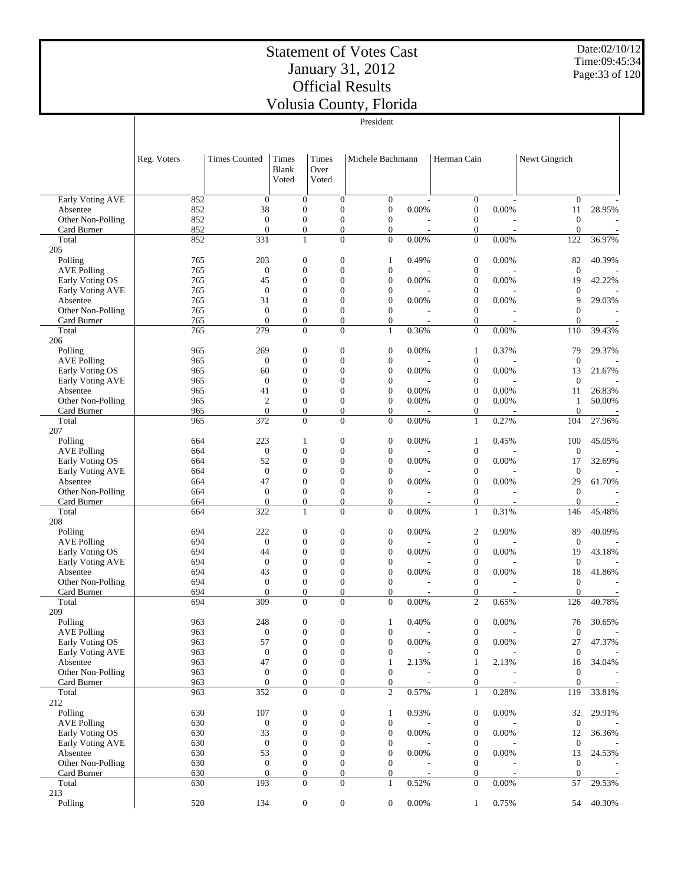Date:02/10/12 Time:09:45:34 Page:33 of 120

|                                  | President   |                                  |                                    |                                  |                                    |                |                                      |                |                                      |        |
|----------------------------------|-------------|----------------------------------|------------------------------------|----------------------------------|------------------------------------|----------------|--------------------------------------|----------------|--------------------------------------|--------|
|                                  |             |                                  |                                    |                                  |                                    |                |                                      |                |                                      |        |
|                                  |             |                                  |                                    |                                  |                                    |                |                                      |                |                                      |        |
|                                  | Reg. Voters | <b>Times Counted</b>             | Times                              | Times                            | Michele Bachmann                   |                | Herman Cain                          |                | Newt Gingrich                        |        |
|                                  |             |                                  | <b>Blank</b>                       | Over                             |                                    |                |                                      |                |                                      |        |
|                                  |             |                                  | Voted                              | Voted                            |                                    |                |                                      |                |                                      |        |
|                                  |             |                                  |                                    |                                  |                                    |                |                                      |                |                                      |        |
| Early Voting AVE<br>Absentee     | 852<br>852  | $\overline{0}$<br>38             | $\mathbf{0}$<br>$\mathbf{0}$       | $\boldsymbol{0}$<br>$\mathbf{0}$ | $\mathbf{0}$<br>$\boldsymbol{0}$   | 0.00%          | $\boldsymbol{0}$<br>$\boldsymbol{0}$ | 0.00%          | $\mathbf{0}$<br>11                   | 28.95% |
| Other Non-Polling                | 852         | $\overline{0}$                   | $\overline{0}$                     | $\mathbf{0}$                     | $\mathbf{0}$                       |                | $\overline{0}$                       |                | $\mathbf{0}$                         |        |
| Card Burner                      | 852         | $\overline{0}$                   | $\boldsymbol{0}$                   | $\mathbf{0}$                     | $\boldsymbol{0}$                   |                | $\boldsymbol{0}$                     |                | $\mathbf{0}$                         |        |
| Total                            | 852         | 331                              | $\mathbf{1}$                       | $\mathbf{0}$                     | $\overline{0}$                     | 0.00%          | $\mathbf{0}$                         | 0.00%          | 122                                  | 36.97% |
| 205                              |             |                                  |                                    |                                  |                                    |                |                                      |                |                                      |        |
| Polling                          | 765         | 203                              | $\mathbf{0}$                       | $\boldsymbol{0}$                 | $\mathbf{1}$                       | 0.49%          | $\boldsymbol{0}$                     | 0.00%          | 82                                   | 40.39% |
| <b>AVE Polling</b>               | 765         | $\overline{0}$                   | $\overline{0}$                     | $\mathbf{0}$                     | $\boldsymbol{0}$                   |                | $\boldsymbol{0}$                     |                | $\boldsymbol{0}$                     |        |
| Early Voting OS                  | 765         | 45                               | $\overline{0}$                     | $\mathbf{0}$                     | $\overline{0}$                     | 0.00%          | $\boldsymbol{0}$                     | 0.00%          | 19                                   | 42.22% |
| Early Voting AVE                 | 765<br>765  | $\overline{0}$<br>31             | $\overline{0}$<br>$\overline{0}$   | $\mathbf{0}$<br>$\mathbf{0}$     | $\mathbf{0}$<br>$\overline{0}$     | 0.00%          | $\boldsymbol{0}$<br>$\boldsymbol{0}$ | 0.00%          | $\mathbf{0}$<br>9                    | 29.03% |
| Absentee<br>Other Non-Polling    | 765         | $\overline{0}$                   | $\mathbf{0}$                       | $\mathbf{0}$                     | $\mathbf{0}$                       |                | $\boldsymbol{0}$                     |                | $\theta$                             |        |
| Card Burner                      | 765         | $\overline{0}$                   | $\boldsymbol{0}$                   | $\mathbf{0}$                     | $\boldsymbol{0}$                   |                | $\boldsymbol{0}$                     |                | $\mathbf{0}$                         |        |
| Total                            | 765         | 279                              | $\overline{0}$                     | $\overline{0}$                   | $\mathbf{1}$                       | 0.36%          | $\boldsymbol{0}$                     | 0.00%          | 110                                  | 39.43% |
| 206                              |             |                                  |                                    |                                  |                                    |                |                                      |                |                                      |        |
| Polling                          | 965         | 269                              | $\boldsymbol{0}$                   | $\boldsymbol{0}$                 | $\boldsymbol{0}$                   | 0.00%          | $\mathbf{1}$                         | 0.37%          | 79                                   | 29.37% |
| <b>AVE Polling</b>               | 965         | $\boldsymbol{0}$                 | $\overline{0}$                     | $\mathbf{0}$                     | $\mathbf{0}$                       |                | $\boldsymbol{0}$                     |                | $\theta$                             |        |
| Early Voting OS                  | 965         | 60                               | $\overline{0}$                     | $\mathbf{0}$                     | $\boldsymbol{0}$                   | 0.00%          | $\boldsymbol{0}$                     | 0.00%          | 13                                   | 21.67% |
| Early Voting AVE                 | 965         | $\overline{0}$                   | $\overline{0}$                     | $\mathbf{0}$                     | $\mathbf{0}$                       |                | $\boldsymbol{0}$                     |                | $\theta$                             |        |
| Absentee<br>Other Non-Polling    | 965<br>965  | 41<br>$\mathbf{2}$               | $\overline{0}$<br>$\overline{0}$   | $\mathbf{0}$<br>$\mathbf{0}$     | $\mathbf{0}$<br>$\mathbf{0}$       | 0.00%<br>0.00% | $\boldsymbol{0}$<br>$\mathbf{0}$     | 0.00%<br>0.00% | 11                                   | 26.83% |
| Card Burner                      | 965         | $\overline{0}$                   | $\boldsymbol{0}$                   | $\mathbf{0}$                     | $\overline{0}$                     |                | $\boldsymbol{0}$                     |                | $\mathbf{1}$<br>$\mathbf{0}$         | 50.00% |
| Total                            | 965         | 372                              | $\mathbf{0}$                       | $\mathbf{0}$                     | $\overline{0}$                     | 0.00%          | $\mathbf{1}$                         | 0.27%          | 104                                  | 27.96% |
| 207                              |             |                                  |                                    |                                  |                                    |                |                                      |                |                                      |        |
| Polling                          | 664         | 223                              | 1                                  | $\boldsymbol{0}$                 | $\overline{0}$                     | 0.00%          | $\mathbf{1}$                         | 0.45%          | 100                                  | 45.05% |
| <b>AVE Polling</b>               | 664         | $\boldsymbol{0}$                 | $\overline{0}$                     | $\mathbf{0}$                     | $\boldsymbol{0}$                   |                | $\boldsymbol{0}$                     |                | $\mathbf{0}$                         |        |
| Early Voting OS                  | 664         | 52                               | $\overline{0}$                     | $\mathbf{0}$                     | $\overline{0}$                     | 0.00%          | $\boldsymbol{0}$                     | 0.00%          | 17                                   | 32.69% |
| Early Voting AVE                 | 664         | $\mathbf{0}$                     | $\overline{0}$                     | $\mathbf{0}$                     | $\boldsymbol{0}$                   |                | $\boldsymbol{0}$                     |                | $\boldsymbol{0}$                     |        |
| Absentee                         | 664         | 47                               | $\overline{0}$                     | $\mathbf{0}$                     | $\overline{0}$                     | 0.00%          | $\boldsymbol{0}$                     | 0.00%          | 29                                   | 61.70% |
| Other Non-Polling<br>Card Burner | 664<br>664  | $\overline{0}$<br>$\overline{0}$ | $\overline{0}$<br>$\boldsymbol{0}$ | $\mathbf{0}$<br>$\mathbf{0}$     | $\mathbf{0}$<br>$\boldsymbol{0}$   |                | $\boldsymbol{0}$<br>$\boldsymbol{0}$ |                | $\boldsymbol{0}$<br>$\boldsymbol{0}$ |        |
| Total                            | 664         | 322                              | $\mathbf{1}$                       | $\Omega$                         | $\Omega$                           | 0.00%          | $\mathbf{1}$                         | 0.31%          | 146                                  | 45.48% |
| 208                              |             |                                  |                                    |                                  |                                    |                |                                      |                |                                      |        |
| Polling                          | 694         | 222                              | $\mathbf{0}$                       | $\boldsymbol{0}$                 | $\boldsymbol{0}$                   | 0.00%          | $\boldsymbol{2}$                     | 0.90%          | 89                                   | 40.09% |
| <b>AVE Polling</b>               | 694         | $\overline{0}$                   | $\overline{0}$                     | $\mathbf{0}$                     | $\mathbf{0}$                       |                | $\boldsymbol{0}$                     |                | $\boldsymbol{0}$                     |        |
| Early Voting OS                  | 694         | 44                               | $\overline{0}$                     | $\mathbf{0}$                     | $\overline{0}$                     | 0.00%          | $\boldsymbol{0}$                     | 0.00%          | 19                                   | 43.18% |
| Early Voting AVE                 | 694         | $\boldsymbol{0}$                 | $\overline{0}$                     | $\mathbf{0}$                     | $\mathbf{0}$                       |                | $\boldsymbol{0}$                     |                | $\mathbf{0}$                         |        |
| Absentee                         | 694         | 43                               | $\overline{0}$                     | $\mathbf{0}$                     | $\mathbf{0}$                       | 0.00%          | $\boldsymbol{0}$                     | 0.00%          | 18                                   | 41.86% |
| Other Non-Polling                | 694         | $\overline{0}$                   | $\mathbf{0}$                       | $\mathbf{0}$                     | $\mathbf{0}$                       |                | $\mathbf{0}$                         |                | $\theta$                             |        |
| Card Burner<br>Total             | 694<br>694  | $\overline{0}$<br>309            | $\boldsymbol{0}$<br>$\theta$       | $\overline{0}$<br>$\Omega$       | $\boldsymbol{0}$<br>$\theta$       | 0.00%          | $\boldsymbol{0}$<br>$\overline{2}$   | 0.65%          | $\mathbf{0}$<br>126                  | 40.78% |
| 209                              |             |                                  |                                    |                                  |                                    |                |                                      |                |                                      |        |
| Polling                          | 963         | 248                              | $\boldsymbol{0}$                   | $\boldsymbol{0}$                 | $\mathbf{1}$                       | 0.40%          | $\boldsymbol{0}$                     | 0.00%          | 76                                   | 30.65% |
| <b>AVE Polling</b>               | 963         | $\boldsymbol{0}$                 | $\mathbf{0}$                       | $\boldsymbol{0}$                 | $\boldsymbol{0}$                   |                | $\boldsymbol{0}$                     |                | $\boldsymbol{0}$                     |        |
| Early Voting OS                  | 963         | 57                               | $\mathbf{0}$                       | $\mathbf{0}$                     | $\boldsymbol{0}$                   | 0.00%          | $\mathbf{0}$                         | 0.00%          | 27                                   | 47.37% |
| Early Voting AVE                 | 963         | $\boldsymbol{0}$                 | $\boldsymbol{0}$                   | $\mathbf{0}$                     | $\boldsymbol{0}$                   |                | $\boldsymbol{0}$                     |                | $\mathbf{0}$                         |        |
| Absentee                         | 963         | 47                               | $\boldsymbol{0}$                   | $\mathbf{0}$                     | 1                                  | 2.13%          | $\mathbf{1}$                         | 2.13%          | 16                                   | 34.04% |
| Other Non-Polling                | 963         | $\boldsymbol{0}$                 | $\boldsymbol{0}$                   | $\mathbf{0}$                     | $\boldsymbol{0}$                   |                | $\boldsymbol{0}$                     |                | $\boldsymbol{0}$                     |        |
| Card Burner                      | 963         | $\boldsymbol{0}$                 | $\boldsymbol{0}$<br>$\overline{0}$ | $\mathbf{0}$<br>$\overline{0}$   | $\boldsymbol{0}$<br>$\mathfrak{2}$ |                | $\boldsymbol{0}$                     |                | $\mathbf{0}$                         | 33.81% |
| Total<br>212                     | 963         | 352                              |                                    |                                  |                                    | 0.57%          | $\mathbf{1}$                         | 0.28%          | 119                                  |        |
| Polling                          | 630         | 107                              | $\boldsymbol{0}$                   | $\boldsymbol{0}$                 | $\mathbf{1}$                       | 0.93%          | $\boldsymbol{0}$                     | 0.00%          | 32                                   | 29.91% |
| <b>AVE Polling</b>               | 630         | $\boldsymbol{0}$                 | $\boldsymbol{0}$                   | $\boldsymbol{0}$                 | $\boldsymbol{0}$                   |                | $\boldsymbol{0}$                     |                | $\mathbf{0}$                         |        |
| Early Voting OS                  | 630         | 33                               | $\boldsymbol{0}$                   | $\boldsymbol{0}$                 | $\boldsymbol{0}$                   | 0.00%          | $\boldsymbol{0}$                     | 0.00%          | 12                                   | 36.36% |
| Early Voting AVE                 | 630         | $\boldsymbol{0}$                 | $\mathbf{0}$                       | $\mathbf{0}$                     | $\boldsymbol{0}$                   |                | $\boldsymbol{0}$                     |                | $\overline{0}$                       |        |
| Absentee                         | 630         | 53                               | $\boldsymbol{0}$                   | $\theta$                         | $\boldsymbol{0}$                   | 0.00%          | $\boldsymbol{0}$                     | 0.00%          | 13                                   | 24.53% |
| Other Non-Polling                | 630         | $\mathbf{0}$                     | $\boldsymbol{0}$                   | $\boldsymbol{0}$                 | $\mathbf{0}$                       |                | $\boldsymbol{0}$                     |                | $\boldsymbol{0}$                     |        |
| Card Burner                      | 630         | $\boldsymbol{0}$                 | $\boldsymbol{0}$                   | $\mathbf{0}$                     | 0                                  |                | $\boldsymbol{0}$                     |                | $\boldsymbol{0}$                     |        |
| Total<br>213                     | 630         | 193                              | $\mathbf{0}$                       | $\mathbf{0}$                     | $\mathbf{1}$                       | 0.52%          | $\mathbf{0}$                         | 0.00%          | 57                                   | 29.53% |
| Polling                          | 520         | 134                              | $\boldsymbol{0}$                   | $\boldsymbol{0}$                 | $\mathbf{0}$                       | 0.00%          | $\mathbf{1}$                         | 0.75%          | 54                                   | 40.30% |
|                                  |             |                                  |                                    |                                  |                                    |                |                                      |                |                                      |        |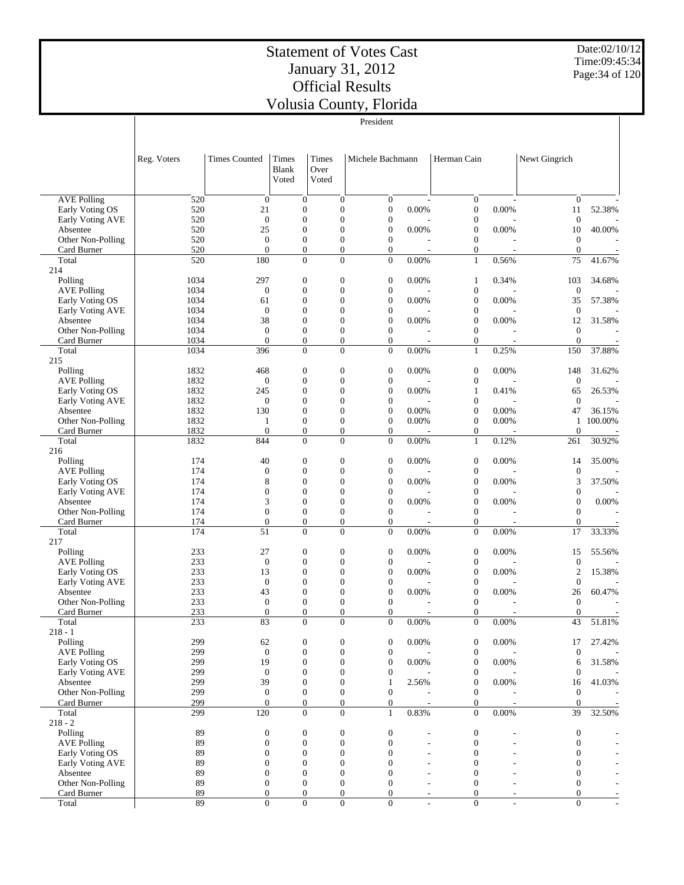Date:02/10/12 Time:09:45:34 Page:34 of 120

| President |  |
|-----------|--|

|                                     | Reg. Voters | <b>Times Counted</b>             | Times<br><b>Blank</b><br>Voted       | Times<br>Over<br>Voted               | Michele Bachmann                     |       | Herman Cain                          |          | Newt Gingrich                  |         |
|-------------------------------------|-------------|----------------------------------|--------------------------------------|--------------------------------------|--------------------------------------|-------|--------------------------------------|----------|--------------------------------|---------|
| <b>AVE Polling</b>                  | 520         | $\boldsymbol{0}$                 | $\mathbf{0}$                         | $\boldsymbol{0}$                     | 0                                    |       | $\boldsymbol{0}$                     |          | $\overline{0}$                 |         |
| Early Voting OS                     | 520         | 21                               | $\boldsymbol{0}$                     | $\boldsymbol{0}$                     | $\boldsymbol{0}$                     | 0.00% | $\boldsymbol{0}$                     | 0.00%    | 11                             | 52.38%  |
| Early Voting AVE                    | 520         | $\boldsymbol{0}$                 | $\overline{0}$                       | $\boldsymbol{0}$                     | $\boldsymbol{0}$                     |       | $\boldsymbol{0}$                     |          | $\overline{0}$                 |         |
| Absentee                            | 520<br>520  | 25<br>$\boldsymbol{0}$           | $\overline{0}$<br>$\mathbf{0}$       | $\boldsymbol{0}$<br>$\boldsymbol{0}$ | $\boldsymbol{0}$<br>$\boldsymbol{0}$ | 0.00% | $\boldsymbol{0}$<br>$\boldsymbol{0}$ | 0.00%    | 10<br>$\mathbf{0}$             | 40.00%  |
| Other Non-Polling<br>Card Burner    | 520         | $\mathbf{0}$                     | $\boldsymbol{0}$                     | $\overline{0}$                       | $\boldsymbol{0}$                     |       | $\boldsymbol{0}$                     |          | $\boldsymbol{0}$               |         |
| Total                               | 520         | 180                              | $\overline{0}$                       | $\overline{0}$                       | $\overline{0}$                       | 0.00% | $\mathbf{1}$                         | 0.56%    | 75                             | 41.67%  |
| 214                                 |             |                                  |                                      |                                      |                                      |       |                                      |          |                                |         |
| Polling                             | 1034        | 297                              | $\boldsymbol{0}$                     | $\boldsymbol{0}$                     | $\boldsymbol{0}$                     | 0.00% | $\mathbf{1}$                         | 0.34%    | 103                            | 34.68%  |
| <b>AVE Polling</b>                  | 1034        | $\boldsymbol{0}$                 | $\mathbf{0}$                         | $\boldsymbol{0}$                     | $\boldsymbol{0}$                     |       | $\boldsymbol{0}$                     |          | $\boldsymbol{0}$               |         |
| Early Voting OS                     | 1034        | 61                               | $\mathbf{0}$                         | $\boldsymbol{0}$                     | $\boldsymbol{0}$                     | 0.00% | $\boldsymbol{0}$                     | 0.00%    | 35                             | 57.38%  |
| Early Voting AVE                    | 1034        | $\overline{0}$                   | $\mathbf{0}$                         | $\boldsymbol{0}$                     | $\boldsymbol{0}$                     |       | $\boldsymbol{0}$                     |          | $\boldsymbol{0}$               |         |
| Absentee                            | 1034        | 38                               | $\mathbf{0}$                         | $\boldsymbol{0}$                     | $\boldsymbol{0}$                     | 0.00% | $\boldsymbol{0}$                     | 0.00%    | 12                             | 31.58%  |
| Other Non-Polling                   | 1034        | $\boldsymbol{0}$                 | $\mathbf{0}$                         | 0                                    | $\boldsymbol{0}$                     |       | $\boldsymbol{0}$                     |          | $\boldsymbol{0}$               |         |
| Card Burner                         | 1034        | $\mathbf{0}$                     | $\boldsymbol{0}$                     | $\boldsymbol{0}$                     | $\boldsymbol{0}$                     |       | $\boldsymbol{0}$                     |          | $\boldsymbol{0}$               |         |
| Total<br>215                        | 1034        | 396                              | $\overline{0}$                       | $\overline{0}$                       | $\overline{0}$                       | 0.00% | $\mathbf{1}$                         | 0.25%    | 150                            | 37.88%  |
| Polling                             | 1832        | 468                              | $\boldsymbol{0}$                     | 0                                    | 0                                    | 0.00% | $\boldsymbol{0}$                     | 0.00%    | 148                            | 31.62%  |
| <b>AVE Polling</b>                  | 1832        | $\boldsymbol{0}$                 | $\mathbf{0}$                         | $\boldsymbol{0}$                     | $\boldsymbol{0}$                     |       | $\boldsymbol{0}$                     |          | $\mathbf{0}$                   |         |
| Early Voting OS                     | 1832        | 245                              | $\boldsymbol{0}$                     | $\boldsymbol{0}$                     | $\boldsymbol{0}$                     | 0.00% | 1                                    | 0.41%    | 65                             | 26.53%  |
| Early Voting AVE                    | 1832        | $\boldsymbol{0}$                 | $\overline{0}$                       | $\boldsymbol{0}$                     | $\boldsymbol{0}$                     |       | $\boldsymbol{0}$                     |          | $\mathbf{0}$                   |         |
| Absentee                            | 1832        | 130                              | $\mathbf{0}$                         | $\overline{0}$                       | $\boldsymbol{0}$                     | 0.00% | $\boldsymbol{0}$                     | 0.00%    | 47                             | 36.15%  |
| Other Non-Polling                   | 1832        | 1                                | $\boldsymbol{0}$                     | $\boldsymbol{0}$                     | $\boldsymbol{0}$                     | 0.00% | $\boldsymbol{0}$                     | 0.00%    | 1                              | 100.00% |
| Card Burner                         | 1832        | $\overline{0}$                   | $\mathbf{0}$                         | $\overline{0}$                       | $\boldsymbol{0}$                     |       | $\boldsymbol{0}$                     |          | $\boldsymbol{0}$               |         |
| Total                               | 1832        | 844                              | $\overline{0}$                       | $\overline{0}$                       | $\overline{0}$                       | 0.00% | $\mathbf{1}$                         | 0.12%    | 261                            | 30.92%  |
| 216                                 |             |                                  |                                      |                                      |                                      |       |                                      |          |                                |         |
| Polling                             | 174         | 40                               | $\boldsymbol{0}$                     | 0                                    | $\boldsymbol{0}$                     | 0.00% | $\boldsymbol{0}$                     | 0.00%    | 14                             | 35.00%  |
| <b>AVE Polling</b>                  | 174         | $\mathbf{0}$                     | $\mathbf{0}$                         | $\boldsymbol{0}$                     | $\boldsymbol{0}$                     |       | $\boldsymbol{0}$                     |          | $\mathbf{0}$                   |         |
| Early Voting OS                     | 174         | 8                                | $\boldsymbol{0}$                     | $\boldsymbol{0}$                     | $\boldsymbol{0}$                     | 0.00% | $\boldsymbol{0}$                     | 0.00%    | 3                              | 37.50%  |
| Early Voting AVE                    | 174         | $\theta$                         | $\mathbf{0}$                         | $\boldsymbol{0}$                     | $\boldsymbol{0}$                     |       | $\boldsymbol{0}$                     |          | $\boldsymbol{0}$               |         |
| Absentee                            | 174         | 3                                | $\mathbf{0}$                         | $\overline{0}$                       | $\boldsymbol{0}$                     | 0.00% | $\boldsymbol{0}$                     | 0.00%    | $\mathbf{0}$                   | 0.00%   |
| Other Non-Polling                   | 174<br>174  | $\mathbf{0}$<br>$\boldsymbol{0}$ | $\boldsymbol{0}$<br>$\boldsymbol{0}$ | 0<br>$\overline{0}$                  | $\boldsymbol{0}$<br>$\boldsymbol{0}$ |       | $\boldsymbol{0}$<br>$\boldsymbol{0}$ |          | $\overline{0}$<br>$\mathbf{0}$ |         |
| Card Burner<br>Total                | 174         | 51                               | $\overline{0}$                       | $\overline{0}$                       | $\overline{0}$                       | 0.00% | $\boldsymbol{0}$                     | 0.00%    | 17                             | 33.33%  |
| 217                                 |             |                                  |                                      |                                      |                                      |       |                                      |          |                                |         |
| Polling                             | 233         | 27                               | $\boldsymbol{0}$                     | 0                                    | 0                                    | 0.00% | $\boldsymbol{0}$                     | 0.00%    | 15                             | 55.56%  |
| <b>AVE Polling</b>                  | 233         | $\boldsymbol{0}$                 | $\mathbf{0}$                         | $\boldsymbol{0}$                     | $\boldsymbol{0}$                     |       | $\boldsymbol{0}$                     |          | $\mathbf{0}$                   |         |
| Early Voting OS                     | 233         | 13                               | $\boldsymbol{0}$                     | $\boldsymbol{0}$                     | $\boldsymbol{0}$                     | 0.00% | $\boldsymbol{0}$                     | 0.00%    | $\overline{2}$                 | 15.38%  |
| Early Voting AVE                    | 233         | $\overline{0}$                   | $\overline{0}$                       | $\boldsymbol{0}$                     | $\boldsymbol{0}$                     |       | $\boldsymbol{0}$                     |          | $\mathbf{0}$                   |         |
| Absentee                            | 233         | 43                               | $\mathbf{0}$                         | $\overline{0}$                       | $\boldsymbol{0}$                     | 0.00% | $\boldsymbol{0}$                     | 0.00%    | 26                             | 60.47%  |
| Other Non-Polling                   | 233         | $\boldsymbol{0}$                 | $\boldsymbol{0}$                     | $\boldsymbol{0}$                     | $\overline{0}$                       |       | $\boldsymbol{0}$                     |          | $\mathbf{0}$                   |         |
| Card Burner                         | 233         | $\overline{0}$                   | $\overline{0}$                       | $\overline{0}$                       | $\overline{0}$                       |       | $\boldsymbol{0}$                     |          | $\theta$                       |         |
| Total                               | 233         | 83                               | $\overline{0}$                       | $\overline{0}$                       | $\overline{0}$                       | 0.00% | $\overline{0}$                       | 0.00%    | 43                             | 51.81%  |
| $218 - 1$                           |             |                                  |                                      |                                      |                                      |       |                                      |          |                                |         |
| Polling                             | 299         | 62                               | $\overline{0}$                       | $\boldsymbol{0}$                     | 0                                    | 0.00% | $\boldsymbol{0}$                     | 0.00%    | 17                             | 27.42%  |
| <b>AVE Polling</b>                  | 299         | $\boldsymbol{0}$                 | $\boldsymbol{0}$                     | $\boldsymbol{0}$                     | 0                                    |       | $\boldsymbol{0}$                     |          | $\overline{0}$                 |         |
| Early Voting OS<br>Early Voting AVE | 299<br>299  | 19<br>$\boldsymbol{0}$           | $\boldsymbol{0}$<br>$\boldsymbol{0}$ | 0                                    | $\boldsymbol{0}$                     | 0.00% | $\boldsymbol{0}$<br>$\boldsymbol{0}$ | 0.00%    | 6                              | 31.58%  |
| Absentee                            | 299         | 39                               | $\boldsymbol{0}$                     | 0<br>0                               | 0<br>$\mathbf{1}$                    | 2.56% | $\boldsymbol{0}$                     | 0.00%    | $\boldsymbol{0}$<br>16         | 41.03%  |
| Other Non-Polling                   | 299         | $\boldsymbol{0}$                 | $\boldsymbol{0}$                     | 0                                    | 0                                    |       | $\boldsymbol{0}$                     |          | $\overline{0}$                 |         |
| Card Burner                         | 299         | $\boldsymbol{0}$                 | $\boldsymbol{0}$                     | 0                                    | $\boldsymbol{0}$                     |       | $\boldsymbol{0}$                     |          | $\overline{0}$                 |         |
| Total                               | 299         | 120                              | $\boldsymbol{0}$                     | $\boldsymbol{0}$                     | $\mathbf{1}$                         | 0.83% | $\boldsymbol{0}$                     | $0.00\%$ | 39                             | 32.50%  |
| $218 - 2$                           |             |                                  |                                      |                                      |                                      |       |                                      |          |                                |         |
| Polling                             | 89          | $\boldsymbol{0}$                 | $\boldsymbol{0}$                     | 0                                    | 0                                    |       | $\boldsymbol{0}$                     |          | $\boldsymbol{0}$               |         |
| <b>AVE Polling</b>                  | 89          | $\boldsymbol{0}$                 | $\boldsymbol{0}$                     | $\boldsymbol{0}$                     | 0                                    |       | $\boldsymbol{0}$                     |          | 0                              |         |
| Early Voting OS                     | 89          | $\boldsymbol{0}$                 | $\boldsymbol{0}$                     | 0                                    | $\boldsymbol{0}$                     |       | $\overline{0}$                       |          | $\boldsymbol{0}$               |         |
| Early Voting AVE                    | 89          | $\boldsymbol{0}$                 | $\boldsymbol{0}$                     | 0                                    | $\mathbf{0}$                         |       | $\overline{0}$                       |          | 0                              |         |
| Absentee                            | 89          | $\theta$                         | $\boldsymbol{0}$                     | 0                                    | $\overline{0}$                       |       | $\overline{0}$                       |          | $\theta$                       |         |
| Other Non-Polling                   | 89          | $\boldsymbol{0}$                 | $\boldsymbol{0}$                     | 0                                    | $\boldsymbol{0}$                     |       | $\boldsymbol{0}$                     |          | $\boldsymbol{0}$               |         |
| Card Burner                         | 89          | $\theta$                         | $\boldsymbol{0}$                     | 0                                    | 0                                    |       | $\boldsymbol{0}$                     |          | $\theta$                       |         |
| Total                               | 89          | $\theta$                         | $\boldsymbol{0}$                     | $\boldsymbol{0}$                     | $\boldsymbol{0}$                     |       | $\boldsymbol{0}$                     |          | $\mathbf{0}$                   |         |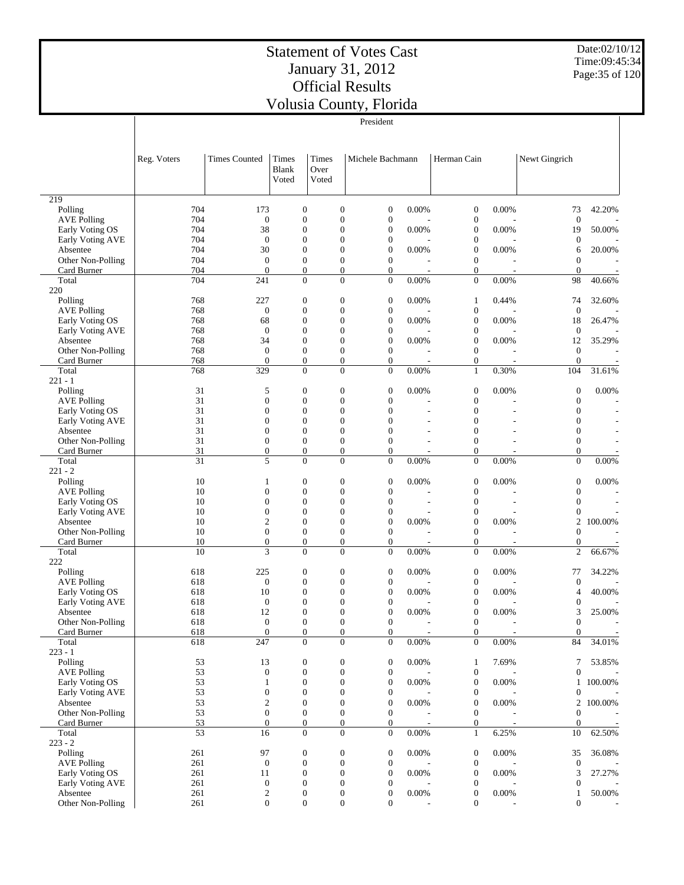Date:02/10/12 Time:09:45:34 Page:35 of 120

|                                       | President   |                                  |                                      |                                      |                                                                      |                            |                                      |                          |                                      |                          |
|---------------------------------------|-------------|----------------------------------|--------------------------------------|--------------------------------------|----------------------------------------------------------------------|----------------------------|--------------------------------------|--------------------------|--------------------------------------|--------------------------|
|                                       |             |                                  |                                      |                                      |                                                                      |                            |                                      |                          |                                      |                          |
|                                       |             |                                  |                                      |                                      |                                                                      |                            |                                      |                          |                                      |                          |
|                                       | Reg. Voters | <b>Times Counted</b>             | Times                                | Times                                | Michele Bachmann                                                     |                            | Herman Cain                          |                          | Newt Gingrich                        |                          |
|                                       |             |                                  | <b>Blank</b>                         | Over                                 |                                                                      |                            |                                      |                          |                                      |                          |
|                                       |             |                                  | Voted                                | Voted                                |                                                                      |                            |                                      |                          |                                      |                          |
|                                       |             |                                  |                                      |                                      |                                                                      |                            |                                      |                          |                                      |                          |
| 219<br>Polling                        | 704         | 173                              | $\boldsymbol{0}$                     | $\overline{0}$                       | $\boldsymbol{0}$                                                     | 0.00%                      | $\mathbf{0}$                         | 0.00%                    | 73                                   | 42.20%                   |
| <b>AVE Polling</b>                    | 704         | $\mathbf{0}$                     | $\mathbf{0}$                         | $\overline{0}$                       | $\boldsymbol{0}$                                                     |                            | $\mathbf{0}$                         |                          | $\mathbf{0}$                         |                          |
| Early Voting OS                       | 704         | 38                               | $\mathbf{0}$                         | $\theta$                             | $\boldsymbol{0}$                                                     | 0.00%                      | $\mathbf{0}$                         | 0.00%                    | 19                                   | 50.00%                   |
| Early Voting AVE                      | 704         | $\mathbf{0}$                     | $\mathbf{0}$                         | $\overline{0}$                       | $\boldsymbol{0}$                                                     |                            | $\mathbf{0}$                         |                          | $\boldsymbol{0}$                     |                          |
| Absentee                              | 704         | 30                               | $\mathbf{0}$                         | $\theta$                             | $\boldsymbol{0}$                                                     | 0.00%                      | $\boldsymbol{0}$                     | 0.00%                    | 6                                    | 20.00%                   |
| Other Non-Polling<br>Card Burner      | 704<br>704  | $\mathbf{0}$<br>$\overline{0}$   | $\mathbf{0}$<br>$\boldsymbol{0}$     | $\overline{0}$<br>$\overline{0}$     | $\overline{0}$<br>$\boldsymbol{0}$                                   |                            | $\theta$<br>$\boldsymbol{0}$         |                          | $\overline{0}$<br>$\boldsymbol{0}$   |                          |
| Total                                 | 704         | 241                              | $\theta$                             |                                      | $\Omega$<br>$\Omega$                                                 | 0.00%                      | $\mathbf{0}$                         | 0.00%                    | 98                                   | 40.66%                   |
| 220                                   |             |                                  |                                      |                                      |                                                                      |                            |                                      |                          |                                      |                          |
| Polling                               | 768         | 227                              | $\boldsymbol{0}$                     | $\overline{0}$                       | $\boldsymbol{0}$                                                     | 0.00%                      | $\mathbf{1}$                         | 0.44%                    | 74                                   | 32.60%                   |
| <b>AVE Polling</b>                    | 768         | $\overline{0}$                   | $\mathbf{0}$                         | $\overline{0}$                       | $\boldsymbol{0}$                                                     |                            | $\mathbf{0}$                         |                          | $\mathbf{0}$                         |                          |
| Early Voting OS                       | 768         | 68                               | $\boldsymbol{0}$                     | $\overline{0}$                       | $\boldsymbol{0}$                                                     | 0.00%                      | $\mathbf{0}$                         | 0.00%                    | 18                                   | 26.47%                   |
| Early Voting AVE<br>Absentee          | 768<br>768  | $\overline{0}$<br>34             | $\mathbf{0}$<br>$\mathbf{0}$         | $\theta$<br>$\overline{0}$           | $\boldsymbol{0}$<br>$\boldsymbol{0}$                                 | 0.00%                      | $\boldsymbol{0}$<br>$\boldsymbol{0}$ | 0.00%                    | $\boldsymbol{0}$<br>12               | 35.29%                   |
| Other Non-Polling                     | 768         | $\mathbf{0}$                     | $\mathbf{0}$                         | $\overline{0}$                       | $\mathbf{0}$                                                         |                            | $\mathbf{0}$                         |                          | $\boldsymbol{0}$                     |                          |
| Card Burner                           | 768         | $\boldsymbol{0}$                 | $\boldsymbol{0}$                     |                                      | $\boldsymbol{0}$<br>$\boldsymbol{0}$                                 |                            | $\mathbf{0}$                         |                          | $\boldsymbol{0}$                     |                          |
| Total                                 | 768         | 329                              | $\overline{0}$                       |                                      | $\Omega$<br>$\overline{0}$                                           | 0.00%                      | $\mathbf{1}$                         | 0.30%                    | 104                                  | 31.61%                   |
| $221 - 1$                             |             |                                  |                                      |                                      |                                                                      |                            |                                      |                          |                                      |                          |
| Polling                               | 31<br>31    | 5<br>$\overline{0}$              | $\boldsymbol{0}$<br>$\mathbf{0}$     | $\boldsymbol{0}$<br>$\overline{0}$   | $\boldsymbol{0}$<br>$\overline{0}$                                   | 0.00%                      | $\mathbf{0}$<br>$\mathbf{0}$         | 0.00%                    | $\boldsymbol{0}$<br>$\boldsymbol{0}$ | 0.00%                    |
| <b>AVE Polling</b><br>Early Voting OS | 31          | $\overline{0}$                   | $\mathbf{0}$                         | $\theta$                             | $\overline{0}$                                                       | L,                         | $\mathbf{0}$                         | L,                       | $\mathbf{0}$                         |                          |
| Early Voting AVE                      | 31          | $\overline{0}$                   | $\mathbf{0}$                         | $\overline{0}$                       | $\overline{0}$                                                       |                            | $\mathbf{0}$                         |                          | $\boldsymbol{0}$                     |                          |
| Absentee                              | 31          | $\theta$                         | $\mathbf{0}$                         | $\theta$                             | $\overline{0}$                                                       |                            | $\mathbf{0}$                         | $\overline{a}$           | $\overline{0}$                       | $\overline{\phantom{a}}$ |
| Other Non-Polling                     | 31          | $\overline{0}$                   | $\mathbf{0}$                         | $\overline{0}$                       | $\Omega$                                                             |                            | $\mathbf{0}$                         |                          | $\mathbf{0}$                         |                          |
| Card Burner                           | 31          | $\overline{0}$                   | $\boldsymbol{0}$                     | $\overline{0}$                       | $\boldsymbol{0}$                                                     | L,                         | $\mathbf{0}$                         | L,                       | $\overline{0}$                       |                          |
| Total<br>$221 - 2$                    | 31          | 5                                | $\overline{0}$                       |                                      | $\Omega$<br>$\overline{0}$                                           | 0.00%                      | $\mathbf{0}$                         | 0.00%                    | $\overline{0}$                       | 0.00%                    |
| Polling                               | 10          | $\mathbf{1}$                     | $\boldsymbol{0}$                     | $\boldsymbol{0}$                     | $\boldsymbol{0}$                                                     | 0.00%                      | $\mathbf{0}$                         | 0.00%                    | $\boldsymbol{0}$                     | 0.00%                    |
| <b>AVE Polling</b>                    | 10          | $\overline{0}$                   | $\mathbf{0}$                         | $\overline{0}$                       | $\boldsymbol{0}$                                                     |                            | $\mathbf{0}$                         |                          | $\boldsymbol{0}$                     |                          |
| Early Voting OS                       | 10          | $\overline{0}$                   | $\mathbf{0}$                         | $\overline{0}$                       | $\overline{0}$                                                       |                            | $\theta$                             |                          | $\boldsymbol{0}$                     |                          |
| Early Voting AVE                      | 10          | $\overline{0}$                   | $\mathbf{0}$                         | $\overline{0}$                       | $\boldsymbol{0}$                                                     |                            | $\boldsymbol{0}$                     |                          | $\boldsymbol{0}$                     |                          |
| Absentee                              | 10<br>10    | 2<br>$\Omega$                    | $\overline{0}$<br>$\mathbf{0}$       | $\overline{0}$<br>$\overline{0}$     | $\boldsymbol{0}$<br>$\mathbf{0}$                                     | 0.00%                      | $\mathbf{0}$<br>$\mathbf{0}$         | 0.00%                    | $\overline{c}$<br>$\overline{0}$     | 100.00%                  |
| Other Non-Polling<br>Card Burner      | 10          | $\boldsymbol{0}$                 | $\boldsymbol{0}$                     |                                      | $\boldsymbol{0}$<br>$\boldsymbol{0}$                                 |                            | $\mathbf{0}$                         |                          | $\boldsymbol{0}$                     |                          |
| Total                                 | 10          | 3                                | $\theta$                             |                                      | $\Omega$<br>$\overline{0}$                                           | 0.00%                      | $\overline{0}$                       | 0.00%                    | $\overline{c}$                       | 66.67%                   |
| 222                                   |             |                                  |                                      |                                      |                                                                      |                            |                                      |                          |                                      |                          |
| Polling                               | 618         | 225                              | $\boldsymbol{0}$                     | $\boldsymbol{0}$                     | $\boldsymbol{0}$                                                     | 0.00%                      | $\mathbf{0}$                         | 0.00%                    | 77                                   | 34.22%                   |
| <b>AVE Polling</b>                    | 618         | $\mathbf{0}$                     | $\mathbf{0}$                         | $\overline{0}$                       | $\boldsymbol{0}$                                                     |                            | $\mathbf{0}$                         |                          | $\boldsymbol{0}$                     |                          |
| Early Voting OS<br>Early Voting AVE   | 618<br>618  | 10<br>$\mathbf{0}$               | $\overline{0}$<br>$\overline{0}$     | $\overline{0}$<br>$\overline{0}$     | $\boldsymbol{0}$<br>$\overline{0}$                                   | 0.00%                      | $\boldsymbol{0}$<br>$\mathbf{0}$     | 0.00%                    | 4<br>$\boldsymbol{0}$                | 40.00%                   |
| Absentee                              | 618         | 12                               | $\Omega$                             | $\theta$                             | $\Omega$                                                             | 0.00%                      | $\Omega$                             | 0.00%                    | 3                                    | 25.00%                   |
| Other Non-Polling                     | 618         | $\boldsymbol{0}$                 | $\boldsymbol{0}$                     |                                      | $\boldsymbol{0}$<br>$\boldsymbol{0}$                                 | L,                         | $\boldsymbol{0}$                     | $\overline{\phantom{a}}$ | $\boldsymbol{0}$                     |                          |
| Card Burner                           | 618         | $\boldsymbol{0}$                 | $\boldsymbol{0}$                     |                                      | $\mathbf{0}$<br>$\boldsymbol{0}$                                     |                            | $\mathbf{0}$                         |                          | $\boldsymbol{0}$                     |                          |
| Total                                 | 618         | 247                              | $\boldsymbol{0}$                     |                                      | $\overline{0}$<br>$\overline{0}$                                     | 0.00%                      | $\mathbf{0}$                         | 0.00%                    | 84                                   | 34.01%                   |
| $223 - 1$                             | 53          | 13                               | $\boldsymbol{0}$                     | $\boldsymbol{0}$                     | $\boldsymbol{0}$                                                     | 0.00%                      | $\mathbf{1}$                         | 7.69%                    | 7                                    | 53.85%                   |
| Polling<br><b>AVE Polling</b>         | 53          | $\boldsymbol{0}$                 | $\boldsymbol{0}$                     | $\boldsymbol{0}$                     | $\boldsymbol{0}$                                                     |                            | $\mathbf{0}$                         |                          | $\boldsymbol{0}$                     |                          |
| Early Voting OS                       | 53          | $\mathbf{1}$                     | $\boldsymbol{0}$                     | $\boldsymbol{0}$                     | $\boldsymbol{0}$                                                     | 0.00%                      | $\boldsymbol{0}$                     | 0.00%                    | $\mathbf{1}$                         | 100.00%                  |
| Early Voting AVE                      | 53          | $\boldsymbol{0}$                 | $\boldsymbol{0}$                     | $\overline{0}$                       | $\boldsymbol{0}$                                                     |                            | $\boldsymbol{0}$                     |                          | $\boldsymbol{0}$                     |                          |
| Absentee                              | 53          | $\boldsymbol{2}$                 | $\boldsymbol{0}$                     | $\boldsymbol{0}$                     | $\boldsymbol{0}$                                                     | 0.00%                      | $\boldsymbol{0}$                     | 0.00%                    | $\overline{2}$                       | 100.00%                  |
| Other Non-Polling                     | 53          | $\boldsymbol{0}$                 | $\boldsymbol{0}$                     | $\boldsymbol{0}$                     | $\boldsymbol{0}$                                                     |                            | $\mathbf{0}$                         |                          | $\boldsymbol{0}$                     |                          |
| Card Burner<br>Total                  | 53<br>53    | $\mathbf{0}$<br>16               | $\boldsymbol{0}$<br>$\boldsymbol{0}$ |                                      | $\mathbf{0}$<br>$\boldsymbol{0}$<br>$\overline{0}$<br>$\overline{0}$ | 0.00%                      | $\mathbf{0}$<br>$\mathbf{1}$         | 6.25%                    | $\boldsymbol{0}$<br>10               | 62.50%                   |
| $223 - 2$                             |             |                                  |                                      |                                      |                                                                      |                            |                                      |                          |                                      |                          |
| Polling                               | 261         | 97                               | $\boldsymbol{0}$                     | $\boldsymbol{0}$                     | $\boldsymbol{0}$                                                     | 0.00%                      | $\boldsymbol{0}$                     | 0.00%                    | 35                                   | 36.08%                   |
| <b>AVE Polling</b>                    | 261         | $\mathbf{0}$                     | $\boldsymbol{0}$                     | $\boldsymbol{0}$                     | $\boldsymbol{0}$                                                     |                            | $\boldsymbol{0}$                     |                          | $\boldsymbol{0}$                     |                          |
| Early Voting OS                       | 261         | 11                               | $\boldsymbol{0}$                     | $\boldsymbol{0}$                     | $\boldsymbol{0}$                                                     | 0.00%                      | $\mathbf{0}$                         | 0.00%                    | 3                                    | 27.27%                   |
| Early Voting AVE<br>Absentee          | 261<br>261  | $\boldsymbol{0}$                 | $\boldsymbol{0}$                     | $\boldsymbol{0}$<br>$\boldsymbol{0}$ | $\boldsymbol{0}$                                                     |                            | $\boldsymbol{0}$                     |                          | $\boldsymbol{0}$                     |                          |
| Other Non-Polling                     | 261         | $\boldsymbol{2}$<br>$\mathbf{0}$ | $\boldsymbol{0}$<br>$\boldsymbol{0}$ |                                      | $\boldsymbol{0}$<br>$\mathbf{0}$<br>$\boldsymbol{0}$                 | $0.00\%$<br>$\overline{a}$ | $\boldsymbol{0}$<br>$\boldsymbol{0}$ | $0.00\%$                 | 1<br>$\boldsymbol{0}$                | 50.00%                   |
|                                       |             |                                  |                                      |                                      |                                                                      |                            |                                      |                          |                                      |                          |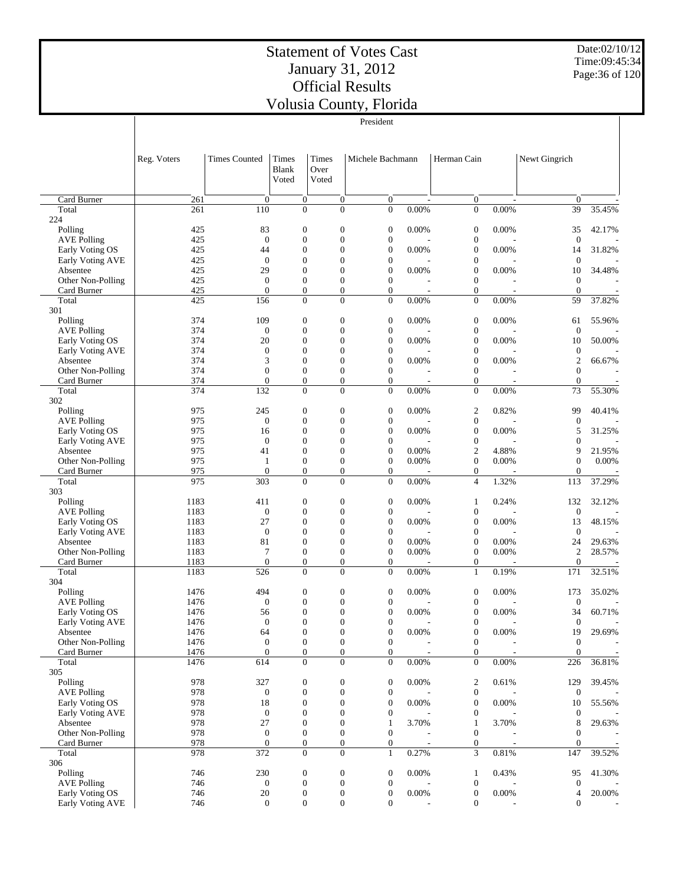#### Statement of Votes Cast January 31, 2012 Official Results Volu

Date:02/10/12 Time:09:45:34 Page:36 of 120

| usia County, Florida |  |
|----------------------|--|
|                      |  |

|                               | President    |                        |                                      |                                    |                                    |                          |                                      |                          |                        |                  |
|-------------------------------|--------------|------------------------|--------------------------------------|------------------------------------|------------------------------------|--------------------------|--------------------------------------|--------------------------|------------------------|------------------|
|                               | Reg. Voters  | <b>Times Counted</b>   | Times<br>Blank<br>Voted              | Times<br>Over<br>Voted             | Michele Bachmann                   |                          | Herman Cain                          |                          | Newt Gingrich          |                  |
| Card Burner                   | 261          | $\boldsymbol{0}$       | 0                                    | $\boldsymbol{0}$                   | $\overline{0}$                     | $\overline{\phantom{a}}$ | $\boldsymbol{0}$                     | $\overline{\phantom{a}}$ | $\boldsymbol{0}$       |                  |
| Total                         | 261          | 110                    | $\boldsymbol{0}$                     | $\overline{0}$                     | $\overline{0}$                     | 0.00%                    | $\boldsymbol{0}$                     | 0.00%                    | 39                     | 35.45%           |
| 224                           |              |                        |                                      |                                    |                                    |                          |                                      |                          |                        |                  |
| Polling                       | 425          | 83                     | $\boldsymbol{0}$                     | $\boldsymbol{0}$                   | $\boldsymbol{0}$                   | 0.00%                    | $\boldsymbol{0}$                     | 0.00%                    | 35                     | 42.17%           |
| <b>AVE Polling</b>            | 425          | $\boldsymbol{0}$       | $\boldsymbol{0}$                     | $\overline{0}$                     | $\boldsymbol{0}$                   |                          | $\boldsymbol{0}$                     |                          | $\boldsymbol{0}$       |                  |
| Early Voting OS               | 425          | 44                     | $\boldsymbol{0}$                     | $\overline{0}$                     | $\boldsymbol{0}$                   | 0.00%                    | $\boldsymbol{0}$                     | 0.00%                    | 14                     | 31.82%           |
| Early Voting AVE              | 425          | $\boldsymbol{0}$<br>29 | $\mathbf{0}$<br>$\boldsymbol{0}$     | $\overline{0}$<br>$\overline{0}$   | $\mathbf{0}$<br>$\boldsymbol{0}$   |                          | $\boldsymbol{0}$<br>$\boldsymbol{0}$ |                          | $\mathbf 0$            | 34.48%           |
| Absentee<br>Other Non-Polling | 425<br>425   | $\boldsymbol{0}$       | $\boldsymbol{0}$                     | $\overline{0}$                     | $\mathbf{0}$                       | 0.00%                    | $\boldsymbol{0}$                     | 0.00%                    | 10<br>$\boldsymbol{0}$ |                  |
| Card Burner                   | 425          | $\mathbf{0}$           | $\boldsymbol{0}$                     | $\boldsymbol{0}$                   | $\mathbf{0}$                       |                          | $\boldsymbol{0}$                     |                          | $\overline{0}$         |                  |
| Total                         | 425          | 156                    | $\overline{0}$                       | $\overline{0}$                     | $\mathbf{0}$                       | 0.00%                    | $\boldsymbol{0}$                     | 0.00%                    | 59                     | 37.82%           |
| 301                           |              |                        |                                      |                                    |                                    |                          |                                      |                          |                        |                  |
| Polling                       | 374          | 109                    | $\boldsymbol{0}$                     | $\boldsymbol{0}$                   | $\boldsymbol{0}$                   | 0.00%                    | $\boldsymbol{0}$                     | 0.00%                    | 61                     | 55.96%           |
| <b>AVE Polling</b>            | 374          | $\boldsymbol{0}$       | $\boldsymbol{0}$                     | $\boldsymbol{0}$                   | $\boldsymbol{0}$                   |                          | $\boldsymbol{0}$                     |                          | $\boldsymbol{0}$       |                  |
| Early Voting OS               | 374          | 20                     | $\boldsymbol{0}$                     | $\overline{0}$                     | $\boldsymbol{0}$                   | 0.00%                    | $\boldsymbol{0}$                     | 0.00%                    | 10                     | 50.00%           |
| Early Voting AVE              | 374          | $\boldsymbol{0}$       | $\boldsymbol{0}$                     | $\overline{0}$                     | $\mathbf{0}$                       |                          | $\boldsymbol{0}$                     |                          | $\boldsymbol{0}$       |                  |
| Absentee                      | 374          | 3                      | $\boldsymbol{0}$                     | $\overline{0}$                     | $\boldsymbol{0}$                   | 0.00%                    | $\boldsymbol{0}$                     | 0.00%                    | $\boldsymbol{2}$       | 66.67%           |
| Other Non-Polling             | 374          | $\boldsymbol{0}$       | $\boldsymbol{0}$                     | $\boldsymbol{0}$                   | $\mathbf{0}$                       |                          | $\boldsymbol{0}$                     |                          | $\boldsymbol{0}$       |                  |
| Card Burner                   | 374          | $\theta$               | $\mathbf{0}$                         | $\overline{0}$                     | $\overline{0}$                     |                          | $\boldsymbol{0}$                     |                          | $\overline{0}$         |                  |
| Total                         | 374          | 132                    | $\boldsymbol{0}$                     | $\overline{0}$                     | $\overline{0}$                     | 0.00%                    | $\boldsymbol{0}$                     | 0.00%                    | 73                     | 55.30%           |
| 302<br>Polling                | 975          | 245                    | $\boldsymbol{0}$                     | $\boldsymbol{0}$                   | $\boldsymbol{0}$                   | 0.00%                    | $\boldsymbol{2}$                     | 0.82%                    | 99                     | 40.41%           |
| <b>AVE Polling</b>            | 975          | $\boldsymbol{0}$       | $\boldsymbol{0}$                     | $\overline{0}$                     | $\boldsymbol{0}$                   |                          | $\boldsymbol{0}$                     |                          | 0                      |                  |
| Early Voting OS               | 975          | 16                     | $\boldsymbol{0}$                     | $\overline{0}$                     | $\boldsymbol{0}$                   | 0.00%                    | $\boldsymbol{0}$                     | 0.00%                    | 5                      | 31.25%           |
| <b>Early Voting AVE</b>       | 975          | $\boldsymbol{0}$       | $\boldsymbol{0}$                     | $\overline{0}$                     | $\boldsymbol{0}$                   |                          | $\boldsymbol{0}$                     |                          | 0                      |                  |
| Absentee                      | 975          | 41                     | $\boldsymbol{0}$                     | $\overline{0}$                     | $\boldsymbol{0}$                   | 0.00%                    | $\boldsymbol{2}$                     | 4.88%                    | 9                      | 21.95%           |
| Other Non-Polling             | 975          | 1                      | $\boldsymbol{0}$                     | $\overline{0}$                     | $\boldsymbol{0}$                   | 0.00%                    | $\boldsymbol{0}$                     | 0.00%                    | $\boldsymbol{0}$       | 0.00%            |
| Card Burner                   | 975          | $\mathbf{0}$           | $\boldsymbol{0}$                     | $\boldsymbol{0}$                   | $\boldsymbol{0}$                   |                          | $\boldsymbol{0}$                     |                          | $\mathbf{0}$           |                  |
| Total                         | 975          | 303                    | $\overline{0}$                       | $\overline{0}$                     | $\mathbf{0}$                       | 0.00%                    | 4                                    | 1.32%                    | 113                    | 37.29%           |
| 303                           |              |                        |                                      |                                    |                                    |                          |                                      |                          |                        |                  |
| Polling                       | 1183         | 411                    | $\boldsymbol{0}$                     | $\boldsymbol{0}$                   | $\boldsymbol{0}$                   | 0.00%                    | 1                                    | 0.24%                    | 132                    | 32.12%           |
| <b>AVE Polling</b>            | 1183         | $\boldsymbol{0}$       | $\boldsymbol{0}$                     | $\boldsymbol{0}$                   | $\boldsymbol{0}$                   |                          | $\boldsymbol{0}$                     |                          | $\boldsymbol{0}$       |                  |
| Early Voting OS               | 1183         | 27                     | $\boldsymbol{0}$                     | $\overline{0}$                     | $\boldsymbol{0}$                   | 0.00%                    | $\boldsymbol{0}$                     | 0.00%                    | 13                     | 48.15%           |
| Early Voting AVE              | 1183         | $\boldsymbol{0}$<br>81 | $\boldsymbol{0}$<br>$\mathbf{0}$     | $\overline{0}$<br>$\overline{0}$   | $\boldsymbol{0}$<br>$\mathbf{0}$   |                          | $\boldsymbol{0}$<br>$\mathbf{0}$     |                          | $\boldsymbol{0}$       |                  |
| Absentee<br>Other Non-Polling | 1183<br>1183 | $\overline{7}$         | $\boldsymbol{0}$                     | $\boldsymbol{0}$                   | $\mathbf{0}$                       | 0.00%<br>0.00%           | $\boldsymbol{0}$                     | 0.00%<br>0.00%           | 24<br>$\overline{c}$   | 29.63%<br>28.57% |
| Card Burner                   | 1183         | $\theta$               | $\boldsymbol{0}$                     | $\overline{0}$                     | $\boldsymbol{0}$                   |                          | $\boldsymbol{0}$                     |                          | $\theta$               |                  |
| Total                         | 1183         | 526                    | $\boldsymbol{0}$                     | $\overline{0}$                     | $\theta$                           | 0.00%                    | $\mathbf{1}$                         | 0.19%                    | 171                    | 32.51%           |
| 304                           |              |                        |                                      |                                    |                                    |                          |                                      |                          |                        |                  |
| Polling                       | 1476         | 494                    | $\boldsymbol{0}$                     | $\boldsymbol{0}$                   | $\boldsymbol{0}$                   | 0.00%                    | $\boldsymbol{0}$                     | 0.00%                    | 173                    | 35.02%           |
| <b>AVE Polling</b>            | 1476         | $\boldsymbol{0}$       | $\boldsymbol{0}$                     | $\overline{0}$                     | $\boldsymbol{0}$                   |                          | $\boldsymbol{0}$                     |                          | $\mathbf{0}$           |                  |
| Early Voting OS               | 1476         | 56                     | $\boldsymbol{0}$                     | $\mathbf{0}$                       | $\overline{0}$                     | 0.00%                    | $\boldsymbol{0}$                     | 0.00%                    | 34                     | 60.71%           |
| Early Voting AVE              | 1476         | $\boldsymbol{0}$       | $\boldsymbol{0}$                     | $\mathbf{0}$                       | $\mathbf{0}$                       |                          | 0                                    |                          | $\boldsymbol{0}$       |                  |
| Absentee                      | 1476         | 64                     | $\boldsymbol{0}$                     | $\boldsymbol{0}$                   | $\boldsymbol{0}$                   | 0.00%                    | $\boldsymbol{0}$                     | 0.00%                    | 19                     | 29.69%           |
| Other Non-Polling             | 1476         | $\boldsymbol{0}$       | $\boldsymbol{0}$                     | $\boldsymbol{0}$                   | $\mathbf{0}$                       |                          | $\boldsymbol{0}$                     |                          | $\mathbf{0}$           |                  |
| Card Burner                   | 1476         | $\boldsymbol{0}$       | $\boldsymbol{0}$<br>$\boldsymbol{0}$ | $\boldsymbol{0}$<br>$\overline{0}$ | $\overline{0}$<br>$\overline{0}$   |                          | $\boldsymbol{0}$                     |                          | $\boldsymbol{0}$       |                  |
| Total<br>305                  | 1476         | 614                    |                                      |                                    |                                    | 0.00%                    | $\boldsymbol{0}$                     | 0.00%                    | 226                    | 36.81%           |
| Polling                       | 978          | 327                    | $\boldsymbol{0}$                     | $\boldsymbol{0}$                   | $\overline{0}$                     | 0.00%                    | $\boldsymbol{2}$                     | 0.61%                    | 129                    | 39.45%           |
| <b>AVE Polling</b>            | 978          | $\boldsymbol{0}$       | $\boldsymbol{0}$                     | $\boldsymbol{0}$                   | $\overline{0}$                     |                          | $\boldsymbol{0}$                     |                          | $\boldsymbol{0}$       |                  |
| Early Voting OS               | 978          | 18                     | $\boldsymbol{0}$                     | $\boldsymbol{0}$                   | $\boldsymbol{0}$                   | 0.00%                    | $\boldsymbol{0}$                     | 0.00%                    | 10                     | 55.56%           |
| Early Voting AVE              | 978          | $\boldsymbol{0}$       | $\boldsymbol{0}$                     | $\boldsymbol{0}$                   | $\boldsymbol{0}$                   |                          | $\boldsymbol{0}$                     |                          | $\theta$               |                  |
| Absentee                      | 978          | 27                     | $\boldsymbol{0}$                     | $\overline{0}$                     | 1                                  | 3.70%                    | $\mathbf{1}$                         | 3.70%                    | 8                      | 29.63%           |
| Other Non-Polling             | 978          | $\boldsymbol{0}$       | $\boldsymbol{0}$                     | $\boldsymbol{0}$                   | $\mathbf{0}$                       |                          | $\boldsymbol{0}$                     |                          | 0                      |                  |
| Card Burner                   | 978          | $\theta$               | $\boldsymbol{0}$                     | $\boldsymbol{0}$                   | $\overline{0}$                     |                          | $\boldsymbol{0}$                     | $\overline{\phantom{a}}$ | 0                      |                  |
| Total                         | 978          | 372                    | $\boldsymbol{0}$                     | $\boldsymbol{0}$                   | $\mathbf{1}$                       | 0.27%                    | 3                                    | $0.81\%$                 | 147                    | 39.52%           |
| 306                           |              |                        |                                      |                                    |                                    |                          |                                      |                          |                        |                  |
| Polling                       | 746          | 230                    | $\boldsymbol{0}$                     | $\boldsymbol{0}$                   | $\boldsymbol{0}$                   | 0.00%                    | $\mathbf{1}$                         | 0.43%                    | 95                     | 41.30%           |
| <b>AVE Polling</b>            | 746          | $\boldsymbol{0}$       | $\boldsymbol{0}$                     | $\boldsymbol{0}$                   | $\boldsymbol{0}$                   |                          | $\boldsymbol{0}$                     |                          | 0                      |                  |
| Early Voting OS               | 746          | $20\,$                 | $\boldsymbol{0}$<br>$\boldsymbol{0}$ | $\boldsymbol{0}$<br>$\overline{0}$ | $\boldsymbol{0}$<br>$\overline{0}$ | 0.00%                    | $\boldsymbol{0}$<br>$\boldsymbol{0}$ | 0.00%                    | 4                      | 20.00%           |
| Early Voting AVE              | 746          | $\mathbf{0}$           |                                      |                                    |                                    |                          |                                      |                          | $\mathbf{0}$           |                  |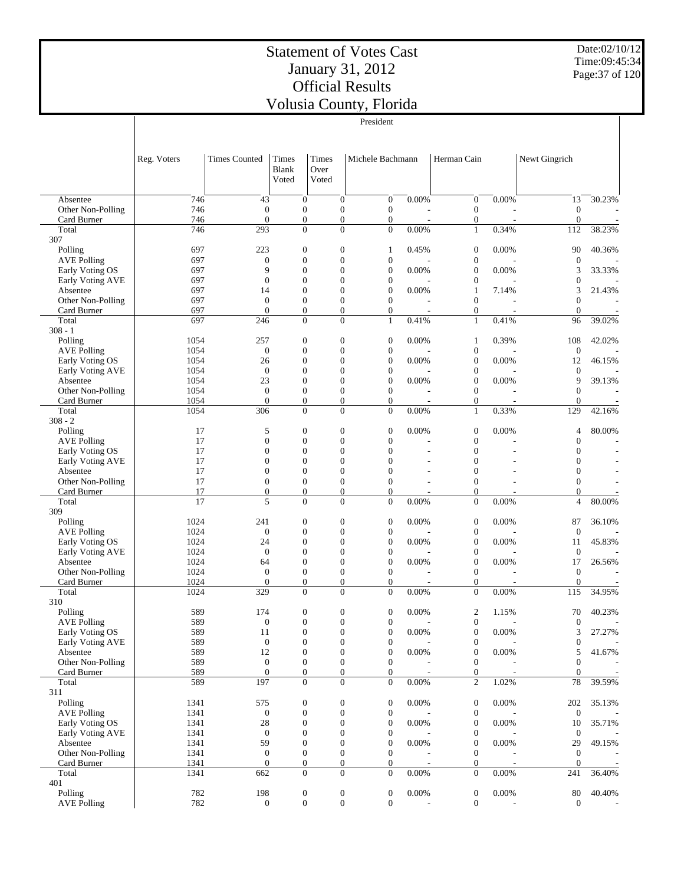Date:02/10/12 Time:09:45:34 Page:37 of 120

|                                     |              |                                  |                                  |                        |                                      | v orušia County, i romaa<br>President |                          |                                      |          |                              |                          |
|-------------------------------------|--------------|----------------------------------|----------------------------------|------------------------|--------------------------------------|---------------------------------------|--------------------------|--------------------------------------|----------|------------------------------|--------------------------|
|                                     |              |                                  |                                  |                        |                                      |                                       |                          |                                      |          |                              |                          |
|                                     | Reg. Voters  | <b>Times Counted</b>             | Times<br><b>Blank</b><br>Voted   | Times<br>Over<br>Voted |                                      | Michele Bachmann                      |                          | Herman Cain                          |          | Newt Gingrich                |                          |
| Absentee                            | 746          | 43                               | $\mathbf{0}$                     |                        | $\overline{0}$                       | $\overline{0}$                        | 0.00%                    | $\mathbf{0}$                         | 0.00%    | 13                           | 30.23%                   |
| Other Non-Polling<br>Card Burner    | 746<br>746   | $\mathbf{0}$<br>$\boldsymbol{0}$ | $\mathbf{0}$<br>$\mathbf{0}$     |                        | $\overline{0}$<br>$\mathbf{0}$       | $\mathbf{0}$<br>$\mathbf{0}$          |                          | $\boldsymbol{0}$<br>$\mathbf{0}$     |          | $\mathbf{0}$<br>$\mathbf{0}$ |                          |
| Total                               | 746          | 293                              | $\overline{0}$                   |                        | $\Omega$                             | $\overline{0}$                        | 0.00%                    | $\mathbf{1}$                         | 0.34%    | 112                          | 38.23%                   |
| 307                                 |              |                                  |                                  |                        |                                      |                                       |                          |                                      |          |                              |                          |
| Polling<br><b>AVE Polling</b>       | 697<br>697   | 223<br>$\boldsymbol{0}$          | $\mathbf{0}$<br>$\mathbf{0}$     |                        | $\overline{0}$<br>$\overline{0}$     | $\mathbf{1}$<br>$\overline{0}$        | 0.45%                    | $\boldsymbol{0}$<br>$\mathbf{0}$     | 0.00%    | 90<br>$\mathbf{0}$           | 40.36%                   |
| Early Voting OS                     | 697          | 9                                | $\mathbf{0}$                     |                        | $\mathbf{0}$                         | $\mathbf{0}$                          | 0.00%                    | $\mathbf{0}$                         | 0.00%    | 3                            | 33.33%                   |
| Early Voting AVE                    | 697          | $\mathbf{0}$                     | $\mathbf{0}$                     |                        | $\overline{0}$                       | $\overline{0}$                        |                          | $\mathbf{0}$                         |          | $\overline{0}$               |                          |
| Absentee                            | 697          | 14                               | $\overline{0}$                   |                        | $\Omega$                             | $\mathbf{0}$                          | 0.00%                    | $\mathbf{1}$                         | 7.14%    | 3                            | 21.43%                   |
| Other Non-Polling<br>Card Burner    | 697<br>697   | $\theta$<br>$\Omega$             | $\mathbf{0}$<br>$\mathbf{0}$     |                        | $\overline{0}$<br>$\overline{0}$     | $\overline{0}$<br>$\overline{0}$      | $\overline{\phantom{a}}$ | $\mathbf{0}$<br>$\mathbf{0}$         |          | $\Omega$<br>$\mathbf{0}$     |                          |
| Total                               | 697          | 246                              | $\mathbf{0}$                     |                        | $\Omega$                             | $\mathbf{1}$                          | 0.41%                    | $\mathbf{1}$                         | 0.41%    | 96                           | 39.02%                   |
| $308 - 1$                           |              |                                  |                                  |                        |                                      |                                       |                          |                                      |          |                              |                          |
| Polling                             | 1054         | 257                              | $\boldsymbol{0}$                 |                        | $\overline{0}$                       | $\mathbf{0}$                          | 0.00%                    | $\mathbf{1}$                         | 0.39%    | 108                          | 42.02%                   |
| <b>AVE Polling</b>                  | 1054<br>1054 | $\boldsymbol{0}$<br>26           | $\mathbf{0}$<br>$\mathbf{0}$     |                        | $\overline{0}$<br>$\mathbf{0}$       | $\overline{0}$<br>$\overline{0}$      | 0.00%                    | $\boldsymbol{0}$<br>$\mathbf{0}$     | 0.00%    | $\overline{0}$<br>12         | 46.15%                   |
| Early Voting OS<br>Early Voting AVE | 1054         | $\theta$                         | $\mathbf{0}$                     |                        | $\Omega$                             | $\overline{0}$                        |                          | $\mathbf{0}$                         |          | $\theta$                     |                          |
| Absentee                            | 1054         | 23                               | $\mathbf{0}$                     |                        | $\overline{0}$                       | $\mathbf{0}$                          | 0.00%                    | $\boldsymbol{0}$                     | 0.00%    | 9                            | 39.13%                   |
| Other Non-Polling                   | 1054         | $\theta$                         | $\mathbf{0}$                     |                        | $\overline{0}$                       | $\overline{0}$                        |                          | $\mathbf{0}$                         |          | $\mathbf{0}$                 |                          |
| Card Burner                         | 1054         | $\theta$                         | $\mathbf{0}$<br>$\Omega$         |                        | $\overline{0}$<br>$\Omega$           | $\mathbf{0}$                          |                          | $\boldsymbol{0}$                     |          | $\boldsymbol{0}$             |                          |
| Total<br>$308 - 2$                  | 1054         | 306                              |                                  |                        |                                      | $\Omega$                              | 0.00%                    | $\mathbf{1}$                         | 0.33%    | 129                          | 42.16%                   |
| Polling                             | 17           | 5                                | $\boldsymbol{0}$                 |                        | $\boldsymbol{0}$                     | $\boldsymbol{0}$                      | 0.00%                    | $\boldsymbol{0}$                     | 0.00%    | 4                            | 80.00%                   |
| <b>AVE Polling</b>                  | 17           | $\overline{0}$                   | $\mathbf{0}$                     |                        | $\overline{0}$                       | $\overline{0}$                        |                          | $\mathbf{0}$                         |          | $\overline{0}$               | $\overline{\phantom{a}}$ |
| Early Voting OS                     | 17           | $\overline{0}$                   | $\mathbf{0}$                     |                        | $\mathbf{0}$                         | $\Omega$                              |                          | $\mathbf{0}$                         | L,       | $\overline{0}$               |                          |
| Early Voting AVE                    | 17<br>17     | $\overline{0}$<br>$\overline{0}$ | $\mathbf{0}$<br>$\overline{0}$   |                        | $\mathbf{0}$<br>$\Omega$             | $\Omega$<br>$\Omega$                  |                          | $\mathbf{0}$<br>$\mathbf{0}$         |          | $\overline{0}$<br>$\Omega$   |                          |
| Absentee<br>Other Non-Polling       | 17           | $\overline{0}$                   | $\mathbf{0}$                     |                        | $\overline{0}$                       | $\overline{0}$                        |                          | $\mathbf{0}$                         |          | $\overline{0}$               |                          |
| Card Burner                         | 17           | $\overline{0}$                   | $\mathbf{0}$                     |                        | $\boldsymbol{0}$                     | $\overline{0}$                        |                          | $\mathbf{0}$                         |          | $\boldsymbol{0}$             |                          |
| Total                               | 17           | 5                                | $\Omega$                         |                        | $\Omega$                             | $\Omega$                              | 0.00%                    | $\Omega$                             | 0.00%    | $\overline{4}$               | 80.00%                   |
| 309                                 |              |                                  |                                  |                        |                                      |                                       |                          |                                      |          |                              |                          |
| Polling<br><b>AVE Polling</b>       | 1024<br>1024 | 241<br>$\theta$                  | $\mathbf{0}$<br>$\mathbf{0}$     |                        | $\mathbf{0}$<br>$\overline{0}$       | $\mathbf{0}$<br>$\overline{0}$        | 0.00%                    | $\mathbf{0}$<br>$\boldsymbol{0}$     | 0.00%    | 87<br>$\mathbf{0}$           | 36.10%                   |
| Early Voting OS                     | 1024         | 24                               | $\mathbf{0}$                     |                        | $\mathbf{0}$                         | $\mathbf{0}$                          | 0.00%                    | $\mathbf{0}$                         | 0.00%    | 11                           | 45.83%                   |
| Early Voting AVE                    | 1024         | $\theta$                         | $\overline{0}$                   |                        | $\Omega$                             | $\overline{0}$                        |                          | $\mathbf{0}$                         |          | $\mathbf{0}$                 |                          |
| Absentee                            | 1024         | 64                               | $\mathbf{0}$                     |                        | $\Omega$                             | $\overline{0}$                        | 0.00%                    | $\boldsymbol{0}$                     | 0.00%    | 17                           | 26.56%                   |
| Other Non-Polling<br>Card Burner    | 1024<br>1024 | $\theta$<br>$\theta$             | $\mathbf{0}$<br>$\boldsymbol{0}$ |                        | $\overline{0}$<br>$\boldsymbol{0}$   | $\overline{0}$<br>$\boldsymbol{0}$    |                          | $\mathbf{0}$<br>$\boldsymbol{0}$     |          | $\theta$<br>$\mathbf{0}$     |                          |
| Total                               | 1024         | 329                              | $\Omega$                         |                        | $\Omega$                             | $\theta$                              | 0.00%                    | $\mathbf{0}$                         | 0.00%    | 115                          | 34.95%                   |
| 310                                 |              |                                  |                                  |                        |                                      |                                       |                          |                                      |          |                              |                          |
| Polling                             | 589          | 174                              | $\boldsymbol{0}$                 |                        | $\boldsymbol{0}$                     | $\boldsymbol{0}$                      | $0.00\%$                 | $\boldsymbol{2}$                     | 1.15%    | 70                           | 40.23%                   |
| <b>AVE Polling</b>                  | 589          | $\boldsymbol{0}$                 | $\boldsymbol{0}$<br>$\mathbf{0}$ |                        | $\boldsymbol{0}$<br>$\mathbf{0}$     | $\boldsymbol{0}$<br>$\mathbf{0}$      |                          | $\boldsymbol{0}$<br>$\boldsymbol{0}$ |          | $\boldsymbol{0}$             | 27.27%                   |
| Early Voting OS<br>Early Voting AVE | 589<br>589   | 11<br>$\boldsymbol{0}$           | $\boldsymbol{0}$                 |                        | $\boldsymbol{0}$                     | $\mathbf{0}$                          | 0.00%                    | $\boldsymbol{0}$                     | $0.00\%$ | 3<br>0                       |                          |
| Absentee                            | 589          | 12                               | $\boldsymbol{0}$                 |                        | $\mathbf{0}$                         | $\boldsymbol{0}$                      | 0.00%                    | $\boldsymbol{0}$                     | 0.00%    | 5                            | 41.67%                   |
| Other Non-Polling                   | 589          | $\boldsymbol{0}$                 | $\mathbf{0}$                     |                        | $\mathbf{0}$                         | $\mathbf{0}$                          |                          | $\boldsymbol{0}$                     |          | $\overline{0}$               |                          |
| Card Burner                         | 589          | $\boldsymbol{0}$                 | $\mathbf{0}$                     |                        | $\mathbf{0}$                         | $\mathbf{0}$                          | $\overline{\phantom{a}}$ | $\mathbf{0}$                         |          | $\mathbf{0}$                 | $\overline{\phantom{a}}$ |
| Total<br>311                        | 589          | 197                              | $\overline{0}$                   |                        | $\Omega$                             | $\overline{0}$                        | 0.00%                    | $\overline{c}$                       | 1.02%    | 78                           | 39.59%                   |
| Polling                             | 1341         | 575                              | $\boldsymbol{0}$                 |                        | $\mathbf{0}$                         | $\mathbf{0}$                          | 0.00%                    | $\boldsymbol{0}$                     | 0.00%    | 202                          | 35.13%                   |
| <b>AVE Polling</b>                  | 1341         | $\boldsymbol{0}$                 | $\mathbf{0}$                     |                        | $\overline{0}$                       | $\mathbf{0}$                          |                          | $\mathbf{0}$                         |          | $\mathbf{0}$                 |                          |
| Early Voting OS                     | 1341         | 28                               | $\boldsymbol{0}$                 |                        | $\mathbf{0}$                         | $\mathbf{0}$                          | 0.00%                    | $\boldsymbol{0}$                     | 0.00%    | 10                           | 35.71%                   |
| Early Voting AVE                    | 1341         | $\boldsymbol{0}$                 | $\mathbf{0}$                     |                        | $\mathbf{0}$                         | $\mathbf{0}$                          |                          | $\mathbf{0}$                         |          | $\mathbf{0}$                 |                          |
| Absentee<br>Other Non-Polling       | 1341<br>1341 | 59<br>$\boldsymbol{0}$           | $\boldsymbol{0}$<br>$\mathbf{0}$ |                        | $\overline{0}$<br>$\overline{0}$     | $\boldsymbol{0}$<br>$\mathbf{0}$      | 0.00%                    | $\boldsymbol{0}$<br>$\mathbf{0}$     | 0.00%    | 29<br>$\mathbf{0}$           | 49.15%                   |
| Card Burner                         | 1341         | $\boldsymbol{0}$                 | $\boldsymbol{0}$                 |                        | $\mathbf{0}$                         | $\mathbf{0}$                          |                          | $\mathbf{0}$                         |          | $\mathbf{0}$                 |                          |
| Total                               | 1341         | 662                              | $\boldsymbol{0}$                 |                        | $\overline{0}$                       | $\overline{0}$                        | 0.00%                    | $\boldsymbol{0}$                     | $0.00\%$ | 241                          | 36.40%                   |
| 401                                 |              |                                  |                                  |                        |                                      |                                       |                          |                                      |          |                              |                          |
| Polling<br><b>AVE Polling</b>       | 782<br>782   | 198<br>$\mathbf{0}$              | $\boldsymbol{0}$<br>$\mathbf{0}$ |                        | $\boldsymbol{0}$<br>$\boldsymbol{0}$ | $\mathbf{0}$<br>$\mathbf{0}$          | 0.00%                    | $\boldsymbol{0}$<br>$\mathbf{0}$     | 0.00%    | 80<br>$\overline{0}$         | 40.40%                   |
|                                     |              |                                  |                                  |                        |                                      |                                       |                          |                                      |          |                              |                          |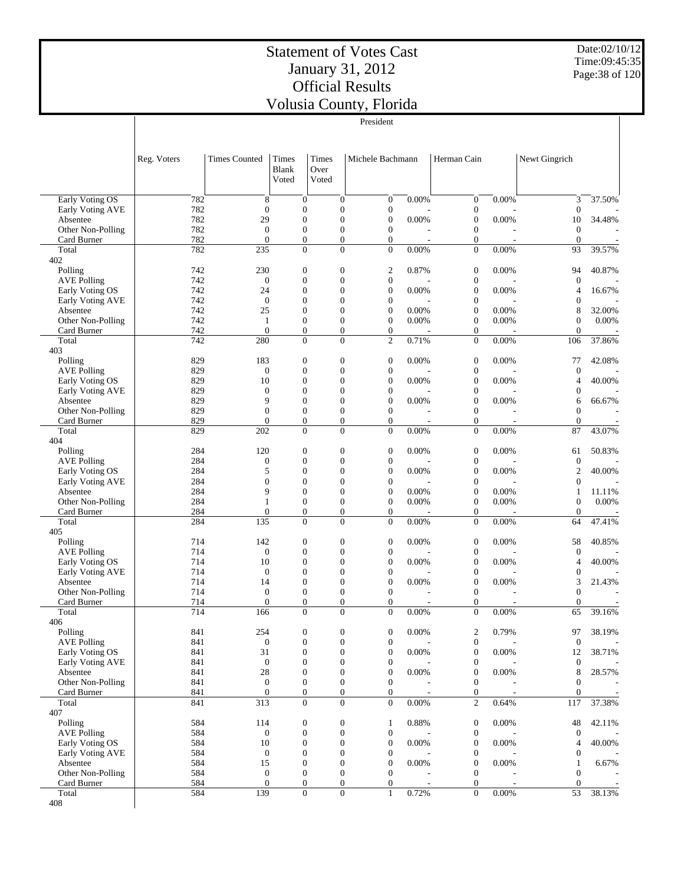Date:02/10/12 Time:09:45:35 Page:38 of 120

|                                     |             |                                  |                                  |                        |                                      | President                            |       |                                      |                |                                  |                          |
|-------------------------------------|-------------|----------------------------------|----------------------------------|------------------------|--------------------------------------|--------------------------------------|-------|--------------------------------------|----------------|----------------------------------|--------------------------|
|                                     | Reg. Voters | <b>Times Counted</b>             | Times<br>Blank<br>Voted          | Times<br>Over<br>Voted |                                      | Michele Bachmann                     |       | Herman Cain                          |                | Newt Gingrich                    |                          |
| <b>Early Voting OS</b>              | 782         | 8                                | $\overline{0}$                   |                        | $\mathbf{0}$                         | $\boldsymbol{0}$                     | 0.00% | $\boldsymbol{0}$                     | 0.00%          | 3                                | 37.50%                   |
| Early Voting AVE                    | 782         | $\mathbf{0}$                     | $\mathbf{0}$<br>$\mathbf{0}$     |                        | $\boldsymbol{0}$<br>$\overline{0}$   | $\boldsymbol{0}$<br>$\overline{0}$   |       | $\boldsymbol{0}$                     |                | $\theta$                         |                          |
| Absentee<br>Other Non-Polling       | 782<br>782  | 29<br>$\boldsymbol{0}$           | $\mathbf{0}$                     |                        | $\boldsymbol{0}$                     | $\boldsymbol{0}$                     | 0.00% | $\boldsymbol{0}$<br>$\boldsymbol{0}$ | 0.00%          | 10<br>$\overline{0}$             | 34.48%                   |
| Card Burner                         | 782         | $\mathbf{0}$                     | $\mathbf{0}$                     |                        | $\boldsymbol{0}$                     | $\overline{0}$                       |       | $\boldsymbol{0}$                     | $\overline{a}$ | $\overline{0}$                   | $\overline{\phantom{a}}$ |
| Total                               | 782         | 235                              | $\mathbf{0}$                     |                        | $\overline{0}$                       | $\theta$                             | 0.00% | $\boldsymbol{0}$                     | 0.00%          | 93                               | 39.57%                   |
| 402                                 |             |                                  |                                  |                        |                                      |                                      |       |                                      |                |                                  |                          |
| Polling<br><b>AVE Polling</b>       | 742<br>742  | 230<br>$\theta$                  | $\mathbf{0}$<br>$\mathbf{0}$     |                        | $\boldsymbol{0}$<br>$\mathbf{0}$     | $\mathfrak{2}$<br>$\theta$           | 0.87% | $\boldsymbol{0}$<br>$\boldsymbol{0}$ | 0.00%          | 94<br>$\theta$                   | 40.87%                   |
| Early Voting OS                     | 742         | 24                               | $\boldsymbol{0}$                 |                        | $\boldsymbol{0}$                     | $\mathbf{0}$                         | 0.00% | $\boldsymbol{0}$                     | 0.00%          | $\overline{4}$                   | 16.67%                   |
| Early Voting AVE                    | 742         | $\boldsymbol{0}$                 | $\mathbf{0}$                     |                        | $\overline{0}$                       | $\overline{0}$                       |       | $\boldsymbol{0}$                     |                | $\overline{0}$                   |                          |
| Absentee                            | 742         | 25                               | $\boldsymbol{0}$                 |                        | $\mathbf{0}$                         | $\mathbf{0}$                         | 0.00% | $\boldsymbol{0}$                     | 0.00%          | 8                                | 32.00%                   |
| Other Non-Polling                   | 742         | $\mathbf{1}$                     | $\boldsymbol{0}$                 |                        | $\boldsymbol{0}$                     | $\overline{0}$                       | 0.00% | $\boldsymbol{0}$                     | 0.00%          | $\mathbf{0}$                     | 0.00%                    |
| Card Burner                         | 742         | $\theta$                         | $\mathbf{0}$                     |                        | $\boldsymbol{0}$                     | $\mathbf{0}$                         |       | $\boldsymbol{0}$                     |                | $\overline{0}$                   |                          |
| Total<br>403                        | 742         | 280                              | $\mathbf{0}$                     |                        | $\overline{0}$                       | $\overline{2}$                       | 0.71% | $\boldsymbol{0}$                     | $0.00\%$       | 106                              | 37.86%                   |
| Polling                             | 829         | 183                              | $\mathbf{0}$                     |                        | $\boldsymbol{0}$                     | $\boldsymbol{0}$                     | 0.00% | $\boldsymbol{0}$                     | 0.00%          | 77                               | 42.08%                   |
| <b>AVE Polling</b>                  | 829         | $\theta$                         | $\mathbf{0}$                     |                        | $\boldsymbol{0}$                     | $\boldsymbol{0}$                     |       | $\boldsymbol{0}$                     |                | $\theta$                         |                          |
| Early Voting OS                     | 829         | 10                               | $\mathbf{0}$                     |                        | $\overline{0}$                       | $\overline{0}$                       | 0.00% | $\boldsymbol{0}$                     | 0.00%          | $\overline{4}$                   | 40.00%                   |
| Early Voting AVE                    | 829         | $\boldsymbol{0}$                 | $\mathbf{0}$                     |                        | $\mathbf{0}$                         | $\mathbf{0}$                         |       | $\boldsymbol{0}$                     |                | $\theta$                         |                          |
| Absentee                            | 829         | 9                                | $\mathbf{0}$                     |                        | $\overline{0}$                       | $\overline{0}$                       | 0.00% | $\boldsymbol{0}$                     | 0.00%          | 6                                | 66.67%                   |
| Other Non-Polling<br>Card Burner    | 829<br>829  | $\mathbf{0}$<br>$\mathbf{0}$     | $\mathbf{0}$<br>$\mathbf{0}$     |                        | $\boldsymbol{0}$<br>$\boldsymbol{0}$ | $\theta$<br>$\theta$                 | ٠     | $\boldsymbol{0}$<br>$\boldsymbol{0}$ | ÷,             | $\overline{0}$<br>$\overline{0}$ |                          |
| Total                               | 829         | 202                              | $\mathbf{0}$                     |                        | $\overline{0}$                       | $\theta$                             | 0.00% | $\boldsymbol{0}$                     | 0.00%          | 87                               | 43.07%                   |
| 404                                 |             |                                  |                                  |                        |                                      |                                      |       |                                      |                |                                  |                          |
| Polling                             | 284         | 120                              | $\mathbf{0}$                     |                        | $\boldsymbol{0}$                     | $\mathbf{0}$                         | 0.00% | $\boldsymbol{0}$                     | 0.00%          | 61                               | 50.83%                   |
| <b>AVE Polling</b>                  | 284         | $\mathbf{0}$                     | $\mathbf{0}$                     |                        | $\mathbf{0}$                         | $\overline{0}$                       |       | $\boldsymbol{0}$                     |                | $\mathbf{0}$                     |                          |
| Early Voting OS<br>Early Voting AVE | 284<br>284  | 5<br>$\mathbf{0}$                | $\boldsymbol{0}$<br>$\mathbf{0}$ |                        | $\boldsymbol{0}$<br>$\overline{0}$   | $\mathbf{0}$<br>$\overline{0}$       | 0.00% | $\boldsymbol{0}$<br>$\boldsymbol{0}$ | 0.00%          | $\overline{2}$<br>$\overline{0}$ | 40.00%                   |
| Absentee                            | 284         | 9                                | $\boldsymbol{0}$                 |                        | $\boldsymbol{0}$                     | $\boldsymbol{0}$                     | 0.00% | $\mathbf{0}$                         | 0.00%          | $\mathbf{1}$                     | 11.11%                   |
| Other Non-Polling                   | 284         | 1                                | $\boldsymbol{0}$                 |                        | $\boldsymbol{0}$                     | $\overline{0}$                       | 0.00% | $\mathbf{0}$                         | 0.00%          | $\overline{0}$                   | 0.00%                    |
| Card Burner                         | 284         | $\mathbf{0}$                     | $\mathbf{0}$                     |                        | $\boldsymbol{0}$                     | $\overline{0}$                       |       | $\mathbf{0}$                         |                | $\overline{0}$                   |                          |
| Total<br>405                        | 284         | 135                              | $\mathbf{0}$                     |                        | $\overline{0}$                       | $\overline{0}$                       | 0.00% | $\mathbf{0}$                         | 0.00%          | 64                               | 47.41%                   |
| Polling                             | 714         | 142                              | $\mathbf{0}$                     |                        | $\boldsymbol{0}$                     | $\mathbf{0}$                         | 0.00% | $\mathbf{0}$                         | 0.00%          | 58                               | 40.85%                   |
| <b>AVE Polling</b>                  | 714         | $\boldsymbol{0}$                 | $\boldsymbol{0}$                 |                        | $\boldsymbol{0}$                     | $\mathbf{0}$                         |       | $\mathbf{0}$                         |                | $\theta$                         |                          |
| Early Voting OS                     | 714         | 10                               | $\mathbf{0}$                     |                        | $\overline{0}$                       | $\overline{0}$                       | 0.00% | $\boldsymbol{0}$                     | 0.00%          | $\overline{4}$                   | 40.00%                   |
| Early Voting AVE                    | 714         | $\boldsymbol{0}$                 | $\mathbf{0}$                     |                        | $\mathbf{0}$                         | $\mathbf{0}$                         |       | $\mathbf{0}$                         |                | $\theta$                         |                          |
| Absentee                            | 714         | 14                               | $\mathbf{0}$                     |                        | $\overline{0}$                       | $\overline{0}$                       | 0.00% | $\boldsymbol{0}$                     | 0.00%          | 3                                | 21.43%                   |
| Other Non-Polling<br>Card Burner    | 714<br>714  | $\boldsymbol{0}$<br>$\mathbf{0}$ | $\boldsymbol{0}$<br>$\mathbf{0}$ |                        | $\boldsymbol{0}$<br>$\mathbf{0}$     | $\theta$<br>$\overline{0}$           |       | $\boldsymbol{0}$<br>$\mathbf{0}$     |                | $\overline{0}$<br>$\overline{0}$ |                          |
| Total                               | 714         | 166                              | $\boldsymbol{0}$                 |                        | $\boldsymbol{0}$                     | $\mathbf{0}$                         | 0.00% | $\boldsymbol{0}$                     | 0.00%          | 65                               | 39.16%                   |
| 406                                 |             |                                  |                                  |                        |                                      |                                      |       |                                      |                |                                  |                          |
| Polling                             | 841         | 254                              | $\boldsymbol{0}$                 |                        | $\boldsymbol{0}$                     | $\mathbf{0}$                         | 0.00% | $\boldsymbol{2}$                     | 0.79%          | 97                               | 38.19%                   |
| <b>AVE Polling</b>                  | 841         | $\boldsymbol{0}$                 | $\mathbf{0}$                     |                        | $\boldsymbol{0}$                     | $\boldsymbol{0}$                     |       | $\boldsymbol{0}$                     |                | $\boldsymbol{0}$                 |                          |
| Early Voting OS                     | 841         | 31                               | $\mathbf{0}$                     |                        | $\boldsymbol{0}$                     | $\boldsymbol{0}$                     | 0.00% | $\boldsymbol{0}$                     | 0.00%          | 12                               | 38.71%                   |
| Early Voting AVE<br>Absentee        | 841<br>841  | $\boldsymbol{0}$<br>28           | $\boldsymbol{0}$<br>$\mathbf{0}$ |                        | $\boldsymbol{0}$<br>$\boldsymbol{0}$ | $\boldsymbol{0}$<br>$\boldsymbol{0}$ | 0.00% | $\boldsymbol{0}$<br>$\boldsymbol{0}$ | 0.00%          | $\mathbf{0}$<br>8                | 28.57%                   |
| Other Non-Polling                   | 841         | $\boldsymbol{0}$                 | $\boldsymbol{0}$                 |                        | $\boldsymbol{0}$                     | $\boldsymbol{0}$                     |       | $\boldsymbol{0}$                     |                | $\mathbf{0}$                     |                          |
| Card Burner                         | 841         | $\boldsymbol{0}$                 | $\mathbf{0}$                     |                        | $\boldsymbol{0}$                     | $\mathbf{0}$                         |       | $\boldsymbol{0}$                     |                | $\mathbf{0}$                     |                          |
| Total                               | 841         | 313                              | $\mathbf{0}$                     |                        | $\overline{0}$                       | $\theta$                             | 0.00% | $\overline{2}$                       | 0.64%          | 117                              | 37.38%                   |
| 407                                 |             |                                  |                                  |                        |                                      |                                      |       |                                      |                |                                  |                          |
| Polling<br><b>AVE Polling</b>       | 584<br>584  | 114<br>$\boldsymbol{0}$          | $\boldsymbol{0}$<br>$\mathbf{0}$ |                        | $\boldsymbol{0}$<br>$\boldsymbol{0}$ | $\mathbf{1}$<br>$\boldsymbol{0}$     | 0.88% | $\boldsymbol{0}$<br>$\boldsymbol{0}$ | 0.00%          | 48<br>$\mathbf{0}$               | 42.11%                   |
| Early Voting OS                     | 584         | 10                               | $\mathbf{0}$                     |                        | $\boldsymbol{0}$                     | $\mathbf{0}$                         | 0.00% | $\boldsymbol{0}$                     | 0.00%          | $\overline{4}$                   | 40.00%                   |
| Early Voting AVE                    | 584         | $\boldsymbol{0}$                 | $\mathbf{0}$                     |                        | $\boldsymbol{0}$                     | $\boldsymbol{0}$                     |       | $\boldsymbol{0}$                     |                | $\mathbf{0}$                     |                          |
| Absentee                            | 584         | 15                               | $\boldsymbol{0}$                 |                        | $\boldsymbol{0}$                     | $\mathbf{0}$                         | 0.00% | $\boldsymbol{0}$                     | 0.00%          | $\mathbf{1}$                     | 6.67%                    |
| Other Non-Polling                   | 584         | $\boldsymbol{0}$                 | $\mathbf{0}$                     |                        | $\boldsymbol{0}$                     | $\mathbf{0}$                         |       | $\boldsymbol{0}$                     |                | $\overline{0}$                   |                          |
| Card Burner                         | 584         | $\mathbf{0}$                     | $\mathbf{0}$                     |                        | $\boldsymbol{0}$                     | $\mathbf{0}$                         |       | $\boldsymbol{0}$                     |                | $\overline{0}$                   |                          |
| Total<br>408                        | 584         | 139                              | $\boldsymbol{0}$                 |                        | $\overline{0}$                       | $\mathbf{1}$                         | 0.72% | $\boldsymbol{0}$                     | 0.00%          | 53                               | 38.13%                   |
|                                     |             |                                  |                                  |                        |                                      |                                      |       |                                      |                |                                  |                          |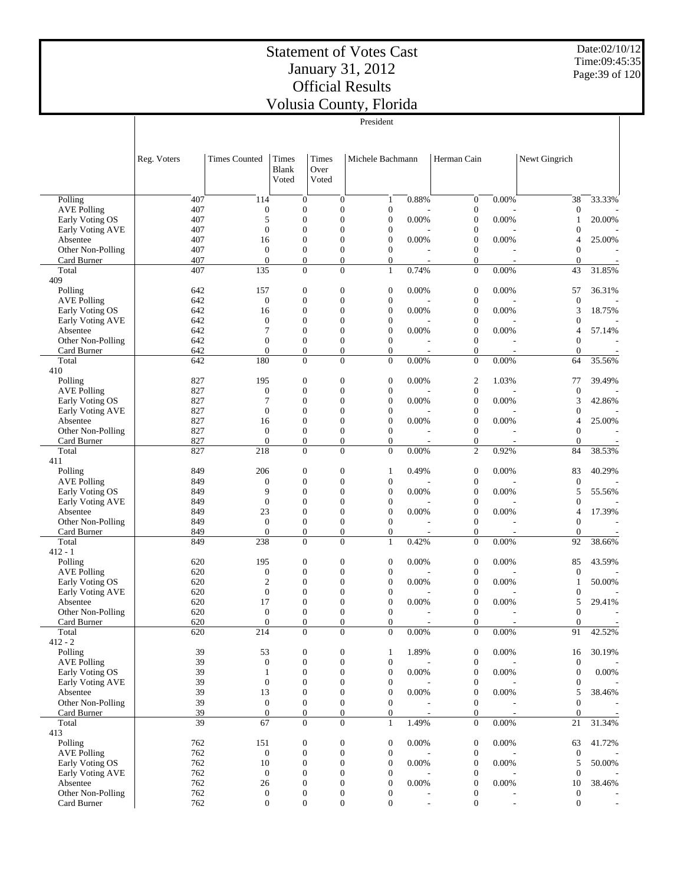Date:02/10/12 Time:09:45:35 Page:39 of 120

|                                       |             |                                    |                                      |                        |                                  | President                            |                |                                      |                          |                        |                          |
|---------------------------------------|-------------|------------------------------------|--------------------------------------|------------------------|----------------------------------|--------------------------------------|----------------|--------------------------------------|--------------------------|------------------------|--------------------------|
|                                       | Reg. Voters | <b>Times Counted</b>               | Times<br>Blank<br>Voted              | Times<br>Over<br>Voted |                                  | Michele Bachmann                     |                | Herman Cain                          |                          | Newt Gingrich          |                          |
| Polling                               | 407         | 114                                | $\mathbf{0}$                         |                        | $\overline{0}$                   | $\mathbf{1}$                         | 0.88%          | $\boldsymbol{0}$                     | 0.00%                    | 38                     | 33.33%                   |
| <b>AVE Polling</b>                    | 407<br>407  | $\boldsymbol{0}$<br>5              | $\boldsymbol{0}$<br>$\mathbf{0}$     |                        | $\mathbf{0}$<br>$\overline{0}$   | $\boldsymbol{0}$<br>$\boldsymbol{0}$ | 0.00%          | $\boldsymbol{0}$<br>$\boldsymbol{0}$ | 0.00%                    | $\boldsymbol{0}$       | 20.00%                   |
| Early Voting OS<br>Early Voting AVE   | 407         | $\overline{0}$                     | $\boldsymbol{0}$                     |                        | $\overline{0}$                   | $\boldsymbol{0}$                     |                | $\boldsymbol{0}$                     |                          | 1<br>$\mathbf{0}$      |                          |
| Absentee                              | 407         | 16                                 | $\mathbf{0}$                         |                        | $\Omega$                         | $\boldsymbol{0}$                     | 0.00%          | $\boldsymbol{0}$                     | 0.00%                    | 4                      | 25.00%                   |
| Other Non-Polling                     | 407         | $\overline{0}$                     | $\boldsymbol{0}$                     |                        | $\mathbf{0}$                     | $\overline{0}$                       |                | $\boldsymbol{0}$                     |                          | $\overline{0}$         |                          |
| Card Burner                           | 407<br>407  | $\overline{0}$<br>135              | $\boldsymbol{0}$                     |                        | $\boldsymbol{0}$<br>$\Omega$     | $\mathbf{0}$                         | 0.74%          | $\boldsymbol{0}$                     | 0.00%                    | $\overline{0}$         |                          |
| Total<br>409                          |             |                                    | $\boldsymbol{0}$                     |                        |                                  | $\mathbf{1}$                         |                | $\boldsymbol{0}$                     |                          | 43                     | 31.85%                   |
| Polling                               | 642         | 157                                | $\boldsymbol{0}$                     |                        | $\mathbf{0}$                     | $\boldsymbol{0}$                     | 0.00%          | $\boldsymbol{0}$                     | 0.00%                    | 57                     | 36.31%                   |
| <b>AVE Polling</b>                    | 642         | $\overline{0}$                     | $\boldsymbol{0}$                     |                        | $\mathbf{0}$                     | $\boldsymbol{0}$                     |                | $\boldsymbol{0}$                     |                          | $\boldsymbol{0}$       |                          |
| Early Voting OS                       | 642         | 16                                 | $\boldsymbol{0}$                     |                        | $\mathbf{0}$                     | $\boldsymbol{0}$                     | 0.00%          | $\boldsymbol{0}$                     | 0.00%                    | 3                      | 18.75%                   |
| Early Voting AVE                      | 642         | $\overline{0}$                     | $\mathbf{0}$                         |                        | $\overline{0}$<br>$\overline{0}$ | $\boldsymbol{0}$                     |                | $\boldsymbol{0}$                     |                          | $\mathbf{0}$           |                          |
| Absentee<br>Other Non-Polling         | 642<br>642  | 7<br>$\overline{0}$                | $\boldsymbol{0}$<br>$\boldsymbol{0}$ |                        | $\mathbf{0}$                     | $\boldsymbol{0}$<br>$\boldsymbol{0}$ | 0.00%          | $\boldsymbol{0}$<br>$\boldsymbol{0}$ | 0.00%                    | 4<br>$\overline{0}$    | 57.14%                   |
| Card Burner                           | 642         | $\overline{0}$                     | $\boldsymbol{0}$                     |                        | $\mathbf{0}$                     | $\boldsymbol{0}$                     |                | $\boldsymbol{0}$                     |                          | $\overline{0}$         |                          |
| Total                                 | 642         | 180                                | $\mathbf{0}$                         |                        | $\Omega$                         | $\overline{0}$                       | 0.00%          | $\overline{0}$                       | 0.00%                    | 64                     | 35.56%                   |
| 410                                   |             |                                    |                                      |                        |                                  |                                      |                |                                      |                          |                        |                          |
| Polling<br><b>AVE Polling</b>         | 827<br>827  | 195<br>$\boldsymbol{0}$            | $\boldsymbol{0}$<br>$\boldsymbol{0}$ |                        | $\boldsymbol{0}$<br>$\mathbf{0}$ | $\boldsymbol{0}$<br>$\boldsymbol{0}$ | 0.00%          | $\boldsymbol{2}$<br>$\boldsymbol{0}$ | 1.03%                    | 77<br>$\boldsymbol{0}$ | 39.49%                   |
| Early Voting OS                       | 827         | 7                                  | $\mathbf{0}$                         |                        | $\overline{0}$                   | $\boldsymbol{0}$                     | 0.00%          | $\boldsymbol{0}$                     | 0.00%                    | 3                      | 42.86%                   |
| Early Voting AVE                      | 827         | $\overline{0}$                     | $\boldsymbol{0}$                     |                        | $\mathbf{0}$                     | $\boldsymbol{0}$                     |                | $\boldsymbol{0}$                     |                          | $\overline{0}$         |                          |
| Absentee                              | 827         | 16                                 | $\mathbf{0}$                         |                        | $\overline{0}$                   | $\boldsymbol{0}$                     | 0.00%          | $\boldsymbol{0}$                     | 0.00%                    | 4                      | 25.00%                   |
| Other Non-Polling                     | 827         | $\overline{0}$                     | $\boldsymbol{0}$                     |                        | $\mathbf{0}$                     | $\overline{0}$                       |                | $\boldsymbol{0}$                     |                          | $\overline{0}$         |                          |
| Card Burner                           | 827         | $\overline{0}$                     | $\boldsymbol{0}$                     |                        | $\boldsymbol{0}$                 | $\overline{0}$                       |                | $\boldsymbol{0}$                     |                          | $\boldsymbol{0}$       |                          |
| Total<br>411                          | 827         | 218                                | $\mathbf{0}$                         |                        | $\Omega$                         | $\Omega$                             | 0.00%          | $\overline{c}$                       | 0.92%                    | 84                     | 38.53%                   |
| Polling                               | 849         | 206                                | $\boldsymbol{0}$                     |                        | $\mathbf{0}$                     | 1                                    | 0.49%          | $\boldsymbol{0}$                     | 0.00%                    | 83                     | 40.29%                   |
| <b>AVE Polling</b>                    | 849         | $\overline{0}$                     | $\boldsymbol{0}$                     |                        | $\mathbf{0}$                     | $\boldsymbol{0}$                     |                | $\boldsymbol{0}$                     |                          | $\mathbf{0}$           |                          |
| Early Voting OS                       | 849         | 9                                  | $\boldsymbol{0}$                     |                        | $\mathbf{0}$                     | $\boldsymbol{0}$                     | 0.00%          | $\boldsymbol{0}$                     | 0.00%                    | 5                      | 55.56%                   |
| Early Voting AVE                      | 849         | $\overline{0}$                     | $\mathbf{0}$                         |                        | $\overline{0}$                   | $\boldsymbol{0}$                     |                | $\boldsymbol{0}$                     |                          | $\mathbf{0}$           |                          |
| Absentee<br>Other Non-Polling         | 849<br>849  | 23<br>$\overline{0}$               | $\boldsymbol{0}$<br>$\boldsymbol{0}$ |                        | $\overline{0}$<br>$\mathbf{0}$   | $\boldsymbol{0}$<br>$\overline{0}$   | 0.00%          | $\boldsymbol{0}$<br>$\boldsymbol{0}$ | 0.00%                    | 4<br>$\overline{0}$    | 17.39%                   |
| Card Burner                           | 849         | $\boldsymbol{0}$                   | $\boldsymbol{0}$                     |                        | $\mathbf{0}$                     | $\boldsymbol{0}$                     |                | $\boldsymbol{0}$                     |                          | $\mathbf{0}$           |                          |
| Total                                 | 849         | 238                                | $\mathbf{0}$                         |                        | $\Omega$                         | $\mathbf{1}$                         | 0.42%          | $\boldsymbol{0}$                     | 0.00%                    | 92                     | 38.66%                   |
| $412 - 1$                             |             |                                    |                                      |                        |                                  |                                      |                |                                      |                          |                        |                          |
| Polling                               | 620         | 195                                | $\boldsymbol{0}$                     |                        | $\boldsymbol{0}$                 | $\boldsymbol{0}$                     | 0.00%          | $\boldsymbol{0}$                     | 0.00%                    | 85                     | 43.59%                   |
| <b>AVE Polling</b><br>Early Voting OS | 620<br>620  | $\boldsymbol{0}$<br>$\overline{c}$ | $\boldsymbol{0}$<br>$\mathbf{0}$     |                        | $\mathbf{0}$<br>$\overline{0}$   | $\boldsymbol{0}$<br>$\boldsymbol{0}$ | 0.00%          | $\boldsymbol{0}$<br>$\boldsymbol{0}$ | 0.00%                    | $\boldsymbol{0}$<br>1  | 50.00%                   |
| Early Voting AVE                      | 620         | $\boldsymbol{0}$                   | $\boldsymbol{0}$                     |                        | $\overline{0}$                   | $\boldsymbol{0}$                     |                | $\boldsymbol{0}$                     |                          | $\overline{0}$         |                          |
| Absentee                              | 620         | 17                                 | $\mathbf{0}$                         |                        | $\overline{0}$                   | $\overline{0}$                       | 0.00%          | $\mathbf{0}$                         | 0.00%                    | 5                      | 29.41%                   |
| Other Non-Polling                     | 620         | $\boldsymbol{0}$                   | $\boldsymbol{0}$                     |                        | $\boldsymbol{0}$                 | $\boldsymbol{0}$                     |                | $\boldsymbol{0}$                     |                          | $\boldsymbol{0}$       |                          |
| Card Burner                           | 620         | $\boldsymbol{0}$                   | $\mathbf{0}$                         |                        | $\mathbf{0}$                     | $\boldsymbol{0}$                     | $0.00\%$       | $\boldsymbol{0}$                     |                          | $\mathbf{0}$           | $\overline{a}$           |
| Total<br>$412 - 2$                    | 620         | 214                                | $\Omega$                             |                        | $\Omega$                         | $\Omega$                             |                | $\overline{0}$                       | 0.00%                    | 91                     | 42.52%                   |
| Polling                               | 39          | 53                                 | $\boldsymbol{0}$                     |                        | $\boldsymbol{0}$                 | $\mathbf{1}$                         | 1.89%          | $\boldsymbol{0}$                     | 0.00%                    | 16                     | 30.19%                   |
| <b>AVE Polling</b>                    | 39          | $\mathbf{0}$                       | $\mathbf{0}$                         |                        | $\overline{0}$                   | $\boldsymbol{0}$                     |                | $\boldsymbol{0}$                     |                          | $\overline{0}$         |                          |
| Early Voting OS                       | 39          | 1                                  | $\boldsymbol{0}$                     |                        | $\overline{0}$                   | $\boldsymbol{0}$                     | 0.00%          | $\boldsymbol{0}$                     | 0.00%                    | $\overline{0}$         | 0.00%                    |
| Early Voting AVE                      | 39          | $\overline{0}$                     | $\mathbf{0}$                         |                        | $\mathbf{0}$                     | $\boldsymbol{0}$                     |                | $\boldsymbol{0}$                     |                          | $\Omega$               |                          |
| Absentee<br>Other Non-Polling         | 39<br>39    | 13<br>$\boldsymbol{0}$             | $\boldsymbol{0}$<br>$\boldsymbol{0}$ |                        | $\mathbf{0}$<br>$\overline{0}$   | $\boldsymbol{0}$<br>$\theta$         | 0.00%          | $\boldsymbol{0}$<br>$\boldsymbol{0}$ | 0.00%                    | 5<br>$\Omega$          | 38.46%                   |
| Card Burner                           | 39          | $\boldsymbol{0}$                   | $\boldsymbol{0}$                     |                        | $\mathbf{0}$                     | $\boldsymbol{0}$                     |                | $\boldsymbol{0}$                     |                          | $\theta$               | $\overline{\phantom{a}}$ |
| Total                                 | 39          | 67                                 | $\boldsymbol{0}$                     |                        | $\overline{0}$                   | $\mathbf{1}$                         | 1.49%          | $\boldsymbol{0}$                     | 0.00%                    | 21                     | 31.34%                   |
| 413                                   |             |                                    |                                      |                        |                                  |                                      |                |                                      |                          |                        |                          |
| Polling                               | 762         | 151                                | $\boldsymbol{0}$                     |                        | $\mathbf{0}$                     | $\boldsymbol{0}$                     | 0.00%          | $\boldsymbol{0}$                     | 0.00%                    | 63                     | 41.72%                   |
| <b>AVE Polling</b>                    | 762<br>762  | $\mathbf{0}$<br>10                 | $\mathbf{0}$<br>$\boldsymbol{0}$     |                        | $\mathbf{0}$<br>$\mathbf{0}$     | $\boldsymbol{0}$<br>$\boldsymbol{0}$ | 0.00%          | $\boldsymbol{0}$<br>$\boldsymbol{0}$ | 0.00%                    | $\boldsymbol{0}$<br>5  | 50.00%                   |
| Early Voting OS<br>Early Voting AVE   | 762         | $\boldsymbol{0}$                   | $\boldsymbol{0}$                     |                        | $\mathbf{0}$                     | $\boldsymbol{0}$                     |                | $\boldsymbol{0}$                     |                          | $\theta$               |                          |
| Absentee                              | 762         | 26                                 | $\boldsymbol{0}$                     |                        | $\theta$                         | $\overline{0}$                       | 0.00%          | $\boldsymbol{0}$                     | 0.00%                    | 10                     | 38.46%                   |
| Other Non-Polling                     | 762         | $\boldsymbol{0}$                   | $\boldsymbol{0}$                     |                        | $\mathbf{0}$                     | $\boldsymbol{0}$                     |                | $\boldsymbol{0}$                     |                          | $\boldsymbol{0}$       |                          |
| Card Burner                           | 762         | $\boldsymbol{0}$                   | $\mathbf{0}$                         |                        | $\mathbf{0}$                     | $\boldsymbol{0}$                     | $\blacksquare$ | $\boldsymbol{0}$                     | $\overline{\phantom{a}}$ | $\mathbf{0}$           |                          |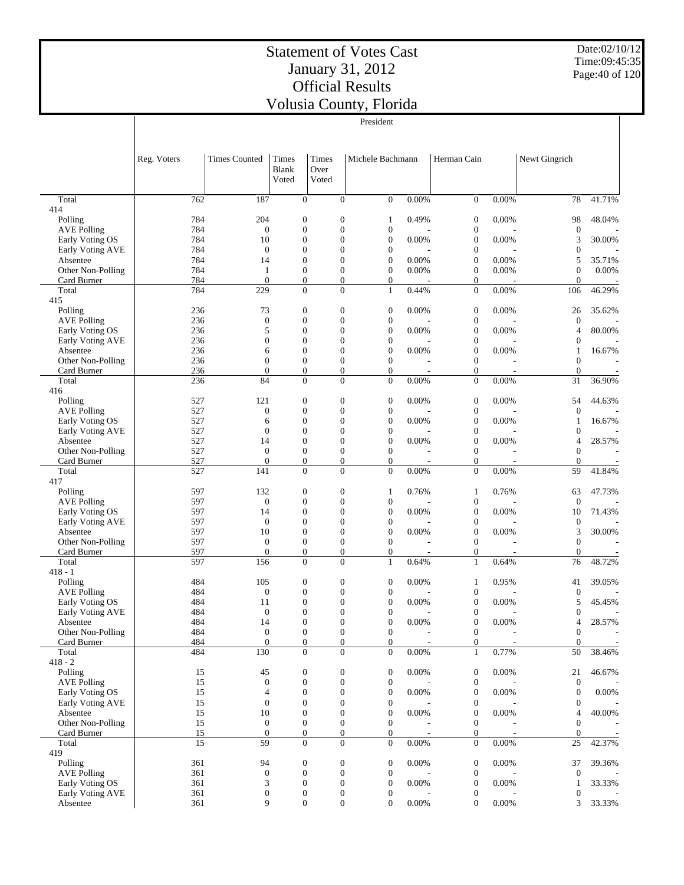Date:02/10/12 Time:09:45:35 Page:40 of 120

|                                       |                       |                                     |                                    |                        |                                      | President                            |                          |                                      |                          |                              |                          |
|---------------------------------------|-----------------------|-------------------------------------|------------------------------------|------------------------|--------------------------------------|--------------------------------------|--------------------------|--------------------------------------|--------------------------|------------------------------|--------------------------|
|                                       | Reg. Voters           | <b>Times Counted</b>                | Times<br><b>Blank</b><br>Voted     | Times<br>Over<br>Voted |                                      | Michele Bachmann                     |                          | Herman Cain                          |                          | Newt Gingrich                |                          |
| Total                                 | 762                   | 187                                 | $\mathbf{0}$                       |                        | $\overline{0}$                       | $\overline{0}$                       | 0.00%                    | $\boldsymbol{0}$                     | 0.00%                    | 78                           | 41.71%                   |
| 414                                   |                       |                                     |                                    |                        |                                      |                                      |                          |                                      |                          |                              |                          |
| Polling                               | 784                   | 204                                 | $\boldsymbol{0}$                   |                        | $\boldsymbol{0}$                     | 1                                    | 0.49%                    | $\boldsymbol{0}$                     | 0.00%                    | 98                           | 48.04%                   |
| <b>AVE Polling</b>                    | 784                   | $\boldsymbol{0}$                    | $\boldsymbol{0}$                   |                        | $\boldsymbol{0}$                     | $\boldsymbol{0}$                     |                          | $\boldsymbol{0}$                     |                          | $\mathbf{0}$                 |                          |
| Early Voting OS<br>Early Voting AVE   | 784<br>784            | 10<br>$\boldsymbol{0}$              | $\theta$<br>$\boldsymbol{0}$       |                        | $\overline{0}$<br>$\overline{0}$     | $\overline{0}$<br>$\overline{0}$     | 0.00%                    | $\boldsymbol{0}$<br>$\boldsymbol{0}$ | 0.00%                    | 3<br>$\mathbf{0}$            | 30.00%                   |
| Absentee                              | 784                   | 14                                  | $\theta$                           |                        | $\overline{0}$                       | $\boldsymbol{0}$                     | 0.00%                    | $\boldsymbol{0}$                     | 0.00%                    | 5                            | 35.71%                   |
| Other Non-Polling                     | 784                   | $\mathbf{1}$                        | $\boldsymbol{0}$                   |                        | $\boldsymbol{0}$                     | $\boldsymbol{0}$                     | 0.00%                    | $\boldsymbol{0}$                     | 0.00%                    | $\mathbf{0}$                 | 0.00%                    |
| Card Burner                           | 784                   | $\theta$                            | $\mathbf{0}$                       |                        | $\boldsymbol{0}$                     | $\mathbf{0}$                         |                          | $\boldsymbol{0}$                     |                          | $\boldsymbol{0}$             |                          |
| Total                                 | 784                   | 229                                 | $\mathbf{0}$                       |                        | $\overline{0}$                       | 1                                    | 0.44%                    | $\boldsymbol{0}$                     | 0.00%                    | 106                          | 46.29%                   |
| 415                                   | 236                   | 73                                  | $\boldsymbol{0}$                   |                        | $\boldsymbol{0}$                     | $\boldsymbol{0}$                     |                          | $\mathbf{0}$                         |                          | 26                           | 35.62%                   |
| Polling<br><b>AVE Polling</b>         | 236                   | $\boldsymbol{0}$                    | $\mathbf{0}$                       |                        | $\overline{0}$                       | $\theta$                             | 0.00%                    | $\boldsymbol{0}$                     | 0.00%                    | $\mathbf{0}$                 |                          |
| Early Voting OS                       | 236                   | 5                                   | $\boldsymbol{0}$                   |                        | $\boldsymbol{0}$                     | $\boldsymbol{0}$                     | 0.00%                    | $\boldsymbol{0}$                     | 0.00%                    | $\overline{4}$               | 80.00%                   |
| Early Voting AVE                      | 236                   | $\boldsymbol{0}$                    | $\overline{0}$                     |                        | $\overline{0}$                       | $\overline{0}$                       |                          | $\boldsymbol{0}$                     |                          | $\theta$                     |                          |
| Absentee                              | 236                   | 6                                   | $\boldsymbol{0}$                   |                        | $\boldsymbol{0}$                     | $\boldsymbol{0}$                     | 0.00%                    | $\boldsymbol{0}$                     | 0.00%                    | 1                            | 16.67%                   |
| Other Non-Polling                     | 236                   | $\boldsymbol{0}$                    | $\boldsymbol{0}$                   |                        | $\boldsymbol{0}$                     | $\mathbf{0}$                         |                          | $\boldsymbol{0}$                     |                          | $\overline{0}$               |                          |
| Card Burner                           | 236                   | $\mathbf{0}$<br>$\overline{84}$     | $\boldsymbol{0}$<br>$\mathbf{0}$   |                        | $\boldsymbol{0}$<br>$\overline{0}$   | $\boldsymbol{0}$<br>$\overline{0}$   | 0.00%                    | $\boldsymbol{0}$<br>$\boldsymbol{0}$ | 0.00%                    | $\theta$<br>31               |                          |
| Total<br>416                          | 236                   |                                     |                                    |                        |                                      |                                      |                          |                                      |                          |                              | 36.90%                   |
| Polling                               | 527                   | 121                                 | $\boldsymbol{0}$                   |                        | $\boldsymbol{0}$                     | $\boldsymbol{0}$                     | 0.00%                    | $\boldsymbol{0}$                     | 0.00%                    | 54                           | 44.63%                   |
| <b>AVE Polling</b>                    | 527                   | $\boldsymbol{0}$                    | $\boldsymbol{0}$                   |                        | $\boldsymbol{0}$                     | $\boldsymbol{0}$                     |                          | $\boldsymbol{0}$                     |                          | $\theta$                     |                          |
| Early Voting OS                       | 527                   | 6                                   | $\overline{0}$                     |                        | $\overline{0}$                       | $\overline{0}$                       | 0.00%                    | $\boldsymbol{0}$                     | 0.00%                    | 1                            | 16.67%                   |
| Early Voting AVE                      | 527                   | $\boldsymbol{0}$                    | $\boldsymbol{0}$                   |                        | $\overline{0}$                       | $\boldsymbol{0}$                     |                          | $\boldsymbol{0}$                     |                          | $\theta$                     |                          |
| Absentee                              | 527                   | 14                                  | $\overline{0}$                     |                        | $\overline{0}$                       | $\overline{0}$                       | 0.00%                    | $\boldsymbol{0}$                     | 0.00%                    | 4                            | 28.57%                   |
| Other Non-Polling                     | 527<br>527            | $\boldsymbol{0}$<br>$\theta$        | $\mathbf{0}$<br>$\mathbf{0}$       |                        | $\boldsymbol{0}$<br>$\boldsymbol{0}$ | $\theta$<br>$\theta$                 | ٠                        | $\boldsymbol{0}$<br>$\boldsymbol{0}$ | ÷                        | $\theta$<br>$\boldsymbol{0}$ |                          |
| Card Burner<br>Total                  | 527                   | 141                                 | $\boldsymbol{0}$                   |                        | $\boldsymbol{0}$                     | $\overline{0}$                       | 0.00%                    | $\boldsymbol{0}$                     | 0.00%                    | 59                           | 41.84%                   |
| 417                                   |                       |                                     |                                    |                        |                                      |                                      |                          |                                      |                          |                              |                          |
| Polling                               | 597                   | 132                                 | $\boldsymbol{0}$                   |                        | $\boldsymbol{0}$                     | 1                                    | 0.76%                    | 1                                    | 0.76%                    | 63                           | 47.73%                   |
| <b>AVE Polling</b>                    | 597                   | $\boldsymbol{0}$                    | $\mathbf{0}$                       |                        | $\boldsymbol{0}$                     | $\boldsymbol{0}$                     |                          | $\mathbf{0}$                         |                          | $\theta$                     |                          |
| Early Voting OS                       | 597                   | 14                                  | $\boldsymbol{0}$                   |                        | $\boldsymbol{0}$                     | $\boldsymbol{0}$                     | 0.00%                    | $\boldsymbol{0}$                     | 0.00%                    | 10                           | 71.43%                   |
| Early Voting AVE<br>Absentee          | 597<br>597            | $\theta$<br>10                      | $\overline{0}$<br>$\boldsymbol{0}$ |                        | $\overline{0}$<br>$\boldsymbol{0}$   | $\boldsymbol{0}$<br>$\boldsymbol{0}$ | 0.00%                    | $\boldsymbol{0}$<br>$\boldsymbol{0}$ | 0.00%                    | $\mathbf{0}$<br>3            | 30.00%                   |
| Other Non-Polling                     | 597                   | $\boldsymbol{0}$                    | $\boldsymbol{0}$                   |                        | $\boldsymbol{0}$                     | $\mathbf{0}$                         |                          | $\boldsymbol{0}$                     |                          | $\theta$                     |                          |
| Card Burner                           | 597                   | $\boldsymbol{0}$                    | $\mathbf{0}$                       |                        | $\boldsymbol{0}$                     | $\mathbf{0}$                         | ٠                        | $\boldsymbol{0}$                     |                          | $\theta$                     |                          |
| Total                                 | 597                   | 156                                 | $\overline{0}$                     |                        | $\overline{0}$                       | $\mathbf{1}$                         | 0.64%                    | $\mathbf{1}$                         | 0.64%                    | 76                           | 48.72%                   |
| $418 - 1$                             |                       |                                     |                                    |                        |                                      |                                      |                          |                                      |                          |                              |                          |
| Polling                               | 484                   | 105                                 | $\boldsymbol{0}$                   |                        | $\boldsymbol{0}$                     | $\boldsymbol{0}$                     | 0.00%                    | 1                                    | 0.95%                    | 41                           | 39.05%                   |
| <b>AVE Polling</b><br>Early Voting OS | 484<br>484            | $\boldsymbol{0}$<br>11              | $\boldsymbol{0}$<br>$\mathbf{0}$   |                        | $\boldsymbol{0}$<br>$\mathbf{0}$     | $\boldsymbol{0}$<br>$\overline{0}$   | 0.00%                    | $\mathbf{0}$<br>$\boldsymbol{0}$     | 0.00%                    | $\mathbf 0$<br>5             | 45.45%                   |
| Early Voting AVE                      | 484                   | $\boldsymbol{0}$                    | $\boldsymbol{0}$                   |                        | $\boldsymbol{0}$                     | $\boldsymbol{0}$                     |                          | $\boldsymbol{0}$                     |                          | 0                            |                          |
| Absentee                              | 484                   | 14                                  | $\boldsymbol{0}$                   |                        | $\boldsymbol{0}$                     | $\boldsymbol{0}$                     | 0.00%                    | $\boldsymbol{0}$                     | 0.00%                    | 4                            | 28.57%                   |
| Other Non-Polling                     | 484                   | $\mathbf{0}$                        | $\mathbf{0}$                       |                        | $\boldsymbol{0}$                     | $\mathbf{0}$                         |                          | $\boldsymbol{0}$                     |                          | $\overline{0}$               |                          |
| Card Burner                           | 484                   | $\boldsymbol{0}$                    | $\mathbf{0}$                       |                        | $\boldsymbol{0}$                     | $\overline{0}$                       | $\overline{\phantom{a}}$ | $\boldsymbol{0}$                     | $\overline{\phantom{a}}$ | $\overline{0}$               | $\overline{\phantom{a}}$ |
| Total                                 | 484                   | 130                                 | $\boldsymbol{0}$                   |                        | $\boldsymbol{0}$                     | $\overline{0}$                       | $0.00\%$                 | $\mathbf{1}$                         | 0.77%                    | 50                           | 38.46%                   |
| $418 - 2$<br>Polling                  | 15                    | 45                                  | $\boldsymbol{0}$                   |                        | $\boldsymbol{0}$                     | $\mathbf{0}$                         | $0.00\%$                 | $\boldsymbol{0}$                     | 0.00%                    | 21                           | 46.67%                   |
| <b>AVE Polling</b>                    | 15                    | $\boldsymbol{0}$                    | $\mathbf{0}$                       |                        | $\boldsymbol{0}$                     | $\mathbf{0}$                         |                          | $\mathbf{0}$                         |                          | $\boldsymbol{0}$             |                          |
| Early Voting OS                       | 15                    | $\overline{4}$                      | $\mathbf{0}$                       |                        | $\boldsymbol{0}$                     | $\mathbf{0}$                         | 0.00%                    | $\boldsymbol{0}$                     | 0.00%                    | $\boldsymbol{0}$             | $0.00\%$                 |
| Early Voting AVE                      | 15                    | $\boldsymbol{0}$                    | $\boldsymbol{0}$                   |                        | $\boldsymbol{0}$                     | $\boldsymbol{0}$                     |                          | $\mathbf{0}$                         |                          | $\boldsymbol{0}$             |                          |
| Absentee                              | 15                    | 10                                  | $\boldsymbol{0}$                   |                        | $\mathbf{0}$                         | $\mathbf{0}$                         | 0.00%                    | $\boldsymbol{0}$                     | 0.00%                    | $\overline{4}$               | 40.00%                   |
| Other Non-Polling                     | 15                    | $\boldsymbol{0}$                    | $\mathbf{0}$                       |                        | $\mathbf{0}$                         | $\mathbf{0}$                         |                          | $\mathbf{0}$                         |                          | $\overline{0}$               |                          |
| Card Burner<br>Total                  | 15<br>$\overline{15}$ | $\boldsymbol{0}$<br>$\overline{59}$ | $\mathbf{0}$<br>$\boldsymbol{0}$   |                        | $\boldsymbol{0}$<br>$\overline{0}$   | $\mathbf{0}$<br>$\overline{0}$       | 0.00%                    | $\mathbf{0}$<br>$\boldsymbol{0}$     | $0.00\%$                 | $\boldsymbol{0}$<br>25       | 42.37%                   |
| 419                                   |                       |                                     |                                    |                        |                                      |                                      |                          |                                      |                          |                              |                          |
| Polling                               | 361                   | 94                                  | $\mathbf{0}$                       |                        | $\boldsymbol{0}$                     | $\mathbf{0}$                         | 0.00%                    | $\boldsymbol{0}$                     | 0.00%                    | 37                           | 39.36%                   |
| <b>AVE Polling</b>                    | 361                   | $\boldsymbol{0}$                    | $\mathbf{0}$                       |                        | $\boldsymbol{0}$                     | $\mathbf{0}$                         |                          | $\boldsymbol{0}$                     |                          | $\boldsymbol{0}$             |                          |
| Early Voting OS                       | 361                   | 3                                   | $\mathbf{0}$                       |                        | $\mathbf{0}$                         | $\boldsymbol{0}$                     | 0.00%                    | $\boldsymbol{0}$                     | 0.00%                    | 1                            | 33.33%                   |
| Early Voting AVE                      | 361                   | $\boldsymbol{0}$                    | $\boldsymbol{0}$                   |                        | $\boldsymbol{0}$                     | $\mathbf{0}$                         |                          | $\boldsymbol{0}$                     |                          | $\boldsymbol{0}$             |                          |
| Absentee                              | 361                   | 9                                   | $\boldsymbol{0}$                   |                        | $\boldsymbol{0}$                     | $\overline{0}$                       | 0.00%                    | $\boldsymbol{0}$                     | $0.00\%$                 | 3                            | 33.33%                   |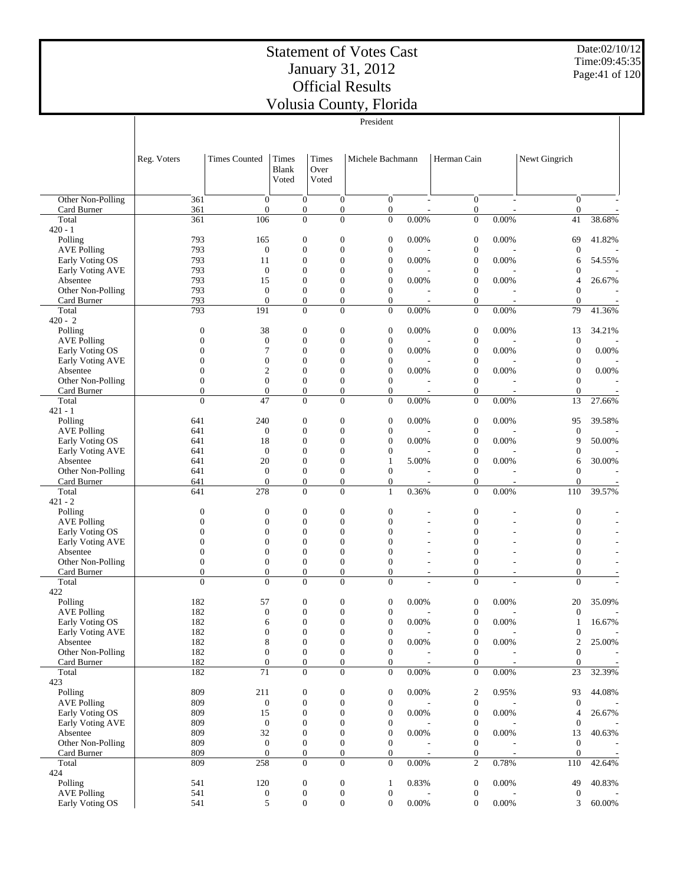Date:02/10/12 Time:09:45:35 Page:41 of 120

|                                       |                                      |                                      |                                      |                                      | President                            |       |                                      |          |                                    |                          |
|---------------------------------------|--------------------------------------|--------------------------------------|--------------------------------------|--------------------------------------|--------------------------------------|-------|--------------------------------------|----------|------------------------------------|--------------------------|
|                                       |                                      |                                      |                                      |                                      |                                      |       |                                      |          |                                    |                          |
|                                       |                                      |                                      |                                      |                                      |                                      |       |                                      |          |                                    |                          |
|                                       | Reg. Voters                          | <b>Times Counted</b>                 | Times<br><b>Blank</b>                | Times<br>Over                        | Michele Bachmann                     |       | Herman Cain                          |          | Newt Gingrich                      |                          |
|                                       |                                      |                                      | Voted                                | Voted                                |                                      |       |                                      |          |                                    |                          |
| Other Non-Polling                     | 361                                  | $\mathbf{0}$                         | $\overline{0}$                       | $\theta$                             | $\overline{0}$                       |       | $\boldsymbol{0}$                     | ÷        | $\overline{0}$                     |                          |
| Card Burner                           | 361                                  | $\boldsymbol{0}$                     | $\boldsymbol{0}$                     | $\boldsymbol{0}$                     | $\boldsymbol{0}$                     |       | $\boldsymbol{0}$                     | L,       | $\mathbf{0}$                       |                          |
| Total                                 | 361                                  | 106                                  | $\overline{0}$                       | $\overline{0}$                       | $\overline{0}$                       | 0.00% | $\boldsymbol{0}$                     | 0.00%    | 41                                 | 38.68%                   |
| $420 - 1$<br>Polling                  | 793                                  | 165                                  | $\boldsymbol{0}$                     | $\boldsymbol{0}$                     | 0                                    | 0.00% | $\boldsymbol{0}$                     | 0.00%    | 69                                 | 41.82%                   |
| <b>AVE Polling</b>                    | 793                                  | $\boldsymbol{0}$                     | $\mathbf{0}$                         | $\boldsymbol{0}$                     | $\boldsymbol{0}$                     |       | $\boldsymbol{0}$                     |          | $\theta$                           |                          |
| Early Voting OS<br>Early Voting AVE   | 793<br>793                           | 11<br>$\theta$                       | $\mathbf{0}$<br>$\mathbf{0}$         | $\boldsymbol{0}$<br>$\overline{0}$   | $\boldsymbol{0}$<br>$\boldsymbol{0}$ | 0.00% | $\boldsymbol{0}$<br>$\boldsymbol{0}$ | 0.00%    | 6<br>$\overline{0}$                | 54.55%                   |
| Absentee                              | 793                                  | 15                                   | $\mathbf{0}$                         | $\overline{0}$                       | $\boldsymbol{0}$                     | 0.00% | $\boldsymbol{0}$                     | 0.00%    | 4                                  | 26.67%                   |
| Other Non-Polling                     | 793<br>793                           | $\theta$                             | $\mathbf{0}$                         | $\boldsymbol{0}$                     | $\overline{0}$                       |       | $\boldsymbol{0}$                     |          | $\overline{0}$                     |                          |
| Card Burner<br>Total                  | 793                                  | $\theta$<br>191                      | $\boldsymbol{0}$<br>$\overline{0}$   | $\overline{0}$<br>$\overline{0}$     | $\boldsymbol{0}$<br>$\overline{0}$   | 0.00% | $\boldsymbol{0}$<br>$\boldsymbol{0}$ | 0.00%    | $\overline{0}$<br>79               | 41.36%                   |
| $420 - 2$                             |                                      |                                      |                                      |                                      |                                      |       |                                      |          |                                    |                          |
| Polling<br><b>AVE Polling</b>         | $\boldsymbol{0}$<br>$\boldsymbol{0}$ | 38<br>$\boldsymbol{0}$               | $\boldsymbol{0}$<br>$\mathbf{0}$     | $\boldsymbol{0}$<br>$\boldsymbol{0}$ | $\boldsymbol{0}$<br>$\boldsymbol{0}$ | 0.00% | $\boldsymbol{0}$<br>$\boldsymbol{0}$ | 0.00%    | 13<br>$\boldsymbol{0}$             | 34.21%                   |
| Early Voting OS                       | $\mathbf{0}$                         | 7                                    | $\mathbf{0}$                         | $\boldsymbol{0}$                     | $\overline{0}$                       | 0.00% | $\boldsymbol{0}$                     | 0.00%    | $\overline{0}$                     | 0.00%                    |
| Early Voting AVE                      | $\mathbf{0}$                         | $\overline{0}$                       | $\mathbf{0}$                         | $\boldsymbol{0}$                     | $\boldsymbol{0}$                     |       | $\boldsymbol{0}$                     |          | $\theta$                           |                          |
| Absentee<br>Other Non-Polling         | $\boldsymbol{0}$<br>$\boldsymbol{0}$ | $\overline{2}$<br>$\mathbf{0}$       | $\mathbf{0}$<br>$\mathbf{0}$         | $\overline{0}$<br>$\boldsymbol{0}$   | $\boldsymbol{0}$<br>$\overline{0}$   | 0.00% | $\boldsymbol{0}$<br>$\boldsymbol{0}$ | 0.00%    | $\mathbf{0}$<br>$\overline{0}$     | 0.00%                    |
| Card Burner                           | $\mathbf{0}$                         | $\boldsymbol{0}$                     | $\boldsymbol{0}$                     | $\boldsymbol{0}$                     | $\boldsymbol{0}$                     |       | $\boldsymbol{0}$                     |          | $\boldsymbol{0}$                   | $\overline{\phantom{a}}$ |
| Total<br>$421 - 1$                    | $\theta$                             | 47                                   | $\overline{0}$                       | $\overline{0}$                       | $\overline{0}$                       | 0.00% | $\mathbf{0}$                         | 0.00%    | 13                                 | 27.66%                   |
| Polling                               | 641                                  | 240                                  | $\boldsymbol{0}$                     | $\boldsymbol{0}$                     | 0                                    | 0.00% | $\boldsymbol{0}$                     | 0.00%    | 95                                 | 39.58%                   |
| <b>AVE Polling</b>                    | 641                                  | $\theta$                             | $\mathbf{0}$                         | $\boldsymbol{0}$                     | $\boldsymbol{0}$                     |       | $\boldsymbol{0}$                     |          | $\boldsymbol{0}$                   |                          |
| Early Voting OS<br>Early Voting AVE   | 641<br>641                           | 18<br>$\theta$                       | $\mathbf{0}$<br>$\mathbf{0}$         | $\boldsymbol{0}$<br>$\overline{0}$   | $\boldsymbol{0}$<br>$\boldsymbol{0}$ | 0.00% | $\boldsymbol{0}$<br>$\boldsymbol{0}$ | 0.00%    | 9<br>$\mathbf{0}$                  | 50.00%                   |
| Absentee                              | 641                                  | 20                                   | $\mathbf{0}$                         | $\overline{0}$                       | $\mathbf{1}$                         | 5.00% | $\boldsymbol{0}$                     | 0.00%    | 6                                  | 30.00%                   |
| Other Non-Polling<br>Card Burner      | 641<br>641                           | $\theta$<br>$\boldsymbol{0}$         | $\mathbf{0}$<br>$\boldsymbol{0}$     | $\boldsymbol{0}$<br>$\boldsymbol{0}$ | $\overline{0}$<br>$\boldsymbol{0}$   |       | $\boldsymbol{0}$<br>$\boldsymbol{0}$ |          | $\overline{0}$<br>$\boldsymbol{0}$ | ÷,                       |
| Total                                 | 641                                  | 278                                  | $\theta$                             | $\overline{0}$                       | $\mathbf{1}$                         | 0.36% | $\mathbf{0}$                         | 0.00%    | 110                                | 39.57%                   |
| $421 - 2$                             |                                      |                                      |                                      |                                      |                                      |       |                                      |          |                                    |                          |
| Polling<br><b>AVE Polling</b>         | $\boldsymbol{0}$<br>$\boldsymbol{0}$ | $\boldsymbol{0}$<br>$\theta$         | $\boldsymbol{0}$<br>$\mathbf{0}$     | $\boldsymbol{0}$<br>$\boldsymbol{0}$ | $\boldsymbol{0}$<br>$\overline{0}$   |       | $\boldsymbol{0}$<br>$\overline{0}$   |          | $\boldsymbol{0}$<br>$\mathbf{0}$   |                          |
| Early Voting OS                       | $\boldsymbol{0}$                     | $\overline{0}$                       | $\mathbf{0}$                         | $\boldsymbol{0}$                     | $\overline{0}$                       |       | $\overline{0}$                       |          | $\overline{0}$                     |                          |
| Early Voting AVE                      | $\boldsymbol{0}$<br>$\mathbf{0}$     | $\theta$<br>$\overline{0}$           | $\mathbf{0}$<br>$\mathbf{0}$         | $\overline{0}$<br>$\overline{0}$     | $\overline{0}$<br>$\theta$           |       | $\overline{0}$<br>$\overline{0}$     |          | $\overline{0}$<br>$\overline{0}$   |                          |
| Absentee<br>Other Non-Polling         | $\boldsymbol{0}$                     | $\mathbf{0}$                         | $\mathbf{0}$                         | $\overline{0}$                       | $\overline{0}$                       |       | $\mathbf{0}$                         |          | $\mathbf{0}$                       |                          |
| Card Burner                           | $\mathbf{0}$                         | $\mathbf{0}$                         | $\boldsymbol{0}$                     | $\overline{0}$                       | $\boldsymbol{0}$                     | ÷,    | $\boldsymbol{0}$                     | ÷,       | $\boldsymbol{0}$                   |                          |
| Total<br>422                          | $\theta$                             | $\Omega$                             | $\overline{0}$                       | $\overline{0}$                       | $\Omega$                             |       | $\mathbf{0}$                         |          | $\Omega$                           |                          |
| Polling                               | 182                                  | 57                                   | $\boldsymbol{0}$                     | $\boldsymbol{0}$                     | 0                                    | 0.00% | $\boldsymbol{0}$                     | 0.00%    | 20                                 | 35.09%                   |
| AVE Polling                           | 182                                  | $\boldsymbol{0}$                     | $\boldsymbol{0}$                     | $\boldsymbol{0}$                     | $\boldsymbol{0}$                     |       | $\boldsymbol{0}$                     |          | $\overline{0}$                     |                          |
| Early Voting OS<br>Early Voting AVE   | 182<br>182                           | 6<br>$\mathbf{0}$                    | $\boldsymbol{0}$<br>$\boldsymbol{0}$ | $\boldsymbol{0}$<br>$\boldsymbol{0}$ | $\boldsymbol{0}$<br>$\boldsymbol{0}$ | 0.00% | $\boldsymbol{0}$<br>$\boldsymbol{0}$ | 0.00%    | $\mathbf{1}$<br>$\boldsymbol{0}$   | 16.67%                   |
| Absentee                              | 182                                  | $\,$ 8 $\,$                          | $\boldsymbol{0}$                     | $\boldsymbol{0}$                     | $\boldsymbol{0}$                     | 0.00% | $\boldsymbol{0}$                     | 0.00%    | $\boldsymbol{2}$                   | 25.00%                   |
| Other Non-Polling<br>Card Burner      | 182<br>182                           | $\boldsymbol{0}$<br>$\boldsymbol{0}$ | $\boldsymbol{0}$<br>$\boldsymbol{0}$ | $\boldsymbol{0}$<br>$\boldsymbol{0}$ | $\boldsymbol{0}$<br>$\boldsymbol{0}$ |       | $\boldsymbol{0}$<br>$\boldsymbol{0}$ |          | $\mathbf{0}$<br>$\boldsymbol{0}$   |                          |
| Total                                 | 182                                  | 71                                   | $\boldsymbol{0}$                     | $\boldsymbol{0}$                     | $\boldsymbol{0}$                     | 0.00% | $\boldsymbol{0}$                     | $0.00\%$ | 23                                 | 32.39%                   |
| 423                                   |                                      |                                      |                                      |                                      |                                      |       |                                      |          |                                    |                          |
| Polling<br><b>AVE Polling</b>         | 809<br>809                           | 211<br>$\boldsymbol{0}$              | $\boldsymbol{0}$<br>$\boldsymbol{0}$ | $\boldsymbol{0}$<br>$\boldsymbol{0}$ | $\boldsymbol{0}$<br>$\boldsymbol{0}$ | 0.00% | $\boldsymbol{2}$<br>$\boldsymbol{0}$ | 0.95%    | 93<br>$\boldsymbol{0}$             | 44.08%                   |
| Early Voting OS                       | 809                                  | 15                                   | $\boldsymbol{0}$                     | $\boldsymbol{0}$                     | $\boldsymbol{0}$                     | 0.00% | $\boldsymbol{0}$                     | 0.00%    | $\overline{4}$                     | 26.67%                   |
| Early Voting AVE<br>Absentee          | 809<br>809                           | $\boldsymbol{0}$<br>32               | $\boldsymbol{0}$<br>$\boldsymbol{0}$ | $\boldsymbol{0}$<br>$\boldsymbol{0}$ | $\boldsymbol{0}$<br>$\boldsymbol{0}$ | 0.00% | $\boldsymbol{0}$<br>$\boldsymbol{0}$ | 0.00%    | $\boldsymbol{0}$<br>13             | 40.63%                   |
| Other Non-Polling                     | 809                                  | $\boldsymbol{0}$                     | $\boldsymbol{0}$                     | $\boldsymbol{0}$                     | $\boldsymbol{0}$                     |       | $\boldsymbol{0}$                     |          | $\mathbf{0}$                       |                          |
| Card Burner                           | 809                                  | $\boldsymbol{0}$                     | $\boldsymbol{0}$                     | 0                                    | $\boldsymbol{0}$                     |       | $\boldsymbol{0}$                     |          | $\mathbf{0}$                       | $\overline{\phantom{a}}$ |
| Total<br>424                          | 809                                  | 258                                  | $\boldsymbol{0}$                     | $\boldsymbol{0}$                     | $\boldsymbol{0}$                     | 0.00% | $\mathfrak{2}$                       | 0.78%    | 110                                | 42.64%                   |
| Polling                               | 541                                  | 120                                  | $\boldsymbol{0}$                     | $\boldsymbol{0}$                     | 1                                    | 0.83% | $\boldsymbol{0}$                     | 0.00%    | 49                                 | 40.83%                   |
| <b>AVE Polling</b><br>Early Voting OS | 541<br>541                           | $\boldsymbol{0}$<br>5                | $\boldsymbol{0}$<br>$\boldsymbol{0}$ | $\boldsymbol{0}$<br>$\boldsymbol{0}$ | $\boldsymbol{0}$<br>$\boldsymbol{0}$ | 0.00% | $\boldsymbol{0}$<br>$\boldsymbol{0}$ | 0.00%    | $\mathbf{0}$<br>3                  | 60.00%                   |
|                                       |                                      |                                      |                                      |                                      |                                      |       |                                      |          |                                    |                          |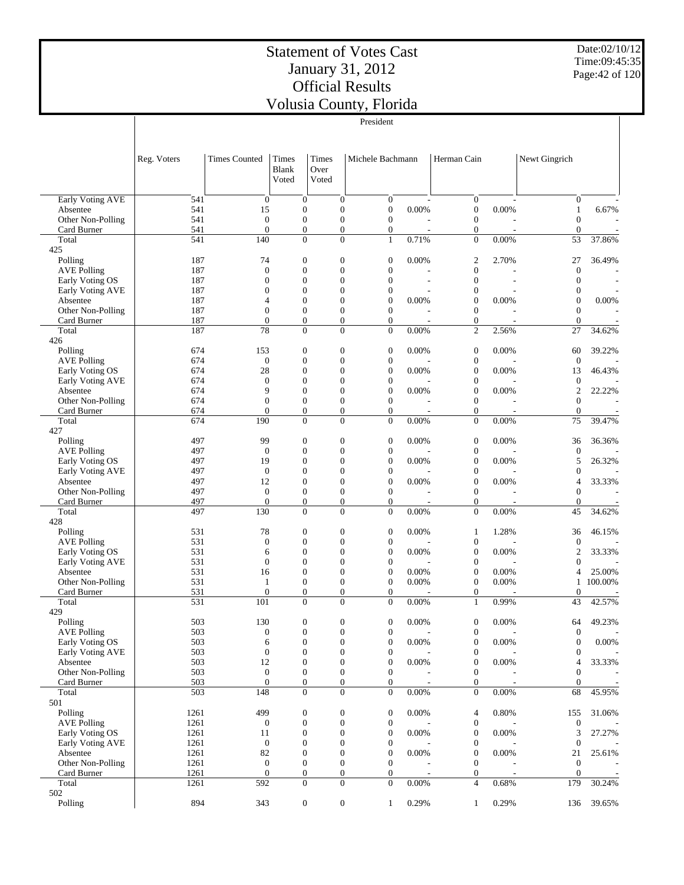Date:02/10/12 Time:09:45:35 Page:42 of 120

|                                       |              |                                  |                                      |                              | President                          |       |                                      |       |                                |                          |
|---------------------------------------|--------------|----------------------------------|--------------------------------------|------------------------------|------------------------------------|-------|--------------------------------------|-------|--------------------------------|--------------------------|
|                                       |              |                                  |                                      |                              |                                    |       |                                      |       |                                |                          |
|                                       | Reg. Voters  | <b>Times Counted</b>             | Times<br><b>Blank</b>                | <b>Times</b><br>Over         | Michele Bachmann                   |       | Herman Cain                          |       | Newt Gingrich                  |                          |
|                                       |              |                                  | Voted                                | Voted                        |                                    |       |                                      |       |                                |                          |
| Early Voting AVE                      | 541          | $\boldsymbol{0}$                 | $\mathbf{0}$                         | $\mathbf{0}$                 | $\mathbf{0}$                       |       | $\mathbf{0}$                         |       | $\overline{0}$                 |                          |
| Absentee                              | 541<br>541   | 15<br>$\mathbf{0}$               | $\mathbf{0}$<br>$\mathbf{0}$         | $\boldsymbol{0}$<br>$\theta$ | $\mathbf{0}$<br>$\boldsymbol{0}$   | 0.00% | $\boldsymbol{0}$<br>$\boldsymbol{0}$ | 0.00% | $\mathbf{1}$<br>$\overline{0}$ | 6.67%                    |
| Other Non-Polling<br>Card Burner      | 541          | $\overline{0}$                   | $\mathbf{0}$                         | $\overline{0}$               | $\boldsymbol{0}$                   |       | $\boldsymbol{0}$                     |       | $\mathbf{0}$                   |                          |
| Total                                 | 541          | 140                              | $\overline{0}$                       | $\overline{0}$               | $\mathbf{1}$                       | 0.71% | $\theta$                             | 0.00% | 53                             | 37.86%                   |
| 425<br>Polling                        | 187          | 74                               | $\mathbf{0}$                         | $\boldsymbol{0}$             | $\mathbf{0}$                       | 0.00% | $\boldsymbol{2}$                     | 2.70% | 27                             | 36.49%                   |
| <b>AVE Polling</b>                    | 187          | $\overline{0}$                   | $\mathbf{0}$                         | $\mathbf{0}$                 | $\overline{0}$                     |       | $\mathbf{0}$                         |       | $\overline{0}$                 |                          |
| Early Voting OS                       | 187          | $\overline{0}$                   | $\overline{0}$                       | $\theta$                     | $\overline{0}$                     | ÷,    | $\overline{0}$                       |       | $\overline{0}$                 | $\overline{\phantom{a}}$ |
| Early Voting AVE                      | 187          | $\overline{0}$                   | $\mathbf{0}$                         | $\theta$                     | $\mathbf{0}$                       |       | $\boldsymbol{0}$                     |       | $\theta$                       | Ĭ.                       |
| Absentee                              | 187          | 4                                | $\overline{0}$                       | $\theta$                     | $\mathbf{0}$                       | 0.00% | $\boldsymbol{0}$                     | 0.00% | $\overline{0}$                 | 0.00%                    |
| Other Non-Polling<br>Card Burner      | 187<br>187   | $\overline{0}$<br>$\overline{0}$ | $\overline{0}$<br>$\overline{0}$     | $\theta$<br>0                | $\overline{0}$<br>$\boldsymbol{0}$ |       | $\mathbf{0}$<br>0                    |       | $\theta$<br>$\mathbf{0}$       |                          |
| Total                                 | 187          | 78                               | $\overline{0}$                       | $\Omega$                     | $\overline{0}$                     | 0.00% | $\overline{c}$                       | 2.56% | 27                             | 34.62%                   |
| 426                                   |              |                                  |                                      |                              |                                    |       |                                      |       |                                |                          |
| Polling                               | 674          | 153                              | $\overline{0}$                       | $\boldsymbol{0}$             | $\mathbf{0}$                       | 0.00% | $\boldsymbol{0}$                     | 0.00% | 60                             | 39.22%                   |
| <b>AVE Polling</b>                    | 674          | $\boldsymbol{0}$                 | $\overline{0}$                       | $\mathbf{0}$                 | $\mathbf{0}$                       |       | $\boldsymbol{0}$                     |       | $\overline{0}$                 |                          |
| Early Voting OS                       | 674          | 28                               | $\overline{0}$                       | $\theta$                     | $\mathbf{0}$                       | 0.00% | $\boldsymbol{0}$                     | 0.00% | 13                             | 46.43%                   |
| Early Voting AVE<br>Absentee          | 674<br>674   | $\overline{0}$<br>9              | $\overline{0}$<br>$\overline{0}$     | $\theta$<br>$\theta$         | $\mathbf{0}$<br>$\mathbf{0}$       | 0.00% | $\boldsymbol{0}$<br>$\boldsymbol{0}$ | 0.00% | $\theta$<br>$\overline{2}$     | 22.22%                   |
| Other Non-Polling                     | 674          | $\overline{0}$                   | $\overline{0}$                       | $\theta$                     | $\overline{0}$                     |       | $\boldsymbol{0}$                     |       | $\theta$                       |                          |
| Card Burner                           | 674          | $\overline{0}$                   | $\overline{0}$                       | $\overline{0}$               | $\boldsymbol{0}$                   |       | $\boldsymbol{0}$                     |       | $\overline{0}$                 |                          |
| Total                                 | 674          | 190                              | $\mathbf{0}$                         | $\overline{0}$               | $\overline{0}$                     | 0.00% | $\mathbf{0}$                         | 0.00% | 75                             | 39.47%                   |
| 427                                   |              |                                  |                                      |                              |                                    |       |                                      |       |                                |                          |
| Polling                               | 497          | 99                               | $\overline{0}$                       | $\mathbf{0}$                 | $\mathbf{0}$                       | 0.00% | $\boldsymbol{0}$                     | 0.00% | 36                             | 36.36%                   |
| <b>AVE Polling</b><br>Early Voting OS | 497<br>497   | $\boldsymbol{0}$<br>19           | $\overline{0}$<br>$\overline{0}$     | $\mathbf{0}$<br>$\theta$     | $\mathbf{0}$<br>$\mathbf{0}$       | 0.00% | $\boldsymbol{0}$<br>$\boldsymbol{0}$ | 0.00% | $\theta$<br>5                  | 26.32%                   |
| Early Voting AVE                      | 497          | $\theta$                         | $\overline{0}$                       | $\theta$                     | $\mathbf{0}$                       |       | $\boldsymbol{0}$                     |       | $\theta$                       |                          |
| Absentee                              | 497          | 12                               | $\overline{0}$                       | $\theta$                     | $\mathbf{0}$                       | 0.00% | $\boldsymbol{0}$                     | 0.00% | $\overline{4}$                 | 33.33%                   |
| Other Non-Polling                     | 497          | $\theta$                         | $\overline{0}$                       | $\theta$                     | $\overline{0}$                     |       | $\boldsymbol{0}$                     |       | $\overline{0}$                 |                          |
| Card Burner                           | 497          | $\overline{0}$                   | $\overline{0}$                       | $\overline{0}$               | $\boldsymbol{0}$                   |       | $\boldsymbol{0}$                     |       | $\overline{0}$                 |                          |
| Total                                 | 497          | 130                              | $\overline{0}$                       | $\mathbf{0}$                 | $\overline{0}$                     | 0.00% | $\overline{0}$                       | 0.00% | 45                             | 34.62%                   |
| 428<br>Polling                        | 531          | 78                               | $\boldsymbol{0}$                     | $\mathbf{0}$                 | $\mathbf{0}$                       | 0.00% | $\mathbf{1}$                         | 1.28% | 36                             | 46.15%                   |
| <b>AVE Polling</b>                    | 531          | $\boldsymbol{0}$                 | $\overline{0}$                       | $\theta$                     | $\mathbf{0}$                       |       | $\boldsymbol{0}$                     |       | $\theta$                       |                          |
| Early Voting OS                       | 531          | 6                                | $\overline{0}$                       | $\theta$                     | $\mathbf{0}$                       | 0.00% | $\boldsymbol{0}$                     | 0.00% | $\overline{2}$                 | 33.33%                   |
| Early Voting AVE                      | 531          | $\overline{0}$                   | $\overline{0}$                       | $\theta$                     | $\mathbf{0}$                       |       | $\boldsymbol{0}$                     |       | $\overline{0}$                 |                          |
| Absentee                              | 531          | 16                               | $\overline{0}$                       | $\theta$                     | $\mathbf{0}$                       | 0.00% | $\boldsymbol{0}$                     | 0.00% | $\overline{4}$                 | 25.00%                   |
| Other Non-Polling                     | 531          | 1                                | $\overline{0}$                       | $\theta$                     | $\boldsymbol{0}$                   | 0.00% | $\boldsymbol{0}$                     | 0.00% | 1                              | 100.00%                  |
| Card Burner<br>Total                  | 531<br>531   | $\overline{0}$<br>101            | $\overline{0}$<br>$\overline{0}$     | $\overline{0}$<br>$\Omega$   | $\overline{0}$<br>$\overline{0}$   | 0.00% | 0<br>$\mathbf{1}$                    | 0.99% | $\theta$<br>43                 | 42.57%                   |
| 429                                   |              |                                  |                                      |                              |                                    |       |                                      |       |                                |                          |
| Polling                               | 503          | 130                              | $\boldsymbol{0}$                     | $\boldsymbol{0}$             | $\boldsymbol{0}$                   | 0.00% | 0                                    | 0.00% | 64                             | 49.23%                   |
| <b>AVE Polling</b>                    | 503          | $\boldsymbol{0}$                 | $\boldsymbol{0}$                     | $\boldsymbol{0}$             | $\mathbf{0}$                       |       | $\boldsymbol{0}$                     |       | $\mathbf{0}$                   |                          |
| Early Voting OS                       | 503          | 6                                | $\boldsymbol{0}$                     | $\theta$                     | $\boldsymbol{0}$                   | 0.00% | $\boldsymbol{0}$                     | 0.00% | $\mathbf{0}$                   | 0.00%                    |
| Early Voting AVE                      | 503          | $\boldsymbol{0}$                 | $\boldsymbol{0}$                     | $\mathbf{0}$                 | $\boldsymbol{0}$                   |       | $\boldsymbol{0}$                     |       | $\mathbf{0}$                   |                          |
| Absentee<br>Other Non-Polling         | 503<br>503   | 12<br>$\boldsymbol{0}$           | $\boldsymbol{0}$<br>$\boldsymbol{0}$ | $\mathbf{0}$<br>$\mathbf{0}$ | $\mathbf{0}$<br>$\boldsymbol{0}$   | 0.00% | $\boldsymbol{0}$<br>$\boldsymbol{0}$ | 0.00% | 4<br>$\overline{0}$            | 33.33%                   |
| Card Burner                           | 503          | $\boldsymbol{0}$                 | $\boldsymbol{0}$                     | $\mathbf{0}$                 | 0                                  |       | 0                                    |       | $\overline{0}$                 |                          |
| Total                                 | 503          | 148                              | $\boldsymbol{0}$                     | $\overline{0}$               | $\overline{0}$                     | 0.00% | $\boldsymbol{0}$                     | 0.00% | 68                             | 45.95%                   |
| 501                                   |              |                                  |                                      |                              |                                    |       |                                      |       |                                |                          |
| Polling                               | 1261         | 499                              | $\boldsymbol{0}$                     | $\boldsymbol{0}$             | $\boldsymbol{0}$                   | 0.00% | 4                                    | 0.80% | 155                            | 31.06%                   |
| <b>AVE Polling</b>                    | 1261         | $\boldsymbol{0}$                 | $\boldsymbol{0}$                     | $\boldsymbol{0}$             | $\boldsymbol{0}$                   |       | $\boldsymbol{0}$                     |       | $\boldsymbol{0}$               | 27.27%                   |
| Early Voting OS<br>Early Voting AVE   | 1261<br>1261 | 11<br>$\boldsymbol{0}$           | $\boldsymbol{0}$<br>$\boldsymbol{0}$ | $\boldsymbol{0}$<br>$\theta$ | $\mathbf{0}$<br>$\boldsymbol{0}$   | 0.00% | $\boldsymbol{0}$<br>$\boldsymbol{0}$ | 0.00% | 3<br>$\boldsymbol{0}$          |                          |
| Absentee                              | 1261         | 82                               | $\boldsymbol{0}$                     | $\mathbf{0}$                 | $\mathbf{0}$                       | 0.00% | $\boldsymbol{0}$                     | 0.00% | 21                             | 25.61%                   |
| Other Non-Polling                     | 1261         | $\boldsymbol{0}$                 | $\boldsymbol{0}$                     | $\mathbf{0}$                 | $\mathbf{0}$                       |       | $\boldsymbol{0}$                     |       | $\mathbf{0}$                   |                          |
| Card Burner                           | 1261         | $\boldsymbol{0}$                 | $\boldsymbol{0}$                     | $\mathbf{0}$                 | $\mathbf{0}$                       |       | 0                                    |       | $\mathbf{0}$                   |                          |
| Total                                 | 1261         | 592                              | $\mathbf{0}$                         | $\overline{0}$               | $\overline{0}$                     | 0.00% | 4                                    | 0.68% | 179                            | 30.24%                   |
| 502                                   | 894          | 343                              |                                      |                              |                                    | 0.29% |                                      | 0.29% |                                | 39.65%                   |
| Polling                               |              |                                  | $\boldsymbol{0}$                     | $\boldsymbol{0}$             | $\mathbf{1}$                       |       | 1                                    |       | 136                            |                          |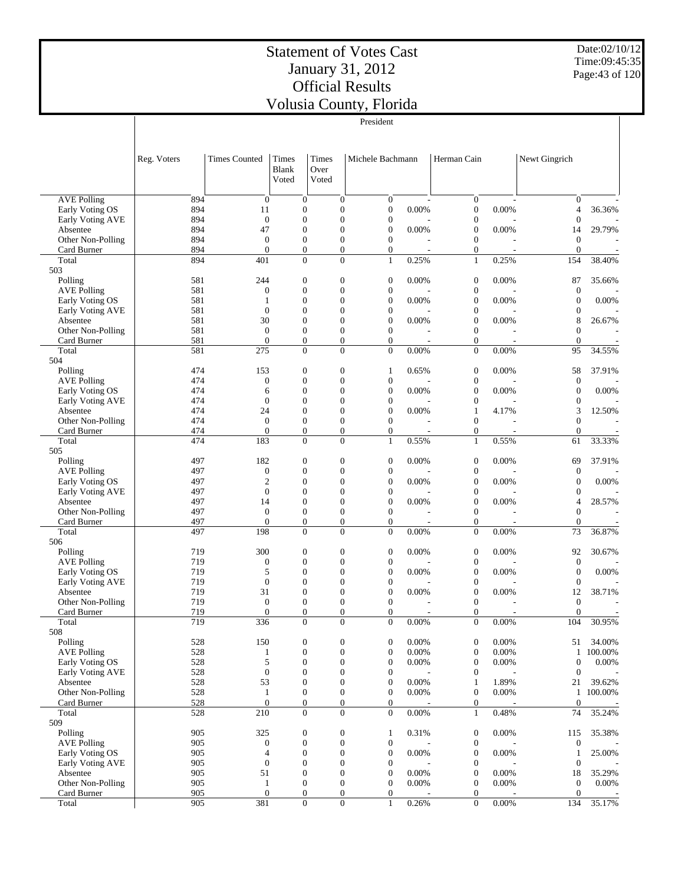President

Date:02/10/12 Time:09:45:35 Page:43 of 120

|                                  | Reg. Voters | <b>Times Counted</b> | Times<br>Blank<br>Voted          | Times<br>Over<br>Voted               | Michele Bachmann                     |                          | Herman Cain                          | Newt Gingrich                      |         |
|----------------------------------|-------------|----------------------|----------------------------------|--------------------------------------|--------------------------------------|--------------------------|--------------------------------------|------------------------------------|---------|
|                                  |             |                      |                                  |                                      |                                      |                          |                                      |                                    |         |
| <b>AVE Polling</b>               | 894         | $\overline{0}$       | $\overline{0}$                   | $\theta$                             | $\boldsymbol{0}$                     |                          | $\mathbf{0}$                         | $\theta$                           |         |
| Early Voting OS                  | 894         | 11                   | $\mathbf{0}$                     | $\boldsymbol{0}$                     | $\boldsymbol{0}$                     | 0.00%                    | $\boldsymbol{0}$                     | 0.00%<br>$\overline{4}$            | 36.36%  |
| Early Voting AVE                 | 894         | $\overline{0}$       | $\mathbf{0}$                     | $\mathbf{0}$                         | $\boldsymbol{0}$                     |                          | $\boldsymbol{0}$                     | $\boldsymbol{0}$                   |         |
| Absentee                         | 894<br>894  | 47<br>$\overline{0}$ | $\mathbf{0}$<br>$\mathbf{0}$     | $\overline{0}$<br>$\mathbf{0}$       | $\boldsymbol{0}$<br>$\boldsymbol{0}$ | 0.00%                    | $\mathbf{0}$<br>$\boldsymbol{0}$     | 0.00%<br>14<br>$\mathbf{0}$        | 29.79%  |
| Other Non-Polling<br>Card Burner | 894         | $\overline{0}$       | $\mathbf{0}$                     | $\boldsymbol{0}$                     | $\boldsymbol{0}$                     | $\overline{\phantom{a}}$ | $\mathbf{0}$                         | $\overline{0}$<br>$\sim$           |         |
| Total                            | 894         | 401                  | $\mathbf{0}$                     | $\mathbf{0}$                         | $\mathbf{1}$                         | 0.25%                    | $\mathbf{1}$                         | 0.25%<br>154                       | 38.40%  |
| 503                              |             |                      |                                  |                                      |                                      |                          |                                      |                                    |         |
| Polling                          | 581         | 244                  | $\mathbf{0}$                     | $\boldsymbol{0}$                     | $\boldsymbol{0}$                     | 0.00%                    | $\boldsymbol{0}$                     | 0.00%<br>87                        | 35.66%  |
| <b>AVE Polling</b>               | 581         | $\overline{0}$       | $\mathbf{0}$                     | $\overline{0}$                       | $\boldsymbol{0}$                     |                          | $\boldsymbol{0}$                     | $\boldsymbol{0}$                   |         |
| Early Voting OS                  | 581         | $\mathbf{1}$         | $\mathbf{0}$                     | $\mathbf{0}$                         | $\boldsymbol{0}$                     | 0.00%                    | $\boldsymbol{0}$                     | 0.00%<br>$\boldsymbol{0}$          | 0.00%   |
| Early Voting AVE<br>Absentee     | 581<br>581  | $\overline{0}$<br>30 | $\mathbf{0}$<br>$\mathbf{0}$     | $\overline{0}$<br>$\mathbf{0}$       | $\boldsymbol{0}$<br>$\boldsymbol{0}$ | 0.00%                    | $\boldsymbol{0}$<br>$\boldsymbol{0}$ | $\boldsymbol{0}$<br>0.00%<br>8     | 26.67%  |
| Other Non-Polling                | 581         | $\overline{0}$       | $\mathbf{0}$                     | $\overline{0}$                       | $\boldsymbol{0}$                     |                          | $\boldsymbol{0}$                     | $\boldsymbol{0}$                   |         |
| Card Burner                      | 581         | $\theta$             | $\mathbf{0}$                     | $\boldsymbol{0}$                     | $\boldsymbol{0}$                     | $\overline{\phantom{a}}$ | $\mathbf{0}$                         | $\theta$<br>$\sim$                 |         |
| Total                            | 581         | 275                  | $\overline{0}$                   | $\overline{0}$                       | $\overline{0}$                       | 0.00%                    | $\mathbf{0}$                         | 0.00%<br>95                        | 34.55%  |
| 504                              |             |                      |                                  |                                      |                                      |                          |                                      |                                    |         |
| Polling                          | 474         | 153                  | $\mathbf{0}$                     | $\boldsymbol{0}$                     | $\mathbf{1}$                         | 0.65%                    | $\boldsymbol{0}$                     | 0.00%<br>58                        | 37.91%  |
| <b>AVE Polling</b>               | 474         | $\mathbf{0}$         | $\mathbf{0}$                     | $\boldsymbol{0}$                     | $\boldsymbol{0}$                     |                          | $\boldsymbol{0}$                     | $\boldsymbol{0}$                   |         |
| Early Voting OS                  | 474         | 6                    | $\mathbf{0}$                     | $\overline{0}$                       | $\boldsymbol{0}$                     | 0.00%                    | $\mathbf{0}$                         | 0.00%<br>$\mathbf{0}$              | 0.00%   |
| Early Voting AVE<br>Absentee     | 474<br>474  | $\overline{0}$<br>24 | $\mathbf{0}$<br>$\mathbf{0}$     | $\mathbf{0}$<br>$\overline{0}$       | $\boldsymbol{0}$<br>$\boldsymbol{0}$ | 0.00%                    | $\boldsymbol{0}$<br>$\mathbf{1}$     | $\boldsymbol{0}$<br>4.17%<br>3     | 12.50%  |
| Other Non-Polling                | 474         | $\overline{0}$       | $\mathbf{0}$                     | $\mathbf{0}$                         | $\boldsymbol{0}$                     |                          | $\boldsymbol{0}$                     | $\mathbf{0}$                       |         |
| Card Burner                      | 474         | $\overline{0}$       | $\mathbf{0}$                     | $\boldsymbol{0}$                     | $\boldsymbol{0}$                     |                          | $\boldsymbol{0}$                     | $\boldsymbol{0}$                   |         |
| Total                            | 474         | 183                  | $\mathbf{0}$                     | $\mathbf{0}$                         | $\mathbf{1}$                         | 0.55%                    | $\mathbf{1}$                         | 0.55%<br>61                        | 33.33%  |
| 505                              |             |                      |                                  |                                      |                                      |                          |                                      |                                    |         |
| Polling                          | 497         | 182                  | $\mathbf{0}$                     | $\boldsymbol{0}$                     | $\boldsymbol{0}$                     | 0.00%                    | $\boldsymbol{0}$                     | 0.00%<br>69                        | 37.91%  |
| <b>AVE Polling</b>               | 497         | $\mathbf{0}$         | $\mathbf{0}$                     | $\overline{0}$                       | $\boldsymbol{0}$                     |                          | $\boldsymbol{0}$                     | $\boldsymbol{0}$                   |         |
| Early Voting OS                  | 497         | $\mathbf{2}$         | $\mathbf{0}$                     | $\theta$                             | $\boldsymbol{0}$                     | 0.00%                    | $\boldsymbol{0}$                     | 0.00%<br>$\boldsymbol{0}$          | 0.00%   |
| Early Voting AVE                 | 497         | $\overline{0}$<br>14 | $\mathbf{0}$<br>$\mathbf{0}$     | $\overline{0}$<br>$\theta$           | $\boldsymbol{0}$                     |                          | $\boldsymbol{0}$                     | $\boldsymbol{0}$                   |         |
| Absentee<br>Other Non-Polling    | 497<br>497  | $\overline{0}$       | $\mathbf{0}$                     | $\theta$                             | $\boldsymbol{0}$<br>$\overline{0}$   | 0.00%                    | $\boldsymbol{0}$<br>$\boldsymbol{0}$ | 0.00%<br>4<br>$\boldsymbol{0}$     | 28.57%  |
| Card Burner                      | 497         | $\mathbf{0}$         | $\mathbf{0}$                     | $\boldsymbol{0}$                     | $\boldsymbol{0}$                     | $\overline{\phantom{a}}$ | $\boldsymbol{0}$                     | $\boldsymbol{0}$<br>$\overline{a}$ |         |
| Total                            | 497         | 198                  | $\mathbf{0}$                     | $\overline{0}$                       | $\overline{0}$                       | 0.00%                    | $\mathbf{0}$                         | 0.00%<br>73                        | 36.87%  |
| 506                              |             |                      |                                  |                                      |                                      |                          |                                      |                                    |         |
| Polling                          | 719         | 300                  | $\mathbf{0}$                     | $\boldsymbol{0}$                     | $\boldsymbol{0}$                     | 0.00%                    | $\boldsymbol{0}$                     | 0.00%<br>92                        | 30.67%  |
| <b>AVE Polling</b>               | 719         | $\mathbf{0}$         | $\boldsymbol{0}$                 | $\boldsymbol{0}$                     | $\boldsymbol{0}$                     |                          | $\boldsymbol{0}$                     | $\boldsymbol{0}$                   |         |
| Early Voting OS                  | 719         | 5                    | $\mathbf{0}$                     | $\overline{0}$                       | $\boldsymbol{0}$                     | 0.00%                    | $\boldsymbol{0}$                     | 0.00%<br>$\boldsymbol{0}$          | 0.00%   |
| Early Voting AVE<br>Absentee     | 719<br>719  | $\overline{0}$<br>31 | $\mathbf{0}$<br>$\mathbf{0}$     | $\theta$<br>$\overline{0}$           | $\boldsymbol{0}$<br>$\boldsymbol{0}$ | 0.00%                    | $\boldsymbol{0}$<br>$\boldsymbol{0}$ | $\boldsymbol{0}$<br>0.00%<br>12    | 38.71%  |
| Other Non-Polling                | 719         | $\overline{0}$       | $\mathbf{0}$                     | $\theta$                             | $\mathbf{0}$                         |                          | $\boldsymbol{0}$                     | $\mathbf{0}$                       |         |
| Card Burner                      | 719         | $\overline{0}$       | $\boldsymbol{0}$                 | $\boldsymbol{0}$                     | $\boldsymbol{0}$                     | ÷,                       | $\boldsymbol{0}$                     | $\overline{0}$<br>$\sim$           |         |
| Total                            | 719         | 336                  | $\mathbf{0}$                     | $\mathbf{0}$                         | $\overline{0}$                       | 0.00%                    | $\mathbf{0}$                         | 0.00%<br>104                       | 30.95%  |
| 508                              |             |                      |                                  |                                      |                                      |                          |                                      |                                    |         |
| Polling                          | 528         | 150                  | $\boldsymbol{0}$                 | $\boldsymbol{0}$                     | $\boldsymbol{0}$                     | $0.00\%$                 | $\boldsymbol{0}$                     | 0.00%<br>51                        | 34.00%  |
| <b>AVE Polling</b>               | 528         | $\mathbf{1}$         | $\boldsymbol{0}$                 | $\boldsymbol{0}$                     | $\boldsymbol{0}$                     | 0.00%                    | $\boldsymbol{0}$                     | 0.00%<br>$\mathbf{1}$              | 100.00% |
| Early Voting OS                  | 528         | 5                    | $\mathbf{0}$                     | $\boldsymbol{0}$                     | $\boldsymbol{0}$                     | 0.00%                    | $\boldsymbol{0}$                     | 0.00%<br>$\boldsymbol{0}$          | 0.00%   |
| Early Voting AVE<br>Absentee     | 528<br>528  | $\mathbf{0}$<br>53   | $\boldsymbol{0}$<br>$\mathbf{0}$ | $\boldsymbol{0}$<br>$\boldsymbol{0}$ | $\boldsymbol{0}$<br>$\boldsymbol{0}$ | 0.00%                    | $\boldsymbol{0}$<br>$\mathbf{1}$     | $\boldsymbol{0}$<br>1.89%<br>21    | 39.62%  |
| Other Non-Polling                | 528         | $\mathbf{1}$         | $\boldsymbol{0}$                 | $\boldsymbol{0}$                     | $\boldsymbol{0}$                     | 0.00%                    | $\boldsymbol{0}$                     | 0.00%<br>1                         | 100.00% |
| Card Burner                      | 528         | $\mathbf{0}$         | $\boldsymbol{0}$                 | $\boldsymbol{0}$                     | $\boldsymbol{0}$                     |                          | $\boldsymbol{0}$                     | $\boldsymbol{0}$                   |         |
| Total                            | 528         | 210                  | $\boldsymbol{0}$                 | $\mathbf{0}$                         | $\overline{0}$                       | $0.00\%$                 | $\mathbf{1}$                         | 0.48%<br>74                        | 35.24%  |
| 509                              |             |                      |                                  |                                      |                                      |                          |                                      |                                    |         |
| Polling                          | 905         | 325                  | $\boldsymbol{0}$                 | $\boldsymbol{0}$                     | $\mathbf{1}$                         | 0.31%                    | $\boldsymbol{0}$                     | 0.00%<br>115                       | 35.38%  |
| <b>AVE Polling</b>               | 905         | $\mathbf{0}$         | $\boldsymbol{0}$                 | $\boldsymbol{0}$                     | $\boldsymbol{0}$                     |                          | $\boldsymbol{0}$                     | $\boldsymbol{0}$                   |         |
| Early Voting OS                  | 905         | $\overline{4}$       | $\mathbf{0}$                     | $\boldsymbol{0}$                     | $\boldsymbol{0}$                     | 0.00%                    | $\boldsymbol{0}$                     | 0.00%<br>1                         | 25.00%  |
| Early Voting AVE<br>Absentee     | 905<br>905  | $\mathbf{0}$<br>51   | $\mathbf{0}$<br>$\mathbf{0}$     | $\boldsymbol{0}$<br>$\boldsymbol{0}$ | $\boldsymbol{0}$<br>$\boldsymbol{0}$ | 0.00%                    | $\boldsymbol{0}$<br>$\boldsymbol{0}$ | $\boldsymbol{0}$<br>0.00%<br>18    | 35.29%  |
| Other Non-Polling                | 905         | $\mathbf{1}$         | $\mathbf{0}$                     | $\boldsymbol{0}$                     | $\boldsymbol{0}$                     | 0.00%                    | $\boldsymbol{0}$                     | 0.00%<br>$\boldsymbol{0}$          | 0.00%   |
| Card Burner                      | 905         | $\mathbf{0}$         | $\boldsymbol{0}$                 | $\boldsymbol{0}$                     | $\boldsymbol{0}$                     |                          | $\boldsymbol{0}$                     | $\theta$                           |         |
| Total                            | 905         | 381                  | $\boldsymbol{0}$                 | $\boldsymbol{0}$                     | $\mathbf{1}$                         | 0.26%                    | $\mathbf{0}$                         | 0.00%<br>134                       | 35.17%  |
|                                  |             |                      |                                  |                                      |                                      |                          |                                      |                                    |         |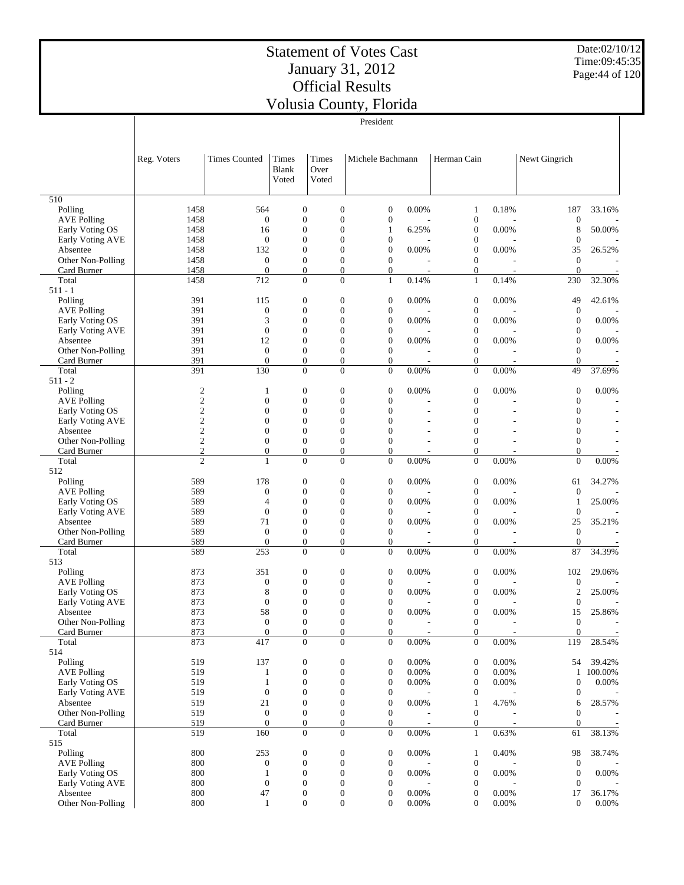Date:02/10/12 Time:09:45:35 Page:44 of 120

|                                       |                                |                                  |                                      |                                      | President                                            |                |                              |                |                                  |                  |
|---------------------------------------|--------------------------------|----------------------------------|--------------------------------------|--------------------------------------|------------------------------------------------------|----------------|------------------------------|----------------|----------------------------------|------------------|
|                                       |                                |                                  |                                      |                                      |                                                      |                |                              |                |                                  |                  |
|                                       |                                |                                  |                                      |                                      |                                                      |                |                              |                |                                  |                  |
|                                       | Reg. Voters                    | <b>Times Counted</b>             | Times                                | Times                                | Michele Bachmann                                     |                | Herman Cain                  |                | Newt Gingrich                    |                  |
|                                       |                                |                                  | Blank                                | Over                                 |                                                      |                |                              |                |                                  |                  |
|                                       |                                |                                  | Voted                                | Voted                                |                                                      |                |                              |                |                                  |                  |
| 510                                   |                                |                                  |                                      |                                      |                                                      |                |                              |                |                                  |                  |
| Polling                               | 1458                           | 564                              | $\boldsymbol{0}$                     | $\boldsymbol{0}$                     | $\boldsymbol{0}$                                     | 0.00%          | $\mathbf{1}$                 | 0.18%          | 187                              | 33.16%           |
| <b>AVE Polling</b>                    | 1458                           | $\theta$                         | $\mathbf{0}$                         | $\overline{0}$                       | $\boldsymbol{0}$                                     |                | $\mathbf{0}$                 |                | $\boldsymbol{0}$                 |                  |
| Early Voting OS                       | 1458                           | 16                               | $\mathbf{0}$                         |                                      | $\overline{0}$<br>1                                  | 6.25%          | $\mathbf{0}$                 | 0.00%          | 8                                | 50.00%           |
| Early Voting AVE                      | 1458                           | $\theta$                         | $\mathbf{0}$                         |                                      | $\overline{0}$<br>$\overline{0}$                     |                | $\mathbf{0}$                 |                | $\boldsymbol{0}$                 |                  |
| Absentee<br>Other Non-Polling         | 1458<br>1458                   | 132<br>$\mathbf{0}$              | $\mathbf{0}$<br>$\mathbf{0}$         | $\overline{0}$                       | $\overline{0}$<br>$\boldsymbol{0}$<br>$\mathbf{0}$   | 0.00%          | $\boldsymbol{0}$<br>$\theta$ | 0.00%          | 35<br>$\mathbf{0}$               | 26.52%           |
| Card Burner                           | 1458                           | $\overline{0}$                   | $\boldsymbol{0}$                     |                                      | $\boldsymbol{0}$<br>$\mathbf{0}$                     |                | $\boldsymbol{0}$             |                | $\overline{0}$                   |                  |
| Total                                 | 1458                           | 712                              | $\mathbf{0}$                         |                                      | $\Omega$<br>$\mathbf{1}$                             | 0.14%          | $\mathbf{1}$                 | 0.14%          | 230                              | 32.30%           |
| $511 - 1$                             |                                |                                  |                                      |                                      |                                                      |                |                              |                |                                  |                  |
| Polling                               | 391                            | 115                              | $\boldsymbol{0}$                     | $\boldsymbol{0}$                     | $\boldsymbol{0}$                                     | 0.00%          | $\theta$                     | 0.00%          | 49                               | 42.61%           |
| <b>AVE Polling</b><br>Early Voting OS | 391<br>391                     | $\overline{0}$<br>3              | $\mathbf{0}$<br>$\mathbf{0}$         | $\overline{0}$                       | $\boldsymbol{0}$<br>$\overline{0}$<br>$\overline{0}$ | 0.00%          | $\mathbf{0}$<br>$\mathbf{0}$ | 0.00%          | $\mathbf{0}$<br>$\mathbf{0}$     | 0.00%            |
| Early Voting AVE                      | 391                            | $\overline{0}$                   | $\mathbf{0}$                         |                                      | $\overline{0}$<br>$\boldsymbol{0}$                   |                | $\mathbf{0}$                 |                | $\mathbf{0}$                     |                  |
| Absentee                              | 391                            | 12                               | $\mathbf{0}$                         |                                      | $\overline{0}$<br>$\boldsymbol{0}$                   | 0.00%          | $\mathbf{0}$                 | 0.00%          | $\overline{0}$                   | 0.00%            |
| Other Non-Polling                     | 391                            | $\theta$                         | $\mathbf{0}$                         | $\overline{0}$                       | $\mathbf{0}$                                         |                | $\mathbf{0}$                 |                | $\theta$                         |                  |
| Card Burner                           | 391                            | $\mathbf{0}$                     | $\boldsymbol{0}$                     |                                      | $\mathbf{0}$<br>$\boldsymbol{0}$                     |                | $\mathbf{0}$                 |                | $\overline{0}$                   |                  |
| Total<br>$511 - 2$                    | 391                            | 130                              | $\overline{0}$                       |                                      | $\overline{0}$<br>$\mathbf{0}$                       | 0.00%          | $\mathbf{0}$                 | 0.00%          | 49                               | 37.69%           |
| Polling                               | $\boldsymbol{2}$               | 1                                | $\boldsymbol{0}$                     | $\boldsymbol{0}$                     | $\boldsymbol{0}$                                     | 0.00%          | $\mathbf{0}$                 | 0.00%          | $\boldsymbol{0}$                 | 0.00%            |
| <b>AVE Polling</b>                    | $\mathfrak{2}$                 | $\overline{0}$                   | $\mathbf{0}$                         | $\overline{0}$                       | $\overline{0}$                                       |                | $\theta$                     |                | $\mathbf{0}$                     |                  |
| Early Voting OS                       | $\mathfrak{2}$                 | $\overline{0}$                   | $\mathbf{0}$                         | $\overline{0}$                       | $\overline{0}$                                       |                | $\mathbf{0}$                 |                | $\mathbf{0}$                     |                  |
| Early Voting AVE                      | $\mathfrak{2}$                 | $\mathbf{0}$                     | $\overline{0}$                       |                                      | $\overline{0}$<br>$\overline{0}$                     |                | $\mathbf{0}$                 |                | $\boldsymbol{0}$                 |                  |
| Absentee                              | $\mathfrak{2}$                 | $\overline{0}$                   | $\mathbf{0}$                         |                                      | $\overline{0}$<br>$\overline{0}$                     |                | $\mathbf{0}$                 |                | $\boldsymbol{0}$                 |                  |
| Other Non-Polling<br>Card Burner      | $\mathbf{2}$<br>$\mathfrak{2}$ | $\overline{0}$<br>$\overline{0}$ | $\mathbf{0}$<br>$\mathbf{0}$         | $\overline{0}$                       | $\mathbf{0}$<br>$\overline{0}$<br>$\mathbf{0}$       |                | $\mathbf{0}$<br>$\mathbf{0}$ |                | $\overline{0}$<br>$\overline{0}$ |                  |
| Total                                 | $\overline{c}$                 | 1                                | $\mathbf{0}$                         | $\overline{0}$                       | $\mathbf{0}$                                         | 0.00%          | $\mathbf{0}$                 | 0.00%          | $\overline{0}$                   | 0.00%            |
| 512                                   |                                |                                  |                                      |                                      |                                                      |                |                              |                |                                  |                  |
| Polling                               | 589                            | 178                              | $\boldsymbol{0}$                     | $\boldsymbol{0}$                     | $\boldsymbol{0}$                                     | 0.00%          | $\mathbf{0}$                 | 0.00%          | 61                               | 34.27%           |
| <b>AVE Polling</b>                    | 589                            | $\mathbf{0}$<br>4                | $\boldsymbol{0}$<br>$\mathbf{0}$     | $\overline{0}$<br>$\overline{0}$     | $\boldsymbol{0}$<br>$\overline{0}$                   |                | $\mathbf{0}$<br>$\mathbf{0}$ |                | $\boldsymbol{0}$                 | 25.00%           |
| Early Voting OS<br>Early Voting AVE   | 589<br>589                     | $\overline{0}$                   | $\mathbf{0}$                         | $\overline{0}$                       | $\boldsymbol{0}$                                     | 0.00%          | $\mathbf{0}$                 | 0.00%          | $\mathbf{1}$<br>$\boldsymbol{0}$ |                  |
| Absentee                              | 589                            | 71                               | $\mathbf{0}$                         |                                      | $\overline{0}$<br>$\boldsymbol{0}$                   | 0.00%          | $\mathbf{0}$                 | 0.00%          | 25                               | 35.21%           |
| Other Non-Polling                     | 589                            | $\overline{0}$                   | $\mathbf{0}$                         | $\overline{0}$                       | $\boldsymbol{0}$                                     |                | $\mathbf{0}$                 |                | $\boldsymbol{0}$                 |                  |
| Card Burner                           | 589                            | $\mathbf{0}$                     | $\boldsymbol{0}$                     |                                      | $\mathbf{0}$<br>$\boldsymbol{0}$                     |                | $\mathbf{0}$                 |                | $\boldsymbol{0}$                 |                  |
| Total<br>513                          | 589                            | 253                              | $\mathbf{0}$                         |                                      | $\Omega$<br>$\mathbf{0}$                             | 0.00%          | $\mathbf{0}$                 | 0.00%          | 87                               | 34.39%           |
| Polling                               | 873                            | 351                              | $\boldsymbol{0}$                     | $\boldsymbol{0}$                     | $\boldsymbol{0}$                                     | 0.00%          | $\mathbf{0}$                 | 0.00%          | 102                              | 29.06%           |
| <b>AVE Polling</b>                    | 873                            | $\overline{0}$                   | $\mathbf{0}$                         | $\overline{0}$                       | $\boldsymbol{0}$                                     |                | $\mathbf{0}$                 |                | $\boldsymbol{0}$                 |                  |
| Early Voting OS                       | 873                            | 8                                | $\boldsymbol{0}$                     | $\overline{0}$                       | $\boldsymbol{0}$                                     | 0.00%          | $\boldsymbol{0}$             | 0.00%          | $\boldsymbol{2}$                 | 25.00%           |
| Early Voting AVE                      | 873                            | $\mathbf{0}$                     | $\overline{0}$                       | $\overline{0}$                       | $\overline{0}$                                       |                | $\mathbf{0}$                 |                | $\boldsymbol{0}$                 |                  |
| Absentee<br>Other Non-Polling         | 873<br>873                     | 58<br>$\boldsymbol{0}$           | $\Omega$                             | $\Omega$                             | $\Omega$<br>$\boldsymbol{0}$<br>$\mathbf{0}$         | 0.00%          | $\Omega$<br>$\boldsymbol{0}$ | 0.00%          | 15<br>$\boldsymbol{0}$           | 25.86%           |
| Card Burner                           | 873                            | $\boldsymbol{0}$                 | $\boldsymbol{0}$<br>$\boldsymbol{0}$ |                                      | $\mathbf{0}$<br>$\boldsymbol{0}$                     |                | $\boldsymbol{0}$             | ÷,             | $\mathbf{0}$                     |                  |
| Total                                 | 873                            | 417                              | $\boldsymbol{0}$                     | $\overline{0}$                       | $\overline{0}$                                       | 0.00%          | $\mathbf{0}$                 | 0.00%          | 119                              | 28.54%           |
| 514                                   |                                |                                  |                                      |                                      |                                                      |                |                              |                |                                  |                  |
| Polling                               | 519                            | 137                              | $\boldsymbol{0}$                     | $\boldsymbol{0}$                     | $\boldsymbol{0}$                                     | 0.00%          | $\mathbf{0}$                 | 0.00%          | 54                               | 39.42%           |
| <b>AVE Polling</b>                    | 519<br>519                     | $\mathbf{1}$                     | $\boldsymbol{0}$<br>$\boldsymbol{0}$ | $\boldsymbol{0}$<br>$\boldsymbol{0}$ | $\boldsymbol{0}$<br>$\boldsymbol{0}$                 | 0.00%<br>0.00% | $\mathbf{0}$<br>$\mathbf{0}$ | 0.00%<br>0.00% | $\mathbf{1}$<br>$\boldsymbol{0}$ | 100.00%<br>0.00% |
| Early Voting OS<br>Early Voting AVE   | 519                            | $\mathbf{1}$<br>$\boldsymbol{0}$ | $\boldsymbol{0}$                     | $\boldsymbol{0}$                     | $\boldsymbol{0}$                                     |                | $\boldsymbol{0}$             |                | $\boldsymbol{0}$                 |                  |
| Absentee                              | 519                            | 21                               | $\boldsymbol{0}$                     | $\boldsymbol{0}$                     | $\boldsymbol{0}$                                     | 0.00%          | $\mathbf{1}$                 | 4.76%          | 6                                | 28.57%           |
| Other Non-Polling                     | 519                            | $\mathbf{0}$                     | $\boldsymbol{0}$                     | $\boldsymbol{0}$                     | $\boldsymbol{0}$                                     |                | $\boldsymbol{0}$             |                | $\boldsymbol{0}$                 |                  |
| Card Burner                           | 519                            | $\boldsymbol{0}$                 | $\boldsymbol{0}$                     |                                      | $\mathbf{0}$<br>$\boldsymbol{0}$                     |                | $\boldsymbol{0}$             |                | $\boldsymbol{0}$                 |                  |
| Total<br>515                          | 519                            | 160                              | $\overline{0}$                       |                                      | $\overline{0}$<br>$\mathbf{0}$                       | 0.00%          | $\mathbf{1}$                 | 0.63%          | 61                               | 38.13%           |
| Polling                               | 800                            | 253                              | $\boldsymbol{0}$                     | $\boldsymbol{0}$                     | $\boldsymbol{0}$                                     | 0.00%          | $\mathbf{1}$                 | 0.40%          | 98                               | 38.74%           |
| <b>AVE Polling</b>                    | 800                            | $\boldsymbol{0}$                 | $\boldsymbol{0}$                     | $\boldsymbol{0}$                     | $\boldsymbol{0}$                                     |                | $\boldsymbol{0}$             |                | $\boldsymbol{0}$                 |                  |
| Early Voting OS                       | 800                            | $\mathbf{1}$                     | $\boldsymbol{0}$                     | $\boldsymbol{0}$                     | $\boldsymbol{0}$                                     | 0.00%          | $\mathbf{0}$                 | 0.00%          | $\boldsymbol{0}$                 | 0.00%            |
| Early Voting AVE                      | 800                            | $\boldsymbol{0}$                 | $\boldsymbol{0}$                     | $\boldsymbol{0}$                     | $\boldsymbol{0}$                                     |                | $\mathbf{0}$                 |                | $\boldsymbol{0}$                 |                  |
| Absentee<br>Other Non-Polling         | $800\,$<br>800                 | 47<br>$\mathbf{1}$               | $\boldsymbol{0}$<br>$\boldsymbol{0}$ | $\boldsymbol{0}$                     | $\boldsymbol{0}$<br>$\mathbf{0}$<br>$\boldsymbol{0}$ | 0.00%<br>0.00% | $\mathbf{0}$<br>$\mathbf{0}$ | 0.00%<br>0.00% | 17<br>$\boldsymbol{0}$           | 36.17%<br>0.00%  |
|                                       |                                |                                  |                                      |                                      |                                                      |                |                              |                |                                  |                  |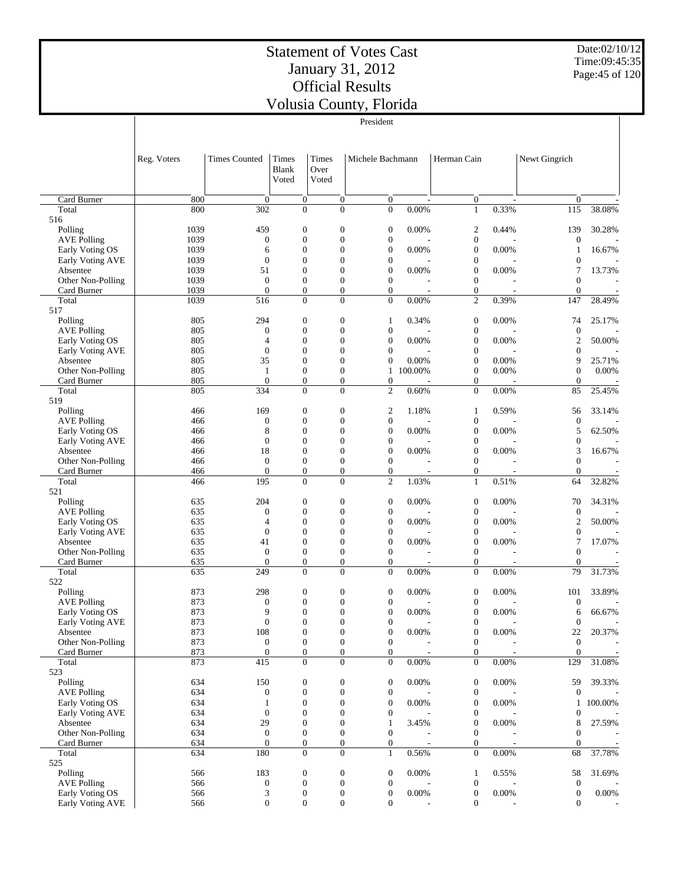Date:02/10/12 Time:09:45:35 Page:45 of 120

|                                       | v onisia County, i noriua<br>President |                                      |                                      |       |                                                                        |          |                                      |                            |                          |                                    |
|---------------------------------------|----------------------------------------|--------------------------------------|--------------------------------------|-------|------------------------------------------------------------------------|----------|--------------------------------------|----------------------------|--------------------------|------------------------------------|
|                                       |                                        |                                      |                                      |       |                                                                        |          |                                      |                            |                          |                                    |
|                                       |                                        |                                      |                                      |       |                                                                        |          |                                      |                            |                          |                                    |
|                                       | Reg. Voters                            | <b>Times Counted</b>                 | Times                                | Times | Michele Bachmann                                                       |          | Herman Cain                          |                            | Newt Gingrich            |                                    |
|                                       |                                        |                                      | <b>Blank</b>                         | Over  |                                                                        |          |                                      |                            |                          |                                    |
|                                       |                                        |                                      | Voted                                | Voted |                                                                        |          |                                      |                            |                          |                                    |
| Card Burner                           | 800                                    | $\boldsymbol{0}$                     | $\boldsymbol{0}$                     |       | $\boldsymbol{0}$<br>$\mathbf{0}$                                       |          | $\boldsymbol{0}$                     | $\overline{\phantom{a}}$   | $\mathbf{0}$             |                                    |
| Total                                 | 800                                    | 302                                  | $\mathbf{0}$                         |       | $\Omega$<br>$\mathbf{0}$                                               | $0.00\%$ | $\mathbf{1}$                         | 0.33%                      | 115                      | 38.08%                             |
| 516                                   |                                        |                                      |                                      |       |                                                                        |          |                                      |                            |                          |                                    |
| Polling                               | 1039                                   | 459                                  | $\mathbf{0}$                         |       | $\boldsymbol{0}$<br>$\mathbf{0}$                                       | 0.00%    | $\boldsymbol{2}$                     | 0.44%                      | 139                      | 30.28%                             |
| <b>AVE Polling</b><br>Early Voting OS | 1039                                   | $\boldsymbol{0}$                     | $\mathbf{0}$<br>$\overline{0}$       |       | $\overline{0}$<br>$\mathbf{0}$<br>$\overline{0}$<br>$\mathbf{0}$       | 0.00%    | $\boldsymbol{0}$<br>$\boldsymbol{0}$ | 0.00%                      | $\boldsymbol{0}$         | 16.67%                             |
| Early Voting AVE                      | 1039<br>1039                           | 6<br>$\boldsymbol{0}$                | $\mathbf{0}$                         |       | $\overline{0}$<br>$\mathbf{0}$                                         |          | $\boldsymbol{0}$                     |                            | 1<br>$\theta$            |                                    |
| Absentee                              | 1039                                   | 51                                   | $\overline{0}$                       |       | $\overline{0}$<br>$\boldsymbol{0}$                                     | 0.00%    | $\boldsymbol{0}$                     | 0.00%                      | 7                        | 13.73%                             |
| Other Non-Polling                     | 1039                                   | $\boldsymbol{0}$                     | $\boldsymbol{0}$                     |       | $\boldsymbol{0}$<br>$\mathbf{0}$                                       |          | $\boldsymbol{0}$                     |                            | $\theta$                 |                                    |
| Card Burner<br>Total                  | 1039<br>1039                           | $\overline{0}$<br>516                | $\mathbf{0}$<br>$\mathbf{0}$         |       | $\overline{0}$<br>$\overline{0}$<br>$\overline{0}$<br>$\mathbf{0}$     | 0.00%    | $\boldsymbol{0}$<br>$\mathfrak{2}$   | 0.39%                      | $\theta$<br>147          | 28.49%                             |
| 517                                   |                                        |                                      |                                      |       |                                                                        |          |                                      |                            |                          |                                    |
| Polling                               | 805                                    | 294                                  | $\mathbf{0}$                         |       | $\boldsymbol{0}$<br>$\mathbf{1}$                                       | 0.34%    | $\boldsymbol{0}$                     | 0.00%                      | 74                       | 25.17%                             |
| <b>AVE Polling</b>                    | 805                                    | $\boldsymbol{0}$                     | $\mathbf{0}$                         |       | $\overline{0}$<br>$\mathbf{0}$                                         |          | $\boldsymbol{0}$                     |                            | $\mathbf{0}$             |                                    |
| Early Voting OS                       | 805                                    | 4                                    | $\mathbf{0}$                         |       | $\overline{0}$<br>$\mathbf{0}$                                         | 0.00%    | $\boldsymbol{0}$                     | 0.00%                      | $\overline{2}$           | 50.00%                             |
| Early Voting AVE<br>Absentee          | 805<br>805                             | $\boldsymbol{0}$<br>35               | $\overline{0}$<br>$\mathbf{0}$       |       | $\overline{0}$<br>$\overline{0}$<br>$\overline{0}$<br>$\mathbf{0}$     | 0.00%    | $\boldsymbol{0}$<br>$\boldsymbol{0}$ | 0.00%                      | $\theta$<br>9            | 25.71%                             |
| Other Non-Polling                     | 805                                    | 1                                    | $\mathbf{0}$                         |       | $\overline{0}$<br>$\mathbf{1}$                                         | 100.00%  | $\boldsymbol{0}$                     | 0.00%                      | $\boldsymbol{0}$         | 0.00%                              |
| Card Burner                           | 805                                    | $\boldsymbol{0}$                     | $\boldsymbol{0}$                     |       | $\boldsymbol{0}$<br>$\mathbf{0}$                                       |          | $\boldsymbol{0}$                     |                            | $\theta$                 |                                    |
| Total                                 | 805                                    | 334                                  | $\mathbf{0}$                         |       | $\overline{0}$<br>$\mathbf{2}$                                         | 0.60%    | $\boldsymbol{0}$                     | $0.00\%$                   | 85                       | 25.45%                             |
| 519<br>Polling                        | 466                                    | 169                                  | $\mathbf{0}$                         |       | $\boldsymbol{0}$<br>$\boldsymbol{2}$                                   | 1.18%    | 1                                    | 0.59%                      | 56                       | 33.14%                             |
| <b>AVE Polling</b>                    | 466                                    | $\boldsymbol{0}$                     | $\mathbf{0}$                         |       | $\boldsymbol{0}$<br>$\mathbf{0}$                                       |          | $\boldsymbol{0}$                     |                            | $\mathbf{0}$             |                                    |
| Early Voting OS                       | 466                                    | $\,$ 8 $\,$                          | $\overline{0}$                       |       | $\overline{0}$<br>$\boldsymbol{0}$                                     | 0.00%    | $\boldsymbol{0}$                     | 0.00%                      | 5                        | 62.50%                             |
| Early Voting AVE                      | 466                                    | $\boldsymbol{0}$                     | $\mathbf{0}$                         |       | $\overline{0}$<br>$\boldsymbol{0}$                                     |          | $\boldsymbol{0}$                     |                            | $\mathbf{0}$             |                                    |
| Absentee<br>Other Non-Polling         | 466<br>466                             | 18<br>$\boldsymbol{0}$               | $\overline{0}$<br>$\mathbf{0}$       |       | $\overline{0}$<br>$\mathbf{0}$<br>$\boldsymbol{0}$<br>$\mathbf{0}$     | 0.00%    | $\boldsymbol{0}$<br>$\boldsymbol{0}$ | 0.00%                      | 3<br>$\theta$            | 16.67%                             |
| Card Burner                           | 466                                    | $\overline{0}$                       | $\mathbf{0}$                         |       | $\overline{0}$<br>$\mathbf{0}$                                         |          | $\boldsymbol{0}$                     |                            | $\theta$                 |                                    |
| Total                                 | 466                                    | 195                                  | $\boldsymbol{0}$                     |       | $\boldsymbol{0}$<br>$\mathbf{2}$                                       | 1.03%    | $\mathbf{1}$                         | 0.51%                      | 64                       | 32.82%                             |
| 521                                   |                                        |                                      |                                      |       |                                                                        |          |                                      |                            |                          |                                    |
| Polling<br><b>AVE Polling</b>         | 635<br>635                             | 204<br>$\boldsymbol{0}$              | $\mathbf{0}$<br>$\overline{0}$       |       | $\boldsymbol{0}$<br>$\boldsymbol{0}$<br>$\overline{0}$<br>$\mathbf{0}$ | 0.00%    | $\boldsymbol{0}$<br>$\boldsymbol{0}$ | 0.00%                      | 70<br>$\mathbf{0}$       | 34.31%                             |
| Early Voting OS                       | 635                                    | 4                                    | $\mathbf{0}$                         |       | $\overline{0}$<br>$\mathbf{0}$                                         | 0.00%    | $\boldsymbol{0}$                     | 0.00%                      | $\overline{c}$           | 50.00%                             |
| Early Voting AVE                      | 635                                    | $\boldsymbol{0}$                     | $\overline{0}$                       |       | $\overline{0}$<br>$\boldsymbol{0}$                                     |          | $\boldsymbol{0}$                     |                            | $\boldsymbol{0}$         |                                    |
| Absentee                              | 635                                    | 41                                   | $\mathbf{0}$                         |       | $\overline{0}$<br>$\mathbf{0}$                                         | 0.00%    | $\boldsymbol{0}$                     | 0.00%                      | $\tau$                   | 17.07%                             |
| Other Non-Polling<br>Card Burner      | 635<br>635                             | $\boldsymbol{0}$<br>$\boldsymbol{0}$ | $\boldsymbol{0}$<br>$\boldsymbol{0}$ |       | $\overline{0}$<br>$\mathbf{0}$<br>$\boldsymbol{0}$<br>$\overline{0}$   |          | $\boldsymbol{0}$<br>$\boldsymbol{0}$ |                            | $\mathbf{0}$<br>$\theta$ |                                    |
| Total                                 | 635                                    | 249                                  | $\overline{0}$                       |       | $\overline{0}$<br>$\overline{0}$                                       | 0.00%    | $\overline{0}$                       | 0.00%                      | 79                       | 31.73%                             |
| 522                                   |                                        |                                      |                                      |       |                                                                        |          |                                      |                            |                          |                                    |
| Polling                               | 873                                    | 298                                  | $\boldsymbol{0}$                     |       | $\boldsymbol{0}$<br>$\boldsymbol{0}$                                   | 0.00%    | $\boldsymbol{0}$                     | 0.00%                      | 101                      | 33.89%                             |
| <b>AVE Polling</b><br>Early Voting OS | 873<br>873                             | $\boldsymbol{0}$<br>9                | $\overline{0}$<br>$\mathbf{0}$       |       | $\overline{0}$<br>$\mathbf{0}$<br>0<br>$\boldsymbol{0}$                | $0.00\%$ | $\boldsymbol{0}$<br>$\boldsymbol{0}$ | $\overline{a}$<br>$0.00\%$ | $\boldsymbol{0}$<br>6    | $\overline{\phantom{a}}$<br>66.67% |
| Early Voting AVE                      | 873                                    | $\boldsymbol{0}$                     | $\boldsymbol{0}$                     |       | $\boldsymbol{0}$<br>$\mathbf{0}$                                       |          | $\boldsymbol{0}$                     |                            | $\boldsymbol{0}$         |                                    |
| Absentee                              | 873                                    | 108                                  | $\boldsymbol{0}$                     |       | $\boldsymbol{0}$<br>$\mathbf{0}$                                       | $0.00\%$ | $\boldsymbol{0}$                     | $0.00\%$                   | 22                       | 20.37%                             |
| Other Non-Polling                     | 873                                    | $\boldsymbol{0}$                     | $\boldsymbol{0}$                     |       | $\boldsymbol{0}$<br>$\mathbf{0}$                                       |          | $\boldsymbol{0}$                     |                            | $\mathbf{0}$             |                                    |
| Card Burner<br>Total                  | 873<br>873                             | $\boldsymbol{0}$<br>415              | $\boldsymbol{0}$<br>$\boldsymbol{0}$ |       | $\boldsymbol{0}$<br>$\mathbf{0}$<br>$\boldsymbol{0}$<br>$\mathbf{0}$   | $0.00\%$ | $\boldsymbol{0}$<br>$\boldsymbol{0}$ | $\overline{a}$<br>0.00%    | $\mathbf{0}$<br>129      | 31.08%                             |
| 523                                   |                                        |                                      |                                      |       |                                                                        |          |                                      |                            |                          |                                    |
| Polling                               | 634                                    | 150                                  | $\boldsymbol{0}$                     |       | $\boldsymbol{0}$<br>$\mathbf{0}$                                       | 0.00%    | $\boldsymbol{0}$                     | 0.00%                      | 59                       | 39.33%                             |
| <b>AVE Polling</b>                    | 634                                    | $\boldsymbol{0}$                     | $\boldsymbol{0}$                     |       | $\boldsymbol{0}$<br>$\mathbf{0}$                                       |          | $\boldsymbol{0}$                     |                            | $\mathbf{0}$             |                                    |
| Early Voting OS<br>Early Voting AVE   | 634<br>634                             | $\mathbf{1}$<br>$\boldsymbol{0}$     | $\boldsymbol{0}$<br>$\mathbf{0}$     |       | $\boldsymbol{0}$<br>$\mathbf{0}$<br>$\overline{0}$<br>$\mathbf{0}$     | 0.00%    | $\boldsymbol{0}$<br>$\boldsymbol{0}$ | 0.00%                      | 1<br>$\boldsymbol{0}$    | 100.00%                            |
| Absentee                              | 634                                    | 29                                   | $\boldsymbol{0}$                     |       | $\boldsymbol{0}$<br>$\mathbf{1}$                                       | 3.45%    | $\boldsymbol{0}$                     | 0.00%                      | 8                        | 27.59%                             |
| Other Non-Polling                     | 634                                    | $\boldsymbol{0}$                     | $\boldsymbol{0}$                     |       | $\boldsymbol{0}$<br>$\mathbf{0}$                                       |          | $\boldsymbol{0}$                     |                            | $\boldsymbol{0}$         |                                    |
| Card Burner                           | 634                                    | $\boldsymbol{0}$                     | $\mathbf{0}$                         |       | $\boldsymbol{0}$<br>$\mathbf{0}$                                       |          | $\mathbf{0}$                         |                            | $\mathbf{0}$             |                                    |
| Total<br>525                          | 634                                    | 180                                  | $\boldsymbol{0}$                     |       | $\overline{0}$<br>$\mathbf{1}$                                         | 0.56%    | $\boldsymbol{0}$                     | $0.00\%$                   | 68                       | 37.78%                             |
| Polling                               | 566                                    | 183                                  | $\boldsymbol{0}$                     |       | $\boldsymbol{0}$<br>$\mathbf{0}$                                       | 0.00%    | $\mathbf{1}$                         | 0.55%                      | 58                       | 31.69%                             |
| <b>AVE Polling</b>                    | 566                                    | $\boldsymbol{0}$                     | $\mathbf{0}$                         |       | $\boldsymbol{0}$<br>$\mathbf{0}$                                       |          | $\boldsymbol{0}$                     |                            | $\boldsymbol{0}$         |                                    |
| Early Voting OS                       | 566                                    | $\ensuremath{\mathfrak{Z}}$          | $\boldsymbol{0}$                     |       | $\boldsymbol{0}$<br>$\mathbf{0}$                                       | 0.00%    | $\boldsymbol{0}$                     | 0.00%                      | $\boldsymbol{0}$         | $0.00\%$                           |
| Early Voting AVE                      | 566                                    | $\overline{0}$                       | $\boldsymbol{0}$                     |       | $\boldsymbol{0}$<br>$\overline{0}$                                     |          | $\boldsymbol{0}$                     |                            | $\mathbf{0}$             |                                    |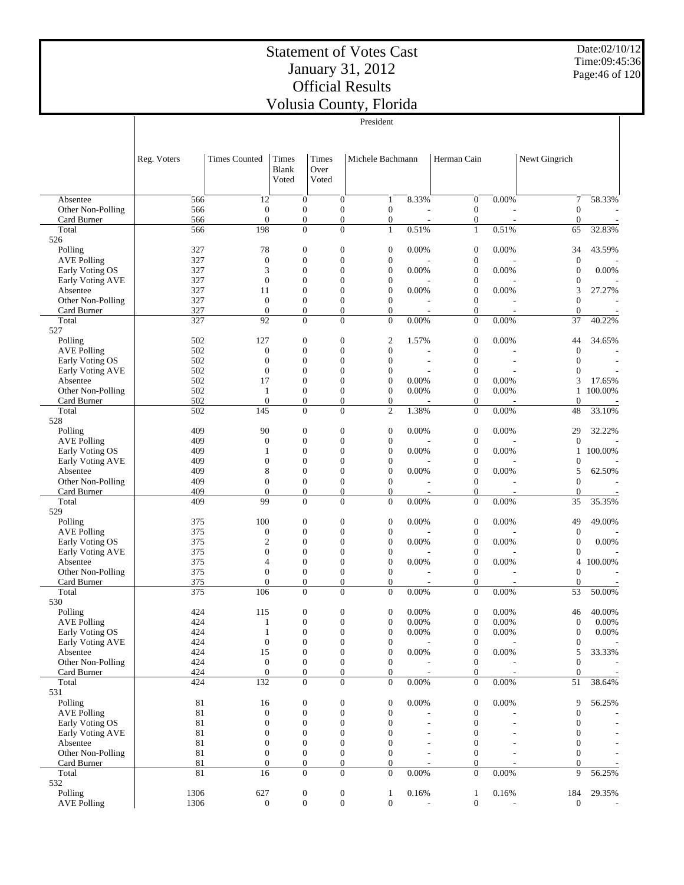Date:02/10/12 Time:09:45:36 Page:46 of 120

|                                                |             |                                      |                                      |                                      | President                            |                |                                                        |                                      |                          |
|------------------------------------------------|-------------|--------------------------------------|--------------------------------------|--------------------------------------|--------------------------------------|----------------|--------------------------------------------------------|--------------------------------------|--------------------------|
|                                                |             |                                      |                                      |                                      |                                      |                |                                                        |                                      |                          |
|                                                | Reg. Voters | <b>Times Counted</b>                 | Times<br><b>Blank</b><br>Voted       | <b>Times</b><br>Over<br>Voted        | Michele Bachmann                     |                | Herman Cain                                            | Newt Gingrich                        |                          |
|                                                |             |                                      |                                      |                                      |                                      |                |                                                        |                                      |                          |
| Absentee<br>Other Non-Polling                  | 566<br>566  | 12<br>$\mathbf{0}$                   | $\mathbf{0}$<br>$\boldsymbol{0}$     | $\overline{0}$<br>$\mathbf{0}$       | 1<br>$\boldsymbol{0}$                | 8.33%          | 0.00%<br>$\boldsymbol{0}$<br>$\boldsymbol{0}$          | 7<br>$\boldsymbol{0}$                | 58.33%                   |
| Card Burner                                    | 566         | $\theta$                             | $\boldsymbol{0}$                     | $\boldsymbol{0}$                     | $\boldsymbol{0}$                     | L,             | $\boldsymbol{0}$                                       | $\boldsymbol{0}$                     |                          |
| Total<br>526                                   | 566         | 198                                  | $\mathbf{0}$                         | $\theta$                             | $\mathbf{1}$                         | 0.51%          | $\mathbf{1}$<br>0.51%                                  | 65                                   | 32.83%                   |
| Polling                                        | 327         | 78                                   | $\mathbf{0}$                         | $\boldsymbol{0}$                     | $\boldsymbol{0}$                     | 0.00%          | $\boldsymbol{0}$<br>0.00%                              | 34                                   | 43.59%                   |
| <b>AVE Polling</b>                             | 327         | $\boldsymbol{0}$                     | $\mathbf{0}$                         | $\overline{0}$                       | $\boldsymbol{0}$                     |                | $\boldsymbol{0}$                                       | $\boldsymbol{0}$                     |                          |
| Early Voting OS                                | 327         | 3                                    | $\mathbf{0}$                         | $\overline{0}$                       | $\boldsymbol{0}$                     | 0.00%          | $\boldsymbol{0}$<br>0.00%                              | $\overline{0}$                       | 0.00%                    |
| Early Voting AVE                               | 327         | $\overline{0}$                       | $\mathbf{0}$                         | $\overline{0}$<br>$\overline{0}$     | $\boldsymbol{0}$                     |                | $\boldsymbol{0}$<br>$\boldsymbol{0}$                   | $\overline{0}$                       |                          |
| Absentee<br>Other Non-Polling                  | 327<br>327  | 11<br>$\mathbf{0}$                   | $\mathbf{0}$<br>$\mathbf{0}$         | $\mathbf{0}$                         | $\boldsymbol{0}$<br>$\boldsymbol{0}$ | 0.00%          | 0.00%<br>$\mathbf{0}$                                  | 3<br>$\theta$                        | 27.27%                   |
| Card Burner                                    | 327         | $\mathbf{0}$                         | $\mathbf{0}$                         | $\boldsymbol{0}$                     | $\boldsymbol{0}$                     | L.             | $\boldsymbol{0}$                                       | $\boldsymbol{0}$<br>÷,               | $\overline{\phantom{a}}$ |
| Total                                          | 327         | 92                                   | $\mathbf{0}$                         | $\Omega$                             | $\overline{0}$                       | 0.00%          | $\boldsymbol{0}$<br>0.00%                              | 37                                   | 40.22%                   |
| 527                                            |             |                                      |                                      |                                      |                                      |                |                                                        |                                      |                          |
| Polling                                        | 502         | 127                                  | $\mathbf{0}$                         | $\boldsymbol{0}$                     | $\overline{2}$                       | 1.57%          | $\boldsymbol{0}$<br>0.00%                              | 44                                   | 34.65%                   |
| <b>AVE Polling</b><br>Early Voting OS          | 502<br>502  | $\overline{0}$<br>$\overline{0}$     | $\mathbf{0}$<br>$\mathbf{0}$         | $\overline{0}$<br>$\overline{0}$     | $\boldsymbol{0}$<br>$\boldsymbol{0}$ |                | $\boldsymbol{0}$<br>$\boldsymbol{0}$                   | $\theta$<br>$\overline{0}$           |                          |
| Early Voting AVE                               | 502         | $\overline{0}$                       | $\mathbf{0}$                         | $\overline{0}$                       | $\boldsymbol{0}$                     |                | $\boldsymbol{0}$                                       | $\theta$                             |                          |
| Absentee                                       | 502         | 17                                   | $\mathbf{0}$                         | $\overline{0}$                       | $\boldsymbol{0}$                     | 0.00%          | $\boldsymbol{0}$<br>0.00%                              | 3                                    | 17.65%                   |
| Other Non-Polling                              | 502         | 1                                    | $\mathbf{0}$                         | $\overline{0}$                       | $\boldsymbol{0}$                     | 0.00%          | $\boldsymbol{0}$<br>0.00%                              | $\mathbf{1}$                         | 100.00%                  |
| Card Burner                                    | 502         | $\mathbf{0}$                         | $\boldsymbol{0}$                     | $\boldsymbol{0}$                     | $\boldsymbol{0}$                     |                | $\boldsymbol{0}$                                       | $\boldsymbol{0}$                     |                          |
| Total                                          | 502         | 145                                  | $\mathbf{0}$                         | $\theta$                             | $\overline{2}$                       | 1.38%          | $\boldsymbol{0}$<br>0.00%                              | 48                                   | 33.10%                   |
| 528<br>Polling                                 | 409         | 90                                   | $\mathbf{0}$                         | $\boldsymbol{0}$                     | $\boldsymbol{0}$                     | 0.00%          | $\boldsymbol{0}$<br>0.00%                              | 29                                   | 32.22%                   |
| <b>AVE Polling</b>                             | 409         | $\boldsymbol{0}$                     | $\mathbf{0}$                         | $\overline{0}$                       | $\boldsymbol{0}$                     |                | $\boldsymbol{0}$                                       | $\mathbf{0}$                         |                          |
| Early Voting OS                                | 409         | 1                                    | $\mathbf{0}$                         | $\overline{0}$                       | $\boldsymbol{0}$                     | 0.00%          | $\boldsymbol{0}$<br>0.00%                              | 1                                    | 100.00%                  |
| Early Voting AVE                               | 409         | $\overline{0}$                       | $\mathbf{0}$                         | $\overline{0}$                       | $\boldsymbol{0}$                     |                | $\boldsymbol{0}$                                       | $\boldsymbol{0}$                     |                          |
| Absentee                                       | 409         | 8                                    | $\mathbf{0}$                         | $\overline{0}$                       | $\boldsymbol{0}$                     | 0.00%          | $\boldsymbol{0}$<br>0.00%                              | 5                                    | 62.50%                   |
| Other Non-Polling                              | 409<br>409  | $\overline{0}$<br>$\overline{0}$     | $\boldsymbol{0}$<br>$\mathbf{0}$     | $\mathbf{0}$<br>$\boldsymbol{0}$     | $\boldsymbol{0}$<br>$\boldsymbol{0}$ |                | $\boldsymbol{0}$<br>$\boldsymbol{0}$                   | $\theta$<br>$\boldsymbol{0}$<br>÷,   |                          |
| Card Burner<br>Total                           | 409         | 99                                   | $\mathbf{0}$                         | $\overline{0}$                       | $\overline{0}$                       | 0.00%          | $\boldsymbol{0}$<br>0.00%                              | 35                                   | 35.35%                   |
| 529                                            |             |                                      |                                      |                                      |                                      |                |                                                        |                                      |                          |
| Polling                                        | 375         | 100                                  | $\boldsymbol{0}$                     | $\boldsymbol{0}$                     | $\boldsymbol{0}$                     | 0.00%          | $\boldsymbol{0}$<br>0.00%                              | 49                                   | 49.00%                   |
| <b>AVE Polling</b>                             | 375         | 0                                    | $\mathbf{0}$                         | $\overline{0}$                       | $\boldsymbol{0}$                     |                | $\boldsymbol{0}$                                       | $\boldsymbol{0}$                     |                          |
| Early Voting OS                                | 375<br>375  | 2<br>$\overline{0}$                  | $\mathbf{0}$<br>$\mathbf{0}$         | $\overline{0}$<br>$\overline{0}$     | $\boldsymbol{0}$<br>$\boldsymbol{0}$ | 0.00%          | $\boldsymbol{0}$<br>0.00%<br>$\boldsymbol{0}$          | $\boldsymbol{0}$<br>$\boldsymbol{0}$ | 0.00%                    |
| Early Voting AVE<br>Absentee                   | 375         | 4                                    | $\mathbf{0}$                         | $\overline{0}$                       | $\boldsymbol{0}$                     | 0.00%          | $\boldsymbol{0}$<br>0.00%                              | 4                                    | 100.00%                  |
| Other Non-Polling                              | 375         | $\overline{0}$                       | $\mathbf{0}$                         | $\overline{0}$                       | $\boldsymbol{0}$                     |                | $\boldsymbol{0}$                                       | $\overline{0}$                       |                          |
| Card Burner                                    | 375         | $\Omega$                             | $\boldsymbol{0}$                     | $\overline{0}$                       | $\boldsymbol{0}$                     |                | $\boldsymbol{0}$                                       | $\mathbf{0}$                         |                          |
| Total                                          | 375         | 106                                  | $\overline{0}$                       | $\theta$                             | $\overline{0}$                       | 0.00%          | $\boldsymbol{0}$<br>0.00%                              | 53                                   | 50.00%                   |
| 530                                            |             |                                      |                                      |                                      |                                      |                |                                                        |                                      |                          |
| $\operatorname{Polling}$<br><b>AVE Polling</b> | 424<br>424  | 115<br>1                             | $\mathbf{0}$<br>$\boldsymbol{0}$     | $\overline{0}$<br>$\boldsymbol{0}$   | 0<br>$\boldsymbol{0}$                | 0.00%<br>0.00% | $\boldsymbol{0}$<br>0.00%<br>$\boldsymbol{0}$<br>0.00% | 46<br>$\boldsymbol{0}$               | 40.00%<br>$0.00\%$       |
| Early Voting OS                                | 424         | 1                                    | $\boldsymbol{0}$                     | $\boldsymbol{0}$                     | $\boldsymbol{0}$                     | 0.00%          | $\boldsymbol{0}$<br>0.00%                              | $\boldsymbol{0}$                     | $0.00\%$                 |
| Early Voting AVE                               | 424         | $\boldsymbol{0}$                     | $\mathbf{0}$                         | $\boldsymbol{0}$                     | $\boldsymbol{0}$                     |                | $\boldsymbol{0}$                                       | $\boldsymbol{0}$                     |                          |
| Absentee                                       | 424         | 15                                   | $\mathbf{0}$                         | $\boldsymbol{0}$                     | $\boldsymbol{0}$                     | 0.00%          | $\boldsymbol{0}$<br>0.00%                              | 5                                    | 33.33%                   |
| Other Non-Polling                              | 424         | $\mathbf{0}$                         | $\mathbf{0}$                         | $\boldsymbol{0}$                     | $\boldsymbol{0}$                     |                | $\boldsymbol{0}$                                       | $\boldsymbol{0}$                     |                          |
| Card Burner<br>Total                           | 424<br>424  | $\mathbf{0}$<br>132                  | $\boldsymbol{0}$<br>$\boldsymbol{0}$ | $\boldsymbol{0}$<br>$\overline{0}$   | $\boldsymbol{0}$<br>$\boldsymbol{0}$ | J.<br>$0.00\%$ | $\boldsymbol{0}$<br>$\boldsymbol{0}$<br>$0.00\%$       | $\boldsymbol{0}$<br>L,<br>51         | $\sim$<br>38.64%         |
| 531                                            |             |                                      |                                      |                                      |                                      |                |                                                        |                                      |                          |
| Polling                                        | 81          | 16                                   | $\boldsymbol{0}$                     | $\boldsymbol{0}$                     | $\boldsymbol{0}$                     | 0.00%          | $\boldsymbol{0}$<br>0.00%                              | 9                                    | 56.25%                   |
| <b>AVE Polling</b>                             | 81          | $\mathbf{0}$                         | $\boldsymbol{0}$                     | $\boldsymbol{0}$                     | $\boldsymbol{0}$                     |                | $\boldsymbol{0}$                                       | $\boldsymbol{0}$                     |                          |
| Early Voting OS                                | 81          | $\boldsymbol{0}$                     | $\mathbf{0}$                         | $\boldsymbol{0}$                     | $\boldsymbol{0}$                     |                | $\boldsymbol{0}$                                       | $\boldsymbol{0}$                     |                          |
| Early Voting AVE                               | 81          | $\overline{0}$                       | $\mathbf{0}$                         | $\boldsymbol{0}$                     | $\overline{0}$                       |                | $\boldsymbol{0}$                                       | $\mathbf{0}$                         |                          |
| Absentee<br>Other Non-Polling                  | 81<br>81    | $\boldsymbol{0}$<br>$\boldsymbol{0}$ | $\mathbf{0}$<br>$\boldsymbol{0}$     | $\boldsymbol{0}$<br>$\boldsymbol{0}$ | $\boldsymbol{0}$<br>$\boldsymbol{0}$ |                | $\boldsymbol{0}$<br>$\boldsymbol{0}$                   | $\mathbf{0}$<br>$\boldsymbol{0}$     |                          |
| Card Burner                                    | 81          | $\theta$                             | $\boldsymbol{0}$                     | $\boldsymbol{0}$                     | $\boldsymbol{0}$                     |                | $\boldsymbol{0}$                                       | $\boldsymbol{0}$                     |                          |
| Total                                          | 81          | 16                                   | $\boldsymbol{0}$                     | $\overline{0}$                       | $\overline{0}$                       | $0.00\%$       | $\boldsymbol{0}$<br>0.00%                              | 9                                    | 56.25%                   |
| 532                                            |             |                                      |                                      |                                      |                                      |                |                                                        |                                      |                          |
| Polling                                        | 1306        | 627                                  | $\boldsymbol{0}$                     | $\boldsymbol{0}$                     | $\mathbf{1}$                         | 0.16%          | $\mathbf{1}$<br>0.16%                                  | 184                                  | 29.35%                   |
| <b>AVE Polling</b>                             | 1306        | $\boldsymbol{0}$                     | $\boldsymbol{0}$                     | $\overline{0}$                       | $\boldsymbol{0}$                     | J.             | $\boldsymbol{0}$                                       | $\mathbf{0}$                         |                          |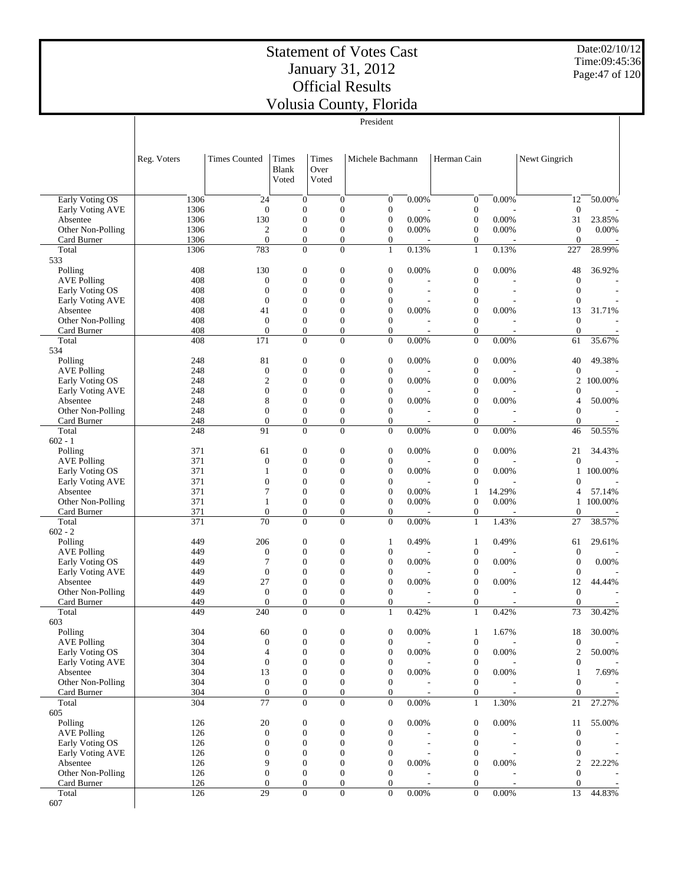Date:02/10/12 Time:09:45:36 Page:47 of 120

|                                       |              |                                  |                                |                                      |                                      | President                          |                          |                                  |                          |                                    |                          |
|---------------------------------------|--------------|----------------------------------|--------------------------------|--------------------------------------|--------------------------------------|------------------------------------|--------------------------|----------------------------------|--------------------------|------------------------------------|--------------------------|
|                                       | Reg. Voters  | <b>Times Counted</b>             | Times<br><b>Blank</b><br>Voted | Times<br>Over<br>Voted               |                                      | Michele Bachmann                   |                          | Herman Cain                      |                          | Newt Gingrich                      |                          |
| <b>Early Voting OS</b>                | 1306         | 24                               |                                | $\boldsymbol{0}$                     | $\overline{0}$                       | $\overline{0}$                     | 0.00%                    | $\boldsymbol{0}$                 | 0.00%                    | 12                                 | 50.00%                   |
| Early Voting AVE                      | 1306         | $\boldsymbol{0}$                 |                                | $\boldsymbol{0}$                     | $\mathbf{0}$                         | $\mathbf{0}$                       |                          | $\boldsymbol{0}$                 |                          | $\boldsymbol{0}$                   |                          |
| Absentee<br>Other Non-Polling         | 1306<br>1306 | 130<br>$\mathfrak{2}$            |                                | $\boldsymbol{0}$<br>$\boldsymbol{0}$ | $\Omega$<br>$\overline{0}$           | $\mathbf{0}$<br>$\mathbf{0}$       | 0.00%<br>$0.00\%$        | $\boldsymbol{0}$<br>$\mathbf{0}$ | 0.00%<br>0.00%           | 31<br>$\boldsymbol{0}$             | 23.85%<br>0.00%          |
| Card Burner                           | 1306         | $\overline{0}$                   |                                | $\boldsymbol{0}$                     | $\overline{0}$                       | $\overline{0}$                     |                          | $\boldsymbol{0}$                 |                          | $\mathbf{0}$                       |                          |
| Total                                 | 1306         | 783                              |                                | $\overline{0}$                       | $\Omega$                             | $\mathbf{1}$                       | 0.13%                    | $\mathbf{1}$                     | 0.13%                    | 227                                | 28.99%                   |
| 533                                   |              |                                  |                                |                                      |                                      |                                    |                          |                                  |                          |                                    |                          |
| Polling                               | 408          | 130                              |                                | $\boldsymbol{0}$                     | $\overline{0}$                       | $\boldsymbol{0}$                   | 0.00%                    | $\boldsymbol{0}$                 | 0.00%                    | 48                                 | 36.92%                   |
| <b>AVE Polling</b>                    | 408          | $\overline{0}$                   |                                | $\boldsymbol{0}$                     | $\Omega$                             | $\overline{0}$                     |                          | $\boldsymbol{0}$                 |                          | $\mathbf{0}$                       |                          |
| Early Voting OS                       | 408          | $\mathbf{0}$                     |                                | $\boldsymbol{0}$<br>$\overline{0}$   | $\mathbf{0}$<br>$\Omega$             | $\mathbf{0}$                       | ٠                        | $\mathbf{0}$                     | ÷,                       | $\theta$                           |                          |
| Early Voting AVE<br>Absentee          | 408<br>408   | $\overline{0}$<br>41             |                                | $\boldsymbol{0}$                     | $\overline{0}$                       | $\overline{0}$<br>$\mathbf{0}$     | 0.00%                    | $\mathbf{0}$<br>$\boldsymbol{0}$ | 0.00%                    | $\overline{0}$<br>13               | 31.71%                   |
| Other Non-Polling                     | 408          | $\theta$                         |                                | $\boldsymbol{0}$                     | $\overline{0}$                       | $\overline{0}$                     |                          | $\boldsymbol{0}$                 |                          | $\boldsymbol{0}$                   |                          |
| Card Burner                           | 408          | $\boldsymbol{0}$                 |                                | $\boldsymbol{0}$                     | $\boldsymbol{0}$                     | $\overline{0}$                     | $\overline{a}$           | $\mathbf{0}$                     |                          | $\overline{0}$                     |                          |
| Total                                 | 408          | 171                              |                                | $\boldsymbol{0}$                     | $\Omega$                             | $\overline{0}$                     | 0.00%                    | $\overline{0}$                   | 0.00%                    | 61                                 | 35.67%                   |
| 534                                   |              |                                  |                                |                                      |                                      |                                    |                          |                                  |                          |                                    |                          |
| Polling                               | 248          | 81                               |                                | $\boldsymbol{0}$                     | $\overline{0}$                       | $\boldsymbol{0}$                   | 0.00%                    | $\mathbf{0}$                     | 0.00%                    | 40                                 | 49.38%                   |
| <b>AVE Polling</b>                    | 248          | $\boldsymbol{0}$                 |                                | $\boldsymbol{0}$                     | $\overline{0}$                       | $\mathbf{0}$                       |                          | $\boldsymbol{0}$                 |                          | $\overline{0}$                     |                          |
| Early Voting OS                       | 248<br>248   | $\mathbf{2}$<br>$\boldsymbol{0}$ |                                | $\mathbf{0}$<br>$\boldsymbol{0}$     | $\Omega$<br>$\Omega$                 | $\overline{0}$<br>$\mathbf{0}$     | 0.00%                    | $\boldsymbol{0}$<br>$\mathbf{0}$ | 0.00%                    | 2<br>$\theta$                      | 100.00%                  |
| Early Voting AVE<br>Absentee          | 248          | 8                                |                                | $\mathbf{0}$                         | $\Omega$                             | $\overline{0}$                     | 0.00%                    | $\boldsymbol{0}$                 | 0.00%                    | 4                                  | 50.00%                   |
| Other Non-Polling                     | 248          | $\boldsymbol{0}$                 |                                | $\boldsymbol{0}$                     | $\mathbf{0}$                         | $\overline{0}$                     |                          | $\mathbf{0}$                     |                          | $\Omega$                           |                          |
| Card Burner                           | 248          | $\overline{0}$                   |                                | $\boldsymbol{0}$                     | $\overline{0}$                       | $\overline{0}$                     | $\overline{\phantom{a}}$ | $\overline{0}$                   |                          | $\overline{0}$                     |                          |
| Total                                 | 248          | 91                               |                                | $\boldsymbol{0}$                     | $\overline{0}$                       | $\overline{0}$                     | 0.00%                    | $\boldsymbol{0}$                 | 0.00%                    | 46                                 | 50.55%                   |
| $602 - 1$                             |              |                                  |                                |                                      |                                      |                                    |                          |                                  |                          |                                    |                          |
| Polling                               | 371          | 61                               |                                | $\boldsymbol{0}$                     | $\overline{0}$                       | $\boldsymbol{0}$                   | 0.00%                    | $\boldsymbol{0}$                 | 0.00%                    | 21                                 | 34.43%                   |
| <b>AVE Polling</b>                    | 371          | $\mathbf{0}$                     |                                | $\mathbf{0}$                         | $\Omega$                             | $\overline{0}$                     |                          | $\boldsymbol{0}$                 |                          | $\overline{0}$                     |                          |
| Early Voting OS<br>Early Voting AVE   | 371<br>371   | 1<br>$\boldsymbol{0}$            |                                | $\boldsymbol{0}$<br>$\mathbf{0}$     | $\overline{0}$<br>$\Omega$           | $\boldsymbol{0}$<br>$\overline{0}$ | 0.00%                    | $\boldsymbol{0}$<br>$\mathbf{0}$ | 0.00%                    | 1<br>$\Omega$                      | 100.00%                  |
| Absentee                              | 371          | 7                                |                                | $\boldsymbol{0}$                     | $\overline{0}$                       | $\mathbf{0}$                       | 0.00%                    | $\mathbf{1}$                     | 14.29%                   | 4                                  | 57.14%                   |
| Other Non-Polling                     | 371          | 1                                |                                | $\boldsymbol{0}$                     | $\mathbf{0}$                         | $\mathbf{0}$                       | 0.00%                    | $\theta$                         | 0.00%                    | 1                                  | 100.00%                  |
| Card Burner                           | 371          | $\overline{0}$                   |                                | $\boldsymbol{0}$                     | $\boldsymbol{0}$                     | $\overline{0}$                     |                          | $\boldsymbol{0}$                 |                          | $\overline{0}$                     |                          |
| Total                                 | 371          | 70                               |                                | $\overline{0}$                       | $\Omega$                             | $\Omega$                           | 0.00%                    | $1\,$                            | 1.43%                    | 27                                 | 38.57%                   |
| $602 - 2$                             |              |                                  |                                |                                      |                                      |                                    |                          |                                  |                          |                                    |                          |
| Polling                               | 449          | 206                              |                                | $\boldsymbol{0}$                     | $\overline{0}$<br>$\overline{0}$     | $\mathbf{1}$                       | 0.49%                    | $\mathbf{1}$                     | 0.49%                    | 61                                 | 29.61%                   |
| <b>AVE Polling</b><br>Early Voting OS | 449<br>449   | $\boldsymbol{0}$<br>7            |                                | $\boldsymbol{0}$<br>$\boldsymbol{0}$ | $\Omega$                             | $\mathbf{0}$<br>$\mathbf{0}$       | 0.00%                    | $\mathbf{0}$<br>$\boldsymbol{0}$ | 0.00%                    | $\boldsymbol{0}$<br>$\overline{0}$ | 0.00%                    |
| Early Voting AVE                      | 449          | $\boldsymbol{0}$                 |                                | $\boldsymbol{0}$                     | $\mathbf{0}$                         | $\boldsymbol{0}$                   |                          | $\boldsymbol{0}$                 |                          | $\theta$                           |                          |
| Absentee                              | 449          | 27                               |                                | $\boldsymbol{0}$                     | $\Omega$                             | $\overline{0}$                     | 0.00%                    | $\boldsymbol{0}$                 | 0.00%                    | 12                                 | 44.44%                   |
| Other Non-Polling                     | 449          | $\mathbf{0}$                     |                                | $\boldsymbol{0}$                     | $\mathbf{0}$                         | $\mathbf{0}$                       |                          | $\boldsymbol{0}$                 |                          | $\boldsymbol{0}$                   |                          |
| Card Burner                           | 449          | $\overline{0}$                   |                                | $\overline{0}$                       | $\Omega$                             | $\Omega$                           | $\overline{\phantom{a}}$ | $\mathbf{0}$                     | $\overline{\phantom{a}}$ | $\overline{0}$                     |                          |
| Total                                 | 449          | 240                              |                                | $\boldsymbol{0}$                     | $\boldsymbol{0}$                     | $\mathbf{1}$                       | 0.42%                    | $\,1$                            | 0.42%                    | 73                                 | 30.42%                   |
| 603<br>Polling                        |              |                                  |                                |                                      |                                      |                                    |                          |                                  |                          |                                    |                          |
| <b>AVE Polling</b>                    | 304<br>304   | 60<br>$\boldsymbol{0}$           |                                | $\boldsymbol{0}$<br>$\boldsymbol{0}$ | $\boldsymbol{0}$<br>$\boldsymbol{0}$ | $\boldsymbol{0}$<br>$\mathbf{0}$   | 0.00%                    | $\mathbf{1}$<br>$\mathbf{0}$     | 1.67%                    | 18<br>$\overline{0}$               | 30.00%                   |
| Early Voting OS                       | 304          | 4                                |                                | $\boldsymbol{0}$                     | $\boldsymbol{0}$                     | $\mathbf{0}$                       | 0.00%                    | $\boldsymbol{0}$                 | 0.00%                    | $\boldsymbol{2}$                   | 50.00%                   |
| Early Voting AVE                      | 304          | $\boldsymbol{0}$                 |                                | $\boldsymbol{0}$                     | $\mathbf{0}$                         | $\mathbf{0}$                       |                          | $\mathbf{0}$                     |                          | $\boldsymbol{0}$                   |                          |
| Absentee                              | 304          | 13                               |                                | $\boldsymbol{0}$                     | $\boldsymbol{0}$                     | $\mathbf{0}$                       | 0.00%                    | $\boldsymbol{0}$                 | 0.00%                    | $\mathbf{1}$                       | 7.69%                    |
| Other Non-Polling                     | 304          | $\boldsymbol{0}$                 |                                | $\boldsymbol{0}$                     | $\boldsymbol{0}$                     | $\mathbf{0}$                       |                          | $\mathbf{0}$                     |                          | $\boldsymbol{0}$                   |                          |
| Card Burner                           | 304          | $\boldsymbol{0}$                 |                                | $\boldsymbol{0}$                     | $\mathbf{0}$                         | $\mathbf{0}$                       |                          | $\mathbf{0}$                     |                          | $\mathbf{0}$                       |                          |
| Total                                 | 304          | 77                               |                                | $\boldsymbol{0}$                     | $\Omega$                             | $\overline{0}$                     | 0.00%                    | $\mathbf{1}$                     | 1.30%                    | $21\,$                             | 27.27%                   |
| 605<br>Polling                        | 126          | $20\,$                           |                                | $\boldsymbol{0}$                     | $\boldsymbol{0}$                     | $\mathbf{0}$                       | 0.00%                    | $\boldsymbol{0}$                 | 0.00%                    | 11                                 | 55.00%                   |
| <b>AVE Polling</b>                    | 126          | $\boldsymbol{0}$                 |                                | $\boldsymbol{0}$                     | $\mathbf{0}$                         | $\mathbf{0}$                       |                          | $\mathbf{0}$                     |                          | $\boldsymbol{0}$                   |                          |
| Early Voting OS                       | 126          | $\boldsymbol{0}$                 |                                | $\boldsymbol{0}$                     | $\mathbf{0}$                         | $\overline{0}$                     | $\tilde{\phantom{a}}$    | $\mathbf{0}$                     | $\overline{a}$           | $\mathbf{0}$                       | $\overline{\phantom{a}}$ |
| Early Voting AVE                      | 126          | $\boldsymbol{0}$                 |                                | $\boldsymbol{0}$                     | $\boldsymbol{0}$                     | $\mathbf{0}$                       |                          | $\mathbf{0}$                     |                          | $\theta$                           |                          |
| Absentee                              | 126          | 9                                |                                | $\boldsymbol{0}$                     | $\mathbf{0}$                         | $\overline{0}$                     | 0.00%                    | $\boldsymbol{0}$                 | 0.00%                    | $\boldsymbol{2}$                   | 22.22%                   |
| Other Non-Polling                     | 126          | $\boldsymbol{0}$                 |                                | $\boldsymbol{0}$                     | $\mathbf{0}$                         | $\mathbf{0}$                       |                          | $\mathbf{0}$                     |                          | $\theta$                           |                          |
| Card Burner                           | 126          | $\boldsymbol{0}$                 |                                | $\boldsymbol{0}$                     | $\mathbf{0}$                         | $\overline{0}$                     |                          | $\mathbf{0}$                     |                          | $\mathbf{0}$                       |                          |
| Total                                 | 126          | 29                               |                                | $\boldsymbol{0}$                     | $\overline{0}$                       | $\overline{0}$                     | $0.00\%$                 | $\overline{0}$                   | $0.00\%$                 | 13                                 | 44.83%                   |
| 607                                   |              |                                  |                                |                                      |                                      |                                    |                          |                                  |                          |                                    |                          |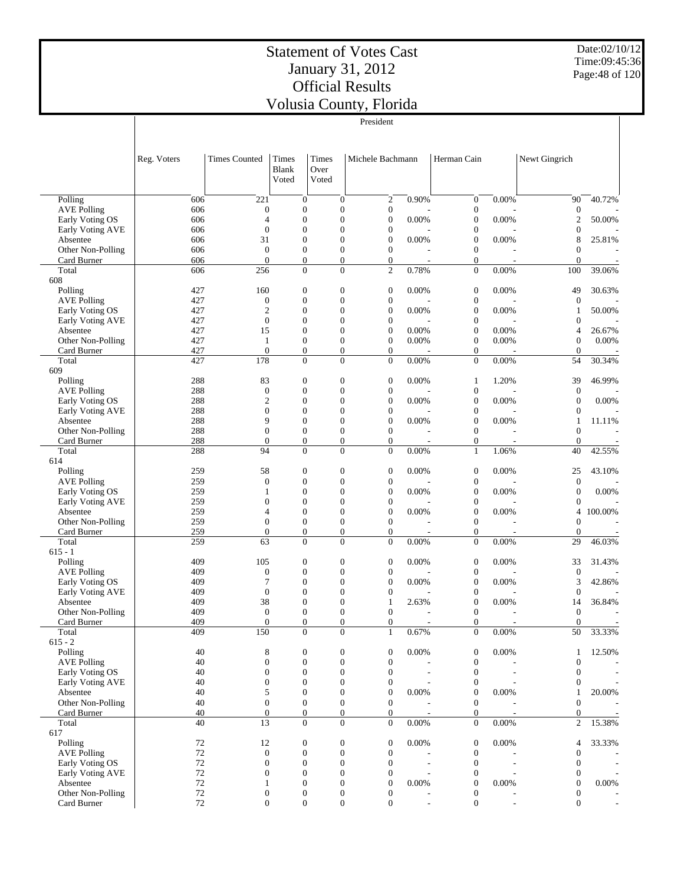Date:02/10/12 Time:09:45:36 Page:48 of 120

|                                     |             |                                  |                                  |                               |                      | President                            |                          |                              |                          |                                  |                          |
|-------------------------------------|-------------|----------------------------------|----------------------------------|-------------------------------|----------------------|--------------------------------------|--------------------------|------------------------------|--------------------------|----------------------------------|--------------------------|
|                                     | Reg. Voters | <b>Times Counted</b>             | Times<br><b>Blank</b><br>Voted   | <b>Times</b><br>Over<br>Voted |                      | Michele Bachmann                     |                          | Herman Cain                  |                          | Newt Gingrich                    |                          |
| Polling                             | 606         | 221                              | $\mathbf{0}$                     |                               | $\overline{0}$       | $\boldsymbol{2}$                     | 0.90%                    | $\boldsymbol{0}$             | 0.00%                    | 90                               | 40.72%                   |
| <b>AVE Polling</b>                  | 606         | $\overline{0}$                   | $\boldsymbol{0}$                 |                               | $\overline{0}$       | $\boldsymbol{0}$                     |                          | $\boldsymbol{0}$             |                          | $\mathbf{0}$                     |                          |
| Early Voting OS<br>Early Voting AVE | 606<br>606  | $\overline{4}$<br>$\overline{0}$ | $\overline{0}$<br>$\overline{0}$ |                               | $\theta$<br>$\theta$ | $\boldsymbol{0}$<br>$\boldsymbol{0}$ | 0.00%                    | $\mathbf{0}$<br>$\mathbf{0}$ | 0.00%                    | $\mathfrak{2}$<br>$\overline{0}$ | 50.00%                   |
| Absentee                            | 606         | 31                               | $\overline{0}$                   |                               | $\theta$             | $\overline{0}$                       | 0.00%                    | $\mathbf{0}$                 | 0.00%                    | 8                                | 25.81%                   |
| Other Non-Polling                   | 606         | $\overline{0}$                   | $\overline{0}$                   |                               | $\overline{0}$       | $\overline{0}$                       |                          | $\mathbf{0}$                 |                          | $\theta$                         |                          |
| Card Burner                         | 606         | $\Omega$                         | $\boldsymbol{0}$                 |                               | $\overline{0}$       | $\boldsymbol{0}$                     |                          | $\boldsymbol{0}$             |                          | $\boldsymbol{0}$                 |                          |
| Total                               | 606         | 256                              | $\overline{0}$                   |                               | $\Omega$             | $\overline{2}$                       | 0.78%                    | $\overline{0}$               | 0.00%                    | 100                              | 39.06%                   |
| 608                                 | 427         | 160                              | $\boldsymbol{0}$                 |                               | $\overline{0}$       | $\boldsymbol{0}$                     | 0.00%                    | $\mathbf{0}$                 | 0.00%                    | 49                               | 30.63%                   |
| Polling<br><b>AVE Polling</b>       | 427         | $\overline{0}$                   | $\overline{0}$                   |                               | $\Omega$             | $\boldsymbol{0}$                     |                          | $\mathbf{0}$                 |                          | $\overline{0}$                   |                          |
| Early Voting OS                     | 427         | $\overline{2}$                   | $\overline{0}$                   |                               | $\Omega$             | $\boldsymbol{0}$                     | $0.00\%$                 | $\mathbf{0}$                 | 0.00%                    | 1                                | 50.00%                   |
| Early Voting AVE                    | 427         | $\Omega$                         | $\overline{0}$                   |                               | $\theta$             | $\boldsymbol{0}$                     |                          | $\mathbf{0}$                 |                          | $\theta$                         |                          |
| Absentee                            | 427         | 15                               | $\overline{0}$                   |                               | $\theta$             | $\boldsymbol{0}$                     | 0.00%                    | $\mathbf{0}$                 | 0.00%                    | $\overline{4}$                   | 26.67%                   |
| Other Non-Polling                   | 427         | $\mathbf{1}$                     | $\overline{0}$                   |                               | $\overline{0}$       | $\boldsymbol{0}$                     | 0.00%                    | $\mathbf{0}$                 | 0.00%                    | $\mathbf{0}$                     | 0.00%                    |
| Card Burner                         | 427         | $\overline{0}$                   | $\boldsymbol{0}$                 |                               | $\boldsymbol{0}$     | $\boldsymbol{0}$                     |                          | $\boldsymbol{0}$             |                          | $\mathbf{0}$                     |                          |
| Total                               | 427         | 178                              | $\overline{0}$                   |                               | $\theta$             | $\overline{0}$                       | 0.00%                    | $\overline{0}$               | 0.00%                    | 54                               | 30.34%                   |
| 609<br>Polling                      | 288         | 83                               | $\mathbf{0}$                     |                               | $\overline{0}$       | $\boldsymbol{0}$                     | 0.00%                    | $\mathbf{1}$                 | 1.20%                    | 39                               | 46.99%                   |
| <b>AVE Polling</b>                  | 288         | $\overline{0}$                   | $\overline{0}$                   |                               | $\Omega$             | $\boldsymbol{0}$                     |                          | $\boldsymbol{0}$             |                          | $\theta$                         |                          |
| Early Voting OS                     | 288         | $\overline{2}$                   | $\overline{0}$                   |                               | $\theta$             | $\overline{0}$                       | 0.00%                    | $\mathbf{0}$                 | 0.00%                    | $\overline{0}$                   | 0.00%                    |
| Early Voting AVE                    | 288         | $\overline{0}$                   | $\overline{0}$                   |                               | $\theta$             | $\boldsymbol{0}$                     |                          | $\mathbf{0}$                 |                          | $\mathbf{0}$                     |                          |
| Absentee                            | 288         | 9                                | $\overline{0}$                   |                               | $\theta$             | $\boldsymbol{0}$                     | 0.00%                    | $\mathbf{0}$                 | 0.00%                    | $\mathbf{1}$                     | 11.11%                   |
| Other Non-Polling                   | 288         | $\overline{0}$                   | $\overline{0}$                   |                               | $\overline{0}$       | $\overline{0}$                       |                          | $\mathbf{0}$                 |                          | $\theta$                         |                          |
| Card Burner                         | 288         | $\Omega$                         | $\boldsymbol{0}$                 |                               | $\boldsymbol{0}$     | $\boldsymbol{0}$                     |                          | $\boldsymbol{0}$             |                          | $\boldsymbol{0}$                 |                          |
| Total                               | 288         | 94                               | $\overline{0}$                   |                               | $\Omega$             | $\overline{0}$                       | 0.00%                    | $\mathbf{1}$                 | 1.06%                    | 40                               | 42.55%                   |
| 614<br>Polling                      | 259         | 58                               | $\boldsymbol{0}$                 |                               | $\overline{0}$       | $\boldsymbol{0}$                     | 0.00%                    | $\mathbf{0}$                 | 0.00%                    | 25                               | 43.10%                   |
| <b>AVE Polling</b>                  | 259         | $\overline{0}$                   | $\overline{0}$                   |                               | $\Omega$             | $\boldsymbol{0}$                     |                          | $\mathbf{0}$                 |                          | $\boldsymbol{0}$                 |                          |
| Early Voting OS                     | 259         | 1                                | $\overline{0}$                   |                               | $\theta$             | $\boldsymbol{0}$                     | 0.00%                    | $\mathbf{0}$                 | 0.00%                    | $\boldsymbol{0}$                 | 0.00%                    |
| Early Voting AVE                    | 259         | $\overline{0}$                   | $\overline{0}$                   |                               | $\theta$             | $\boldsymbol{0}$                     |                          | $\mathbf{0}$                 |                          | $\mathbf{0}$                     |                          |
| Absentee                            | 259         | 4                                | $\overline{0}$                   |                               | $\theta$             | $\boldsymbol{0}$                     | 0.00%                    | $\mathbf{0}$                 | 0.00%                    | 4                                | 100.00%                  |
| Other Non-Polling                   | 259         | $\Omega$                         | $\overline{0}$                   |                               | $\overline{0}$       | $\overline{0}$                       |                          | $\boldsymbol{0}$             |                          | $\mathbf{0}$                     |                          |
| Card Burner                         | 259         | $\overline{0}$                   | $\boldsymbol{0}$                 |                               | $\boldsymbol{0}$     | $\boldsymbol{0}$                     |                          | $\boldsymbol{0}$             |                          | $\boldsymbol{0}$                 |                          |
| Total                               | 259         | 63                               | $\overline{0}$                   |                               | $\theta$             | $\overline{0}$                       | 0.00%                    | $\boldsymbol{0}$             | 0.00%                    | 29                               | 46.03%                   |
| $615 - 1$<br>Polling                | 409         | 105                              | $\boldsymbol{0}$                 |                               | $\overline{0}$       | $\boldsymbol{0}$                     | 0.00%                    | $\boldsymbol{0}$             | 0.00%                    | 33                               | 31.43%                   |
| <b>AVE Polling</b>                  | 409         | $\mathbf{0}$                     | $\overline{0}$                   |                               | $\overline{0}$       | $\boldsymbol{0}$                     |                          | $\mathbf{0}$                 |                          | $\mathbf{0}$                     |                          |
| Early Voting OS                     | 409         | 7                                | $\overline{0}$                   |                               | $\theta$             | $\overline{0}$                       | 0.00%                    | $\mathbf{0}$                 | 0.00%                    | 3                                | 42.86%                   |
| Early Voting AVE                    | 409         | $\overline{0}$                   | $\overline{0}$                   |                               | $\theta$             | $\boldsymbol{0}$                     |                          | $\mathbf{0}$                 |                          | $\overline{0}$                   |                          |
| Absentee                            | 409         | 38                               | $\overline{0}$                   |                               | $\theta$             | $\mathbf{1}$                         | 2.63%                    | $\overline{0}$               | 0.00%                    | 14                               | 36.84%                   |
| Other Non-Polling                   | 409         | $\boldsymbol{0}$                 | $\boldsymbol{0}$                 |                               | $\boldsymbol{0}$     | $\boldsymbol{0}$                     |                          | $\boldsymbol{0}$             |                          | $\boldsymbol{0}$                 |                          |
| Card Burner                         | 409         | $\boldsymbol{0}$                 | $\boldsymbol{0}$                 |                               | $\boldsymbol{0}$     | $\boldsymbol{0}$                     | $\overline{\phantom{a}}$ | $\boldsymbol{0}$             | $\overline{\phantom{a}}$ | $\mathbf{0}$                     |                          |
| Total<br>$615 - 2$                  | 409         | 150                              | $\Omega$                         |                               | $\Omega$             | $\mathbf{1}$                         | 0.67%                    | $\overline{0}$               | 0.00%                    | 50                               | 33.33%                   |
| Polling                             | 40          | 8                                | $\boldsymbol{0}$                 |                               | $\boldsymbol{0}$     | $\boldsymbol{0}$                     | 0.00%                    | $\boldsymbol{0}$             | 0.00%                    | 1                                | 12.50%                   |
| <b>AVE Polling</b>                  | 40          | $\mathbf{0}$                     | $\mathbf{0}$                     |                               | $\overline{0}$       | $\boldsymbol{0}$                     |                          | $\boldsymbol{0}$             |                          | $\boldsymbol{0}$                 |                          |
| Early Voting OS                     | 40          | $\boldsymbol{0}$                 | $\boldsymbol{0}$                 |                               | $\overline{0}$       | $\boldsymbol{0}$                     |                          | $\boldsymbol{0}$             |                          | $\overline{0}$                   | $\overline{\phantom{a}}$ |
| Early Voting AVE                    | 40          | $\mathbf{0}$                     | $\overline{0}$                   |                               | $\Omega$             | $\boldsymbol{0}$                     |                          | $\boldsymbol{0}$             |                          | 0                                |                          |
| Absentee                            | 40          | 5                                | $\boldsymbol{0}$                 |                               | $\overline{0}$       | $\boldsymbol{0}$                     | 0.00%                    | $\mathbf{0}$                 | $0.00\%$                 | $\mathbf{1}$                     | 20.00%                   |
| Other Non-Polling                   | 40          | $\mathbf{0}$                     | $\mathbf{0}$                     |                               | $\overline{0}$       | $\mathbf{0}$                         |                          | $\boldsymbol{0}$             |                          | $\mathbf{0}$                     |                          |
| Card Burner                         | 40          | $\boldsymbol{0}$                 | $\boldsymbol{0}$                 |                               | $\boldsymbol{0}$     | $\boldsymbol{0}$                     |                          | $\mathbf{0}$                 |                          | $\overline{0}$                   |                          |
| Total<br>617                        | 40          | 13                               | $\overline{0}$                   |                               | $\overline{0}$       | $\mathbf{0}$                         | 0.00%                    | $\boldsymbol{0}$             | $0.00\%$                 | $\overline{c}$                   | 15.38%                   |
| Polling                             | 72          | 12                               | $\mathbf{0}$                     |                               | $\boldsymbol{0}$     | $\boldsymbol{0}$                     | 0.00%                    | $\boldsymbol{0}$             | 0.00%                    | 4                                | 33.33%                   |
| <b>AVE Polling</b>                  | $72\,$      | $\boldsymbol{0}$                 | $\boldsymbol{0}$                 |                               | $\overline{0}$       | $\boldsymbol{0}$                     |                          | $\boldsymbol{0}$             |                          | $\overline{0}$                   |                          |
| Early Voting OS                     | $72\,$      | $\overline{0}$                   | $\overline{0}$                   |                               | $\overline{0}$       | $\boldsymbol{0}$                     |                          | $\boldsymbol{0}$             |                          | $\theta$                         | $\overline{\phantom{a}}$ |
| Early Voting AVE                    | $72\,$      | $\boldsymbol{0}$                 | $\overline{0}$                   |                               | $\overline{0}$       | $\boldsymbol{0}$                     |                          | $\boldsymbol{0}$             |                          | $\theta$                         |                          |
| Absentee                            | $72\,$      | 1                                | $\overline{0}$                   |                               | $\overline{0}$       | $\boldsymbol{0}$                     | 0.00%                    | $\mathbf{0}$                 | $0.00\%$                 | $\overline{0}$                   | $0.00\%$                 |
| Other Non-Polling                   | $72\,$      | $\boldsymbol{0}$                 | $\boldsymbol{0}$                 |                               | 0                    | $\boldsymbol{0}$                     |                          | $\boldsymbol{0}$             |                          | $\mathbf{0}$                     |                          |
| Card Burner                         | 72          | $\boldsymbol{0}$                 | $\boldsymbol{0}$                 |                               | $\boldsymbol{0}$     | $\boldsymbol{0}$                     | $\overline{a}$           | $\mathbf{0}$                 | $\overline{\phantom{a}}$ | $\mathbf{0}$                     | $\blacksquare$           |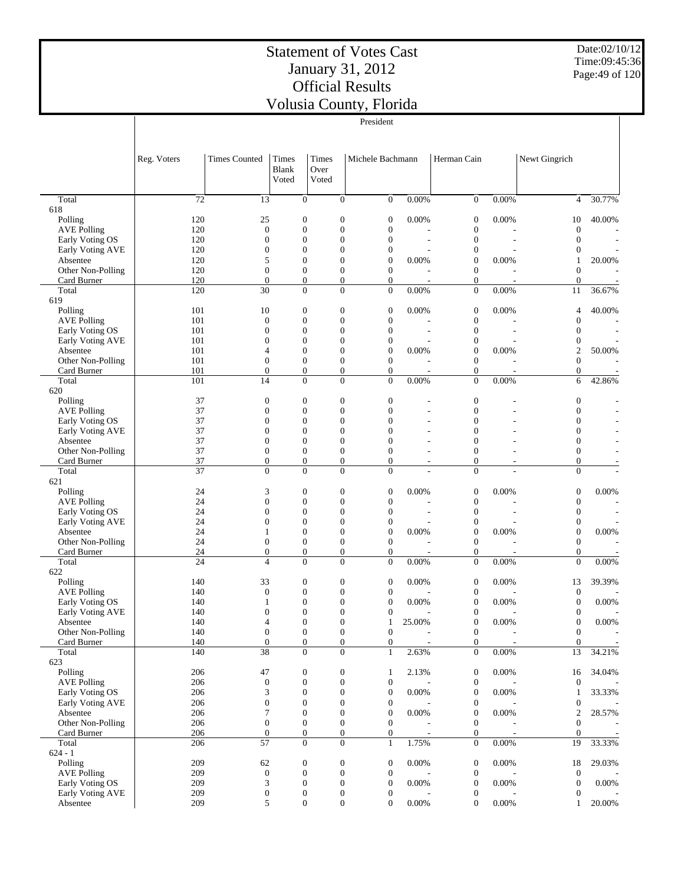Date:02/10/12 Time:09:45:36 Page:49 of 120

|                                     |                 |                                    |                                    |                        |                                      | President                            |                |                                      |                |                                  |                          |
|-------------------------------------|-----------------|------------------------------------|------------------------------------|------------------------|--------------------------------------|--------------------------------------|----------------|--------------------------------------|----------------|----------------------------------|--------------------------|
|                                     | Reg. Voters     | <b>Times Counted</b>               | Times<br><b>Blank</b><br>Voted     | Times<br>Over<br>Voted |                                      | Michele Bachmann                     |                | Herman Cain                          |                | Newt Gingrich                    |                          |
| Total                               | 72              | 13                                 | $\mathbf{0}$                       |                        | $\overline{0}$                       | $\mathbf{0}$                         | 0.00%          | $\mathbf{0}$                         | 0.00%          | $\overline{4}$                   | 30.77%                   |
| 618                                 |                 |                                    |                                    |                        |                                      |                                      |                |                                      |                |                                  |                          |
| Polling<br><b>AVE Polling</b>       | 120<br>120      | 25<br>$\mathbf{0}$                 | $\mathbf{0}$<br>$\overline{0}$     |                        | $\boldsymbol{0}$<br>$\boldsymbol{0}$ | $\boldsymbol{0}$<br>$\boldsymbol{0}$ | 0.00%          | $\boldsymbol{0}$<br>$\boldsymbol{0}$ | 0.00%          | 10<br>$\boldsymbol{0}$           | 40.00%                   |
| Early Voting OS                     | 120             | $\overline{0}$                     | $\overline{0}$                     |                        | $\mathbf{0}$                         | $\boldsymbol{0}$                     |                | $\boldsymbol{0}$                     | $\overline{a}$ | $\theta$                         | $\overline{\phantom{a}}$ |
| Early Voting AVE                    | 120             | $\mathbf{0}$                       | $\overline{0}$                     |                        | $\mathbf{0}$                         | $\boldsymbol{0}$                     |                | $\boldsymbol{0}$                     |                | $\overline{0}$                   |                          |
| Absentee                            | 120             | 5                                  | $\overline{0}$                     |                        | $\mathbf{0}$                         | $\boldsymbol{0}$                     | 0.00%          | $\boldsymbol{0}$                     | 0.00%          | 1                                | 20.00%                   |
| Other Non-Polling                   | 120             | $\overline{0}$                     | $\boldsymbol{0}$                   |                        | $\boldsymbol{0}$                     | $\mathbf{0}$                         |                | $\boldsymbol{0}$                     |                | $\overline{0}$                   |                          |
| Card Burner<br>Total                | 120<br>120      | $\overline{0}$<br>30               | $\boldsymbol{0}$<br>$\overline{0}$ |                        | $\boldsymbol{0}$<br>$\overline{0}$   | $\boldsymbol{0}$<br>$\overline{0}$   | 0.00%          | 0<br>$\overline{0}$                  | 0.00%          | $\mathbf{0}$<br>11               | 36.67%                   |
| 619                                 |                 |                                    |                                    |                        |                                      |                                      |                |                                      |                |                                  |                          |
| Polling                             | 101             | 10                                 | $\mathbf{0}$                       |                        | $\boldsymbol{0}$                     | $\boldsymbol{0}$                     | 0.00%          | $\boldsymbol{0}$                     | 0.00%          | 4                                | 40.00%                   |
| <b>AVE Polling</b>                  | 101             | $\overline{0}$                     | $\overline{0}$                     |                        | $\boldsymbol{0}$                     | $\boldsymbol{0}$                     |                | $\boldsymbol{0}$                     |                | $\boldsymbol{0}$                 |                          |
| Early Voting OS                     | 101             | $\mathbf{0}$                       | $\overline{0}$                     |                        | $\mathbf{0}$                         | $\boldsymbol{0}$                     |                | $\boldsymbol{0}$                     |                | $\overline{0}$                   |                          |
| Early Voting AVE                    | 101             | $\theta$                           | $\overline{0}$                     |                        | $\mathbf{0}$                         | $\boldsymbol{0}$                     |                | $\boldsymbol{0}$                     |                | 0                                |                          |
| Absentee<br>Other Non-Polling       | 101<br>101      | $\overline{4}$<br>$\overline{0}$   | $\overline{0}$<br>$\overline{0}$   |                        | $\overline{0}$<br>$\boldsymbol{0}$   | $\boldsymbol{0}$<br>$\boldsymbol{0}$ | 0.00%          | $\boldsymbol{0}$<br>$\boldsymbol{0}$ | 0.00%          | $\overline{c}$<br>$\overline{0}$ | 50.00%                   |
| Card Burner                         | 101             | $\overline{0}$                     | $\boldsymbol{0}$                   |                        | $\boldsymbol{0}$                     | $\boldsymbol{0}$                     |                | $\mathbf{0}$                         |                | $\mathbf{0}$                     |                          |
| Total                               | 101             | 14                                 | $\overline{0}$                     |                        | $\mathbf{0}$                         | $\overline{0}$                       | 0.00%          | $\overline{0}$                       | 0.00%          | 6                                | 42.86%                   |
| 620                                 |                 |                                    |                                    |                        |                                      |                                      |                |                                      |                |                                  |                          |
| Polling                             | 37              | $\mathbf{0}$                       | $\mathbf{0}$                       |                        | $\boldsymbol{0}$                     | $\boldsymbol{0}$                     |                | $\boldsymbol{0}$                     |                | $\boldsymbol{0}$                 |                          |
| <b>AVE Polling</b>                  | 37              | $\mathbf{0}$                       | $\overline{0}$                     |                        | $\boldsymbol{0}$                     | $\boldsymbol{0}$                     |                | $\mathbf{0}$                         |                | $\theta$                         |                          |
| Early Voting OS<br>Early Voting AVE | 37<br>37        | $\overline{0}$<br>$\theta$         | $\overline{0}$<br>$\overline{0}$   |                        | $\mathbf{0}$<br>$\overline{0}$       | $\mathbf{0}$<br>$\mathbf{0}$         |                | $\overline{0}$<br>$\mathbf{0}$       |                | $\overline{0}$<br>$\overline{0}$ |                          |
| Absentee                            | 37              | $\theta$                           | $\overline{0}$                     |                        | $\mathbf{0}$                         | $\mathbf{0}$                         |                | $\mathbf{0}$                         |                | $\theta$                         |                          |
| Other Non-Polling                   | 37              | $\overline{0}$                     | $\boldsymbol{0}$                   |                        | $\boldsymbol{0}$                     | $\boldsymbol{0}$                     |                | $\boldsymbol{0}$                     |                | $\boldsymbol{0}$                 |                          |
| Card Burner                         | 37              | $\overline{0}$                     | $\overline{0}$                     |                        | $\boldsymbol{0}$                     | $\overline{0}$                       | $\overline{a}$ | $\mathbf{0}$                         |                | $\mathbf{0}$                     |                          |
| Total                               | $\overline{37}$ | $\theta$                           | $\overline{0}$                     |                        | $\overline{0}$                       | $\overline{0}$                       |                | $\mathbf{0}$                         |                | $\overline{0}$                   |                          |
| 621                                 |                 |                                    |                                    |                        |                                      |                                      |                |                                      |                |                                  |                          |
| Polling<br><b>AVE Polling</b>       | 24<br>24        | 3<br>$\overline{0}$                | $\mathbf{0}$<br>$\overline{0}$     |                        | $\boldsymbol{0}$<br>$\overline{0}$   | $\boldsymbol{0}$<br>$\boldsymbol{0}$ | 0.00%          | $\boldsymbol{0}$<br>$\boldsymbol{0}$ | 0.00%          | $\boldsymbol{0}$<br>$\mathbf{0}$ | 0.00%                    |
| Early Voting OS                     | 24              | $\overline{0}$                     | $\mathbf{0}$                       |                        | $\mathbf{0}$                         | $\boldsymbol{0}$                     |                | $\boldsymbol{0}$                     |                | $\overline{0}$                   |                          |
| Early Voting AVE                    | 24              | $\theta$                           | $\mathbf{0}$                       |                        | $\mathbf{0}$                         | $\boldsymbol{0}$                     |                | $\boldsymbol{0}$                     |                | $\overline{0}$                   |                          |
| Absentee                            | 24              | 1                                  | $\mathbf{0}$                       |                        | $\mathbf{0}$                         | $\boldsymbol{0}$                     | 0.00%          | $\boldsymbol{0}$                     | 0.00%          | $\mathbf{0}$                     | 0.00%                    |
| Other Non-Polling                   | 24              | $\theta$                           | $\overline{0}$                     |                        | $\boldsymbol{0}$                     | $\boldsymbol{0}$                     |                | $\mathbf{0}$                         |                | $\mathbf{0}$                     |                          |
| Card Burner<br>Total                | 24<br>24        | $\boldsymbol{0}$<br>$\overline{4}$ | $\mathbf{0}$<br>$\overline{0}$     |                        | $\boldsymbol{0}$<br>$\overline{0}$   | $\boldsymbol{0}$<br>$\overline{0}$   | 0.00%          | 0<br>$\boldsymbol{0}$                | 0.00%          | $\overline{0}$<br>$\mathbf{0}$   | 0.00%                    |
| 622                                 |                 |                                    |                                    |                        |                                      |                                      |                |                                      |                |                                  |                          |
| Polling                             | 140             | 33                                 | $\mathbf{0}$                       |                        | $\boldsymbol{0}$                     | $\boldsymbol{0}$                     | 0.00%          | $\boldsymbol{0}$                     | 0.00%          | 13                               | 39.39%                   |
| <b>AVE Polling</b>                  | 140             | $\mathbf{0}$                       | $\boldsymbol{0}$                   |                        | $\boldsymbol{0}$                     | $\boldsymbol{0}$                     |                | $\boldsymbol{0}$                     |                | $\mathbf{0}$                     |                          |
| Early Voting OS                     | 140             | $\mathbf{1}$                       | $\mathbf{0}$                       |                        | $\overline{0}$                       | $\boldsymbol{0}$                     | 0.00%          | $\boldsymbol{0}$                     | 0.00%          | $\mathbf{0}$                     | 0.00%                    |
| Early Voting AVE                    | 140             | $\boldsymbol{0}$                   |                                    | 0                      | $\boldsymbol{0}$                     | $\boldsymbol{0}$                     |                | $\boldsymbol{0}$                     |                | $\boldsymbol{0}$                 |                          |
| Absentee<br>Other Non-Polling       | 140<br>140      | $\overline{4}$<br>$\boldsymbol{0}$ | $\boldsymbol{0}$<br>$\mathbf{0}$   |                        | $\boldsymbol{0}$<br>$\mathbf{0}$     | $\mathbf{1}$<br>$\boldsymbol{0}$     | 25.00%         | $\boldsymbol{0}$<br>$\boldsymbol{0}$ | 0.00%          | $\boldsymbol{0}$<br>$\mathbf{0}$ | $0.00\%$                 |
| Card Burner                         | 140             | $\boldsymbol{0}$                   | $\mathbf{0}$                       |                        | $\mathbf{0}$                         | $\boldsymbol{0}$                     |                | $\boldsymbol{0}$                     |                | $\mathbf{0}$                     |                          |
| Total                               | 140             | 38                                 | $\theta$                           |                        | $\overline{0}$                       | 1                                    | 2.63%          | $\boldsymbol{0}$                     | 0.00%          | 13                               | 34.21%                   |
| 623                                 |                 |                                    |                                    |                        |                                      |                                      |                |                                      |                |                                  |                          |
| Polling                             | 206             | 47                                 | $\boldsymbol{0}$                   |                        | $\boldsymbol{0}$                     | $\mathbf{1}$                         | 2.13%          | $\boldsymbol{0}$                     | 0.00%          | 16                               | 34.04%                   |
| <b>AVE Polling</b>                  | 206             | $\boldsymbol{0}$                   | $\mathbf{0}$                       |                        | $\boldsymbol{0}$                     | $\boldsymbol{0}$                     |                | $\boldsymbol{0}$                     |                | $\mathbf{0}$                     |                          |
| Early Voting OS<br>Early Voting AVE | 206<br>206      | 3<br>$\boldsymbol{0}$              | $\boldsymbol{0}$<br>$\mathbf{0}$   |                        | 0<br>$\overline{0}$                  | $\boldsymbol{0}$<br>$\boldsymbol{0}$ | 0.00%          | $\boldsymbol{0}$<br>$\boldsymbol{0}$ | 0.00%          | 1<br>$\boldsymbol{0}$            | 33.33%                   |
| Absentee                            | 206             | $\tau$                             | $\boldsymbol{0}$                   |                        | $\boldsymbol{0}$                     | $\boldsymbol{0}$                     | 0.00%          | $\boldsymbol{0}$                     | 0.00%          | $\boldsymbol{2}$                 | 28.57%                   |
| Other Non-Polling                   | 206             | $\boldsymbol{0}$                   | $\mathbf{0}$                       |                        | $\boldsymbol{0}$                     | $\boldsymbol{0}$                     |                | $\boldsymbol{0}$                     |                | $\mathbf{0}$                     |                          |
| Card Burner                         | 206             | $\boldsymbol{0}$                   | $\boldsymbol{0}$                   |                        | 0                                    | $\boldsymbol{0}$                     |                | $\boldsymbol{0}$                     |                | $\mathbf{0}$                     |                          |
| Total                               | 206             | 57                                 | $\theta$                           |                        | $\overline{0}$                       | $\mathbf{1}$                         | 1.75%          | $\mathbf{0}$                         | 0.00%          | 19                               | 33.33%                   |
| $624 - 1$                           |                 |                                    |                                    |                        |                                      |                                      |                |                                      |                |                                  |                          |
| Polling<br><b>AVE Polling</b>       | 209<br>209      | 62<br>$\boldsymbol{0}$             | $\boldsymbol{0}$<br>$\mathbf{0}$   |                        | $\boldsymbol{0}$<br>$\boldsymbol{0}$ | $\boldsymbol{0}$<br>$\boldsymbol{0}$ | 0.00%          | $\boldsymbol{0}$<br>$\boldsymbol{0}$ | 0.00%          | 18<br>$\mathbf{0}$               | 29.03%                   |
| Early Voting OS                     | 209             | 3                                  | $\mathbf{0}$                       |                        | $\boldsymbol{0}$                     | $\boldsymbol{0}$                     | 0.00%          | $\boldsymbol{0}$                     | $0.00\%$       | $\mathbf{0}$                     | 0.00%                    |
| Early Voting AVE                    | 209             | $\boldsymbol{0}$                   | $\boldsymbol{0}$                   |                        | $\boldsymbol{0}$                     | $\boldsymbol{0}$                     |                | $\boldsymbol{0}$                     |                | $\boldsymbol{0}$                 |                          |
| Absentee                            | 209             | 5                                  | $\boldsymbol{0}$                   |                        | $\boldsymbol{0}$                     | $\boldsymbol{0}$                     | 0.00%          | $\boldsymbol{0}$                     | 0.00%          | 1                                | 20.00%                   |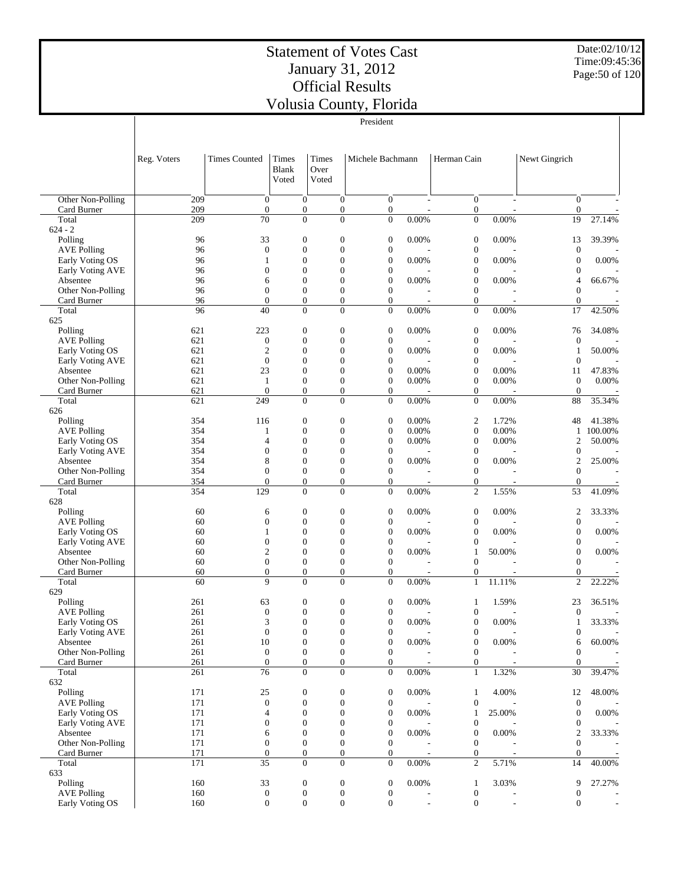Date:02/10/12 Time:09:45:36 Page:50 of 120

|                                     |             |                                      |                                      |                                      | President                            |          |                                      |          |                                      |                                |  |
|-------------------------------------|-------------|--------------------------------------|--------------------------------------|--------------------------------------|--------------------------------------|----------|--------------------------------------|----------|--------------------------------------|--------------------------------|--|
|                                     |             |                                      |                                      |                                      |                                      |          |                                      |          |                                      |                                |  |
|                                     |             |                                      |                                      |                                      |                                      |          |                                      |          |                                      |                                |  |
|                                     | Reg. Voters | <b>Times Counted</b>                 | Times                                | Times                                | Michele Bachmann                     |          | Herman Cain                          |          | Newt Gingrich                        |                                |  |
|                                     |             |                                      | <b>Blank</b>                         | Over                                 |                                      |          |                                      |          |                                      |                                |  |
|                                     |             |                                      | Voted                                | Voted                                |                                      |          |                                      |          |                                      |                                |  |
|                                     |             |                                      |                                      |                                      |                                      |          |                                      |          |                                      |                                |  |
| Other Non-Polling<br>Card Burner    | 209<br>209  | $\theta$<br>$\boldsymbol{0}$         | $\overline{0}$<br>$\boldsymbol{0}$   | $\overline{0}$<br>$\boldsymbol{0}$   | $\overline{0}$<br>$\boldsymbol{0}$   | ÷        | $\boldsymbol{0}$<br>$\boldsymbol{0}$ | ÷        | $\overline{0}$<br>$\overline{0}$     |                                |  |
| Total                               | 209         | 70                                   | $\boldsymbol{0}$                     | $\overline{0}$                       | $\boldsymbol{0}$                     | 0.00%    | $\boldsymbol{0}$                     | 0.00%    | 19                                   | 27.14%                         |  |
| $624 - 2$                           |             |                                      |                                      |                                      |                                      |          |                                      |          |                                      |                                |  |
| Polling                             | 96          | 33                                   | $\boldsymbol{0}$                     | $\boldsymbol{0}$                     | 0                                    | 0.00%    | $\boldsymbol{0}$                     | 0.00%    | 13                                   | 39.39%                         |  |
| <b>AVE Polling</b>                  | 96          | $\mathbf{0}$                         | $\boldsymbol{0}$                     | $\boldsymbol{0}$                     | $\boldsymbol{0}$                     |          | $\boldsymbol{0}$                     |          | $\boldsymbol{0}$                     |                                |  |
| Early Voting OS<br>Early Voting AVE | 96<br>96    | 1<br>0                               | $\boldsymbol{0}$<br>$\mathbf{0}$     | $\mathbf{0}$<br>$\overline{0}$       | $\boldsymbol{0}$<br>$\boldsymbol{0}$ | 0.00%    | $\boldsymbol{0}$<br>$\boldsymbol{0}$ | 0.00%    | $\boldsymbol{0}$<br>$\boldsymbol{0}$ | 0.00%                          |  |
| Absentee                            | 96          | 6                                    | $\boldsymbol{0}$                     | $\overline{0}$                       | $\boldsymbol{0}$                     | 0.00%    | $\boldsymbol{0}$                     | 0.00%    | 4                                    | 66.67%                         |  |
| Other Non-Polling                   | 96          | $\overline{0}$                       | $\boldsymbol{0}$                     | $\mathbf{0}$                         | $\boldsymbol{0}$                     |          | $\boldsymbol{0}$                     |          | $\mathbf{0}$                         |                                |  |
| Card Burner                         | 96          | $\mathbf{0}$                         | $\boldsymbol{0}$                     | $\boldsymbol{0}$                     | $\boldsymbol{0}$                     |          | $\boldsymbol{0}$                     |          | $\mathbf{0}$                         |                                |  |
| Total                               | 96          | 40                                   | $\mathbf{0}$                         | $\overline{0}$                       | $\overline{0}$                       | 0.00%    | $\boldsymbol{0}$                     | 0.00%    | 17                                   | 42.50%                         |  |
| 625                                 |             |                                      |                                      |                                      |                                      |          |                                      |          |                                      |                                |  |
| Polling<br><b>AVE Polling</b>       | 621<br>621  | 223<br>$\mathbf{0}$                  | $\boldsymbol{0}$<br>$\boldsymbol{0}$ | $\boldsymbol{0}$<br>$\boldsymbol{0}$ | $\boldsymbol{0}$<br>$\boldsymbol{0}$ | 0.00%    | $\boldsymbol{0}$<br>$\boldsymbol{0}$ | 0.00%    | 76<br>$\theta$                       | 34.08%                         |  |
| Early Voting OS                     | 621         | $\overline{2}$                       | $\mathbf{0}$                         | $\overline{0}$                       | $\boldsymbol{0}$                     | 0.00%    | $\boldsymbol{0}$                     | 0.00%    | 1                                    | 50.00%                         |  |
| Early Voting AVE                    | 621         | $\mathbf{0}$                         | $\boldsymbol{0}$                     | $\overline{0}$                       | $\boldsymbol{0}$                     |          | $\boldsymbol{0}$                     |          | $\theta$                             |                                |  |
| Absentee                            | 621         | 23                                   | $\mathbf{0}$                         | $\overline{0}$                       | $\boldsymbol{0}$                     | 0.00%    | $\boldsymbol{0}$                     | 0.00%    | 11                                   | 47.83%                         |  |
| Other Non-Polling                   | 621         | $\mathbf{1}$                         | $\boldsymbol{0}$                     | $\mathbf{0}$                         | $\boldsymbol{0}$                     | 0.00%    | $\boldsymbol{0}$                     | 0.00%    | $\theta$                             | 0.00%                          |  |
| Card Burner                         | 621         | $\theta$                             | $\boldsymbol{0}$                     | $\boldsymbol{0}$                     | $\boldsymbol{0}$                     |          | $\boldsymbol{0}$                     |          | $\overline{0}$                       |                                |  |
| Total<br>626                        | 621         | 249                                  | $\overline{0}$                       | $\overline{0}$                       | $\mathbf{0}$                         | 0.00%    | $\boldsymbol{0}$                     | 0.00%    | 88                                   | 35.34%                         |  |
| Polling                             | 354         | 116                                  | $\boldsymbol{0}$                     | $\boldsymbol{0}$                     | 0                                    | 0.00%    | 2                                    | 1.72%    | 48                                   | 41.38%                         |  |
| <b>AVE Polling</b>                  | 354         | 1                                    | $\boldsymbol{0}$                     | $\overline{0}$                       | $\boldsymbol{0}$                     | 0.00%    | $\boldsymbol{0}$                     | 0.00%    | $\mathbf{1}$                         | 100.00%                        |  |
| Early Voting OS                     | 354         | 4                                    | $\boldsymbol{0}$                     | $\boldsymbol{0}$                     | $\boldsymbol{0}$                     | 0.00%    | $\boldsymbol{0}$                     | $0.00\%$ | 2                                    | 50.00%                         |  |
| Early Voting AVE                    | 354         | $\overline{0}$                       | $\boldsymbol{0}$                     | $\overline{0}$                       | $\boldsymbol{0}$                     |          | $\boldsymbol{0}$                     |          | $\theta$                             | $\sim$                         |  |
| Absentee                            | 354         | 8                                    | $\boldsymbol{0}$                     | $\mathbf{0}$                         | $\boldsymbol{0}$                     | 0.00%    | $\boldsymbol{0}$                     | 0.00%    | $\mathfrak{2}$                       | 25.00%                         |  |
| Other Non-Polling<br>Card Burner    | 354<br>354  | $\overline{0}$<br>$\boldsymbol{0}$   | $\boldsymbol{0}$<br>$\boldsymbol{0}$ | $\mathbf{0}$<br>$\boldsymbol{0}$     | $\boldsymbol{0}$<br>$\boldsymbol{0}$ |          | $\boldsymbol{0}$<br>$\boldsymbol{0}$ |          | $\theta$<br>$\mathbf{0}$             | Ĭ.<br>$\overline{\phantom{a}}$ |  |
| Total                               | 354         | 129                                  | $\mathbf{0}$                         | $\mathbf{0}$                         | $\overline{0}$                       | 0.00%    | $\overline{c}$                       | 1.55%    | 53                                   | 41.09%                         |  |
| 628                                 |             |                                      |                                      |                                      |                                      |          |                                      |          |                                      |                                |  |
| Polling                             | 60          | 6                                    | $\boldsymbol{0}$                     | $\boldsymbol{0}$                     | $\boldsymbol{0}$                     | 0.00%    | $\boldsymbol{0}$                     | 0.00%    | 2                                    | 33.33%                         |  |
| <b>AVE Polling</b>                  | 60          | $\boldsymbol{0}$                     | $\boldsymbol{0}$                     | $\boldsymbol{0}$                     | $\boldsymbol{0}$                     |          | $\boldsymbol{0}$                     |          | $\mathbf{0}$                         |                                |  |
| Early Voting OS                     | 60          | 1                                    | $\boldsymbol{0}$                     | $\overline{0}$                       | $\boldsymbol{0}$                     | 0.00%    | $\boldsymbol{0}$                     | 0.00%    | $\theta$                             | 0.00%                          |  |
| Early Voting AVE<br>Absentee        | 60<br>60    | $\boldsymbol{0}$<br>$\overline{2}$   | $\mathbf{0}$<br>$\overline{0}$       | $\overline{0}$<br>$\overline{0}$     | $\boldsymbol{0}$<br>$\boldsymbol{0}$ | 0.00%    | $\boldsymbol{0}$<br>$\mathbf{1}$     | 50.00%   | $\overline{0}$<br>$\theta$           | 0.00%                          |  |
| Other Non-Polling                   | 60          | $\boldsymbol{0}$                     | $\boldsymbol{0}$                     | $\boldsymbol{0}$                     | $\boldsymbol{0}$                     |          | $\mathbf{0}$                         |          | $\overline{0}$                       |                                |  |
| Card Burner                         | 60          | $\theta$                             | $\boldsymbol{0}$                     | $\boldsymbol{0}$                     | $\boldsymbol{0}$                     |          | 0                                    | ÷,       | $\mathbf{0}$                         |                                |  |
| Total                               | 60          | 9                                    | $\mathbf{0}$                         | $\overline{0}$                       | $\mathbf{0}$                         | 0.00%    | $\mathbf{1}$                         | 11.11%   | $\overline{c}$                       | 22.22%                         |  |
| 629                                 |             |                                      |                                      |                                      |                                      |          |                                      |          |                                      |                                |  |
| Polling<br><b>AVE Polling</b>       | 261<br>261  | 63<br>$\boldsymbol{0}$               | $\boldsymbol{0}$<br>$\Omega$         | $\boldsymbol{0}$<br>$\Omega$         | 0<br>$\mathbf{0}$                    | 0.00%    | 1<br>$\Omega$                        | 1.59%    | 23<br>$\overline{0}$                 | 36.51%                         |  |
| Early Voting OS                     | 261         | $\ensuremath{\mathfrak{Z}}$          | $\boldsymbol{0}$                     | $\boldsymbol{0}$                     | $\boldsymbol{0}$                     | $0.00\%$ | $\boldsymbol{0}$                     | $0.00\%$ | $\mathbf{1}$                         | 33.33%                         |  |
| Early Voting AVE                    | 261         | $\mathbf{0}$                         | $\boldsymbol{0}$                     | $\boldsymbol{0}$                     | $\boldsymbol{0}$                     |          | $\boldsymbol{0}$                     |          | $\boldsymbol{0}$                     |                                |  |
| Absentee                            | 261         | 10                                   | $\boldsymbol{0}$                     | $\boldsymbol{0}$                     | $\boldsymbol{0}$                     | 0.00%    | $\boldsymbol{0}$                     | 0.00%    | 6                                    | 60.00%                         |  |
| Other Non-Polling                   | 261         | $\boldsymbol{0}$                     | $\boldsymbol{0}$                     | $\boldsymbol{0}$                     | $\boldsymbol{0}$                     |          | $\boldsymbol{0}$                     |          | $\theta$                             |                                |  |
| Card Burner                         | 261         | $\mathbf{0}$                         | $\boldsymbol{0}$                     | $\boldsymbol{0}$                     | $\boldsymbol{0}$                     |          | $\boldsymbol{0}$                     |          | $\overline{0}$                       |                                |  |
| Total<br>632                        | 261         | 76                                   | $\boldsymbol{0}$                     | $\boldsymbol{0}$                     | $\boldsymbol{0}$                     | 0.00%    | $\mathbf{1}$                         | 1.32%    | 30                                   | 39.47%                         |  |
| Polling                             | 171         | 25                                   | $\boldsymbol{0}$                     | $\boldsymbol{0}$                     | $\boldsymbol{0}$                     | 0.00%    | $\mathbf{1}$                         | 4.00%    | 12                                   | 48.00%                         |  |
| <b>AVE Polling</b>                  | 171         | $\boldsymbol{0}$                     | $\boldsymbol{0}$                     | $\boldsymbol{0}$                     | $\boldsymbol{0}$                     |          | $\boldsymbol{0}$                     |          | $\boldsymbol{0}$                     |                                |  |
| Early Voting OS                     | 171         | 4                                    | $\boldsymbol{0}$                     | $\boldsymbol{0}$                     | $\boldsymbol{0}$                     | 0.00%    | $\mathbf{1}$                         | 25.00%   | $\boldsymbol{0}$                     | $0.00\%$                       |  |
| Early Voting AVE                    | 171         | $\boldsymbol{0}$                     | $\boldsymbol{0}$                     | $\boldsymbol{0}$                     | $\boldsymbol{0}$                     |          | $\boldsymbol{0}$                     |          | $\boldsymbol{0}$                     |                                |  |
| Absentee                            | 171         | 6                                    | $\boldsymbol{0}$                     | $\boldsymbol{0}$                     | $\boldsymbol{0}$                     | 0.00%    | $\boldsymbol{0}$                     | 0.00%    | $\overline{2}$                       | 33.33%                         |  |
| Other Non-Polling<br>Card Burner    | 171<br>171  | $\boldsymbol{0}$<br>$\boldsymbol{0}$ | $\boldsymbol{0}$<br>$\boldsymbol{0}$ | $\boldsymbol{0}$<br>$\boldsymbol{0}$ | $\boldsymbol{0}$<br>$\boldsymbol{0}$ | L,       | $\boldsymbol{0}$<br>$\boldsymbol{0}$ | ÷,       | $\mathbf{0}$<br>$\overline{0}$       |                                |  |
| Total                               | 171         | 35                                   | $\boldsymbol{0}$                     | $\boldsymbol{0}$                     | $\mathbf{0}$                         | 0.00%    | 2                                    | 5.71%    | 14                                   | 40.00%                         |  |
| 633                                 |             |                                      |                                      |                                      |                                      |          |                                      |          |                                      |                                |  |
| Polling                             | 160         | 33                                   | $\boldsymbol{0}$                     | $\boldsymbol{0}$                     | $\boldsymbol{0}$                     | 0.00%    | $\mathbf{1}$                         | 3.03%    | 9                                    | 27.27%                         |  |
| <b>AVE Polling</b>                  | 160         | $\mathbf{0}$                         | $\boldsymbol{0}$                     | $\boldsymbol{0}$                     | $\boldsymbol{0}$                     |          | $\boldsymbol{0}$                     |          | $\boldsymbol{0}$                     |                                |  |
| Early Voting OS                     | 160         | $\boldsymbol{0}$                     | $\boldsymbol{0}$                     | $\boldsymbol{0}$                     | $\boldsymbol{0}$                     | ÷,       | $\boldsymbol{0}$                     | ÷,       | $\overline{0}$                       |                                |  |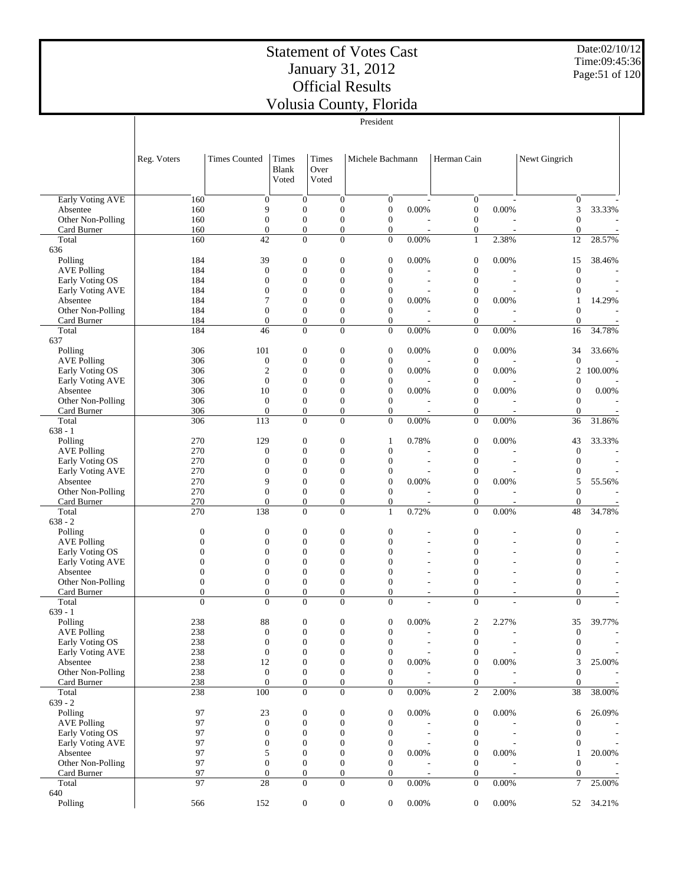Date:02/10/12 Time:09:45:36 Page:51 of 120

|                                       |                      |                                      |                                      |                                      | President                        |                                   |                                      |                          |                                  |                                    |
|---------------------------------------|----------------------|--------------------------------------|--------------------------------------|--------------------------------------|----------------------------------|-----------------------------------|--------------------------------------|--------------------------|----------------------------------|------------------------------------|
|                                       |                      |                                      |                                      |                                      |                                  |                                   |                                      |                          |                                  |                                    |
|                                       |                      |                                      |                                      |                                      |                                  |                                   |                                      |                          |                                  |                                    |
|                                       | Reg. Voters          | <b>Times Counted</b>                 | Times                                | <b>Times</b>                         | Michele Bachmann                 |                                   | Herman Cain                          |                          | Newt Gingrich                    |                                    |
|                                       |                      |                                      | Blank                                | Over<br>Voted                        |                                  |                                   |                                      |                          |                                  |                                    |
|                                       |                      |                                      | Voted                                |                                      |                                  |                                   |                                      |                          |                                  |                                    |
| Early Voting AVE                      | 160                  | $\boldsymbol{0}$                     | $\boldsymbol{0}$                     | $\boldsymbol{0}$                     | $\boldsymbol{0}$                 |                                   | $\boldsymbol{0}$                     |                          | $\mathbf{0}$                     |                                    |
| Absentee                              | 160                  | 9                                    | $\boldsymbol{0}$                     | $\boldsymbol{0}$                     | $\mathbf{0}$                     | 0.00%                             | $\boldsymbol{0}$                     | $0.00\%$                 | 3                                | 33.33%                             |
| Other Non-Polling                     | 160                  | $\boldsymbol{0}$                     | $\overline{0}$                       | $\overline{0}$                       | $\boldsymbol{0}$                 |                                   | $\boldsymbol{0}$                     |                          | $\theta$                         |                                    |
| Card Burner<br>Total                  | 160<br>160           | $\overline{0}$<br>42                 | $\overline{0}$<br>$\overline{0}$     | $\overline{0}$<br>$\overline{0}$     | 0<br>$\mathbf{0}$                | $\overline{\phantom{a}}$<br>0.00% | $\boldsymbol{0}$<br>$\mathbf{1}$     | $\overline{a}$<br>2.38%  | $\boldsymbol{0}$<br>12           | $\overline{\phantom{a}}$<br>28.57% |
| 636                                   |                      |                                      |                                      |                                      |                                  |                                   |                                      |                          |                                  |                                    |
| Polling                               | 184                  | 39                                   | $\boldsymbol{0}$                     | $\boldsymbol{0}$                     | $\mathbf{0}$                     | 0.00%                             | $\boldsymbol{0}$                     | 0.00%                    | 15                               | 38.46%                             |
| <b>AVE Polling</b>                    | 184                  | $\boldsymbol{0}$                     | $\mathbf{0}$                         | $\overline{0}$                       | $\mathbf{0}$                     |                                   | $\boldsymbol{0}$                     |                          | $\mathbf{0}$                     |                                    |
| Early Voting OS<br>Early Voting AVE   | 184<br>184           | $\boldsymbol{0}$<br>$\overline{0}$   | $\mathbf{0}$<br>$\mathbf{0}$         | $\overline{0}$<br>$\overline{0}$     | $\mathbf{0}$<br>$\mathbf{0}$     |                                   | $\boldsymbol{0}$<br>$\boldsymbol{0}$ |                          | $\overline{0}$<br>$\mathbf{0}$   | $\overline{\phantom{a}}$           |
| Absentee                              | 184                  | 7                                    | $\mathbf{0}$                         | $\overline{0}$                       | $\mathbf{0}$                     | 0.00%                             | $\boldsymbol{0}$                     | 0.00%                    | $\mathbf{1}$                     | 14.29%                             |
| Other Non-Polling                     | 184                  | $\overline{0}$                       | $\mathbf{0}$                         | $\overline{0}$                       | $\overline{0}$                   |                                   | $\boldsymbol{0}$                     |                          | $\mathbf{0}$                     |                                    |
| Card Burner                           | 184                  | $\overline{0}$                       | $\overline{0}$                       | $\boldsymbol{0}$                     | $\boldsymbol{0}$                 |                                   | $\boldsymbol{0}$                     |                          | $\theta$                         | $\overline{\phantom{a}}$           |
| Total<br>637                          | 184                  | 46                                   | $\overline{0}$                       | $\overline{0}$                       | $\overline{0}$                   | 0.00%                             | $\boldsymbol{0}$                     | 0.00%                    | 16                               | 34.78%                             |
| Polling                               | 306                  | 101                                  | $\boldsymbol{0}$                     | $\boldsymbol{0}$                     | $\mathbf{0}$                     | 0.00%                             | $\boldsymbol{0}$                     | 0.00%                    | 34                               | 33.66%                             |
| <b>AVE Polling</b>                    | 306                  | $\boldsymbol{0}$                     | $\boldsymbol{0}$                     | $\boldsymbol{0}$                     | $\mathbf{0}$                     |                                   | $\boldsymbol{0}$                     |                          | $\mathbf{0}$                     |                                    |
| Early Voting OS                       | 306                  | $\overline{c}$                       | $\mathbf{0}$                         | $\overline{0}$                       | $\mathbf{0}$                     | 0.00%                             | $\boldsymbol{0}$                     | 0.00%                    | 2                                | 100.00%                            |
| Early Voting AVE                      | 306                  | $\boldsymbol{0}$                     | $\overline{0}$                       | $\overline{0}$                       | $\mathbf{0}$                     |                                   | $\boldsymbol{0}$                     |                          | $\boldsymbol{0}$                 |                                    |
| Absentee<br>Other Non-Polling         | 306<br>306           | 10<br>$\mathbf{0}$                   | $\mathbf{0}$<br>$\mathbf{0}$         | $\overline{0}$<br>$\overline{0}$     | $\mathbf{0}$<br>$\boldsymbol{0}$ | 0.00%                             | $\boldsymbol{0}$<br>$\boldsymbol{0}$ | 0.00%                    | $\overline{0}$<br>$\theta$       | 0.00%                              |
| Card Burner                           | 306                  | $\overline{0}$                       | $\overline{0}$                       | $\overline{0}$                       | $\boldsymbol{0}$                 | $\overline{\phantom{a}}$          | $\boldsymbol{0}$                     | $\overline{a}$           | $\theta$                         |                                    |
| Total                                 | 306                  | 113                                  | $\overline{0}$                       | $\overline{0}$                       | $\mathbf{0}$                     | 0.00%                             | $\boldsymbol{0}$                     | 0.00%                    | 36                               | 31.86%                             |
| $638 - 1$                             |                      |                                      |                                      |                                      |                                  |                                   |                                      |                          |                                  |                                    |
| Polling                               | 270<br>270           | 129<br>$\boldsymbol{0}$              | $\boldsymbol{0}$<br>$\mathbf{0}$     | $\boldsymbol{0}$<br>$\overline{0}$   | $\mathbf{1}$<br>$\mathbf{0}$     | 0.78%                             | $\boldsymbol{0}$<br>$\boldsymbol{0}$ | 0.00%                    | 43<br>$\mathbf{0}$               | 33.33%                             |
| <b>AVE Polling</b><br>Early Voting OS | 270                  | $\boldsymbol{0}$                     | $\overline{0}$                       | $\overline{0}$                       | $\mathbf{0}$                     |                                   | $\boldsymbol{0}$                     |                          | $\theta$                         | $\overline{\phantom{a}}$           |
| Early Voting AVE                      | 270                  | $\overline{0}$                       | $\mathbf{0}$                         | $\overline{0}$                       | $\mathbf{0}$                     |                                   | $\boldsymbol{0}$                     |                          | $\mathbf{0}$                     |                                    |
| Absentee                              | 270                  | 9                                    | $\overline{0}$                       | $\overline{0}$                       | $\mathbf{0}$                     | 0.00%                             | $\boldsymbol{0}$                     | 0.00%                    | 5                                | 55.56%                             |
| Other Non-Polling                     | 270                  | $\overline{0}$                       | $\mathbf{0}$                         | $\overline{0}$                       | $\boldsymbol{0}$                 |                                   | $\boldsymbol{0}$                     |                          | $\overline{0}$                   |                                    |
| Card Burner<br>Total                  | 270<br>270           | $\overline{0}$<br>138                | $\overline{0}$<br>$\Omega$           | $\boldsymbol{0}$<br>$\theta$         | $\boldsymbol{0}$<br>$\mathbf{1}$ | 0.72%                             | $\boldsymbol{0}$<br>$\overline{0}$   | 0.00%                    | $\theta$<br>48                   | 34.78%                             |
| $638 - 2$                             |                      |                                      |                                      |                                      |                                  |                                   |                                      |                          |                                  |                                    |
| Polling                               | $\mathbf{0}$         | $\boldsymbol{0}$                     | $\boldsymbol{0}$                     | $\boldsymbol{0}$                     | $\mathbf{0}$                     |                                   | $\boldsymbol{0}$                     |                          | $\mathbf{0}$                     |                                    |
| <b>AVE Polling</b>                    | $\mathbf{0}$         | $\mathbf{0}$                         | $\boldsymbol{0}$                     | $\boldsymbol{0}$                     | $\overline{0}$                   |                                   | $\overline{0}$                       |                          | $\overline{0}$                   |                                    |
| Early Voting OS<br>Early Voting AVE   | $\Omega$<br>$\Omega$ | $\overline{0}$<br>$\overline{0}$     | $\mathbf{0}$<br>$\mathbf{0}$         | $\overline{0}$<br>$\overline{0}$     | $\overline{0}$<br>$\overline{0}$ |                                   | $\overline{0}$<br>$\overline{0}$     |                          | $\overline{0}$<br>$\overline{0}$ |                                    |
| Absentee                              | $\Omega$             | $\overline{0}$                       | $\mathbf{0}$                         | $\overline{0}$                       | $\overline{0}$                   |                                   | $\overline{0}$                       |                          | $\overline{0}$                   |                                    |
| Other Non-Polling                     | $\mathbf{0}$         | $\boldsymbol{0}$                     | $\overline{0}$                       | $\overline{0}$                       | $\overline{0}$                   |                                   | $\mathbf{0}$                         |                          | $\boldsymbol{0}$                 |                                    |
| Card Burner                           | $\overline{0}$       | $\overline{0}$                       | $\overline{0}$                       | $\overline{0}$                       | $\overline{0}$                   | ٠                                 | $\mathbf{0}$                         | ٠                        | $\overline{0}$                   | $\overline{\phantom{a}}$           |
| Total                                 | $\Omega$             | $\Omega$                             | $\theta$                             | $\Omega$                             | $\overline{0}$                   |                                   | $\Omega$                             |                          | $\overline{0}$                   |                                    |
| $639 - 1$<br>Polling                  | 238                  | 88                                   | $\boldsymbol{0}$                     | $\boldsymbol{0}$                     | $\boldsymbol{0}$                 | 0.00%                             | $\boldsymbol{2}$                     | 2.27%                    | 35                               | 39.77%                             |
| <b>AVE Polling</b>                    | 238                  | $\boldsymbol{0}$                     | $\boldsymbol{0}$                     | $\boldsymbol{0}$                     | $\mathbf{0}$                     |                                   | $\boldsymbol{0}$                     |                          | $\boldsymbol{0}$                 |                                    |
| Early Voting OS                       | 238                  | $\boldsymbol{0}$                     | $\boldsymbol{0}$                     | $\boldsymbol{0}$                     | $\mathbf{0}$                     |                                   | $\boldsymbol{0}$                     |                          | $\theta$                         |                                    |
| Early Voting AVE                      | 238                  | $\boldsymbol{0}$                     | $\boldsymbol{0}$                     | $\boldsymbol{0}$                     | $\mathbf{0}$                     |                                   | $\boldsymbol{0}$                     |                          | $\mathbf{0}$                     |                                    |
| Absentee<br>Other Non-Polling         | 238<br>238           | 12<br>$\boldsymbol{0}$               | $\boldsymbol{0}$<br>$\boldsymbol{0}$ | $\boldsymbol{0}$<br>$\boldsymbol{0}$ | $\mathbf{0}$<br>$\mathbf{0}$     | 0.00%                             | $\boldsymbol{0}$<br>$\boldsymbol{0}$ | $0.00\%$                 | 3<br>$\mathbf{0}$                | 25.00%                             |
| Card Burner                           | 238                  | $\boldsymbol{0}$                     | $\boldsymbol{0}$                     | $\boldsymbol{0}$                     | $\mathbf{0}$                     |                                   | $\boldsymbol{0}$                     |                          | $\mathbf{0}$                     |                                    |
| Total                                 | 238                  | 100                                  | $\overline{0}$                       | $\overline{0}$                       | $\boldsymbol{0}$                 | $0.00\%$                          | $\overline{c}$                       | 2.00%                    | 38                               | 38.00%                             |
| $639 - 2$                             |                      |                                      |                                      |                                      |                                  |                                   |                                      |                          |                                  |                                    |
| Polling                               | 97                   | 23                                   | $\boldsymbol{0}$                     | $\boldsymbol{0}$                     | $\mathbf{0}$                     | 0.00%                             | $\boldsymbol{0}$                     | 0.00%                    | 6                                | 26.09%                             |
| <b>AVE Polling</b><br>Early Voting OS | 97<br>97             | $\boldsymbol{0}$<br>$\boldsymbol{0}$ | $\boldsymbol{0}$<br>$\boldsymbol{0}$ | $\boldsymbol{0}$<br>$\boldsymbol{0}$ | $\boldsymbol{0}$<br>$\mathbf{0}$ | $\overline{\phantom{a}}$          | $\boldsymbol{0}$<br>$\boldsymbol{0}$ | $\overline{\phantom{a}}$ | $\boldsymbol{0}$<br>$\theta$     | $\overline{\phantom{a}}$           |
| Early Voting AVE                      | 97                   | $\boldsymbol{0}$                     | $\boldsymbol{0}$                     | $\boldsymbol{0}$                     | $\mathbf{0}$                     |                                   | $\boldsymbol{0}$                     |                          | $\boldsymbol{0}$                 | $\overline{\phantom{a}}$           |
| Absentee                              | 97                   | 5                                    | $\boldsymbol{0}$                     | $\overline{0}$                       | $\mathbf{0}$                     | 0.00%                             | $\boldsymbol{0}$                     | 0.00%                    | 1                                | 20.00%                             |
| Other Non-Polling                     | 97                   | $\boldsymbol{0}$                     | $\boldsymbol{0}$                     | $\boldsymbol{0}$                     | $\boldsymbol{0}$                 |                                   | $\boldsymbol{0}$                     |                          | $\boldsymbol{0}$                 |                                    |
| Card Burner<br>Total                  | 97<br>97             | $\mathbf{0}$<br>28                   | $\boldsymbol{0}$<br>$\boldsymbol{0}$ | $\boldsymbol{0}$<br>$\boldsymbol{0}$ | $\mathbf{0}$<br>$\boldsymbol{0}$ | $0.00\%$                          | $\boldsymbol{0}$<br>$\boldsymbol{0}$ | $0.00\%$                 | $\mathbf{0}$<br>7                | 25.00%                             |
| 640                                   |                      |                                      |                                      |                                      |                                  |                                   |                                      |                          |                                  |                                    |
| Polling                               | 566                  | 152                                  | $\boldsymbol{0}$                     | $\boldsymbol{0}$                     | $\mathbf{0}$                     | 0.00%                             | 0                                    | $0.00\%$                 | 52                               | 34.21%                             |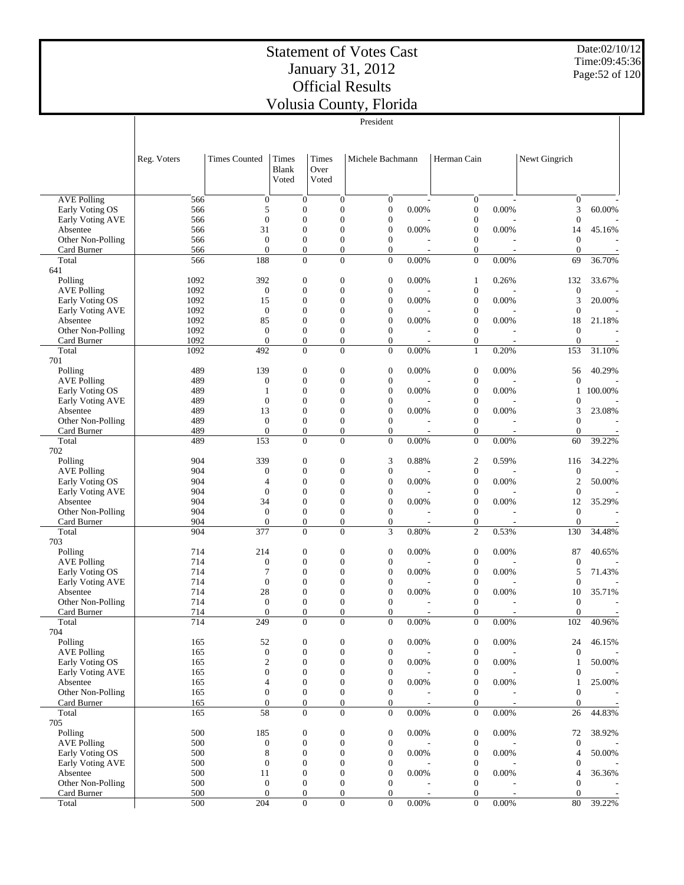Date:02/10/12 Time:09:45:36 Page:52 of 120

| ia County, Florida |  |
|--------------------|--|
|                    |  |

|                                       |              |                                      |                                      |                        | President                                                                  |                          |                                      |                          |                                    |         |
|---------------------------------------|--------------|--------------------------------------|--------------------------------------|------------------------|----------------------------------------------------------------------------|--------------------------|--------------------------------------|--------------------------|------------------------------------|---------|
|                                       |              |                                      |                                      |                        |                                                                            |                          |                                      |                          |                                    |         |
|                                       | Reg. Voters  | <b>Times Counted</b>                 | Times<br><b>Blank</b><br>Voted       | Times<br>Over<br>Voted | Michele Bachmann                                                           |                          | Herman Cain                          |                          | Newt Gingrich                      |         |
| <b>AVE Polling</b>                    | 566          | $\boldsymbol{0}$                     | $\boldsymbol{0}$                     |                        | $\boldsymbol{0}$<br>$\mathbf{0}$                                           | $\overline{\phantom{a}}$ | $\boldsymbol{0}$                     |                          | $\mathbf{0}$                       |         |
| Early Voting OS                       | 566          | 5                                    | $\boldsymbol{0}$                     |                        | $\boldsymbol{0}$<br>$\boldsymbol{0}$                                       | 0.00%                    | $\boldsymbol{0}$                     | 0.00%                    | 3                                  | 60.00%  |
| Early Voting AVE                      | 566          | $\theta$                             | $\boldsymbol{0}$                     |                        | $\overline{0}$<br>$\boldsymbol{0}$                                         |                          | $\boldsymbol{0}$                     |                          | $\boldsymbol{0}$                   |         |
| Absentee                              | 566          | 31                                   | $\boldsymbol{0}$                     |                        | $\overline{0}$<br>$\boldsymbol{0}$                                         | 0.00%                    | $\boldsymbol{0}$                     | 0.00%                    | 14                                 | 45.16%  |
| Other Non-Polling<br>Card Burner      | 566<br>566   | $\boldsymbol{0}$<br>$\boldsymbol{0}$ | $\boldsymbol{0}$<br>$\boldsymbol{0}$ |                        | $\overline{0}$<br>$\mathbf{0}$<br>$\boldsymbol{0}$<br>$\mathbf{0}$         |                          | $\boldsymbol{0}$<br>$\boldsymbol{0}$ |                          | $\boldsymbol{0}$<br>$\overline{0}$ |         |
| Total                                 | 566          | 188                                  | $\overline{0}$                       |                        | $\overline{0}$<br>$\mathbf{0}$                                             | 0.00%                    | $\boldsymbol{0}$                     | 0.00%                    | 69                                 | 36.70%  |
| 641                                   |              |                                      |                                      |                        |                                                                            |                          |                                      |                          |                                    |         |
| Polling                               | 1092         | 392                                  | $\boldsymbol{0}$                     |                        | $\boldsymbol{0}$<br>$\boldsymbol{0}$                                       | 0.00%                    | $\mathbf{1}$                         | 0.26%                    | 132                                | 33.67%  |
| <b>AVE Polling</b>                    | 1092         | $\boldsymbol{0}$                     | $\boldsymbol{0}$                     |                        | $\boldsymbol{0}$<br>$\boldsymbol{0}$                                       |                          | $\boldsymbol{0}$                     |                          | $\boldsymbol{0}$                   |         |
| Early Voting OS                       | 1092         | 15                                   | $\boldsymbol{0}$                     |                        | $\overline{0}$<br>$\boldsymbol{0}$<br>$\overline{0}$                       | 0.00%                    | $\boldsymbol{0}$                     | 0.00%                    | 3                                  | 20.00%  |
| Early Voting AVE<br>Absentee          | 1092<br>1092 | $\boldsymbol{0}$<br>85               | $\boldsymbol{0}$<br>$\overline{0}$   |                        | $\boldsymbol{0}$<br>$\overline{0}$<br>$\boldsymbol{0}$                     | 0.00%                    | $\boldsymbol{0}$<br>$\boldsymbol{0}$ | 0.00%                    | $\overline{0}$<br>18               | 21.18%  |
| Other Non-Polling                     | 1092         | $\boldsymbol{0}$                     | $\boldsymbol{0}$                     |                        | $\overline{0}$<br>$\mathbf{0}$                                             |                          | $\boldsymbol{0}$                     |                          | $\boldsymbol{0}$                   |         |
| Card Burner                           | 1092         | $\theta$                             | $\mathbf{0}$                         |                        | $\overline{0}$<br>$\boldsymbol{0}$                                         |                          | $\boldsymbol{0}$                     |                          | $\overline{0}$                     |         |
| Total                                 | 1092         | 492                                  | $\overline{0}$                       |                        | $\overline{0}$<br>$\overline{0}$                                           | 0.00%                    | $\mathbf{1}$                         | 0.20%                    | 153                                | 31.10%  |
| 701                                   |              |                                      |                                      |                        |                                                                            |                          |                                      |                          |                                    |         |
| Polling                               | 489          | 139                                  | $\boldsymbol{0}$                     |                        | $\boldsymbol{0}$<br>$\boldsymbol{0}$<br>$\overline{0}$                     | 0.00%                    | $\boldsymbol{0}$                     | 0.00%                    | 56                                 | 40.29%  |
| <b>AVE Polling</b><br>Early Voting OS | 489<br>489   | $\boldsymbol{0}$<br>$\mathbf{1}$     | $\boldsymbol{0}$<br>$\boldsymbol{0}$ |                        | $\boldsymbol{0}$<br>$\overline{0}$<br>$\boldsymbol{0}$                     | 0.00%                    | $\boldsymbol{0}$<br>$\boldsymbol{0}$ | 0.00%                    | $\boldsymbol{0}$<br>1              | 100.00% |
| <b>Early Voting AVE</b>               | 489          | $\boldsymbol{0}$                     | $\boldsymbol{0}$                     |                        | $\overline{0}$<br>$\boldsymbol{0}$                                         |                          | $\boldsymbol{0}$                     |                          | $\mathbf{0}$                       |         |
| Absentee                              | 489          | 13                                   | $\boldsymbol{0}$                     |                        | $\overline{0}$<br>$\boldsymbol{0}$                                         | 0.00%                    | $\boldsymbol{0}$                     | 0.00%                    | 3                                  | 23.08%  |
| Other Non-Polling                     | 489          | $\boldsymbol{0}$                     | $\boldsymbol{0}$                     |                        | $\overline{0}$<br>$\mathbf{0}$                                             |                          | $\boldsymbol{0}$                     |                          | $\mathbf{0}$                       |         |
| Card Burner                           | 489          | $\theta$                             | $\boldsymbol{0}$                     |                        | $\boldsymbol{0}$<br>$\mathbf{0}$                                           | $\overline{\phantom{a}}$ | $\boldsymbol{0}$                     |                          | $\overline{0}$                     |         |
| Total                                 | 489          | 153                                  | $\overline{0}$                       |                        | $\overline{0}$<br>$\theta$                                                 | 0.00%                    | $\boldsymbol{0}$                     | 0.00%                    | 60                                 | 39.22%  |
| 702<br>Polling                        | 904          | 339                                  | $\boldsymbol{0}$                     |                        | $\boldsymbol{0}$<br>3                                                      | 0.88%                    | $\boldsymbol{2}$                     | 0.59%                    |                                    |         |
| <b>AVE Polling</b>                    | 904          | $\boldsymbol{0}$                     | $\boldsymbol{0}$                     |                        | $\boldsymbol{0}$<br>$\boldsymbol{0}$                                       |                          | $\boldsymbol{0}$                     |                          | 116<br>$\boldsymbol{0}$            | 34.22%  |
| Early Voting OS                       | 904          | $\overline{4}$                       | $\boldsymbol{0}$                     |                        | $\overline{0}$<br>$\boldsymbol{0}$                                         | 0.00%                    | $\boldsymbol{0}$                     | 0.00%                    | $\overline{2}$                     | 50.00%  |
| Early Voting AVE                      | 904          | $\boldsymbol{0}$                     | $\boldsymbol{0}$                     |                        | $\overline{0}$<br>$\boldsymbol{0}$                                         |                          | $\boldsymbol{0}$                     |                          | $\mathbf{0}$                       |         |
| Absentee                              | 904          | 34                                   | $\mathbf{0}$                         |                        | $\overline{0}$<br>$\boldsymbol{0}$                                         | 0.00%                    | $\boldsymbol{0}$                     | 0.00%                    | 12                                 | 35.29%  |
| Other Non-Polling                     | 904          | $\boldsymbol{0}$                     | $\boldsymbol{0}$                     |                        | $\boldsymbol{0}$<br>$\mathbf{0}$                                           |                          | $\boldsymbol{0}$                     |                          | $\boldsymbol{0}$                   |         |
| Card Burner                           | 904          | $\theta$                             | $\boldsymbol{0}$                     |                        | $\overline{0}$<br>$\overline{0}$<br>$\overline{0}$                         | $\overline{\phantom{a}}$ | $\boldsymbol{0}$                     | $\overline{\phantom{a}}$ | $\overline{0}$                     |         |
| Total<br>703                          | 904          | 377                                  | $\boldsymbol{0}$                     |                        | 3                                                                          | 0.80%                    | 2                                    | 0.53%                    | 130                                | 34.48%  |
| Polling                               | 714          | 214                                  | $\boldsymbol{0}$                     |                        | $\boldsymbol{0}$<br>$\boldsymbol{0}$                                       | 0.00%                    | $\boldsymbol{0}$                     | 0.00%                    | 87                                 | 40.65%  |
| <b>AVE Polling</b>                    | 714          | $\boldsymbol{0}$                     | $\boldsymbol{0}$                     |                        | $\overline{0}$<br>$\boldsymbol{0}$                                         |                          | $\boldsymbol{0}$                     |                          | $\mathbf{0}$                       |         |
| Early Voting OS                       | 714          | $\tau$                               | $\boldsymbol{0}$                     |                        | $\overline{0}$<br>$\boldsymbol{0}$                                         | 0.00%                    | $\boldsymbol{0}$                     | 0.00%                    | 5                                  | 71.43%  |
| Early Voting AVE                      | 714          | $\boldsymbol{0}$                     | $\overline{0}$                       |                        | $\overline{0}$<br>$\mathbf{0}$                                             |                          | $\mathbf{0}$                         |                          | $\mathbf{0}$                       |         |
| Absentee                              | 714          | 28                                   | $\boldsymbol{0}$                     |                        | $\overline{0}$<br>$\boldsymbol{0}$                                         | 0.00%                    | $\boldsymbol{0}$                     | 0.00%                    | 10                                 | 35.71%  |
| Other Non-Polling<br>Card Burner      | 714<br>714   | $\boldsymbol{0}$<br>$\theta$         | $\boldsymbol{0}$<br>$\overline{0}$   |                        | $\overline{0}$<br>$\boldsymbol{0}$<br>$\overline{0}$<br>$\overline{0}$     | $\overline{\phantom{a}}$ | $\boldsymbol{0}$<br>$\boldsymbol{0}$ | $\overline{\phantom{a}}$ | $\mathbf{0}$<br>$\boldsymbol{0}$   |         |
| Total                                 | 714          | $\overline{249}$                     | $\boldsymbol{0}$                     |                        | $\boldsymbol{0}$<br>0                                                      | 0.00%                    | $\boldsymbol{0}$                     | 0.00%                    | 102                                | 40.96%  |
| 704                                   |              |                                      |                                      |                        |                                                                            |                          |                                      |                          |                                    |         |
| Polling                               | 165          | 52                                   | $\boldsymbol{0}$                     |                        | $\boldsymbol{0}$<br>$\boldsymbol{0}$                                       | 0.00%                    | $\boldsymbol{0}$                     | 0.00%                    | 24                                 | 46.15%  |
| <b>AVE Polling</b>                    | 165          | $\boldsymbol{0}$                     | $\mathbf{0}$                         |                        | $\boldsymbol{0}$<br>$\overline{0}$                                         |                          | $\boldsymbol{0}$                     |                          | $\theta$                           |         |
| Early Voting OS                       | 165          | $\sqrt{2}$                           | $\boldsymbol{0}$                     |                        | $\boldsymbol{0}$<br>$\boldsymbol{0}$                                       | 0.00%                    | $\boldsymbol{0}$                     | 0.00%                    | 1                                  | 50.00%  |
| Early Voting AVE                      | 165          | $\boldsymbol{0}$                     | $\boldsymbol{0}$                     |                        | $\boldsymbol{0}$<br>$\boldsymbol{0}$<br>$\overline{0}$                     |                          | $\boldsymbol{0}$                     |                          | $\theta$                           |         |
| Absentee<br>Other Non-Polling         | 165<br>165   | $\overline{4}$<br>$\boldsymbol{0}$   | $\boldsymbol{0}$<br>$\boldsymbol{0}$ |                        | $\boldsymbol{0}$<br>$\boldsymbol{0}$<br>$\overline{0}$                     | 0.00%                    | $\boldsymbol{0}$<br>$\boldsymbol{0}$ | 0.00%                    | 1<br>$\boldsymbol{0}$              | 25.00%  |
| Card Burner                           | 165          | $\theta$                             | $\boldsymbol{0}$                     |                        | $\boldsymbol{0}$<br>$\overline{0}$                                         | $\overline{\phantom{a}}$ | $\boldsymbol{0}$                     | $\overline{\phantom{a}}$ | $\boldsymbol{0}$                   |         |
| Total                                 | 165          | 58                                   | $\boldsymbol{0}$                     |                        | $\overline{0}$<br>$\overline{0}$                                           | $0.00\%$                 | $\boldsymbol{0}$                     | $0.00\%$                 | 26                                 | 44.83%  |
| 705                                   |              |                                      |                                      |                        |                                                                            |                          |                                      |                          |                                    |         |
| Polling                               | 500          | 185                                  | $\boldsymbol{0}$                     |                        | $\boldsymbol{0}$<br>$\boldsymbol{0}$                                       | 0.00%                    | $\boldsymbol{0}$                     | 0.00%                    | 72                                 | 38.92%  |
| <b>AVE Polling</b>                    | 500          | $\boldsymbol{0}$                     | $\boldsymbol{0}$                     |                        | $\boldsymbol{0}$<br>$\overline{0}$                                         |                          | $\boldsymbol{0}$                     |                          | 0                                  |         |
| Early Voting OS<br>Early Voting AVE   | 500<br>500   | 8<br>$\boldsymbol{0}$                | $\boldsymbol{0}$<br>$\boldsymbol{0}$ |                        | $\boldsymbol{0}$<br>$\boldsymbol{0}$<br>$\overline{0}$<br>$\boldsymbol{0}$ | 0.00%                    | $\boldsymbol{0}$<br>$\boldsymbol{0}$ | 0.00%                    | 4<br>0                             | 50.00%  |
| Absentee                              | 500          | 11                                   | $\boldsymbol{0}$                     |                        | $\boldsymbol{0}$<br>$\boldsymbol{0}$                                       | 0.00%                    | $\boldsymbol{0}$                     | 0.00%                    | 4                                  | 36.36%  |
| Other Non-Polling                     | 500          | $\boldsymbol{0}$                     | $\boldsymbol{0}$                     |                        | $\boldsymbol{0}$<br>$\overline{0}$                                         |                          | $\boldsymbol{0}$                     |                          | $\boldsymbol{0}$                   |         |
| Card Burner                           | 500          | $\mathbf{0}$                         | $\boldsymbol{0}$                     |                        | $\overline{0}$<br>$\overline{0}$                                           | $\sim$                   | $\boldsymbol{0}$                     |                          | $\overline{0}$                     |         |

500 204 0 0 0 0.00% 0 0.00% 80 39.22%

 $\top$ 

Total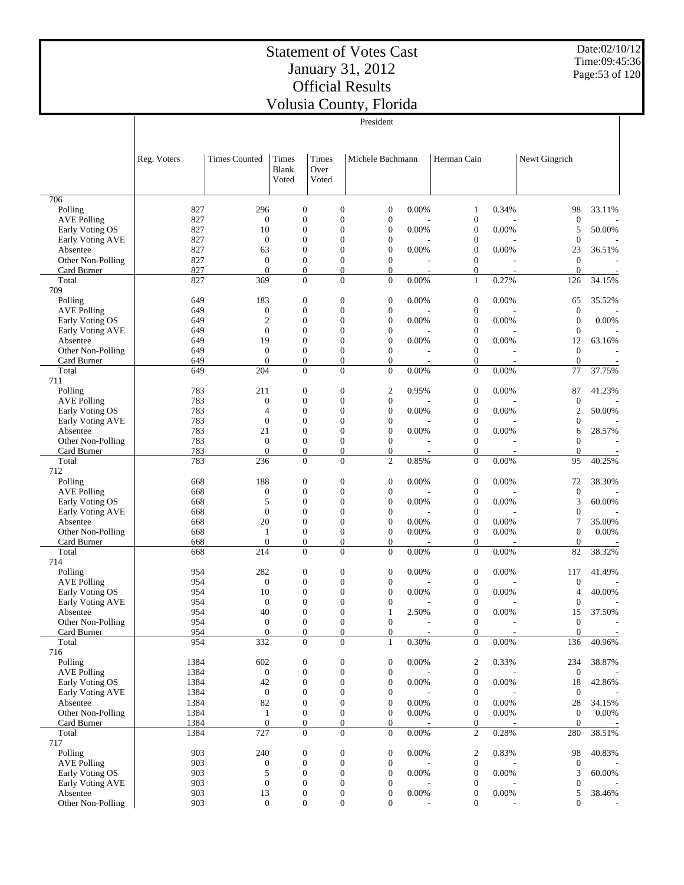Date:02/10/12 Time:09:45:36 Page:53 of 120

|                                  |             |                                      |                                      |                                      | President                            |                                   |                                      |                                   |                                  |           |
|----------------------------------|-------------|--------------------------------------|--------------------------------------|--------------------------------------|--------------------------------------|-----------------------------------|--------------------------------------|-----------------------------------|----------------------------------|-----------|
|                                  |             |                                      |                                      |                                      |                                      |                                   |                                      |                                   |                                  |           |
|                                  |             |                                      |                                      |                                      |                                      |                                   |                                      |                                   |                                  |           |
|                                  | Reg. Voters | <b>Times Counted</b>                 | Times                                | <b>Times</b>                         | Michele Bachmann                     |                                   | Herman Cain                          |                                   | Newt Gingrich                    |           |
|                                  |             |                                      | <b>Blank</b>                         | Over                                 |                                      |                                   |                                      |                                   |                                  |           |
|                                  |             |                                      | Voted                                | Voted                                |                                      |                                   |                                      |                                   |                                  |           |
|                                  |             |                                      |                                      |                                      |                                      |                                   |                                      |                                   |                                  |           |
| 706                              |             |                                      |                                      |                                      |                                      |                                   |                                      |                                   |                                  |           |
| Polling                          | 827         | 296                                  | $\boldsymbol{0}$                     | $\boldsymbol{0}$                     | $\boldsymbol{0}$                     | 0.00%                             | 1                                    | 0.34%                             | 98                               | 33.11%    |
| <b>AVE Polling</b>               | 827         | $\boldsymbol{0}$                     | $\mathbf{0}$                         | $\boldsymbol{0}$                     | $\boldsymbol{0}$                     |                                   | $\boldsymbol{0}$                     |                                   | $\boldsymbol{0}$                 |           |
| Early Voting OS                  | 827         | 10                                   | $\overline{0}$                       | $\boldsymbol{0}$                     | $\boldsymbol{0}$                     | 0.00%                             | $\boldsymbol{0}$                     | 0.00%                             | 5                                | 50.00%    |
| Early Voting AVE                 | 827         | $\boldsymbol{0}$                     | $\overline{0}$<br>$\overline{0}$     | $\boldsymbol{0}$                     | $\boldsymbol{0}$                     |                                   | $\boldsymbol{0}$                     |                                   | $\boldsymbol{0}$                 |           |
| Absentee<br>Other Non-Polling    | 827<br>827  | 63<br>$\boldsymbol{0}$               | $\mathbf{0}$                         | $\boldsymbol{0}$<br>$\boldsymbol{0}$ | $\boldsymbol{0}$<br>$\boldsymbol{0}$ | 0.00%                             | $\boldsymbol{0}$<br>$\boldsymbol{0}$ | 0.00%                             | 23<br>$\boldsymbol{0}$           | 36.51%    |
| Card Burner                      | 827         | $\overline{0}$                       | $\mathbf{0}$                         | $\boldsymbol{0}$                     | $\boldsymbol{0}$                     |                                   | $\boldsymbol{0}$                     |                                   | $\boldsymbol{0}$                 |           |
| Total                            | 827         | 369                                  | $\overline{0}$                       | $\overline{0}$                       | $\overline{0}$                       | 0.00%                             | $\mathbf{1}$                         | 0.27%                             | 126                              | 34.15%    |
| 709                              |             |                                      |                                      |                                      |                                      |                                   |                                      |                                   |                                  |           |
| Polling                          | 649         | 183                                  | $\boldsymbol{0}$                     | $\boldsymbol{0}$                     | $\boldsymbol{0}$                     | 0.00%                             | $\mathbf{0}$                         | 0.00%                             | 65                               | 35.52%    |
| <b>AVE Polling</b>               | 649         | $\boldsymbol{0}$                     | $\overline{0}$                       | $\boldsymbol{0}$                     | $\boldsymbol{0}$                     |                                   | $\boldsymbol{0}$                     |                                   | $\mathbf{0}$                     |           |
| Early Voting OS                  | 649         | $\sqrt{2}$                           | $\boldsymbol{0}$                     | $\boldsymbol{0}$                     | $\boldsymbol{0}$                     | 0.00%                             | $\boldsymbol{0}$                     | 0.00%                             | $\boldsymbol{0}$                 | 0.00%     |
| Early Voting AVE                 | 649         | $\overline{0}$                       | $\overline{0}$                       | $\boldsymbol{0}$                     | $\boldsymbol{0}$                     |                                   | $\boldsymbol{0}$                     |                                   | $\boldsymbol{0}$                 |           |
| Absentee                         | 649         | 19                                   | $\mathbf{0}$                         | $\boldsymbol{0}$                     | $\boldsymbol{0}$                     | 0.00%                             | $\boldsymbol{0}$                     | 0.00%                             | 12                               | 63.16%    |
| Other Non-Polling<br>Card Burner | 649<br>649  | $\boldsymbol{0}$<br>$\boldsymbol{0}$ | $\boldsymbol{0}$<br>$\boldsymbol{0}$ | $\boldsymbol{0}$<br>$\boldsymbol{0}$ | $\boldsymbol{0}$<br>$\boldsymbol{0}$ |                                   | $\boldsymbol{0}$<br>$\boldsymbol{0}$ | $\overline{a}$                    | $\boldsymbol{0}$<br>$\mathbf{0}$ |           |
| Total                            | 649         | 204                                  | $\overline{0}$                       | $\overline{0}$                       | $\overline{0}$                       | 0.00%                             | $\boldsymbol{0}$                     | 0.00%                             | 77                               | 37.75%    |
| 711                              |             |                                      |                                      |                                      |                                      |                                   |                                      |                                   |                                  |           |
| Polling                          | 783         | 211                                  | $\boldsymbol{0}$                     | $\boldsymbol{0}$                     | 2                                    | 0.95%                             | $\boldsymbol{0}$                     | 0.00%                             | 87                               | 41.23%    |
| <b>AVE Polling</b>               | 783         | $\boldsymbol{0}$                     | $\boldsymbol{0}$                     | $\boldsymbol{0}$                     | $\boldsymbol{0}$                     |                                   | $\boldsymbol{0}$                     |                                   | $\mathbf{0}$                     |           |
| Early Voting OS                  | 783         | 4                                    | $\overline{0}$                       | $\boldsymbol{0}$                     | $\boldsymbol{0}$                     | 0.00%                             | $\boldsymbol{0}$                     | 0.00%                             | 2                                | 50.00%    |
| Early Voting AVE                 | 783         | $\boldsymbol{0}$                     | $\overline{0}$                       | $\boldsymbol{0}$                     | $\boldsymbol{0}$                     |                                   | $\boldsymbol{0}$                     |                                   | 0                                |           |
| Absentee                         | 783         | 21                                   | $\overline{0}$                       | $\boldsymbol{0}$                     | $\boldsymbol{0}$                     | 0.00%                             | $\boldsymbol{0}$                     | 0.00%                             | 6                                | 28.57%    |
| Other Non-Polling                | 783         | $\boldsymbol{0}$                     | $\boldsymbol{0}$                     | $\boldsymbol{0}$                     | $\boldsymbol{0}$                     |                                   | $\boldsymbol{0}$                     |                                   | $\overline{0}$                   |           |
| Card Burner<br>Total             | 783<br>783  | $\overline{0}$<br>236                | $\overline{0}$<br>$\boldsymbol{0}$   | $\boldsymbol{0}$<br>$\boldsymbol{0}$ | $\boldsymbol{0}$<br>$\overline{c}$   | $\overline{\phantom{a}}$<br>0.85% | $\boldsymbol{0}$<br>$\boldsymbol{0}$ | $\overline{\phantom{a}}$<br>0.00% | $\boldsymbol{0}$<br>95           | 40.25%    |
| 712                              |             |                                      |                                      |                                      |                                      |                                   |                                      |                                   |                                  |           |
| Polling                          | 668         | 188                                  | $\boldsymbol{0}$                     | $\boldsymbol{0}$                     | $\boldsymbol{0}$                     | 0.00%                             | $\boldsymbol{0}$                     | 0.00%                             | 72                               | 38.30%    |
| <b>AVE Polling</b>               | 668         | $\boldsymbol{0}$                     | $\overline{0}$                       | $\boldsymbol{0}$                     | $\boldsymbol{0}$                     |                                   | $\boldsymbol{0}$                     |                                   | $\boldsymbol{0}$                 |           |
| Early Voting OS                  | 668         | 5                                    | $\boldsymbol{0}$                     | $\boldsymbol{0}$                     | $\boldsymbol{0}$                     | 0.00%                             | $\boldsymbol{0}$                     | 0.00%                             | 3                                | 60.00%    |
| Early Voting AVE                 | 668         | $\mathbf{0}$                         | $\overline{0}$                       | $\boldsymbol{0}$                     | $\boldsymbol{0}$                     |                                   | $\boldsymbol{0}$                     |                                   | 0                                |           |
| Absentee                         | 668         | 20                                   | $\overline{0}$                       | $\boldsymbol{0}$                     | $\boldsymbol{0}$                     | 0.00%                             | $\boldsymbol{0}$                     | 0.00%                             | 7                                | 35.00%    |
| Other Non-Polling                | 668         | $\mathbf{1}$                         | $\mathbf{0}$                         | $\boldsymbol{0}$                     | $\boldsymbol{0}$                     | 0.00%                             | $\boldsymbol{0}$                     | 0.00%                             | $\boldsymbol{0}$                 | 0.00%     |
| Card Burner                      | 668         | $\theta$                             | $\boldsymbol{0}$                     | $\boldsymbol{0}$                     | $\boldsymbol{0}$                     |                                   | $\boldsymbol{0}$                     |                                   | $\theta$                         |           |
| Total<br>714                     | 668         | 214                                  | $\overline{0}$                       | $\overline{0}$                       | $\overline{0}$                       | 0.00%                             | $\boldsymbol{0}$                     | 0.00%                             | 82                               | 38.32%    |
| Polling                          | 954         | 282                                  | $\boldsymbol{0}$                     | $\boldsymbol{0}$                     | $\boldsymbol{0}$                     | 0.00%                             | $\boldsymbol{0}$                     | 0.00%                             | 117                              | 41.49%    |
| <b>AVE Polling</b>               | 954         | $\boldsymbol{0}$                     | $\overline{0}$                       | $\boldsymbol{0}$                     | $\boldsymbol{0}$                     |                                   | $\boldsymbol{0}$                     |                                   | 0                                |           |
| Early Voting OS                  | 954         | 10                                   | $\overline{0}$                       | $\boldsymbol{0}$                     | $\boldsymbol{0}$                     | 0.00%                             | $\boldsymbol{0}$                     | 0.00%                             | 4                                | 40.00%    |
| Early Voting AVE                 | 954         | $\boldsymbol{0}$                     | $\overline{0}$                       | $\boldsymbol{0}$                     | $\boldsymbol{0}$                     |                                   | $\boldsymbol{0}$                     |                                   | $\boldsymbol{0}$                 |           |
| Absentee                         | 954         | 40                                   | $\Omega$                             | $\Omega$                             |                                      | 2.50%                             | $\boldsymbol{0}$                     | 0.00%                             | 15                               | 37.50%    |
| Other Non-Polling                | 954         | $\boldsymbol{0}$                     | $\boldsymbol{0}$                     | $\boldsymbol{0}$                     | $\boldsymbol{0}$                     |                                   | $\boldsymbol{0}$                     | ÷,                                | $\boldsymbol{0}$                 |           |
| Card Burner                      | 954         | $\boldsymbol{0}$                     | $\boldsymbol{0}$                     | $\boldsymbol{0}$                     | $\boldsymbol{0}$                     |                                   | $\boldsymbol{0}$                     |                                   | $\overline{0}$                   |           |
| Total                            | 954         | 332                                  | $\boldsymbol{0}$                     | $\boldsymbol{0}$                     | $\mathbf{1}$                         | 0.30%                             | $\boldsymbol{0}$                     | 0.00%                             | 136                              | 40.96%    |
| 716<br>Polling                   | 1384        | 602                                  | $\boldsymbol{0}$                     | $\boldsymbol{0}$                     | $\boldsymbol{0}$                     | 0.00%                             | $\boldsymbol{2}$                     | 0.33%                             | 234                              | 38.87%    |
| <b>AVE Polling</b>               | 1384        | $\boldsymbol{0}$                     | $\boldsymbol{0}$                     | $\boldsymbol{0}$                     | $\boldsymbol{0}$                     |                                   | $\boldsymbol{0}$                     |                                   | $\boldsymbol{0}$                 |           |
| Early Voting OS                  | 1384        | 42                                   | $\boldsymbol{0}$                     | $\boldsymbol{0}$                     | $\boldsymbol{0}$                     | 0.00%                             | $\boldsymbol{0}$                     | 0.00%                             | 18                               | 42.86%    |
| Early Voting AVE                 | 1384        | $\boldsymbol{0}$                     | $\boldsymbol{0}$                     | $\boldsymbol{0}$                     | $\boldsymbol{0}$                     |                                   | $\boldsymbol{0}$                     |                                   | $\boldsymbol{0}$                 |           |
| Absentee                         | 1384        | 82                                   | $\boldsymbol{0}$                     | $\boldsymbol{0}$                     | $\boldsymbol{0}$                     | 0.00%                             | $\boldsymbol{0}$                     | 0.00%                             | 28                               | 34.15%    |
| Other Non-Polling                | 1384        | $\mathbf{1}$                         | $\boldsymbol{0}$                     | $\boldsymbol{0}$                     | $\boldsymbol{0}$                     | 0.00%                             | $\boldsymbol{0}$                     | 0.00%                             | $\boldsymbol{0}$                 | 0.00%     |
| Card Burner                      | 1384        | $\boldsymbol{0}$                     | $\boldsymbol{0}$                     | $\boldsymbol{0}$                     | $\boldsymbol{0}$                     |                                   | $\boldsymbol{0}$                     |                                   | $\boldsymbol{0}$                 |           |
| Total                            | 1384        | 727                                  | $\boldsymbol{0}$                     | $\overline{0}$                       | $\boldsymbol{0}$                     | 0.00%                             | $\mathfrak{2}$                       | 0.28%                             | 280                              | 38.51%    |
| 717                              |             |                                      |                                      |                                      |                                      |                                   |                                      |                                   |                                  |           |
| Polling<br><b>AVE Polling</b>    | 903<br>903  | 240<br>$\boldsymbol{0}$              | $\boldsymbol{0}$<br>$\boldsymbol{0}$ | $\boldsymbol{0}$<br>$\boldsymbol{0}$ | $\boldsymbol{0}$<br>$\boldsymbol{0}$ | 0.00%                             | $\overline{c}$<br>$\boldsymbol{0}$   | 0.83%                             | 98<br>$\mathbf{0}$               | 40.83%    |
| Early Voting OS                  | 903         | 5                                    | $\boldsymbol{0}$                     | $\boldsymbol{0}$                     | $\boldsymbol{0}$                     | 0.00%                             | $\boldsymbol{0}$                     | $0.00\%$                          | 3                                | $60.00\%$ |
| Early Voting AVE                 | 903         | $\boldsymbol{0}$                     | $\boldsymbol{0}$                     | $\boldsymbol{0}$                     | $\boldsymbol{0}$                     |                                   | $\boldsymbol{0}$                     |                                   | 0                                |           |
| Absentee                         | 903         | 13                                   | $\boldsymbol{0}$                     | $\boldsymbol{0}$                     | $\boldsymbol{0}$                     | 0.00%                             | $\boldsymbol{0}$                     | $0.00\%$                          | 5                                | 38.46%    |
| Other Non-Polling                | 903         | $\boldsymbol{0}$                     | $\boldsymbol{0}$                     | $\boldsymbol{0}$                     | $\boldsymbol{0}$                     | $\overline{a}$                    | $\boldsymbol{0}$                     |                                   | $\boldsymbol{0}$                 |           |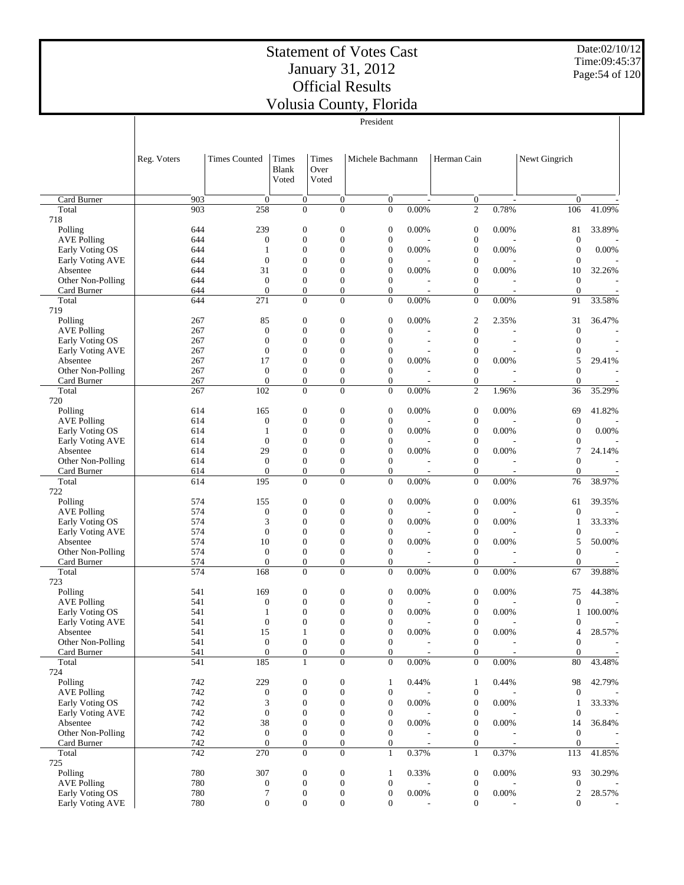Date:02/10/12 Time:09:45:37 Page:54 of 120

|                               |             |                         |                                      |               |                                      | VOIUSIA COUIITY, FIOHUA          |                          |                                      |                          |                         |                          |
|-------------------------------|-------------|-------------------------|--------------------------------------|---------------|--------------------------------------|----------------------------------|--------------------------|--------------------------------------|--------------------------|-------------------------|--------------------------|
|                               |             |                         |                                      |               |                                      | President                        |                          |                                      |                          |                         |                          |
|                               | Reg. Voters | <b>Times Counted</b>    | Times                                | Times         |                                      | Michele Bachmann                 |                          | Herman Cain                          |                          | Newt Gingrich           |                          |
|                               |             |                         | <b>Blank</b><br>Voted                | Over<br>Voted |                                      |                                  |                          |                                      |                          |                         |                          |
| Card Burner                   | 903         | $\mathbf{0}$            | $\overline{0}$                       |               | 0                                    | $\overline{0}$                   | $\overline{\phantom{a}}$ | $\mathbf{0}$                         | $\overline{\phantom{a}}$ | $\overline{0}$          |                          |
| Total<br>718                  | 903         | 258                     | $\mathbf{0}$                         |               | $\overline{0}$                       | $\mathbf{0}$                     | 0.00%                    | $\mathbf{2}$                         | 0.78%                    | 106                     | 41.09%                   |
| Polling                       | 644         | 239                     | $\mathbf{0}$                         |               | $\boldsymbol{0}$                     | $\mathbf{0}$                     | 0.00%                    | $\boldsymbol{0}$                     | 0.00%                    | 81                      | 33.89%                   |
| <b>AVE Polling</b>            | 644         | $\boldsymbol{0}$        | $\mathbf{0}$                         |               | $\boldsymbol{0}$                     | $\mathbf{0}$                     |                          | $\boldsymbol{0}$                     |                          | $\mathbf{0}$            |                          |
| Early Voting OS               | 644         | 1                       | $\mathbf{0}$                         |               | $\overline{0}$                       | $\overline{0}$                   | 0.00%                    | $\boldsymbol{0}$                     | 0.00%                    | $\overline{0}$          | 0.00%                    |
| Early Voting AVE              | 644         | $\boldsymbol{0}$        | $\mathbf{0}$                         |               | $\overline{0}$                       | $\mathbf{0}$                     |                          | $\boldsymbol{0}$                     |                          | $\theta$                |                          |
| Absentee<br>Other Non-Polling | 644<br>644  | 31<br>$\boldsymbol{0}$  | $\mathbf{0}$<br>$\boldsymbol{0}$     |               | $\overline{0}$<br>$\overline{0}$     | $\boldsymbol{0}$<br>$\mathbf{0}$ | 0.00%                    | $\boldsymbol{0}$<br>$\boldsymbol{0}$ | 0.00%                    | 10<br>$\theta$          | 32.26%                   |
| Card Burner                   | 644         | $\overline{0}$          | $\mathbf{0}$                         |               | $\boldsymbol{0}$                     | $\overline{0}$                   |                          | $\boldsymbol{0}$                     | ÷,                       | $\boldsymbol{0}$        | $\overline{\phantom{a}}$ |
| Total                         | 644         | 271                     | $\mathbf{0}$                         |               | $\overline{0}$                       | $\overline{0}$                   | 0.00%                    | $\boldsymbol{0}$                     | 0.00%                    | 91                      | 33.58%                   |
| 719                           |             |                         |                                      |               |                                      |                                  |                          |                                      |                          |                         |                          |
| Polling<br><b>AVE Polling</b> | 267<br>267  | 85<br>$\boldsymbol{0}$  | $\mathbf{0}$<br>$\mathbf{0}$         |               | 0<br>$\overline{0}$                  | $\mathbf{0}$<br>$\theta$         | 0.00%                    | $\boldsymbol{2}$<br>$\boldsymbol{0}$ | 2.35%                    | 31<br>$\theta$          | 36.47%                   |
| Early Voting OS               | 267         | $\boldsymbol{0}$        | $\mathbf{0}$                         |               | $\overline{0}$                       | $\theta$                         |                          | $\boldsymbol{0}$                     |                          | $\theta$                |                          |
| Early Voting AVE              | 267         | $\boldsymbol{0}$        | $\mathbf{0}$                         |               | $\overline{0}$                       | $\boldsymbol{0}$                 |                          | $\boldsymbol{0}$                     |                          | $\theta$                |                          |
| Absentee                      | 267         | 17                      | $\mathbf{0}$                         |               | $\overline{0}$                       | $\boldsymbol{0}$                 | 0.00%                    | $\boldsymbol{0}$                     | 0.00%                    | 5                       | 29.41%                   |
| Other Non-Polling             | 267         | $\boldsymbol{0}$        | $\mathbf{0}$                         |               | $\boldsymbol{0}$                     | $\mathbf{0}$                     |                          | $\boldsymbol{0}$                     |                          | $\theta$                |                          |
| Card Burner<br>Total          | 267<br>267  | $\overline{0}$<br>102   | $\boldsymbol{0}$<br>$\mathbf{0}$     |               | $\boldsymbol{0}$<br>$\overline{0}$   | $\overline{0}$<br>$\theta$       | ÷,<br>0.00%              | $\boldsymbol{0}$<br>$\mathfrak{2}$   | 1.96%                    | $\mathbf{0}$<br>36      | 35.29%                   |
| 720                           |             |                         |                                      |               |                                      |                                  |                          |                                      |                          |                         |                          |
| Polling                       | 614         | 165                     | $\mathbf{0}$                         |               | $\boldsymbol{0}$                     | $\mathbf{0}$                     | 0.00%                    | $\boldsymbol{0}$                     | 0.00%                    | 69                      | 41.82%                   |
| <b>AVE Polling</b>            | 614         | $\boldsymbol{0}$        | $\boldsymbol{0}$                     |               | $\boldsymbol{0}$                     | $\mathbf{0}$                     |                          | $\boldsymbol{0}$                     |                          | $\mathbf{0}$            |                          |
| Early Voting OS               | 614         | 1                       | $\mathbf{0}$                         |               | $\overline{0}$                       | $\mathbf{0}$                     | 0.00%                    | $\boldsymbol{0}$                     | 0.00%                    | $\theta$                | 0.00%                    |
| Early Voting AVE              | 614         | $\boldsymbol{0}$        | $\mathbf{0}$                         |               | $\overline{0}$                       | $\mathbf{0}$                     |                          | $\boldsymbol{0}$                     |                          | $\theta$                |                          |
| Absentee<br>Other Non-Polling | 614<br>614  | 29<br>$\boldsymbol{0}$  | $\mathbf{0}$<br>$\boldsymbol{0}$     |               | $\overline{0}$<br>$\boldsymbol{0}$   | $\mathbf{0}$<br>$\mathbf{0}$     | 0.00%                    | $\boldsymbol{0}$<br>$\boldsymbol{0}$ | 0.00%                    | 7<br>$\theta$           | 24.14%                   |
| Card Burner                   | 614         | $\overline{0}$          | $\mathbf{0}$                         |               | $\boldsymbol{0}$                     | $\overline{0}$                   | L,                       | $\boldsymbol{0}$                     | ÷,                       | $\theta$                |                          |
| Total                         | 614         | 195                     | $\mathbf{0}$                         |               | $\boldsymbol{0}$                     | $\theta$                         | 0.00%                    | $\boldsymbol{0}$                     | 0.00%                    | 76                      | 38.97%                   |
| 722                           |             |                         |                                      |               |                                      |                                  |                          |                                      |                          |                         |                          |
| Polling<br><b>AVE Polling</b> | 574         | 155                     | $\mathbf{0}$<br>$\mathbf{0}$         |               | $\boldsymbol{0}$<br>$\overline{0}$   | $\mathbf{0}$<br>$\mathbf{0}$     | 0.00%                    | $\boldsymbol{0}$                     | 0.00%                    | 61<br>$\theta$          | 39.35%                   |
| Early Voting OS               | 574<br>574  | $\boldsymbol{0}$<br>3   | $\mathbf{0}$                         |               | $\overline{0}$                       | $\mathbf{0}$                     | 0.00%                    | $\boldsymbol{0}$<br>$\boldsymbol{0}$ | 0.00%                    | 1                       | 33.33%                   |
| Early Voting AVE              | 574         | $\boldsymbol{0}$        | $\mathbf{0}$                         |               | $\overline{0}$                       | $\mathbf{0}$                     |                          | $\boldsymbol{0}$                     |                          | $\boldsymbol{0}$        |                          |
| Absentee                      | 574         | 10                      | $\boldsymbol{0}$                     |               | $\overline{0}$                       | $\boldsymbol{0}$                 | 0.00%                    | $\boldsymbol{0}$                     | 0.00%                    | 5                       | 50.00%                   |
| Other Non-Polling             | 574         | $\boldsymbol{0}$        | $\boldsymbol{0}$                     |               | $\boldsymbol{0}$                     | $\mathbf{0}$                     |                          | $\boldsymbol{0}$                     |                          | $\theta$                |                          |
| Card Burner<br>Total          | 574<br>574  | $\mathbf{0}$<br>168     | $\mathbf{0}$<br>$\mathbf{0}$         |               | $\boldsymbol{0}$<br>$\overline{0}$   | $\overline{0}$<br>$\overline{0}$ | 0.00%                    | $\boldsymbol{0}$<br>$\boldsymbol{0}$ | 0.00%                    | $\mathbf{0}$<br>67      | 39.88%                   |
| 723                           |             |                         |                                      |               |                                      |                                  |                          |                                      |                          |                         |                          |
| Polling                       | 541         | 169                     | $\mathbf{0}$                         |               | $\boldsymbol{0}$                     | $\mathbf{0}$                     | 0.00%                    | $\boldsymbol{0}$                     | 0.00%                    | 75                      | 44.38%                   |
| <b>AVE Polling</b>            | 541         | $\overline{0}$          | $\mathbf{0}$                         |               | $\overline{0}$                       | $\overline{0}$                   |                          | $\mathbf{0}$                         |                          | $\mathbf{0}$            |                          |
| Early Voting OS               | 541         | $\mathbf{1}$            | $\boldsymbol{0}$                     |               | 0                                    | $\boldsymbol{0}$                 | 0.00%                    | $\boldsymbol{0}$                     | $0.00\%$                 | 1                       | 100.00%                  |
| Early Voting AVE<br>Absentee  | 541<br>541  | $\boldsymbol{0}$<br>15  | $\boldsymbol{0}$<br>$\mathbf{1}$     |               | $\boldsymbol{0}$<br>$\boldsymbol{0}$ | $\boldsymbol{0}$<br>$\mathbf{0}$ | 0.00%                    | $\boldsymbol{0}$<br>$\boldsymbol{0}$ | 0.00%                    | $\boldsymbol{0}$<br>4   | 28.57%                   |
| Other Non-Polling             | 541         | $\boldsymbol{0}$        | $\boldsymbol{0}$                     |               | $\boldsymbol{0}$                     | $\mathbf{0}$                     |                          | $\boldsymbol{0}$                     |                          | $\boldsymbol{0}$        |                          |
| Card Burner                   | 541         | $\boldsymbol{0}$        | $\boldsymbol{0}$                     |               | $\boldsymbol{0}$                     | $\overline{0}$                   | $\overline{\phantom{a}}$ | $\boldsymbol{0}$                     | $\overline{\phantom{a}}$ | $\overline{0}$          | $\overline{\phantom{a}}$ |
| Total                         | 541         | 185                     | $\mathbf{1}$                         |               | $\boldsymbol{0}$                     | $\mathbf{0}$                     | 0.00%                    | $\boldsymbol{0}$                     | 0.00%                    | 80                      | 43.48%                   |
| 724                           |             |                         |                                      |               |                                      |                                  |                          |                                      |                          |                         |                          |
| Polling<br><b>AVE Polling</b> | 742<br>742  | 229<br>$\boldsymbol{0}$ | $\boldsymbol{0}$<br>$\boldsymbol{0}$ |               | $\boldsymbol{0}$<br>$\boldsymbol{0}$ | $\mathbf{1}$<br>$\mathbf{0}$     | 0.44%                    | $\mathbf{1}$<br>$\boldsymbol{0}$     | 0.44%                    | 98<br>$\boldsymbol{0}$  | 42.79%                   |
| Early Voting OS               | 742         | 3                       | $\mathbf{0}$                         |               | $\boldsymbol{0}$                     | $\boldsymbol{0}$                 | 0.00%                    | $\boldsymbol{0}$                     | 0.00%                    | $\mathbf{1}$            | 33.33%                   |
| <b>Early Voting AVE</b>       | 742         | $\boldsymbol{0}$        | $\mathbf{0}$                         |               | $\boldsymbol{0}$                     | $\boldsymbol{0}$                 |                          | $\boldsymbol{0}$                     |                          | $\boldsymbol{0}$        |                          |
| Absentee                      | 742         | 38                      | $\boldsymbol{0}$                     |               | $\boldsymbol{0}$                     | $\boldsymbol{0}$                 | 0.00%                    | $\boldsymbol{0}$                     | 0.00%                    | 14                      | 36.84%                   |
| Other Non-Polling             | 742         | $\boldsymbol{0}$        | $\boldsymbol{0}$                     |               | $\boldsymbol{0}$                     | $\mathbf{0}$                     |                          | $\boldsymbol{0}$                     |                          | $\mathbf{0}$            |                          |
| Card Burner<br>Total          | 742<br>742  | $\boldsymbol{0}$<br>270 | $\boldsymbol{0}$<br>$\boldsymbol{0}$ |               | $\boldsymbol{0}$<br>$\overline{0}$   | $\mathbf{0}$<br>$\mathbf{1}$     | 0.37%                    | $\boldsymbol{0}$<br>$\mathbf{1}$     | 0.37%                    | $\boldsymbol{0}$<br>113 | 41.85%                   |
| 725                           |             |                         |                                      |               |                                      |                                  |                          |                                      |                          |                         |                          |
| Polling                       | 780         | 307                     | $\mathbf{0}$                         |               | $\boldsymbol{0}$                     | $\mathbf{1}$                     | 0.33%                    | $\boldsymbol{0}$                     | 0.00%                    | 93                      | 30.29%                   |
| <b>AVE Polling</b>            | 780         | $\boldsymbol{0}$        | $\boldsymbol{0}$                     |               | $\boldsymbol{0}$                     | $\boldsymbol{0}$                 |                          | $\boldsymbol{0}$                     |                          | $\boldsymbol{0}$        |                          |
| Early Voting OS               | 780         | 7                       | $\boldsymbol{0}$                     |               | $\boldsymbol{0}$                     | $\boldsymbol{0}$                 | 0.00%                    | $\boldsymbol{0}$                     | 0.00%                    | $\overline{2}$          | 28.57%                   |
| Early Voting AVE              | 780         | $\mathbf{0}$            | $\mathbf{0}$                         |               | $\boldsymbol{0}$                     | $\overline{0}$                   |                          | $\boldsymbol{0}$                     |                          | $\overline{0}$          |                          |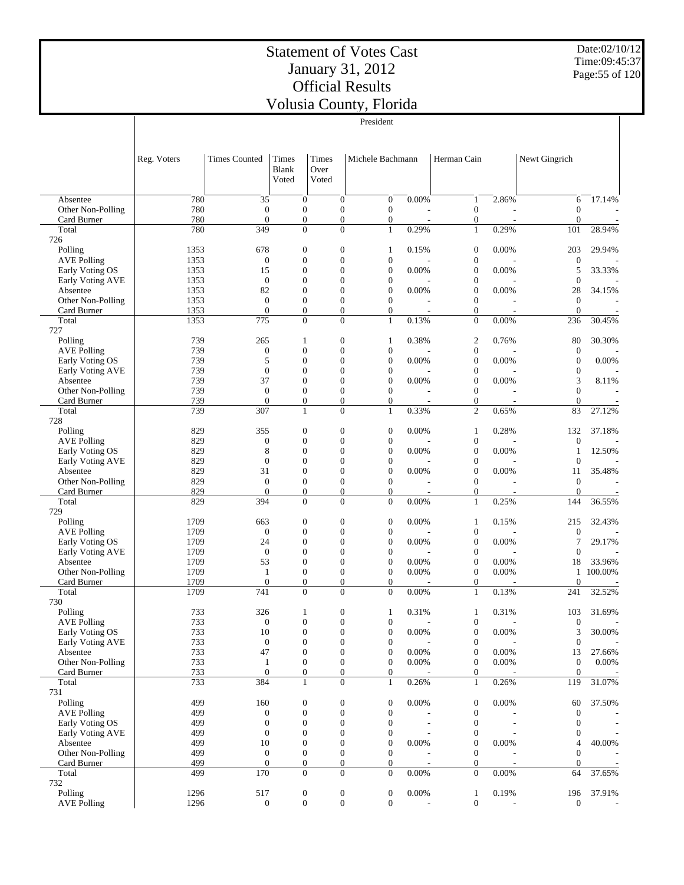Date:02/10/12 Time:09:45:37 Page:55 of 120

|                                       |              |                                    |                                      |                        |                                      | v onisia County, i noriua<br>President |                          |                                      |                          |                                    |                   |
|---------------------------------------|--------------|------------------------------------|--------------------------------------|------------------------|--------------------------------------|----------------------------------------|--------------------------|--------------------------------------|--------------------------|------------------------------------|-------------------|
|                                       |              |                                    |                                      |                        |                                      |                                        |                          |                                      |                          |                                    |                   |
|                                       | Reg. Voters  | <b>Times Counted</b>               | Times<br>Blank<br>Voted              | Times<br>Over<br>Voted |                                      | Michele Bachmann                       |                          | Herman Cain                          |                          | Newt Gingrich                      |                   |
| Absentee                              | 780          | 35                                 | $\boldsymbol{0}$                     |                        | $\mathbf{0}$                         | $\mathbf{0}$                           | 0.00%                    | $\mathbf{1}$                         | 2.86%                    | 6                                  | 17.14%            |
| Other Non-Polling<br>Card Burner      | 780<br>780   | $\boldsymbol{0}$<br>$\overline{0}$ | $\boldsymbol{0}$<br>$\boldsymbol{0}$ |                        | $\boldsymbol{0}$<br>$\boldsymbol{0}$ | $\boldsymbol{0}$<br>0                  | $\overline{a}$           | $\mathbf{0}$<br>$\mathbf{0}$         | L,                       | $\boldsymbol{0}$<br>$\overline{0}$ |                   |
| Total                                 | 780          | 349                                | $\overline{0}$                       |                        | $\overline{0}$                       | $\mathbf{1}$                           | 0.29%                    | $\mathbf{1}$                         | 0.29%                    | 101                                | 28.94%            |
| 726                                   |              |                                    |                                      |                        |                                      |                                        |                          |                                      |                          |                                    |                   |
| Polling<br><b>AVE Polling</b>         | 1353<br>1353 | 678<br>$\boldsymbol{0}$            | $\boldsymbol{0}$<br>$\boldsymbol{0}$ |                        | $\boldsymbol{0}$<br>$\boldsymbol{0}$ | 1<br>$\boldsymbol{0}$                  | 0.15%                    | $\boldsymbol{0}$<br>$\boldsymbol{0}$ | 0.00%                    | 203<br>$\boldsymbol{0}$            | 29.94%            |
| Early Voting OS                       | 1353         | 15                                 | $\mathbf{0}$                         |                        | $\overline{0}$                       | $\overline{0}$                         | 0.00%                    | $\mathbf{0}$                         | 0.00%                    | 5                                  | 33.33%            |
| Early Voting AVE                      | 1353         | $\boldsymbol{0}$                   | $\boldsymbol{0}$                     |                        | $\overline{0}$                       | 0                                      |                          | $\boldsymbol{0}$                     |                          | $\mathbf{0}$                       |                   |
| Absentee                              | 1353         | 82                                 | $\overline{0}$                       |                        | $\overline{0}$                       | $\overline{0}$                         | 0.00%                    | $\overline{0}$                       | 0.00%                    | 28                                 | 34.15%            |
| Other Non-Polling<br>Card Burner      | 1353<br>1353 | $\boldsymbol{0}$<br>$\overline{0}$ | $\boldsymbol{0}$<br>$\overline{0}$   |                        | $\boldsymbol{0}$<br>$\overline{0}$   | $\overline{0}$<br>$\overline{0}$       | $\overline{\phantom{a}}$ | $\boldsymbol{0}$<br>$\boldsymbol{0}$ | $\overline{\phantom{a}}$ | $\mathbf{0}$<br>$\overline{0}$     |                   |
| Total                                 | 1353         | 775                                | $\boldsymbol{0}$                     |                        | $\overline{0}$                       | $\mathbf{1}$                           | 0.13%                    | $\boldsymbol{0}$                     | 0.00%                    | 236                                | 30.45%            |
| 727                                   |              |                                    |                                      |                        |                                      |                                        |                          |                                      |                          |                                    |                   |
| Polling                               | 739          | 265                                | $\mathbf{1}$                         |                        | $\boldsymbol{0}$                     | 1                                      | 0.38%                    | $\mathbf{2}$                         | 0.76%                    | 80                                 | 30.30%            |
| <b>AVE Polling</b><br>Early Voting OS | 739<br>739   | $\boldsymbol{0}$<br>5              | $\overline{0}$<br>$\boldsymbol{0}$   |                        | $\boldsymbol{0}$<br>$\boldsymbol{0}$ | $\boldsymbol{0}$<br>$\boldsymbol{0}$   | 0.00%                    | $\boldsymbol{0}$<br>$\boldsymbol{0}$ | 0.00%                    | $\mathbf{0}$<br>$\boldsymbol{0}$   | 0.00%             |
| Early Voting AVE                      | 739          | $\overline{0}$                     | $\mathbf{0}$                         |                        | $\overline{0}$                       | $\overline{0}$                         |                          | $\boldsymbol{0}$                     |                          | $\boldsymbol{0}$                   |                   |
| Absentee                              | 739          | 37                                 | $\boldsymbol{0}$                     |                        | $\boldsymbol{0}$                     | $\boldsymbol{0}$                       | 0.00%                    | $\boldsymbol{0}$                     | 0.00%                    | 3                                  | 8.11%             |
| Other Non-Polling                     | 739          | $\boldsymbol{0}$                   | $\boldsymbol{0}$                     |                        | $\boldsymbol{0}$                     | $\overline{0}$                         |                          | $\boldsymbol{0}$                     |                          | $\overline{0}$                     |                   |
| Card Burner<br>Total                  | 739<br>739   | $\overline{0}$<br>307              | $\boldsymbol{0}$<br>$\mathbf{1}$     |                        | $\boldsymbol{0}$<br>$\Omega$         | $\boldsymbol{0}$<br>$\mathbf{1}$       | 0.33%                    | $\mathbf{0}$<br>$\overline{c}$       | 0.65%                    | $\overline{0}$<br>83               | 27.12%            |
| 728                                   |              |                                    |                                      |                        |                                      |                                        |                          |                                      |                          |                                    |                   |
| Polling                               | 829          | 355                                | $\boldsymbol{0}$                     |                        | $\boldsymbol{0}$                     | $\boldsymbol{0}$                       | 0.00%                    | $\mathbf{1}$                         | 0.28%                    | 132                                | 37.18%            |
| <b>AVE Polling</b>                    | 829          | $\boldsymbol{0}$                   | $\boldsymbol{0}$                     |                        | $\boldsymbol{0}$                     | $\boldsymbol{0}$                       |                          | $\mathbf{0}$                         |                          | $\boldsymbol{0}$                   |                   |
| Early Voting OS                       | 829          | 8                                  | $\mathbf{0}$                         |                        | $\overline{0}$                       | $\overline{0}$                         | 0.00%                    | $\boldsymbol{0}$                     | 0.00%                    | 1                                  | 12.50%            |
| Early Voting AVE<br>Absentee          | 829<br>829   | $\boldsymbol{0}$<br>31             | $\boldsymbol{0}$<br>$\mathbf{0}$     |                        | $\boldsymbol{0}$<br>$\overline{0}$   | 0<br>$\overline{0}$                    | 0.00%                    | $\mathbf{0}$<br>$\boldsymbol{0}$     | 0.00%                    | $\mathbf{0}$<br>11                 | 35.48%            |
| Other Non-Polling                     | 829          | $\mathbf{0}$                       | $\boldsymbol{0}$                     |                        | $\boldsymbol{0}$                     | $\boldsymbol{0}$                       |                          | $\mathbf{0}$                         |                          | $\mathbf{0}$                       |                   |
| Card Burner                           | 829          | $\overline{0}$                     | $\mathbf{0}$                         |                        | $\boldsymbol{0}$                     | $\overline{0}$                         |                          | $\boldsymbol{0}$                     | $\overline{\phantom{a}}$ | $\overline{0}$                     |                   |
| Total                                 | 829          | 394                                | $\mathbf{0}$                         |                        | $\overline{0}$                       | $\overline{0}$                         | 0.00%                    | $\mathbf{1}$                         | 0.25%                    | 144                                | 36.55%            |
| 729<br>Polling                        | 1709         | 663                                | $\boldsymbol{0}$                     |                        | $\boldsymbol{0}$                     | $\boldsymbol{0}$                       | 0.00%                    | $\mathbf{1}$                         | 0.15%                    | 215                                | 32.43%            |
| <b>AVE Polling</b>                    | 1709         | $\overline{0}$                     | $\mathbf{0}$                         |                        | $\boldsymbol{0}$                     | $\boldsymbol{0}$                       |                          | $\boldsymbol{0}$                     |                          | $\mathbf{0}$                       |                   |
| Early Voting OS                       | 1709         | 24                                 | $\boldsymbol{0}$                     |                        | $\boldsymbol{0}$                     | $\overline{0}$                         | 0.00%                    | $\boldsymbol{0}$                     | 0.00%                    | 7                                  | 29.17%            |
| Early Voting AVE                      | 1709         | $\mathbf{0}$                       | $\mathbf{0}$                         |                        | $\overline{0}$                       | $\overline{0}$                         |                          | $\mathbf{0}$                         |                          | $\boldsymbol{0}$                   |                   |
| Absentee<br>Other Non-Polling         | 1709<br>1709 | 53<br>1                            | $\boldsymbol{0}$<br>$\boldsymbol{0}$ |                        | $\boldsymbol{0}$<br>$\boldsymbol{0}$ | $\boldsymbol{0}$<br>$\overline{0}$     | 0.00%<br>0.00%           | $\boldsymbol{0}$<br>$\boldsymbol{0}$ | 0.00%<br>0.00%           | 18<br>$\mathbf{1}$                 | 33.96%<br>100.00% |
| Card Burner                           | 1709         | $\overline{0}$                     | $\boldsymbol{0}$                     |                        | $\boldsymbol{0}$                     | $\overline{0}$                         |                          | $\boldsymbol{0}$                     |                          | $\overline{0}$                     |                   |
| Total                                 | 1709         | 741                                | $\overline{0}$                       |                        | $\Omega$                             | $\overline{0}$                         | $0.00\%$                 | $\mathbf{1}$                         | 0.13%                    | 241                                | 32.52%            |
| 730                                   |              |                                    |                                      |                        |                                      |                                        |                          |                                      |                          |                                    |                   |
| Polling<br><b>AVE Polling</b>         | 733<br>733   | 326<br>$\boldsymbol{0}$            | 1<br>$\boldsymbol{0}$                |                        | $\boldsymbol{0}$<br>$\boldsymbol{0}$ | 1<br>0                                 | 0.31%                    | $\mathbf{1}$<br>$\boldsymbol{0}$     | 0.31%                    | 103<br>$\boldsymbol{0}$            | 31.69%            |
| Early Voting OS                       | 733          | 10                                 | $\boldsymbol{0}$                     |                        | $\boldsymbol{0}$                     | $\overline{0}$                         | 0.00%                    | $\boldsymbol{0}$                     | $0.00\%$                 | 3                                  | 30.00%            |
| Early Voting AVE                      | 733          | $\boldsymbol{0}$                   | $\boldsymbol{0}$                     |                        | $\boldsymbol{0}$                     | 0                                      |                          | $\mathbf{0}$                         |                          | $\mathbf{0}$                       |                   |
| Absentee                              | 733          | 47                                 | $\boldsymbol{0}$                     |                        | $\boldsymbol{0}$                     | $\boldsymbol{0}$                       | 0.00%                    | $\boldsymbol{0}$                     | 0.00%                    | 13                                 | 27.66%            |
| Other Non-Polling                     | 733          | $\mathbf{1}$                       | $\boldsymbol{0}$                     |                        | $\boldsymbol{0}$                     | $\mathbf{0}$                           | 0.00%                    | $\boldsymbol{0}$                     | 0.00%                    | $\mathbf{0}$                       | 0.00%             |
| Card Burner<br>Total                  | 733<br>733   | $\boldsymbol{0}$<br>384            | $\boldsymbol{0}$<br>$\mathbf{1}$     |                        | $\boldsymbol{0}$<br>$\overline{0}$   | $\overline{0}$<br>1                    | 0.26%                    | $\boldsymbol{0}$<br>$\mathbf{1}$     | 0.26%                    | $\mathbf{0}$<br>119                | 31.07%            |
| 731                                   |              |                                    |                                      |                        |                                      |                                        |                          |                                      |                          |                                    |                   |
| Polling                               | 499          | 160                                | $\boldsymbol{0}$                     |                        | $\boldsymbol{0}$                     | 0                                      | 0.00%                    | $\boldsymbol{0}$                     | 0.00%                    | 60                                 | 37.50%            |
| <b>AVE Polling</b>                    | 499          | 0                                  | $\boldsymbol{0}$                     |                        | $\boldsymbol{0}$                     | $\boldsymbol{0}$                       |                          | $\mathbf{0}$                         |                          | $\mathbf{0}$                       |                   |
| Early Voting OS                       | 499          | $\boldsymbol{0}$<br>$\overline{0}$ | $\boldsymbol{0}$                     |                        | $\boldsymbol{0}$                     | $\boldsymbol{0}$                       | $\overline{a}$           | $\mathbf{0}$                         |                          | $\mathbf{0}$                       |                   |
| Early Voting AVE<br>Absentee          | 499<br>499   | 10                                 | $\boldsymbol{0}$<br>$\boldsymbol{0}$ |                        | $\boldsymbol{0}$<br>$\boldsymbol{0}$ | 0<br>$\boldsymbol{0}$                  | 0.00%                    | $\boldsymbol{0}$<br>$\boldsymbol{0}$ | $0.00\%$                 | $\mathbf{0}$<br>4                  | 40.00%            |
| Other Non-Polling                     | 499          | $\mathbf{0}$                       | $\boldsymbol{0}$                     |                        | $\boldsymbol{0}$                     | $\boldsymbol{0}$                       |                          | $\boldsymbol{0}$                     |                          | $\overline{0}$                     |                   |
| Card Burner                           | 499          | $\boldsymbol{0}$                   | $\boldsymbol{0}$                     |                        | $\boldsymbol{0}$                     | $\boldsymbol{0}$                       |                          | $\mathbf{0}$                         |                          | $\theta$                           |                   |
| Total                                 | 499          | 170                                | $\boldsymbol{0}$                     |                        | $\overline{0}$                       | $\overline{0}$                         | 0.00%                    | $\boldsymbol{0}$                     | $0.00\%$                 | 64                                 | 37.65%            |
| 732<br>Polling                        | 1296         | 517                                | $\boldsymbol{0}$                     |                        | $\boldsymbol{0}$                     | $\boldsymbol{0}$                       | 0.00%                    | $\mathbf{1}$                         | 0.19%                    | 196                                | 37.91%            |
| <b>AVE Polling</b>                    | 1296         | $\boldsymbol{0}$                   | $\boldsymbol{0}$                     |                        | $\boldsymbol{0}$                     | $\overline{0}$                         |                          | $\mathbf{0}$                         |                          | $\theta$                           |                   |
|                                       |              |                                    |                                      |                        |                                      |                                        |                          |                                      |                          |                                    |                   |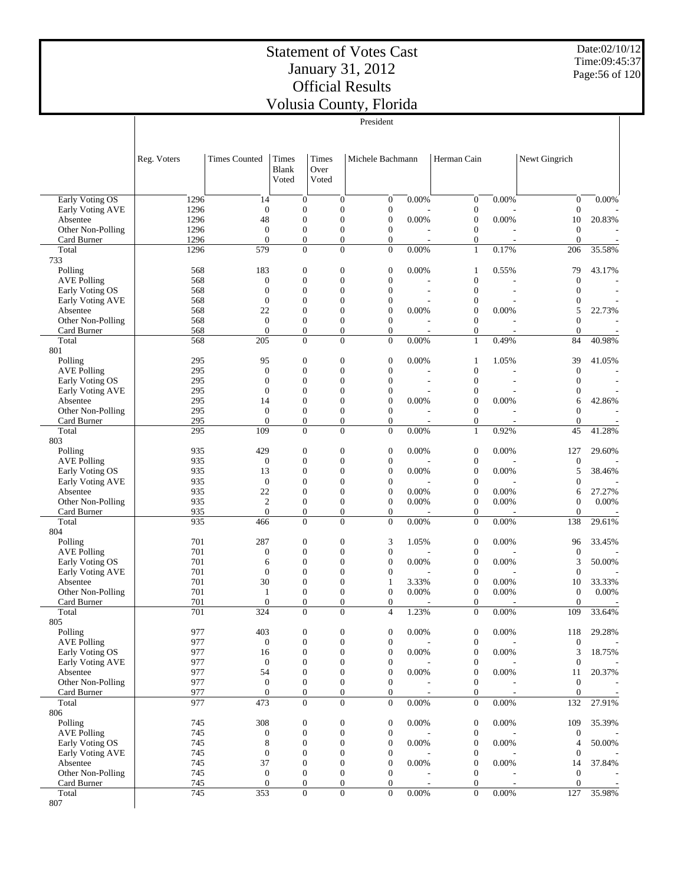Date:02/10/12 Time:09:45:37 Page:56 of 120

|                                       |             |              |                                    |                                |                                      |                                  |                                | President                            |                |                                      |                          |                                    |                          |
|---------------------------------------|-------------|--------------|------------------------------------|--------------------------------|--------------------------------------|----------------------------------|--------------------------------|--------------------------------------|----------------|--------------------------------------|--------------------------|------------------------------------|--------------------------|
|                                       | Reg. Voters |              | <b>Times Counted</b>               | Times<br><b>Blank</b><br>Voted | Over                                 | Times<br>Voted                   |                                | Michele Bachmann                     |                | Herman Cain                          |                          | Newt Gingrich                      |                          |
| Early Voting OS                       |             | 1296         | 14                                 |                                | $\mathbf{0}$                         |                                  | $\mathbf{0}$                   | $\boldsymbol{0}$                     | 0.00%          | $\mathbf{0}$                         | 0.00%                    | $\boldsymbol{0}$                   | 0.00%                    |
| Early Voting AVE                      |             | 1296         | $\theta$                           |                                | $\mathbf{0}$                         | $\overline{0}$                   |                                | $\boldsymbol{0}$                     |                | $\boldsymbol{0}$                     |                          | $\boldsymbol{0}$                   |                          |
| Absentee<br>Other Non-Polling         |             | 1296<br>1296 | 48<br>$\overline{0}$               |                                | $\mathbf{0}$<br>$\mathbf{0}$         | $\overline{0}$                   | $\theta$                       | $\boldsymbol{0}$<br>$\boldsymbol{0}$ | 0.00%          | $\boldsymbol{0}$<br>$\mathbf{0}$     | 0.00%                    | 10<br>$\boldsymbol{0}$             | 20.83%                   |
| Card Burner                           |             | 1296         | $\overline{0}$                     |                                | $\mathbf{0}$                         |                                  | $\mathbf{0}$                   | $\boldsymbol{0}$                     |                | $\mathbf{0}$                         |                          | $\boldsymbol{0}$                   |                          |
| Total                                 |             | 1296         | 579                                |                                | $\mathbf{0}$                         |                                  | $\Omega$                       | $\Omega$                             | 0.00%          | $\mathbf{1}$                         | 0.17%                    | 206                                | 35.58%                   |
| 733                                   |             | 568          | 183                                |                                | $\boldsymbol{0}$                     | $\mathbf{0}$                     |                                | $\boldsymbol{0}$                     | 0.00%          | $\mathbf{1}$                         | 0.55%                    | 79                                 | 43.17%                   |
| Polling<br><b>AVE Polling</b>         |             | 568          | $\mathbf{0}$                       |                                | $\mathbf{0}$                         |                                  | $\theta$                       | $\boldsymbol{0}$                     |                | $\boldsymbol{0}$                     |                          | $\mathbf{0}$                       |                          |
| Early Voting OS                       |             | 568          | $\overline{0}$                     |                                | $\mathbf{0}$                         | $\overline{0}$                   |                                | $\overline{0}$                       | $\overline{a}$ | $\mathbf{0}$                         | $\overline{\phantom{a}}$ | $\overline{0}$                     | $\overline{\phantom{a}}$ |
| Early Voting AVE                      |             | 568          | $\overline{0}$                     |                                | $\mathbf{0}$                         |                                  | $\theta$                       | $\boldsymbol{0}$                     |                | $\boldsymbol{0}$                     |                          | $\overline{0}$                     |                          |
| Absentee                              |             | 568          | 22<br>$\overline{0}$               |                                | $\mathbf{0}$                         | $\overline{0}$                   | $\theta$                       | $\overline{0}$<br>$\overline{0}$     | 0.00%          | $\boldsymbol{0}$                     | 0.00%                    | 5<br>$\overline{0}$                | 22.73%                   |
| Other Non-Polling<br>Card Burner      |             | 568<br>568   | $\overline{0}$                     |                                | $\mathbf{0}$<br>$\mathbf{0}$         |                                  | $\mathbf{0}$                   | $\boldsymbol{0}$                     |                | $\boldsymbol{0}$<br>$\mathbf{0}$     | $\overline{\phantom{a}}$ | $\boldsymbol{0}$                   |                          |
| Total                                 |             | 568          | 205                                |                                | $\mathbf{0}$                         |                                  | $\Omega$                       | $\mathbf{0}$                         | 0.00%          | $\mathbf{1}$                         | 0.49%                    | 84                                 | 40.98%                   |
| 801                                   |             |              |                                    |                                |                                      |                                  |                                |                                      |                |                                      |                          |                                    |                          |
| Polling                               |             | 295          | 95                                 |                                | $\boldsymbol{0}$                     |                                  | $\mathbf{0}$                   | $\boldsymbol{0}$                     | 0.00%          | $\mathbf{1}$                         | 1.05%                    | 39                                 | 41.05%                   |
| <b>AVE Polling</b><br>Early Voting OS |             | 295<br>295   | $\overline{0}$<br>$\boldsymbol{0}$ |                                | $\mathbf{0}$<br>$\mathbf{0}$         | $\overline{0}$<br>$\overline{0}$ |                                | $\boldsymbol{0}$<br>$\overline{0}$   |                | $\boldsymbol{0}$<br>$\mathbf{0}$     |                          | $\boldsymbol{0}$<br>$\overline{0}$ |                          |
| Early Voting AVE                      |             | 295          | $\overline{0}$                     |                                | $\mathbf{0}$                         | $\overline{0}$                   |                                | $\boldsymbol{0}$                     |                | $\mathbf{0}$                         |                          | $\overline{0}$                     |                          |
| Absentee                              |             | 295          | 14                                 |                                | $\mathbf{0}$                         | $\overline{0}$                   |                                | $\boldsymbol{0}$                     | 0.00%          | $\boldsymbol{0}$                     | 0.00%                    | 6                                  | 42.86%                   |
| Other Non-Polling                     |             | 295          | $\overline{0}$                     |                                | $\mathbf{0}$                         |                                  | $\theta$                       | $\boldsymbol{0}$                     |                | $\mathbf{0}$                         |                          | $\overline{0}$                     |                          |
| Card Burner<br>Total                  |             | 295<br>295   | $\overline{0}$<br>109              |                                | $\boldsymbol{0}$<br>$\mathbf{0}$     |                                  | $\mathbf{0}$<br>$\Omega$       | $\boldsymbol{0}$<br>$\mathbf{0}$     | 0.00%          | $\boldsymbol{0}$<br>$\mathbf{1}$     | 0.92%                    | $\boldsymbol{0}$<br>45             | 41.28%                   |
| 803                                   |             |              |                                    |                                |                                      |                                  |                                |                                      |                |                                      |                          |                                    |                          |
| Polling                               |             | 935          | 429                                |                                | $\mathbf{0}$                         | $\mathbf{0}$                     |                                | $\boldsymbol{0}$                     | 0.00%          | $\boldsymbol{0}$                     | 0.00%                    | 127                                | 29.60%                   |
| <b>AVE Polling</b>                    |             | 935          | $\mathbf{0}$                       |                                | $\mathbf{0}$                         |                                  | $\theta$                       | $\boldsymbol{0}$                     |                | $\boldsymbol{0}$                     |                          | $\boldsymbol{0}$                   |                          |
| Early Voting OS<br>Early Voting AVE   |             | 935<br>935   | 13<br>$\overline{0}$               |                                | $\mathbf{0}$<br>$\mathbf{0}$         | $\overline{0}$<br>$\overline{0}$ |                                | $\overline{0}$<br>$\boldsymbol{0}$   | 0.00%          | $\boldsymbol{0}$<br>$\boldsymbol{0}$ | 0.00%                    | 5<br>$\mathbf{0}$                  | 38.46%                   |
| Absentee                              |             | 935          | 22                                 |                                | $\mathbf{0}$                         | $\overline{0}$                   |                                | $\overline{0}$                       | 0.00%          | $\mathbf{0}$                         | 0.00%                    | 6                                  | 27.27%                   |
| Other Non-Polling                     |             | 935          | $\sqrt{2}$                         |                                | $\mathbf{0}$                         |                                  | $\theta$                       | $\boldsymbol{0}$                     | 0.00%          | $\boldsymbol{0}$                     | 0.00%                    | $\overline{0}$                     | 0.00%                    |
| Card Burner                           |             | 935          | $\overline{0}$                     |                                | $\mathbf{0}$                         |                                  | $\mathbf{0}$                   | $\overline{0}$                       |                | $\mathbf{0}$                         |                          | $\mathbf{0}$                       |                          |
| Total<br>804                          |             | 935          | 466                                |                                | $\boldsymbol{0}$                     |                                  | $\Omega$                       | $\overline{0}$                       | 0.00%          | $\mathbf{0}$                         | 0.00%                    | 138                                | 29.61%                   |
| Polling                               |             | 701          | 287                                |                                | $\boldsymbol{0}$                     | $\mathbf{0}$                     |                                | 3                                    | 1.05%          | $\boldsymbol{0}$                     | 0.00%                    | 96                                 | 33.45%                   |
| <b>AVE Polling</b>                    |             | 701          | $\boldsymbol{0}$                   |                                | $\mathbf{0}$                         | $\overline{0}$                   |                                | $\boldsymbol{0}$                     |                | $\boldsymbol{0}$                     |                          | $\mathbf{0}$                       |                          |
| Early Voting OS                       |             | 701          | 6                                  |                                | $\mathbf{0}$                         |                                  | $\theta$                       | $\overline{0}$                       | 0.00%          | $\boldsymbol{0}$                     | 0.00%                    | 3                                  | 50.00%                   |
| Early Voting AVE                      |             | 701<br>701   | $\overline{0}$<br>30               |                                | $\mathbf{0}$<br>$\mathbf{0}$         | $\overline{0}$<br>$\overline{0}$ |                                | $\boldsymbol{0}$                     |                | $\boldsymbol{0}$<br>$\boldsymbol{0}$ | 0.00%                    | $\mathbf{0}$                       |                          |
| Absentee<br>Other Non-Polling         |             | 701          | $\mathbf{1}$                       |                                | $\mathbf{0}$                         | $\overline{0}$                   |                                | $\mathbf{1}$<br>$\boldsymbol{0}$     | 3.33%<br>0.00% | $\boldsymbol{0}$                     | 0.00%                    | 10<br>$\boldsymbol{0}$             | 33.33%<br>0.00%          |
| Card Burner                           |             | 701          | $\overline{0}$                     |                                | $\mathbf{0}$                         |                                  | $\theta$                       | $\boldsymbol{0}$                     |                | $\mathbf{0}$                         |                          | $\mathbf{0}$                       |                          |
| Total                                 |             | 701          | 324                                |                                | $\boldsymbol{0}$                     |                                  | $\boldsymbol{0}$               | 4                                    | 1.23%          | $\boldsymbol{0}$                     | 0.00%                    | 109                                | 33.64%                   |
| 805<br>Polling                        |             | 977          | 403                                |                                |                                      |                                  | $\mathbf{0}$                   | $\boldsymbol{0}$                     | 0.00%          | $\boldsymbol{0}$                     | $0.00\%$                 |                                    | 29.28%                   |
| <b>AVE Polling</b>                    |             | 977          | $\mathbf{0}$                       |                                | $\boldsymbol{0}$<br>$\mathbf{0}$     |                                  | $\mathbf{0}$                   | $\boldsymbol{0}$                     |                | $\boldsymbol{0}$                     |                          | 118<br>$\mathbf{0}$                |                          |
| Early Voting OS                       |             | 977          | 16                                 |                                | $\mathbf{0}$                         | $\overline{0}$                   |                                | $\boldsymbol{0}$                     | 0.00%          | $\boldsymbol{0}$                     | 0.00%                    | 3                                  | 18.75%                   |
| Early Voting AVE                      |             | 977          | $\mathbf{0}$                       |                                | $\mathbf{0}$                         | $\overline{0}$                   |                                | $\boldsymbol{0}$                     |                | $\boldsymbol{0}$                     |                          | $\boldsymbol{0}$                   |                          |
| Absentee                              |             | 977          | 54                                 |                                | $\mathbf{0}$                         | $\overline{0}$                   |                                | $\overline{0}$                       | 0.00%          | $\boldsymbol{0}$                     | 0.00%                    | 11                                 | 20.37%                   |
| Other Non-Polling<br>Card Burner      |             | 977<br>977   | $\mathbf{0}$<br>$\overline{0}$     |                                | $\boldsymbol{0}$<br>$\mathbf{0}$     |                                  | $\theta$<br>$\mathbf{0}$       | $\boldsymbol{0}$<br>$\boldsymbol{0}$ |                | $\boldsymbol{0}$<br>$\mathbf{0}$     | $\overline{a}$           | $\mathbf{0}$<br>$\mathbf{0}$       |                          |
| Total                                 |             | 977          | 473                                |                                | $\boldsymbol{0}$                     |                                  | $\Omega$                       | $\overline{0}$                       | $0.00\%$       | $\boldsymbol{0}$                     | 0.00%                    | 132                                | 27.91%                   |
| 806                                   |             |              |                                    |                                |                                      |                                  |                                |                                      |                |                                      |                          |                                    |                          |
| Polling                               |             | 745          | 308                                |                                | $\boldsymbol{0}$                     |                                  | $\mathbf{0}$                   | $\boldsymbol{0}$                     | 0.00%          | $\boldsymbol{0}$                     | 0.00%                    | 109                                | 35.39%                   |
| <b>AVE Polling</b><br>Early Voting OS |             | 745<br>745   | $\mathbf{0}$<br>8                  |                                | $\mathbf{0}$<br>$\mathbf{0}$         | $\overline{0}$                   | $\mathbf{0}$                   | $\boldsymbol{0}$<br>$\boldsymbol{0}$ | 0.00%          | $\boldsymbol{0}$<br>$\boldsymbol{0}$ | 0.00%                    | $\boldsymbol{0}$<br>4              | $50.00\%$                |
| Early Voting AVE                      |             | 745          | $\overline{0}$                     |                                | $\mathbf{0}$                         | $\overline{0}$                   |                                | 0                                    |                | $\boldsymbol{0}$                     |                          | $\boldsymbol{0}$                   |                          |
| Absentee                              |             | 745          | 37                                 |                                | $\boldsymbol{0}$                     | $\mathbf{0}$                     |                                | $\boldsymbol{0}$                     | 0.00%          | $\boldsymbol{0}$                     | 0.00%                    | 14                                 | 37.84%                   |
| Other Non-Polling                     |             | 745          | $\mathbf{0}$                       |                                | $\mathbf{0}$                         |                                  | $\mathbf{0}$                   | $\boldsymbol{0}$                     |                | $\mathbf{0}$                         |                          | $\mathbf{0}$                       |                          |
| Card Burner<br>Total                  |             | 745<br>745   | $\mathbf{0}$<br>353                |                                | $\boldsymbol{0}$<br>$\boldsymbol{0}$ |                                  | $\mathbf{0}$<br>$\overline{0}$ | $\boldsymbol{0}$<br>$\overline{0}$   | 0.00%          | $\boldsymbol{0}$<br>$\boldsymbol{0}$ | 0.00%                    | $\boldsymbol{0}$<br>127            | 35.98%                   |
| 807                                   |             |              |                                    |                                |                                      |                                  |                                |                                      |                |                                      |                          |                                    |                          |
|                                       |             |              |                                    |                                |                                      |                                  |                                |                                      |                |                                      |                          |                                    |                          |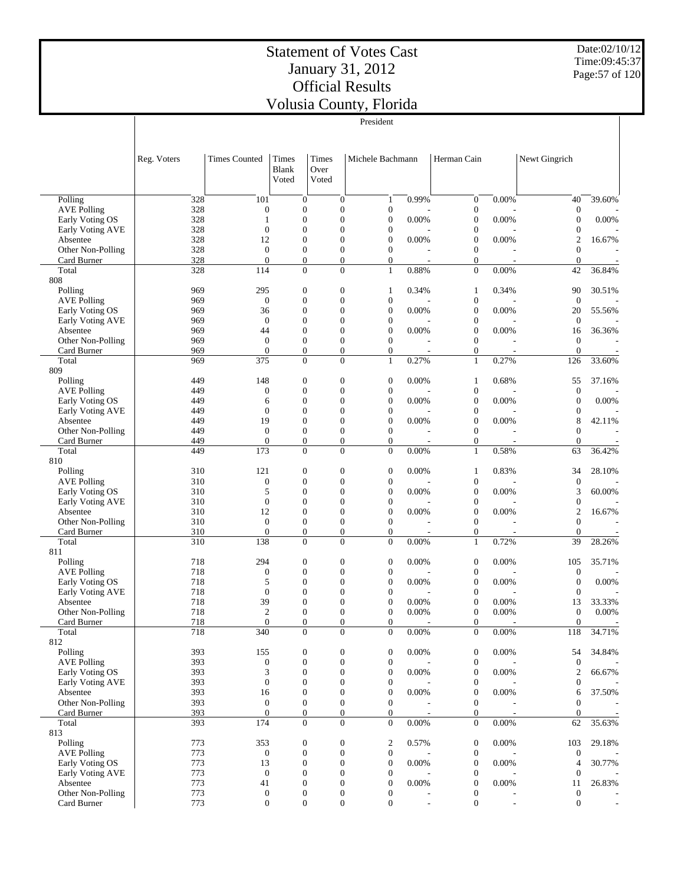Date:02/10/12 Time:09:45:37 Page:57 of 120

|                                       |             |                                  |                                      |                                  |                                  | President                            |                          |                                      |                          |                                |        |
|---------------------------------------|-------------|----------------------------------|--------------------------------------|----------------------------------|----------------------------------|--------------------------------------|--------------------------|--------------------------------------|--------------------------|--------------------------------|--------|
|                                       | Reg. Voters | <b>Times Counted</b>             | Times<br>Blank<br>Voted              | Times<br>Over<br>Voted           |                                  | Michele Bachmann                     |                          | Herman Cain                          |                          | Newt Gingrich                  |        |
| Polling                               | 328         | 101                              |                                      | $\boldsymbol{0}$                 | $\overline{0}$                   | $\mathbf{1}$                         | 0.99%                    | $\boldsymbol{0}$                     | 0.00%                    | 40                             | 39.60% |
| <b>AVE Polling</b>                    | 328         | $\boldsymbol{0}$                 | $\boldsymbol{0}$                     |                                  | $\mathbf{0}$                     | $\boldsymbol{0}$                     |                          | $\boldsymbol{0}$                     |                          | $\boldsymbol{0}$               |        |
| Early Voting OS<br>Early Voting AVE   | 328<br>328  | 1<br>$\overline{0}$              | $\mathbf{0}$<br>$\mathbf{0}$         |                                  | $\mathbf{0}$<br>$\mathbf{0}$     | $\boldsymbol{0}$<br>$\boldsymbol{0}$ | 0.00%                    | $\boldsymbol{0}$<br>$\boldsymbol{0}$ | 0.00%                    | $\boldsymbol{0}$<br>0          | 0.00%  |
| Absentee                              | 328         | 12                               | $\mathbf{0}$                         |                                  | $\mathbf{0}$                     | $\boldsymbol{0}$                     | 0.00%                    | $\boldsymbol{0}$                     | 0.00%                    | $\overline{c}$                 | 16.67% |
| Other Non-Polling                     | 328         | $\theta$                         | $\boldsymbol{0}$                     |                                  | $\mathbf{0}$                     | $\boldsymbol{0}$                     |                          | $\boldsymbol{0}$                     |                          | $\overline{0}$                 |        |
| Card Burner                           | 328         | $\overline{0}$                   | $\mathbf{0}$                         |                                  | $\mathbf{0}$                     | $\boldsymbol{0}$                     |                          | $\boldsymbol{0}$                     |                          | $\boldsymbol{0}$               |        |
| Total<br>808                          | 328         | 114                              | $\mathbf{0}$                         |                                  | $\Omega$                         | $\mathbf{1}$                         | 0.88%                    | $\mathbf{0}$                         | 0.00%                    | 42                             | 36.84% |
| Polling                               | 969         | 295                              | $\boldsymbol{0}$                     |                                  | $\mathbf{0}$                     | 1                                    | 0.34%                    | $\mathbf{1}$                         | 0.34%                    | 90                             | 30.51% |
| <b>AVE Polling</b>                    | 969         | $\boldsymbol{0}$                 | $\mathbf{0}$                         |                                  | $\mathbf{0}$                     | $\boldsymbol{0}$                     |                          | $\boldsymbol{0}$                     |                          | $\mathbf{0}$                   |        |
| Early Voting OS                       | 969         | 36                               | $\boldsymbol{0}$                     |                                  | $\mathbf{0}$                     | $\boldsymbol{0}$                     | 0.00%                    | $\boldsymbol{0}$                     | 0.00%                    | 20                             | 55.56% |
| Early Voting AVE                      | 969         | $\overline{0}$                   | $\mathbf{0}$                         |                                  | $\mathbf{0}$                     | $\boldsymbol{0}$                     |                          | $\boldsymbol{0}$                     |                          | $\mathbf{0}$                   |        |
| Absentee<br>Other Non-Polling         | 969<br>969  | 44<br>$\overline{0}$             | $\boldsymbol{0}$<br>$\mathbf{0}$     |                                  | $\mathbf{0}$<br>$\mathbf{0}$     | $\boldsymbol{0}$<br>$\boldsymbol{0}$ | 0.00%                    | $\boldsymbol{0}$<br>$\boldsymbol{0}$ | 0.00%                    | 16<br>$\mathbf{0}$             | 36.36% |
| Card Burner                           | 969         | $\mathbf{0}$                     | $\boldsymbol{0}$                     |                                  | $\mathbf{0}$                     | $\boldsymbol{0}$                     |                          | $\boldsymbol{0}$                     |                          | $\theta$                       |        |
| Total                                 | 969         | 375                              |                                      | $\mathbf{0}$                     | $\Omega$                         | $\mathbf{1}$                         | 0.27%                    | $\mathbf{1}$                         | 0.27%                    | 126                            | 33.60% |
| 809                                   |             |                                  |                                      |                                  |                                  |                                      |                          |                                      |                          |                                |        |
| Polling                               | 449         | 148                              | $\boldsymbol{0}$                     |                                  | $\boldsymbol{0}$                 | $\boldsymbol{0}$                     | 0.00%                    | $\mathbf{1}$                         | 0.68%                    | 55                             | 37.16% |
| <b>AVE Polling</b><br>Early Voting OS | 449<br>449  | $\boldsymbol{0}$<br>6            | $\boldsymbol{0}$<br>$\mathbf{0}$     |                                  | $\mathbf{0}$<br>$\mathbf{0}$     | $\boldsymbol{0}$<br>$\boldsymbol{0}$ | 0.00%                    | $\boldsymbol{0}$<br>$\boldsymbol{0}$ | 0.00%                    | $\mathbf{0}$<br>$\mathbf{0}$   | 0.00%  |
| Early Voting AVE                      | 449         | $\overline{0}$                   | $\boldsymbol{0}$                     |                                  | $\mathbf{0}$                     | $\boldsymbol{0}$                     |                          | $\boldsymbol{0}$                     |                          | 0                              |        |
| Absentee                              | 449         | 19                               | $\mathbf{0}$                         |                                  | $\mathbf{0}$                     | $\boldsymbol{0}$                     | 0.00%                    | $\boldsymbol{0}$                     | 0.00%                    | 8                              | 42.11% |
| Other Non-Polling                     | 449         | $\overline{0}$                   | $\boldsymbol{0}$                     |                                  | $\mathbf{0}$                     | $\overline{0}$                       |                          | $\boldsymbol{0}$                     |                          | $\overline{0}$                 |        |
| Card Burner                           | 449         | $\overline{0}$                   | $\mathbf{0}$                         |                                  | $\boldsymbol{0}$                 | $\overline{0}$                       |                          | $\boldsymbol{0}$                     |                          | $\boldsymbol{0}$               |        |
| Total                                 | 449         | 173                              | $\mathbf{0}$                         |                                  | $\Omega$                         | $\overline{0}$                       | 0.00%                    | $\mathbf{1}$                         | 0.58%                    | 63                             | 36.42% |
| 810<br>Polling                        | 310         | 121                              | $\boldsymbol{0}$                     |                                  | $\mathbf{0}$                     | $\boldsymbol{0}$                     | 0.00%                    | $\mathbf{1}$                         | 0.83%                    | 34                             | 28.10% |
| <b>AVE Polling</b>                    | 310         | $\boldsymbol{0}$                 | $\boldsymbol{0}$                     |                                  | $\mathbf{0}$                     | $\boldsymbol{0}$                     |                          | $\boldsymbol{0}$                     |                          | $\boldsymbol{0}$               |        |
| Early Voting OS                       | 310         | 5                                | $\boldsymbol{0}$                     |                                  | $\mathbf{0}$                     | $\boldsymbol{0}$                     | 0.00%                    | $\boldsymbol{0}$                     | 0.00%                    | 3                              | 60.00% |
| Early Voting AVE                      | 310         | $\overline{0}$                   | $\mathbf{0}$                         |                                  | $\mathbf{0}$                     | $\boldsymbol{0}$                     |                          | $\boldsymbol{0}$                     |                          | $\boldsymbol{0}$               |        |
| Absentee                              | 310         | 12                               | $\boldsymbol{0}$                     |                                  | $\mathbf{0}$                     | $\boldsymbol{0}$                     | 0.00%                    | $\boldsymbol{0}$                     | 0.00%                    | $\mathbf{2}$                   | 16.67% |
| Other Non-Polling                     | 310<br>310  | $\mathbf{0}$<br>$\boldsymbol{0}$ | $\boldsymbol{0}$<br>$\boldsymbol{0}$ |                                  | $\overline{0}$<br>$\mathbf{0}$   | $\boldsymbol{0}$<br>$\boldsymbol{0}$ |                          | $\boldsymbol{0}$<br>$\boldsymbol{0}$ |                          | $\mathbf{0}$<br>$\overline{0}$ |        |
| Card Burner<br>Total                  | 310         | 138                              |                                      | $\mathbf{0}$                     | $\overline{0}$                   | $\overline{0}$                       | 0.00%                    | $\mathbf{1}$                         | 0.72%                    | 39                             | 28.26% |
| 811                                   |             |                                  |                                      |                                  |                                  |                                      |                          |                                      |                          |                                |        |
| Polling                               | 718         | 294                              | $\boldsymbol{0}$                     |                                  | $\boldsymbol{0}$                 | $\boldsymbol{0}$                     | 0.00%                    | $\boldsymbol{0}$                     | 0.00%                    | 105                            | 35.71% |
| <b>AVE Polling</b>                    | 718         | $\boldsymbol{0}$                 | $\boldsymbol{0}$                     |                                  | $\mathbf{0}$                     | $\boldsymbol{0}$                     |                          | $\boldsymbol{0}$                     |                          | $\boldsymbol{0}$               |        |
| Early Voting OS                       | 718         | 5                                | $\mathbf{0}$                         |                                  | $\overline{0}$                   | $\boldsymbol{0}$                     | 0.00%                    | $\boldsymbol{0}$                     | 0.00%                    | $\overline{0}$                 | 0.00%  |
| Early Voting AVE<br>Absentee          | 718<br>718  | $\boldsymbol{0}$<br>39           | $\boldsymbol{0}$<br>$\mathbf{0}$     |                                  | $\overline{0}$<br>$\mathbf{0}$   | $\boldsymbol{0}$<br>$\overline{0}$   | 0.00%                    | $\boldsymbol{0}$<br>$\mathbf{0}$     | 0.00%                    | $\theta$<br>13                 | 33.33% |
| Other Non-Polling                     | 718         | $\boldsymbol{2}$                 | $\boldsymbol{0}$                     |                                  | $\boldsymbol{0}$                 | $\boldsymbol{0}$                     | 0.00%                    | $\boldsymbol{0}$                     | $0.00\%$                 | $\boldsymbol{0}$               | 0.00%  |
| Card Burner                           | 718         | $\boldsymbol{0}$                 |                                      | $\boldsymbol{0}$                 | $\overline{0}$                   | $\boldsymbol{0}$                     |                          | $\boldsymbol{0}$                     |                          | $\boldsymbol{0}$               |        |
| Total                                 | 718         | 340                              |                                      | $\Omega$                         | $\Omega$                         | $\Omega$                             | 0.00%                    | $\overline{0}$                       | 0.00%                    | 118                            | 34.71% |
| 812                                   |             |                                  |                                      |                                  |                                  |                                      |                          |                                      |                          |                                |        |
| Polling<br><b>AVE Polling</b>         | 393<br>393  | 155<br>$\boldsymbol{0}$          | $\boldsymbol{0}$<br>$\mathbf{0}$     |                                  | $\mathbf{0}$<br>$\overline{0}$   | $\boldsymbol{0}$<br>$\boldsymbol{0}$ | 0.00%                    | $\boldsymbol{0}$<br>$\boldsymbol{0}$ | 0.00%                    | 54<br>$\boldsymbol{0}$         | 34.84% |
| Early Voting OS                       | 393         | 3                                | $\boldsymbol{0}$                     |                                  | $\overline{0}$                   | $\boldsymbol{0}$                     | 0.00%                    | $\boldsymbol{0}$                     | 0.00%                    | 2                              | 66.67% |
| Early Voting AVE                      | 393         | $\mathbf{0}$                     | $\mathbf{0}$                         |                                  | $\overline{0}$                   | $\boldsymbol{0}$                     |                          | $\boldsymbol{0}$                     |                          | $\theta$                       |        |
| Absentee                              | 393         | 16                               | $\boldsymbol{0}$                     |                                  | $\theta$                         | $\boldsymbol{0}$                     | 0.00%                    | $\boldsymbol{0}$                     | 0.00%                    | 6                              | 37.50% |
| Other Non-Polling                     | 393         | $\boldsymbol{0}$                 | $\boldsymbol{0}$                     |                                  | $\overline{0}$                   | $\boldsymbol{0}$                     |                          | $\boldsymbol{0}$                     |                          | 0                              |        |
| Card Burner<br>Total                  | 393<br>393  | $\mathbf{0}$<br>174              |                                      | $\boldsymbol{0}$<br>$\mathbf{0}$ | $\overline{0}$<br>$\overline{0}$ | $\mathbf{0}$<br>$\mathbf{0}$         | 0.00%                    | $\boldsymbol{0}$<br>$\boldsymbol{0}$ | 0.00%                    | $\theta$<br>62                 | 35.63% |
| 813                                   |             |                                  |                                      |                                  |                                  |                                      |                          |                                      |                          |                                |        |
| Polling                               | 773         | 353                              | $\boldsymbol{0}$                     |                                  | $\mathbf{0}$                     | $\overline{\mathbf{c}}$              | 0.57%                    | $\boldsymbol{0}$                     | 0.00%                    | 103                            | 29.18% |
| <b>AVE Polling</b>                    | 773         | $\mathbf{0}$                     | $\boldsymbol{0}$                     |                                  | $\boldsymbol{0}$                 | $\boldsymbol{0}$                     |                          | $\boldsymbol{0}$                     |                          | $\mathbf{0}$                   |        |
| Early Voting OS                       | 773         | 13                               | $\mathbf{0}$                         |                                  | $\overline{0}$                   | $\boldsymbol{0}$                     | 0.00%                    | $\boldsymbol{0}$                     | 0.00%                    | $\overline{4}$                 | 30.77% |
| Early Voting AVE                      | 773         | $\boldsymbol{0}$                 | $\mathbf{0}$                         |                                  | $\theta$                         | $\boldsymbol{0}$                     |                          | $\boldsymbol{0}$                     |                          | $\theta$                       |        |
| Absentee<br>Other Non-Polling         | 773<br>773  | 41<br>$\boldsymbol{0}$           | $\boldsymbol{0}$<br>$\boldsymbol{0}$ |                                  | $\theta$<br>$\boldsymbol{0}$     | $\boldsymbol{0}$<br>$\boldsymbol{0}$ | 0.00%                    | $\boldsymbol{0}$<br>$\boldsymbol{0}$ | 0.00%                    | 11<br>$\mathbf{0}$             | 26.83% |
| Card Burner                           | 773         | $\boldsymbol{0}$                 |                                      | $\mathbf{0}$                     | $\mathbf{0}$                     | $\boldsymbol{0}$                     | $\overline{\phantom{a}}$ | $\boldsymbol{0}$                     | $\overline{\phantom{a}}$ | $\mathbf{0}$                   |        |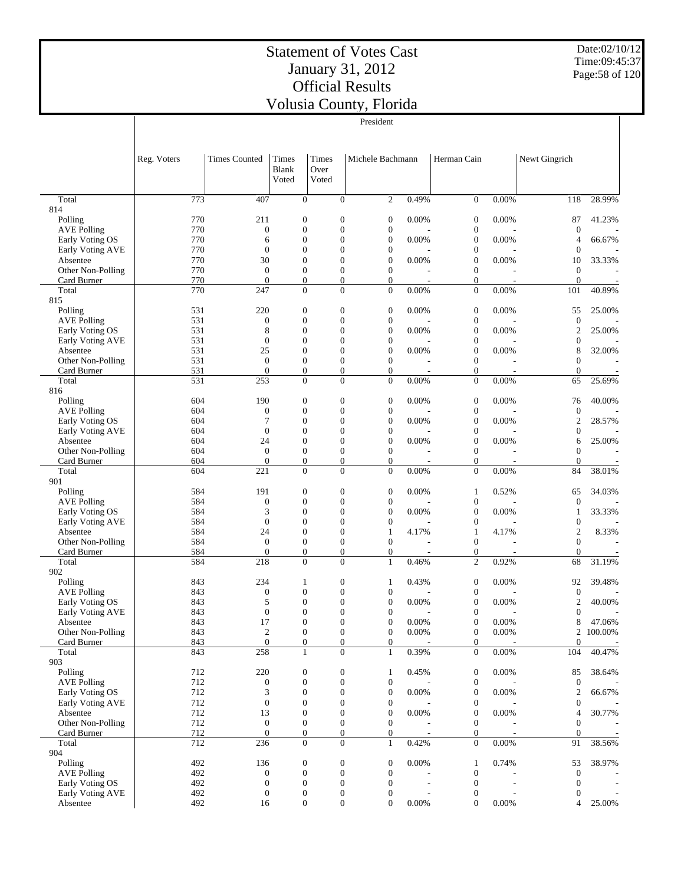Date:02/10/12 Time:09:45:37 Page:58 of 120

|                                  |             |                                  |                                      |                                      | President                            |                |                                      |                   |                                |                          |
|----------------------------------|-------------|----------------------------------|--------------------------------------|--------------------------------------|--------------------------------------|----------------|--------------------------------------|-------------------|--------------------------------|--------------------------|
|                                  |             |                                  |                                      |                                      |                                      |                |                                      |                   |                                |                          |
|                                  |             |                                  |                                      |                                      |                                      |                |                                      |                   |                                |                          |
|                                  | Reg. Voters | <b>Times Counted</b>             | Times                                | Times                                | Michele Bachmann                     |                | Herman Cain                          |                   | Newt Gingrich                  |                          |
|                                  |             |                                  | <b>Blank</b>                         | Over                                 |                                      |                |                                      |                   |                                |                          |
|                                  |             |                                  | Voted                                | Voted                                |                                      |                |                                      |                   |                                |                          |
|                                  |             |                                  |                                      |                                      |                                      |                |                                      |                   |                                |                          |
| Total                            | 773         | 407                              | $\overline{0}$                       | $\overline{0}$                       | $\mathfrak{2}$                       | 0.49%          | $\mathbf{0}$                         | 0.00%             | 118                            | 28.99%                   |
| 814                              |             |                                  |                                      |                                      |                                      |                |                                      |                   |                                |                          |
| Polling<br><b>AVE Polling</b>    | 770<br>770  | 211<br>$\boldsymbol{0}$          | $\boldsymbol{0}$<br>$\mathbf{0}$     | $\boldsymbol{0}$<br>$\overline{0}$   | $\boldsymbol{0}$<br>$\boldsymbol{0}$ | 0.00%          | $\boldsymbol{0}$<br>$\mathbf{0}$     | 0.00%             | 87<br>$\boldsymbol{0}$         | 41.23%                   |
| Early Voting OS                  | 770         | 6                                | $\mathbf{0}$                         | $\mathbf{0}$                         | $\mathbf{0}$                         | 0.00%          | $\mathbf{0}$                         | 0.00%             | $\overline{4}$                 | 66.67%                   |
| Early Voting AVE                 | 770         | $\boldsymbol{0}$                 | $\mathbf{0}$                         | $\theta$                             | $\boldsymbol{0}$                     |                | $\boldsymbol{0}$                     |                   | $\boldsymbol{0}$               |                          |
| Absentee                         | 770         | 30                               | $\boldsymbol{0}$                     | $\overline{0}$                       | $\boldsymbol{0}$                     | 0.00%          | $\boldsymbol{0}$                     | 0.00%             | 10                             | 33.33%                   |
| Other Non-Polling                | 770         | $\mathbf{0}$                     | $\boldsymbol{0}$                     | $\overline{0}$                       | $\boldsymbol{0}$                     |                | $\boldsymbol{0}$                     |                   | $\boldsymbol{0}$               |                          |
| Card Burner                      | 770         | $\mathbf{0}$                     | $\boldsymbol{0}$                     | $\mathbf{0}$                         | $\overline{0}$                       |                | $\boldsymbol{0}$                     |                   | $\boldsymbol{0}$               |                          |
| Total<br>815                     | 770         | 247                              | $\mathbf{0}$                         | $\theta$                             | $\mathbf{0}$                         | 0.00%          | $\mathbf{0}$                         | 0.00%             | 101                            | 40.89%                   |
| Polling                          | 531         | 220                              | $\boldsymbol{0}$                     | $\boldsymbol{0}$                     | $\boldsymbol{0}$                     | 0.00%          | $\mathbf{0}$                         | 0.00%             | 55                             | 25.00%                   |
| <b>AVE Polling</b>               | 531         | $\boldsymbol{0}$                 | $\mathbf{0}$                         | $\boldsymbol{0}$                     | $\boldsymbol{0}$                     |                | $\boldsymbol{0}$                     |                   | $\boldsymbol{0}$               |                          |
| Early Voting OS                  | 531         | 8                                | $\boldsymbol{0}$                     | $\theta$                             | $\boldsymbol{0}$                     | 0.00%          | $\mathbf{0}$                         | 0.00%             | $\overline{2}$                 | 25.00%                   |
| Early Voting AVE                 | 531         | $\boldsymbol{0}$                 | $\mathbf{0}$                         | $\overline{0}$                       | $\boldsymbol{0}$                     |                | $\boldsymbol{0}$                     |                   | $\boldsymbol{0}$               |                          |
| Absentee                         | 531         | 25                               | $\mathbf{0}$                         | $\theta$                             | $\boldsymbol{0}$                     | 0.00%          | $\mathbf{0}$                         | 0.00%             | 8                              | 32.00%                   |
| Other Non-Polling                | 531         | $\mathbf{0}$                     | $\boldsymbol{0}$                     | $\mathbf{0}$                         | $\mathbf{0}$                         |                | $\boldsymbol{0}$                     |                   | $\overline{0}$                 |                          |
| Card Burner                      | 531         | $\boldsymbol{0}$                 | $\boldsymbol{0}$                     | $\overline{0}$                       | $\boldsymbol{0}$                     | Ĭ.             | $\boldsymbol{0}$                     | $\overline{a}$    | $\boldsymbol{0}$               | $\overline{\phantom{a}}$ |
| Total<br>816                     | 531         | 253                              | $\boldsymbol{0}$                     | $\boldsymbol{0}$                     | $\mathbf{0}$                         | 0.00%          | $\mathbf{0}$                         | 0.00%             | 65                             | 25.69%                   |
| Polling                          | 604         | 190                              | $\boldsymbol{0}$                     | $\boldsymbol{0}$                     | $\boldsymbol{0}$                     | 0.00%          | $\mathbf{0}$                         | 0.00%             | 76                             | 40.00%                   |
| <b>AVE Polling</b>               | 604         | $\boldsymbol{0}$                 | $\mathbf{0}$                         | $\overline{0}$                       | $\boldsymbol{0}$                     |                | $\mathbf{0}$                         |                   | $\boldsymbol{0}$               |                          |
| Early Voting OS                  | 604         | $\overline{7}$                   | $\mathbf{0}$                         | $\theta$                             | $\mathbf{0}$                         | 0.00%          | $\boldsymbol{0}$                     | 0.00%             | $\overline{2}$                 | 28.57%                   |
| Early Voting AVE                 | 604         | $\boldsymbol{0}$                 | $\mathbf{0}$                         | $\theta$                             | $\boldsymbol{0}$                     |                | $\mathbf{0}$                         |                   | $\boldsymbol{0}$               |                          |
| Absentee                         | 604         | 24                               | $\boldsymbol{0}$                     | $\overline{0}$                       | $\mathbf{0}$                         | 0.00%          | $\mathbf{0}$                         | 0.00%             | 6                              | 25.00%                   |
| Other Non-Polling                | 604         | $\boldsymbol{0}$                 | $\boldsymbol{0}$                     | $\theta$                             | $\boldsymbol{0}$                     |                | $\boldsymbol{0}$                     |                   | $\boldsymbol{0}$               |                          |
| Card Burner<br>Total             | 604<br>604  | $\overline{0}$<br>221            | $\mathbf{0}$<br>$\mathbf{0}$         | $\mathbf{0}$<br>$\overline{0}$       | $\overline{0}$<br>$\mathbf{0}$       | 0.00%          | $\boldsymbol{0}$<br>$\boldsymbol{0}$ | 0.00%             | $\boldsymbol{0}$<br>84         | 38.01%                   |
| 901                              |             |                                  |                                      |                                      |                                      |                |                                      |                   |                                |                          |
| Polling                          | 584         | 191                              | $\boldsymbol{0}$                     | $\boldsymbol{0}$                     | $\boldsymbol{0}$                     | 0.00%          | $\mathbf{1}$                         | 0.52%             | 65                             | 34.03%                   |
| <b>AVE Polling</b>               | 584         | $\boldsymbol{0}$                 | $\mathbf{0}$                         | $\boldsymbol{0}$                     | $\boldsymbol{0}$                     |                | $\mathbf{0}$                         |                   | $\mathbf{0}$                   |                          |
| Early Voting OS                  | 584         | 3                                | $\mathbf{0}$                         | $\theta$                             | $\boldsymbol{0}$                     | 0.00%          | $\mathbf{0}$                         | 0.00%             | 1                              | 33.33%                   |
| Early Voting AVE                 | 584         | $\boldsymbol{0}$                 | $\boldsymbol{0}$                     | $\overline{0}$                       | $\boldsymbol{0}$                     |                | $\boldsymbol{0}$                     |                   | $\boldsymbol{0}$               |                          |
| Absentee                         | 584         | 24                               | $\mathbf{0}$                         | $\theta$                             | $\mathbf{1}$                         | 4.17%          | $\mathbf{1}$                         | 4.17%             | $\overline{2}$                 | 8.33%                    |
| Other Non-Polling<br>Card Burner | 584<br>584  | $\boldsymbol{0}$<br>$\mathbf{0}$ | $\boldsymbol{0}$<br>$\boldsymbol{0}$ | $\mathbf{0}$<br>$\mathbf{0}$         | $\boldsymbol{0}$<br>$\boldsymbol{0}$ |                | $\boldsymbol{0}$<br>$\boldsymbol{0}$ |                   | $\mathbf{0}$<br>$\mathbf{0}$   |                          |
| Total                            | 584         | 218                              | $\mathbf{0}$                         | $\mathbf{0}$                         | $\mathbf{1}$                         | 0.46%          | 2                                    | 0.92%             | 68                             | 31.19%                   |
| 902                              |             |                                  |                                      |                                      |                                      |                |                                      |                   |                                |                          |
| Polling                          | 843         | 234                              | 1                                    | $\boldsymbol{0}$                     | 1                                    | 0.43%          | $\boldsymbol{0}$                     | 0.00%             | 92                             | 39.48%                   |
| <b>AVE Polling</b>               | 843         | $\mathbf{0}$                     | $\mathbf{0}$                         | $\overline{0}$                       | $\overline{0}$                       |                | $\mathbf{0}$                         |                   | $\boldsymbol{0}$               |                          |
| Early Voting OS                  | 843         | 5                                | $\mathbf{0}$                         | $\overline{0}$                       | $\overline{0}$                       | 0.00%          | $\overline{0}$                       | 0.00%             | $\overline{2}$                 | 40.00%                   |
| Early Voting AVE                 | 843         | $\boldsymbol{0}$                 | $\Omega$                             | $\Omega$                             | $\boldsymbol{0}$                     |                | $\boldsymbol{0}$                     |                   | $\mathbf{0}$                   |                          |
| Absentee<br>Other Non-Polling    | 843<br>843  | 17                               | $\boldsymbol{0}$                     | $\boldsymbol{0}$<br>$\mathbf{0}$     | $\boldsymbol{0}$<br>$\boldsymbol{0}$ | 0.00%<br>0.00% | $\boldsymbol{0}$                     | $0.00\%$<br>0.00% | 8                              | 47.06%<br>2 100.00%      |
| Card Burner                      | 843         | $\overline{c}$<br>$\mathbf{0}$   | $\boldsymbol{0}$<br>$\boldsymbol{0}$ |                                      | $\boldsymbol{0}$<br>$\overline{0}$   |                | $\boldsymbol{0}$<br>$\mathbf{0}$     |                   | $\boldsymbol{0}$               |                          |
| Total                            | 843         | 258                              | $\mathbf{1}$                         |                                      | $\overline{0}$<br>$\mathbf{1}$       | 0.39%          | $\mathbf{0}$                         | 0.00%             | 104                            | 40.47%                   |
| 903                              |             |                                  |                                      |                                      |                                      |                |                                      |                   |                                |                          |
| Polling                          | 712         | 220                              | $\boldsymbol{0}$                     | $\boldsymbol{0}$                     | $\mathbf{1}$                         | 0.45%          | $\boldsymbol{0}$                     | 0.00%             | 85                             | 38.64%                   |
| <b>AVE Polling</b>               | 712         | $\boldsymbol{0}$                 | $\boldsymbol{0}$                     | $\boldsymbol{0}$                     | $\boldsymbol{0}$                     |                | $\boldsymbol{0}$                     |                   | $\boldsymbol{0}$               |                          |
| Early Voting OS                  | 712         | 3                                | $\boldsymbol{0}$                     | $\boldsymbol{0}$                     | $\boldsymbol{0}$                     | 0.00%          | $\mathbf{0}$                         | 0.00%             | $\overline{2}$                 | 66.67%                   |
| Early Voting AVE<br>Absentee     | 712<br>712  | $\boldsymbol{0}$<br>13           | $\boldsymbol{0}$                     | $\boldsymbol{0}$<br>$\mathbf{0}$     | $\boldsymbol{0}$<br>$\boldsymbol{0}$ | 0.00%          | $\boldsymbol{0}$<br>$\boldsymbol{0}$ | 0.00%             | $\boldsymbol{0}$<br>4          | 30.77%                   |
| Other Non-Polling                | 712         | $\mathbf{0}$                     | $\boldsymbol{0}$<br>$\boldsymbol{0}$ | $\mathbf{0}$                         | $\mathbf{0}$                         |                | $\mathbf{0}$                         |                   | $\boldsymbol{0}$               |                          |
| Card Burner                      | 712         | $\mathbf{0}$                     | $\boldsymbol{0}$                     | $\boldsymbol{0}$                     | $\overline{0}$                       |                | $\mathbf{0}$                         |                   | $\boldsymbol{0}$               |                          |
| Total                            | 712         | 236                              | $\mathbf{0}$                         | $\mathbf{0}$                         | $\mathbf{1}$                         | 0.42%          | $\mathbf{0}$                         | 0.00%             | 91                             | 38.56%                   |
| 904                              |             |                                  |                                      |                                      |                                      |                |                                      |                   |                                |                          |
| Polling                          | 492         | 136                              | $\boldsymbol{0}$                     | $\boldsymbol{0}$                     | $\boldsymbol{0}$                     | 0.00%          | 1                                    | 0.74%             | 53                             | 38.97%                   |
| <b>AVE Polling</b>               | 492         | $\boldsymbol{0}$                 | $\boldsymbol{0}$                     | $\mathbf{0}$                         | $\boldsymbol{0}$                     |                | $\mathbf{0}$                         |                   | $\boldsymbol{0}$               |                          |
| Early Voting OS                  | 492         | $\boldsymbol{0}$                 | $\boldsymbol{0}$                     | $\boldsymbol{0}$                     | $\boldsymbol{0}$                     |                | $\boldsymbol{0}$                     |                   | $\overline{0}$                 |                          |
| Early Voting AVE<br>Absentee     | 492<br>492  | $\boldsymbol{0}$<br>16           | $\boldsymbol{0}$<br>$\boldsymbol{0}$ | $\boldsymbol{0}$<br>$\boldsymbol{0}$ | $\boldsymbol{0}$<br>$\mathbf{0}$     | 0.00%          | $\boldsymbol{0}$<br>$\boldsymbol{0}$ | 0.00%             | $\mathbf{0}$<br>$\overline{4}$ | 25.00%                   |
|                                  |             |                                  |                                      |                                      |                                      |                |                                      |                   |                                |                          |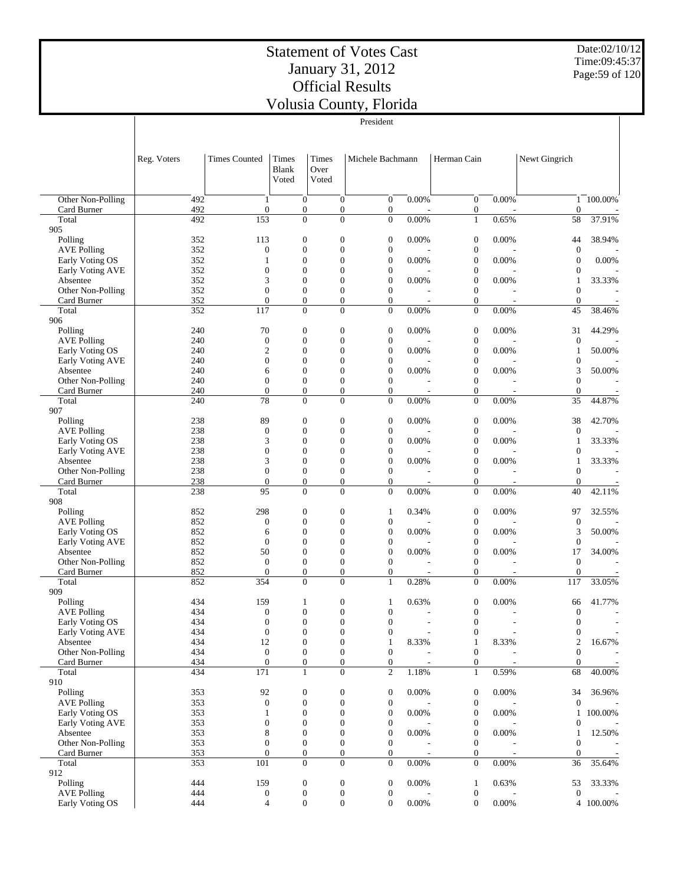Date:02/10/12 Time:09:45:37 Page:59 of 120

|                                  |             |                                |                                      |                                    | President                            |                         |                                      |                                   |                                |           |
|----------------------------------|-------------|--------------------------------|--------------------------------------|------------------------------------|--------------------------------------|-------------------------|--------------------------------------|-----------------------------------|--------------------------------|-----------|
|                                  |             |                                |                                      |                                    |                                      |                         |                                      |                                   |                                |           |
|                                  | Reg. Voters | <b>Times Counted</b>           | Times                                | Times                              | Michele Bachmann                     |                         | Herman Cain                          |                                   | Newt Gingrich                  |           |
|                                  |             |                                | Blank<br>Voted                       | Over<br>Voted                      |                                      |                         |                                      |                                   |                                |           |
|                                  |             |                                |                                      |                                    |                                      |                         |                                      |                                   |                                |           |
| Other Non-Polling<br>Card Burner | 492<br>492  | 1<br>$\boldsymbol{0}$          | $\mathbf{0}$<br>$\boldsymbol{0}$     | $\overline{0}$<br>$\boldsymbol{0}$ | $\boldsymbol{0}$<br>$\overline{0}$   | 0.00%                   | $\boldsymbol{0}$<br>$\boldsymbol{0}$ | 0.00%                             | $\mathbf{1}$<br>$\overline{0}$ | 100.00%   |
| Total                            | 492         | 153                            | $\overline{0}$                       | $\Omega$                           | $\overline{0}$                       | 0.00%                   | $\mathbf{1}$                         | 0.65%                             | 58                             | 37.91%    |
| 905                              |             |                                |                                      |                                    |                                      |                         |                                      |                                   |                                |           |
| Polling                          | 352         | 113                            | $\boldsymbol{0}$                     | $\boldsymbol{0}$                   | $\boldsymbol{0}$                     | 0.00%                   | $\boldsymbol{0}$                     | 0.00%                             | 44                             | 38.94%    |
| <b>AVE Polling</b>               | 352         | $\boldsymbol{0}$               | $\boldsymbol{0}$                     | $\theta$                           | 0                                    |                         | $\boldsymbol{0}$                     |                                   | $\mathbf{0}$                   |           |
| Early Voting OS                  | 352         | 1                              | $\mathbf{0}$                         | $\theta$                           | $\overline{0}$                       | 0.00%                   | $\mathbf{0}$                         | 0.00%                             | $\theta$                       | 0.00%     |
| Early Voting AVE<br>Absentee     | 352<br>352  | $\mathbf{0}$<br>3              | $\boldsymbol{0}$<br>$\mathbf{0}$     | $\theta$<br>$\theta$               | 0<br>$\overline{0}$                  | 0.00%                   | $\boldsymbol{0}$<br>$\mathbf{0}$     | 0.00%                             | $\theta$                       | 33.33%    |
| Other Non-Polling                | 352         | $\overline{0}$                 | $\boldsymbol{0}$                     | $\theta$                           | 0                                    |                         | $\boldsymbol{0}$                     |                                   | 1<br>$\theta$                  |           |
| Card Burner                      | 352         | $\boldsymbol{0}$               | $\mathbf{0}$                         | $\boldsymbol{0}$                   | $\overline{0}$                       |                         | $\mathbf{0}$                         |                                   | $\boldsymbol{0}$               |           |
| Total                            | 352         | 117                            | $\mathbf{0}$                         | $\mathbf{0}$                       | $\mathbf{0}$                         | 0.00%                   | $\boldsymbol{0}$                     | 0.00%                             | 45                             | 38.46%    |
| 906                              |             |                                |                                      |                                    |                                      |                         |                                      |                                   |                                |           |
| Polling                          | 240         | 70                             | $\boldsymbol{0}$                     | $\boldsymbol{0}$                   | 0                                    | 0.00%                   | $\boldsymbol{0}$                     | 0.00%                             | 31                             | 44.29%    |
| <b>AVE Polling</b>               | 240         | $\boldsymbol{0}$               | $\boldsymbol{0}$                     | $\theta$                           | $\boldsymbol{0}$                     |                         | $\boldsymbol{0}$                     |                                   | $\boldsymbol{0}$               |           |
| Early Voting OS                  | 240         | $\mathfrak{2}$                 | $\boldsymbol{0}$                     | $\theta$                           | $\boldsymbol{0}$                     | 0.00%                   | $\boldsymbol{0}$                     | 0.00%                             | $\mathbf{1}$                   | 50.00%    |
| Early Voting AVE                 | 240         | $\mathbf{0}$                   | $\mathbf{0}$                         | $\overline{0}$                     | 0                                    |                         | $\boldsymbol{0}$                     |                                   | $\boldsymbol{0}$               |           |
| Absentee<br>Other Non-Polling    | 240<br>240  | 6<br>$\overline{0}$            | $\boldsymbol{0}$<br>$\boldsymbol{0}$ | $\theta$<br>$\theta$               | $\boldsymbol{0}$<br>$\boldsymbol{0}$ | 0.00%                   | $\boldsymbol{0}$<br>$\boldsymbol{0}$ | 0.00%                             | 3<br>$\theta$                  | 50.00%    |
| Card Burner                      | 240         | $\boldsymbol{0}$               | $\boldsymbol{0}$                     | $\mathbf{0}$                       | $\overline{0}$                       |                         | $\boldsymbol{0}$                     |                                   | $\boldsymbol{0}$               |           |
| Total                            | 240         | 78                             | $\overline{0}$                       | $\mathbf{0}$                       | $\overline{0}$                       | 0.00%                   | $\boldsymbol{0}$                     | 0.00%                             | 35                             | 44.87%    |
| 907                              |             |                                |                                      |                                    |                                      |                         |                                      |                                   |                                |           |
| Polling                          | 238         | 89                             | $\boldsymbol{0}$                     | $\boldsymbol{0}$                   | $\boldsymbol{0}$                     | 0.00%                   | $\boldsymbol{0}$                     | 0.00%                             | 38                             | 42.70%    |
| <b>AVE Polling</b>               | 238         | $\mathbf{0}$                   | $\boldsymbol{0}$                     | $\boldsymbol{0}$                   | 0                                    |                         | $\boldsymbol{0}$                     |                                   | $\theta$                       |           |
| Early Voting OS                  | 238         | 3                              | $\mathbf{0}$                         | $\overline{0}$                     | $\overline{0}$                       | 0.00%                   | $\mathbf{0}$                         | 0.00%                             | 1                              | 33.33%    |
| Early Voting AVE                 | 238         | $\mathbf{0}$                   | $\boldsymbol{0}$                     | $\theta$                           | 0                                    |                         | $\boldsymbol{0}$                     |                                   | $\theta$                       |           |
| Absentee                         | 238         | 3                              | $\mathbf{0}$                         | $\overline{0}$                     | $\overline{0}$                       | 0.00%                   | $\mathbf{0}$                         | 0.00%                             | $\mathbf{1}$                   | 33.33%    |
| Other Non-Polling<br>Card Burner | 238<br>238  | $\overline{0}$<br>$\mathbf{0}$ | $\boldsymbol{0}$<br>$\mathbf{0}$     | $\theta$<br>$\boldsymbol{0}$       | $\boldsymbol{0}$<br>$\overline{0}$   |                         | $\boldsymbol{0}$<br>$\mathbf{0}$     |                                   | $\theta$<br>$\theta$           |           |
| Total                            | 238         | 95                             | $\mathbf{0}$                         | $\mathbf{0}$                       | $\mathbf{0}$                         | 0.00%                   | $\boldsymbol{0}$                     | 0.00%                             | 40                             | 42.11%    |
| 908                              |             |                                |                                      |                                    |                                      |                         |                                      |                                   |                                |           |
| Polling                          | 852         | 298                            | $\boldsymbol{0}$                     | $\boldsymbol{0}$                   | 1                                    | 0.34%                   | $\boldsymbol{0}$                     | 0.00%                             | 97                             | 32.55%    |
| <b>AVE Polling</b>               | 852         | $\boldsymbol{0}$               | $\boldsymbol{0}$                     | $\theta$                           | $\boldsymbol{0}$                     |                         | $\boldsymbol{0}$                     |                                   | $\boldsymbol{0}$               |           |
| Early Voting OS                  | 852         | 6                              | $\boldsymbol{0}$                     | $\theta$                           | 0                                    | 0.00%                   | $\boldsymbol{0}$                     | 0.00%                             | 3                              | 50.00%    |
| Early Voting AVE                 | 852         | $\overline{0}$                 | $\mathbf{0}$                         | $\overline{0}$                     | $\boldsymbol{0}$                     |                         | $\mathbf{0}$                         |                                   | $\boldsymbol{0}$               |           |
| Absentee                         | 852         | 50                             | $\boldsymbol{0}$                     | $\theta$                           | $\boldsymbol{0}$                     | 0.00%                   | $\boldsymbol{0}$                     | 0.00%                             | 17                             | 34.00%    |
| Other Non-Polling                | 852<br>852  | $\mathbf{0}$<br>$\overline{0}$ | $\boldsymbol{0}$<br>$\mathbf{0}$     | $\theta$<br>$\mathbf{0}$           | $\boldsymbol{0}$<br>$\overline{0}$   |                         | $\boldsymbol{0}$<br>$\mathbf{0}$     |                                   | $\boldsymbol{0}$               |           |
| Card Burner<br>Total             | 852         | 354                            | $\mathbf{0}$                         | $\Omega$                           | 1                                    | 0.28%                   | $\mathbf{0}$                         | 0.00%                             | $\boldsymbol{0}$<br>117        | 33.05%    |
| 909                              |             |                                |                                      |                                    |                                      |                         |                                      |                                   |                                |           |
| Polling                          | 434         | 159                            | $\mathbf{1}$                         | $\boldsymbol{0}$                   | $\mathbf{1}$                         | 0.63%                   | $\boldsymbol{0}$                     | 0.00%                             | 66                             | 41.77%    |
| <b>AVE Polling</b>               | 434         | $\overline{0}$                 | $\mathbf{0}$                         | $\theta$                           | $\overline{0}$                       |                         | $\mathbf{0}$                         |                                   | $\theta$                       |           |
| Early Voting OS                  | 434         | $\boldsymbol{0}$               | 0                                    | $\boldsymbol{0}$                   | $\boldsymbol{0}$                     |                         | $\boldsymbol{0}$                     |                                   | $\boldsymbol{0}$               |           |
| Early Voting AVE                 | 434         | $\boldsymbol{0}$               | $\boldsymbol{0}$                     | $\boldsymbol{0}$                   | $\boldsymbol{0}$                     |                         | $\boldsymbol{0}$                     |                                   | $\boldsymbol{0}$               |           |
| Absentee                         | 434         | 12                             | $\boldsymbol{0}$                     | $\boldsymbol{0}$                   | $\mathbf{1}$                         | 8.33%                   | $\mathbf{1}$                         | 8.33%                             | $\boldsymbol{2}$               | 16.67%    |
| Other Non-Polling                | 434         | $\boldsymbol{0}$               | $\boldsymbol{0}$                     | $\mathbf{0}$                       | $\boldsymbol{0}$                     |                         | $\boldsymbol{0}$                     |                                   | $\mathbf{0}$                   |           |
| Card Burner<br>Total             | 434<br>434  | $\boldsymbol{0}$<br>171        | $\boldsymbol{0}$<br>$\mathbf{1}$     | $\mathbf{0}$<br>$\mathbf{0}$       | $\mathbf{0}$<br>$\overline{c}$       | $\overline{a}$<br>1.18% | $\boldsymbol{0}$<br>$\mathbf{1}$     | $\overline{\phantom{a}}$<br>0.59% | $\overline{0}$<br>68           | 40.00%    |
| 910                              |             |                                |                                      |                                    |                                      |                         |                                      |                                   |                                |           |
| Polling                          | 353         | 92                             | $\boldsymbol{0}$                     | $\boldsymbol{0}$                   | $\boldsymbol{0}$                     | 0.00%                   | $\boldsymbol{0}$                     | 0.00%                             | 34                             | 36.96%    |
| <b>AVE Polling</b>               | 353         | $\boldsymbol{0}$               | $\boldsymbol{0}$                     | $\boldsymbol{0}$                   | $\boldsymbol{0}$                     |                         | $\boldsymbol{0}$                     |                                   | $\overline{0}$                 |           |
| Early Voting OS                  | 353         | 1                              | $\boldsymbol{0}$                     | $\mathbf{0}$                       | 0                                    | 0.00%                   | $\boldsymbol{0}$                     | 0.00%                             | $\mathbf{1}$                   | 100.00%   |
| Early Voting AVE                 | 353         | $\boldsymbol{0}$               | $\boldsymbol{0}$                     | $\boldsymbol{0}$                   | 0                                    |                         | $\boldsymbol{0}$                     |                                   | $\boldsymbol{0}$               |           |
| Absentee                         | 353         | 8                              | $\boldsymbol{0}$                     | $\boldsymbol{0}$                   | $\boldsymbol{0}$                     | 0.00%                   | $\boldsymbol{0}$                     | 0.00%                             | $\mathbf{1}$                   | 12.50%    |
| Other Non-Polling                | 353         | $\boldsymbol{0}$               | $\boldsymbol{0}$                     | $\boldsymbol{0}$                   | $\boldsymbol{0}$                     |                         | $\boldsymbol{0}$                     |                                   | $\mathbf{0}$                   |           |
| Card Burner                      | 353         | $\boldsymbol{0}$               | $\boldsymbol{0}$                     | $\boldsymbol{0}$                   | $\mathbf{0}$                         |                         | $\boldsymbol{0}$                     |                                   | $\overline{0}$                 |           |
| Total<br>912                     | 353         | 101                            | $\boldsymbol{0}$                     | $\mathbf{0}$                       | $\overline{0}$                       | 0.00%                   | $\boldsymbol{0}$                     | 0.00%                             | 36                             | 35.64%    |
| Polling                          | 444         | 159                            | $\boldsymbol{0}$                     | $\boldsymbol{0}$                   | $\boldsymbol{0}$                     | 0.00%                   | $\mathbf{1}$                         | 0.63%                             | 53                             | 33.33%    |
| <b>AVE Polling</b>               | 444         | $\boldsymbol{0}$               | $\boldsymbol{0}$                     | $\boldsymbol{0}$                   | $\boldsymbol{0}$                     |                         | $\boldsymbol{0}$                     |                                   | $\mathbf{0}$                   |           |
| Early Voting OS                  | 444         | 4                              | $\boldsymbol{0}$                     | $\boldsymbol{0}$                   | $\boldsymbol{0}$                     | 0.00%                   | $\boldsymbol{0}$                     | 0.00%                             |                                | 4 100.00% |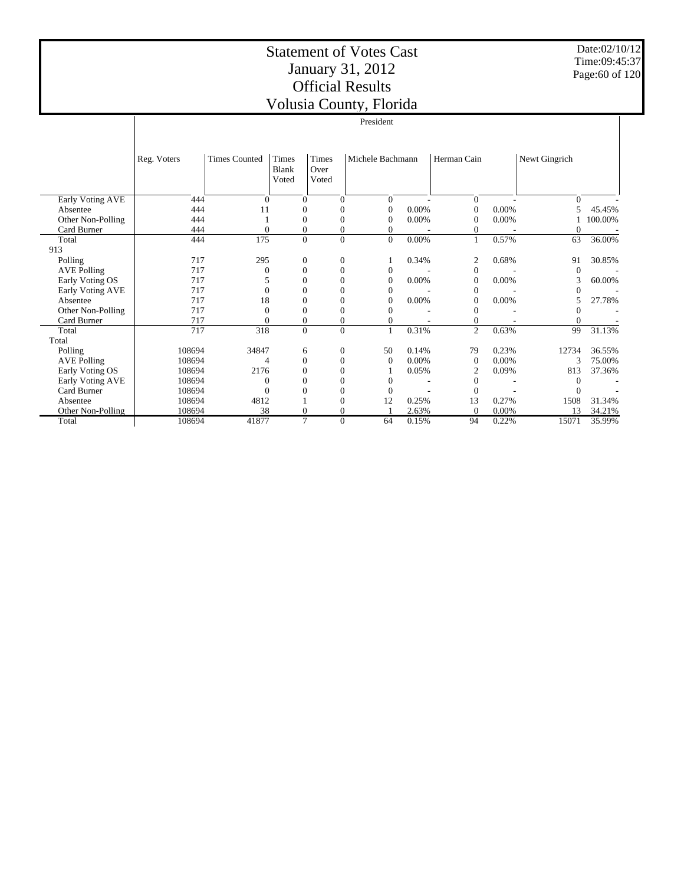# Statement of Votes Cast January 31, 2012 Official Results

Date:02/10/12 Time:09:45:37 Page:60 of 120

|                    |             |                      |                         |                               | Volusia County, Florida |       |                  |          |                |         |
|--------------------|-------------|----------------------|-------------------------|-------------------------------|-------------------------|-------|------------------|----------|----------------|---------|
|                    |             |                      |                         |                               | President               |       |                  |          |                |         |
|                    | Reg. Voters | <b>Times Counted</b> | Times<br>Blank<br>Voted | <b>Times</b><br>Over<br>Voted | Michele Bachmann        |       | Herman Cain      |          | Newt Gingrich  |         |
| Early Voting AVE   | 444         | $\Omega$             | $\mathbf{0}$            | $\Omega$                      | $\overline{0}$          |       | $\mathbf{0}$     |          | $\overline{0}$ |         |
| Absentee           | 444         | 11                   | $\mathbf{0}$            | $\theta$                      | $\overline{0}$          | 0.00% | $\boldsymbol{0}$ | $0.00\%$ | 5              | 45.45%  |
| Other Non-Polling  | 444         |                      | $\boldsymbol{0}$        | $\theta$                      | $\overline{0}$          | 0.00% | $\boldsymbol{0}$ | 0.00%    |                | 100.00% |
| Card Burner        | 444         | $\mathbf{0}$         | $\boldsymbol{0}$        | $\overline{0}$                | $\theta$                |       | $\mathbf{0}$     |          | 0              |         |
| Total              | 444         | 175                  | $\overline{0}$          | $\Omega$                      | $\Omega$                | 0.00% | $\mathbf{1}$     | 0.57%    | 63             | 36.00%  |
| 913                |             |                      |                         |                               |                         |       |                  |          |                |         |
| Polling            | 717         | 295                  | $\mathbf{0}$            | $\overline{0}$                |                         | 0.34% | $\mathfrak{2}$   | 0.68%    | 91             | 30.85%  |
| <b>AVE Polling</b> | 717         | 0                    | $\boldsymbol{0}$        | $\Omega$                      | $\theta$                |       | $\mathbf{0}$     |          | $\Omega$       |         |
| Early Voting OS    | 717         | 5                    | $\mathbf{0}$            | $\theta$                      | $\overline{0}$          | 0.00% | $\boldsymbol{0}$ | 0.00%    | 3              | 60.00%  |
| Early Voting AVE   | 717         | $\theta$             | $\mathbf{0}$            | $\theta$                      | $\theta$                |       | $\theta$         |          |                |         |
| Absentee           | 717         | 18                   | $\mathbf{0}$            | $\theta$                      | $\Omega$                | 0.00% | $\mathbf{0}$     | 0.00%    | 5              | 27.78%  |
| Other Non-Polling  | 717         | $\Omega$             | $\mathbf{0}$            | $\theta$                      | $\Omega$                |       | $\theta$         |          | $\Omega$       |         |
| Card Burner        | 717         | $\Omega$             | $\boldsymbol{0}$        | $\boldsymbol{0}$              | $\overline{0}$          |       | $\boldsymbol{0}$ |          | $\Omega$       |         |
| Total              | 717         | 318                  | $\Omega$                | $\Omega$                      | 1                       | 0.31% | $\overline{2}$   | 0.63%    | 99             | 31.13%  |
| Total              |             |                      |                         |                               |                         |       |                  |          |                |         |
| Polling            | 108694      | 34847                | 6                       | 0                             | 50                      | 0.14% | 79               | 0.23%    | 12734          | 36.55%  |
| <b>AVE Polling</b> | 108694      | 4                    | $\theta$                | $\overline{0}$                | $\mathbf{0}$            | 0.00% | $\overline{0}$   | $0.00\%$ | 3              | 75.00%  |
| Early Voting OS    | 108694      | 2176                 | $\mathbf{0}$            | $\Omega$                      |                         | 0.05% | $\overline{2}$   | 0.09%    | 813            | 37.36%  |
| Early Voting AVE   | 108694      | $\Omega$             | $\Omega$                | $\theta$                      | $\overline{0}$          |       | $\mathbf{0}$     |          | $\Omega$       |         |
| Card Burner        | 108694      | $\mathbf{0}$         | $\mathbf{0}$            | $\overline{0}$                | $\overline{0}$          |       | $\mathbf{0}$     |          | $\Omega$       |         |
| Absentee           | 108694      | 4812                 |                         | $\theta$                      | 12                      | 0.25% | 13               | 0.27%    | 1508           | 31.34%  |
| Other Non-Polling  | 108694      | 38                   | $\mathbf{0}$            | $\Omega$                      |                         | 2.63% | $\Omega$         | 0.00%    | 13             | 34.21%  |
| Total              | 108694      | 41877                | 7                       | $\overline{0}$                | 64                      | 0.15% | 94               | 0.22%    | 15071          | 35.99%  |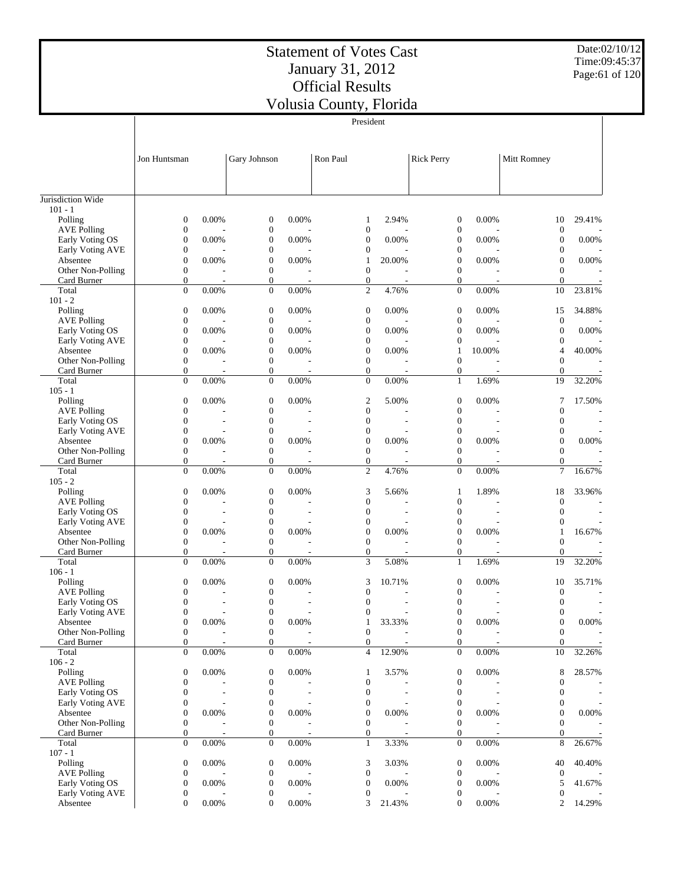Date:02/10/12 Time:09:45:37 Page:61 of 120

|                                       |                                      |                          |                                      |                          | President                        |                          |                                      |                          |                                  |                          |
|---------------------------------------|--------------------------------------|--------------------------|--------------------------------------|--------------------------|----------------------------------|--------------------------|--------------------------------------|--------------------------|----------------------------------|--------------------------|
|                                       | Jon Huntsman                         |                          | Gary Johnson                         |                          | Ron Paul                         |                          | <b>Rick Perry</b>                    |                          | Mitt Romney                      |                          |
|                                       |                                      |                          |                                      |                          |                                  |                          |                                      |                          |                                  |                          |
| Jurisdiction Wide                     |                                      |                          |                                      |                          |                                  |                          |                                      |                          |                                  |                          |
| $101 - 1$<br>Polling                  | $\boldsymbol{0}$                     | 0.00%                    | $\mathbf{0}$                         | 0.00%                    | 1                                | 2.94%                    | $\boldsymbol{0}$                     | 0.00%                    | 10                               | 29.41%                   |
| <b>AVE Polling</b>                    | $\boldsymbol{0}$                     |                          | $\boldsymbol{0}$                     |                          | $\mathbf{0}$                     |                          | $\boldsymbol{0}$                     |                          | $\boldsymbol{0}$                 |                          |
| Early Voting OS                       | $\boldsymbol{0}$                     | 0.00%                    | $\mathbf{0}$                         | 0.00%                    | $\mathbf{0}$                     | 0.00%                    | $\mathbf{0}$                         | 0.00%                    | $\mathbf{0}$                     | 0.00%                    |
| Early Voting AVE                      | $\boldsymbol{0}$                     |                          | $\boldsymbol{0}$                     |                          | $\boldsymbol{0}$                 |                          | $\boldsymbol{0}$                     |                          | $\mathbf{0}$                     |                          |
| Absentee                              | $\boldsymbol{0}$                     | 0.00%                    | $\boldsymbol{0}$                     | 0.00%                    | 1                                | 20.00%                   | $\overline{0}$                       | 0.00%                    | $\mathbf{0}$                     | 0.00%                    |
| Other Non-Polling<br>Card Burner      | $\boldsymbol{0}$<br>$\boldsymbol{0}$ | $\overline{a}$           | $\mathbf{0}$<br>$\mathbf{0}$         | $\overline{a}$           | $\mathbf{0}$<br>$\mathbf{0}$     | ٠                        | $\mathbf{0}$<br>$\mathbf{0}$         |                          | $\mathbf{0}$<br>$\theta$         |                          |
| Total                                 | $\overline{0}$                       | 0.00%                    | $\mathbf{0}$                         | 0.00%                    | $\overline{c}$                   | 4.76%                    | $\mathbf{0}$                         | 0.00%                    | 10                               | 23.81%                   |
| $101 - 2$                             |                                      |                          |                                      |                          |                                  |                          |                                      |                          |                                  |                          |
| Polling                               | $\boldsymbol{0}$                     | 0.00%                    | $\mathbf{0}$                         | 0.00%                    | $\boldsymbol{0}$                 | 0.00%                    | $\boldsymbol{0}$                     | 0.00%                    | 15                               | 34.88%                   |
| <b>AVE Polling</b>                    | $\boldsymbol{0}$                     |                          | $\mathbf{0}$                         |                          | $\mathbf{0}$                     |                          | $\mathbf{0}$                         |                          | $\boldsymbol{0}$                 |                          |
| Early Voting OS                       | $\boldsymbol{0}$                     | 0.00%                    | $\boldsymbol{0}$                     | 0.00%                    | $\mathbf{0}$                     | 0.00%                    | $\boldsymbol{0}$                     | 0.00%                    | $\boldsymbol{0}$                 | 0.00%                    |
| Early Voting AVE<br>Absentee          | $\boldsymbol{0}$<br>$\boldsymbol{0}$ | 0.00%                    | $\boldsymbol{0}$<br>$\boldsymbol{0}$ | 0.00%                    | $\mathbf{0}$<br>$\mathbf{0}$     | 0.00%                    | $\boldsymbol{0}$<br>$\mathbf{1}$     | 10.00%                   | $\theta$<br>4                    | 40.00%                   |
| Other Non-Polling                     | $\boldsymbol{0}$                     |                          | $\mathbf{0}$                         |                          | $\mathbf{0}$                     |                          | $\mathbf{0}$                         |                          | $\theta$                         |                          |
| Card Burner                           | $\boldsymbol{0}$                     | $\overline{a}$           | $\boldsymbol{0}$                     | $\overline{a}$           | $\mathbf{0}$                     |                          | $\mathbf{0}$                         |                          | $\theta$                         |                          |
| Total                                 | $\overline{0}$                       | 0.00%                    | $\boldsymbol{0}$                     | 0.00%                    | $\mathbf{0}$                     | 0.00%                    | $\mathbf{1}$                         | 1.69%                    | 19                               | 32.20%                   |
| $105 - 1$                             |                                      |                          |                                      |                          |                                  |                          |                                      |                          |                                  |                          |
| Polling                               | $\boldsymbol{0}$                     | 0.00%                    | $\mathbf{0}$                         | 0.00%                    | $\overline{2}$                   | 5.00%                    | $\mathbf{0}$                         | 0.00%                    | 7                                | 17.50%                   |
| <b>AVE Polling</b><br>Early Voting OS | $\boldsymbol{0}$<br>$\boldsymbol{0}$ | ÷                        | $\boldsymbol{0}$<br>$\boldsymbol{0}$ | $\overline{\phantom{a}}$ | $\boldsymbol{0}$<br>$\mathbf{0}$ |                          | $\boldsymbol{0}$<br>$\mathbf{0}$     |                          | $\theta$<br>$\overline{0}$       | $\overline{\phantom{a}}$ |
| Early Voting AVE                      | $\boldsymbol{0}$                     |                          | $\boldsymbol{0}$                     |                          | $\boldsymbol{0}$                 |                          | $\boldsymbol{0}$                     |                          | $\boldsymbol{0}$                 |                          |
| Absentee                              | $\boldsymbol{0}$                     | 0.00%                    | $\overline{0}$                       | 0.00%                    | $\overline{0}$                   | 0.00%                    | $\overline{0}$                       | 0.00%                    | $\overline{0}$                   | 0.00%                    |
| Other Non-Polling                     | $\boldsymbol{0}$                     |                          | $\boldsymbol{0}$                     |                          | $\mathbf{0}$                     |                          | $\mathbf{0}$                         |                          | $\mathbf{0}$                     |                          |
| Card Burner                           | $\boldsymbol{0}$                     | $\overline{a}$           | $\mathbf{0}$                         | $\overline{a}$           | $\mathbf{0}$                     | ٠                        | $\mathbf{0}$                         | $\overline{\phantom{a}}$ | $\overline{0}$                   |                          |
| Total<br>$105 - 2$                    | $\boldsymbol{0}$                     | 0.00%                    | $\boldsymbol{0}$                     | 0.00%                    | $\mathfrak{2}$                   | 4.76%                    | $\mathbf{0}$                         | 0.00%                    | $\tau$                           | 16.67%                   |
| Polling                               | $\boldsymbol{0}$                     | 0.00%                    | $\mathbf{0}$                         | 0.00%                    | 3                                | 5.66%                    | $\mathbf{1}$                         | 1.89%                    | 18                               | 33.96%                   |
| <b>AVE Polling</b>                    | $\boldsymbol{0}$                     |                          | $\boldsymbol{0}$                     |                          | 0                                |                          | $\mathbf{0}$                         |                          | $\overline{0}$                   |                          |
| Early Voting OS                       | $\boldsymbol{0}$                     |                          | $\boldsymbol{0}$                     |                          | $\mathbf{0}$                     |                          | $\mathbf{0}$                         |                          | $\overline{0}$                   |                          |
| Early Voting AVE                      | $\boldsymbol{0}$                     |                          | $\mathbf{0}$                         |                          | $\mathbf{0}$                     |                          | $\overline{0}$                       |                          | $\mathbf{0}$                     |                          |
| Absentee                              | $\boldsymbol{0}$                     | 0.00%                    | $\boldsymbol{0}$                     | 0.00%                    | $\boldsymbol{0}$<br>$\mathbf{0}$ | 0.00%                    | $\boldsymbol{0}$<br>$\overline{0}$   | 0.00%                    | 1<br>$\mathbf{0}$                | 16.67%                   |
| Other Non-Polling<br>Card Burner      | $\boldsymbol{0}$<br>$\boldsymbol{0}$ | $\overline{a}$           | $\mathbf{0}$<br>$\boldsymbol{0}$     |                          | $\mathbf{0}$                     |                          | $\mathbf{0}$                         |                          | $\theta$                         |                          |
| Total                                 | $\overline{0}$                       | 0.00%                    | $\boldsymbol{0}$                     | 0.00%                    | 3                                | 5.08%                    | $\mathbf{1}$                         | 1.69%                    | 19                               | 32.20%                   |
| $106 - 1$                             |                                      |                          |                                      |                          |                                  |                          |                                      |                          |                                  |                          |
| Polling                               | $\boldsymbol{0}$                     | 0.00%                    | $\mathbf{0}$                         | 0.00%                    | 3                                | 10.71%                   | $\boldsymbol{0}$                     | 0.00%                    | 10                               | 35.71%                   |
| <b>AVE Polling</b>                    | $\boldsymbol{0}$                     |                          | $\boldsymbol{0}$                     |                          | $\mathbf{0}$                     |                          | $\boldsymbol{0}$                     |                          | $\boldsymbol{0}$                 |                          |
| Early Voting OS<br>Early Voting AVE   | $\boldsymbol{0}$<br>$\boldsymbol{0}$ | ÷                        | $\mathbf{0}$<br>$\boldsymbol{0}$     | $\overline{\phantom{a}}$ | $\mathbf{0}$<br>$\boldsymbol{0}$ |                          | $\mathbf{0}$<br>$\boldsymbol{0}$     | ÷                        | $\mathbf{0}$<br>$\boldsymbol{0}$ | $\overline{\phantom{a}}$ |
| Absentee                              | $\boldsymbol{0}$                     | 0.00%                    | $\boldsymbol{0}$                     | 0.00%                    | 1                                | 33.33%                   | $\boldsymbol{0}$                     | 0.00%                    | $\boldsymbol{0}$                 | $0.00\%$                 |
| Other Non-Polling                     | $\boldsymbol{0}$                     |                          | $\mathbf{0}$                         |                          | $\boldsymbol{0}$                 |                          | $\boldsymbol{0}$                     |                          | $\boldsymbol{0}$                 |                          |
| Card Burner                           | $\boldsymbol{0}$                     | $\overline{\phantom{a}}$ | $\boldsymbol{0}$                     | $\overline{a}$           | $\boldsymbol{0}$                 | $\overline{\phantom{a}}$ | $\mathbf{0}$                         | $\overline{\phantom{a}}$ | $\theta$                         |                          |
| Total                                 | $\boldsymbol{0}$                     | 0.00%                    | $\boldsymbol{0}$                     | $0.00\%$                 | $\overline{4}$                   | 12.90%                   | $\boldsymbol{0}$                     | 0.00%                    | 10                               | 32.26%                   |
| $106 - 2$                             |                                      |                          |                                      |                          |                                  |                          |                                      |                          |                                  |                          |
| Polling<br><b>AVE Polling</b>         | $\boldsymbol{0}$<br>$\boldsymbol{0}$ | 0.00%                    | $\boldsymbol{0}$<br>$\mathbf{0}$     | 0.00%                    | 1<br>$\boldsymbol{0}$            | 3.57%                    | $\boldsymbol{0}$<br>$\boldsymbol{0}$ | 0.00%                    | 8<br>$\boldsymbol{0}$            | 28.57%                   |
| Early Voting OS                       | $\boldsymbol{0}$                     |                          | $\boldsymbol{0}$                     |                          | $\boldsymbol{0}$                 |                          | $\boldsymbol{0}$                     |                          | $\boldsymbol{0}$                 |                          |
| Early Voting AVE                      | $\boldsymbol{0}$                     |                          | $\mathbf{0}$                         |                          | $\boldsymbol{0}$                 |                          | $\boldsymbol{0}$                     |                          | $\boldsymbol{0}$                 |                          |
| Absentee                              | $\boldsymbol{0}$                     | 0.00%                    | $\boldsymbol{0}$                     | 0.00%                    | $\boldsymbol{0}$                 | 0.00%                    | $\boldsymbol{0}$                     | 0.00%                    | $\boldsymbol{0}$                 | 0.00%                    |
| Other Non-Polling                     | $\boldsymbol{0}$                     |                          | $\boldsymbol{0}$                     |                          | $\boldsymbol{0}$                 |                          | $\boldsymbol{0}$                     |                          | $\overline{0}$                   |                          |
| Card Burner                           | $\boldsymbol{0}$                     |                          | $\boldsymbol{0}$                     |                          | $\boldsymbol{0}$                 |                          | $\boldsymbol{0}$                     |                          | $\boldsymbol{0}$                 |                          |
| Total<br>$107 - 1$                    | $\boldsymbol{0}$                     | 0.00%                    | $\mathbf{0}$                         | $0.00\%$                 | $\mathbf{1}$                     | 3.33%                    | $\overline{0}$                       | 0.00%                    | 8                                | 26.67%                   |
| Polling                               | $\boldsymbol{0}$                     | 0.00%                    | $\boldsymbol{0}$                     | 0.00%                    | 3                                | 3.03%                    | $\boldsymbol{0}$                     | 0.00%                    | 40                               | 40.40%                   |
| <b>AVE Polling</b>                    | $\boldsymbol{0}$                     |                          | $\boldsymbol{0}$                     |                          | $\boldsymbol{0}$                 |                          | $\boldsymbol{0}$                     |                          | $\mathbf{0}$                     |                          |
| Early Voting OS                       | $\boldsymbol{0}$                     | 0.00%                    | $\boldsymbol{0}$                     | 0.00%                    | $\boldsymbol{0}$                 | 0.00%                    | $\boldsymbol{0}$                     | 0.00%                    | 5                                | 41.67%                   |
| Early Voting AVE                      | $\boldsymbol{0}$                     |                          | $\boldsymbol{0}$                     |                          | $\boldsymbol{0}$                 |                          | $\boldsymbol{0}$                     |                          | $\boldsymbol{0}$                 |                          |
| Absentee                              | $\boldsymbol{0}$                     | 0.00%                    | $\boldsymbol{0}$                     | $0.00\%$                 | 3                                | 21.43%                   | $\overline{0}$                       | 0.00%                    | 2                                | 14.29%                   |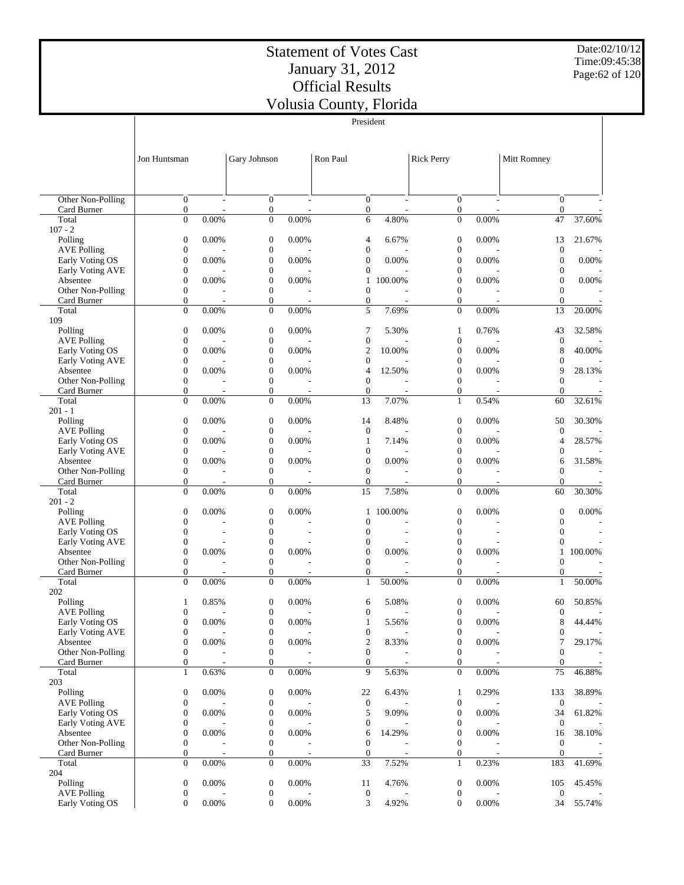President

Date:02/10/12 Time:09:45:38 Page:62 of 120

|                                       |                                  |                |                                      |                          | President                    |                          |                                      |                          |                                  |         |
|---------------------------------------|----------------------------------|----------------|--------------------------------------|--------------------------|------------------------------|--------------------------|--------------------------------------|--------------------------|----------------------------------|---------|
|                                       |                                  |                |                                      |                          |                              |                          |                                      |                          |                                  |         |
|                                       |                                  |                |                                      |                          |                              |                          |                                      |                          |                                  |         |
|                                       | Jon Huntsman                     |                | Gary Johnson                         |                          | Ron Paul                     |                          | <b>Rick Perry</b>                    |                          | Mitt Romney                      |         |
|                                       |                                  |                |                                      |                          |                              |                          |                                      |                          |                                  |         |
|                                       |                                  |                |                                      |                          |                              |                          |                                      |                          |                                  |         |
| Other Non-Polling                     | $\overline{0}$                   | $\overline{a}$ | $\mathbf{0}$                         | $\sim$                   | $\overline{0}$               | $\overline{\phantom{a}}$ | $\mathbf{0}$                         | $\overline{\phantom{a}}$ | $\overline{0}$                   |         |
| Card Burner                           | $\mathbf{0}$                     |                | $\boldsymbol{0}$                     |                          | $\boldsymbol{0}$             |                          | $\boldsymbol{0}$                     |                          | $\mathbf{0}$                     |         |
| Total                                 | $\mathbf{0}$                     | 0.00%          | $\boldsymbol{0}$                     | 0.00%                    | 6                            | 4.80%                    | $\overline{0}$                       | 0.00%                    | 47                               | 37.60%  |
| $107 - 2$                             |                                  |                |                                      |                          |                              |                          |                                      |                          |                                  |         |
| Polling<br><b>AVE Polling</b>         | $\boldsymbol{0}$<br>$\mathbf{0}$ | 0.00%          | $\boldsymbol{0}$<br>$\boldsymbol{0}$ | 0.00%                    | 4<br>$\mathbf{0}$            | 6.67%                    | $\boldsymbol{0}$                     | 0.00%                    | 13<br>$\mathbf{0}$               | 21.67%  |
| Early Voting OS                       | $\mathbf{0}$                     | 0.00%          | $\boldsymbol{0}$                     | 0.00%                    | 0                            | 0.00%                    | $\boldsymbol{0}$<br>$\mathbf{0}$     | 0.00%                    | $\boldsymbol{0}$                 | 0.00%   |
| Early Voting AVE                      | $\mathbf{0}$                     |                | $\boldsymbol{0}$                     |                          | $\mathbf{0}$                 |                          | $\boldsymbol{0}$                     |                          | $\boldsymbol{0}$                 |         |
| Absentee                              | $\boldsymbol{0}$                 | 0.00%          | $\boldsymbol{0}$                     | 0.00%                    | 1                            | 100.00%                  | 0                                    | 0.00%                    | $\boldsymbol{0}$                 | 0.00%   |
| Other Non-Polling                     | $\mathbf{0}$                     |                | $\boldsymbol{0}$                     |                          | $\mathbf{0}$                 |                          | $\boldsymbol{0}$                     |                          | $\mathbf{0}$                     |         |
| Card Burner                           | $\mathbf{0}$                     |                | $\boldsymbol{0}$                     | ٠                        | $\boldsymbol{0}$             |                          | $\mathbf{0}$                         |                          | $\theta$                         |         |
| Total                                 | $\mathbf{0}$                     | 0.00%          | $\mathbf{0}$                         | 0.00%                    | 5                            | 7.69%                    | $\mathbf{0}$                         | 0.00%                    | 13                               | 20.00%  |
| 109<br>Polling                        | $\mathbf{0}$                     | 0.00%          | $\boldsymbol{0}$                     | 0.00%                    | 7                            | 5.30%                    | 1                                    | 0.76%                    | 43                               | 32.58%  |
| <b>AVE Polling</b>                    | $\boldsymbol{0}$                 |                | $\boldsymbol{0}$                     |                          | $\boldsymbol{0}$             |                          | $\boldsymbol{0}$                     |                          | $\mathbf{0}$                     |         |
| Early Voting OS                       | $\boldsymbol{0}$                 | 0.00%          | $\boldsymbol{0}$                     | 0.00%                    | 2                            | 10.00%                   | $\boldsymbol{0}$                     | 0.00%                    | 8                                | 40.00%  |
| Early Voting AVE                      | $\mathbf{0}$                     |                | $\boldsymbol{0}$                     |                          | $\mathbf{0}$                 |                          | 0                                    |                          | $\boldsymbol{0}$                 |         |
| Absentee                              | $\mathbf{0}$                     | 0.00%          | $\boldsymbol{0}$                     | 0.00%                    | 4                            | 12.50%                   | $\boldsymbol{0}$                     | 0.00%                    | 9                                | 28.13%  |
| Other Non-Polling                     | $\boldsymbol{0}$                 |                | $\boldsymbol{0}$                     |                          | $\mathbf{0}$                 |                          | $\boldsymbol{0}$                     |                          | $\overline{0}$                   |         |
| Card Burner<br>Total                  | $\overline{0}$<br>$\mathbf{0}$   | 0.00%          | $\boldsymbol{0}$<br>$\boldsymbol{0}$ | 0.00%                    | $\mathbf{0}$<br>13           | ÷,<br>7.07%              | $\boldsymbol{0}$<br>$\mathbf{1}$     | 0.54%                    | $\theta$<br>60                   | 32.61%  |
| $201 - 1$                             |                                  |                |                                      |                          |                              |                          |                                      |                          |                                  |         |
| Polling                               | $\boldsymbol{0}$                 | 0.00%          | $\boldsymbol{0}$                     | 0.00%                    | 14                           | 8.48%                    | $\boldsymbol{0}$                     | 0.00%                    | 50                               | 30.30%  |
| <b>AVE Polling</b>                    | $\mathbf{0}$                     |                | $\boldsymbol{0}$                     |                          | $\boldsymbol{0}$             |                          | $\boldsymbol{0}$                     |                          | $\mathbf{0}$                     |         |
| Early Voting OS                       | $\mathbf{0}$                     | 0.00%          | $\boldsymbol{0}$                     | 0.00%                    | 1                            | 7.14%                    | $\boldsymbol{0}$                     | 0.00%                    | 4                                | 28.57%  |
| Early Voting AVE                      | $\boldsymbol{0}$                 |                | $\boldsymbol{0}$                     |                          | $\mathbf{0}$                 |                          | $\boldsymbol{0}$                     |                          | $\boldsymbol{0}$                 |         |
| Absentee                              | $\mathbf{0}$                     | 0.00%          | $\boldsymbol{0}$                     | 0.00%                    | $\mathbf{0}$                 | 0.00%                    | $\mathbf{0}$                         | 0.00%                    | 6                                | 31.58%  |
| Other Non-Polling<br>Card Burner      | $\mathbf{0}$<br>$\overline{0}$   |                | $\boldsymbol{0}$<br>$\boldsymbol{0}$ | ÷,                       | $\mathbf{0}$<br>$\mathbf{0}$ | ÷,                       | $\boldsymbol{0}$<br>$\mathbf{0}$     | $\overline{\phantom{a}}$ | $\overline{0}$<br>$\overline{0}$ |         |
| Total                                 | $\theta$                         | 0.00%          | $\boldsymbol{0}$                     | 0.00%                    | 15                           | 7.58%                    | $\mathbf{0}$                         | 0.00%                    | 60                               | 30.30%  |
| $201 - 2$                             |                                  |                |                                      |                          |                              |                          |                                      |                          |                                  |         |
| Polling                               | $\boldsymbol{0}$                 | 0.00%          | $\boldsymbol{0}$                     | 0.00%                    | 1                            | 100.00%                  | $\boldsymbol{0}$                     | 0.00%                    | $\boldsymbol{0}$                 | 0.00%   |
| <b>AVE Polling</b>                    | $\mathbf{0}$                     |                | $\boldsymbol{0}$                     |                          | 0                            |                          | $\boldsymbol{0}$                     |                          | $\boldsymbol{0}$                 |         |
| Early Voting OS                       | $\boldsymbol{0}$                 |                | $\boldsymbol{0}$                     |                          | $\mathbf{0}$                 |                          | $\boldsymbol{0}$                     |                          | $\boldsymbol{0}$                 |         |
| Early Voting AVE<br>Absentee          | $\boldsymbol{0}$<br>$\mathbf{0}$ | 0.00%          | $\mathbf{0}$<br>$\boldsymbol{0}$     | 0.00%                    | 0<br>$\boldsymbol{0}$        | 0.00%                    | $\boldsymbol{0}$<br>$\boldsymbol{0}$ | 0.00%                    | $\mathbf{0}$<br>$\mathbf{1}$     | 100.00% |
| Other Non-Polling                     | $\boldsymbol{0}$                 |                | $\boldsymbol{0}$                     |                          | $\mathbf{0}$                 |                          | $\boldsymbol{0}$                     |                          | $\overline{0}$                   |         |
| Card Burner                           | $\theta$                         |                | $\boldsymbol{0}$                     |                          | $\mathbf{0}$                 |                          | $\mathbf{0}$                         |                          | $\theta$                         |         |
| Total                                 | $\mathbf{0}$                     | 0.00%          | $\boldsymbol{0}$                     | 0.00%                    | $\mathbf{1}$                 | 50.00%                   | $\mathbf{0}$                         | 0.00%                    | $\mathbf{1}$                     | 50.00%  |
| 202                                   |                                  |                |                                      |                          |                              |                          |                                      |                          |                                  |         |
| Polling                               | $\mathbf{1}$                     | 0.85%          | $\boldsymbol{0}$                     | 0.00%                    | 6                            | 5.08%                    | $\boldsymbol{0}$                     | 0.00%                    | 60                               | 50.85%  |
| <b>AVE Polling</b><br>Early Voting OS | $\theta$<br>$\boldsymbol{0}$     | $0.00\%$       | $\mathbf{0}$<br>$\boldsymbol{0}$     | 0.00%                    | $\mathbf{0}$<br>1            | 5.56%                    | $\mathbf{0}$<br>$\boldsymbol{0}$     | 0.00%                    | $\overline{0}$<br>8              | 44.44%  |
| Early Voting AVE                      | $\mathbf{0}$                     |                | $\boldsymbol{0}$                     |                          | $\boldsymbol{0}$             |                          | $\boldsymbol{0}$                     |                          | $\boldsymbol{0}$                 |         |
| Absentee                              | $\mathbf{0}$                     | 0.00%          | $\boldsymbol{0}$                     | 0.00%                    | 2                            | 8.33%                    | $\boldsymbol{0}$                     | 0.00%                    | 7                                | 29.17%  |
| Other Non-Polling                     | $\boldsymbol{0}$                 |                | $\boldsymbol{0}$                     |                          | $\boldsymbol{0}$             |                          | $\boldsymbol{0}$                     |                          | $\boldsymbol{0}$                 |         |
| Card Burner                           | $\mathbf{0}$                     | $\overline{a}$ | 0                                    | $\overline{\phantom{a}}$ | $\overline{0}$               | $\overline{\phantom{a}}$ | $\mathbf{0}$                         | $\overline{a}$           | $\boldsymbol{0}$                 |         |
| Total                                 | $\mathbf{1}$                     | 0.63%          | $\boldsymbol{0}$                     | 0.00%                    | 9                            | 5.63%                    | $\mathbf{0}$                         | 0.00%                    | 75                               | 46.88%  |
| 203<br>Polling                        | $\boldsymbol{0}$                 | 0.00%          | $\boldsymbol{0}$                     | 0.00%                    | 22                           | 6.43%                    | $\mathbf{1}$                         | 0.29%                    | 133                              | 38.89%  |
| <b>AVE Polling</b>                    | $\mathbf{0}$                     |                | $\boldsymbol{0}$                     |                          | $\boldsymbol{0}$             |                          | $\boldsymbol{0}$                     |                          | $\boldsymbol{0}$                 |         |
| Early Voting OS                       | $\boldsymbol{0}$                 | 0.00%          | $\boldsymbol{0}$                     | 0.00%                    | 5                            | 9.09%                    | $\boldsymbol{0}$                     | 0.00%                    | 34                               | 61.82%  |
| Early Voting AVE                      | $\boldsymbol{0}$                 |                | $\boldsymbol{0}$                     |                          | $\boldsymbol{0}$             |                          | $\boldsymbol{0}$                     |                          | $\boldsymbol{0}$                 |         |
| Absentee                              | $\boldsymbol{0}$                 | 0.00%          | $\boldsymbol{0}$                     | 0.00%                    | 6                            | 14.29%                   | $\boldsymbol{0}$                     | 0.00%                    | 16                               | 38.10%  |
| Other Non-Polling                     | $\boldsymbol{0}$                 |                | $\boldsymbol{0}$                     |                          | $\boldsymbol{0}$             |                          | $\boldsymbol{0}$                     |                          | $\boldsymbol{0}$                 |         |
| Card Burner<br>Total                  | $\mathbf{0}$<br>$\mathbf{0}$     | 0.00%          | $\boldsymbol{0}$<br>$\boldsymbol{0}$ | 0.00%                    | $\mathbf{0}$<br>33           | 7.52%                    | $\boldsymbol{0}$<br>$\mathbf{1}$     | 0.23%                    | $\boldsymbol{0}$<br>183          | 41.69%  |
| 204                                   |                                  |                |                                      |                          |                              |                          |                                      |                          |                                  |         |
| Polling                               | $\boldsymbol{0}$                 | 0.00%          | $\boldsymbol{0}$                     | 0.00%                    | 11                           | 4.76%                    | $\boldsymbol{0}$                     | 0.00%                    | 105                              | 45.45%  |
| <b>AVE Polling</b>                    | $\boldsymbol{0}$                 |                | $\boldsymbol{0}$                     |                          | $\boldsymbol{0}$             |                          | $\boldsymbol{0}$                     |                          | $\mathbf{0}$                     |         |
| Early Voting OS                       | $\mathbf{0}$                     | 0.00%          | $\boldsymbol{0}$                     | 0.00%                    | 3                            | 4.92%                    | $\boldsymbol{0}$                     | $0.00\%$                 | 34                               | 55.74%  |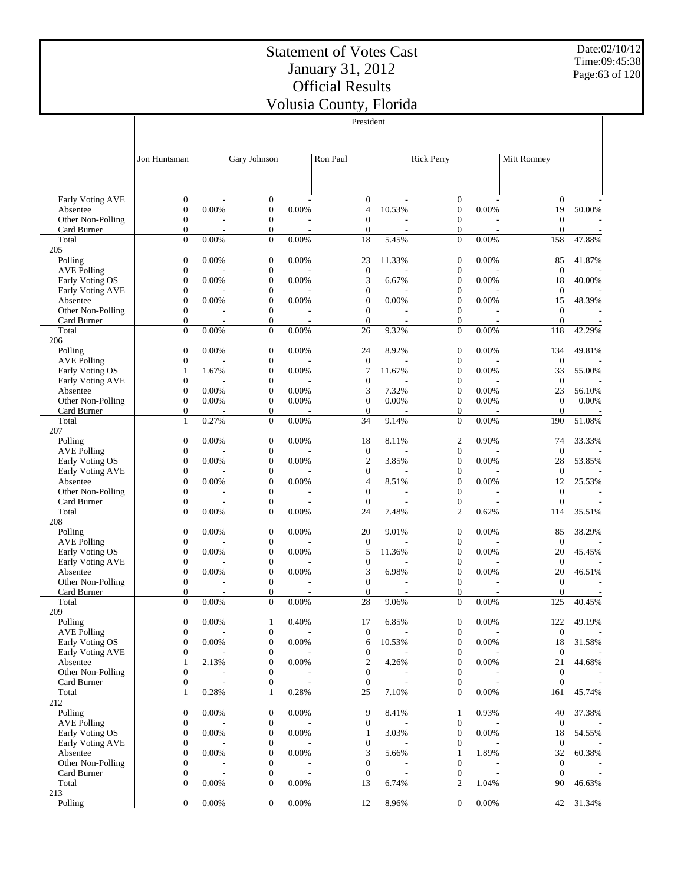Date:02/10/12 Time:09:45:38 Page:63 of 120

|                                     |                                      |       |                                      |       | President                            |        |                                      |       |                                |        |
|-------------------------------------|--------------------------------------|-------|--------------------------------------|-------|--------------------------------------|--------|--------------------------------------|-------|--------------------------------|--------|
|                                     | Jon Huntsman                         |       | Gary Johnson                         |       | Ron Paul                             |        | <b>Rick Perry</b>                    |       | <b>Mitt Romney</b>             |        |
|                                     |                                      |       |                                      |       |                                      |        |                                      |       |                                |        |
| <b>Early Voting AVE</b><br>Absentee | $\boldsymbol{0}$<br>$\boldsymbol{0}$ | 0.00% | $\boldsymbol{0}$<br>$\boldsymbol{0}$ | 0.00% | $\boldsymbol{0}$<br>$\overline{4}$   | 10.53% | $\boldsymbol{0}$<br>$\boldsymbol{0}$ | 0.00% | $\boldsymbol{0}$<br>19         | 50.00% |
| Other Non-Polling                   | $\boldsymbol{0}$                     |       | $\boldsymbol{0}$                     |       | $\boldsymbol{0}$                     |        | $\boldsymbol{0}$                     |       | $\mathbf{0}$                   |        |
| Card Burner                         | $\boldsymbol{0}$                     |       | $\boldsymbol{0}$                     |       | $\mathbf{0}$                         | $\sim$ | $\boldsymbol{0}$                     |       | $\overline{0}$                 |        |
| Total                               | $\boldsymbol{0}$                     | 0.00% | $\mathbf{0}$                         | 0.00% | 18                                   | 5.45%  | $\mathbf{0}$                         | 0.00% | 158                            | 47.88% |
| 205                                 |                                      |       |                                      |       |                                      |        |                                      |       |                                |        |
| Polling                             | $\boldsymbol{0}$                     | 0.00% | $\boldsymbol{0}$                     | 0.00% | 23                                   | 11.33% | $\boldsymbol{0}$                     | 0.00% | 85                             | 41.87% |
| <b>AVE Polling</b>                  | $\mathbf{0}$                         |       | $\boldsymbol{0}$                     |       | $\boldsymbol{0}$                     |        | $\boldsymbol{0}$                     |       | $\mathbf{0}$                   |        |
| Early Voting OS                     | $\boldsymbol{0}$                     | 0.00% | $\boldsymbol{0}$                     | 0.00% | $\mathfrak{Z}$                       | 6.67%  | $\boldsymbol{0}$                     | 0.00% | 18                             | 40.00% |
| Early Voting AVE<br>Absentee        | $\mathbf{0}$<br>$\mathbf{0}$         | 0.00% | $\boldsymbol{0}$<br>$\boldsymbol{0}$ | 0.00% | $\boldsymbol{0}$<br>$\boldsymbol{0}$ | 0.00%  | $\boldsymbol{0}$<br>$\boldsymbol{0}$ | 0.00% | $\boldsymbol{0}$<br>15         | 48.39% |
| Other Non-Polling                   | $\boldsymbol{0}$                     |       | $\boldsymbol{0}$                     |       | $\mathbf{0}$                         |        | $\boldsymbol{0}$                     |       | $\boldsymbol{0}$               |        |
| Card Burner                         | $\boldsymbol{0}$                     |       | $\boldsymbol{0}$                     |       | $\boldsymbol{0}$                     |        | $\boldsymbol{0}$                     |       | $\mathbf{0}$                   |        |
| Total                               | $\overline{0}$                       | 0.00% | $\boldsymbol{0}$                     | 0.00% | 26                                   | 9.32%  | $\boldsymbol{0}$                     | 0.00% | 118                            | 42.29% |
| 206                                 |                                      |       |                                      |       |                                      |        |                                      |       |                                |        |
| Polling                             | $\boldsymbol{0}$                     | 0.00% | $\boldsymbol{0}$                     | 0.00% | 24                                   | 8.92%  | $\boldsymbol{0}$                     | 0.00% | 134                            | 49.81% |
| <b>AVE Polling</b>                  | $\boldsymbol{0}$                     |       | $\boldsymbol{0}$                     |       | $\boldsymbol{0}$                     |        | $\boldsymbol{0}$                     |       | $\mathbf{0}$                   |        |
| Early Voting OS                     | $\mathbf{1}$                         | 1.67% | $\boldsymbol{0}$                     | 0.00% | 7                                    | 11.67% | $\boldsymbol{0}$                     | 0.00% | 33                             | 55.00% |
| Early Voting AVE                    | $\boldsymbol{0}$                     |       | $\boldsymbol{0}$                     |       | $\boldsymbol{0}$                     |        | $\boldsymbol{0}$                     |       | $\mathbf{0}$                   |        |
| Absentee                            | $\boldsymbol{0}$                     | 0.00% | $\boldsymbol{0}$                     | 0.00% | 3                                    | 7.32%  | $\boldsymbol{0}$                     | 0.00% | 23                             | 56.10% |
| Other Non-Polling<br>Card Burner    | $\boldsymbol{0}$<br>$\boldsymbol{0}$ | 0.00% | $\boldsymbol{0}$<br>$\boldsymbol{0}$ | 0.00% | $\boldsymbol{0}$<br>$\mathbf{0}$     | 0.00%  | $\boldsymbol{0}$<br>$\boldsymbol{0}$ | 0.00% | $\mathbf{0}$<br>$\overline{0}$ | 0.00%  |
| Total                               | $\mathbf{1}$                         | 0.27% | $\boldsymbol{0}$                     | 0.00% | 34                                   | 9.14%  | $\mathbf{0}$                         | 0.00% | 190                            | 51.08% |
| 207                                 |                                      |       |                                      |       |                                      |        |                                      |       |                                |        |
| Polling                             | $\boldsymbol{0}$                     | 0.00% | $\boldsymbol{0}$                     | 0.00% | 18                                   | 8.11%  | $\boldsymbol{2}$                     | 0.90% | 74                             | 33.33% |
| <b>AVE Polling</b>                  | $\boldsymbol{0}$                     |       | $\boldsymbol{0}$                     |       | $\boldsymbol{0}$                     |        | $\boldsymbol{0}$                     |       | $\boldsymbol{0}$               |        |
| Early Voting OS                     | $\boldsymbol{0}$                     | 0.00% | $\boldsymbol{0}$                     | 0.00% | $\mathfrak{2}$                       | 3.85%  | $\boldsymbol{0}$                     | 0.00% | 28                             | 53.85% |
| Early Voting AVE                    | $\boldsymbol{0}$                     |       | $\boldsymbol{0}$                     |       | $\boldsymbol{0}$                     |        | $\boldsymbol{0}$                     |       | $\boldsymbol{0}$               |        |
| Absentee                            | $\boldsymbol{0}$                     | 0.00% | $\boldsymbol{0}$                     | 0.00% | 4                                    | 8.51%  | $\boldsymbol{0}$                     | 0.00% | 12                             | 25.53% |
| Other Non-Polling                   | $\boldsymbol{0}$                     |       | $\boldsymbol{0}$                     |       | $\boldsymbol{0}$                     |        | $\boldsymbol{0}$                     |       | $\boldsymbol{0}$               |        |
| Card Burner                         | $\boldsymbol{0}$<br>$\overline{0}$   |       | $\boldsymbol{0}$                     |       | $\boldsymbol{0}$                     | 7.48%  | $\boldsymbol{0}$<br>$\overline{c}$   |       | $\mathbf{0}$                   |        |
| Total<br>208                        |                                      | 0.00% | $\boldsymbol{0}$                     | 0.00% | 24                                   |        |                                      | 0.62% | 114                            | 35.51% |
| Polling                             | $\boldsymbol{0}$                     | 0.00% | $\boldsymbol{0}$                     | 0.00% | 20                                   | 9.01%  | $\boldsymbol{0}$                     | 0.00% | 85                             | 38.29% |
| <b>AVE Polling</b>                  | $\boldsymbol{0}$                     |       | $\boldsymbol{0}$                     |       | $\boldsymbol{0}$                     |        | $\boldsymbol{0}$                     |       | $\mathbf{0}$                   |        |
| Early Voting OS                     | $\boldsymbol{0}$                     | 0.00% | $\boldsymbol{0}$                     | 0.00% | 5                                    | 11.36% | $\boldsymbol{0}$                     | 0.00% | 20                             | 45.45% |
| Early Voting AVE                    | $\boldsymbol{0}$                     |       | $\boldsymbol{0}$                     |       | $\boldsymbol{0}$                     |        | $\boldsymbol{0}$                     |       | $\boldsymbol{0}$               |        |
| Absentee                            | $\boldsymbol{0}$                     | 0.00% | $\boldsymbol{0}$                     | 0.00% | 3                                    | 6.98%  | $\boldsymbol{0}$                     | 0.00% | 20                             | 46.51% |
| Other Non-Polling                   | $\boldsymbol{0}$                     |       | $\boldsymbol{0}$                     |       | $\boldsymbol{0}$                     |        | $\boldsymbol{0}$                     |       | $\mathbf{0}$                   |        |
| Card Burner                         | $\boldsymbol{0}$                     |       | $\mathbf{0}$                         |       | $\mathbf{0}$                         |        | $\mathbf{0}$                         |       | $\mathbf{0}$                   |        |
| Total<br>209                        | $\overline{0}$                       | 0.00% | $\boldsymbol{0}$                     | 0.00% | 28                                   | 9.06%  | $\overline{0}$                       | 0.00% | 125                            | 40.45% |
| Polling                             | $\boldsymbol{0}$                     | 0.00% | 1                                    | 0.40% | 17                                   | 6.85%  | $\boldsymbol{0}$                     | 0.00% | 122                            | 49.19% |
| <b>AVE Polling</b>                  | $\boldsymbol{0}$                     |       | $\boldsymbol{0}$                     |       | $\boldsymbol{0}$                     |        | $\boldsymbol{0}$                     |       | $\boldsymbol{0}$               |        |
| Early Voting OS                     | $\boldsymbol{0}$                     | 0.00% | $\boldsymbol{0}$                     | 0.00% | 6                                    | 10.53% | $\boldsymbol{0}$                     | 0.00% | 18                             | 31.58% |
| Early Voting AVE                    | $\boldsymbol{0}$                     |       | $\boldsymbol{0}$                     |       | $\boldsymbol{0}$                     |        | $\boldsymbol{0}$                     |       | $\mathbf{0}$                   |        |
| Absentee                            | $\mathbf{1}$                         | 2.13% | $\boldsymbol{0}$                     | 0.00% | $\boldsymbol{2}$                     | 4.26%  | $\boldsymbol{0}$                     | 0.00% | 21                             | 44.68% |
| Other Non-Polling                   | $\boldsymbol{0}$                     |       | $\boldsymbol{0}$                     |       | $\boldsymbol{0}$                     |        | $\boldsymbol{0}$                     |       | $\mathbf{0}$                   |        |
| Card Burner                         | $\boldsymbol{0}$                     |       | $\boldsymbol{0}$                     |       | $\boldsymbol{0}$                     |        | $\boldsymbol{0}$                     |       | $\mathbf{0}$                   |        |
| Total                               | $\mathbf{1}$                         | 0.28% | $\mathbf{1}$                         | 0.28% | 25                                   | 7.10%  | $\boldsymbol{0}$                     | 0.00% | 161                            | 45.74% |
| 212<br>Polling                      | $\boldsymbol{0}$                     | 0.00% |                                      | 0.00% |                                      |        |                                      | 0.93% | 40                             | 37.38% |
| <b>AVE Polling</b>                  | $\boldsymbol{0}$                     |       | $\boldsymbol{0}$<br>$\boldsymbol{0}$ |       | 9<br>$\boldsymbol{0}$                | 8.41%  | 1<br>$\boldsymbol{0}$                |       | $\overline{0}$                 |        |
| Early Voting OS                     | $\boldsymbol{0}$                     | 0.00% | $\boldsymbol{0}$                     | 0.00% | 1                                    | 3.03%  | $\mathbf{0}$                         | 0.00% | 18                             | 54.55% |
| Early Voting AVE                    | $\boldsymbol{0}$                     |       | $\boldsymbol{0}$                     |       | $\boldsymbol{0}$                     |        | $\boldsymbol{0}$                     |       | $\mathbf{0}$                   |        |
| Absentee                            | $\boldsymbol{0}$                     | 0.00% | $\boldsymbol{0}$                     | 0.00% | 3                                    | 5.66%  | 1                                    | 1.89% | 32                             | 60.38% |
| Other Non-Polling                   | $\boldsymbol{0}$                     |       | $\boldsymbol{0}$                     |       | $\boldsymbol{0}$                     |        | $\boldsymbol{0}$                     |       | $\mathbf{0}$                   |        |
| Card Burner                         | $\boldsymbol{0}$                     |       | $\boldsymbol{0}$                     |       | $\boldsymbol{0}$                     |        | $\boldsymbol{0}$                     |       | $\mathbf{0}$                   |        |
| Total                               | $\boldsymbol{0}$                     | 0.00% | $\mathbf{0}$                         | 0.00% | 13                                   | 6.74%  | 2                                    | 1.04% | 90                             | 46.63% |
| 213                                 |                                      |       |                                      |       |                                      |        |                                      |       |                                |        |
| Polling                             | $\boldsymbol{0}$                     | 0.00% | $\boldsymbol{0}$                     | 0.00% | 12                                   | 8.96%  | $\boldsymbol{0}$                     | 0.00% | 42                             | 31.34% |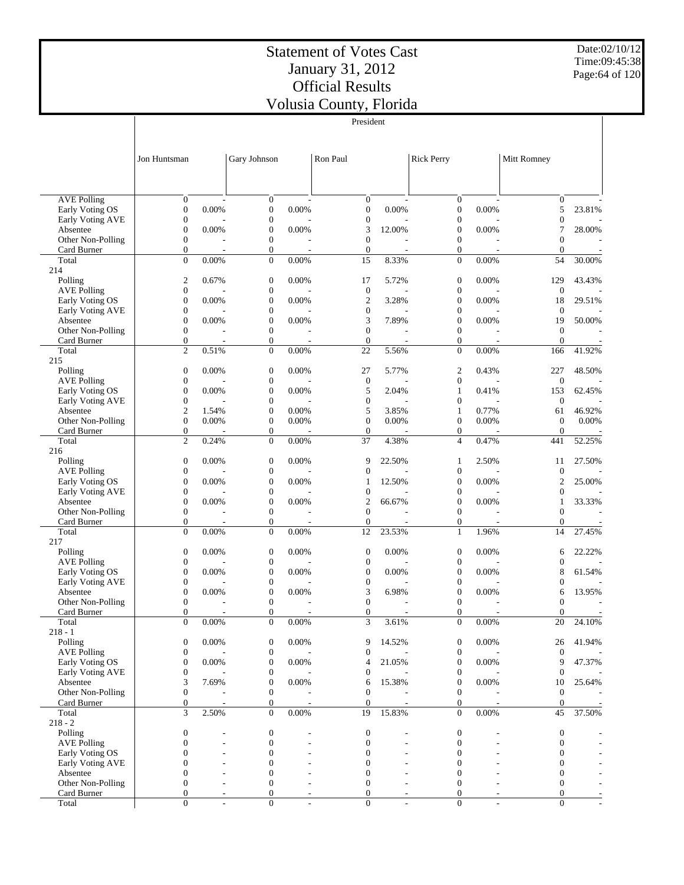President

Date:02/10/12 Time:09:45:38 Page:64 of 120

|                                            |                                      |               |                                      |                         | President                            |              |                                      |                     |                                      |                          |
|--------------------------------------------|--------------------------------------|---------------|--------------------------------------|-------------------------|--------------------------------------|--------------|--------------------------------------|---------------------|--------------------------------------|--------------------------|
|                                            |                                      |               |                                      |                         |                                      |              |                                      |                     |                                      |                          |
|                                            |                                      |               |                                      |                         |                                      |              |                                      |                     |                                      |                          |
|                                            | Jon Huntsman                         |               | Gary Johnson                         |                         | Ron Paul                             |              | <b>Rick Perry</b>                    |                     | Mitt Romney                          |                          |
|                                            |                                      |               |                                      |                         |                                      |              |                                      |                     |                                      |                          |
|                                            |                                      |               |                                      |                         |                                      |              |                                      |                     |                                      |                          |
|                                            | $\mathbf{0}$                         |               |                                      |                         |                                      |              |                                      |                     |                                      |                          |
| <b>AVE Polling</b><br>Early Voting OS      | $\boldsymbol{0}$                     | 0.00%         | $\mathbf{0}$<br>$\mathbf{0}$         | 0.00%                   | $\mathbf{0}$<br>$\boldsymbol{0}$     | 0.00%        | $\mathbf{0}$<br>$\boldsymbol{0}$     | 0.00%               | $\boldsymbol{0}$<br>5                | 23.81%                   |
| Early Voting AVE                           | $\boldsymbol{0}$                     |               | $\boldsymbol{0}$                     |                         | $\boldsymbol{0}$                     |              | $\boldsymbol{0}$                     |                     | $\boldsymbol{0}$                     |                          |
| Absentee                                   | $\boldsymbol{0}$                     | 0.00%         | $\boldsymbol{0}$                     | 0.00%                   | 3                                    | 12.00%       | $\boldsymbol{0}$                     | 0.00%               | 7                                    | 28.00%                   |
| Other Non-Polling                          | $\boldsymbol{0}$                     |               | $\boldsymbol{0}$                     |                         | $\mathbf{0}$                         |              | $\boldsymbol{0}$                     |                     | $\overline{0}$                       |                          |
| Card Burner                                | $\mathbf{0}$                         |               | $\boldsymbol{0}$                     |                         | $\mathbf{0}$                         |              | $\mathbf{0}$                         |                     | $\theta$                             |                          |
| Total<br>214                               | $\mathbf{0}$                         | 0.00%         | $\boldsymbol{0}$                     | 0.00%                   | 15                                   | 8.33%        | $\mathbf{0}$                         | 0.00%               | 54                                   | 30.00%                   |
| Polling                                    | $\mathfrak{2}$                       | 0.67%         | $\mathbf{0}$                         | 0.00%                   | 17                                   | 5.72%        | $\boldsymbol{0}$                     | 0.00%               | 129                                  | 43.43%                   |
| <b>AVE Polling</b>                         | $\boldsymbol{0}$                     |               | $\boldsymbol{0}$                     |                         | $\mathbf{0}$                         |              | $\boldsymbol{0}$                     |                     | $\mathbf{0}$                         |                          |
| Early Voting OS                            | $\boldsymbol{0}$                     | 0.00%         | $\mathbf{0}$                         | 0.00%                   | $\mathfrak{2}$                       | 3.28%        | $\mathbf{0}$                         | 0.00%               | 18                                   | 29.51%                   |
| Early Voting AVE                           | $\boldsymbol{0}$                     |               | $\mathbf{0}$                         |                         | $\boldsymbol{0}$                     |              | $\boldsymbol{0}$                     |                     | $\mathbf{0}$                         |                          |
| Absentee                                   | $\boldsymbol{0}$<br>$\boldsymbol{0}$ | 0.00%         | $\mathbf{0}$<br>$\boldsymbol{0}$     | 0.00%                   | 3<br>$\mathbf{0}$                    | 7.89%        | $\mathbf{0}$<br>$\mathbf{0}$         | 0.00%               | 19<br>$\overline{0}$                 | 50.00%                   |
| Other Non-Polling<br>Card Burner           | $\mathbf{0}$                         |               | $\boldsymbol{0}$                     |                         | $\mathbf{0}$                         |              | $\mathbf{0}$                         |                     | $\overline{0}$                       |                          |
| Total                                      | $\overline{2}$                       | 0.51%         | $\mathbf{0}$                         | 0.00%                   | 22                                   | 5.56%        | $\mathbf{0}$                         | 0.00%               | 166                                  | 41.92%                   |
| 215                                        |                                      |               |                                      |                         |                                      |              |                                      |                     |                                      |                          |
| Polling                                    | $\boldsymbol{0}$                     | 0.00%         | $\boldsymbol{0}$                     | 0.00%                   | 27                                   | 5.77%        | $\mathfrak{2}$                       | 0.43%               | 227                                  | 48.50%                   |
| <b>AVE Polling</b>                         | $\boldsymbol{0}$                     |               | $\boldsymbol{0}$                     |                         | $\mathbf{0}$                         |              | $\boldsymbol{0}$                     |                     | $\overline{0}$                       |                          |
| Early Voting OS<br><b>Early Voting AVE</b> | $\boldsymbol{0}$<br>$\boldsymbol{0}$ | 0.00%         | $\mathbf{0}$<br>$\boldsymbol{0}$     | 0.00%                   | 5<br>$\boldsymbol{0}$                | 2.04%        | $\mathbf{1}$<br>$\boldsymbol{0}$     | 0.41%               | 153<br>$\boldsymbol{0}$              | 62.45%                   |
| Absentee                                   | $\overline{c}$                       | 1.54%         | $\boldsymbol{0}$                     | 0.00%                   | 5                                    | 3.85%        | $\mathbf{1}$                         | 0.77%               | 61                                   | 46.92%                   |
| Other Non-Polling                          | $\boldsymbol{0}$                     | 0.00%         | $\boldsymbol{0}$                     | $0.00\%$                | $\mathbf{0}$                         | 0.00%        | $\mathbf{0}$                         | 0.00%               | $\overline{0}$                       | 0.00%                    |
| Card Burner                                | $\mathbf{0}$                         |               | $\boldsymbol{0}$                     |                         | $\mathbf{0}$                         |              | $\mathbf{0}$                         |                     | $\theta$                             |                          |
| Total                                      | $\overline{2}$                       | 0.24%         | $\boldsymbol{0}$                     | 0.00%                   | 37                                   | 4.38%        | $\overline{4}$                       | 0.47%               | 441                                  | 52.25%                   |
| 216<br>Polling                             | $\boldsymbol{0}$                     | 0.00%         | $\mathbf{0}$                         | 0.00%                   | 9                                    | 22.50%       | $\mathbf{1}$                         | 2.50%               | 11                                   | 27.50%                   |
| <b>AVE Polling</b>                         | $\boldsymbol{0}$                     |               | $\boldsymbol{0}$                     |                         | $\mathbf{0}$                         |              | $\boldsymbol{0}$                     |                     | $\boldsymbol{0}$                     |                          |
| Early Voting OS                            | $\boldsymbol{0}$                     | 0.00%         | $\mathbf{0}$                         | 0.00%                   | 1                                    | 12.50%       | $\mathbf{0}$                         | 0.00%               | 2                                    | 25.00%                   |
| Early Voting AVE                           | $\boldsymbol{0}$                     |               | $\boldsymbol{0}$                     |                         | $\boldsymbol{0}$                     |              | $\boldsymbol{0}$                     |                     | $\overline{0}$                       |                          |
| Absentee                                   | $\boldsymbol{0}$                     | 0.00%         | $\mathbf{0}$                         | 0.00%                   | $\overline{2}$                       | 66.67%       | $\mathbf{0}$                         | 0.00%               | 1                                    | 33.33%                   |
| Other Non-Polling                          | $\boldsymbol{0}$<br>$\boldsymbol{0}$ |               | $\boldsymbol{0}$<br>$\boldsymbol{0}$ | ÷,                      | $\mathbf{0}$<br>$\mathbf{0}$         | ÷,           | $\mathbf{0}$<br>$\mathbf{0}$         | ÷,                  | $\overline{0}$<br>$\overline{0}$     |                          |
| Card Burner<br>Total                       | $\mathbf{0}$                         | 0.00%         | $\mathbf{0}$                         | 0.00%                   | 12                                   | 23.53%       | $\mathbf{1}$                         | 1.96%               | 14                                   | 27.45%                   |
| 217                                        |                                      |               |                                      |                         |                                      |              |                                      |                     |                                      |                          |
| Polling                                    | $\boldsymbol{0}$                     | 0.00%         | $\boldsymbol{0}$                     | 0.00%                   | $\boldsymbol{0}$                     | 0.00%        | $\boldsymbol{0}$                     | 0.00%               | 6                                    | 22.22%                   |
| <b>AVE Polling</b>                         | $\boldsymbol{0}$                     |               | $\boldsymbol{0}$                     |                         | $\mathbf{0}$                         |              | $\boldsymbol{0}$                     |                     | $\boldsymbol{0}$                     |                          |
| Early Voting OS                            | $\boldsymbol{0}$                     | 0.00%         | $\boldsymbol{0}$                     | 0.00%                   | $\boldsymbol{0}$                     | 0.00%        | $\boldsymbol{0}$                     | 0.00%               | 8                                    | 61.54%                   |
| Early Voting AVE<br>Absentee               | $\boldsymbol{0}$<br>$\boldsymbol{0}$ | 0.00%         | $\boldsymbol{0}$<br>$\boldsymbol{0}$ | 0.00%                   | $\boldsymbol{0}$<br>3                | 6.98%        | $\boldsymbol{0}$<br>$\boldsymbol{0}$ | 0.00%               | $\boldsymbol{0}$<br>6                | 13.95%                   |
| Other Non-Polling                          | $\boldsymbol{0}$                     |               | $\boldsymbol{0}$                     |                         | $\overline{0}$                       |              | $\boldsymbol{0}$                     |                     | $\overline{0}$                       |                          |
| Card Burner                                | $\mathbf{0}$                         |               | $\mathbf{0}$                         | ÷,                      | $\mathbf{0}$                         |              | $\mathbf{0}$                         |                     | $\mathbf{0}$                         |                          |
| Total                                      | $\boldsymbol{0}$                     | 0.00%         | $\boldsymbol{0}$                     | $0.00\%$                | 3                                    | 3.61%        | $\boldsymbol{0}$                     | 0.00%               | 20                                   | 24.10%                   |
| $218 - 1$                                  |                                      |               |                                      |                         |                                      |              |                                      |                     |                                      |                          |
| Polling<br><b>AVE Polling</b>              | $\boldsymbol{0}$<br>$\boldsymbol{0}$ | 0.00%         | $\boldsymbol{0}$<br>$\boldsymbol{0}$ | 0.00%                   | 9<br>$\boldsymbol{0}$                | 14.52%       | $\boldsymbol{0}$<br>$\boldsymbol{0}$ | 0.00%               | 26<br>$\boldsymbol{0}$               | 41.94%                   |
| Early Voting OS                            | $\boldsymbol{0}$                     | 0.00%         | $\boldsymbol{0}$                     | 0.00%                   | 4                                    | 21.05%       | $\boldsymbol{0}$                     | 0.00%               | 9                                    | 47.37%                   |
| Early Voting AVE                           | $\boldsymbol{0}$                     |               | $\boldsymbol{0}$                     |                         | 0                                    |              | $\boldsymbol{0}$                     |                     | $\boldsymbol{0}$                     |                          |
| Absentee                                   | 3                                    | 7.69%         | $\boldsymbol{0}$                     | 0.00%                   | 6                                    | 15.38%       | $\boldsymbol{0}$                     | 0.00%               | 10                                   | 25.64%                   |
| Other Non-Polling                          | $\boldsymbol{0}$                     |               | $\boldsymbol{0}$                     |                         | $\boldsymbol{0}$                     |              | $\boldsymbol{0}$                     |                     | $\mathbf{0}$                         |                          |
| Card Burner<br>Total                       | $\boldsymbol{0}$<br>3                | 2.50%         | $\boldsymbol{0}$<br>$\mathbf{0}$     | $\overline{a}$<br>0.00% | $\mathbf{0}$<br>19                   | 15.83%       | $\mathbf{0}$<br>$\boldsymbol{0}$     | 0.00%               | $\boldsymbol{0}$<br>45               | 37.50%                   |
| $218 - 2$                                  |                                      |               |                                      |                         |                                      |              |                                      |                     |                                      |                          |
| Polling                                    | $\boldsymbol{0}$                     |               | $\boldsymbol{0}$                     |                         | $\boldsymbol{0}$                     |              | $\boldsymbol{0}$                     |                     | $\boldsymbol{0}$                     |                          |
| <b>AVE Polling</b>                         | $\boldsymbol{0}$                     |               | $\boldsymbol{0}$                     |                         | $\boldsymbol{0}$                     |              | $\boldsymbol{0}$                     |                     | $\boldsymbol{0}$                     |                          |
| Early Voting OS                            | $\mathbf{0}$                         |               | $\mathbf{0}$                         |                         | $\mathbf{0}$                         |              | $\boldsymbol{0}$                     |                     | $\boldsymbol{0}$                     |                          |
| Early Voting AVE                           | $\overline{0}$                       |               | $\overline{0}$                       |                         | $\mathbf{0}$                         |              | $\mathbf{0}$                         |                     | $\boldsymbol{0}$                     |                          |
| Absentee<br>Other Non-Polling              | $\boldsymbol{0}$<br>$\boldsymbol{0}$ |               | 0<br>$\mathbf{0}$                    |                         | $\boldsymbol{0}$<br>$\boldsymbol{0}$ |              | $\boldsymbol{0}$<br>$\boldsymbol{0}$ |                     | $\boldsymbol{0}$<br>$\boldsymbol{0}$ |                          |
| Card Burner                                | $\mathbf{0}$                         |               | $\boldsymbol{0}$                     |                         | $\mathbf{0}$                         |              | $\mathbf{0}$                         |                     | $\mathbf{0}$                         |                          |
| Total                                      | $\boldsymbol{0}$                     | $\frac{1}{2}$ | $\boldsymbol{0}$                     | $\bar{\phantom{a}}$     | $\mathbf{0}$                         | $\mathbb{L}$ | $\boldsymbol{0}$                     | $\bar{\phantom{a}}$ | $\overline{0}$                       | $\overline{\phantom{a}}$ |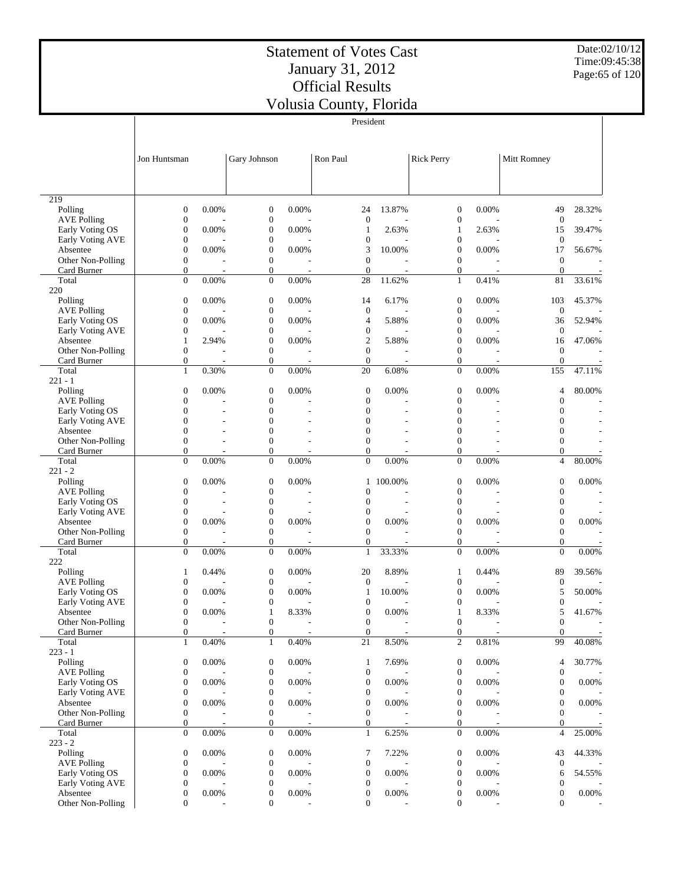Date:02/10/12 Time:09:45:38 Page:65 of 120

|                               |                                      |       |                                      |                          | President                          |                |                                    |       |                                    |                          |
|-------------------------------|--------------------------------------|-------|--------------------------------------|--------------------------|------------------------------------|----------------|------------------------------------|-------|------------------------------------|--------------------------|
|                               | Jon Huntsman                         |       | Gary Johnson                         |                          | Ron Paul                           |                | <b>Rick Perry</b>                  |       | Mitt Romney                        |                          |
|                               |                                      |       |                                      |                          |                                    |                |                                    |       |                                    |                          |
|                               |                                      |       |                                      |                          |                                    |                |                                    |       |                                    |                          |
| 219                           |                                      |       |                                      |                          |                                    |                |                                    |       |                                    |                          |
| Polling                       | $\mathbf{0}$                         | 0.00% | $\boldsymbol{0}$                     | 0.00%                    | 24                                 | 13.87%         | $\mathbf{0}$                       | 0.00% | 49                                 | 28.32%                   |
| <b>AVE Polling</b>            | $\mathbf{0}$                         |       | $\boldsymbol{0}$                     |                          | $\mathbf{0}$                       |                | $\mathbf{0}$                       |       | $\mathbf{0}$                       |                          |
| Early Voting OS               | $\mathbf{0}$                         | 0.00% | $\mathbf{0}$                         | 0.00%                    | $\mathbf{1}$                       | 2.63%          | 1                                  | 2.63% | 15                                 | 39.47%                   |
| Early Voting AVE<br>Absentee  | $\mathbf{0}$<br>$\mathbf{0}$         | 0.00% | $\mathbf{0}$<br>$\mathbf{0}$         | 0.00%                    | $\boldsymbol{0}$<br>3              | 10.00%         | $\mathbf{0}$<br>$\mathbf{0}$       | 0.00% | $\mathbf{0}$<br>17                 | 56.67%                   |
| Other Non-Polling             | $\mathbf{0}$                         |       | $\boldsymbol{0}$                     |                          | $\overline{0}$                     |                | $\overline{0}$                     |       | $\overline{0}$                     |                          |
| Card Burner                   | $\mathbf{0}$                         |       | $\boldsymbol{0}$                     |                          | $\overline{0}$                     |                | $\mathbf{0}$                       |       | $\boldsymbol{0}$                   |                          |
| Total                         | $\overline{0}$                       | 0.00% | $\boldsymbol{0}$                     | 0.00%                    | 28                                 | 11.62%         | $\mathbf{1}$                       | 0.41% | 81                                 | 33.61%                   |
| 220                           |                                      |       |                                      |                          |                                    |                |                                    |       |                                    |                          |
| Polling                       | $\mathbf{0}$                         | 0.00% | $\boldsymbol{0}$                     | 0.00%                    | 14                                 | 6.17%          | $\mathbf{0}$                       | 0.00% | 103                                | 45.37%                   |
| <b>AVE Polling</b>            | $\mathbf{0}$                         |       | $\boldsymbol{0}$                     |                          | $\mathbf{0}$                       |                | $\mathbf{0}$                       |       | $\mathbf{0}$                       |                          |
| Early Voting OS               | $\mathbf{0}$                         | 0.00% | $\mathbf{0}$<br>$\mathbf{0}$         | 0.00%                    | 4<br>$\boldsymbol{0}$              | 5.88%          | $\mathbf{0}$<br>$\mathbf{0}$       | 0.00% | 36<br>$\overline{0}$               | 52.94%                   |
| Early Voting AVE<br>Absentee  | $\boldsymbol{0}$<br>$\mathbf{1}$     | 2.94% | $\mathbf{0}$                         | 0.00%                    | $\mathbf{2}$                       | 5.88%          | $\overline{0}$                     | 0.00% | 16                                 | 47.06%                   |
| Other Non-Polling             | $\mathbf{0}$                         |       | $\boldsymbol{0}$                     |                          | $\overline{0}$                     |                | $\mathbf{0}$                       |       | $\overline{0}$                     |                          |
| Card Burner                   | $\mathbf{0}$                         |       | $\mathbf{0}$                         | $\overline{\phantom{a}}$ | $\overline{0}$                     |                | $\overline{0}$                     |       | $\overline{0}$                     |                          |
| Total                         | $\mathbf{1}$                         | 0.30% | $\boldsymbol{0}$                     | 0.00%                    | 20                                 | 6.08%          | $\overline{0}$                     | 0.00% | 155                                | 47.11%                   |
| $221 - 1$                     |                                      |       |                                      |                          |                                    |                |                                    |       |                                    |                          |
| Polling                       | $\mathbf{0}$                         | 0.00% | $\mathbf{0}$                         | 0.00%                    | $\boldsymbol{0}$                   | 0.00%          | $\mathbf{0}$                       | 0.00% | 4                                  | 80.00%                   |
| <b>AVE Polling</b>            | $\mathbf{0}$                         |       | $\mathbf{0}$                         |                          | $\boldsymbol{0}$                   |                | $\overline{0}$                     |       | $\overline{0}$                     |                          |
| Early Voting OS               | $\mathbf{0}$                         |       | $\mathbf{0}$                         |                          | $\boldsymbol{0}$                   |                | $\overline{0}$                     |       | $\overline{0}$                     |                          |
| Early Voting AVE              | $\theta$                             |       | $\mathbf{0}$                         |                          | $\overline{0}$                     |                | $\overline{0}$                     |       | $\overline{0}$                     |                          |
| Absentee<br>Other Non-Polling | $\mathbf{0}$<br>$\mathbf{0}$         |       | $\overline{0}$<br>$\mathbf{0}$       |                          | $\overline{0}$<br>$\overline{0}$   |                | $\mathbf{0}$<br>$\overline{0}$     |       | $\overline{0}$<br>$\overline{0}$   |                          |
| Card Burner                   | $\mathbf{0}$                         |       | $\boldsymbol{0}$                     |                          | $\overline{0}$                     |                | $\overline{0}$                     |       | $\boldsymbol{0}$                   |                          |
| Total                         | $\Omega$                             | 0.00% | $\boldsymbol{0}$                     | 0.00%                    | $\overline{0}$                     | 0.00%          | $\overline{0}$                     | 0.00% | $\overline{4}$                     | 80.00%                   |
| $221 - 2$                     |                                      |       |                                      |                          |                                    |                |                                    |       |                                    |                          |
| Polling                       | $\mathbf{0}$                         | 0.00% | $\boldsymbol{0}$                     | 0.00%                    | $\mathbf{1}$                       | 100.00%        | $\mathbf{0}$                       | 0.00% | $\boldsymbol{0}$                   | 0.00%                    |
| <b>AVE Polling</b>            | $\mathbf{0}$                         |       | $\boldsymbol{0}$                     |                          | $\overline{0}$                     |                | $\boldsymbol{0}$                   |       | $\overline{0}$                     | J.                       |
| Early Voting OS               | $\mathbf{0}$                         |       | $\mathbf{0}$                         | $\overline{a}$           | $\boldsymbol{0}$                   | $\overline{a}$ | $\mathbf{0}$                       |       | $\overline{0}$                     | $\overline{\phantom{a}}$ |
| Early Voting AVE              | $\mathbf{0}$                         |       | $\boldsymbol{0}$                     |                          | $\boldsymbol{0}$                   |                | $\mathbf{0}$                       |       | $\boldsymbol{0}$                   |                          |
| Absentee<br>Other Non-Polling | $\mathbf{0}$<br>$\mathbf{0}$         | 0.00% | $\mathbf{0}$<br>$\boldsymbol{0}$     | 0.00%                    | $\boldsymbol{0}$<br>$\overline{0}$ | 0.00%          | $\mathbf{0}$<br>$\overline{0}$     | 0.00% | $\boldsymbol{0}$<br>$\overline{0}$ | 0.00%                    |
| Card Burner                   | $\mathbf{0}$                         |       | $\boldsymbol{0}$                     |                          | $\mathbf{0}$                       |                | $\overline{0}$                     |       | 0                                  |                          |
| Total                         | $\Omega$                             | 0.00% | $\boldsymbol{0}$                     | 0.00%                    | $\mathbf{1}$                       | 33.33%         | $\theta$                           | 0.00% | $\overline{0}$                     | 0.00%                    |
| 222                           |                                      |       |                                      |                          |                                    |                |                                    |       |                                    |                          |
| Polling                       | $\mathbf{1}$                         | 0.44% | $\mathbf{0}$                         | 0.00%                    | 20                                 | 8.89%          | $\mathbf{1}$                       | 0.44% | 89                                 | 39.56%                   |
| <b>AVE Polling</b>            | $\mathbf{0}$                         |       | $\boldsymbol{0}$                     |                          | $\mathbf{0}$                       |                | $\mathbf{0}$                       |       | $\boldsymbol{0}$                   |                          |
| Early Voting OS               | $\boldsymbol{0}$                     | 0.00% | $\mathbf{0}$                         | 0.00%                    | $\mathbf{1}$                       | 10.00%         | $\mathbf{0}$                       | 0.00% | 5                                  | 50.00%                   |
| Early Voting AVE              | $\mathbf{0}$<br>$\mathbf{0}$         | 0.00% | 0<br>$\mathbf{1}$                    | 8.33%                    | $\boldsymbol{0}$<br>$\overline{0}$ | 0.00%          | $\overline{0}$<br>$\mathbf{1}$     |       | $\boldsymbol{0}$<br>5              | 41.67%                   |
| Absentee<br>Other Non-Polling | $\boldsymbol{0}$                     |       | $\boldsymbol{0}$                     |                          | $\boldsymbol{0}$                   |                | $\boldsymbol{0}$                   | 8.33% | $\boldsymbol{0}$                   |                          |
| Card Burner                   | $\mathbf{0}$                         |       | $\boldsymbol{0}$                     |                          | $\mathbf{0}$                       |                | $\boldsymbol{0}$                   |       | $\mathbf{0}$                       |                          |
| Total                         | $\mathbf{1}$                         | 0.40% | $\mathbf{1}$                         | 0.40%                    | 21                                 | 8.50%          | $\overline{c}$                     | 0.81% | 99                                 | 40.08%                   |
| $223 - 1$                     |                                      |       |                                      |                          |                                    |                |                                    |       |                                    |                          |
| Polling                       | $\mathbf{0}$                         | 0.00% | $\boldsymbol{0}$                     | 0.00%                    | $\mathbf{1}$                       | 7.69%          | $\boldsymbol{0}$                   | 0.00% | 4                                  | 30.77%                   |
| <b>AVE Polling</b>            | $\mathbf{0}$                         |       | $\boldsymbol{0}$                     |                          | $\boldsymbol{0}$                   |                | $\boldsymbol{0}$                   |       | $\boldsymbol{0}$                   |                          |
| Early Voting OS               | $\boldsymbol{0}$                     | 0.00% | $\boldsymbol{0}$                     | 0.00%                    | $\mathbf{0}$                       | 0.00%          | $\mathbf{0}$                       | 0.00% | $\overline{0}$                     | 0.00%                    |
| Early Voting AVE<br>Absentee  | $\boldsymbol{0}$<br>$\boldsymbol{0}$ | 0.00% | 0<br>$\boldsymbol{0}$                | 0.00%                    | $\boldsymbol{0}$<br>$\overline{0}$ | 0.00%          | $\mathbf{0}$<br>$\overline{0}$     | 0.00% | $\overline{0}$<br>$\overline{0}$   | $0.00\%$                 |
| Other Non-Polling             | $\mathbf{0}$                         |       | $\boldsymbol{0}$                     |                          | $\mathbf{0}$                       |                | $\mathbf{0}$                       |       | $\overline{0}$                     |                          |
| Card Burner                   | $\mathbf{0}$                         |       | $\boldsymbol{0}$                     |                          | $\mathbf{0}$                       |                | $\mathbf{0}$                       |       | 0                                  |                          |
| Total                         | $\Omega$                             | 0.00% | $\mathbf{0}$                         | 0.00%                    | $\mathbf{1}$                       | 6.25%          | $\mathbf{0}$                       | 0.00% | 4                                  | 25.00%                   |
| $223 - 2$                     |                                      |       |                                      |                          |                                    |                |                                    |       |                                    |                          |
| Polling                       | $\mathbf{0}$                         | 0.00% | $\boldsymbol{0}$                     | 0.00%                    | 7                                  | 7.22%          | $\boldsymbol{0}$                   | 0.00% | 43                                 | 44.33%                   |
| <b>AVE Polling</b>            | $\mathbf{0}$                         |       | $\boldsymbol{0}$                     |                          | $\boldsymbol{0}$                   |                | $\boldsymbol{0}$                   |       | $\boldsymbol{0}$                   |                          |
| Early Voting OS               | $\boldsymbol{0}$                     | 0.00% | $\boldsymbol{0}$                     | 0.00%                    | $\boldsymbol{0}$                   | 0.00%          | $\boldsymbol{0}$                   | 0.00% | 6                                  | 54.55%                   |
| Early Voting AVE              | $\boldsymbol{0}$                     |       | $\boldsymbol{0}$                     |                          | $\boldsymbol{0}$                   |                | $\mathbf{0}$                       |       | $\overline{0}$                     |                          |
| Absentee<br>Other Non-Polling | $\boldsymbol{0}$<br>$\mathbf{0}$     | 0.00% | $\boldsymbol{0}$<br>$\boldsymbol{0}$ | 0.00%                    | $\boldsymbol{0}$<br>$\mathbf{0}$   | 0.00%          | $\boldsymbol{0}$<br>$\overline{0}$ | 0.00% | $\boldsymbol{0}$<br>$\Omega$       | $0.00\%$                 |
|                               |                                      |       |                                      |                          |                                    |                |                                    |       |                                    |                          |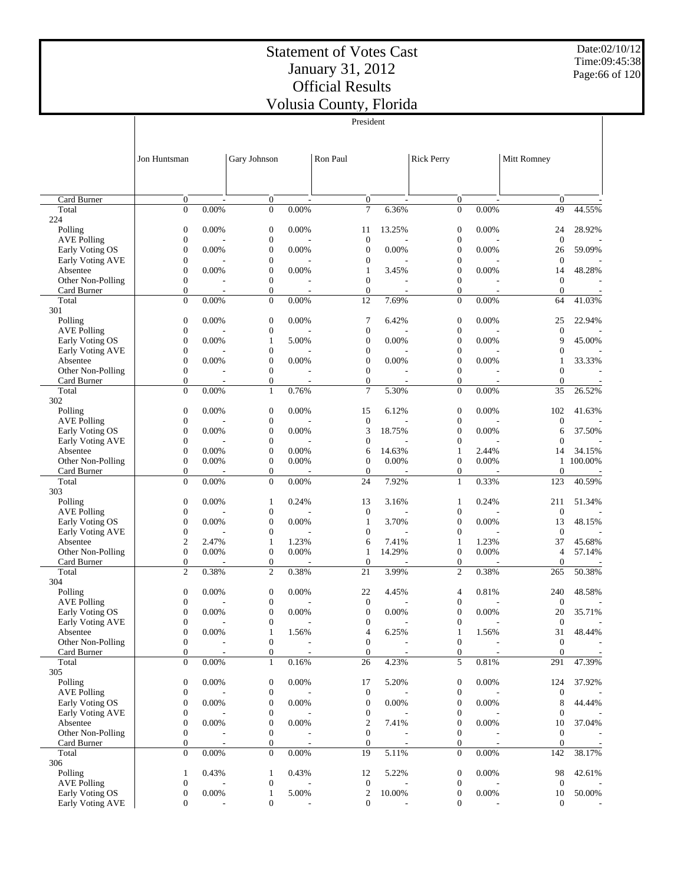$\overline{1}$ 

President

Date:02/10/12 Time:09:45:38 Page:66 of 120

 $\overline{\phantom{a}}$ 

|                                  | Jon Huntsman                       |                         | Gary Johnson                         |                                   | Ron Paul                           |                                   | <b>Rick Perry</b>                |                                   | Mitt Romney                      |                          |
|----------------------------------|------------------------------------|-------------------------|--------------------------------------|-----------------------------------|------------------------------------|-----------------------------------|----------------------------------|-----------------------------------|----------------------------------|--------------------------|
|                                  |                                    |                         |                                      |                                   |                                    |                                   |                                  |                                   |                                  |                          |
| Card Burner                      |                                    |                         |                                      |                                   |                                    |                                   |                                  |                                   |                                  |                          |
| Total                            | $\mathbf{0}$<br>$\mathbf{0}$       | $\overline{a}$<br>0.00% | $\boldsymbol{0}$<br>$\boldsymbol{0}$ | $\overline{\phantom{a}}$<br>0.00% | $\boldsymbol{0}$<br>$\overline{7}$ | $\overline{\phantom{a}}$<br>6.36% | 0<br>$\overline{0}$              | $\overline{\phantom{a}}$<br>0.00% | $\mathbf{0}$<br>49               | 44.55%                   |
| 224                              |                                    |                         |                                      |                                   |                                    |                                   |                                  |                                   |                                  |                          |
| Polling                          | $\boldsymbol{0}$                   | 0.00%                   | $\boldsymbol{0}$                     | 0.00%                             | 11                                 | 13.25%                            | $\mathbf{0}$                     | 0.00%                             | 24                               | 28.92%                   |
| <b>AVE Polling</b>               | $\boldsymbol{0}$                   |                         | $\boldsymbol{0}$                     |                                   | $\boldsymbol{0}$                   |                                   | $\boldsymbol{0}$                 |                                   | $\boldsymbol{0}$                 |                          |
| Early Voting OS                  | $\boldsymbol{0}$                   | 0.00%                   | $\boldsymbol{0}$                     | 0.00%                             | $\boldsymbol{0}$                   | 0.00%                             | $\mathbf{0}$                     | 0.00%                             | 26                               | 59.09%                   |
| <b>Early Voting AVE</b>          | $\mathbf{0}$                       |                         | $\boldsymbol{0}$                     |                                   | $\boldsymbol{0}$                   |                                   | $\overline{0}$                   |                                   | $\boldsymbol{0}$                 |                          |
| Absentee                         | $\boldsymbol{0}$                   | 0.00%                   | $\boldsymbol{0}$                     | 0.00%                             | $\mathbf{1}$                       | 3.45%                             | $\mathbf{0}$                     | 0.00%                             | 14                               | 48.28%                   |
| Other Non-Polling                | $\boldsymbol{0}$                   |                         | $\boldsymbol{0}$                     |                                   | $\boldsymbol{0}$                   |                                   | $\overline{0}$                   |                                   | $\boldsymbol{0}$                 |                          |
| Card Burner                      | $\mathbf{0}$                       |                         | $\boldsymbol{0}$                     |                                   | $\boldsymbol{0}$                   |                                   | $\overline{0}$                   |                                   | $\overline{0}$                   |                          |
| Total                            | $\overline{0}$                     | 0.00%                   | $\boldsymbol{0}$                     | 0.00%                             | 12                                 | 7.69%                             | $\overline{0}$                   | 0.00%                             | 64                               | 41.03%                   |
| 301<br>Polling                   | $\boldsymbol{0}$                   | 0.00%                   | $\boldsymbol{0}$                     | 0.00%                             | 7                                  | 6.42%                             | $\mathbf{0}$                     | 0.00%                             | 25                               | 22.94%                   |
| <b>AVE Polling</b>               | $\boldsymbol{0}$                   |                         | $\boldsymbol{0}$                     |                                   | $\boldsymbol{0}$                   |                                   | $\boldsymbol{0}$                 |                                   | $\boldsymbol{0}$                 |                          |
| Early Voting OS                  | $\overline{0}$                     | 0.00%                   | 1                                    | 5.00%                             | $\boldsymbol{0}$                   | 0.00%                             | $\overline{0}$                   | 0.00%                             | 9                                | 45.00%                   |
| Early Voting AVE                 | $\boldsymbol{0}$                   |                         | $\boldsymbol{0}$                     |                                   | $\boldsymbol{0}$                   |                                   | $\mathbf{0}$                     |                                   | $\boldsymbol{0}$                 |                          |
| Absentee                         | $\overline{0}$                     | 0.00%                   | $\boldsymbol{0}$                     | 0.00%                             | $\boldsymbol{0}$                   | 0.00%                             | $\overline{0}$                   | 0.00%                             | 1                                | 33.33%                   |
| Other Non-Polling                | $\boldsymbol{0}$                   |                         | $\boldsymbol{0}$                     |                                   | $\boldsymbol{0}$                   |                                   | $\overline{0}$                   |                                   | $\overline{0}$                   |                          |
| Card Burner                      | $\mathbf{0}$                       |                         | $\mathbf{0}$                         |                                   | $\mathbf{0}$                       |                                   | $\overline{0}$                   |                                   | $\overline{0}$                   | $\overline{\phantom{a}}$ |
| Total                            | $\mathbf{0}$                       | 0.00%                   | $\mathbf{1}$                         | 0.76%                             | $\overline{7}$                     | 5.30%                             | $\overline{0}$                   | 0.00%                             | 35                               | 26.52%                   |
| 302                              |                                    |                         |                                      |                                   |                                    |                                   |                                  |                                   |                                  |                          |
| Polling                          | $\boldsymbol{0}$                   | 0.00%                   | $\boldsymbol{0}$                     | 0.00%                             | 15                                 | 6.12%                             | $\mathbf{0}$                     | 0.00%                             | 102                              | 41.63%                   |
| <b>AVE Polling</b>               | $\boldsymbol{0}$                   |                         | $\boldsymbol{0}$                     |                                   | $\boldsymbol{0}$                   |                                   | $\overline{0}$                   |                                   | $\boldsymbol{0}$                 |                          |
| Early Voting OS                  | $\boldsymbol{0}$<br>$\overline{0}$ | 0.00%                   | $\boldsymbol{0}$                     | 0.00%                             | 3                                  | 18.75%                            | $\overline{0}$<br>$\overline{0}$ | 0.00%                             | 6                                | 37.50%                   |
| Early Voting AVE<br>Absentee     | $\boldsymbol{0}$                   | 0.00%                   | $\boldsymbol{0}$<br>$\boldsymbol{0}$ | 0.00%                             | $\boldsymbol{0}$<br>6              | 14.63%                            | 1                                | 2.44%                             | $\mathbf{0}$<br>14               | 34.15%                   |
| Other Non-Polling                | $\boldsymbol{0}$                   | 0.00%                   | $\boldsymbol{0}$                     | 0.00%                             | $\mathbf{0}$                       | 0.00%                             | $\overline{0}$                   | 0.00%                             | $\mathbf{1}$                     | 100.00%                  |
| Card Burner                      | $\boldsymbol{0}$                   |                         | $\boldsymbol{0}$                     |                                   | $\mathbf{0}$                       |                                   | $\boldsymbol{0}$                 |                                   | $\overline{0}$                   |                          |
| Total                            | $\overline{0}$                     | 0.00%                   | $\boldsymbol{0}$                     | 0.00%                             | 24                                 | 7.92%                             | $\mathbf{1}$                     | 0.33%                             | 123                              | 40.59%                   |
| 303                              |                                    |                         |                                      |                                   |                                    |                                   |                                  |                                   |                                  |                          |
| Polling                          | $\boldsymbol{0}$                   | 0.00%                   | $\mathbf{1}$                         | 0.24%                             | 13                                 | 3.16%                             | 1                                | 0.24%                             | 211                              | 51.34%                   |
| <b>AVE Polling</b>               | $\mathbf{0}$                       |                         | $\boldsymbol{0}$                     |                                   | $\boldsymbol{0}$                   |                                   | $\boldsymbol{0}$                 |                                   | $\boldsymbol{0}$                 |                          |
| Early Voting OS                  | $\boldsymbol{0}$                   | 0.00%                   | $\boldsymbol{0}$                     | 0.00%                             | $\mathbf{1}$                       | 3.70%                             | $\overline{0}$                   | 0.00%                             | 13                               | 48.15%                   |
| Early Voting AVE                 | $\boldsymbol{0}$                   |                         | $\boldsymbol{0}$                     |                                   | $\boldsymbol{0}$                   |                                   | $\boldsymbol{0}$                 |                                   | $\boldsymbol{0}$                 |                          |
| Absentee                         | $\overline{2}$                     | 2.47%                   | 1                                    | 1.23%                             | 6                                  | 7.41%                             | 1                                | 1.23%                             | 37                               | 45.68%                   |
| Other Non-Polling<br>Card Burner | $\boldsymbol{0}$<br>$\mathbf{0}$   | 0.00%                   | $\boldsymbol{0}$<br>$\boldsymbol{0}$ | 0.00%                             | $\mathbf{1}$<br>$\mathbf{0}$       | 14.29%                            | $\overline{0}$<br>$\overline{0}$ | 0.00%                             | $\overline{4}$<br>$\overline{0}$ | 57.14%                   |
| Total                            | $\overline{c}$                     | 0.38%                   | $\overline{c}$                       | 0.38%                             | 21                                 | 3.99%                             | $\overline{c}$                   | 0.38%                             | 265                              | 50.38%                   |
| 304                              |                                    |                         |                                      |                                   |                                    |                                   |                                  |                                   |                                  |                          |
| Polling                          | $\boldsymbol{0}$                   | 0.00%                   | $\boldsymbol{0}$                     | 0.00%                             | 22                                 | 4.45%                             | 4                                | 0.81%                             | 240                              | 48.58%                   |
| <b>AVE Polling</b>               | $\boldsymbol{0}$                   |                         | $\boldsymbol{0}$                     |                                   | $\boldsymbol{0}$                   |                                   | $\boldsymbol{0}$                 |                                   | $\boldsymbol{0}$                 |                          |
| Early Voting OS                  | $\boldsymbol{0}$                   | 0.00%                   | $\boldsymbol{0}$                     | 0.00%                             | $\boldsymbol{0}$                   | 0.00%                             | $\mathbf{0}$                     | 0.00%                             | 20                               | 35.71%                   |
| Early Voting AVE                 | $\mathbf{0}$                       |                         | $\boldsymbol{0}$                     | $\overline{\phantom{a}}$          | $\boldsymbol{0}$                   | ٠                                 | $\overline{0}$                   | $\overline{\phantom{a}}$          | $\boldsymbol{0}$                 | $\overline{\phantom{a}}$ |
| Absentee                         | $\boldsymbol{0}$                   | 0.00%                   | $\mathbf{1}$                         | 1.56%                             | 4                                  | 6.25%                             | $\mathbf{1}$                     | 1.56%                             | $31\,$                           | 48.44%                   |
| Other Non-Polling                | $\boldsymbol{0}$                   |                         | $\boldsymbol{0}$                     |                                   | $\boldsymbol{0}$                   |                                   | $\boldsymbol{0}$                 |                                   | $\boldsymbol{0}$                 |                          |
| Card Burner                      | $\boldsymbol{0}$<br>$\overline{0}$ |                         | $\boldsymbol{0}$                     |                                   | $\boldsymbol{0}$                   |                                   | $\boldsymbol{0}$                 |                                   | $\overline{0}$                   |                          |
| Total<br>305                     |                                    | $0.00\%$                | $\mathbf{1}$                         | 0.16%                             | 26                                 | 4.23%                             | 5                                | 0.81%                             | 291                              | 47.39%                   |
| Polling                          | $\boldsymbol{0}$                   | 0.00%                   | $\boldsymbol{0}$                     | 0.00%                             | 17                                 | 5.20%                             | $\boldsymbol{0}$                 | 0.00%                             | 124                              | 37.92%                   |
| <b>AVE Polling</b>               | $\boldsymbol{0}$                   |                         | $\boldsymbol{0}$                     |                                   | $\boldsymbol{0}$                   |                                   | 0                                |                                   | $\mathbf{0}$                     |                          |
| Early Voting OS                  | $\boldsymbol{0}$                   | 0.00%                   | $\boldsymbol{0}$                     | 0.00%                             | $\boldsymbol{0}$                   | 0.00%                             | $\mathbf{0}$                     | 0.00%                             | 8                                | 44.44%                   |
| Early Voting AVE                 | $\boldsymbol{0}$                   |                         | $\boldsymbol{0}$                     |                                   | $\boldsymbol{0}$                   |                                   | 0                                |                                   | $\mathbf{0}$                     |                          |
| Absentee                         | $\boldsymbol{0}$                   | 0.00%                   | $\boldsymbol{0}$                     | 0.00%                             | $\overline{2}$                     | 7.41%                             | $\overline{0}$                   | 0.00%                             | 10                               | 37.04%                   |
| Other Non-Polling                | $\boldsymbol{0}$                   |                         | $\boldsymbol{0}$                     |                                   | $\boldsymbol{0}$                   |                                   | 0                                |                                   | $\mathbf{0}$                     |                          |
| Card Burner                      | $\mathbf{0}$                       |                         | $\boldsymbol{0}$                     |                                   | $\mathbf{0}$                       |                                   | $\overline{0}$                   |                                   | $\mathbf{0}$                     |                          |
| Total                            | $\mathbf{0}$                       | $0.00\%$                | $\mathbf{0}$                         | 0.00%                             | 19                                 | 5.11%                             | $\mathbf{0}$                     | 0.00%                             | 142                              | 38.17%                   |
| 306                              |                                    |                         |                                      |                                   |                                    |                                   |                                  |                                   |                                  |                          |
| Polling<br><b>AVE Polling</b>    | $\mathbf{1}$<br>$\boldsymbol{0}$   | 0.43%                   | $\mathbf{1}$<br>$\boldsymbol{0}$     | 0.43%                             | 12<br>$\boldsymbol{0}$             | 5.22%                             | $\boldsymbol{0}$<br>0            | 0.00%                             | 98<br>$\boldsymbol{0}$           | 42.61%                   |
| Early Voting OS                  | $\boldsymbol{0}$                   | 0.00%                   | $\mathbf{1}$                         | 5.00%                             | $\boldsymbol{2}$                   | 10.00%                            | $\boldsymbol{0}$                 | 0.00%                             | 10                               | 50.00%                   |
| Early Voting AVE                 | $\boldsymbol{0}$                   |                         | $\boldsymbol{0}$                     |                                   | $\mathbf{0}$                       |                                   | $\overline{0}$                   |                                   | $\boldsymbol{0}$                 | $\sim$                   |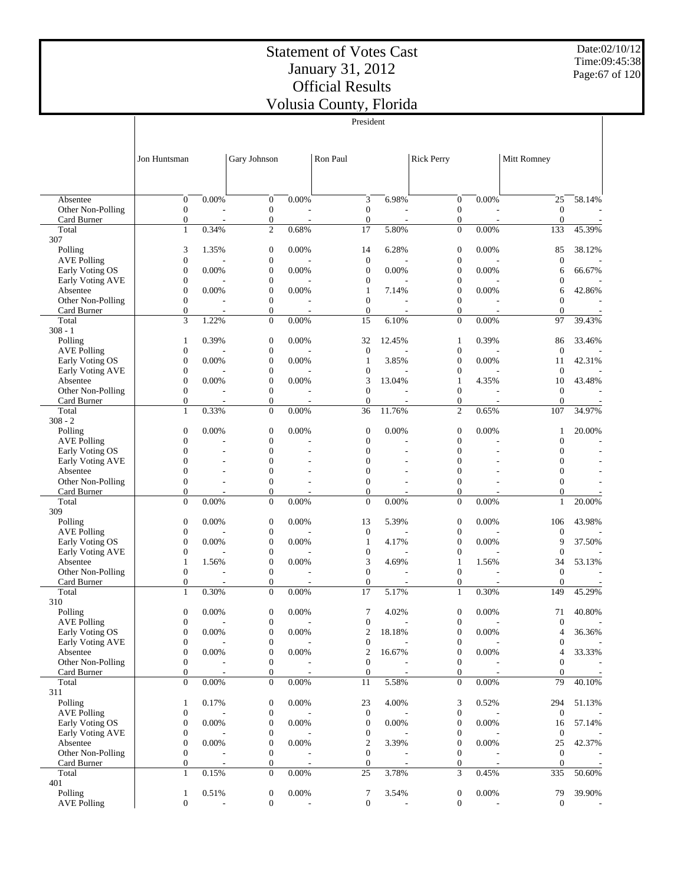President

Date:02/10/12 Time:09:45:38 Page:67 of 120

|                                       |                                      |                                |                                      |                                   | President                            |                                    |                                      |                                   |                                      |                          |
|---------------------------------------|--------------------------------------|--------------------------------|--------------------------------------|-----------------------------------|--------------------------------------|------------------------------------|--------------------------------------|-----------------------------------|--------------------------------------|--------------------------|
|                                       |                                      |                                |                                      |                                   |                                      |                                    |                                      |                                   |                                      |                          |
|                                       | Jon Huntsman                         |                                | Gary Johnson                         |                                   | Ron Paul                             |                                    | <b>Rick Perry</b>                    |                                   | Mitt Romney                          |                          |
|                                       |                                      |                                |                                      |                                   |                                      |                                    |                                      |                                   |                                      |                          |
|                                       |                                      |                                |                                      |                                   |                                      |                                    |                                      |                                   |                                      |                          |
| Absentee                              | $\boldsymbol{0}$                     | 0.00%                          | $\mathbf{0}$                         | 0.00%                             | 3                                    | 6.98%                              | $\boldsymbol{0}$                     | 0.00%                             | 25                                   | 58.14%                   |
| Other Non-Polling<br>Card Burner      | $\boldsymbol{0}$<br>$\boldsymbol{0}$ | J.<br>$\overline{\phantom{a}}$ | $\boldsymbol{0}$<br>$\boldsymbol{0}$ | $\overline{a}$                    | $\boldsymbol{0}$<br>$\boldsymbol{0}$ |                                    | $\boldsymbol{0}$<br>$\boldsymbol{0}$ | $\overline{a}$                    | $\mathbf{0}$<br>$\overline{0}$       |                          |
| Total                                 | $\mathbf{1}$                         | 0.34%                          | $\overline{c}$                       | 0.68%                             | 17                                   | 5.80%                              | $\mathbf{0}$                         | 0.00%                             | 133                                  | 45.39%                   |
| 307<br>Polling                        | 3                                    | 1.35%                          | $\mathbf{0}$                         | 0.00%                             | 14                                   | 6.28%                              | $\boldsymbol{0}$                     | 0.00%                             | 85                                   | 38.12%                   |
| <b>AVE Polling</b>                    | $\boldsymbol{0}$                     |                                | $\boldsymbol{0}$                     |                                   | $\mathbf{0}$                         |                                    | $\boldsymbol{0}$                     |                                   | $\mathbf{0}$                         |                          |
| Early Voting OS                       | $\boldsymbol{0}$                     | 0.00%                          | $\mathbf{0}$                         | 0.00%                             | $\mathbf{0}$                         | 0.00%                              | $\boldsymbol{0}$                     | 0.00%                             | 6                                    | 66.67%                   |
| Early Voting AVE<br>Absentee          | $\boldsymbol{0}$<br>$\boldsymbol{0}$ | 0.00%                          | $\boldsymbol{0}$<br>$\boldsymbol{0}$ | 0.00%                             | $\mathbf{0}$<br>$\mathbf{1}$         | 7.14%                              | $\overline{0}$<br>$\boldsymbol{0}$   | 0.00%                             | $\boldsymbol{0}$<br>6                | 42.86%                   |
| Other Non-Polling                     | $\boldsymbol{0}$                     |                                | $\boldsymbol{0}$                     |                                   | $\mathbf{0}$                         |                                    | $\boldsymbol{0}$                     |                                   | $\boldsymbol{0}$                     |                          |
| Card Burner                           | $\boldsymbol{0}$                     | $\overline{\phantom{a}}$       | $\boldsymbol{0}$                     |                                   | $\mathbf{0}$                         |                                    | $\mathbf{0}$                         |                                   | $\overline{0}$                       |                          |
| Total<br>$308 - 1$                    | 3                                    | 1.22%                          | $\boldsymbol{0}$                     | 0.00%                             | 15                                   | 6.10%                              | $\overline{0}$                       | 0.00%                             | 97                                   | 39.43%                   |
| Polling                               | 1                                    | 0.39%                          | $\boldsymbol{0}$                     | 0.00%                             | 32                                   | 12.45%                             | 1                                    | 0.39%                             | 86                                   | 33.46%                   |
| <b>AVE Polling</b>                    | $\boldsymbol{0}$                     |                                | $\boldsymbol{0}$                     |                                   | $\mathbf{0}$                         |                                    | $\boldsymbol{0}$                     |                                   | $\mathbf{0}$                         |                          |
| Early Voting OS<br>Early Voting AVE   | $\boldsymbol{0}$<br>$\boldsymbol{0}$ | 0.00%                          | $\boldsymbol{0}$<br>$\boldsymbol{0}$ | 0.00%                             | 1<br>$\boldsymbol{0}$                | 3.85%                              | $\overline{0}$<br>0                  | 0.00%                             | 11<br>$\mathbf{0}$                   | 42.31%                   |
| Absentee                              | $\boldsymbol{0}$                     | 0.00%                          | $\boldsymbol{0}$                     | 0.00%                             | 3                                    | 13.04%                             | 1                                    | 4.35%                             | 10                                   | 43.48%                   |
| Other Non-Polling                     | $\boldsymbol{0}$                     |                                | $\boldsymbol{0}$                     |                                   | $\mathbf{0}$                         |                                    | 0                                    |                                   | $\mathbf{0}$                         |                          |
| Card Burner<br>Total                  | $\boldsymbol{0}$<br>$\mathbf{1}$     | $\overline{a}$<br>0.33%        | $\boldsymbol{0}$<br>$\mathbf{0}$     | $\overline{\phantom{a}}$<br>0.00% | $\mathbf{0}$<br>36                   | $\overline{\phantom{a}}$<br>11.76% | $\mathbf{0}$<br>2                    | $\overline{\phantom{a}}$<br>0.65% | $\Omega$<br>107                      | 34.97%                   |
| $308 - 2$                             |                                      |                                |                                      |                                   |                                      |                                    |                                      |                                   |                                      |                          |
| Polling                               | $\boldsymbol{0}$                     | 0.00%                          | $\mathbf{0}$                         | 0.00%                             | $\boldsymbol{0}$                     | 0.00%                              | 0                                    | 0.00%                             | 1                                    | 20.00%                   |
| <b>AVE Polling</b><br>Early Voting OS | $\boldsymbol{0}$<br>$\overline{0}$   |                                | $\boldsymbol{0}$<br>$\boldsymbol{0}$ |                                   | $\mathbf{0}$<br>$\mathbf{0}$         |                                    | $\overline{0}$<br>$\overline{0}$     |                                   | $\boldsymbol{0}$<br>$\boldsymbol{0}$ |                          |
| Early Voting AVE                      | $\overline{0}$                       |                                | $\overline{0}$                       |                                   | $\overline{0}$                       |                                    | $\overline{0}$                       |                                   | $\overline{0}$                       |                          |
| Absentee                              | $\boldsymbol{0}$                     |                                | $\boldsymbol{0}$                     |                                   | $\overline{0}$                       |                                    | $\boldsymbol{0}$                     |                                   | $\boldsymbol{0}$                     |                          |
| Other Non-Polling<br>Card Burner      | $\boldsymbol{0}$<br>$\boldsymbol{0}$ |                                | $\overline{0}$<br>$\boldsymbol{0}$   |                                   | $\overline{0}$<br>$\overline{0}$     |                                    | $\overline{0}$<br>$\overline{0}$     |                                   | $\overline{0}$<br>$\overline{0}$     |                          |
| Total                                 | $\overline{0}$                       | 0.00%                          | $\boldsymbol{0}$                     | 0.00%                             | $\overline{0}$                       | 0.00%                              | $\overline{0}$                       | 0.00%                             | $\mathbf{1}$                         | 20.00%                   |
| 309                                   |                                      |                                |                                      |                                   |                                      |                                    |                                      |                                   |                                      |                          |
| Polling<br><b>AVE Polling</b>         | $\boldsymbol{0}$<br>$\boldsymbol{0}$ | 0.00%                          | $\boldsymbol{0}$<br>$\boldsymbol{0}$ | 0.00%                             | 13<br>$\mathbf{0}$                   | 5.39%                              | $\boldsymbol{0}$<br>0                | 0.00%                             | 106<br>$\mathbf{0}$                  | 43.98%                   |
| Early Voting OS                       | $\boldsymbol{0}$                     | 0.00%                          | $\boldsymbol{0}$                     | 0.00%                             | $\mathbf{1}$                         | 4.17%                              | $\overline{0}$                       | 0.00%                             | 9                                    | 37.50%                   |
| Early Voting AVE                      | $\boldsymbol{0}$                     |                                | $\boldsymbol{0}$                     |                                   | $\boldsymbol{0}$                     |                                    | 0                                    |                                   | $\mathbf{0}$                         |                          |
| Absentee<br>Other Non-Polling         | 1<br>$\boldsymbol{0}$                | 1.56%                          | $\boldsymbol{0}$<br>$\mathbf{0}$     | 0.00%                             | 3<br>$\mathbf{0}$                    | 4.69%                              | 1<br>$\boldsymbol{0}$                | 1.56%                             | 34                                   | 53.13%                   |
| Card Burner                           | $\boldsymbol{0}$                     | $\overline{a}$                 | $\boldsymbol{0}$                     | $\overline{\phantom{0}}$          | $\mathbf{0}$                         |                                    | $\overline{0}$                       |                                   | $\mathbf{0}$<br>$\mathbf{0}$         |                          |
| Total                                 | $\mathbf{1}$                         | 0.30%                          | $\mathbf{0}$                         | 0.00%                             | 17                                   | 5.17%                              | $\mathbf{1}$                         | 0.30%                             | 149                                  | 45.29%                   |
| 310                                   |                                      |                                |                                      |                                   |                                      |                                    | $\mathbf{0}$                         |                                   |                                      |                          |
| Polling<br><b>AVE Polling</b>         | $\boldsymbol{0}$<br>$\boldsymbol{0}$ | 0.00%                          | $\mathbf{0}$<br>$\boldsymbol{0}$     | 0.00%                             | 7<br>$\boldsymbol{0}$                | 4.02%                              | 0                                    | 0.00%                             | 71<br>0                              | 40.80%                   |
| Early Voting OS                       | $\boldsymbol{0}$                     | 0.00%                          | $\boldsymbol{0}$                     | 0.00%                             | $\mathbf{2}$                         | 18.18%                             | $\boldsymbol{0}$                     | 0.00%                             | 4                                    | 36.36%                   |
| Early Voting AVE                      | $\boldsymbol{0}$                     |                                | $\boldsymbol{0}$                     |                                   | $\mathbf{0}$                         |                                    | 0                                    |                                   | $\boldsymbol{0}$                     |                          |
| Absentee<br>Other Non-Polling         | $\boldsymbol{0}$<br>$\boldsymbol{0}$ | 0.00%                          | $\boldsymbol{0}$<br>$\boldsymbol{0}$ | 0.00%                             | $\mathfrak{2}$<br>$\boldsymbol{0}$   | 16.67%                             | $\boldsymbol{0}$<br>$\boldsymbol{0}$ | 0.00%                             | 4<br>$\boldsymbol{0}$                | 33.33%                   |
| Card Burner                           | $\boldsymbol{0}$                     |                                | $\mathbf{0}$                         |                                   | $\boldsymbol{0}$                     |                                    | $\boldsymbol{0}$                     |                                   | $\overline{0}$                       |                          |
| Total                                 | $\overline{0}$                       | 0.00%                          | $\boldsymbol{0}$                     | 0.00%                             | 11                                   | 5.58%                              | $\overline{0}$                       | 0.00%                             | 79                                   | 40.10%                   |
| 311<br>Polling                        | 1                                    | 0.17%                          | $\boldsymbol{0}$                     | 0.00%                             | 23                                   | 4.00%                              | 3                                    | 0.52%                             | 294                                  | 51.13%                   |
| <b>AVE Polling</b>                    | $\boldsymbol{0}$                     |                                | $\boldsymbol{0}$                     |                                   | $\mathbf{0}$                         |                                    | $\boldsymbol{0}$                     |                                   | $\mathbf{0}$                         |                          |
| Early Voting OS                       | $\boldsymbol{0}$                     | 0.00%                          | $\boldsymbol{0}$                     | 0.00%                             | $\mathbf{0}$                         | 0.00%                              | $\overline{0}$                       | 0.00%                             | 16                                   | 57.14%                   |
| Early Voting AVE<br>Absentee          | $\boldsymbol{0}$<br>$\boldsymbol{0}$ | 0.00%                          | $\boldsymbol{0}$<br>$\boldsymbol{0}$ | 0.00%                             | $\boldsymbol{0}$<br>$\boldsymbol{2}$ | 3.39%                              | 0<br>$\mathbf{0}$                    | 0.00%                             | $\boldsymbol{0}$<br>25               | 42.37%                   |
| Other Non-Polling                     | $\boldsymbol{0}$                     |                                | $\boldsymbol{0}$                     |                                   | $\mathbf{0}$                         |                                    | $\boldsymbol{0}$                     |                                   | $\mathbf{0}$                         |                          |
| Card Burner                           | $\boldsymbol{0}$                     | $\overline{\phantom{a}}$       | $\mathbf{0}$                         |                                   | $\mathbf{0}$                         | $\overline{\phantom{a}}$           | $\boldsymbol{0}$                     |                                   | $\mathbf{0}$                         |                          |
| Total<br>401                          | $\mathbf{1}$                         | 0.15%                          | $\mathbf{0}$                         | $0.00\%$                          | 25                                   | 3.78%                              | 3                                    | 0.45%                             | 335                                  | 50.60%                   |
| Polling                               | $\mathbf{1}$                         | 0.51%                          | $\boldsymbol{0}$                     | 0.00%                             | 7                                    | 3.54%                              | $\boldsymbol{0}$                     | 0.00%                             | 79                                   | 39.90%                   |
| <b>AVE Polling</b>                    | $\boldsymbol{0}$                     | $\overline{\phantom{a}}$       | $\mathbf{0}$                         | $\overline{a}$                    | $\mathbf{0}$                         | $\overline{\phantom{a}}$           | $\boldsymbol{0}$                     |                                   | $\boldsymbol{0}$                     | $\overline{\phantom{a}}$ |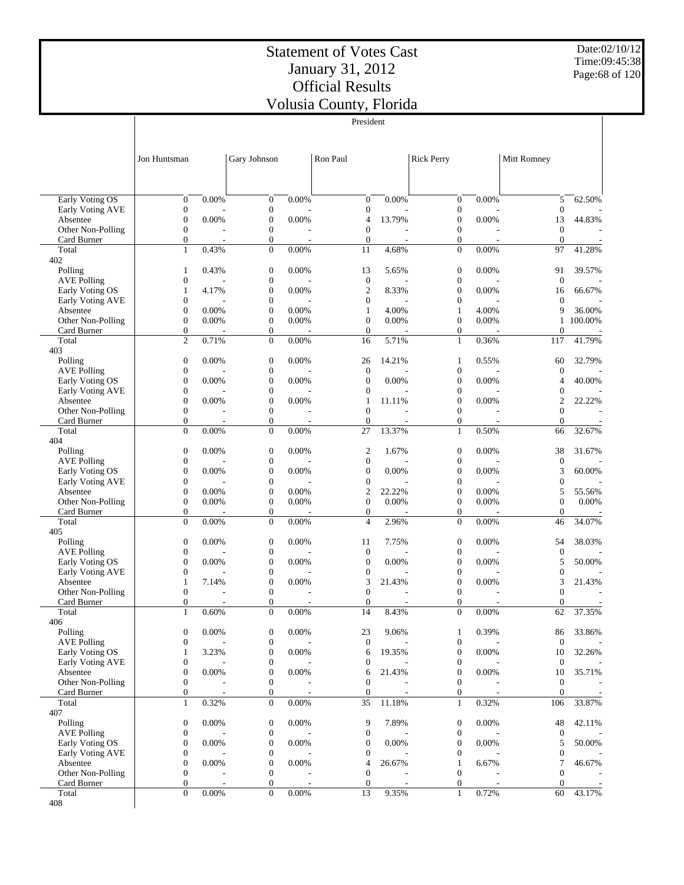Date:02/10/12 Time:09:45:38 Page:68 of 120

|                                     |                                      |          |                                      |          | President                          |        |                                    |       |                                  |         |
|-------------------------------------|--------------------------------------|----------|--------------------------------------|----------|------------------------------------|--------|------------------------------------|-------|----------------------------------|---------|
|                                     |                                      |          |                                      |          |                                    |        |                                    |       |                                  |         |
|                                     |                                      |          |                                      |          |                                    |        |                                    |       |                                  |         |
|                                     | Jon Huntsman                         |          | Gary Johnson                         |          | Ron Paul                           |        | <b>Rick Perry</b>                  |       | Mitt Romney                      |         |
|                                     |                                      |          |                                      |          |                                    |        |                                    |       |                                  |         |
|                                     |                                      |          |                                      |          |                                    |        |                                    |       |                                  |         |
| <b>Early Voting OS</b>              | $\boldsymbol{0}$                     | 0.00%    | $\mathbf{0}$                         | 0.00%    | $\mathbf{0}$                       | 0.00%  | $\mathbf{0}$                       | 0.00% | 5                                | 62.50%  |
| Early Voting AVE                    | $\boldsymbol{0}$                     |          | $\boldsymbol{0}$                     |          | $\boldsymbol{0}$                   |        | 0                                  |       | $\boldsymbol{0}$                 |         |
| Absentee                            | $\boldsymbol{0}$                     | 0.00%    | $\boldsymbol{0}$                     | 0.00%    | 4                                  | 13.79% | 0                                  | 0.00% | 13                               | 44.83%  |
| Other Non-Polling                   | $\boldsymbol{0}$                     |          | $\mathbf{0}$                         |          | $\mathbf{0}$                       |        | 0                                  |       | $\mathbf{0}$                     |         |
| Card Burner                         | $\boldsymbol{0}$                     |          | $\boldsymbol{0}$                     |          | $\mathbf{0}$                       |        | $\mathbf{0}$                       |       | $\overline{0}$                   |         |
| Total<br>402                        | $\mathbf{1}$                         | 0.43%    | $\mathbf{0}$                         | 0.00%    | 11                                 | 4.68%  | $\mathbf{0}$                       | 0.00% | 97                               | 41.28%  |
| Polling                             | $\mathbf{1}$                         | 0.43%    | $\mathbf{0}$                         | 0.00%    | 13                                 | 5.65%  | $\mathbf{0}$                       | 0.00% | 91                               | 39.57%  |
| <b>AVE Polling</b>                  | $\boldsymbol{0}$                     |          | $\boldsymbol{0}$                     |          | $\mathbf{0}$                       |        | $\boldsymbol{0}$                   |       | $\mathbf{0}$                     |         |
| Early Voting OS                     | $\mathbf{1}$                         | 4.17%    | $\boldsymbol{0}$                     | 0.00%    | $\mathbf{2}$                       | 8.33%  | $\overline{0}$                     | 0.00% | 16                               | 66.67%  |
| Early Voting AVE                    | $\boldsymbol{0}$                     |          | $\boldsymbol{0}$                     |          | $\theta$                           |        | 0                                  |       | $\theta$                         |         |
| Absentee                            | $\boldsymbol{0}$                     | 0.00%    | $\boldsymbol{0}$                     | 0.00%    | $\mathbf{1}$                       | 4.00%  | $\mathbf{1}$                       | 4.00% | 9                                | 36.00%  |
| Other Non-Polling                   | $\overline{0}$                       | 0.00%    | $\boldsymbol{0}$                     | 0.00%    | $\mathbf{0}$                       | 0.00%  | $\overline{0}$                     | 0.00% | $\mathbf{1}$                     | 100.00% |
| Card Burner<br>Total                | $\boldsymbol{0}$<br>$\overline{c}$   | 0.71%    | $\overline{0}$<br>$\mathbf{0}$       | 0.00%    | $\mathbf{0}$<br>16                 | 5.71%  | 0<br>$\mathbf{1}$                  | 0.36% | $\overline{0}$<br>117            | 41.79%  |
| 403                                 |                                      |          |                                      |          |                                    |        |                                    |       |                                  |         |
| Polling                             | $\boldsymbol{0}$                     | 0.00%    | $\mathbf{0}$                         | 0.00%    | 26                                 | 14.21% | 1                                  | 0.55% | 60                               | 32.79%  |
| <b>AVE Polling</b>                  | $\boldsymbol{0}$                     |          | $\boldsymbol{0}$                     |          | $\mathbf{0}$                       |        | $\boldsymbol{0}$                   |       | $\mathbf{0}$                     |         |
| Early Voting OS                     | $\boldsymbol{0}$                     | 0.00%    | $\boldsymbol{0}$                     | $0.00\%$ | $\overline{0}$                     | 0.00%  | $\overline{0}$                     | 0.00% | $\overline{4}$                   | 40.00%  |
| Early Voting AVE                    | $\boldsymbol{0}$                     |          | $\boldsymbol{0}$                     |          | $\boldsymbol{0}$                   |        | 0                                  |       | $\boldsymbol{0}$                 |         |
| Absentee                            | $\boldsymbol{0}$                     | 0.00%    | $\boldsymbol{0}$                     | 0.00%    | 1<br>$\theta$                      | 11.11% | 0<br>$\overline{0}$                | 0.00% | $\overline{2}$<br>$\overline{0}$ | 22.22%  |
| Other Non-Polling<br>Card Burner    | $\boldsymbol{0}$<br>$\boldsymbol{0}$ |          | $\boldsymbol{0}$<br>$\boldsymbol{0}$ |          | $\mathbf{0}$                       |        | 0                                  |       | $\overline{0}$                   |         |
| Total                               | $\overline{0}$                       | 0.00%    | $\mathbf{0}$                         | 0.00%    | 27                                 | 13.37% | $\mathbf{1}$                       | 0.50% | 66                               | 32.67%  |
| 404                                 |                                      |          |                                      |          |                                    |        |                                    |       |                                  |         |
| Polling                             | $\boldsymbol{0}$                     | 0.00%    | $\mathbf{0}$                         | 0.00%    | $\mathfrak{2}$                     | 1.67%  | $\boldsymbol{0}$                   | 0.00% | 38                               | 31.67%  |
| <b>AVE Polling</b>                  | $\boldsymbol{0}$                     |          | $\boldsymbol{0}$                     |          | $\mathbf{0}$                       |        | 0                                  |       | $\mathbf{0}$                     |         |
| Early Voting OS                     | $\boldsymbol{0}$                     | 0.00%    | $\boldsymbol{0}$                     | 0.00%    | $\mathbf{0}$                       | 0.00%  | $\overline{0}$                     | 0.00% | 3                                | 60.00%  |
| Early Voting AVE<br>Absentee        | $\boldsymbol{0}$<br>$\boldsymbol{0}$ | 0.00%    | $\boldsymbol{0}$<br>$\boldsymbol{0}$ | 0.00%    | $\boldsymbol{0}$<br>$\mathfrak{2}$ | 22.22% | $\overline{0}$<br>$\boldsymbol{0}$ | 0.00% | $\boldsymbol{0}$<br>5            | 55.56%  |
| Other Non-Polling                   | $\boldsymbol{0}$                     | 0.00%    | $\boldsymbol{0}$                     | 0.00%    | $\theta$                           | 0.00%  | $\boldsymbol{0}$                   | 0.00% | $\overline{0}$                   | 0.00%   |
| Card Burner                         | $\boldsymbol{0}$                     |          | $\boldsymbol{0}$                     |          | $\boldsymbol{0}$                   |        | 0                                  |       | $\overline{0}$                   |         |
| Total                               | $\mathbf{0}$                         | 0.00%    | $\mathbf{0}$                         | 0.00%    | 4                                  | 2.96%  | $\overline{0}$                     | 0.00% | 46                               | 34.07%  |
| 405                                 |                                      |          |                                      |          |                                    |        |                                    |       |                                  |         |
| Polling                             | $\boldsymbol{0}$                     | 0.00%    | $\mathbf{0}$                         | 0.00%    | 11                                 | 7.75%  | $\theta$                           | 0.00% | 54                               | 38.03%  |
| <b>AVE Polling</b>                  | $\boldsymbol{0}$                     |          | $\boldsymbol{0}$                     |          | $\mathbf{0}$                       |        | 0                                  |       | $\mathbf{0}$                     |         |
| Early Voting OS<br>Early Voting AVE | $\boldsymbol{0}$<br>$\boldsymbol{0}$ | $0.00\%$ | $\boldsymbol{0}$<br>0                | 0.00%    | $\theta$<br>$\boldsymbol{0}$       | 0.00%  | $\boldsymbol{0}$<br>0              | 0.00% | 5<br>$\boldsymbol{0}$            | 50.00%  |
| Absentee                            | 1                                    | 7.14%    | $\boldsymbol{0}$                     | 0.00%    | 3                                  | 21.43% | 0                                  | 0.00% | 3                                | 21.43%  |
| Other Non-Polling                   | $\boldsymbol{0}$                     |          | $\boldsymbol{0}$                     |          | $\boldsymbol{0}$                   |        | $\boldsymbol{0}$                   |       | $\overline{0}$                   |         |
| Card Burner                         | $\overline{0}$                       |          | $\overline{0}$                       |          | $\mathbf{0}$                       |        | $\overline{0}$                     |       | $\overline{0}$                   |         |
| Total                               | $\mathbf{1}$                         | 0.60%    | $\theta$                             | 0.00%    | 14                                 | 8.43%  | $\theta$                           | 0.00% | 62                               | 37.35%  |
| 406                                 |                                      |          |                                      |          |                                    |        |                                    |       |                                  |         |
| Polling<br><b>AVE Polling</b>       | $\boldsymbol{0}$<br>$\boldsymbol{0}$ | 0.00%    | $\boldsymbol{0}$<br>$\boldsymbol{0}$ | 0.00%    | 23<br>$\mathbf{0}$                 | 9.06%  | 1<br>0                             | 0.39% | 86<br>$\mathbf{0}$               | 33.86%  |
| Early Voting OS                     | $\mathbf{1}$                         | 3.23%    | $\boldsymbol{0}$                     | 0.00%    | 6                                  | 19.35% | 0                                  | 0.00% | 10                               | 32.26%  |
| Early Voting AVE                    | $\boldsymbol{0}$                     |          | $\boldsymbol{0}$                     |          | $\boldsymbol{0}$                   |        | 0                                  |       | $\mathbf{0}$                     |         |
| Absentee                            | $\boldsymbol{0}$                     | 0.00%    | $\boldsymbol{0}$                     | 0.00%    | 6                                  | 21.43% | 0                                  | 0.00% | 10                               | 35.71%  |
| Other Non-Polling                   | $\boldsymbol{0}$                     |          | $\boldsymbol{0}$                     |          | $\mathbf{0}$                       |        | 0                                  |       | $\overline{0}$                   |         |
| Card Burner                         | $\boldsymbol{0}$                     |          | $\boldsymbol{0}$                     |          | $\mathbf{0}$                       |        | 0                                  |       | $\overline{0}$                   |         |
| Total                               | $\mathbf{1}$                         | 0.32%    | $\mathbf{0}$                         | 0.00%    | 35                                 | 11.18% | $\mathbf{1}$                       | 0.32% | 106                              | 33.87%  |
| 407                                 |                                      |          |                                      |          |                                    |        |                                    |       |                                  |         |
| Polling<br><b>AVE Polling</b>       | $\boldsymbol{0}$<br>$\boldsymbol{0}$ | 0.00%    | $\boldsymbol{0}$<br>$\boldsymbol{0}$ | 0.00%    | 9<br>$\boldsymbol{0}$              | 7.89%  | $\mathbf{0}$<br>0                  | 0.00% | 48<br>$\boldsymbol{0}$           | 42.11%  |
| Early Voting OS                     | $\boldsymbol{0}$                     | 0.00%    | $\boldsymbol{0}$                     | 0.00%    | $\boldsymbol{0}$                   | 0.00%  | 0                                  | 0.00% | 5                                | 50.00%  |
| Early Voting AVE                    | $\boldsymbol{0}$                     |          | $\boldsymbol{0}$                     |          | $\boldsymbol{0}$                   |        | 0                                  |       | $\boldsymbol{0}$                 |         |
| Absentee                            | $\boldsymbol{0}$                     | 0.00%    | $\boldsymbol{0}$                     | 0.00%    | 4                                  | 26.67% | $\mathbf{1}$                       | 6.67% | 7                                | 46.67%  |
| Other Non-Polling                   | $\boldsymbol{0}$                     |          | $\boldsymbol{0}$                     |          | $\mathbf{0}$                       |        | $\overline{0}$                     |       | $\overline{0}$                   |         |
| Card Burner                         | $\boldsymbol{0}$                     |          | $\boldsymbol{0}$                     |          | $\mathbf{0}$                       |        | $\mathbf{0}$                       |       | $\theta$                         |         |
| Total<br>408                        | $\overline{0}$                       | 0.00%    | $\mathbf{0}$                         | 0.00%    | 13                                 | 9.35%  | $\mathbf{1}$                       | 0.72% | 60                               | 43.17%  |
|                                     |                                      |          |                                      |          |                                    |        |                                    |       |                                  |         |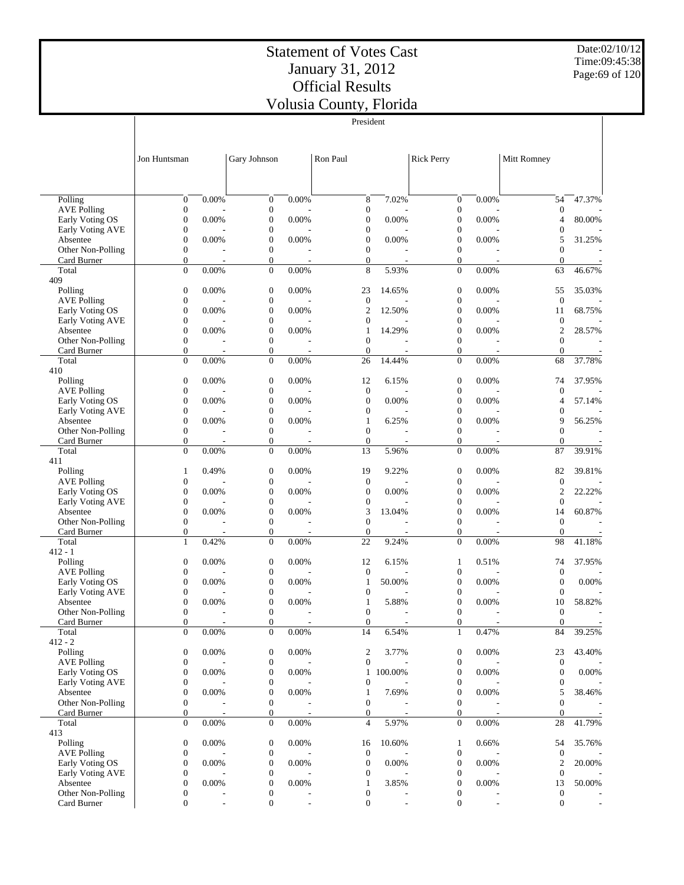Date:02/10/12 Time:09:45:38 Page:69 of 120

|                                       |                                      |                |                                      |                          | President                            |                          |                                      |                          |                                      |        |
|---------------------------------------|--------------------------------------|----------------|--------------------------------------|--------------------------|--------------------------------------|--------------------------|--------------------------------------|--------------------------|--------------------------------------|--------|
|                                       |                                      |                |                                      |                          |                                      |                          |                                      |                          |                                      |        |
|                                       |                                      |                |                                      |                          |                                      |                          |                                      |                          |                                      |        |
|                                       | Jon Huntsman                         |                | Gary Johnson                         |                          | Ron Paul                             |                          | <b>Rick Perry</b>                    |                          | Mitt Romney                          |        |
|                                       |                                      |                |                                      |                          |                                      |                          |                                      |                          |                                      |        |
|                                       |                                      |                |                                      |                          |                                      |                          |                                      |                          |                                      |        |
|                                       |                                      |                |                                      |                          |                                      |                          |                                      |                          |                                      |        |
| Polling                               | $\boldsymbol{0}$                     | 0.00%          | $\boldsymbol{0}$                     | 0.00%                    | 8                                    | 7.02%                    | $\boldsymbol{0}$                     | 0.00%                    | 54                                   | 47.37% |
| <b>AVE Polling</b>                    | $\boldsymbol{0}$                     |                | $\mathbf{0}$                         |                          | $\boldsymbol{0}$                     |                          | $\boldsymbol{0}$                     |                          | $\boldsymbol{0}$                     |        |
| Early Voting OS<br>Early Voting AVE   | $\boldsymbol{0}$<br>$\boldsymbol{0}$ | 0.00%          | $\boldsymbol{0}$<br>$\boldsymbol{0}$ | 0.00%                    | $\boldsymbol{0}$<br>$\mathbf{0}$     | 0.00%                    | $\boldsymbol{0}$<br>0                | 0.00%                    | 4<br>$\boldsymbol{0}$                | 80.00% |
| Absentee                              | $\boldsymbol{0}$                     | 0.00%          | $\boldsymbol{0}$                     | 0.00%                    | $\boldsymbol{0}$                     | 0.00%                    | $\boldsymbol{0}$                     | 0.00%                    | 5                                    | 31.25% |
| Other Non-Polling                     | $\boldsymbol{0}$                     |                | $\mathbf{0}$                         |                          | $\mathbf{0}$                         |                          | $\boldsymbol{0}$                     |                          | $\overline{0}$                       |        |
| Card Burner                           | $\boldsymbol{0}$                     |                | $\boldsymbol{0}$                     |                          | $\boldsymbol{0}$                     |                          | $\mathbf{0}$                         |                          | $\mathbf{0}$                         |        |
| Total                                 | $\overline{0}$                       | 0.00%          | $\mathbf{0}$                         | 0.00%                    | 8                                    | 5.93%                    | $\mathbf{0}$                         | 0.00%                    | 63                                   | 46.67% |
| 409                                   |                                      |                |                                      |                          |                                      |                          |                                      |                          |                                      |        |
| Polling                               | $\boldsymbol{0}$                     | 0.00%          | $\boldsymbol{0}$                     | 0.00%                    | 23                                   | 14.65%                   | $\boldsymbol{0}$                     | 0.00%                    | 55                                   | 35.03% |
| <b>AVE Polling</b><br>Early Voting OS | $\boldsymbol{0}$<br>$\boldsymbol{0}$ | 0.00%          | $\mathbf{0}$<br>$\boldsymbol{0}$     | 0.00%                    | $\mathbf{0}$<br>$\overline{c}$       | 12.50%                   | $\boldsymbol{0}$<br>$\overline{0}$   | 0.00%                    | $\mathbf{0}$<br>11                   | 68.75% |
| Early Voting AVE                      | $\boldsymbol{0}$                     |                | $\boldsymbol{0}$                     |                          | $\boldsymbol{0}$                     |                          | 0                                    |                          | $\mathbf{0}$                         |        |
| Absentee                              | $\boldsymbol{0}$                     | 0.00%          | $\boldsymbol{0}$                     | 0.00%                    | $\mathbf{1}$                         | 14.29%                   | $\overline{0}$                       | 0.00%                    | $\mathfrak{2}$                       | 28.57% |
| Other Non-Polling                     | $\boldsymbol{0}$                     |                | $\mathbf{0}$                         |                          | $\mathbf{0}$                         |                          | $\boldsymbol{0}$                     |                          | $\theta$                             |        |
| Card Burner                           | $\boldsymbol{0}$                     |                | $\boldsymbol{0}$                     | $\overline{\phantom{a}}$ | $\mathbf{0}$                         |                          | $\mathbf{0}$                         |                          | $\mathbf{0}$                         |        |
| Total                                 | $\boldsymbol{0}$                     | 0.00%          | $\mathbf{0}$                         | 0.00%                    | 26                                   | 14.44%                   | $\mathbf{0}$                         | 0.00%                    | 68                                   | 37.78% |
| 410                                   |                                      |                |                                      |                          |                                      |                          |                                      |                          |                                      | 37.95% |
| Polling<br><b>AVE Polling</b>         | $\boldsymbol{0}$<br>$\boldsymbol{0}$ | 0.00%          | $\boldsymbol{0}$<br>$\mathbf{0}$     | 0.00%                    | 12<br>$\mathbf{0}$                   | 6.15%                    | $\boldsymbol{0}$<br>$\boldsymbol{0}$ | 0.00%                    | 74<br>$\mathbf{0}$                   |        |
| Early Voting OS                       | $\boldsymbol{0}$                     | 0.00%          | $\boldsymbol{0}$                     | 0.00%                    | $\boldsymbol{0}$                     | 0.00%                    | $\boldsymbol{0}$                     | 0.00%                    | 4                                    | 57.14% |
| Early Voting AVE                      | $\boldsymbol{0}$                     |                | $\boldsymbol{0}$                     |                          | $\boldsymbol{0}$                     |                          | 0                                    |                          | $\boldsymbol{0}$                     |        |
| Absentee                              | $\boldsymbol{0}$                     | 0.00%          | $\boldsymbol{0}$                     | 0.00%                    | $\mathbf{1}$                         | 6.25%                    | $\boldsymbol{0}$                     | 0.00%                    | 9                                    | 56.25% |
| Other Non-Polling                     | $\boldsymbol{0}$                     |                | $\mathbf{0}$                         |                          | $\mathbf{0}$                         |                          | $\boldsymbol{0}$                     |                          | $\overline{0}$                       |        |
| Card Burner                           | $\boldsymbol{0}$                     |                | $\boldsymbol{0}$                     | $\overline{a}$           | $\mathbf{0}$                         |                          | $\mathbf{0}$                         |                          | $\mathbf{0}$                         |        |
| Total                                 | $\boldsymbol{0}$                     | 0.00%          | $\mathbf{0}$                         | 0.00%                    | 13                                   | 5.96%                    | $\mathbf{0}$                         | 0.00%                    | 87                                   | 39.91% |
| 411<br>Polling                        | $\mathbf{1}$                         | 0.49%          | $\mathbf{0}$                         | 0.00%                    | 19                                   | 9.22%                    | $\boldsymbol{0}$                     | 0.00%                    | 82                                   | 39.81% |
| <b>AVE Polling</b>                    | $\boldsymbol{0}$                     |                | $\mathbf{0}$                         |                          | $\mathbf{0}$                         |                          | $\boldsymbol{0}$                     |                          | $\mathbf{0}$                         |        |
| Early Voting OS                       | $\boldsymbol{0}$                     | 0.00%          | $\boldsymbol{0}$                     | 0.00%                    | $\boldsymbol{0}$                     | 0.00%                    | $\overline{0}$                       | 0.00%                    | 2                                    | 22.22% |
| Early Voting AVE                      | $\boldsymbol{0}$                     |                | $\boldsymbol{0}$                     |                          | $\boldsymbol{0}$                     |                          | 0                                    |                          | $\mathbf{0}$                         |        |
| Absentee                              | $\boldsymbol{0}$                     | 0.00%          | $\boldsymbol{0}$                     | 0.00%                    | 3                                    | 13.04%                   | $\overline{0}$                       | 0.00%                    | 14                                   | 60.87% |
| Other Non-Polling                     | $\boldsymbol{0}$                     |                | $\mathbf{0}$                         |                          | $\mathbf{0}$                         |                          | $\boldsymbol{0}$                     |                          | $\mathbf{0}$                         |        |
| Card Burner                           | $\boldsymbol{0}$                     | ٠              | $\boldsymbol{0}$                     | $\overline{a}$           | $\mathbf{0}$                         | $\overline{\phantom{a}}$ | $\mathbf{0}$                         | $\overline{\phantom{a}}$ | $\mathbf{0}$                         |        |
| Total<br>$412 - 1$                    | $\mathbf{1}$                         | 0.42%          | $\mathbf{0}$                         | 0.00%                    | 22                                   | 9.24%                    | $\mathbf{0}$                         | 0.00%                    | 98                                   | 41.18% |
| Polling                               | $\boldsymbol{0}$                     | 0.00%          | $\boldsymbol{0}$                     | 0.00%                    | 12                                   | 6.15%                    | 1                                    | 0.51%                    | 74                                   | 37.95% |
| <b>AVE Polling</b>                    | $\boldsymbol{0}$                     |                | $\boldsymbol{0}$                     |                          | $\boldsymbol{0}$                     |                          | 0                                    |                          | $\mathbf{0}$                         |        |
| Early Voting OS                       | $\boldsymbol{0}$                     | 0.00%          | $\boldsymbol{0}$                     | 0.00%                    | $\mathbf{1}$                         | 50.00%                   | 0                                    | 0.00%                    | $\mathbf{0}$                         | 0.00%  |
| Early Voting AVE                      | $\boldsymbol{0}$                     |                | $\boldsymbol{0}$                     |                          | $\boldsymbol{0}$                     |                          | 0                                    |                          | $\mathbf{0}$                         |        |
| Absentee                              | $\boldsymbol{0}$                     | 0.00%          | $\mathbf{0}$                         | 0.00%                    | $\mathbf{1}$                         | 5.88%                    | $\boldsymbol{0}$                     | 0.00%                    | 10                                   | 58.82% |
| Other Non-Polling                     | $\boldsymbol{0}$                     |                | $\boldsymbol{0}$                     |                          | 0                                    |                          | $\boldsymbol{0}$                     |                          | $\boldsymbol{0}$                     |        |
| Card Burner<br>Total                  | $\boldsymbol{0}$<br>$\overline{0}$   | 0.00%          | $\boldsymbol{0}$<br>$\mathbf{0}$     | 0.00%                    | $\boldsymbol{0}$<br>14               | 6.54%                    | $\boldsymbol{0}$<br>$\mathbf{1}$     | 0.47%                    | $\boldsymbol{0}$<br>84               | 39.25% |
| $412 - 2$                             |                                      |                |                                      |                          |                                      |                          |                                      |                          |                                      |        |
| Polling                               | $\boldsymbol{0}$                     | 0.00%          | $\boldsymbol{0}$                     | 0.00%                    | 2                                    | 3.77%                    | $\boldsymbol{0}$                     | 0.00%                    | 23                                   | 43.40% |
| <b>AVE Polling</b>                    | $\boldsymbol{0}$                     |                | $\boldsymbol{0}$                     |                          | $\boldsymbol{0}$                     |                          | $\boldsymbol{0}$                     |                          | $\mathbf{0}$                         |        |
| Early Voting OS                       | $\boldsymbol{0}$                     | 0.00%          | $\boldsymbol{0}$                     | 0.00%                    | $\mathbf{1}$                         | 100.00%                  | 0                                    | 0.00%                    | $\boldsymbol{0}$                     | 0.00%  |
| Early Voting AVE                      | $\boldsymbol{0}$                     |                | $\boldsymbol{0}$                     |                          | $\boldsymbol{0}$                     |                          | $\boldsymbol{0}$                     |                          | $\mathbf{0}$                         |        |
| Absentee                              | $\boldsymbol{0}$                     | 0.00%          | $\boldsymbol{0}$                     | 0.00%                    | $\mathbf{1}$                         | 7.69%                    | $\overline{0}$                       | 0.00%                    | 5                                    | 38.46% |
| Other Non-Polling<br>Card Burner      | $\boldsymbol{0}$<br>$\boldsymbol{0}$ | $\overline{a}$ | $\boldsymbol{0}$<br>$\boldsymbol{0}$ | $\overline{\phantom{a}}$ | $\boldsymbol{0}$<br>$\boldsymbol{0}$ |                          | $\boldsymbol{0}$<br>$\mathbf{0}$     |                          | $\boldsymbol{0}$<br>$\boldsymbol{0}$ |        |
| Total                                 | $\boldsymbol{0}$                     | 0.00%          | $\boldsymbol{0}$                     | 0.00%                    | $\overline{4}$                       | 5.97%                    | $\mathbf{0}$                         | 0.00%                    | 28                                   | 41.79% |
| 413                                   |                                      |                |                                      |                          |                                      |                          |                                      |                          |                                      |        |
| Polling                               | $\boldsymbol{0}$                     | 0.00%          | $\boldsymbol{0}$                     | 0.00%                    | 16                                   | 10.60%                   | 1                                    | 0.66%                    | 54                                   | 35.76% |
| <b>AVE Polling</b>                    | $\boldsymbol{0}$                     |                | $\boldsymbol{0}$                     |                          | $\boldsymbol{0}$                     |                          | $\boldsymbol{0}$                     |                          | $\boldsymbol{0}$                     |        |
| Early Voting OS                       | $\boldsymbol{0}$                     | 0.00%          | $\boldsymbol{0}$                     | 0.00%                    | $\boldsymbol{0}$                     | 0.00%                    | $\boldsymbol{0}$                     | 0.00%                    | $\overline{c}$                       | 20.00% |
| Early Voting AVE<br>Absentee          | $\boldsymbol{0}$                     | 0.00%          | $\boldsymbol{0}$                     | 0.00%                    | $\boldsymbol{0}$                     |                          | 0                                    | 0.00%                    | $\boldsymbol{0}$<br>13               |        |
| Other Non-Polling                     | $\boldsymbol{0}$<br>$\boldsymbol{0}$ |                | $\boldsymbol{0}$<br>$\boldsymbol{0}$ |                          | $\mathbf{1}$<br>0                    | 3.85%                    | $\boldsymbol{0}$<br>0                |                          | $\boldsymbol{0}$                     | 50.00% |
| Card Burner                           | $\boldsymbol{0}$                     |                | $\mathbf{0}$                         |                          | $\mathbf{0}$                         |                          | $\boldsymbol{0}$                     |                          | $\boldsymbol{0}$                     |        |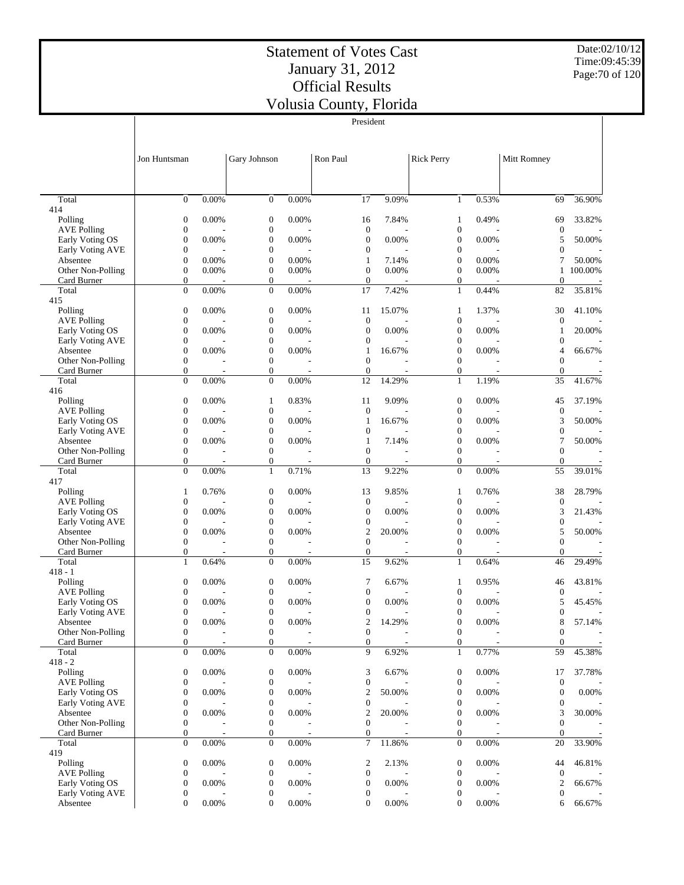President

Date:02/10/12 Time:09:45:39 Page:70 of 120

|                                     |                                      |                          |                                      |                | President                            |        |                                      |            |                                      |                |
|-------------------------------------|--------------------------------------|--------------------------|--------------------------------------|----------------|--------------------------------------|--------|--------------------------------------|------------|--------------------------------------|----------------|
|                                     |                                      |                          |                                      |                |                                      |        |                                      |            |                                      |                |
|                                     | Jon Huntsman                         |                          | Gary Johnson                         |                | Ron Paul                             |        | <b>Rick Perry</b>                    |            | Mitt Romney                          |                |
|                                     |                                      |                          |                                      |                |                                      |        |                                      |            |                                      |                |
|                                     |                                      |                          |                                      |                |                                      |        |                                      |            |                                      |                |
| Total                               | $\boldsymbol{0}$                     | 0.00%                    | $\mathbf{0}$                         | 0.00%          | 17                                   | 9.09%  | $\mathbf{1}$                         | 0.53%      | 69                                   | 36.90%         |
| 414<br>Polling                      | $\boldsymbol{0}$                     | 0.00%                    | $\mathbf{0}$                         | 0.00%          | 16                                   | 7.84%  | 1                                    | 0.49%      | 69                                   | 33.82%         |
| <b>AVE Polling</b>                  | $\boldsymbol{0}$                     |                          | $\boldsymbol{0}$                     |                | $\mathbf{0}$                         |        | $\boldsymbol{0}$                     |            | $\mathbf{0}$                         |                |
| Early Voting OS<br>Early Voting AVE | $\boldsymbol{0}$<br>$\boldsymbol{0}$ | 0.00%                    | $\boldsymbol{0}$<br>$\boldsymbol{0}$ | 0.00%          | $\mathbf{0}$<br>$\mathbf{0}$         | 0.00%  | $\mathbf{0}$<br>0                    | 0.00%      | 5<br>$\boldsymbol{0}$                | 50.00%         |
| Absentee                            | $\boldsymbol{0}$                     | 0.00%                    | $\boldsymbol{0}$                     | 0.00%          | $\mathbf{1}$                         | 7.14%  | $\overline{0}$                       | 0.00%      | 7                                    | 50.00%         |
| Other Non-Polling                   | $\boldsymbol{0}$                     | 0.00%                    | $\boldsymbol{0}$                     | 0.00%          | $\boldsymbol{0}$                     | 0.00%  | 0                                    | 0.00%      | $\mathbf{1}$                         | 100.00%        |
| Card Burner<br>Total                | $\boldsymbol{0}$<br>$\boldsymbol{0}$ | 0.00%                    | $\boldsymbol{0}$<br>$\mathbf{0}$     | 0.00%          | $\mathbf{0}$<br>17                   | 7.42%  | $\overline{0}$<br>$\mathbf{1}$       | ٠<br>0.44% | $\theta$<br>82                       | 35.81%         |
| 415                                 |                                      |                          |                                      |                |                                      |        |                                      |            |                                      |                |
| Polling<br><b>AVE Polling</b>       | $\boldsymbol{0}$<br>$\boldsymbol{0}$ | 0.00%                    | $\boldsymbol{0}$<br>$\boldsymbol{0}$ | 0.00%          | 11<br>$\mathbf{0}$                   | 15.07% | 1<br>$\boldsymbol{0}$                | 1.37%      | 30                                   | 41.10%         |
| Early Voting OS                     | $\boldsymbol{0}$                     | 0.00%                    | $\boldsymbol{0}$                     | 0.00%          | $\mathbf{0}$                         | 0.00%  | $\boldsymbol{0}$                     | 0.00%      | $\mathbf{0}$<br>1                    | 20.00%         |
| Early Voting AVE                    | $\boldsymbol{0}$                     |                          | $\boldsymbol{0}$                     |                | $\boldsymbol{0}$                     |        | 0                                    |            | $\boldsymbol{0}$                     |                |
| Absentee                            | $\boldsymbol{0}$<br>$\boldsymbol{0}$ | 0.00%                    | $\boldsymbol{0}$<br>$\boldsymbol{0}$ | 0.00%          | $\mathbf{1}$<br>$\mathbf{0}$         | 16.67% | $\boldsymbol{0}$<br>$\boldsymbol{0}$ | 0.00%      | 4<br>$\boldsymbol{0}$                | 66.67%         |
| Other Non-Polling<br>Card Burner    | $\boldsymbol{0}$                     |                          | $\mathbf{0}$                         |                | $\boldsymbol{0}$                     |        | $\boldsymbol{0}$                     |            | $\overline{0}$                       |                |
| Total                               | $\overline{0}$                       | 0.00%                    | $\boldsymbol{0}$                     | 0.00%          | 12                                   | 14.29% | $\mathbf{1}$                         | 1.19%      | 35                                   | 41.67%         |
| 416<br>Polling                      | $\boldsymbol{0}$                     | 0.00%                    | $\mathbf{1}$                         | 0.83%          | 11                                   | 9.09%  | $\boldsymbol{0}$                     | 0.00%      | 45                                   | 37.19%         |
| <b>AVE Polling</b>                  | $\boldsymbol{0}$                     |                          | $\mathbf{0}$                         |                | $\mathbf{0}$                         |        | 0                                    |            | $\mathbf{0}$                         |                |
| Early Voting OS                     | $\boldsymbol{0}$                     | 0.00%                    | $\boldsymbol{0}$                     | 0.00%          | $\mathbf{1}$                         | 16.67% | $\overline{0}$                       | 0.00%      | 3                                    | 50.00%         |
| Early Voting AVE<br>Absentee        | $\boldsymbol{0}$<br>$\boldsymbol{0}$ | 0.00%                    | $\boldsymbol{0}$<br>$\boldsymbol{0}$ | 0.00%          | $\mathbf{0}$<br>$\mathbf{1}$         | 7.14%  | 0<br>$\overline{0}$                  | 0.00%      | $\boldsymbol{0}$<br>7                | 50.00%         |
| Other Non-Polling                   | $\boldsymbol{0}$                     |                          | $\mathbf{0}$                         |                | $\mathbf{0}$                         |        | $\boldsymbol{0}$                     |            | $\boldsymbol{0}$                     |                |
| Card Burner                         | $\boldsymbol{0}$                     |                          | $\boldsymbol{0}$                     |                | $\mathbf{0}$                         |        | $\overline{0}$                       |            | $\overline{0}$                       |                |
| Total<br>417                        | $\overline{0}$                       | 0.00%                    | $\mathbf{1}$                         | 0.71%          | 13                                   | 9.22%  | $\overline{0}$                       | 0.00%      | 55                                   | 39.01%         |
| Polling                             | 1                                    | 0.76%                    | $\mathbf{0}$                         | 0.00%          | 13                                   | 9.85%  | 1                                    | 0.76%      | 38                                   | 28.79%         |
| <b>AVE Polling</b>                  | $\boldsymbol{0}$                     |                          | $\boldsymbol{0}$                     |                | $\boldsymbol{0}$                     |        | $\boldsymbol{0}$                     |            | $\mathbf{0}$                         |                |
| Early Voting OS<br>Early Voting AVE | $\boldsymbol{0}$<br>$\boldsymbol{0}$ | 0.00%                    | $\boldsymbol{0}$<br>$\boldsymbol{0}$ | 0.00%          | $\mathbf{0}$<br>$\boldsymbol{0}$     | 0.00%  | $\boldsymbol{0}$<br>$\boldsymbol{0}$ | 0.00%      | 3<br>$\boldsymbol{0}$                | 21.43%         |
| Absentee                            | $\boldsymbol{0}$                     | 0.00%                    | $\boldsymbol{0}$                     | 0.00%          | $\mathbf{2}$                         | 20.00% | $\boldsymbol{0}$                     | 0.00%      | 5                                    | 50.00%         |
| Other Non-Polling                   | $\boldsymbol{0}$                     |                          | $\boldsymbol{0}$                     |                | $\boldsymbol{0}$                     |        | $\boldsymbol{0}$                     |            | $\boldsymbol{0}$                     |                |
| Card Burner<br>Total                | $\boldsymbol{0}$<br>$\mathbf{1}$     | 0.64%                    | $\boldsymbol{0}$<br>$\boldsymbol{0}$ | 0.00%          | $\boldsymbol{0}$<br>15               | 9.62%  | $\boldsymbol{0}$<br>1                | 0.64%      | $\overline{0}$<br>46                 | 29.49%         |
| $418 - 1$                           |                                      |                          |                                      |                |                                      |        |                                      |            |                                      |                |
| Polling<br><b>AVE Polling</b>       | $\boldsymbol{0}$<br>$\boldsymbol{0}$ | 0.00%                    | $\mathbf{0}$<br>$\boldsymbol{0}$     | 0.00%          | 7<br>$\mathbf{0}$                    | 6.67%  | 1<br>$\boldsymbol{0}$                | 0.95%      | 46<br>$\mathbf{0}$                   | 43.81%         |
| Early Voting OS                     | $\boldsymbol{0}$                     | 0.00%                    | $\boldsymbol{0}$                     | 0.00%          | $\boldsymbol{0}$                     | 0.00%  | $\mathbf{0}$                         | 0.00%      | 5                                    | 45.45%         |
| Early Voting AVE                    | $\boldsymbol{0}$                     | $\overline{\phantom{a}}$ | $\mathbf{0}$                         | $\overline{a}$ | $\mathbf{0}$                         |        | $\mathbf{0}$                         | ٠          | $\overline{0}$                       | $\overline{a}$ |
| Absentee<br>Other Non-Polling       | $\boldsymbol{0}$<br>$\boldsymbol{0}$ | 0.00%                    | $\boldsymbol{0}$<br>$\boldsymbol{0}$ | 0.00%          | $\mathbf{c}$<br>$\boldsymbol{0}$     | 14.29% | $\boldsymbol{0}$<br>$\boldsymbol{0}$ | 0.00%      | 8<br>$\mathbf{0}$                    | 57.14%         |
| Card Burner                         | $\boldsymbol{0}$                     |                          | $\boldsymbol{0}$                     |                | $\mathbf{0}$                         |        | $\boldsymbol{0}$                     |            | $\theta$                             |                |
| Total                               | $\overline{0}$                       | 0.00%                    | $\mathbf{0}$                         | $0.00\%$       | 9                                    | 6.92%  | $\mathbf{1}$                         | 0.77%      | 59                                   | 45.38%         |
| $418 - 2$<br>Polling                | $\boldsymbol{0}$                     | 0.00%                    | $\boldsymbol{0}$                     | 0.00%          | 3                                    | 6.67%  | $\boldsymbol{0}$                     | 0.00%      | 17                                   | 37.78%         |
| <b>AVE Polling</b>                  | $\boldsymbol{0}$                     |                          | $\boldsymbol{0}$                     |                | $\boldsymbol{0}$                     |        | $\boldsymbol{0}$                     |            | $\boldsymbol{0}$                     |                |
| Early Voting OS                     | $\boldsymbol{0}$                     | 0.00%                    | $\boldsymbol{0}$                     | 0.00%          | $\overline{c}$                       | 50.00% | $\boldsymbol{0}$                     | 0.00%      | $\boldsymbol{0}$                     | 0.00%          |
| Early Voting AVE<br>Absentee        | $\boldsymbol{0}$<br>$\boldsymbol{0}$ | 0.00%                    | $\boldsymbol{0}$<br>$\boldsymbol{0}$ | 0.00%          | $\boldsymbol{0}$<br>$\mathfrak{2}$   | 20.00% | 0<br>$\boldsymbol{0}$                | 0.00%      | 0<br>3                               | 30.00%         |
| Other Non-Polling                   | $\boldsymbol{0}$                     |                          | $\boldsymbol{0}$                     |                | $\boldsymbol{0}$                     |        | 0                                    |            | $\boldsymbol{0}$                     |                |
| Card Burner                         | $\boldsymbol{0}$                     | $\overline{\phantom{a}}$ | $\mathbf{0}$                         | $\overline{a}$ | $\mathbf{0}$                         |        | $\boldsymbol{0}$                     |            | $\mathbf{0}$                         |                |
| Total<br>419                        | $\boldsymbol{0}$                     | 0.00%                    | $\mathbf{0}$                         | 0.00%          | 7                                    | 11.86% | $\overline{0}$                       | 0.00%      | 20                                   | 33.90%         |
| Polling                             | $\boldsymbol{0}$                     | 0.00%                    | $\boldsymbol{0}$                     | 0.00%          | $\boldsymbol{2}$                     | 2.13%  | $\boldsymbol{0}$                     | 0.00%      | 44                                   | 46.81%         |
| <b>AVE Polling</b>                  | $\boldsymbol{0}$                     |                          | $\boldsymbol{0}$                     |                | $\boldsymbol{0}$                     |        | $\boldsymbol{0}$                     |            | $\boldsymbol{0}$                     |                |
| Early Voting OS<br>Early Voting AVE | $\boldsymbol{0}$<br>$\boldsymbol{0}$ | 0.00%                    | $\boldsymbol{0}$<br>$\boldsymbol{0}$ | 0.00%          | $\boldsymbol{0}$<br>$\boldsymbol{0}$ | 0.00%  | $\boldsymbol{0}$<br>0                | 0.00%      | $\boldsymbol{2}$<br>$\boldsymbol{0}$ | 66.67%         |
| Absentee                            | $\boldsymbol{0}$                     | 0.00%                    | $\boldsymbol{0}$                     | 0.00%          | $\mathbf{0}$                         | 0.00%  | $\overline{0}$                       | 0.00%      | 6                                    | 66.67%         |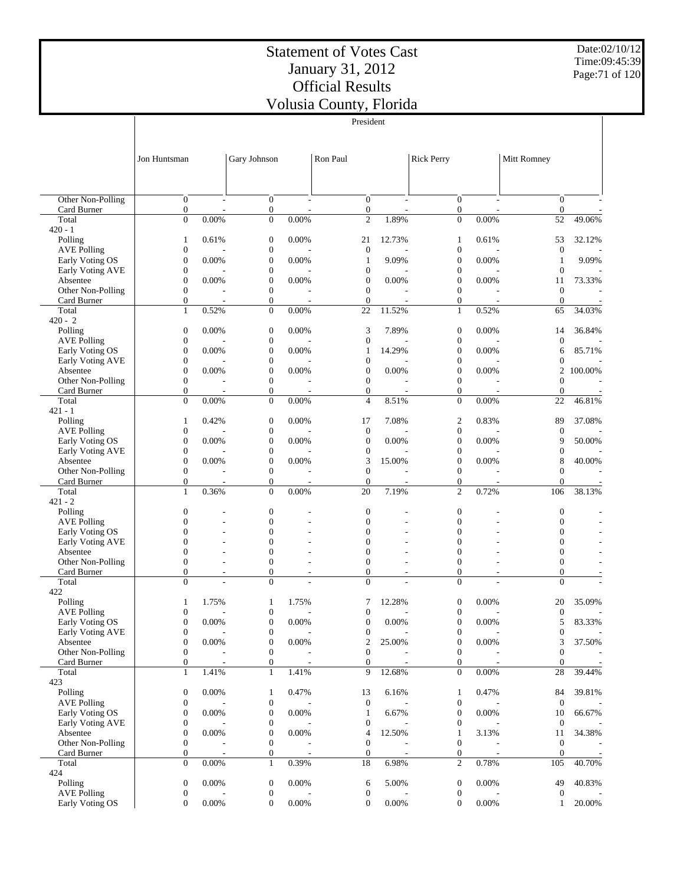Date:02/10/12 Time:09:45:39 Page:71 of 120

|                                     | President                            |                          |                                      |                |                                      |                          |                                      |                          |                                      |         |  |
|-------------------------------------|--------------------------------------|--------------------------|--------------------------------------|----------------|--------------------------------------|--------------------------|--------------------------------------|--------------------------|--------------------------------------|---------|--|
|                                     |                                      |                          |                                      |                |                                      |                          |                                      |                          |                                      |         |  |
|                                     |                                      |                          |                                      |                |                                      |                          |                                      |                          |                                      |         |  |
|                                     | Jon Huntsman                         |                          | Gary Johnson                         |                | Ron Paul                             |                          | <b>Rick Perry</b>                    |                          | Mitt Romney                          |         |  |
|                                     |                                      |                          |                                      |                |                                      |                          |                                      |                          |                                      |         |  |
|                                     |                                      |                          |                                      |                |                                      |                          |                                      |                          |                                      |         |  |
| Other Non-Polling                   | $\overline{0}$                       |                          | $\mathbf{0}$                         |                | $\mathbf{0}$                         | ÷,                       | $\mathbf{0}$                         | ÷,                       | $\theta$                             |         |  |
| Card Burner                         | $\boldsymbol{0}$                     |                          | $\boldsymbol{0}$                     |                | $\mathbf{0}$                         |                          | $\boldsymbol{0}$                     |                          | $\boldsymbol{0}$                     |         |  |
| Total                               | $\overline{0}$                       | 0.00%                    | $\mathbf{0}$                         | 0.00%          | $\mathfrak{2}$                       | 1.89%                    | $\mathbf{0}$                         | 0.00%                    | 52                                   | 49.06%  |  |
| $420 - 1$                           |                                      |                          |                                      |                |                                      |                          |                                      |                          |                                      |         |  |
| Polling<br><b>AVE Polling</b>       | 1<br>$\boldsymbol{0}$                | 0.61%                    | $\boldsymbol{0}$<br>$\boldsymbol{0}$ | 0.00%          | 21<br>$\boldsymbol{0}$               | 12.73%                   | 1<br>$\boldsymbol{0}$                | 0.61%                    | 53<br>$\mathbf{0}$                   | 32.12%  |  |
| Early Voting OS                     | $\boldsymbol{0}$                     | 0.00%                    | $\mathbf{0}$                         | 0.00%          | 1                                    | 9.09%                    | $\boldsymbol{0}$                     | 0.00%                    | $\mathbf{1}$                         | 9.09%   |  |
| Early Voting AVE                    | $\boldsymbol{0}$                     |                          | $\boldsymbol{0}$                     |                | $\boldsymbol{0}$                     |                          | $\boldsymbol{0}$                     |                          | $\boldsymbol{0}$                     |         |  |
| Absentee                            | $\boldsymbol{0}$                     | 0.00%                    | $\boldsymbol{0}$                     | 0.00%          | $\boldsymbol{0}$                     | 0.00%                    | $\boldsymbol{0}$                     | 0.00%                    | 11                                   | 73.33%  |  |
| Other Non-Polling<br>Card Burner    | $\boldsymbol{0}$<br>$\mathbf{0}$     |                          | $\boldsymbol{0}$<br>$\boldsymbol{0}$ |                | $\mathbf{0}$<br>$\mathbf{0}$         |                          | $\mathbf{0}$<br>$\mathbf{0}$         |                          | $\mathbf{0}$<br>$\theta$             |         |  |
| Total                               | $\mathbf{1}$                         | 0.52%                    | $\boldsymbol{0}$                     | 0.00%          | 22                                   | 11.52%                   | $\mathbf{1}$                         | 0.52%                    | 65                                   | 34.03%  |  |
| $420 - 2$                           |                                      |                          |                                      |                |                                      |                          |                                      |                          |                                      |         |  |
| Polling                             | $\boldsymbol{0}$                     | 0.00%                    | $\mathbf{0}$                         | $0.00\%$       | 3                                    | 7.89%                    | $\boldsymbol{0}$                     | 0.00%                    | 14                                   | 36.84%  |  |
| <b>AVE Polling</b>                  | $\boldsymbol{0}$                     |                          | $\boldsymbol{0}$                     |                | $\boldsymbol{0}$                     |                          | $\boldsymbol{0}$                     |                          | $\boldsymbol{0}$                     |         |  |
| Early Voting OS<br>Early Voting AVE | $\boldsymbol{0}$<br>$\boldsymbol{0}$ | 0.00%                    | $\overline{0}$<br>$\boldsymbol{0}$   | 0.00%          | 1<br>$\boldsymbol{0}$                | 14.29%                   | $\mathbf{0}$<br>$\boldsymbol{0}$     | 0.00%                    | 6<br>$\overline{0}$                  | 85.71%  |  |
| Absentee                            | $\boldsymbol{0}$                     | 0.00%                    | $\boldsymbol{0}$                     | 0.00%          | $\mathbf{0}$                         | 0.00%                    | $\mathbf{0}$                         | 0.00%                    | 2                                    | 100.00% |  |
| Other Non-Polling                   | $\boldsymbol{0}$                     |                          | $\boldsymbol{0}$                     |                | $\mathbf{0}$                         |                          | $\mathbf{0}$                         |                          | $\overline{0}$                       |         |  |
| Card Burner                         | $\mathbf{0}$                         |                          | $\boldsymbol{0}$                     | ٠              | $\mathbf{0}$                         |                          | $\mathbf{0}$                         |                          | $\boldsymbol{0}$                     |         |  |
| Total<br>$421 - 1$                  | $\mathbf{0}$                         | 0.00%                    | $\mathbf{0}$                         | 0.00%          | $\overline{4}$                       | 8.51%                    | $\mathbf{0}$                         | 0.00%                    | 22                                   | 46.81%  |  |
| Polling                             | 1                                    | 0.42%                    | $\boldsymbol{0}$                     | 0.00%          | 17                                   | 7.08%                    | 2                                    | 0.83%                    | 89                                   | 37.08%  |  |
| <b>AVE Polling</b>                  | $\boldsymbol{0}$                     |                          | $\boldsymbol{0}$                     |                | $\mathbf{0}$                         |                          | $\boldsymbol{0}$                     |                          | $\mathbf{0}$                         |         |  |
| Early Voting OS                     | $\boldsymbol{0}$                     | 0.00%                    | $\mathbf{0}$                         | 0.00%          | $\boldsymbol{0}$                     | 0.00%                    | $\boldsymbol{0}$                     | 0.00%                    | 9                                    | 50.00%  |  |
| Early Voting AVE                    | $\boldsymbol{0}$                     |                          | $\boldsymbol{0}$                     |                | $\boldsymbol{0}$                     |                          | $\boldsymbol{0}$                     |                          | $\boldsymbol{0}$                     |         |  |
| Absentee<br>Other Non-Polling       | $\boldsymbol{0}$<br>$\boldsymbol{0}$ | 0.00%                    | $\boldsymbol{0}$<br>$\boldsymbol{0}$ | 0.00%          | 3<br>$\mathbf{0}$                    | 15.00%                   | $\boldsymbol{0}$<br>$\mathbf{0}$     | 0.00%                    | 8<br>$\overline{0}$                  | 40.00%  |  |
| Card Burner                         | $\mathbf{0}$                         | $\overline{\phantom{a}}$ | $\boldsymbol{0}$                     |                | $\mathbf{0}$                         |                          | $\boldsymbol{0}$                     |                          | $\mathbf{0}$                         |         |  |
| Total                               | $\mathbf{1}$                         | 0.36%                    | $\overline{0}$                       | 0.00%          | 20                                   | 7.19%                    | $\overline{2}$                       | 0.72%                    | 106                                  | 38.13%  |  |
| $421 - 2$                           |                                      |                          |                                      |                |                                      |                          |                                      |                          |                                      |         |  |
| Polling<br><b>AVE Polling</b>       | $\boldsymbol{0}$<br>$\mathbf{0}$     |                          | $\mathbf{0}$<br>$\overline{0}$       |                | $\boldsymbol{0}$<br>$\mathbf{0}$     |                          | $\boldsymbol{0}$<br>$\boldsymbol{0}$ |                          | $\boldsymbol{0}$<br>$\boldsymbol{0}$ |         |  |
| Early Voting OS                     | $\overline{0}$                       |                          | $\overline{0}$                       |                | $\mathbf{0}$                         |                          | $\mathbf{0}$                         |                          | $\mathbf{0}$                         |         |  |
| Early Voting AVE                    | $\mathbf{0}$                         |                          | $\overline{0}$                       |                | $\mathbf{0}$                         |                          | $\mathbf{0}$                         |                          | $\overline{0}$                       |         |  |
| Absentee                            | $\overline{0}$                       |                          | $\overline{0}$                       |                | $\mathbf{0}$                         |                          | $\mathbf{0}$                         |                          | $\overline{0}$                       |         |  |
| Other Non-Polling<br>Card Burner    | $\mathbf{0}$<br>$\mathbf{0}$         |                          | $\overline{0}$<br>$\overline{0}$     | ÷,             | $\mathbf{0}$<br>$\mathbf{0}$         |                          | $\boldsymbol{0}$<br>$\mathbf{0}$     | ä,                       | $\mathbf{0}$<br>$\overline{0}$       |         |  |
| Total                               | $\mathbf{0}$                         |                          | $\overline{0}$                       |                | $\mathbf{0}$                         | $\overline{a}$           | $\mathbf{0}$                         | $\overline{a}$           | $\overline{0}$                       |         |  |
| 422                                 |                                      |                          |                                      |                |                                      |                          |                                      |                          |                                      |         |  |
| Polling                             | 1                                    | 1.75%                    | 1                                    | 1.75%          | 7                                    | 12.28%                   | $\boldsymbol{0}$                     | 0.00%                    | 20                                   | 35.09%  |  |
| <b>AVE Polling</b>                  | $\boldsymbol{0}$                     |                          | $\Omega$                             |                | $\boldsymbol{0}$                     |                          | $\boldsymbol{0}$                     |                          | $\boldsymbol{0}$                     |         |  |
| Early Voting OS<br>Early Voting AVE | $\boldsymbol{0}$<br>$\boldsymbol{0}$ | $0.00\%$                 | $\boldsymbol{0}$<br>$\boldsymbol{0}$ | $0.00\%$       | $\boldsymbol{0}$<br>$\boldsymbol{0}$ | 0.00%                    | $\boldsymbol{0}$<br>$\boldsymbol{0}$ | 0.00%                    | 5<br>$\boldsymbol{0}$                | 83.33%  |  |
| Absentee                            | $\boldsymbol{0}$                     | 0.00%                    | $\boldsymbol{0}$                     | 0.00%          | $\boldsymbol{2}$                     | 25.00%                   | $\boldsymbol{0}$                     | 0.00%                    | 3                                    | 37.50%  |  |
| Other Non-Polling                   | $\boldsymbol{0}$                     |                          | $\boldsymbol{0}$                     |                | $\boldsymbol{0}$                     |                          | $\boldsymbol{0}$                     |                          | $\boldsymbol{0}$                     |         |  |
| Card Burner                         | $\boldsymbol{0}$                     | $\overline{a}$           | $\boldsymbol{0}$                     | $\overline{a}$ | $\mathbf{0}$                         | $\overline{\phantom{a}}$ | $\mathbf{0}$                         | $\overline{\phantom{a}}$ | $\boldsymbol{0}$                     |         |  |
| Total<br>423                        | $\mathbf{1}$                         | 1.41%                    | $\mathbf{1}$                         | 1.41%          | 9                                    | 12.68%                   | $\boldsymbol{0}$                     | 0.00%                    | 28                                   | 39.44%  |  |
| Polling                             | $\boldsymbol{0}$                     | 0.00%                    | 1                                    | 0.47%          | 13                                   | 6.16%                    | $\mathbf{1}$                         | 0.47%                    | 84                                   | 39.81%  |  |
| <b>AVE Polling</b>                  | $\boldsymbol{0}$                     |                          | $\boldsymbol{0}$                     |                | $\boldsymbol{0}$                     |                          | $\boldsymbol{0}$                     |                          | $\mathbf{0}$                         |         |  |
| Early Voting OS                     | $\boldsymbol{0}$                     | 0.00%                    | $\boldsymbol{0}$                     | 0.00%          | $\mathbf{1}$                         | 6.67%                    | $\boldsymbol{0}$                     | 0.00%                    | 10                                   | 66.67%  |  |
| Early Voting AVE                    | $\boldsymbol{0}$                     |                          | $\boldsymbol{0}$                     |                | 0                                    |                          | $\boldsymbol{0}$                     |                          | $\mathbf{0}$                         |         |  |
| Absentee<br>Other Non-Polling       | $\boldsymbol{0}$<br>$\boldsymbol{0}$ | 0.00%                    | $\boldsymbol{0}$<br>$\boldsymbol{0}$ | 0.00%          | 4<br>$\mathbf{0}$                    | 12.50%                   | 1<br>$\boldsymbol{0}$                | 3.13%                    | 11<br>$\mathbf{0}$                   | 34.38%  |  |
| Card Burner                         | $\boldsymbol{0}$                     |                          | $\boldsymbol{0}$                     | Ĭ.             | $\mathbf{0}$                         | $\overline{\phantom{a}}$ | $\boldsymbol{0}$                     | $\overline{\phantom{a}}$ | $\boldsymbol{0}$                     |         |  |
| Total                               | $\mathbf{0}$                         | 0.00%                    | $\mathbf{1}$                         | 0.39%          | 18                                   | 6.98%                    | $\mathfrak{2}$                       | 0.78%                    | 105                                  | 40.70%  |  |
| 424                                 |                                      |                          |                                      |                |                                      |                          |                                      |                          |                                      |         |  |
| Polling<br><b>AVE Polling</b>       | $\boldsymbol{0}$<br>$\boldsymbol{0}$ | 0.00%                    | $\boldsymbol{0}$<br>$\boldsymbol{0}$ | 0.00%          | 6<br>0                               | 5.00%                    | $\boldsymbol{0}$<br>$\boldsymbol{0}$ | 0.00%                    | 49<br>$\boldsymbol{0}$               | 40.83%  |  |
| Early Voting OS                     | $\boldsymbol{0}$                     | 0.00%                    | $\boldsymbol{0}$                     | 0.00%          | $\mathbf{0}$                         | 0.00%                    | $\boldsymbol{0}$                     | $0.00\%$                 | $\mathbf{1}$                         | 20.00%  |  |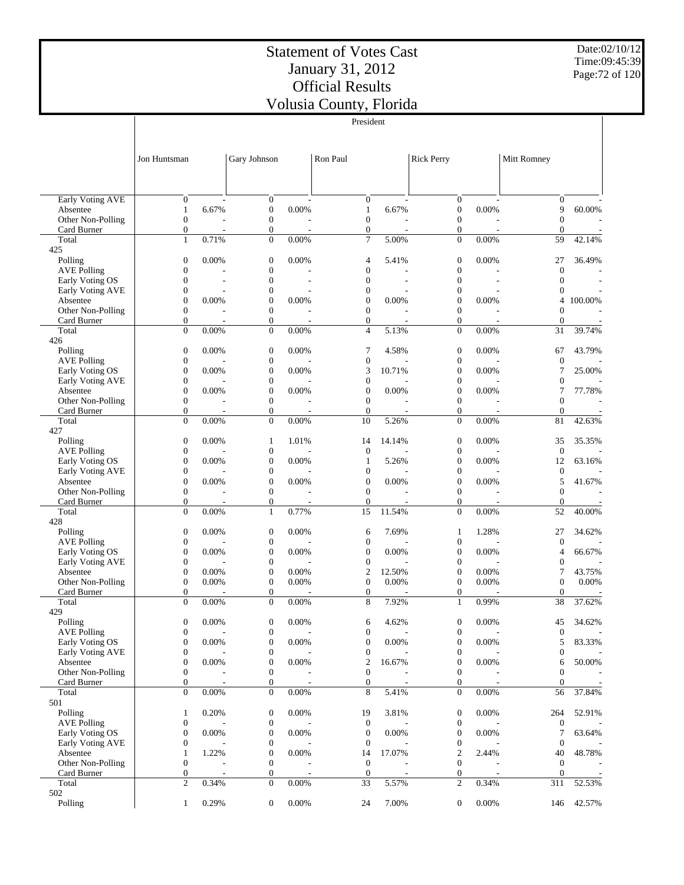Date:02/10/12 Time:09:45:39 Page:72 of 120

|                                       | President                            |                                   |                                      |                          |                                      |                          |                                      |                          |                                    |                          |  |
|---------------------------------------|--------------------------------------|-----------------------------------|--------------------------------------|--------------------------|--------------------------------------|--------------------------|--------------------------------------|--------------------------|------------------------------------|--------------------------|--|
|                                       | Jon Huntsman                         |                                   | Gary Johnson                         |                          | Ron Paul                             |                          | Rick Perry                           |                          | Mitt Romney                        |                          |  |
|                                       |                                      |                                   |                                      |                          |                                      |                          |                                      |                          |                                    |                          |  |
| <b>Early Voting AVE</b><br>Absentee   | $\mathbf{0}$<br>$\mathbf{1}$         | $\overline{\phantom{a}}$<br>6.67% | $\boldsymbol{0}$<br>$\boldsymbol{0}$ | 0.00%                    | $\mathbf{0}$<br>$\mathbf{1}$         | 6.67%                    | $\boldsymbol{0}$<br>$\boldsymbol{0}$ | 0.00%                    | $\mathbf{0}$<br>9                  | 60.00%                   |  |
| Other Non-Polling                     | $\boldsymbol{0}$                     |                                   | $\boldsymbol{0}$                     |                          | $\mathbf{0}$                         |                          | $\boldsymbol{0}$                     |                          | $\boldsymbol{0}$                   |                          |  |
| Card Burner                           | $\mathbf{0}$                         | $\overline{\phantom{a}}$          | $\boldsymbol{0}$                     | $\overline{\phantom{a}}$ | $\mathbf{0}$                         |                          | $\boldsymbol{0}$                     | $\overline{\phantom{a}}$ | $\mathbf{0}$                       | $\overline{\phantom{a}}$ |  |
| Total                                 | $\mathbf{1}$                         | 0.71%                             | $\boldsymbol{0}$                     | 0.00%                    | $\tau$                               | 5.00%                    | $\boldsymbol{0}$                     | 0.00%                    | 59                                 | 42.14%                   |  |
| 425                                   |                                      |                                   |                                      |                          |                                      |                          |                                      |                          |                                    |                          |  |
| Polling                               | $\boldsymbol{0}$                     | 0.00%                             | $\mathbf{0}$                         | 0.00%                    | 4                                    | 5.41%                    | $\boldsymbol{0}$                     | 0.00%                    | 27                                 | 36.49%                   |  |
| <b>AVE Polling</b><br>Early Voting OS | $\boldsymbol{0}$<br>$\boldsymbol{0}$ |                                   | $\boldsymbol{0}$<br>$\mathbf{0}$     | $\overline{\phantom{a}}$ | $\boldsymbol{0}$<br>$\boldsymbol{0}$ | ٠                        | $\boldsymbol{0}$<br>$\mathbf{0}$     | $\overline{\phantom{a}}$ | $\boldsymbol{0}$<br>$\overline{0}$ |                          |  |
| Early Voting AVE                      | $\boldsymbol{0}$                     |                                   | $\boldsymbol{0}$                     |                          | $\boldsymbol{0}$                     |                          | $\boldsymbol{0}$                     |                          | $\overline{0}$                     |                          |  |
| Absentee                              | $\boldsymbol{0}$                     | 0.00%                             | $\boldsymbol{0}$                     | 0.00%                    | $\mathbf{0}$                         | 0.00%                    | $\boldsymbol{0}$                     | 0.00%                    | 4                                  | 100.00%                  |  |
| Other Non-Polling                     | $\boldsymbol{0}$                     |                                   | $\boldsymbol{0}$                     |                          | $\boldsymbol{0}$                     |                          | $\boldsymbol{0}$                     |                          | $\overline{0}$                     |                          |  |
| Card Burner                           | $\mathbf{0}$                         | ٠                                 | $\boldsymbol{0}$                     | $\overline{\phantom{a}}$ | $\mathbf{0}$                         | $\overline{\phantom{a}}$ | $\overline{0}$                       | $\overline{\phantom{a}}$ | $\mathbf{0}$                       |                          |  |
| Total                                 | $\mathbf{0}$                         | 0.00%                             | $\boldsymbol{0}$                     | 0.00%                    | $\overline{4}$                       | 5.13%                    | $\boldsymbol{0}$                     | 0.00%                    | 31                                 | 39.74%                   |  |
| 426                                   |                                      |                                   |                                      |                          |                                      |                          |                                      |                          |                                    |                          |  |
| Polling<br><b>AVE Polling</b>         | $\boldsymbol{0}$<br>$\boldsymbol{0}$ | 0.00%                             | $\boldsymbol{0}$<br>$\boldsymbol{0}$ | 0.00%                    | 7<br>$\boldsymbol{0}$                | 4.58%                    | $\boldsymbol{0}$<br>$\boldsymbol{0}$ | 0.00%                    | 67<br>$\mathbf{0}$                 | 43.79%                   |  |
| Early Voting OS                       | $\boldsymbol{0}$                     | 0.00%                             | $\boldsymbol{0}$                     | 0.00%                    | 3                                    | 10.71%                   | $\boldsymbol{0}$                     | 0.00%                    | 7                                  | 25.00%                   |  |
| Early Voting AVE                      | $\boldsymbol{0}$                     |                                   | $\boldsymbol{0}$                     |                          | $\boldsymbol{0}$                     |                          | 0                                    |                          | $\mathbf{0}$                       |                          |  |
| Absentee                              | $\boldsymbol{0}$                     | 0.00%                             | $\boldsymbol{0}$                     | 0.00%                    | $\boldsymbol{0}$                     | 0.00%                    | $\boldsymbol{0}$                     | 0.00%                    | $\tau$                             | 77.78%                   |  |
| Other Non-Polling                     | $\boldsymbol{0}$                     |                                   | $\boldsymbol{0}$                     |                          | $\boldsymbol{0}$                     |                          | $\boldsymbol{0}$                     |                          | $\mathbf{0}$                       |                          |  |
| Card Burner                           | $\mathbf{0}$                         |                                   | $\boldsymbol{0}$                     |                          | $\mathbf{0}$                         |                          | $\boldsymbol{0}$                     |                          | $\mathbf{0}$                       |                          |  |
| Total                                 | $\overline{0}$                       | 0.00%                             | $\boldsymbol{0}$                     | 0.00%                    | 10                                   | 5.26%                    | $\overline{0}$                       | 0.00%                    | 81                                 | 42.63%                   |  |
| 427                                   |                                      |                                   |                                      |                          |                                      |                          |                                      |                          |                                    |                          |  |
| Polling<br><b>AVE Polling</b>         | $\boldsymbol{0}$<br>$\boldsymbol{0}$ | 0.00%                             | $\mathbf{1}$<br>$\boldsymbol{0}$     | 1.01%                    | 14<br>$\boldsymbol{0}$               | 14.14%                   | $\boldsymbol{0}$<br>$\boldsymbol{0}$ | 0.00%                    | 35<br>$\mathbf{0}$                 | 35.35%                   |  |
| Early Voting OS                       | $\boldsymbol{0}$                     | 0.00%                             | $\mathbf{0}$                         | 0.00%                    | $\mathbf{1}$                         | 5.26%                    | $\boldsymbol{0}$                     | 0.00%                    | 12                                 | 63.16%                   |  |
| Early Voting AVE                      | $\boldsymbol{0}$                     |                                   | $\boldsymbol{0}$                     |                          | $\boldsymbol{0}$                     |                          | $\boldsymbol{0}$                     |                          | $\boldsymbol{0}$                   |                          |  |
| Absentee                              | $\boldsymbol{0}$                     | 0.00%                             | $\boldsymbol{0}$                     | 0.00%                    | $\mathbf{0}$                         | 0.00%                    | $\boldsymbol{0}$                     | 0.00%                    | 5                                  | 41.67%                   |  |
| Other Non-Polling                     | $\boldsymbol{0}$                     |                                   | $\boldsymbol{0}$                     |                          | $\mathbf{0}$                         |                          | $\boldsymbol{0}$                     |                          | $\overline{0}$                     | $\overline{\phantom{a}}$ |  |
| Card Burner                           | $\mathbf{0}$                         |                                   | $\boldsymbol{0}$                     |                          | $\boldsymbol{0}$                     | $\overline{a}$           | $\overline{0}$                       |                          | $\mathbf{0}$                       |                          |  |
| Total                                 | $\mathbf{0}$                         | 0.00%                             | $\mathbf{1}$                         | 0.77%                    | 15                                   | 11.54%                   | $\overline{0}$                       | 0.00%                    | 52                                 | 40.00%                   |  |
| 428                                   |                                      |                                   |                                      |                          |                                      |                          |                                      |                          |                                    |                          |  |
| Polling<br><b>AVE Polling</b>         | $\boldsymbol{0}$<br>$\boldsymbol{0}$ | 0.00%                             | $\boldsymbol{0}$<br>$\boldsymbol{0}$ | 0.00%                    | 6<br>$\boldsymbol{0}$                | 7.69%                    | 1<br>$\boldsymbol{0}$                | 1.28%                    | 27<br>$\mathbf{0}$                 | 34.62%                   |  |
| Early Voting OS                       | $\boldsymbol{0}$                     | 0.00%                             | $\boldsymbol{0}$                     | 0.00%                    | $\boldsymbol{0}$                     | 0.00%                    | $\boldsymbol{0}$                     | 0.00%                    | $\overline{4}$                     | 66.67%                   |  |
| Early Voting AVE                      | $\boldsymbol{0}$                     |                                   | $\boldsymbol{0}$                     |                          | $\boldsymbol{0}$                     |                          | $\boldsymbol{0}$                     |                          | $\mathbf{0}$                       |                          |  |
| Absentee                              | $\boldsymbol{0}$                     | 0.00%                             | $\boldsymbol{0}$                     | 0.00%                    | $\overline{c}$                       | 12.50%                   | 0                                    | 0.00%                    | $\tau$                             | 43.75%                   |  |
| Other Non-Polling                     | $\boldsymbol{0}$                     | 0.00%                             | $\boldsymbol{0}$                     | 0.00%                    | $\boldsymbol{0}$                     | 0.00%                    | $\boldsymbol{0}$                     | 0.00%                    | $\mathbf{0}$                       | 0.00%                    |  |
| Card Burner                           | $\boldsymbol{0}$                     |                                   | $\boldsymbol{0}$                     |                          | $\boldsymbol{0}$                     |                          | $\boldsymbol{0}$                     |                          | $\overline{0}$                     |                          |  |
| Total                                 | $\overline{0}$                       | 0.00%                             | $\boldsymbol{0}$                     | 0.00%                    | 8                                    | 7.92%                    | $\mathbf{1}$                         | 0.99%                    | 38                                 | 37.62%                   |  |
| 429                                   |                                      | 0.00%                             |                                      | 0.00%                    |                                      |                          |                                      | 0.00%                    |                                    | 34.62%                   |  |
| Polling<br><b>AVE Polling</b>         | 0<br>$\boldsymbol{0}$                |                                   | $\boldsymbol{0}$<br>$\boldsymbol{0}$ |                          | 6<br>$\boldsymbol{0}$                | 4.62%                    | $\boldsymbol{0}$<br>$\boldsymbol{0}$ |                          | 45<br>$\mathbf{0}$                 |                          |  |
| Early Voting OS                       | $\boldsymbol{0}$                     | 0.00%                             | $\boldsymbol{0}$                     | 0.00%                    | $\mathbf{0}$                         | 0.00%                    | $\boldsymbol{0}$                     | 0.00%                    | 5                                  | 83.33%                   |  |
| Early Voting AVE                      | $\boldsymbol{0}$                     |                                   | 0                                    |                          | $\boldsymbol{0}$                     |                          | 0                                    |                          | $\mathbf{0}$                       |                          |  |
| Absentee                              | $\boldsymbol{0}$                     | 0.00%                             | $\boldsymbol{0}$                     | 0.00%                    | $\overline{c}$                       | 16.67%                   | 0                                    | 0.00%                    | 6                                  | 50.00%                   |  |
| Other Non-Polling                     | $\mathbf{0}$                         |                                   | $\boldsymbol{0}$                     |                          | $\boldsymbol{0}$                     |                          | $\boldsymbol{0}$                     |                          | $\overline{0}$                     |                          |  |
| Card Burner                           | $\mathbf{0}$                         | $\overline{a}$                    | $\boldsymbol{0}$                     |                          | $\mathbf{0}$                         | $\overline{a}$           | $\overline{0}$                       |                          | $\overline{0}$                     | $\sim$                   |  |
| Total                                 | $\mathbf{0}$                         | 0.00%                             | $\mathbf{0}$                         | $0.00\%$                 | 8                                    | 5.41%                    | $\mathbf{0}$                         | $0.00\%$                 | 56                                 | 37.84%                   |  |
| 501<br>Polling                        |                                      | 0.20%                             | $\boldsymbol{0}$                     | 0.00%                    | 19                                   | 3.81%                    | $\boldsymbol{0}$                     | 0.00%                    |                                    | 52.91%                   |  |
| <b>AVE Polling</b>                    | 1<br>$\boldsymbol{0}$                |                                   | $\boldsymbol{0}$                     |                          | $\overline{0}$                       |                          | $\boldsymbol{0}$                     |                          | 264<br>$\mathbf{0}$                |                          |  |
| Early Voting OS                       | $\boldsymbol{0}$                     | 0.00%                             | $\boldsymbol{0}$                     | 0.00%                    | $\boldsymbol{0}$                     | 0.00%                    | $\boldsymbol{0}$                     | 0.00%                    | 7                                  | 63.64%                   |  |
| Early Voting AVE                      | $\boldsymbol{0}$                     |                                   | $\boldsymbol{0}$                     |                          | $\boldsymbol{0}$                     |                          | 0                                    |                          | $\boldsymbol{0}$                   |                          |  |
| Absentee                              | $\mathbf{1}$                         | 1.22%                             | $\boldsymbol{0}$                     | 0.00%                    | 14                                   | 17.07%                   | 2                                    | 2.44%                    | 40                                 | 48.78%                   |  |
| Other Non-Polling                     | $\boldsymbol{0}$                     |                                   | $\boldsymbol{0}$                     |                          | $\mathbf{0}$                         |                          | 0                                    |                          | $\mathbf{0}$                       |                          |  |
| Card Burner                           | $\mathbf{0}$                         |                                   | $\boldsymbol{0}$                     |                          | $\mathbf{0}$                         |                          | $\boldsymbol{0}$                     |                          | $\mathbf{0}$                       |                          |  |
| Total<br>502                          | $\overline{2}$                       | 0.34%                             | $\boldsymbol{0}$                     | 0.00%                    | 33                                   | 5.57%                    | $\overline{c}$                       | 0.34%                    | 311                                | 52.53%                   |  |
| Polling                               | $\mathbf{1}$                         | 0.29%                             | $\boldsymbol{0}$                     | 0.00%                    | 24                                   | 7.00%                    | $\boldsymbol{0}$                     | 0.00%                    | 146                                | 42.57%                   |  |
|                                       |                                      |                                   |                                      |                          |                                      |                          |                                      |                          |                                    |                          |  |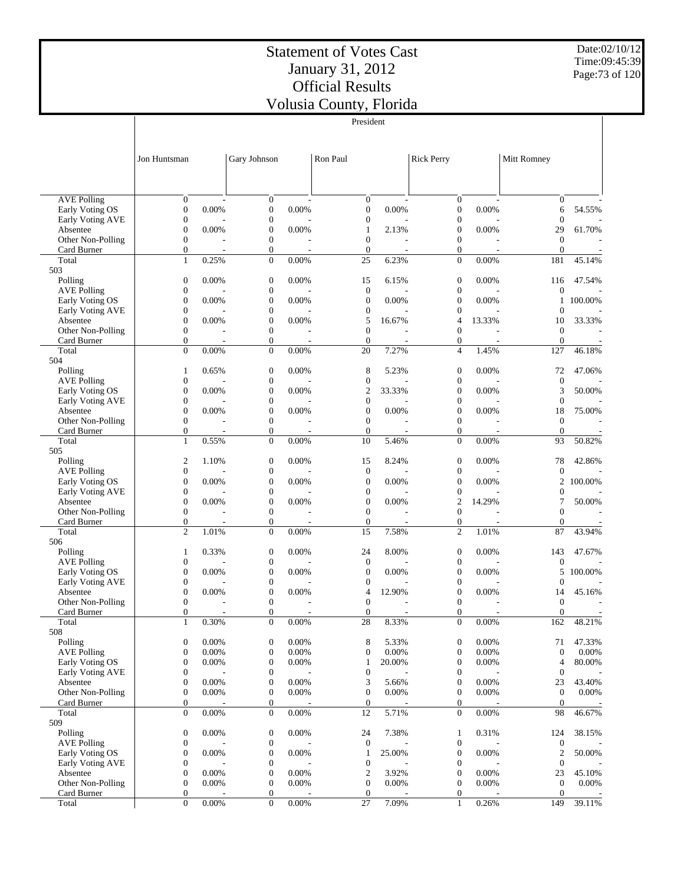President

Date:02/10/12 Time:09:45:39 Page:73 of 120

|                                       |                                      |          |                                      |          | President                        |        |                                      |                                   |                                      |         |
|---------------------------------------|--------------------------------------|----------|--------------------------------------|----------|----------------------------------|--------|--------------------------------------|-----------------------------------|--------------------------------------|---------|
|                                       |                                      |          |                                      |          |                                  |        |                                      |                                   |                                      |         |
|                                       |                                      |          |                                      |          |                                  |        |                                      |                                   |                                      |         |
|                                       | Jon Huntsman                         |          | Gary Johnson                         |          | Ron Paul                         |        | <b>Rick Perry</b>                    |                                   | Mitt Romney                          |         |
|                                       |                                      |          |                                      |          |                                  |        |                                      |                                   |                                      |         |
|                                       |                                      |          |                                      |          |                                  |        |                                      |                                   |                                      |         |
| <b>AVE Polling</b>                    | $\mathbf{0}$                         |          | $\mathbf{0}$                         |          | $\mathbf{0}$                     |        | $\mathbf{0}$                         |                                   | $\mathbf{0}$                         |         |
| Early Voting OS                       | $\boldsymbol{0}$                     | 0.00%    | $\mathbf{0}$                         | 0.00%    | $\boldsymbol{0}$                 | 0.00%  | $\boldsymbol{0}$                     | 0.00%                             | 6                                    | 54.55%  |
| Early Voting AVE                      | $\boldsymbol{0}$                     |          | $\boldsymbol{0}$                     |          | $\mathbf{0}$                     |        | $\boldsymbol{0}$                     |                                   | $\overline{0}$                       |         |
| Absentee                              | $\boldsymbol{0}$                     | 0.00%    | $\boldsymbol{0}$                     | 0.00%    | 1                                | 2.13%  | $\boldsymbol{0}$                     | 0.00%                             | 29                                   | 61.70%  |
| Other Non-Polling                     | $\boldsymbol{0}$                     |          | $\boldsymbol{0}$                     |          | $\mathbf{0}$                     |        | $\boldsymbol{0}$                     |                                   | $\overline{0}$                       |         |
| Card Burner<br>Total                  | $\boldsymbol{0}$<br>$\mathbf{1}$     | 0.25%    | $\boldsymbol{0}$<br>$\overline{0}$   | 0.00%    | $\mathbf{0}$<br>25               | 6.23%  | $\mathbf{0}$<br>$\mathbf{0}$         | 0.00%                             | $\theta$<br>181                      | 45.14%  |
| 503                                   |                                      |          |                                      |          |                                  |        |                                      |                                   |                                      |         |
| Polling                               | $\boldsymbol{0}$                     | 0.00%    | $\mathbf{0}$                         | 0.00%    | 15                               | 6.15%  | $\boldsymbol{0}$                     | 0.00%                             | 116                                  | 47.54%  |
| <b>AVE Polling</b>                    | $\boldsymbol{0}$                     |          | $\boldsymbol{0}$                     |          | $\boldsymbol{0}$                 |        | $\boldsymbol{0}$                     |                                   | $\overline{0}$                       |         |
| Early Voting OS                       | $\mathbf{0}$                         | $0.00\%$ | $\mathbf{0}$                         | 0.00%    | $\mathbf{0}$                     | 0.00%  | $\mathbf{0}$                         | 0.00%                             | $\mathbf{1}$                         | 100.00% |
| Early Voting AVE<br>Absentee          | $\boldsymbol{0}$<br>$\mathbf{0}$     | 0.00%    | $\mathbf{0}$<br>$\mathbf{0}$         | 0.00%    | $\boldsymbol{0}$<br>5            | 16.67% | $\boldsymbol{0}$<br>$\overline{4}$   | 13.33%                            | $\theta$<br>10                       | 33.33%  |
| Other Non-Polling                     | $\boldsymbol{0}$                     |          | $\boldsymbol{0}$                     |          | $\mathbf{0}$                     |        | $\mathbf{0}$                         |                                   | $\overline{0}$                       |         |
| Card Burner                           | $\boldsymbol{0}$                     |          | $\boldsymbol{0}$                     |          | $\mathbf{0}$                     |        | $\mathbf{0}$                         |                                   | $\overline{0}$                       |         |
| Total                                 | $\mathbf{0}$                         | 0.00%    | $\mathbf{0}$                         | 0.00%    | 20                               | 7.27%  | $\overline{4}$                       | 1.45%                             | 127                                  | 46.18%  |
| 504                                   |                                      |          |                                      |          |                                  |        |                                      |                                   |                                      |         |
| Polling<br><b>AVE Polling</b>         | $\mathbf{1}$<br>$\boldsymbol{0}$     | 0.65%    | $\boldsymbol{0}$<br>$\boldsymbol{0}$ | 0.00%    | 8<br>$\boldsymbol{0}$            | 5.23%  | $\boldsymbol{0}$<br>$\boldsymbol{0}$ | 0.00%                             | 72<br>$\mathbf{0}$                   | 47.06%  |
| Early Voting OS                       | $\boldsymbol{0}$                     | 0.00%    | $\mathbf{0}$                         | 0.00%    | $\boldsymbol{2}$                 | 33.33% | $\boldsymbol{0}$                     | 0.00%                             | 3                                    | 50.00%  |
| <b>Early Voting AVE</b>               | $\boldsymbol{0}$                     |          | $\boldsymbol{0}$                     |          | $\mathbf{0}$                     |        | $\boldsymbol{0}$                     |                                   | $\overline{0}$                       |         |
| Absentee                              | $\boldsymbol{0}$                     | 0.00%    | $\boldsymbol{0}$                     | 0.00%    | $\boldsymbol{0}$                 | 0.00%  | $\boldsymbol{0}$                     | 0.00%                             | 18                                   | 75.00%  |
| Other Non-Polling                     | $\boldsymbol{0}$                     |          | $\boldsymbol{0}$                     |          | $\mathbf{0}$                     |        | $\mathbf{0}$                         |                                   | $\overline{0}$                       |         |
| Card Burner<br>Total                  | $\boldsymbol{0}$<br>$\mathbf{1}$     | 0.55%    | $\boldsymbol{0}$<br>$\boldsymbol{0}$ | 0.00%    | $\mathbf{0}$<br>10               | 5.46%  | $\mathbf{0}$<br>$\mathbf{0}$         | $\overline{\phantom{a}}$<br>0.00% | $\theta$<br>93                       | 50.82%  |
| 505                                   |                                      |          |                                      |          |                                  |        |                                      |                                   |                                      |         |
| Polling                               | $\mathfrak{2}$                       | 1.10%    | $\boldsymbol{0}$                     | 0.00%    | 15                               | 8.24%  | $\boldsymbol{0}$                     | 0.00%                             | 78                                   | 42.86%  |
| <b>AVE Polling</b>                    | $\boldsymbol{0}$                     |          | $\boldsymbol{0}$                     |          | $\boldsymbol{0}$                 |        | $\boldsymbol{0}$                     |                                   | $\mathbf{0}$                         |         |
| Early Voting OS                       | $\boldsymbol{0}$                     | 0.00%    | $\mathbf{0}$                         | 0.00%    | $\mathbf{0}$                     | 0.00%  | $\mathbf{0}$                         | 0.00%                             | 2                                    | 100.00% |
| Early Voting AVE<br>Absentee          | $\boldsymbol{0}$<br>$\mathbf{0}$     | 0.00%    | $\boldsymbol{0}$<br>$\mathbf{0}$     | 0.00%    | $\boldsymbol{0}$<br>$\mathbf{0}$ | 0.00%  | $\boldsymbol{0}$<br>$\overline{2}$   | 14.29%                            | $\overline{0}$<br>7                  | 50.00%  |
| Other Non-Polling                     | $\mathbf{0}$                         |          | $\boldsymbol{0}$                     |          | $\mathbf{0}$                     |        | $\mathbf{0}$                         |                                   | $\overline{0}$                       |         |
| Card Burner                           | $\boldsymbol{0}$                     |          | $\boldsymbol{0}$                     | ÷,       | $\boldsymbol{0}$                 | L,     | $\mathbf{0}$                         | ÷,                                | $\overline{0}$                       |         |
| Total                                 | $\overline{2}$                       | 1.01%    | $\mathbf{0}$                         | 0.00%    | 15                               | 7.58%  | $\mathfrak{2}$                       | 1.01%                             | 87                                   | 43.94%  |
| 506                                   |                                      |          |                                      |          |                                  |        |                                      |                                   |                                      |         |
| Polling<br><b>AVE Polling</b>         | 1<br>$\boldsymbol{0}$                | 0.33%    | $\boldsymbol{0}$<br>$\boldsymbol{0}$ | 0.00%    | 24<br>$\boldsymbol{0}$           | 8.00%  | $\boldsymbol{0}$<br>$\boldsymbol{0}$ | 0.00%                             | 143<br>$\boldsymbol{0}$              | 47.67%  |
| Early Voting OS                       | $\boldsymbol{0}$                     | 0.00%    | $\boldsymbol{0}$                     | 0.00%    | $\boldsymbol{0}$                 | 0.00%  | $\boldsymbol{0}$                     | 0.00%                             | 5                                    | 100.00% |
| Early Voting AVE                      | $\boldsymbol{0}$                     |          | $\boldsymbol{0}$                     |          | $\mathbf{0}$                     |        | $\boldsymbol{0}$                     |                                   | $\overline{0}$                       |         |
| Absentee                              | $\boldsymbol{0}$                     | 0.00%    | $\boldsymbol{0}$                     | 0.00%    | 4                                | 12.90% | $\boldsymbol{0}$                     | 0.00%                             | 14                                   | 45.16%  |
| Other Non-Polling                     | $\boldsymbol{0}$                     |          | $\boldsymbol{0}$                     |          | $\mathbf{0}$                     |        | $\boldsymbol{0}$                     |                                   | $\boldsymbol{0}$                     |         |
| Card Burner<br>Total                  | $\mathbf{0}$<br>$\mathbf{1}$         | 0.30%    | $\overline{0}$<br>$\boldsymbol{0}$   | $0.00\%$ | $\mathbf{0}$<br>28               | 8.33%  | $\mathbf{0}$<br>$\boldsymbol{0}$     | 0.00%                             | $\mathbf{0}$<br>162                  | 48.21%  |
| 508                                   |                                      |          |                                      |          |                                  |        |                                      |                                   |                                      |         |
| Polling                               | $\boldsymbol{0}$                     | 0.00%    | $\boldsymbol{0}$                     | 0.00%    | 8                                | 5.33%  | $\boldsymbol{0}$                     | 0.00%                             | 71                                   | 47.33%  |
| <b>AVE Polling</b>                    | $\boldsymbol{0}$                     | 0.00%    | $\boldsymbol{0}$                     | 0.00%    | $\boldsymbol{0}$                 | 0.00%  | $\boldsymbol{0}$                     | 0.00%                             | $\boldsymbol{0}$                     | 0.00%   |
| Early Voting OS                       | $\boldsymbol{0}$                     | 0.00%    | $\boldsymbol{0}$                     | 0.00%    | 1                                | 20.00% | $\boldsymbol{0}$                     | 0.00%                             | 4                                    | 80.00%  |
| <b>Early Voting AVE</b><br>Absentee   | $\boldsymbol{0}$<br>$\boldsymbol{0}$ | 0.00%    | $\boldsymbol{0}$<br>$\boldsymbol{0}$ | 0.00%    | $\boldsymbol{0}$<br>3            | 5.66%  | $\boldsymbol{0}$<br>$\boldsymbol{0}$ | 0.00%                             | $\boldsymbol{0}$<br>23               | 43.40%  |
| Other Non-Polling                     | $\boldsymbol{0}$                     | 0.00%    | $\boldsymbol{0}$                     | 0.00%    | $\boldsymbol{0}$                 | 0.00%  | $\boldsymbol{0}$                     | 0.00%                             | $\boldsymbol{0}$                     | 0.00%   |
| Card Burner                           | $\mathbf{0}$                         |          | $\boldsymbol{0}$                     |          | $\boldsymbol{0}$                 |        | $\mathbf{0}$                         |                                   | $\boldsymbol{0}$                     |         |
| Total                                 | $\boldsymbol{0}$                     | 0.00%    | $\mathbf{0}$                         | 0.00%    | 12                               | 5.71%  | $\mathbf{0}$                         | 0.00%                             | 98                                   | 46.67%  |
| 509                                   |                                      |          |                                      |          |                                  |        |                                      |                                   |                                      |         |
| Polling                               | $\boldsymbol{0}$                     | 0.00%    | $\boldsymbol{0}$                     | 0.00%    | 24                               | 7.38%  | 1                                    | 0.31%                             | 124                                  | 38.15%  |
| <b>AVE Polling</b><br>Early Voting OS | $\boldsymbol{0}$<br>$\boldsymbol{0}$ | 0.00%    | $\boldsymbol{0}$<br>$\boldsymbol{0}$ | 0.00%    | $\boldsymbol{0}$<br>1            | 25.00% | $\boldsymbol{0}$<br>$\boldsymbol{0}$ | 0.00%                             | $\boldsymbol{0}$<br>$\boldsymbol{2}$ | 50.00%  |
| Early Voting AVE                      | $\boldsymbol{0}$                     |          | $\boldsymbol{0}$                     |          | 0                                |        | $\boldsymbol{0}$                     |                                   | $\boldsymbol{0}$                     |         |
| Absentee                              | $\boldsymbol{0}$                     | 0.00%    | $\boldsymbol{0}$                     | 0.00%    | $\boldsymbol{2}$                 | 3.92%  | $\boldsymbol{0}$                     | 0.00%                             | 23                                   | 45.10%  |
| Other Non-Polling                     | $\boldsymbol{0}$                     | 0.00%    | $\boldsymbol{0}$                     | 0.00%    | $\boldsymbol{0}$                 | 0.00%  | $\boldsymbol{0}$                     | 0.00%                             | $\boldsymbol{0}$                     | 0.00%   |
| Card Burner                           | $\mathbf{0}$                         |          | 0                                    |          | $\overline{0}$                   |        | $\mathbf{0}$                         |                                   | $\theta$                             |         |
| Total                                 | $\boldsymbol{0}$                     | 0.00%    | $\overline{0}$                       | 0.00%    | 27                               | 7.09%  | $\mathbf{1}$                         | 0.26%                             | 149                                  | 39.11%  |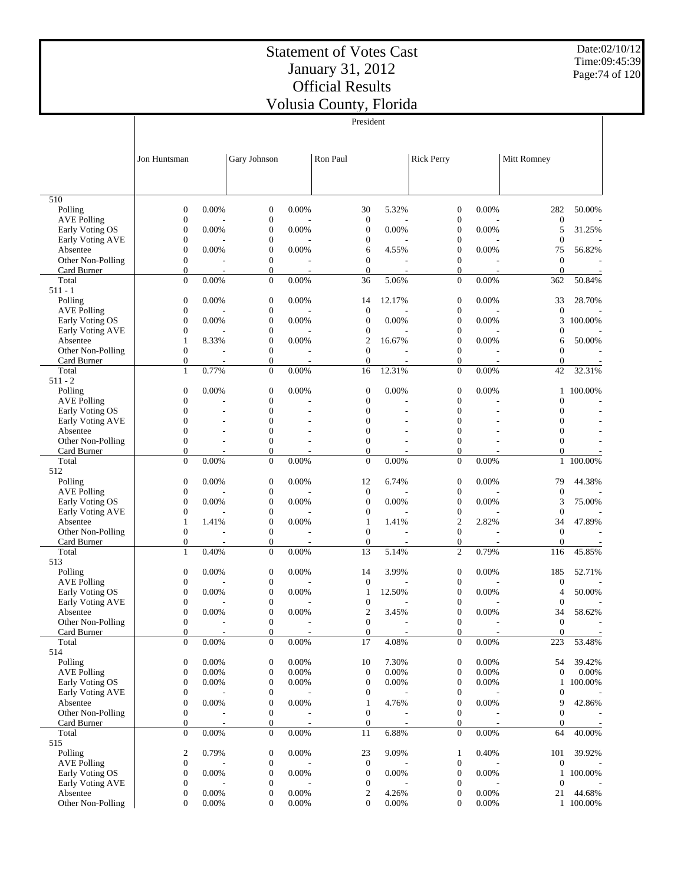Date:02/10/12 Time:09:45:39 Page:74 of 120

|                                     |                                  |          |                                      |          | President                            |          |                                      |          |                                  |           |
|-------------------------------------|----------------------------------|----------|--------------------------------------|----------|--------------------------------------|----------|--------------------------------------|----------|----------------------------------|-----------|
|                                     | Jon Huntsman                     |          | Gary Johnson                         |          | Ron Paul                             |          | <b>Rick Perry</b>                    |          | Mitt Romney                      |           |
|                                     |                                  |          |                                      |          |                                      |          |                                      |          |                                  |           |
| 510<br>Polling                      | $\mathbf{0}$                     | 0.00%    | $\boldsymbol{0}$                     | 0.00%    | 30                                   | 5.32%    | $\boldsymbol{0}$                     | 0.00%    | 282                              | 50.00%    |
| <b>AVE Polling</b>                  | $\mathbf{0}$                     |          | $\boldsymbol{0}$                     |          | $\boldsymbol{0}$                     |          | $\boldsymbol{0}$                     |          | $\boldsymbol{0}$                 |           |
| Early Voting OS                     | $\boldsymbol{0}$                 | 0.00%    | $\boldsymbol{0}$                     | 0.00%    | $\boldsymbol{0}$                     | 0.00%    | $\boldsymbol{0}$                     | 0.00%    | 5                                | 31.25%    |
| Early Voting AVE                    | $\mathbf{0}$                     |          | $\boldsymbol{0}$                     |          | $\boldsymbol{0}$                     |          | $\boldsymbol{0}$                     |          | $\boldsymbol{0}$                 |           |
| Absentee                            | $\mathbf{0}$                     | 0.00%    | $\boldsymbol{0}$                     | 0.00%    | 6                                    | 4.55%    | $\boldsymbol{0}$                     | 0.00%    | 75                               | 56.82%    |
| Other Non-Polling<br>Card Burner    | $\mathbf{0}$<br>$\theta$         |          | $\boldsymbol{0}$<br>$\boldsymbol{0}$ |          | $\boldsymbol{0}$<br>$\mathbf{0}$     | L,       | $\boldsymbol{0}$<br>$\mathbf{0}$     |          | $\mathbf{0}$<br>$\boldsymbol{0}$ |           |
| Total                               | $\theta$                         | 0.00%    | $\boldsymbol{0}$                     | 0.00%    | 36                                   | 5.06%    | $\boldsymbol{0}$                     | 0.00%    | 362                              | 50.84%    |
| $511 - 1$                           |                                  |          |                                      |          |                                      |          |                                      |          |                                  |           |
| Polling                             | $\mathbf{0}$                     | 0.00%    | $\boldsymbol{0}$                     | 0.00%    | 14                                   | 12.17%   | $\boldsymbol{0}$                     | 0.00%    | 33                               | 28.70%    |
| <b>AVE Polling</b>                  | $\mathbf{0}$                     |          | $\boldsymbol{0}$                     |          | $\boldsymbol{0}$                     |          | $\boldsymbol{0}$                     |          | $\mathbf{0}$                     |           |
| Early Voting OS<br>Early Voting AVE | $\mathbf{0}$<br>$\boldsymbol{0}$ | 0.00%    | $\boldsymbol{0}$<br>$\boldsymbol{0}$ | 0.00%    | $\boldsymbol{0}$<br>$\boldsymbol{0}$ | 0.00%    | $\boldsymbol{0}$<br>$\boldsymbol{0}$ | 0.00%    | 3<br>$\boldsymbol{0}$            | 100.00%   |
| Absentee                            | $\mathbf{1}$                     | 8.33%    | $\boldsymbol{0}$                     | 0.00%    | $\overline{2}$                       | 16.67%   | $\boldsymbol{0}$                     | 0.00%    | 6                                | 50.00%    |
| Other Non-Polling                   | $\boldsymbol{0}$                 |          | $\boldsymbol{0}$                     |          | $\boldsymbol{0}$                     |          | $\boldsymbol{0}$                     |          | $\boldsymbol{0}$                 |           |
| Card Burner                         | $\mathbf{0}$                     |          | $\boldsymbol{0}$                     |          | $\boldsymbol{0}$                     |          | $\boldsymbol{0}$                     |          | $\boldsymbol{0}$                 |           |
| Total                               | $\mathbf{1}$                     | 0.77%    | $\boldsymbol{0}$                     | 0.00%    | 16                                   | 12.31%   | $\overline{0}$                       | 0.00%    | 42                               | 32.31%    |
| $511 - 2$                           |                                  |          |                                      |          |                                      |          |                                      |          |                                  |           |
| Polling<br><b>AVE Polling</b>       | $\mathbf{0}$<br>$\mathbf{0}$     | 0.00%    | $\mathbf{0}$<br>$\boldsymbol{0}$     | 0.00%    | $\boldsymbol{0}$<br>$\boldsymbol{0}$ | 0.00%    | $\boldsymbol{0}$<br>$\boldsymbol{0}$ | 0.00%    | 1<br>$\boldsymbol{0}$            | 100.00%   |
| Early Voting OS                     | $\mathbf{0}$                     |          | $\boldsymbol{0}$                     |          | $\boldsymbol{0}$                     |          | $\boldsymbol{0}$                     |          | $\boldsymbol{0}$                 |           |
| <b>Early Voting AVE</b>             | $\mathbf{0}$                     |          | $\boldsymbol{0}$                     |          | $\boldsymbol{0}$                     |          | $\boldsymbol{0}$                     |          | $\boldsymbol{0}$                 |           |
| Absentee                            | $\overline{0}$                   |          | $\boldsymbol{0}$                     |          | $\boldsymbol{0}$                     |          | $\mathbf{0}$                         |          | $\boldsymbol{0}$                 |           |
| Other Non-Polling                   | $\mathbf{0}$                     |          | $\boldsymbol{0}$                     |          | $\boldsymbol{0}$                     |          | $\mathbf{0}$                         |          | $\boldsymbol{0}$                 |           |
| Card Burner                         | $\theta$                         |          | $\boldsymbol{0}$                     |          | $\mathbf{0}$                         |          | $\mathbf{0}$                         |          | $\boldsymbol{0}$                 |           |
| Total<br>512                        | $\theta$                         | 0.00%    | $\boldsymbol{0}$                     | 0.00%    | $\mathbf{0}$                         | 0.00%    | $\mathbf{0}$                         | 0.00%    |                                  | 1 100.00% |
| Polling                             | $\mathbf{0}$                     | 0.00%    | $\boldsymbol{0}$                     | 0.00%    | 12                                   | 6.74%    | $\boldsymbol{0}$                     | 0.00%    | 79                               | 44.38%    |
| <b>AVE Polling</b>                  | $\mathbf{0}$                     |          | $\boldsymbol{0}$                     |          | $\boldsymbol{0}$                     |          | $\boldsymbol{0}$                     |          | $\mathbf{0}$                     |           |
| Early Voting OS                     | $\mathbf{0}$                     | 0.00%    | $\boldsymbol{0}$                     | 0.00%    | $\boldsymbol{0}$                     | 0.00%    | $\boldsymbol{0}$                     | 0.00%    | 3                                | 75.00%    |
| Early Voting AVE                    | $\boldsymbol{0}$                 |          | $\boldsymbol{0}$                     |          | $\boldsymbol{0}$                     |          | $\boldsymbol{0}$                     |          | $\mathbf{0}$                     |           |
| Absentee                            | $\mathbf{1}$<br>$\mathbf{0}$     | 1.41%    | $\boldsymbol{0}$<br>$\boldsymbol{0}$ | 0.00%    | 1<br>$\boldsymbol{0}$                | 1.41%    | $\sqrt{2}$<br>$\boldsymbol{0}$       | 2.82%    | 34<br>$\mathbf{0}$               | 47.89%    |
| Other Non-Polling<br>Card Burner    | $\mathbf{0}$                     |          | $\boldsymbol{0}$                     |          | $\boldsymbol{0}$                     |          | $\boldsymbol{0}$                     |          | $\boldsymbol{0}$                 |           |
| Total                               | $\mathbf{1}$                     | 0.40%    | $\boldsymbol{0}$                     | 0.00%    | 13                                   | 5.14%    | $\overline{c}$                       | 0.79%    | 116                              | 45.85%    |
| 513                                 |                                  |          |                                      |          |                                      |          |                                      |          |                                  |           |
| Polling                             | $\mathbf{0}$                     | 0.00%    | $\boldsymbol{0}$                     | 0.00%    | 14                                   | 3.99%    | $\boldsymbol{0}$                     | 0.00%    | 185                              | 52.71%    |
| <b>AVE Polling</b>                  | $\mathbf{0}$                     | $0.00\%$ | $\boldsymbol{0}$                     |          | $\boldsymbol{0}$                     | 12.50%   | $\boldsymbol{0}$                     |          | $\boldsymbol{0}$                 |           |
| Early Voting OS<br>Early Voting AVE | $\boldsymbol{0}$<br>$\mathbf{0}$ |          | $\boldsymbol{0}$<br>$\boldsymbol{0}$ | 0.00%    | 1<br>$\boldsymbol{0}$                |          | $\boldsymbol{0}$<br>$\boldsymbol{0}$ | 0.00%    | 4<br>$\mathbf{0}$                | 50.00%    |
| Absentee                            | $\mathbf{0}$                     | 0.00%    | $\boldsymbol{0}$                     | 0.00%    | $\overline{2}$                       | 3.45%    | $\boldsymbol{0}$                     | 0.00%    | 34                               | 58.62%    |
| Other Non-Polling                   | $\boldsymbol{0}$                 |          | $\bf{0}$                             |          | $\boldsymbol{0}$                     |          | $\boldsymbol{0}$                     |          | $\boldsymbol{0}$                 |           |
| Card Burner                         | $\mathbf{0}$                     |          | $\boldsymbol{0}$                     |          | $\mathbf{0}$                         |          | $\boldsymbol{0}$                     |          | $\boldsymbol{0}$                 |           |
| Total                               | $\overline{0}$                   | $0.00\%$ | $\boldsymbol{0}$                     | 0.00%    | 17                                   | 4.08%    | $\mathbf{0}$                         | 0.00%    | 223                              | 53.48%    |
| 514<br>Polling                      | $\mathbf{0}$                     | 0.00%    | $\boldsymbol{0}$                     | 0.00%    | 10                                   | 7.30%    | $\boldsymbol{0}$                     | 0.00%    | 54                               | 39.42%    |
| <b>AVE Polling</b>                  | $\mathbf{0}$                     | 0.00%    | $\boldsymbol{0}$                     | 0.00%    | $\mathbf{0}$                         | 0.00%    | $\boldsymbol{0}$                     | 0.00%    | $\boldsymbol{0}$                 | 0.00%     |
| Early Voting OS                     | $\mathbf{0}$                     | 0.00%    | $\boldsymbol{0}$                     | 0.00%    | $\boldsymbol{0}$                     | 0.00%    | $\boldsymbol{0}$                     | 0.00%    | $\mathbf{1}$                     | 100.00%   |
| Early Voting AVE                    | $\boldsymbol{0}$                 |          | $\boldsymbol{0}$                     |          | $\boldsymbol{0}$                     |          | $\boldsymbol{0}$                     |          | $\boldsymbol{0}$                 |           |
| Absentee                            | $\mathbf{0}$                     | 0.00%    | $\boldsymbol{0}$                     | 0.00%    | 1                                    | 4.76%    | $\boldsymbol{0}$                     | 0.00%    | 9                                | 42.86%    |
| Other Non-Polling                   | $\mathbf{0}$                     |          | $\boldsymbol{0}$                     |          | $\mathbf{0}$                         |          | $\boldsymbol{0}$                     |          | $\boldsymbol{0}$                 |           |
| Card Burner<br>Total                | $\mathbf{0}$<br>$\overline{0}$   | 0.00%    | $\boldsymbol{0}$<br>$\mathbf{0}$     | 0.00%    | $\boldsymbol{0}$<br>11               | 6.88%    | $\boldsymbol{0}$<br>$\boldsymbol{0}$ | 0.00%    | $\boldsymbol{0}$<br>64           | 40.00%    |
| 515                                 |                                  |          |                                      |          |                                      |          |                                      |          |                                  |           |
| Polling                             | $\overline{c}$                   | 0.79%    | $\boldsymbol{0}$                     | 0.00%    | 23                                   | 9.09%    | 1                                    | 0.40%    | 101                              | 39.92%    |
| <b>AVE Polling</b>                  | $\mathbf{0}$                     |          | $\boldsymbol{0}$                     |          | $\boldsymbol{0}$                     |          | $\boldsymbol{0}$                     |          | $\boldsymbol{0}$                 |           |
| Early Voting OS                     | $\mathbf{0}$                     | 0.00%    | $\boldsymbol{0}$                     | 0.00%    | $\boldsymbol{0}$                     | 0.00%    | $\boldsymbol{0}$                     | 0.00%    | $\mathbf{1}$                     | 100.00%   |
| Early Voting AVE<br>Absentee        | $\mathbf{0}$<br>$\mathbf{0}$     | 0.00%    | $\boldsymbol{0}$<br>$\boldsymbol{0}$ | 0.00%    | $\boldsymbol{0}$<br>$\boldsymbol{2}$ | 4.26%    | $\boldsymbol{0}$<br>$\boldsymbol{0}$ | 0.00%    | $\boldsymbol{0}$<br>21           | 44.68%    |
| Other Non-Polling                   | $\mathbf{0}$                     | $0.00\%$ | $\mathbf{0}$                         | $0.00\%$ | $\Omega$                             | $0.00\%$ | $\theta$                             | $0.00\%$ |                                  | 1 100.00% |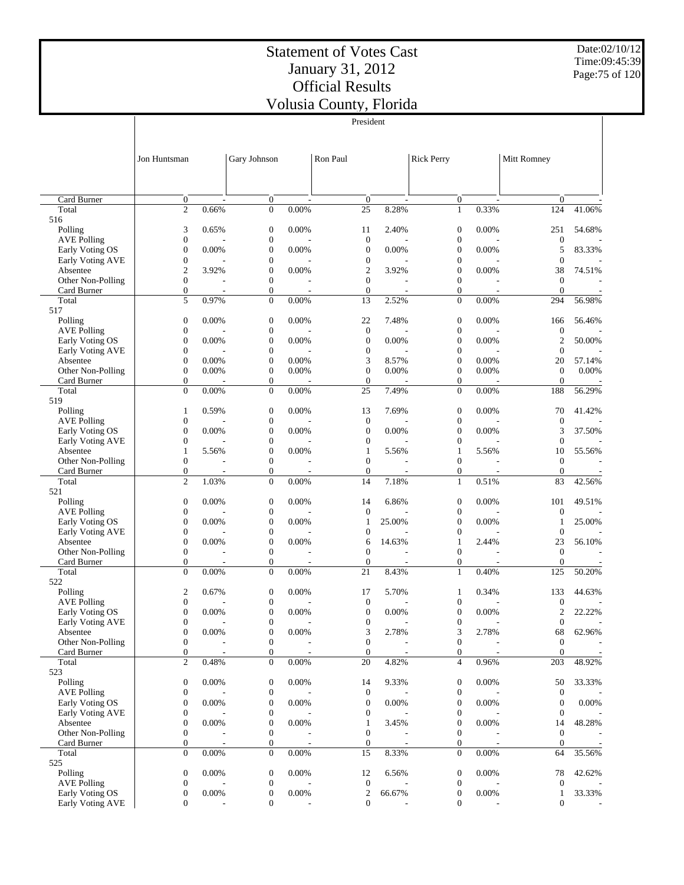$\overline{\phantom{a}}$ 

President

Date:02/10/12 Time:09:45:39 Page:75 of 120

 $\overline{\phantom{a}}$ 

|                                       | Jon Huntsman                         |          | Gary Johnson                         |          | Ron Paul                           |        | <b>Rick Perry</b>                  |       | Mitt Romney                        |                          |
|---------------------------------------|--------------------------------------|----------|--------------------------------------|----------|------------------------------------|--------|------------------------------------|-------|------------------------------------|--------------------------|
|                                       |                                      |          |                                      |          |                                    |        |                                    |       |                                    |                          |
|                                       |                                      |          |                                      |          |                                    |        |                                    |       |                                    |                          |
| Card Burner                           | $\mathbf{0}$                         |          | $\mathbf{0}$                         |          | $\mathbf{0}$                       |        | $\overline{0}$                     |       | $\overline{0}$                     |                          |
| Total<br>516                          | $\overline{c}$                       | 0.66%    | $\mathbf{0}$                         | 0.00%    | 25                                 | 8.28%  | $\mathbf{1}$                       | 0.33% | 124                                | 41.06%                   |
| Polling                               | 3                                    | 0.65%    | $\mathbf{0}$                         | 0.00%    | 11                                 | 2.40%  | $\overline{0}$                     | 0.00% | 251                                | 54.68%                   |
| <b>AVE Polling</b>                    | $\mathbf{0}$                         |          | $\boldsymbol{0}$                     |          | $\boldsymbol{0}$                   |        | $\boldsymbol{0}$                   |       | $\boldsymbol{0}$                   |                          |
| Early Voting OS                       | $\overline{0}$                       | 0.00%    | $\boldsymbol{0}$                     | 0.00%    | $\boldsymbol{0}$                   | 0.00%  | $\mathbf{0}$                       | 0.00% | 5                                  | 83.33%                   |
| Early Voting AVE                      | $\boldsymbol{0}$                     |          | $\boldsymbol{0}$                     |          | $\boldsymbol{0}$                   |        | $\overline{0}$                     |       | $\boldsymbol{0}$                   |                          |
| Absentee<br>Other Non-Polling         | $\boldsymbol{2}$<br>$\mathbf{0}$     | 3.92%    | $\boldsymbol{0}$<br>$\boldsymbol{0}$ | 0.00%    | $\boldsymbol{2}$<br>$\overline{0}$ | 3.92%  | $\mathbf{0}$<br>$\overline{0}$     | 0.00% | 38<br>$\mathbf{0}$                 | 74.51%                   |
| Card Burner                           | $\boldsymbol{0}$                     |          | $\boldsymbol{0}$                     |          | $\mathbf{0}$                       |        | $\boldsymbol{0}$                   |       | $\mathbf{0}$                       |                          |
| Total                                 | 5                                    | 0.97%    | $\overline{0}$                       | 0.00%    | 13                                 | 2.52%  | $\Omega$                           | 0.00% | 294                                | 56.98%                   |
| 517                                   |                                      |          |                                      |          |                                    |        |                                    |       |                                    |                          |
| Polling                               | $\boldsymbol{0}$                     | 0.00%    | $\mathbf{0}$                         | 0.00%    | 22                                 | 7.48%  | $\mathbf{0}$                       | 0.00% | 166                                | 56.46%                   |
| <b>AVE Polling</b><br>Early Voting OS | $\mathbf{0}$<br>$\overline{0}$       | 0.00%    | $\boldsymbol{0}$<br>$\boldsymbol{0}$ | 0.00%    | $\boldsymbol{0}$<br>$\mathbf{0}$   | 0.00%  | $\boldsymbol{0}$<br>$\overline{0}$ | 0.00% | $\boldsymbol{0}$<br>$\overline{c}$ | 50.00%                   |
| Early Voting AVE                      | $\mathbf{0}$                         |          | $\boldsymbol{0}$                     |          | $\boldsymbol{0}$                   |        | $\overline{0}$                     |       | $\mathbf{0}$                       |                          |
| Absentee                              | $\overline{0}$                       | 0.00%    | $\boldsymbol{0}$                     | 0.00%    | 3                                  | 8.57%  | $\overline{0}$                     | 0.00% | 20                                 | 57.14%                   |
| Other Non-Polling                     | $\mathbf{0}$                         | 0.00%    | $\boldsymbol{0}$                     | 0.00%    | $\mathbf{0}$                       | 0.00%  | $\overline{0}$                     | 0.00% | $\overline{0}$                     | 0.00%                    |
| Card Burner                           | $\boldsymbol{0}$<br>$\Omega$         |          | $\boldsymbol{0}$                     |          | $\mathbf{0}$                       |        | $\overline{0}$<br>$\Omega$         |       | $\boldsymbol{0}$                   |                          |
| Total<br>519                          |                                      | 0.00%    | $\overline{0}$                       | 0.00%    | 25                                 | 7.49%  |                                    | 0.00% | 188                                | 56.29%                   |
| Polling                               | $\mathbf{1}$                         | 0.59%    | $\boldsymbol{0}$                     | 0.00%    | 13                                 | 7.69%  | $\mathbf{0}$                       | 0.00% | 70                                 | 41.42%                   |
| <b>AVE Polling</b>                    | $\mathbf{0}$                         |          | $\boldsymbol{0}$                     |          | $\boldsymbol{0}$                   |        | $\overline{0}$                     |       | $\boldsymbol{0}$                   |                          |
| Early Voting OS                       | $\overline{0}$                       | $0.00\%$ | $\boldsymbol{0}$                     | 0.00%    | $\boldsymbol{0}$                   | 0.00%  | $\overline{0}$                     | 0.00% | 3                                  | 37.50%                   |
| Early Voting AVE                      | $\overline{0}$                       |          | $\boldsymbol{0}$                     |          | $\mathbf{0}$                       |        | $\overline{0}$                     |       | $\mathbf{0}$                       |                          |
| Absentee<br>Other Non-Polling         | $\mathbf{1}$<br>$\mathbf{0}$         | 5.56%    | $\boldsymbol{0}$<br>$\boldsymbol{0}$ | 0.00%    | $\mathbf{1}$<br>$\mathbf{0}$       | 5.56%  | 1<br>$\overline{0}$                | 5.56% | 10<br>$\mathbf{0}$                 | 55.56%                   |
| Card Burner                           | $\boldsymbol{0}$                     |          | $\boldsymbol{0}$                     |          | $\mathbf{0}$                       |        | $\boldsymbol{0}$                   |       | $\boldsymbol{0}$                   |                          |
| Total                                 | $\mathfrak{2}$                       | 1.03%    | $\boldsymbol{0}$                     | 0.00%    | 14                                 | 7.18%  | $\mathbf{1}$                       | 0.51% | 83                                 | 42.56%                   |
| 521                                   |                                      |          |                                      |          |                                    |        |                                    |       |                                    |                          |
| Polling                               | $\boldsymbol{0}$                     | 0.00%    | $\mathbf{0}$                         | 0.00%    | 14                                 | 6.86%  | $\mathbf{0}$                       | 0.00% | 101                                | 49.51%                   |
| <b>AVE Polling</b><br>Early Voting OS | $\boldsymbol{0}$<br>$\boldsymbol{0}$ | 0.00%    | $\boldsymbol{0}$<br>$\boldsymbol{0}$ | 0.00%    | $\mathbf{0}$<br>$\mathbf{1}$       | 25.00% | $\boldsymbol{0}$<br>$\overline{0}$ | 0.00% | $\boldsymbol{0}$<br>1              | 25.00%                   |
| Early Voting AVE                      | $\boldsymbol{0}$                     |          | $\boldsymbol{0}$                     |          | $\boldsymbol{0}$                   |        | $\overline{0}$                     |       | $\boldsymbol{0}$                   |                          |
| Absentee                              | $\overline{0}$                       | 0.00%    | $\boldsymbol{0}$                     | 0.00%    | 6                                  | 14.63% | 1                                  | 2.44% | 23                                 | 56.10%                   |
| Other Non-Polling                     | $\mathbf{0}$                         |          | $\boldsymbol{0}$                     |          | $\Omega$                           |        | $\overline{0}$                     |       | $\mathbf{0}$                       |                          |
| Card Burner                           | $\mathbf{0}$                         |          | $\boldsymbol{0}$                     |          | $\mathbf{0}$                       |        | $\overline{0}$                     |       | $\overline{0}$                     |                          |
| Total<br>522                          | $\mathbf{0}$                         | 0.00%    | $\boldsymbol{0}$                     | 0.00%    | 21                                 | 8.43%  | $\mathbf{1}$                       | 0.40% | 125                                | 50.20%                   |
| Polling                               | $\mathfrak{2}$                       | 0.67%    | $\boldsymbol{0}$                     | 0.00%    | 17                                 | 5.70%  | 1                                  | 0.34% | 133                                | 44.63%                   |
| <b>AVE Polling</b>                    | $\mathbf{0}$                         |          | $\boldsymbol{0}$                     |          | $\boldsymbol{0}$                   |        | $\boldsymbol{0}$                   |       | $\boldsymbol{0}$                   |                          |
| Early Voting OS                       | $\boldsymbol{0}$                     | 0.00%    | $\boldsymbol{0}$                     | 0.00%    | $\boldsymbol{0}$                   | 0.00%  | $\mathbf{0}$                       | 0.00% | $\mathfrak{2}$                     | 22.22%                   |
| Early Voting AVE                      | $\mathbf{0}$                         |          | $\mathbf{0}$                         |          | $\mathbf{0}$                       |        | $\overline{0}$                     |       | $\boldsymbol{0}$                   | $\overline{\phantom{0}}$ |
| Absentee<br>Other Non-Polling         | $\boldsymbol{0}$<br>$\boldsymbol{0}$ | 0.00%    | $\boldsymbol{0}$<br>$\boldsymbol{0}$ | $0.00\%$ | 3<br>$\boldsymbol{0}$              | 2.78%  | 3<br>$\boldsymbol{0}$              | 2.78% | 68<br>$\mathbf{0}$                 | 62.96%                   |
| Card Burner                           | $\mathbf{0}$                         |          | $\mathbf{0}$                         |          | $\boldsymbol{0}$                   |        | $\boldsymbol{0}$                   |       | $\overline{0}$                     |                          |
| Total                                 | $\overline{c}$                       | 0.48%    | $\boldsymbol{0}$                     | 0.00%    | 20                                 | 4.82%  | $\overline{4}$                     | 0.96% | 203                                | 48.92%                   |
| 523                                   |                                      |          |                                      |          |                                    |        |                                    |       |                                    |                          |
| Polling                               | $\boldsymbol{0}$                     | 0.00%    | $\boldsymbol{0}$                     | 0.00%    | 14                                 | 9.33%  | $\boldsymbol{0}$                   | 0.00% | 50                                 | 33.33%                   |
| <b>AVE Polling</b><br>Early Voting OS | $\boldsymbol{0}$<br>$\boldsymbol{0}$ | 0.00%    | $\boldsymbol{0}$<br>$\boldsymbol{0}$ | 0.00%    | $\mathbf{0}$<br>$\mathbf{0}$       | 0.00%  | $\boldsymbol{0}$<br>$\overline{0}$ | 0.00% | $\boldsymbol{0}$<br>$\overline{0}$ | $0.00\%$                 |
| Early Voting AVE                      | $\boldsymbol{0}$                     |          | $\boldsymbol{0}$                     |          | $\boldsymbol{0}$                   |        | $\overline{0}$                     |       | $\mathbf{0}$                       |                          |
| Absentee                              | $\boldsymbol{0}$                     | 0.00%    | $\boldsymbol{0}$                     | 0.00%    | $\mathbf{1}$                       | 3.45%  | $\overline{0}$                     | 0.00% | 14                                 | 48.28%                   |
| Other Non-Polling                     | $\boldsymbol{0}$                     |          | $\boldsymbol{0}$                     |          | $\mathbf{0}$                       |        | $\overline{0}$                     |       | $\theta$                           |                          |
| Card Burner                           | $\mathbf{0}$                         |          | $\boldsymbol{0}$                     |          | $\mathbf{0}$                       |        | $\overline{0}$                     |       | $\mathbf{0}$                       |                          |
| Total<br>525                          | $\mathbf{0}$                         | 0.00%    | $\boldsymbol{0}$                     | 0.00%    | 15                                 | 8.33%  | $\mathbf{0}$                       | 0.00% | 64                                 | 35.56%                   |
| Polling                               | $\boldsymbol{0}$                     | 0.00%    | $\boldsymbol{0}$                     | 0.00%    | 12                                 | 6.56%  | $\boldsymbol{0}$                   | 0.00% | 78                                 | 42.62%                   |
| <b>AVE Polling</b>                    | $\boldsymbol{0}$                     |          | $\boldsymbol{0}$                     |          | $\mathbf{0}$                       |        | $\boldsymbol{0}$                   |       | $\mathbf{0}$                       |                          |
| Early Voting OS                       | $\boldsymbol{0}$                     | 0.00%    | $\boldsymbol{0}$                     | 0.00%    | $\overline{c}$                     | 66.67% | 0                                  | 0.00% | $\mathbf{1}$                       | 33.33%                   |
| Early Voting AVE                      | $\mathbf{0}$                         |          | $\boldsymbol{0}$                     |          | $\mathbf{0}$                       |        | $\Omega$                           |       | $\overline{0}$                     |                          |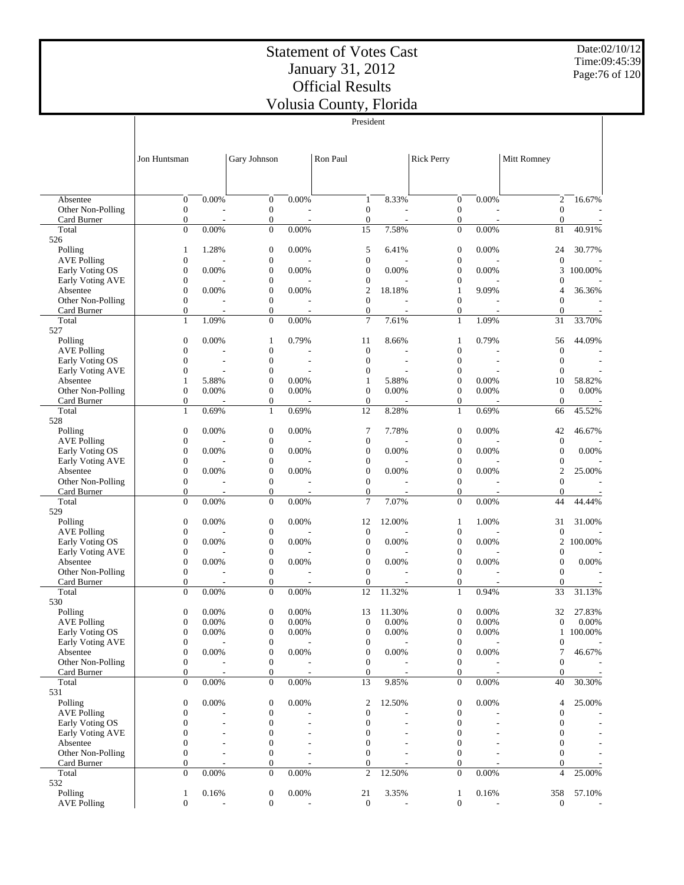Date:02/10/12 Time:09:45:39 Page:76 of 120

|                                       |                                      |          |                                  |          | President                            |        |                                      |       |                                    |         |
|---------------------------------------|--------------------------------------|----------|----------------------------------|----------|--------------------------------------|--------|--------------------------------------|-------|------------------------------------|---------|
|                                       |                                      |          |                                  |          |                                      |        |                                      |       |                                    |         |
|                                       |                                      |          |                                  |          |                                      |        |                                      |       |                                    |         |
|                                       | Jon Huntsman                         |          | Gary Johnson                     |          | Ron Paul                             |        | <b>Rick Perry</b>                    |       | Mitt Romney                        |         |
|                                       |                                      |          |                                  |          |                                      |        |                                      |       |                                    |         |
|                                       |                                      |          |                                  |          |                                      |        |                                      |       |                                    |         |
|                                       |                                      |          |                                  |          |                                      |        |                                      |       |                                    |         |
| Absentee                              | $\boldsymbol{0}$                     | 0.00%    | $\mathbf{0}$                     | 0.00%    | $\mathbf{1}$                         | 8.33%  | $\boldsymbol{0}$                     | 0.00% | $\overline{c}$                     | 16.67%  |
| Other Non-Polling                     | $\boldsymbol{0}$                     |          | $\boldsymbol{0}$                 |          | $\mathbf{0}$                         |        | $\boldsymbol{0}$                     |       | $\boldsymbol{0}$                   |         |
| Card Burner                           | $\boldsymbol{0}$                     |          | $\boldsymbol{0}$                 |          | $\boldsymbol{0}$                     |        | $\boldsymbol{0}$                     |       | $\overline{0}$                     |         |
| Total                                 | $\overline{0}$                       | 0.00%    | $\mathbf{0}$                     | 0.00%    | 15                                   | 7.58%  | $\mathbf{0}$                         | 0.00% | 81                                 | 40.91%  |
| 526<br>Polling                        | $\mathbf{1}$                         | 1.28%    | $\boldsymbol{0}$                 | 0.00%    | 5                                    | 6.41%  | $\boldsymbol{0}$                     | 0.00% | 24                                 | 30.77%  |
| <b>AVE Polling</b>                    | $\boldsymbol{0}$                     |          | $\mathbf{0}$                     |          | $\mathbf{0}$                         |        | $\boldsymbol{0}$                     |       | $\mathbf{0}$                       |         |
| Early Voting OS                       | $\boldsymbol{0}$                     | 0.00%    | $\mathbf{0}$                     | 0.00%    | $\mathbf{0}$                         | 0.00%  | $\mathbf{0}$                         | 0.00% | 3                                  | 100.00% |
| Early Voting AVE                      | $\boldsymbol{0}$                     |          | $\boldsymbol{0}$                 |          | $\boldsymbol{0}$                     |        | 0                                    |       | $\mathbf{0}$                       |         |
| Absentee                              | $\boldsymbol{0}$                     | 0.00%    | $\boldsymbol{0}$                 | 0.00%    | $\overline{2}$                       | 18.18% | 1                                    | 9.09% | 4                                  | 36.36%  |
| Other Non-Polling                     | $\mathbf{0}$                         |          | $\mathbf{0}$                     |          | $\mathbf{0}$                         |        | $\overline{0}$                       |       | $\overline{0}$                     |         |
| Card Burner                           | $\boldsymbol{0}$                     |          | $\boldsymbol{0}$                 |          | $\boldsymbol{0}$                     |        | $\boldsymbol{0}$                     |       | $\mathbf{0}$                       |         |
| Total                                 | $\mathbf{1}$                         | 1.09%    | $\mathbf{0}$                     | 0.00%    | 7                                    | 7.61%  | $\mathbf{1}$                         | 1.09% | 31                                 | 33.70%  |
| 527                                   |                                      |          |                                  |          |                                      |        |                                      |       |                                    |         |
| Polling                               | $\boldsymbol{0}$                     | 0.00%    | $\mathbf{1}$                     | 0.79%    | 11                                   | 8.66%  | 1                                    | 0.79% | 56                                 | 44.09%  |
| <b>AVE Polling</b><br>Early Voting OS | $\boldsymbol{0}$<br>$\mathbf{0}$     |          | $\mathbf{0}$<br>$\mathbf{0}$     |          | $\mathbf{0}$<br>$\mathbf{0}$         |        | $\boldsymbol{0}$<br>$\boldsymbol{0}$ |       | $\mathbf{0}$<br>$\mathbf{0}$       |         |
| Early Voting AVE                      | $\mathbf{0}$                         | ÷,       | $\mathbf{0}$                     |          | $\mathbf{0}$                         |        | $\overline{0}$                       |       | $\mathbf{0}$                       |         |
| Absentee                              | 1                                    | 5.88%    | $\mathbf{0}$                     | 0.00%    | $\mathbf{1}$                         | 5.88%  | $\overline{0}$                       | 0.00% | 10                                 | 58.82%  |
| Other Non-Polling                     | $\boldsymbol{0}$                     | 0.00%    | $\mathbf{0}$                     | 0.00%    | $\mathbf{0}$                         | 0.00%  | $\mathbf{0}$                         | 0.00% | $\mathbf{0}$                       | 0.00%   |
| Card Burner                           | $\boldsymbol{0}$                     |          | $\mathbf{0}$                     |          | $\mathbf{0}$                         |        | $\boldsymbol{0}$                     |       | $\theta$                           |         |
| Total                                 | $\mathbf{1}$                         | 0.69%    | $\mathbf{1}$                     | 0.69%    | 12                                   | 8.28%  | $\mathbf{1}$                         | 0.69% | 66                                 | 45.52%  |
| 528                                   |                                      |          |                                  |          |                                      |        |                                      |       |                                    |         |
| Polling                               | $\boldsymbol{0}$                     | 0.00%    | $\mathbf{0}$                     | 0.00%    | 7                                    | 7.78%  | $\boldsymbol{0}$                     | 0.00% | 42                                 | 46.67%  |
| <b>AVE Polling</b>                    | $\boldsymbol{0}$                     |          | $\boldsymbol{0}$                 |          | $\mathbf{0}$                         |        | $\boldsymbol{0}$                     |       | $\mathbf{0}$                       |         |
| Early Voting OS                       | $\boldsymbol{0}$                     | 0.00%    | $\boldsymbol{0}$                 | 0.00%    | $\mathbf{0}$                         | 0.00%  | $\boldsymbol{0}$                     | 0.00% | $\boldsymbol{0}$                   | 0.00%   |
| Early Voting AVE<br>Absentee          | $\boldsymbol{0}$<br>$\boldsymbol{0}$ | 0.00%    | $\boldsymbol{0}$<br>$\mathbf{0}$ | 0.00%    | $\mathbf{0}$<br>$\boldsymbol{0}$     | 0.00%  | 0<br>$\mathbf{0}$                    | 0.00% | $\boldsymbol{0}$<br>$\mathfrak{2}$ | 25.00%  |
| Other Non-Polling                     | $\boldsymbol{0}$                     |          | $\mathbf{0}$                     |          | $\mathbf{0}$                         |        | $\overline{0}$                       |       | $\overline{0}$                     |         |
| Card Burner                           | $\boldsymbol{0}$                     |          | $\boldsymbol{0}$                 |          | $\mathbf{0}$                         |        | $\mathbf{0}$                         |       | $\mathbf{0}$                       |         |
| Total                                 | $\overline{0}$                       | 0.00%    | $\overline{0}$                   | 0.00%    | 7                                    | 7.07%  | $\overline{0}$                       | 0.00% | 44                                 | 44.44%  |
| 529                                   |                                      |          |                                  |          |                                      |        |                                      |       |                                    |         |
| Polling                               | $\boldsymbol{0}$                     | 0.00%    | $\mathbf{0}$                     | 0.00%    | 12                                   | 12.00% | 1                                    | 1.00% | 31                                 | 31.00%  |
| <b>AVE Polling</b>                    | $\boldsymbol{0}$                     |          | $\boldsymbol{0}$                 |          | $\mathbf{0}$                         |        | $\boldsymbol{0}$                     |       | $\mathbf{0}$                       |         |
| Early Voting OS                       | $\boldsymbol{0}$                     | 0.00%    | $\boldsymbol{0}$                 | 0.00%    | $\mathbf{0}$                         | 0.00%  | $\boldsymbol{0}$                     | 0.00% | $\overline{c}$                     | 100.00% |
| Early Voting AVE                      | $\boldsymbol{0}$                     |          | $\boldsymbol{0}$                 |          | $\boldsymbol{0}$                     |        | 0                                    |       | $\boldsymbol{0}$                   |         |
| Absentee<br>Other Non-Polling         | $\boldsymbol{0}$<br>$\boldsymbol{0}$ | 0.00%    | $\mathbf{0}$<br>$\mathbf{0}$     | 0.00%    | $\mathbf{0}$<br>$\mathbf{0}$         | 0.00%  | $\boldsymbol{0}$<br>$\mathbf{0}$     | 0.00% | $\boldsymbol{0}$<br>$\mathbf{0}$   | 0.00%   |
| Card Burner                           | $\boldsymbol{0}$                     |          | $\boldsymbol{0}$                 |          | $\mathbf{0}$                         |        | $\mathbf{0}$                         |       | $\mathbf{0}$                       |         |
| Total                                 | $\theta$                             | 0.00%    | $\overline{0}$                   | 0.00%    | 12                                   | 11.32% | 1                                    | 0.94% | 33                                 | 31.13%  |
| 530                                   |                                      |          |                                  |          |                                      |        |                                      |       |                                    |         |
| Polling                               | $\mathbf{0}$                         | 0.00%    | $\mathbf{0}$                     | $0.00\%$ | 13                                   | 11.30% | $\mathbf{0}$                         | 0.00% | 32                                 | 27.83%  |
| <b>AVE Polling</b>                    | $\boldsymbol{0}$                     | 0.00%    | $\boldsymbol{0}$                 | 0.00%    | $\mathbf{0}$                         | 0.00%  | $\boldsymbol{0}$                     | 0.00% | 0                                  | 0.00%   |
| Early Voting OS                       | $\boldsymbol{0}$                     | 0.00%    | $\mathbf{0}$                     | 0.00%    | $\boldsymbol{0}$                     | 0.00%  | 0                                    | 0.00% | 1                                  | 100.00% |
| Early Voting AVE                      | $\boldsymbol{0}$                     |          | $\boldsymbol{0}$                 |          | $\boldsymbol{0}$                     |        | 0                                    |       | 0                                  |         |
| Absentee                              | $\boldsymbol{0}$                     | $0.00\%$ | $\mathbf{0}$                     | 0.00%    | $\boldsymbol{0}$                     | 0.00%  | 0                                    | 0.00% | 7                                  | 46.67%  |
| Other Non-Polling<br>Card Burner      | $\boldsymbol{0}$<br>$\boldsymbol{0}$ |          | $\mathbf{0}$<br>$\boldsymbol{0}$ |          | $\boldsymbol{0}$<br>$\boldsymbol{0}$ |        | 0<br>$\boldsymbol{0}$                |       | $\boldsymbol{0}$<br>0              |         |
| Total                                 | $\overline{0}$                       | 0.00%    | $\mathbf{0}$                     | 0.00%    | 13                                   | 9.85%  | $\mathbf{0}$                         | 0.00% | 40                                 | 30.30%  |
| 531                                   |                                      |          |                                  |          |                                      |        |                                      |       |                                    |         |
| Polling                               | $\boldsymbol{0}$                     | 0.00%    | $\boldsymbol{0}$                 | 0.00%    | $\mathbf{2}$                         | 12.50% | $\boldsymbol{0}$                     | 0.00% | 4                                  | 25.00%  |
| <b>AVE Polling</b>                    | $\boldsymbol{0}$                     |          | $\boldsymbol{0}$                 |          | $\boldsymbol{0}$                     |        | 0                                    |       | $\boldsymbol{0}$                   |         |
| Early Voting OS                       | $\overline{0}$                       |          | $\mathbf{0}$                     |          | $\mathbf{0}$                         |        | 0                                    |       | $\boldsymbol{0}$                   |         |
| Early Voting AVE                      | $\mathbf{0}$                         |          | $\mathbf{0}$                     |          | $\mathbf{0}$                         |        | $\overline{0}$                       |       | $\overline{0}$                     |         |
| Absentee                              | $\overline{0}$                       |          | $\boldsymbol{0}$                 |          | $\mathbf{0}$                         |        | 0                                    |       | $\boldsymbol{0}$                   |         |
| Other Non-Polling                     | $\boldsymbol{0}$                     |          | $\mathbf{0}$                     |          | $\mathbf{0}$                         |        | 0                                    |       | $\overline{0}$                     |         |
| Card Burner                           | $\boldsymbol{0}$<br>$\overline{0}$   |          | $\mathbf{0}$                     |          | $\boldsymbol{0}$                     |        | $\boldsymbol{0}$<br>$\mathbf{0}$     |       | $\overline{0}$<br>$\overline{4}$   |         |
| Total<br>532                          |                                      | 0.00%    | $\mathbf{0}$                     | 0.00%    | $\mathfrak{2}$                       | 12.50% |                                      | 0.00% |                                    | 25.00%  |
| Polling                               | $\mathbf{1}$                         | 0.16%    | $\boldsymbol{0}$                 | 0.00%    | 21                                   | 3.35%  | 1                                    | 0.16% | 358                                | 57.10%  |
| <b>AVE Polling</b>                    | $\boldsymbol{0}$                     |          | $\mathbf{0}$                     |          | $\mathbf{0}$                         |        | $\boldsymbol{0}$                     |       | $\boldsymbol{0}$                   |         |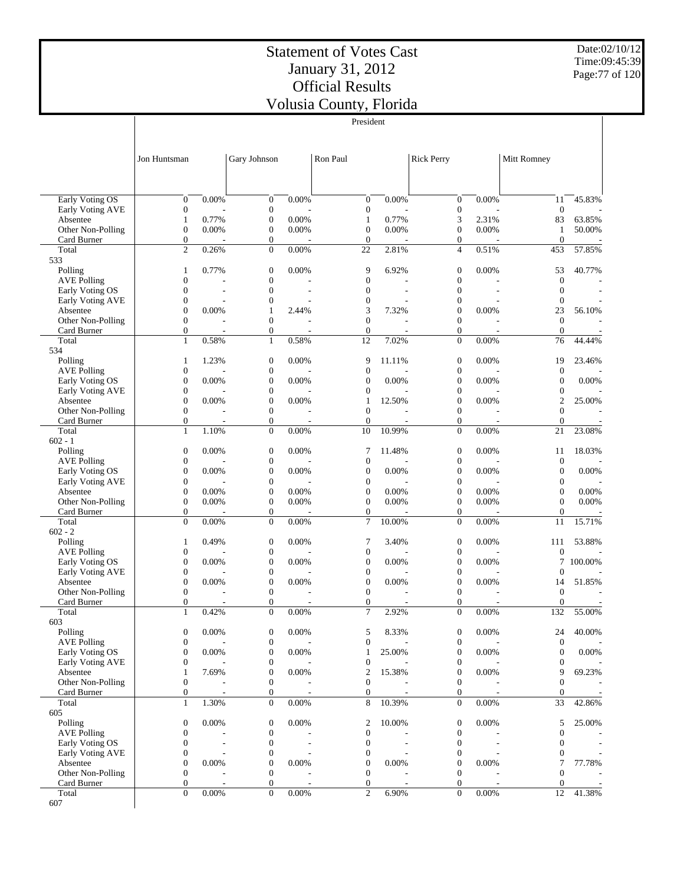Date:02/10/12 Time:09:45:39 Page:77 of 120

|                                       |                                      |                          |                                      |       | President                            |        |                                  |       |                                      |         |
|---------------------------------------|--------------------------------------|--------------------------|--------------------------------------|-------|--------------------------------------|--------|----------------------------------|-------|--------------------------------------|---------|
|                                       |                                      |                          |                                      |       |                                      |        |                                  |       |                                      |         |
|                                       |                                      |                          |                                      |       |                                      |        |                                  |       |                                      |         |
|                                       | Jon Huntsman                         |                          | Gary Johnson                         |       | Ron Paul                             |        | <b>Rick Perry</b>                |       | Mitt Romney                          |         |
|                                       |                                      |                          |                                      |       |                                      |        |                                  |       |                                      |         |
|                                       |                                      |                          |                                      |       |                                      |        |                                  |       |                                      |         |
| <b>Early Voting OS</b>                | $\boldsymbol{0}$                     | 0.00%                    | $\mathbf{0}$                         | 0.00% | $\boldsymbol{0}$                     | 0.00%  | $\boldsymbol{0}$                 | 0.00% | 11                                   | 45.83%  |
| Early Voting AVE                      | $\boldsymbol{0}$                     |                          | $\boldsymbol{0}$                     |       | $\boldsymbol{0}$                     |        | $\boldsymbol{0}$                 |       | $\mathbf{0}$                         |         |
| Absentee                              | $\mathbf{1}$                         | 0.77%                    | $\mathbf{0}$                         | 0.00% | $\mathbf{1}$                         | 0.77%  | 3                                | 2.31% | 83                                   | 63.85%  |
| Other Non-Polling                     | $\boldsymbol{0}$                     | 0.00%                    | $\mathbf{0}$                         | 0.00% | $\mathbf{0}$                         | 0.00%  | $\boldsymbol{0}$                 | 0.00% | 1                                    | 50.00%  |
| Card Burner                           | $\boldsymbol{0}$                     |                          | $\boldsymbol{0}$                     |       | $\mathbf{0}$                         |        | $\boldsymbol{0}$                 |       | $\theta$                             |         |
| Total<br>533                          | $\overline{c}$                       | 0.26%                    | $\mathbf{0}$                         | 0.00% | 22                                   | 2.81%  | $\overline{4}$                   | 0.51% | 453                                  | 57.85%  |
| Polling                               | $\mathbf{1}$                         | 0.77%                    | $\mathbf{0}$                         | 0.00% | 9                                    | 6.92%  | $\boldsymbol{0}$                 | 0.00% | 53                                   | 40.77%  |
| <b>AVE Polling</b>                    | $\mathbf{0}$                         |                          | $\boldsymbol{0}$                     |       | $\mathbf{0}$                         |        | $\boldsymbol{0}$                 |       | $\mathbf{0}$                         |         |
| Early Voting OS                       | $\boldsymbol{0}$                     |                          | $\overline{0}$                       |       | $\mathbf{0}$                         |        | $\mathbf{0}$                     |       | $\mathbf{0}$                         |         |
| Early Voting AVE                      | $\boldsymbol{0}$                     |                          | $\boldsymbol{0}$                     |       | $\boldsymbol{0}$                     |        | 0                                |       | $\boldsymbol{0}$                     |         |
| Absentee<br>Other Non-Polling         | $\boldsymbol{0}$<br>$\mathbf{0}$     | 0.00%                    | $\mathbf{1}$<br>$\mathbf{0}$         | 2.44% | 3<br>$\mathbf{0}$                    | 7.32%  | $\overline{0}$<br>$\overline{0}$ | 0.00% | 23<br>$\overline{0}$                 | 56.10%  |
| Card Burner                           | $\boldsymbol{0}$                     |                          | $\mathbf{0}$                         |       | $\mathbf{0}$                         |        | $\mathbf{0}$                     |       | $\mathbf{0}$                         |         |
| Total                                 | $\mathbf{1}$                         | 0.58%                    | $\mathbf{1}$                         | 0.58% | 12                                   | 7.02%  | $\overline{0}$                   | 0.00% | 76                                   | 44.44%  |
| 534                                   |                                      |                          |                                      |       |                                      |        |                                  |       |                                      |         |
| Polling                               | $\mathbf{1}$                         | 1.23%                    | $\mathbf{0}$                         | 0.00% | 9                                    | 11.11% | $\boldsymbol{0}$                 | 0.00% | 19                                   | 23.46%  |
| <b>AVE Polling</b>                    | $\boldsymbol{0}$                     |                          | $\boldsymbol{0}$                     |       | $\mathbf{0}$                         |        | 0                                |       | $\mathbf{0}$                         |         |
| Early Voting OS                       | $\boldsymbol{0}$                     | 0.00%                    | $\boldsymbol{0}$                     | 0.00% | $\overline{0}$                       | 0.00%  | $\boldsymbol{0}$                 | 0.00% | $\boldsymbol{0}$                     | 0.00%   |
| Early Voting AVE<br>Absentee          | $\boldsymbol{0}$<br>$\boldsymbol{0}$ | 0.00%                    | $\boldsymbol{0}$<br>$\boldsymbol{0}$ | 0.00% | $\mathbf{0}$<br>$\mathbf{1}$         | 12.50% | 0<br>0                           | 0.00% | $\boldsymbol{0}$<br>$\mathfrak{2}$   | 25.00%  |
| Other Non-Polling                     | $\boldsymbol{0}$                     |                          | $\mathbf{0}$                         |       | $\mathbf{0}$                         |        | $\boldsymbol{0}$                 |       | $\overline{0}$                       |         |
| Card Burner                           | $\boldsymbol{0}$                     |                          | $\mathbf{0}$                         |       | $\boldsymbol{0}$                     |        | $\boldsymbol{0}$                 |       | $\mathbf{0}$                         |         |
| Total                                 | $\mathbf{1}$                         | 1.10%                    | $\overline{0}$                       | 0.00% | 10                                   | 10.99% | $\mathbf{0}$                     | 0.00% | 21                                   | 23.08%  |
| $602 - 1$                             |                                      |                          |                                      |       |                                      |        |                                  |       |                                      |         |
| Polling                               | $\boldsymbol{0}$                     | 0.00%                    | $\boldsymbol{0}$                     | 0.00% | 7                                    | 11.48% | $\boldsymbol{0}$                 | 0.00% | 11                                   | 18.03%  |
| <b>AVE Polling</b><br>Early Voting OS | $\boldsymbol{0}$<br>$\boldsymbol{0}$ | 0.00%                    | $\mathbf{0}$<br>$\mathbf{0}$         | 0.00% | $\mathbf{0}$<br>$\mathbf{0}$         | 0.00%  | $\boldsymbol{0}$<br>$\mathbf{0}$ | 0.00% | $\mathbf{0}$<br>$\boldsymbol{0}$     | 0.00%   |
| Early Voting AVE                      | $\boldsymbol{0}$                     |                          | $\boldsymbol{0}$                     |       | $\mathbf{0}$                         |        | 0                                |       | $\boldsymbol{0}$                     |         |
| Absentee                              | $\boldsymbol{0}$                     | 0.00%                    | $\boldsymbol{0}$                     | 0.00% | $\mathbf{0}$                         | 0.00%  | $\boldsymbol{0}$                 | 0.00% | $\overline{0}$                       | 0.00%   |
| Other Non-Polling                     | $\boldsymbol{0}$                     | 0.00%                    | $\mathbf{0}$                         | 0.00% | $\mathbf{0}$                         | 0.00%  | $\boldsymbol{0}$                 | 0.00% | $\overline{0}$                       | 0.00%   |
| Card Burner                           | $\boldsymbol{0}$                     |                          | $\boldsymbol{0}$                     |       | $\boldsymbol{0}$                     |        | 0                                |       | $\mathbf{0}$                         |         |
| Total<br>$602 - 2$                    | $\overline{0}$                       | 0.00%                    | $\overline{0}$                       | 0.00% | 7                                    | 10.00% | $\mathbf{0}$                     | 0.00% | 11                                   | 15.71%  |
| Polling                               | 1                                    | 0.49%                    | $\mathbf{0}$                         | 0.00% | 7                                    | 3.40%  | $\boldsymbol{0}$                 | 0.00% | 111                                  | 53.88%  |
| <b>AVE Polling</b>                    | $\boldsymbol{0}$                     |                          | $\boldsymbol{0}$                     |       | $\boldsymbol{0}$                     |        | $\boldsymbol{0}$                 |       | $\boldsymbol{0}$                     |         |
| Early Voting OS                       | $\boldsymbol{0}$                     | 0.00%                    | $\boldsymbol{0}$                     | 0.00% | $\mathbf{0}$                         | 0.00%  | 0                                | 0.00% | 7                                    | 100.00% |
| Early Voting AVE                      | $\boldsymbol{0}$                     |                          | $\boldsymbol{0}$                     |       | $\mathbf{0}$                         |        | 0                                |       | $\mathbf{0}$                         |         |
| Absentee                              | $\boldsymbol{0}$                     | 0.00%                    | $\boldsymbol{0}$                     | 0.00% | $\boldsymbol{0}$                     | 0.00%  | 0                                | 0.00% | 14                                   | 51.85%  |
| Other Non-Polling<br>Card Burner      | $\boldsymbol{0}$<br>$\boldsymbol{0}$ |                          | $\mathbf{0}$<br>$\mathbf{0}$         |       | $\boldsymbol{0}$<br>$\mathbf{0}$     |        | $\boldsymbol{0}$<br>$\mathbf{0}$ |       | $\mathbf{0}$<br>$\overline{0}$       |         |
| Total                                 | $\mathbf{1}$                         | 0.42%                    | $\Omega$                             | 0.00% | 7                                    | 2.92%  | $\Omega$                         | 0.00% | 132                                  | 55.00%  |
| 603                                   |                                      |                          |                                      |       |                                      |        |                                  |       |                                      |         |
| Polling                               | $\boldsymbol{0}$                     | $0.00\%$                 | $\boldsymbol{0}$                     | 0.00% | 5                                    | 8.33%  | $\boldsymbol{0}$                 | 0.00% | 24                                   | 40.00%  |
| <b>AVE Polling</b>                    | $\boldsymbol{0}$                     |                          | $\boldsymbol{0}$                     |       | $\mathbf{0}$                         |        | 0                                |       | $\boldsymbol{0}$                     |         |
| Early Voting OS                       | $\boldsymbol{0}$                     | 0.00%                    | $\mathbf{0}$                         | 0.00% | 1                                    | 25.00% | $\mathbf{0}$                     | 0.00% | $\mathbf{0}$                         | 0.00%   |
| Early Voting AVE<br>Absentee          | $\boldsymbol{0}$<br>$\mathbf{1}$     | 7.69%                    | $\boldsymbol{0}$<br>$\boldsymbol{0}$ | 0.00% | $\boldsymbol{0}$<br>$\boldsymbol{2}$ | 15.38% | 0<br>0                           | 0.00% | $\boldsymbol{0}$<br>9                | 69.23%  |
| Other Non-Polling                     | $\boldsymbol{0}$                     |                          | $\mathbf{0}$                         |       | $\mathbf{0}$                         |        | $\boldsymbol{0}$                 |       | $\overline{0}$                       |         |
| Card Burner                           | $\boldsymbol{0}$                     |                          | $\boldsymbol{0}$                     |       | $\boldsymbol{0}$                     |        | $\mathbf{0}$                     |       | $\overline{0}$                       |         |
| Total                                 | $\mathbf{1}$                         | 1.30%                    | $\mathbf{0}$                         | 0.00% | 8                                    | 10.39% | $\mathbf{0}$                     | 0.00% | 33                                   | 42.86%  |
| 605                                   |                                      |                          |                                      |       |                                      |        |                                  |       |                                      |         |
| Polling                               | $\boldsymbol{0}$                     | 0.00%                    | $\boldsymbol{0}$                     | 0.00% | 2                                    | 10.00% | $\boldsymbol{0}$                 | 0.00% | 5                                    | 25.00%  |
| <b>AVE Polling</b><br>Early Voting OS | $\boldsymbol{0}$<br>$\boldsymbol{0}$ |                          | $\boldsymbol{0}$<br>$\boldsymbol{0}$ |       | $\boldsymbol{0}$<br>$\mathbf{0}$     |        | $\boldsymbol{0}$<br>0            |       | $\boldsymbol{0}$<br>$\boldsymbol{0}$ |         |
| Early Voting AVE                      | $\boldsymbol{0}$                     | $\overline{\phantom{a}}$ | $\boldsymbol{0}$                     |       | $\boldsymbol{0}$                     |        | 0                                |       | $\boldsymbol{0}$                     |         |
| Absentee                              | $\boldsymbol{0}$                     | 0.00%                    | $\boldsymbol{0}$                     | 0.00% | $\boldsymbol{0}$                     | 0.00%  | 0                                | 0.00% | 7                                    | 77.78%  |
| Other Non-Polling                     | $\boldsymbol{0}$                     |                          | $\mathbf{0}$                         |       | $\mathbf{0}$                         |        | $\boldsymbol{0}$                 |       | $\boldsymbol{0}$                     |         |
| Card Burner                           | $\boldsymbol{0}$                     |                          | $\boldsymbol{0}$                     |       | $\mathbf{0}$                         |        | $\mathbf{0}$                     |       | $\overline{0}$                       |         |
| Total                                 | $\overline{0}$                       | 0.00%                    | $\mathbf{0}$                         | 0.00% | $\mathfrak{2}$                       | 6.90%  | $\mathbf{0}$                     | 0.00% | 12                                   | 41.38%  |
| 607                                   |                                      |                          |                                      |       |                                      |        |                                  |       |                                      |         |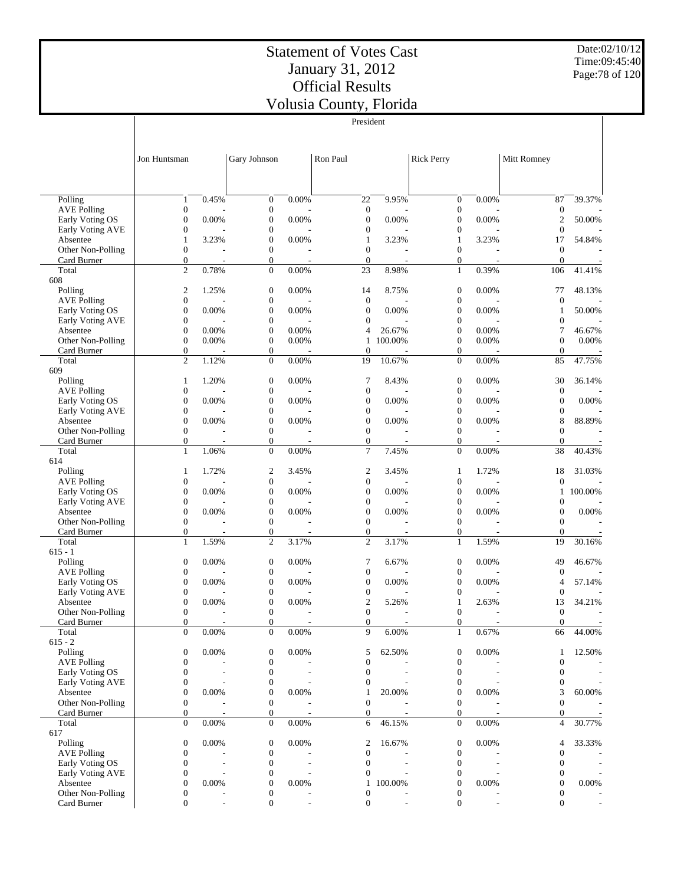President

Date:02/10/12 Time:09:45:40 Page:78 of 120

|                                       |                                      |                          |                                      |                | President                            |                          |                                      |                |                                      |                          |
|---------------------------------------|--------------------------------------|--------------------------|--------------------------------------|----------------|--------------------------------------|--------------------------|--------------------------------------|----------------|--------------------------------------|--------------------------|
|                                       |                                      |                          |                                      |                |                                      |                          |                                      |                |                                      |                          |
|                                       |                                      |                          |                                      |                |                                      |                          |                                      |                |                                      |                          |
|                                       | Jon Huntsman                         |                          | Gary Johnson                         |                | Ron Paul                             |                          | <b>Rick Perry</b>                    |                | Mitt Romney                          |                          |
|                                       |                                      |                          |                                      |                |                                      |                          |                                      |                |                                      |                          |
|                                       |                                      |                          |                                      |                |                                      |                          |                                      |                |                                      |                          |
| Polling                               | $\mathbf{1}$                         | 0.45%                    | $\boldsymbol{0}$                     | 0.00%          | 22                                   | 9.95%                    | $\boldsymbol{0}$                     | 0.00%          | 87                                   | 39.37%                   |
| <b>AVE Polling</b>                    | $\boldsymbol{0}$                     |                          | $\boldsymbol{0}$                     |                | $\mathbf{0}$                         |                          | $\boldsymbol{0}$                     |                | $\boldsymbol{0}$                     |                          |
| Early Voting OS                       | $\mathbf{0}$                         | 0.00%                    | $\boldsymbol{0}$                     | 0.00%          | $\mathbf{0}$                         | 0.00%                    | $\mathbf{0}$                         | 0.00%          | $\mathfrak{2}$                       | 50.00%                   |
| Early Voting AVE                      | $\boldsymbol{0}$                     |                          | $\boldsymbol{0}$                     |                | $\boldsymbol{0}$                     |                          | $\boldsymbol{0}$                     |                | $\boldsymbol{0}$                     |                          |
| Absentee                              | $\mathbf{1}$                         | 3.23%                    | $\boldsymbol{0}$                     | 0.00%          | $\mathbf{1}$                         | 3.23%                    | 1                                    | 3.23%          | 17                                   | 54.84%                   |
| Other Non-Polling<br>Card Burner      | $\boldsymbol{0}$                     |                          | $\boldsymbol{0}$                     |                | $\mathbf{0}$<br>$\mathbf{0}$         |                          | $\mathbf{0}$<br>$\mathbf{0}$         |                | $\boldsymbol{0}$<br>$\mathbf{0}$     |                          |
| Total                                 | 0<br>$\overline{c}$                  | 0.78%                    | $\boldsymbol{0}$<br>$\mathbf{0}$     | 0.00%          | 23                                   | 8.98%                    | $\mathbf{1}$                         | 0.39%          | 106                                  | 41.41%                   |
| 608                                   |                                      |                          |                                      |                |                                      |                          |                                      |                |                                      |                          |
| Polling                               | $\overline{\mathbf{c}}$              | 1.25%                    | $\boldsymbol{0}$                     | 0.00%          | 14                                   | 8.75%                    | $\boldsymbol{0}$                     | 0.00%          | 77                                   | 48.13%                   |
| <b>AVE Polling</b>                    | $\boldsymbol{0}$                     |                          | $\boldsymbol{0}$                     |                | $\mathbf{0}$                         |                          | $\mathbf{0}$                         |                | $\boldsymbol{0}$                     |                          |
| Early Voting OS                       | $\boldsymbol{0}$                     | 0.00%                    | $\boldsymbol{0}$                     | 0.00%          | $\boldsymbol{0}$                     | 0.00%                    | $\boldsymbol{0}$                     | 0.00%          | 1                                    | 50.00%                   |
| Early Voting AVE                      | $\mathbf{0}$                         |                          | $\boldsymbol{0}$                     |                | $\mathbf{0}$                         |                          | $\mathbf{0}$                         |                | $\boldsymbol{0}$                     |                          |
| Absentee<br>Other Non-Polling         | $\boldsymbol{0}$<br>$\mathbf{0}$     | 0.00%<br>0.00%           | $\boldsymbol{0}$<br>$\boldsymbol{0}$ | 0.00%<br>0.00% | 4<br>$\mathbf{1}$                    | 26.67%<br>100.00%        | $\boldsymbol{0}$<br>$\boldsymbol{0}$ | 0.00%<br>0.00% | 7<br>$\boldsymbol{0}$                | 46.67%<br>0.00%          |
| Card Burner                           | $\boldsymbol{0}$                     |                          | $\boldsymbol{0}$                     |                | $\overline{0}$                       |                          | $\mathbf{0}$                         |                | $\overline{0}$                       |                          |
| Total                                 | $\overline{c}$                       | 1.12%                    | $\boldsymbol{0}$                     | 0.00%          | 19                                   | 10.67%                   | $\mathbf{0}$                         | 0.00%          | 85                                   | 47.75%                   |
| 609                                   |                                      |                          |                                      |                |                                      |                          |                                      |                |                                      |                          |
| Polling                               | $\mathbf{1}$                         | 1.20%                    | $\boldsymbol{0}$                     | 0.00%          | 7                                    | 8.43%                    | $\boldsymbol{0}$                     | 0.00%          | 30                                   | 36.14%                   |
| <b>AVE Polling</b>                    | $\boldsymbol{0}$                     |                          | $\boldsymbol{0}$                     |                | $\mathbf{0}$                         |                          | $\boldsymbol{0}$                     |                | $\mathbf{0}$                         |                          |
| Early Voting OS<br>Early Voting AVE   | $\mathbf{0}$<br>$\mathbf{0}$         | 0.00%                    | $\boldsymbol{0}$<br>$\boldsymbol{0}$ | 0.00%          | $\boldsymbol{0}$<br>$\boldsymbol{0}$ | 0.00%                    | $\mathbf{0}$<br>$\mathbf{0}$         | 0.00%          | $\boldsymbol{0}$<br>$\boldsymbol{0}$ | 0.00%                    |
| Absentee                              | $\mathbf{0}$                         | 0.00%                    | $\boldsymbol{0}$                     | 0.00%          | $\mathbf{0}$                         | 0.00%                    | $\mathbf{0}$                         | 0.00%          | 8                                    | 88.89%                   |
| Other Non-Polling                     | $\boldsymbol{0}$                     |                          | $\boldsymbol{0}$                     |                | $\mathbf{0}$                         |                          | $\mathbf{0}$                         |                | $\boldsymbol{0}$                     |                          |
| Card Burner                           | $\boldsymbol{0}$                     | J.                       | $\boldsymbol{0}$                     | $\overline{a}$ | $\mathbf{0}$                         |                          | $\mathbf{0}$                         |                | $\mathbf{0}$                         |                          |
| Total                                 | $\mathbf{1}$                         | 1.06%                    | $\boldsymbol{0}$                     | 0.00%          | 7                                    | 7.45%                    | $\mathbf{0}$                         | 0.00%          | 38                                   | 40.43%                   |
| 614                                   |                                      |                          |                                      |                |                                      |                          |                                      |                |                                      |                          |
| Polling                               | 1                                    | 1.72%                    | $\overline{\mathbf{c}}$              | 3.45%          | $\boldsymbol{2}$                     | 3.45%                    | 1                                    | 1.72%          | 18                                   | 31.03%                   |
| <b>AVE Polling</b><br>Early Voting OS | $\mathbf{0}$<br>$\boldsymbol{0}$     | 0.00%                    | $\boldsymbol{0}$<br>$\boldsymbol{0}$ | 0.00%          | $\mathbf{0}$<br>$\boldsymbol{0}$     | 0.00%                    | $\mathbf{0}$<br>$\boldsymbol{0}$     | 0.00%          | $\boldsymbol{0}$<br>1                | 100.00%                  |
| Early Voting AVE                      | $\boldsymbol{0}$                     |                          | $\boldsymbol{0}$                     |                | $\mathbf{0}$                         |                          | $\mathbf{0}$                         |                | $\boldsymbol{0}$                     |                          |
| Absentee                              | $\boldsymbol{0}$                     | 0.00%                    | $\boldsymbol{0}$                     | 0.00%          | $\mathbf{0}$                         | 0.00%                    | $\boldsymbol{0}$                     | 0.00%          | $\boldsymbol{0}$                     | 0.00%                    |
| Other Non-Polling                     | $\boldsymbol{0}$                     |                          | $\boldsymbol{0}$                     |                | $\mathbf{0}$                         |                          | $\mathbf{0}$                         |                | $\boldsymbol{0}$                     |                          |
| Card Burner                           | 0                                    |                          | $\boldsymbol{0}$                     |                | $\mathbf{0}$                         |                          | $\boldsymbol{0}$                     |                | $\overline{0}$                       |                          |
| Total                                 | $\mathbf{1}$                         | 1.59%                    | $\overline{c}$                       | 3.17%          | $\overline{c}$                       | 3.17%                    | $\mathbf{1}$                         | 1.59%          | 19                                   | 30.16%                   |
| $615 - 1$<br>Polling                  | $\boldsymbol{0}$                     | 0.00%                    | $\boldsymbol{0}$                     | 0.00%          | 7                                    | 6.67%                    | $\boldsymbol{0}$                     | 0.00%          | 49                                   | 46.67%                   |
| <b>AVE Polling</b>                    | $\boldsymbol{0}$                     |                          | $\boldsymbol{0}$                     |                | $\mathbf{0}$                         |                          | $\mathbf{0}$                         |                | $\boldsymbol{0}$                     |                          |
| Early Voting OS                       | $\mathbf{0}$                         | 0.00%                    | $\boldsymbol{0}$                     | 0.00%          | $\mathbf{0}$                         | 0.00%                    | $\mathbf{0}$                         | 0.00%          | 4                                    | 57.14%                   |
| Early Voting AVE                      | $\boldsymbol{0}$                     |                          | $\boldsymbol{0}$                     |                | $\boldsymbol{0}$                     |                          | $\mathbf{0}$                         |                | $\boldsymbol{0}$                     |                          |
| Absentee                              | $\mathbf{0}$                         | 0.00%                    | $\boldsymbol{0}$                     | 0.00%          | $\overline{2}$                       | 5.26%                    | 1                                    | 2.63%          | 13                                   | 34.21%                   |
| Other Non-Polling                     | $\overline{0}$                       |                          | $\mathbf{0}$                         |                | $\Omega$                             |                          | $\mathbf{0}$                         |                | $\overline{0}$                       |                          |
| Card Burner<br>Total                  | 0<br>$\overline{0}$                  | 0.00%                    | 0<br>$\boldsymbol{0}$                | 0.00%          | $\boldsymbol{0}$<br>9                | 6.00%                    | $\mathbf{0}$<br>$\mathbf{1}$         | 0.67%          | 0<br>66                              | 44.00%                   |
| $615 - 2$                             |                                      |                          |                                      |                |                                      |                          |                                      |                |                                      |                          |
| Polling                               | $\boldsymbol{0}$                     | 0.00%                    | $\boldsymbol{0}$                     | 0.00%          | 5                                    | 62.50%                   | $\boldsymbol{0}$                     | 0.00%          | 1                                    | 12.50%                   |
| <b>AVE Polling</b>                    | $\mathbf{0}$                         |                          | $\boldsymbol{0}$                     |                | $\mathbf{0}$                         |                          | $\boldsymbol{0}$                     |                | $\boldsymbol{0}$                     |                          |
| Early Voting OS                       | $\boldsymbol{0}$                     |                          | $\boldsymbol{0}$                     |                | $\mathbf{0}$                         |                          | $\boldsymbol{0}$                     |                | $\boldsymbol{0}$                     |                          |
| Early Voting AVE                      | 0                                    |                          | $\boldsymbol{0}$                     |                | $\boldsymbol{0}$                     |                          | $\boldsymbol{0}$                     |                | 0                                    |                          |
| Absentee                              | $\boldsymbol{0}$                     | 0.00%                    | $\boldsymbol{0}$                     | 0.00%          | $\mathbf{1}$                         | 20.00%                   | $\boldsymbol{0}$                     | 0.00%          | 3                                    | 60.00%                   |
| Other Non-Polling<br>Card Burner      | $\boldsymbol{0}$<br>0                | $\overline{\phantom{a}}$ | $\boldsymbol{0}$<br>$\boldsymbol{0}$ |                | $\mathbf{0}$<br>$\overline{0}$       |                          | $\boldsymbol{0}$<br>$\mathbf{0}$     |                | $\boldsymbol{0}$<br>$\overline{0}$   |                          |
| Total                                 | $\boldsymbol{0}$                     | 0.00%                    | $\boldsymbol{0}$                     | 0.00%          | 6                                    | 46.15%                   | $\mathbf{0}$                         | 0.00%          | 4                                    | 30.77%                   |
| 617                                   |                                      |                          |                                      |                |                                      |                          |                                      |                |                                      |                          |
| Polling                               | $\boldsymbol{0}$                     | 0.00%                    | $\boldsymbol{0}$                     | 0.00%          | $\overline{\mathbf{c}}$              | 16.67%                   | $\boldsymbol{0}$                     | 0.00%          | 4                                    | 33.33%                   |
| <b>AVE Polling</b>                    | $\boldsymbol{0}$                     |                          | $\boldsymbol{0}$                     |                | $\mathbf{0}$                         |                          | $\boldsymbol{0}$                     |                | 0                                    |                          |
| Early Voting OS                       | $\mathbf{0}$                         |                          | $\boldsymbol{0}$                     |                | $\mathbf{0}$                         |                          | $\mathbf{0}$                         |                | $\boldsymbol{0}$                     |                          |
| Early Voting AVE                      | $\boldsymbol{0}$                     | 0.00%                    | $\boldsymbol{0}$                     | 0.00%          | $\boldsymbol{0}$                     | 100.00%                  | $\boldsymbol{0}$                     | 0.00%          | $\boldsymbol{0}$                     | 0.00%                    |
| Absentee<br>Other Non-Polling         | $\boldsymbol{0}$<br>$\boldsymbol{0}$ |                          | $\boldsymbol{0}$<br>$\boldsymbol{0}$ |                | $\mathbf{1}$<br>$\mathbf{0}$         |                          | 0<br>$\boldsymbol{0}$                |                | $\boldsymbol{0}$<br>0                |                          |
| Card Burner                           | $\boldsymbol{0}$                     | $\overline{\phantom{a}}$ | $\boldsymbol{0}$                     |                | $\mathbf{0}$                         | $\overline{\phantom{a}}$ | $\mathbf{0}$                         |                | $\overline{0}$                       | $\overline{\phantom{a}}$ |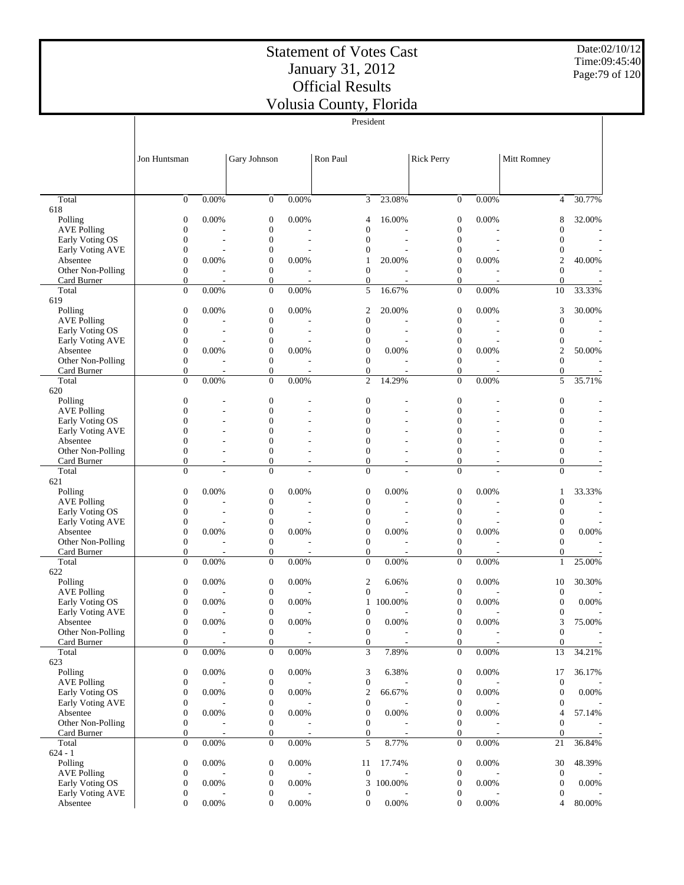Date:02/10/12 Time:09:45:40 Page:79 of 120

|                                       |                                      |                          |                                      |                         | President                            |           |                                    |                         |                                      |                          |
|---------------------------------------|--------------------------------------|--------------------------|--------------------------------------|-------------------------|--------------------------------------|-----------|------------------------------------|-------------------------|--------------------------------------|--------------------------|
|                                       |                                      |                          |                                      |                         |                                      |           |                                    |                         |                                      |                          |
|                                       |                                      |                          |                                      |                         |                                      |           |                                    |                         |                                      |                          |
|                                       | Jon Huntsman                         |                          | Gary Johnson                         |                         | Ron Paul                             |           | <b>Rick Perry</b>                  |                         | Mitt Romney                          |                          |
|                                       |                                      |                          |                                      |                         |                                      |           |                                    |                         |                                      |                          |
|                                       |                                      |                          |                                      |                         |                                      |           |                                    |                         |                                      |                          |
|                                       |                                      |                          |                                      |                         |                                      |           |                                    |                         |                                      |                          |
| Total<br>618                          | $\boldsymbol{0}$                     | 0.00%                    | $\mathbf{0}$                         | 0.00%                   | 3                                    | 23.08%    | $\mathbf{0}$                       | 0.00%                   | $\overline{4}$                       | 30.77%                   |
| Polling                               | $\boldsymbol{0}$                     | 0.00%                    | $\boldsymbol{0}$                     | 0.00%                   | 4                                    | 16.00%    | 0                                  | 0.00%                   | 8                                    | 32.00%                   |
| <b>AVE Polling</b>                    | $\boldsymbol{0}$                     |                          | $\boldsymbol{0}$                     |                         | $\mathbf{0}$                         |           | 0                                  |                         | $\overline{0}$                       |                          |
| Early Voting OS                       | $\boldsymbol{0}$                     |                          | $\boldsymbol{0}$                     |                         | $\mathbf{0}$                         |           | 0                                  |                         | $\boldsymbol{0}$                     |                          |
| Early Voting AVE                      | $\boldsymbol{0}$                     |                          | 0                                    |                         | 0                                    |           | 0                                  |                         | $\boldsymbol{0}$                     |                          |
| Absentee                              | $\boldsymbol{0}$                     | 0.00%                    | $\boldsymbol{0}$                     | 0.00%                   | $\mathbf{1}$                         | 20.00%    | $\boldsymbol{0}$                   | 0.00%                   | $\overline{2}$                       | 40.00%                   |
| Other Non-Polling                     | $\boldsymbol{0}$                     |                          | $\boldsymbol{0}$                     |                         | $\mathbf{0}$                         |           | $\boldsymbol{0}$                   |                         | $\overline{0}$                       |                          |
| Card Burner<br>Total                  | $\boldsymbol{0}$<br>$\overline{0}$   | 0.00%                    | $\boldsymbol{0}$<br>$\mathbf{0}$     | $\overline{a}$<br>0.00% | $\mathbf{0}$<br>5                    | 16.67%    | 0<br>$\overline{0}$                | $\overline{a}$<br>0.00% | $\theta$<br>10                       | 33.33%                   |
| 619                                   |                                      |                          |                                      |                         |                                      |           |                                    |                         |                                      |                          |
| Polling                               | $\boldsymbol{0}$                     | 0.00%                    | $\mathbf{0}$                         | 0.00%                   | 2                                    | 20.00%    | 0                                  | 0.00%                   | 3                                    | 30.00%                   |
| <b>AVE Polling</b>                    | $\boldsymbol{0}$                     |                          | $\boldsymbol{0}$                     |                         | $\boldsymbol{0}$                     |           | 0                                  |                         | $\boldsymbol{0}$                     |                          |
| Early Voting OS                       | $\boldsymbol{0}$                     |                          | $\boldsymbol{0}$                     | $\overline{a}$          | $\mathbf{0}$                         |           | 0                                  |                         | $\boldsymbol{0}$                     | $\overline{\phantom{a}}$ |
| Early Voting AVE                      | $\boldsymbol{0}$                     |                          | $\boldsymbol{0}$                     |                         | $\boldsymbol{0}$                     |           | 0                                  |                         | $\boldsymbol{0}$                     |                          |
| Absentee                              | $\boldsymbol{0}$                     | 0.00%                    | $\overline{0}$                       | 0.00%                   | 0                                    | 0.00%     | 0                                  | 0.00%                   | $\overline{2}$                       | 50.00%                   |
| Other Non-Polling<br>Card Burner      | $\boldsymbol{0}$<br>$\boldsymbol{0}$ | $\overline{\phantom{a}}$ | $\boldsymbol{0}$<br>$\boldsymbol{0}$ | $\overline{a}$          | $\theta$<br>$\mathbf{0}$             | ÷,        | 0<br>$\theta$                      | ÷,                      | $\overline{0}$<br>$\mathbf{0}$       |                          |
| Total                                 | $\overline{0}$                       | 0.00%                    | $\boldsymbol{0}$                     | 0.00%                   | 2                                    | 14.29%    | $\mathbf{0}$                       | 0.00%                   | 5                                    | 35.71%                   |
| 620                                   |                                      |                          |                                      |                         |                                      |           |                                    |                         |                                      |                          |
| Polling                               | $\boldsymbol{0}$                     |                          | $\mathbf{0}$                         |                         | $\boldsymbol{0}$                     |           | $\boldsymbol{0}$                   |                         | $\boldsymbol{0}$                     |                          |
| <b>AVE Polling</b>                    | $\overline{0}$                       |                          | $\overline{0}$                       |                         | 0                                    |           | $\overline{0}$                     |                         | $\overline{0}$                       |                          |
| Early Voting OS                       | $\overline{0}$                       |                          | $\overline{0}$                       |                         | 0                                    |           | $\overline{0}$                     |                         | $\overline{0}$                       |                          |
| Early Voting AVE                      | $\overline{0}$                       |                          | $\overline{0}$                       |                         | $\overline{0}$                       |           | 0                                  |                         | 0                                    |                          |
| Absentee                              | $\overline{0}$<br>$\overline{0}$     |                          | $\overline{0}$<br>$\overline{0}$     |                         | $\mathbf{0}$                         |           | $\boldsymbol{0}$                   |                         | $\overline{0}$                       |                          |
| Other Non-Polling<br>Card Burner      | $\mathbf{0}$                         |                          | $\overline{0}$                       |                         | $\mathbf{0}$<br>$\mathbf{0}$         |           | $\boldsymbol{0}$<br>$\overline{0}$ |                         | $\boldsymbol{0}$<br>$\mathbf{0}$     |                          |
| Total                                 | $\theta$                             |                          | $\overline{0}$                       |                         | $\theta$                             |           | $\overline{0}$                     |                         | $\overline{0}$                       |                          |
| 621                                   |                                      |                          |                                      |                         |                                      |           |                                    |                         |                                      |                          |
| Polling                               | $\boldsymbol{0}$                     | 0.00%                    | $\mathbf{0}$                         | 0.00%                   | $\boldsymbol{0}$                     | 0.00%     | $\boldsymbol{0}$                   | 0.00%                   | 1                                    | 33.33%                   |
| <b>AVE Polling</b>                    | $\boldsymbol{0}$                     |                          | $\boldsymbol{0}$                     |                         | $\boldsymbol{0}$                     |           | 0                                  |                         | $\boldsymbol{0}$                     |                          |
| Early Voting OS                       | $\boldsymbol{0}$<br>$\boldsymbol{0}$ |                          | $\boldsymbol{0}$<br>$\boldsymbol{0}$ |                         | $\mathbf{0}$                         |           | 0                                  |                         | $\boldsymbol{0}$                     | $\overline{\phantom{a}}$ |
| Early Voting AVE<br>Absentee          | $\boldsymbol{0}$                     | 0.00%                    | $\boldsymbol{0}$                     | 0.00%                   | $\boldsymbol{0}$<br>$\boldsymbol{0}$ | 0.00%     | 0<br>0                             | 0.00%                   | $\mathbf{0}$<br>$\boldsymbol{0}$     | 0.00%                    |
| Other Non-Polling                     | $\boldsymbol{0}$                     |                          | $\boldsymbol{0}$                     |                         | $\mathbf{0}$                         |           | $\mathbf{0}$                       |                         | $\boldsymbol{0}$                     |                          |
| Card Burner                           | $\boldsymbol{0}$                     |                          | $\boldsymbol{0}$                     |                         | $\mathbf{0}$                         |           | $\theta$                           |                         | $\mathbf{0}$                         |                          |
| Total                                 | $\mathbf{0}$                         | 0.00%                    | $\mathbf{0}$                         | 0.00%                   | $\theta$                             | 0.00%     | $\mathbf{0}$                       | 0.00%                   | $\mathbf{1}$                         | 25.00%                   |
| 622                                   |                                      |                          |                                      |                         |                                      |           |                                    |                         |                                      |                          |
| Polling                               | $\boldsymbol{0}$                     | 0.00%                    | $\boldsymbol{0}$                     | 0.00%                   | 2                                    | 6.06%     | $\mathbf{0}$                       | 0.00%                   | 10                                   | 30.30%                   |
| <b>AVE Polling</b><br>Early Voting OS | $\boldsymbol{0}$<br>$\boldsymbol{0}$ | 0.00%                    | $\boldsymbol{0}$<br>$\boldsymbol{0}$ | 0.00%                   | 0                                    | 1 100.00% | 0<br>$\boldsymbol{0}$              | 0.00%                   | $\boldsymbol{0}$<br>$\boldsymbol{0}$ | 0.00%                    |
| Early Voting AVE                      | $\boldsymbol{0}$                     |                          | $\boldsymbol{0}$                     |                         | $\mathbf{0}$                         |           | $\boldsymbol{0}$                   |                         | $\boldsymbol{0}$                     |                          |
| Absentee                              | $\boldsymbol{0}$                     | 0.00%                    | $\boldsymbol{0}$                     | 0.00%                   | $\boldsymbol{0}$                     | 0.00%     | $\boldsymbol{0}$                   | 0.00%                   | 3                                    | 75.00%                   |
| Other Non-Polling                     | $\boldsymbol{0}$                     |                          | $\boldsymbol{0}$                     |                         | $\mathbf{0}$                         |           | $\boldsymbol{0}$                   |                         | $\boldsymbol{0}$                     |                          |
| Card Burner                           | $\boldsymbol{0}$                     |                          | $\boldsymbol{0}$                     |                         | $\mathbf{0}$                         |           | $\boldsymbol{0}$                   |                         | $\boldsymbol{0}$                     |                          |
| Total                                 | $\overline{0}$                       | 0.00%                    | $\boldsymbol{0}$                     | 0.00%                   | 3                                    | 7.89%     | $\overline{0}$                     | 0.00%                   | 13                                   | 34.21%                   |
| 623                                   |                                      |                          |                                      | 0.00%                   |                                      |           |                                    |                         |                                      |                          |
| Polling<br><b>AVE Polling</b>         | $\boldsymbol{0}$<br>$\boldsymbol{0}$ | 0.00%                    | $\boldsymbol{0}$<br>$\boldsymbol{0}$ |                         | 3<br>$\boldsymbol{0}$                | 6.38%     | $\boldsymbol{0}$<br>0              | 0.00%                   | 17<br>$\mathbf{0}$                   | 36.17%                   |
| Early Voting OS                       | $\boldsymbol{0}$                     | 0.00%                    | $\boldsymbol{0}$                     | 0.00%                   | $\mathbf{2}$                         | 66.67%    | 0                                  | 0.00%                   | $\boldsymbol{0}$                     | 0.00%                    |
| Early Voting AVE                      | $\boldsymbol{0}$                     |                          | $\boldsymbol{0}$                     |                         | $\boldsymbol{0}$                     |           | 0                                  |                         | $\boldsymbol{0}$                     |                          |
| Absentee                              | $\boldsymbol{0}$                     | 0.00%                    | $\boldsymbol{0}$                     | 0.00%                   | $\boldsymbol{0}$                     | 0.00%     | 0                                  | 0.00%                   | 4                                    | 57.14%                   |
| Other Non-Polling                     | $\boldsymbol{0}$                     |                          | $\boldsymbol{0}$                     |                         | $\mathbf{0}$                         |           | $\mathbf{0}$                       |                         | $\mathbf{0}$                         |                          |
| Card Burner                           | $\boldsymbol{0}$                     |                          | $\boldsymbol{0}$                     |                         | $\mathbf{0}$                         |           | $\boldsymbol{0}$                   |                         | $\boldsymbol{0}$                     |                          |
| Total                                 | $\boldsymbol{0}$                     | 0.00%                    | $\boldsymbol{0}$                     | 0.00%                   | 5                                    | 8.77%     | $\boldsymbol{0}$                   | 0.00%                   | 21                                   | 36.84%                   |
| $624 - 1$<br>Polling                  | $\boldsymbol{0}$                     | 0.00%                    | $\boldsymbol{0}$                     | 0.00%                   | 11                                   | 17.74%    | $\boldsymbol{0}$                   | 0.00%                   | 30                                   | 48.39%                   |
| <b>AVE Polling</b>                    | $\boldsymbol{0}$                     |                          | $\boldsymbol{0}$                     |                         | $\mathbf{0}$                         |           | 0                                  |                         | $\boldsymbol{0}$                     |                          |
| Early Voting OS                       | $\boldsymbol{0}$                     | 0.00%                    | $\boldsymbol{0}$                     | 0.00%                   | 3                                    | 100.00%   | 0                                  | 0.00%                   | $\boldsymbol{0}$                     | 0.00%                    |
| Early Voting AVE                      | $\boldsymbol{0}$                     |                          | $\boldsymbol{0}$                     |                         | $\boldsymbol{0}$                     |           | 0                                  |                         | $\boldsymbol{0}$                     |                          |
| Absentee                              | $\boldsymbol{0}$                     | $0.00\%$                 | $\boldsymbol{0}$                     | $0.00\%$                | $\mathbf{0}$                         | 0.00%     | $\boldsymbol{0}$                   | 0.00%                   | 4                                    | 80.00%                   |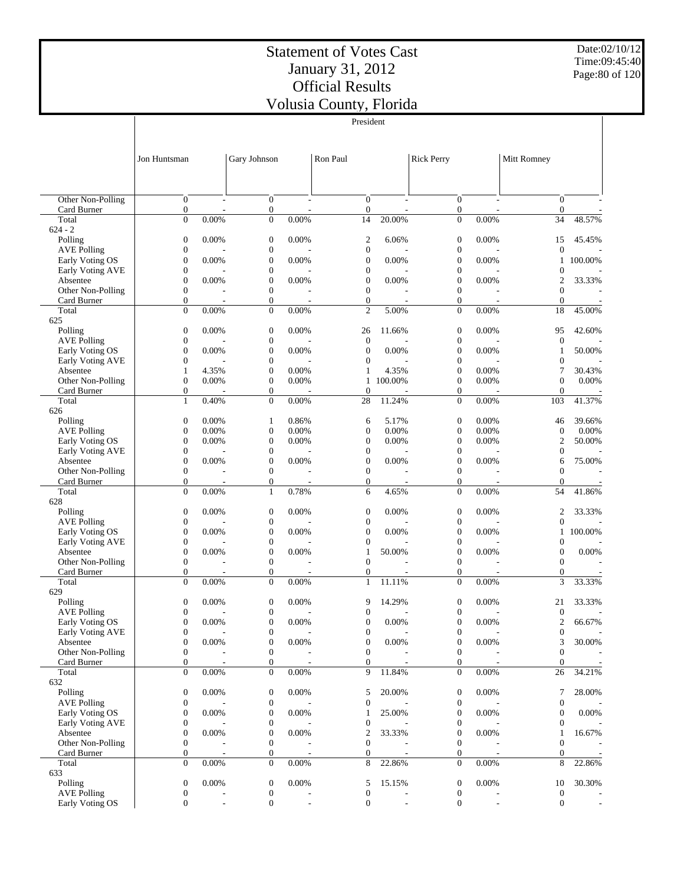President

Date:02/10/12 Time:09:45:40 Page:80 of 120

|                                       |                                      |                |                                      |                          | President                            |                          |                                      |                          |                                    |                          |
|---------------------------------------|--------------------------------------|----------------|--------------------------------------|--------------------------|--------------------------------------|--------------------------|--------------------------------------|--------------------------|------------------------------------|--------------------------|
|                                       |                                      |                |                                      |                          |                                      |                          |                                      |                          |                                    |                          |
|                                       |                                      |                |                                      |                          |                                      |                          |                                      |                          |                                    |                          |
|                                       | Jon Huntsman                         |                | Gary Johnson                         |                          | Ron Paul                             |                          | <b>Rick Perry</b>                    |                          | Mitt Romney                        |                          |
|                                       |                                      |                |                                      |                          |                                      |                          |                                      |                          |                                    |                          |
|                                       |                                      |                |                                      |                          |                                      |                          |                                      |                          |                                    |                          |
|                                       |                                      |                |                                      |                          |                                      |                          |                                      |                          |                                    |                          |
| Other Non-Polling                     | $\overline{0}$                       | $\overline{a}$ | $\mathbf{0}$                         | $\sim$                   | $\overline{0}$                       | L,                       | $\mathbf{0}$                         | $\overline{\phantom{a}}$ | $\overline{0}$                     |                          |
| Card Burner<br>Total                  | $\mathbf{0}$<br>$\overline{0}$       | 0.00%          | $\boldsymbol{0}$<br>$\boldsymbol{0}$ | 0.00%                    | $\mathbf{0}$<br>14                   | 20.00%                   | $\boldsymbol{0}$<br>$\overline{0}$   | 0.00%                    | $\boldsymbol{0}$<br>34             | 48.57%                   |
| $624 - 2$                             |                                      |                |                                      |                          |                                      |                          |                                      |                          |                                    |                          |
| Polling                               | $\boldsymbol{0}$                     | 0.00%          | $\boldsymbol{0}$                     | 0.00%                    | $\boldsymbol{2}$                     | 6.06%                    | $\boldsymbol{0}$                     | 0.00%                    | 15                                 | 45.45%                   |
| <b>AVE Polling</b>                    | $\mathbf{0}$                         |                | $\boldsymbol{0}$                     |                          | $\boldsymbol{0}$                     |                          | $\boldsymbol{0}$                     |                          | $\overline{0}$                     |                          |
| Early Voting OS                       | $\mathbf{0}$                         | 0.00%          | $\boldsymbol{0}$                     | 0.00%                    | $\mathbf{0}$                         | 0.00%                    | $\mathbf{0}$                         | 0.00%                    | 1                                  | 100.00%                  |
| Early Voting AVE                      | $\mathbf{0}$                         |                | $\boldsymbol{0}$                     |                          | $\mathbf{0}$                         |                          | $\boldsymbol{0}$                     |                          | $\boldsymbol{0}$                   |                          |
| Absentee                              | $\mathbf{0}$<br>$\mathbf{0}$         | 0.00%          | $\boldsymbol{0}$<br>$\boldsymbol{0}$ | 0.00%                    | $\mathbf{0}$<br>$\mathbf{0}$         | 0.00%                    | 0                                    | 0.00%                    | $\overline{2}$<br>$\overline{0}$   | 33.33%                   |
| Other Non-Polling<br>Card Burner      | $\mathbf{0}$                         |                | $\boldsymbol{0}$                     |                          | $\mathbf{0}$                         |                          | $\boldsymbol{0}$<br>$\mathbf{0}$     |                          | $\overline{0}$                     |                          |
| Total                                 | $\mathbf{0}$                         | 0.00%          | $\boldsymbol{0}$                     | 0.00%                    | $\overline{c}$                       | 5.00%                    | $\mathbf{0}$                         | 0.00%                    | 18                                 | 45.00%                   |
| 625                                   |                                      |                |                                      |                          |                                      |                          |                                      |                          |                                    |                          |
| Polling                               | $\boldsymbol{0}$                     | 0.00%          | $\boldsymbol{0}$                     | 0.00%                    | 26                                   | 11.66%                   | $\boldsymbol{0}$                     | 0.00%                    | 95                                 | 42.60%                   |
| <b>AVE Polling</b>                    | $\mathbf{0}$                         |                | $\boldsymbol{0}$                     |                          | $\mathbf{0}$                         |                          | $\boldsymbol{0}$                     |                          | $\boldsymbol{0}$                   |                          |
| Early Voting OS                       | $\boldsymbol{0}$                     | 0.00%          | $\boldsymbol{0}$                     | 0.00%                    | $\mathbf{0}$                         | 0.00%                    | $\boldsymbol{0}$                     | 0.00%                    | 1                                  | 50.00%                   |
| Early Voting AVE<br>Absentee          | $\mathbf{0}$<br>$\mathbf{1}$         | 4.35%          | $\boldsymbol{0}$<br>$\boldsymbol{0}$ | $0.00\%$                 | $\mathbf{0}$<br>1                    | 4.35%                    | $\boldsymbol{0}$<br>$\boldsymbol{0}$ | 0.00%                    | $\boldsymbol{0}$<br>7              | 30.43%                   |
| Other Non-Polling                     | $\boldsymbol{0}$                     | 0.00%          | $\boldsymbol{0}$                     | 0.00%                    | 1                                    | 100.00%                  | $\boldsymbol{0}$                     | 0.00%                    | $\boldsymbol{0}$                   | 0.00%                    |
| Card Burner                           | $\mathbf{0}$                         |                | $\boldsymbol{0}$                     |                          | $\mathbf{0}$                         |                          | $\mathbf{0}$                         |                          | $\theta$                           |                          |
| Total                                 | $\mathbf{1}$                         | 0.40%          | $\boldsymbol{0}$                     | 0.00%                    | 28                                   | 11.24%                   | $\mathbf{0}$                         | 0.00%                    | 103                                | 41.37%                   |
| 626                                   |                                      |                |                                      |                          |                                      |                          |                                      |                          |                                    |                          |
| Polling                               | $\boldsymbol{0}$                     | 0.00%          | 1                                    | 0.86%                    | 6                                    | 5.17%                    | $\boldsymbol{0}$                     | 0.00%                    | 46                                 | 39.66%                   |
| <b>AVE Polling</b><br>Early Voting OS | $\mathbf{0}$<br>$\mathbf{0}$         | 0.00%<br>0.00% | $\boldsymbol{0}$<br>$\boldsymbol{0}$ | 0.00%<br>0.00%           | $\mathbf{0}$<br>$\mathbf{0}$         | 0.00%<br>0.00%           | $\boldsymbol{0}$<br>$\mathbf{0}$     | 0.00%<br>0.00%           | $\boldsymbol{0}$<br>$\overline{c}$ | 0.00%<br>50.00%          |
| Early Voting AVE                      | $\mathbf{0}$                         |                | $\boldsymbol{0}$                     |                          | $\mathbf{0}$                         |                          | $\boldsymbol{0}$                     |                          | $\boldsymbol{0}$                   |                          |
| Absentee                              | $\mathbf{0}$                         | 0.00%          | $\boldsymbol{0}$                     | 0.00%                    | 0                                    | 0.00%                    | $\mathbf{0}$                         | 0.00%                    | 6                                  | 75.00%                   |
| Other Non-Polling                     | $\mathbf{0}$                         |                | $\boldsymbol{0}$                     |                          | $\mathbf{0}$                         |                          | $\boldsymbol{0}$                     |                          | $\overline{0}$                     |                          |
| Card Burner                           | $\mathbf{0}$                         |                | $\boldsymbol{0}$                     | ٠                        | $\mathbf{0}$                         | ä,                       | $\mathbf{0}$                         | $\overline{\phantom{a}}$ | $\overline{0}$                     |                          |
| Total                                 | $\mathbf{0}$                         | 0.00%          | $\mathbf{1}$                         | 0.78%                    | 6                                    | 4.65%                    | $\mathbf{0}$                         | 0.00%                    | 54                                 | 41.86%                   |
| 628<br>Polling                        | $\mathbf{0}$                         | 0.00%          | $\boldsymbol{0}$                     | 0.00%                    | $\boldsymbol{0}$                     | 0.00%                    | $\boldsymbol{0}$                     | 0.00%                    | 2                                  | 33.33%                   |
| <b>AVE Polling</b>                    | $\mathbf{0}$                         |                | $\boldsymbol{0}$                     |                          | $\mathbf{0}$                         |                          | $\boldsymbol{0}$                     |                          | $\boldsymbol{0}$                   |                          |
| Early Voting OS                       | $\boldsymbol{0}$                     | 0.00%          | $\boldsymbol{0}$                     | 0.00%                    | $\boldsymbol{0}$                     | 0.00%                    | $\boldsymbol{0}$                     | 0.00%                    | $\mathbf{1}$                       | 100.00%                  |
| Early Voting AVE                      | $\boldsymbol{0}$                     |                | $\boldsymbol{0}$                     |                          | 0                                    |                          | $\boldsymbol{0}$                     |                          | $\boldsymbol{0}$                   |                          |
| Absentee                              | $\mathbf{0}$                         | 0.00%          | $\boldsymbol{0}$                     | 0.00%                    | 1                                    | 50.00%                   | $\boldsymbol{0}$                     | 0.00%                    | $\boldsymbol{0}$                   | 0.00%                    |
| Other Non-Polling                     | $\boldsymbol{0}$                     |                | $\boldsymbol{0}$                     |                          | $\mathbf{0}$                         |                          | $\boldsymbol{0}$                     |                          | $\mathbf{0}$                       |                          |
| Card Burner<br>Total                  | $\overline{0}$<br>$\mathbf{0}$       | 0.00%          | $\boldsymbol{0}$<br>$\boldsymbol{0}$ | 0.00%                    | $\mathbf{0}$<br>$\mathbf{1}$         | 11.11%                   | $\mathbf{0}$<br>$\mathbf{0}$         | 0.00%                    | $\theta$<br>3                      | 33.33%                   |
| 629                                   |                                      |                |                                      |                          |                                      |                          |                                      |                          |                                    |                          |
| Polling                               | $\boldsymbol{0}$                     | 0.00%          | $\boldsymbol{0}$                     | 0.00%                    | 9                                    | 14.29%                   | $\boldsymbol{0}$                     | 0.00%                    | 21                                 | 33.33%                   |
| <b>AVE Polling</b>                    | $\mathbf{0}$                         |                | $\mathbf{0}$                         |                          | $\mathbf{0}$                         |                          | $\mathbf{0}$                         |                          | $\overline{0}$                     |                          |
| Early Voting OS                       | $\boldsymbol{0}$                     | $0.00\%$       | $\boldsymbol{0}$                     | 0.00%                    | 0                                    | 0.00%                    | $\boldsymbol{0}$                     | 0.00%                    | 2                                  | 66.67%                   |
| Early Voting AVE                      | $\mathbf{0}$                         |                | $\boldsymbol{0}$                     |                          | $\boldsymbol{0}$                     |                          | $\boldsymbol{0}$                     |                          | $\boldsymbol{0}$                   |                          |
| Absentee<br>Other Non-Polling         | $\boldsymbol{0}$<br>$\boldsymbol{0}$ | 0.00%          | $\boldsymbol{0}$<br>$\boldsymbol{0}$ | 0.00%                    | 0<br>$\boldsymbol{0}$                | 0.00%                    | $\boldsymbol{0}$<br>$\boldsymbol{0}$ | 0.00%                    | 3<br>$\boldsymbol{0}$              | 30.00%                   |
| Card Burner                           | $\boldsymbol{0}$                     |                | 0                                    | $\overline{\phantom{a}}$ | $\boldsymbol{0}$                     | $\overline{\phantom{a}}$ | $\mathbf{0}$                         | $\overline{a}$           | $\boldsymbol{0}$                   |                          |
| Total                                 | $\mathbf{0}$                         | 0.00%          | $\boldsymbol{0}$                     | 0.00%                    | 9                                    | 11.84%                   | $\boldsymbol{0}$                     | 0.00%                    | 26                                 | 34.21%                   |
| 632                                   |                                      |                |                                      |                          |                                      |                          |                                      |                          |                                    |                          |
| Polling                               | $\boldsymbol{0}$                     | 0.00%          | $\boldsymbol{0}$                     | 0.00%                    | 5                                    | 20.00%                   | $\boldsymbol{0}$                     | 0.00%                    | 7                                  | 28.00%                   |
| <b>AVE Polling</b>                    | $\boldsymbol{0}$                     |                | $\boldsymbol{0}$                     |                          | $\boldsymbol{0}$                     |                          | $\boldsymbol{0}$                     |                          | $\boldsymbol{0}$                   |                          |
| Early Voting OS<br>Early Voting AVE   | $\boldsymbol{0}$                     | 0.00%          | $\boldsymbol{0}$                     | 0.00%                    | 1                                    | 25.00%                   | $\boldsymbol{0}$                     | 0.00%                    | $\boldsymbol{0}$                   | 0.00%                    |
| Absentee                              | $\boldsymbol{0}$<br>$\boldsymbol{0}$ | 0.00%          | $\boldsymbol{0}$<br>$\boldsymbol{0}$ | 0.00%                    | 0<br>$\overline{c}$                  | 33.33%                   | $\boldsymbol{0}$<br>$\boldsymbol{0}$ | 0.00%                    | $\boldsymbol{0}$<br>$\mathbf{1}$   | 16.67%                   |
| Other Non-Polling                     | $\boldsymbol{0}$                     |                | $\boldsymbol{0}$                     |                          | $\boldsymbol{0}$                     |                          | $\boldsymbol{0}$                     |                          | $\boldsymbol{0}$                   |                          |
| Card Burner                           | $\boldsymbol{0}$                     |                | 0                                    |                          | $\boldsymbol{0}$                     |                          | $\mathbf{0}$                         |                          | $\mathbf{0}$                       |                          |
| Total                                 | $\mathbf{0}$                         | 0.00%          | $\boldsymbol{0}$                     | 0.00%                    | 8                                    | 22.86%                   | $\mathbf{0}$                         | 0.00%                    | 8                                  | 22.86%                   |
| 633                                   |                                      |                |                                      |                          |                                      |                          |                                      |                          |                                    |                          |
| Polling                               | $\boldsymbol{0}$                     | 0.00%          | $\boldsymbol{0}$                     | 0.00%                    | 5                                    | 15.15%                   | $\boldsymbol{0}$                     | 0.00%                    | 10                                 | 30.30%                   |
| <b>AVE Polling</b><br>Early Voting OS | $\boldsymbol{0}$<br>$\mathbf{0}$     | $\overline{a}$ | $\boldsymbol{0}$<br>$\boldsymbol{0}$ | $\overline{a}$           | $\boldsymbol{0}$<br>$\boldsymbol{0}$ | $\overline{\phantom{a}}$ | $\boldsymbol{0}$<br>$\boldsymbol{0}$ | ÷,                       | $\boldsymbol{0}$<br>$\mathbf{0}$   | $\overline{\phantom{a}}$ |
|                                       |                                      |                |                                      |                          |                                      |                          |                                      |                          |                                    |                          |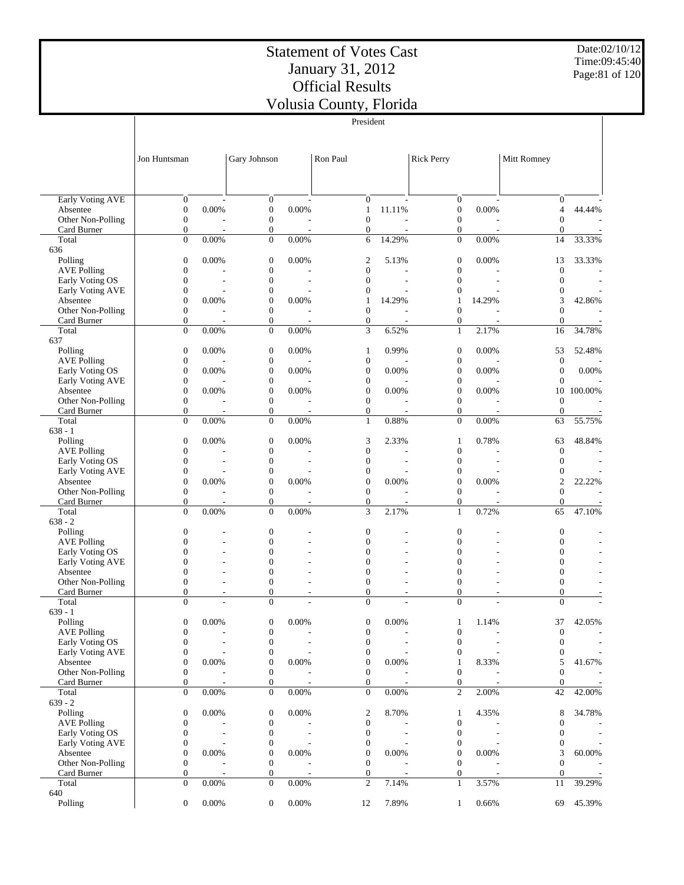Date:02/10/12 Time:09:45:40 Page:81 of 120

|                                     |                                      |             |                                      |       | President                            |                          |                                      |        |                                    |                          |
|-------------------------------------|--------------------------------------|-------------|--------------------------------------|-------|--------------------------------------|--------------------------|--------------------------------------|--------|------------------------------------|--------------------------|
|                                     |                                      |             |                                      |       |                                      |                          |                                      |        |                                    |                          |
|                                     |                                      |             |                                      |       |                                      |                          |                                      |        |                                    |                          |
|                                     | Jon Huntsman                         |             | Gary Johnson                         |       | Ron Paul                             |                          | <b>Rick Perry</b>                    |        | Mitt Romney                        |                          |
|                                     |                                      |             |                                      |       |                                      |                          |                                      |        |                                    |                          |
|                                     |                                      |             |                                      |       |                                      |                          |                                      |        |                                    |                          |
| Early Voting AVE                    | $\mathbf{0}$                         |             | $\boldsymbol{0}$                     |       | $\mathbf{0}$                         |                          | $\boldsymbol{0}$                     |        | $\mathbf{0}$                       |                          |
| Absentee                            | $\boldsymbol{0}$                     | 0.00%       | $\boldsymbol{0}$                     | 0.00% | $\mathbf{1}$                         | 11.11%                   | $\boldsymbol{0}$                     | 0.00%  | $\overline{4}$                     | 44.44%                   |
| Other Non-Polling                   | $\mathbf{0}$                         |             | $\boldsymbol{0}$                     |       | $\mathbf{0}$                         | L.                       | $\boldsymbol{0}$                     |        | $\overline{0}$                     |                          |
| Card Burner                         | $\boldsymbol{0}$                     | ÷,          | $\boldsymbol{0}$                     |       | $\boldsymbol{0}$                     | L,                       | $\boldsymbol{0}$                     |        | $\boldsymbol{0}$                   |                          |
| Total<br>636                        | $\overline{0}$                       | 0.00%       | $\boldsymbol{0}$                     | 0.00% | 6                                    | 14.29%                   | $\boldsymbol{0}$                     | 0.00%  | 14                                 | 33.33%                   |
| Polling                             | $\boldsymbol{0}$                     | 0.00%       | $\mathbf{0}$                         | 0.00% | $\mathfrak{2}$                       | 5.13%                    | $\boldsymbol{0}$                     | 0.00%  | 13                                 | 33.33%                   |
| <b>AVE Polling</b>                  | $\boldsymbol{0}$                     |             | $\boldsymbol{0}$                     |       | $\mathbf{0}$                         |                          | $\boldsymbol{0}$                     |        | $\boldsymbol{0}$                   |                          |
| Early Voting OS                     | $\mathbf{0}$                         |             | $\boldsymbol{0}$                     |       | $\mathbf{0}$                         | ÷,                       | $\boldsymbol{0}$                     |        | $\overline{0}$                     | $\sim$                   |
| Early Voting AVE                    | $\boldsymbol{0}$                     |             | $\mathbf{0}$                         |       | $\boldsymbol{0}$                     |                          | $\boldsymbol{0}$                     |        | $\overline{0}$                     |                          |
| Absentee                            | $\overline{0}$                       | 0.00%       | $\mathbf{0}$                         | 0.00% | $\mathbf{1}$                         | 14.29%                   | 1                                    | 14.29% | 3                                  | 42.86%                   |
| Other Non-Polling                   | $\mathbf{0}$<br>$\boldsymbol{0}$     |             | $\boldsymbol{0}$<br>$\boldsymbol{0}$ |       | $\mathbf{0}$<br>$\boldsymbol{0}$     | $\overline{\phantom{a}}$ | $\mathbf{0}$<br>$\boldsymbol{0}$     |        | $\overline{0}$<br>$\boldsymbol{0}$ |                          |
| Card Burner<br>Total                | $\mathbf{0}$                         | 0.00%       | $\boldsymbol{0}$                     | 0.00% | 3                                    | 6.52%                    | $\mathbf{1}$                         | 2.17%  | 16                                 | 34.78%                   |
| 637                                 |                                      |             |                                      |       |                                      |                          |                                      |        |                                    |                          |
| Polling                             | $\boldsymbol{0}$                     | 0.00%       | $\boldsymbol{0}$                     | 0.00% | 1                                    | 0.99%                    | $\boldsymbol{0}$                     | 0.00%  | 53                                 | 52.48%                   |
| <b>AVE Polling</b>                  | $\boldsymbol{0}$                     |             | $\boldsymbol{0}$                     |       | $\boldsymbol{0}$                     |                          | $\boldsymbol{0}$                     |        | $\boldsymbol{0}$                   |                          |
| Early Voting OS                     | $\boldsymbol{0}$                     | 0.00%       | $\boldsymbol{0}$                     | 0.00% | $\boldsymbol{0}$                     | 0.00%                    | $\boldsymbol{0}$                     | 0.00%  | $\boldsymbol{0}$                   | 0.00%                    |
| Early Voting AVE                    | $\boldsymbol{0}$                     |             | $\boldsymbol{0}$                     |       | $\boldsymbol{0}$                     |                          | $\boldsymbol{0}$                     |        | $\overline{0}$                     |                          |
| Absentee<br>Other Non-Polling       | $\boldsymbol{0}$<br>$\boldsymbol{0}$ | 0.00%       | $\boldsymbol{0}$<br>$\boldsymbol{0}$ | 0.00% | $\boldsymbol{0}$<br>$\mathbf{0}$     | 0.00%                    | $\boldsymbol{0}$<br>$\boldsymbol{0}$ | 0.00%  | 10<br>$\boldsymbol{0}$             | 100.00%                  |
| Card Burner                         | $\boldsymbol{0}$                     |             | $\boldsymbol{0}$                     |       | $\boldsymbol{0}$                     |                          | $\boldsymbol{0}$                     |        | $\mathbf{0}$                       |                          |
| Total                               | $\overline{0}$                       | 0.00%       | $\boldsymbol{0}$                     | 0.00% | $\mathbf{1}$                         | 0.88%                    | $\overline{0}$                       | 0.00%  | 63                                 | 55.75%                   |
| $638 - 1$                           |                                      |             |                                      |       |                                      |                          |                                      |        |                                    |                          |
| Polling                             | $\boldsymbol{0}$                     | 0.00%       | $\mathbf{0}$                         | 0.00% | 3                                    | 2.33%                    | 1                                    | 0.78%  | 63                                 | 48.84%                   |
| <b>AVE Polling</b>                  | $\boldsymbol{0}$                     |             | $\boldsymbol{0}$                     |       | $\boldsymbol{0}$                     |                          | $\boldsymbol{0}$                     |        | $\boldsymbol{0}$                   |                          |
| Early Voting OS                     | $\boldsymbol{0}$                     |             | $\boldsymbol{0}$                     |       | $\boldsymbol{0}$                     |                          | $\boldsymbol{0}$                     |        | $\overline{0}$<br>$\overline{0}$   |                          |
| Early Voting AVE<br>Absentee        | $\boldsymbol{0}$<br>$\mathbf{0}$     | 0.00%       | $\mathbf{0}$<br>$\mathbf{0}$         | 0.00% | $\boldsymbol{0}$<br>$\mathbf{0}$     | 0.00%                    | $\boldsymbol{0}$<br>$\boldsymbol{0}$ | 0.00%  | $\overline{2}$                     | 22.22%                   |
| Other Non-Polling                   | $\boldsymbol{0}$                     |             | $\boldsymbol{0}$                     |       | $\mathbf{0}$                         |                          | $\boldsymbol{0}$                     |        | $\overline{0}$                     |                          |
| Card Burner                         | $\boldsymbol{0}$                     |             | $\boldsymbol{0}$                     |       | $\boldsymbol{0}$                     |                          | $\boldsymbol{0}$                     |        | $\boldsymbol{0}$                   |                          |
| Total                               | $\overline{0}$                       | 0.00%       | $\overline{0}$                       | 0.00% | 3                                    | 2.17%                    | $\mathbf{1}$                         | 0.72%  | 65                                 | 47.10%                   |
| $638 - 2$                           |                                      |             |                                      |       |                                      |                          |                                      |        |                                    |                          |
| Polling                             | $\boldsymbol{0}$                     |             | $\boldsymbol{0}$                     |       | $\boldsymbol{0}$                     |                          | $\boldsymbol{0}$                     |        | $\boldsymbol{0}$                   |                          |
| <b>AVE Polling</b>                  | $\overline{0}$<br>$\mathbf{0}$       |             | $\mathbf{0}$<br>$\overline{0}$       |       | $\mathbf{0}$<br>$\mathbf{0}$         |                          | $\mathbf{0}$                         |        | $\overline{0}$<br>$\overline{0}$   |                          |
| Early Voting OS<br>Early Voting AVE | $\theta$                             |             | $\overline{0}$                       |       | $\mathbf{0}$                         |                          | $\boldsymbol{0}$<br>$\mathbf{0}$     |        | $\overline{0}$                     |                          |
| Absentee                            | $\mathbf{0}$                         |             | $\mathbf{0}$                         |       | $\mathbf{0}$                         |                          | $\mathbf{0}$                         |        | $\overline{0}$                     |                          |
| Other Non-Polling                   | $\mathbf{0}$                         |             | $\mathbf{0}$                         |       | $\mathbf{0}$                         |                          | $\mathbf{0}$                         |        | $\overline{0}$                     |                          |
| Card Burner                         | $\boldsymbol{0}$                     |             | $\boldsymbol{0}$                     |       | $\boldsymbol{0}$                     |                          | $\boldsymbol{0}$                     |        | $\boldsymbol{0}$                   |                          |
| Total                               | $\theta$                             |             | $\overline{0}$                       |       | $\theta$                             |                          | $\overline{0}$                       |        | $\theta$                           |                          |
| $639 - 1$                           |                                      |             |                                      |       |                                      |                          |                                      |        |                                    |                          |
| Polling<br><b>AVE Polling</b>       | $\boldsymbol{0}$<br>$\boldsymbol{0}$ | $0.00\%$    | $\boldsymbol{0}$<br>$\boldsymbol{0}$ | 0.00% | $\boldsymbol{0}$<br>$\boldsymbol{0}$ | 0.00%                    | $\mathbf{1}$<br>$\boldsymbol{0}$     | 1.14%  | 37<br>$\boldsymbol{0}$             | 42.05%                   |
| Early Voting OS                     | $\mathbf{0}$                         |             | $\boldsymbol{0}$                     |       | $\boldsymbol{0}$                     |                          | $\boldsymbol{0}$                     |        | $\overline{0}$                     | $\overline{\phantom{a}}$ |
| Early Voting AVE                    | $\boldsymbol{0}$                     |             | $\boldsymbol{0}$                     |       | $\mathbf{0}$                         |                          | $\boldsymbol{0}$                     |        | $\boldsymbol{0}$                   | $\overline{\phantom{a}}$ |
| Absentee                            | $\boldsymbol{0}$                     | 0.00%       | $\boldsymbol{0}$                     | 0.00% | $\boldsymbol{0}$                     | 0.00%                    | 1                                    | 8.33%  | 5                                  | 41.67%                   |
| Other Non-Polling                   | $\boldsymbol{0}$                     |             | $\boldsymbol{0}$                     |       | $\mathbf{0}$                         |                          | $\boldsymbol{0}$                     |        | $\overline{0}$                     |                          |
| Card Burner                         | $\boldsymbol{0}$                     |             | $\boldsymbol{0}$                     |       | $\mathbf{0}$                         |                          | $\boldsymbol{0}$                     |        | $\boldsymbol{0}$                   | $\sim$                   |
| Total<br>$639 - 2$                  | $\mathbf{0}$                         | 0.00%       | $\boldsymbol{0}$                     | 0.00% | $\mathbf{0}$                         | 0.00%                    | $\overline{c}$                       | 2.00%  | 42                                 | 42.00%                   |
| Polling                             | $\boldsymbol{0}$                     | 0.00%       | $\boldsymbol{0}$                     | 0.00% | 2                                    | 8.70%                    | 1                                    | 4.35%  | 8                                  | 34.78%                   |
| <b>AVE Polling</b>                  | $\boldsymbol{0}$                     |             | $\boldsymbol{0}$                     |       | $\boldsymbol{0}$                     |                          | $\boldsymbol{0}$                     |        | $\overline{0}$                     |                          |
| Early Voting OS                     | $\boldsymbol{0}$                     |             | $\boldsymbol{0}$                     |       | $\mathbf{0}$                         |                          | $\boldsymbol{0}$                     |        | $\mathbf{0}$                       |                          |
| Early Voting AVE                    | $\boldsymbol{0}$                     |             | $\boldsymbol{0}$                     |       | $\mathbf{0}$                         |                          | $\boldsymbol{0}$                     |        | $\boldsymbol{0}$                   | $\overline{\phantom{a}}$ |
| Absentee                            | $\boldsymbol{0}$                     | 0.00%       | $\boldsymbol{0}$                     | 0.00% | $\boldsymbol{0}$                     | 0.00%                    | $\boldsymbol{0}$                     | 0.00%  | 3                                  | $60.00\%$                |
| Other Non-Polling                   | $\boldsymbol{0}$                     |             | $\boldsymbol{0}$                     |       | $\mathbf{0}$                         |                          | $\boldsymbol{0}$                     |        | $\overline{0}$                     |                          |
| Card Burner<br>Total                | $\boldsymbol{0}$<br>$\mathbf{0}$     | ÷,<br>0.00% | $\boldsymbol{0}$<br>$\boldsymbol{0}$ | 0.00% | $\mathbf{0}$<br>$\mathfrak{2}$       | 7.14%                    | $\boldsymbol{0}$<br>$\mathbf{1}$     | 3.57%  | $\boldsymbol{0}$<br>11             | 39.29%                   |
| 640                                 |                                      |             |                                      |       |                                      |                          |                                      |        |                                    |                          |
| Polling                             | $\mathbf{0}$                         | 0.00%       | $\boldsymbol{0}$                     | 0.00% | 12                                   | 7.89%                    | 1                                    | 0.66%  | 69                                 | 45.39%                   |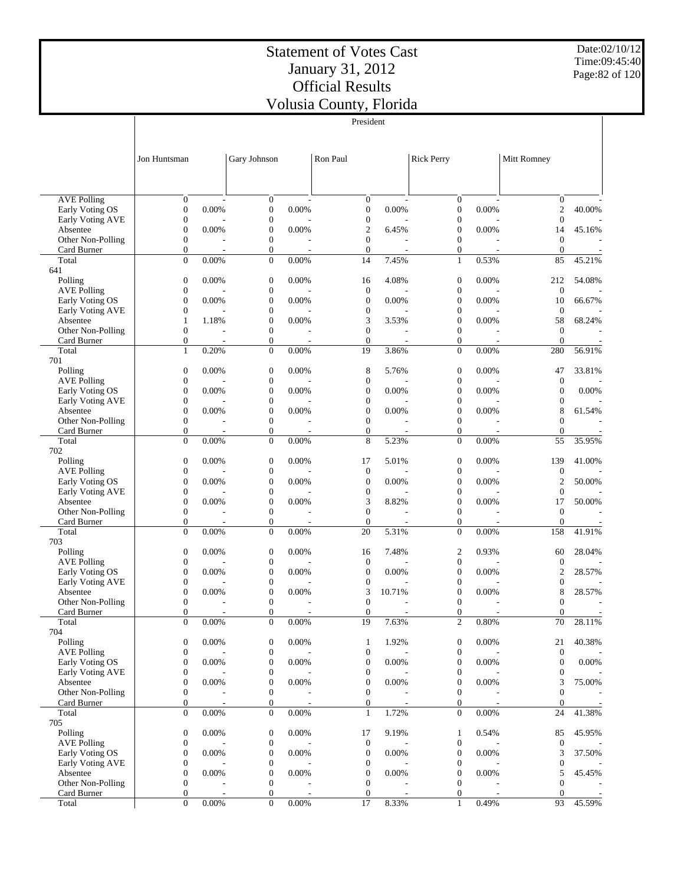President

Date:02/10/12 Time:09:45:40 Page:82 of 120

|                                       |                                      |          |                                      |             | President                            |                |                                      |                                   |                                |        |
|---------------------------------------|--------------------------------------|----------|--------------------------------------|-------------|--------------------------------------|----------------|--------------------------------------|-----------------------------------|--------------------------------|--------|
|                                       |                                      |          |                                      |             |                                      |                |                                      |                                   |                                |        |
|                                       |                                      |          |                                      |             |                                      |                |                                      |                                   |                                |        |
|                                       | Jon Huntsman                         |          | Gary Johnson                         |             | Ron Paul                             |                | <b>Rick Perry</b>                    |                                   | Mitt Romney                    |        |
|                                       |                                      |          |                                      |             |                                      |                |                                      |                                   |                                |        |
|                                       |                                      |          |                                      |             |                                      |                |                                      |                                   |                                |        |
| <b>AVE Polling</b>                    | $\overline{0}$                       | ÷        | $\mathbf{0}$                         |             | $\boldsymbol{0}$                     |                | $\mathbf{0}$                         |                                   | $\mathbf{0}$                   |        |
| Early Voting OS                       | $\boldsymbol{0}$                     | 0.00%    | $\mathbf{0}$                         | 0.00%       | $\boldsymbol{0}$                     | 0.00%          | $\boldsymbol{0}$                     | 0.00%                             | $\overline{2}$                 | 40.00% |
| Early Voting AVE                      | $\boldsymbol{0}$                     |          | $\boldsymbol{0}$                     |             | $\boldsymbol{0}$                     |                | $\boldsymbol{0}$                     |                                   | $\overline{0}$                 |        |
| Absentee                              | $\boldsymbol{0}$                     | 0.00%    | $\boldsymbol{0}$                     | 0.00%       | $\boldsymbol{2}$                     | 6.45%          | $\boldsymbol{0}$                     | 0.00%                             | 14                             | 45.16% |
| Other Non-Polling<br>Card Burner      | $\boldsymbol{0}$<br>$\boldsymbol{0}$ |          | $\boldsymbol{0}$<br>$\boldsymbol{0}$ |             | $\mathbf{0}$<br>$\mathbf{0}$         |                | $\boldsymbol{0}$<br>$\boldsymbol{0}$ |                                   | $\overline{0}$<br>$\theta$     |        |
| Total                                 | $\mathbf{0}$                         | 0.00%    | $\overline{0}$                       | 0.00%       | 14                                   | 7.45%          | $\mathbf{1}$                         | 0.53%                             | 85                             | 45.21% |
| 641                                   |                                      |          |                                      |             |                                      |                |                                      |                                   |                                |        |
| Polling                               | $\boldsymbol{0}$                     | 0.00%    | $\mathbf{0}$                         | 0.00%       | 16                                   | 4.08%          | $\boldsymbol{0}$                     | 0.00%                             | 212                            | 54.08% |
| <b>AVE Polling</b>                    | $\boldsymbol{0}$                     |          | $\boldsymbol{0}$                     |             | $\boldsymbol{0}$                     |                | $\boldsymbol{0}$                     |                                   | $\boldsymbol{0}$               |        |
| Early Voting OS<br>Early Voting AVE   | $\mathbf{0}$<br>$\boldsymbol{0}$     | $0.00\%$ | $\overline{0}$<br>$\overline{0}$     | 0.00%       | $\mathbf{0}$<br>$\boldsymbol{0}$     | 0.00%          | $\mathbf{0}$<br>$\boldsymbol{0}$     | 0.00%                             | 10<br>$\mathbf{0}$             | 66.67% |
| Absentee                              | $\mathbf{1}$                         | 1.18%    | $\overline{0}$                       | 0.00%       | 3                                    | 3.53%          | $\mathbf{0}$                         | 0.00%                             | 58                             | 68.24% |
| Other Non-Polling                     | $\mathbf{0}$                         |          | $\boldsymbol{0}$                     |             | $\mathbf{0}$                         |                | $\mathbf{0}$                         |                                   | $\overline{0}$                 |        |
| Card Burner                           | $\mathbf{0}$                         |          | $\boldsymbol{0}$                     |             | $\mathbf{0}$                         |                | $\mathbf{0}$                         |                                   | $\overline{0}$                 |        |
| Total                                 | $\mathbf{1}$                         | 0.20%    | $\mathbf{0}$                         | 0.00%       | 19                                   | 3.86%          | $\mathbf{0}$                         | 0.00%                             | 280                            | 56.91% |
| 701                                   | $\boldsymbol{0}$                     | 0.00%    | $\boldsymbol{0}$                     | 0.00%       | 8                                    | 5.76%          | $\boldsymbol{0}$                     | 0.00%                             | 47                             | 33.81% |
| Polling<br><b>AVE Polling</b>         | $\boldsymbol{0}$                     |          | $\boldsymbol{0}$                     |             | $\mathbf{0}$                         |                | $\boldsymbol{0}$                     |                                   | $\mathbf{0}$                   |        |
| Early Voting OS                       | $\boldsymbol{0}$                     | 0.00%    | $\mathbf{0}$                         | 0.00%       | $\boldsymbol{0}$                     | 0.00%          | $\boldsymbol{0}$                     | 0.00%                             | $\boldsymbol{0}$               | 0.00%  |
| Early Voting AVE                      | $\boldsymbol{0}$                     |          | $\boldsymbol{0}$                     |             | $\mathbf{0}$                         |                | $\boldsymbol{0}$                     |                                   | $\boldsymbol{0}$               |        |
| Absentee                              | $\boldsymbol{0}$                     | 0.00%    | $\boldsymbol{0}$                     | 0.00%       | $\boldsymbol{0}$                     | 0.00%          | $\boldsymbol{0}$                     | 0.00%                             | 8                              | 61.54% |
| Other Non-Polling                     | $\boldsymbol{0}$                     |          | $\boldsymbol{0}$                     |             | $\mathbf{0}$                         |                | $\mathbf{0}$                         |                                   | $\overline{0}$                 |        |
| Card Burner<br>Total                  | $\boldsymbol{0}$<br>$\mathbf{0}$     | 0.00%    | $\boldsymbol{0}$<br>$\boldsymbol{0}$ | 0.00%       | $\mathbf{0}$<br>8                    | 5.23%          | $\mathbf{0}$<br>$\mathbf{0}$         | $\overline{\phantom{a}}$<br>0.00% | $\theta$<br>55                 | 35.95% |
| 702                                   |                                      |          |                                      |             |                                      |                |                                      |                                   |                                |        |
| Polling                               | $\boldsymbol{0}$                     | 0.00%    | $\mathbf{0}$                         | 0.00%       | 17                                   | 5.01%          | $\boldsymbol{0}$                     | 0.00%                             | 139                            | 41.00% |
| <b>AVE Polling</b>                    | $\boldsymbol{0}$                     |          | $\boldsymbol{0}$                     |             | $\mathbf{0}$                         |                | $\boldsymbol{0}$                     |                                   | $\mathbf{0}$                   |        |
| Early Voting OS                       | $\boldsymbol{0}$                     | 0.00%    | $\overline{0}$                       | 0.00%       | $\mathbf{0}$                         | 0.00%          | $\mathbf{0}$                         | 0.00%                             | $\overline{2}$                 | 50.00% |
| Early Voting AVE                      | $\boldsymbol{0}$                     |          | $\boldsymbol{0}$                     |             | $\boldsymbol{0}$                     |                | $\boldsymbol{0}$                     |                                   | $\overline{0}$                 |        |
| Absentee<br>Other Non-Polling         | $\boldsymbol{0}$<br>$\boldsymbol{0}$ | 0.00%    | $\overline{0}$<br>$\boldsymbol{0}$   | 0.00%       | 3<br>$\mathbf{0}$                    | 8.82%          | $\mathbf{0}$<br>$\mathbf{0}$         | 0.00%                             | 17<br>$\overline{0}$           | 50.00% |
| Card Burner                           | $\boldsymbol{0}$                     |          | $\boldsymbol{0}$                     | ÷,          | $\mathbf{0}$                         | $\overline{a}$ | $\mathbf{0}$                         | ÷,                                | $\overline{0}$                 |        |
| Total                                 | $\mathbf{0}$                         | 0.00%    | $\mathbf{0}$                         | 0.00%       | 20                                   | 5.31%          | $\mathbf{0}$                         | 0.00%                             | 158                            | 41.91% |
| 703                                   |                                      |          |                                      |             |                                      |                |                                      |                                   |                                |        |
| Polling                               | $\boldsymbol{0}$                     | 0.00%    | $\boldsymbol{0}$                     | 0.00%       | 16                                   | 7.48%          | 2                                    | 0.93%                             | 60                             | 28.04% |
| <b>AVE Polling</b><br>Early Voting OS | $\boldsymbol{0}$<br>$\boldsymbol{0}$ | 0.00%    | $\boldsymbol{0}$<br>$\boldsymbol{0}$ | 0.00%       | $\mathbf{0}$<br>$\boldsymbol{0}$     | 0.00%          | $\boldsymbol{0}$<br>$\boldsymbol{0}$ | 0.00%                             | $\mathbf{0}$<br>$\overline{2}$ | 28.57% |
| Early Voting AVE                      | $\boldsymbol{0}$                     |          | $\boldsymbol{0}$                     |             | $\boldsymbol{0}$                     |                | $\boldsymbol{0}$                     |                                   | $\boldsymbol{0}$               |        |
| Absentee                              | $\boldsymbol{0}$                     | 0.00%    | $\boldsymbol{0}$                     | 0.00%       | 3                                    | 10.71%         | $\boldsymbol{0}$                     | 0.00%                             | 8                              | 28.57% |
| Other Non-Polling                     | $\boldsymbol{0}$                     |          | $\boldsymbol{0}$                     |             | $\mathbf{0}$                         |                | $\boldsymbol{0}$                     |                                   | $\overline{0}$                 |        |
| Card Burner                           | $\mathbf{0}$                         |          | $\overline{0}$                       |             | $\mathbf{0}$                         |                | $\mathbf{0}$                         |                                   | $\mathbf{0}$                   |        |
| Total                                 | $\boldsymbol{0}$                     | 0.00%    | $\boldsymbol{0}$                     | $0.00\%$    | 19                                   | 7.63%          | 2                                    | 0.80%                             | 70                             | 28.11% |
| 704<br>Polling                        | $\boldsymbol{0}$                     | 0.00%    | $\boldsymbol{0}$                     | 0.00%       | 1                                    | 1.92%          | $\boldsymbol{0}$                     | 0.00%                             | 21                             | 40.38% |
| <b>AVE Polling</b>                    | $\boldsymbol{0}$                     |          | $\boldsymbol{0}$                     |             | $\mathbf{0}$                         |                | $\boldsymbol{0}$                     |                                   | $\boldsymbol{0}$               |        |
| Early Voting OS                       | $\boldsymbol{0}$                     | 0.00%    | $\boldsymbol{0}$                     | 0.00%       | $\boldsymbol{0}$                     | 0.00%          | $\boldsymbol{0}$                     | 0.00%                             | $\boldsymbol{0}$               | 0.00%  |
| Early Voting AVE                      | $\boldsymbol{0}$                     |          | $\boldsymbol{0}$                     |             | $\boldsymbol{0}$                     |                | $\boldsymbol{0}$                     |                                   | $\boldsymbol{0}$               |        |
| Absentee                              | $\boldsymbol{0}$                     | 0.00%    | $\boldsymbol{0}$                     | 0.00%       | $\boldsymbol{0}$                     | 0.00%          | $\boldsymbol{0}$                     | 0.00%                             | 3                              | 75.00% |
| Other Non-Polling<br>Card Burner      | $\boldsymbol{0}$                     |          | $\boldsymbol{0}$                     |             | $\mathbf{0}$                         |                | $\boldsymbol{0}$<br>$\mathbf{0}$     |                                   | $\boldsymbol{0}$               |        |
| Total                                 | $\boldsymbol{0}$<br>$\mathbf{0}$     | 0.00%    | 0<br>$\boldsymbol{0}$                | Ĭ.<br>0.00% | $\mathbf{0}$<br>$\mathbf{1}$         | 1.72%          | $\mathbf{0}$                         | $\overline{a}$<br>0.00%           | $\boldsymbol{0}$<br>24         | 41.38% |
| 705                                   |                                      |          |                                      |             |                                      |                |                                      |                                   |                                |        |
| Polling                               | $\boldsymbol{0}$                     | 0.00%    | $\boldsymbol{0}$                     | 0.00%       | 17                                   | 9.19%          | 1                                    | 0.54%                             | 85                             | 45.95% |
| <b>AVE Polling</b>                    | $\boldsymbol{0}$                     |          | $\boldsymbol{0}$                     |             | $\boldsymbol{0}$                     |                | $\boldsymbol{0}$                     |                                   | $\boldsymbol{0}$               |        |
| Early Voting OS                       | $\boldsymbol{0}$                     | 0.00%    | $\boldsymbol{0}$                     | 0.00%       | $\boldsymbol{0}$                     | 0.00%          | $\boldsymbol{0}$                     | 0.00%                             | 3                              | 37.50% |
| Early Voting AVE<br>Absentee          | $\boldsymbol{0}$<br>$\boldsymbol{0}$ | 0.00%    | $\boldsymbol{0}$<br>$\boldsymbol{0}$ | 0.00%       | $\boldsymbol{0}$<br>$\boldsymbol{0}$ | 0.00%          | $\boldsymbol{0}$<br>$\boldsymbol{0}$ | 0.00%                             | $\boldsymbol{0}$<br>5          | 45.45% |
| Other Non-Polling                     | $\boldsymbol{0}$                     |          | $\boldsymbol{0}$                     |             | $\boldsymbol{0}$                     |                | $\boldsymbol{0}$                     |                                   | $\boldsymbol{0}$               |        |
| Card Burner                           | $\mathbf{0}$                         |          | $\boldsymbol{0}$                     |             | $\mathbf{0}$                         |                | $\boldsymbol{0}$                     |                                   | $\theta$                       |        |
| Total                                 | $\boldsymbol{0}$                     | 0.00%    | $\boldsymbol{0}$                     | 0.00%       | 17                                   | 8.33%          | $\mathbf{1}$                         | 0.49%                             | 93                             | 45.59% |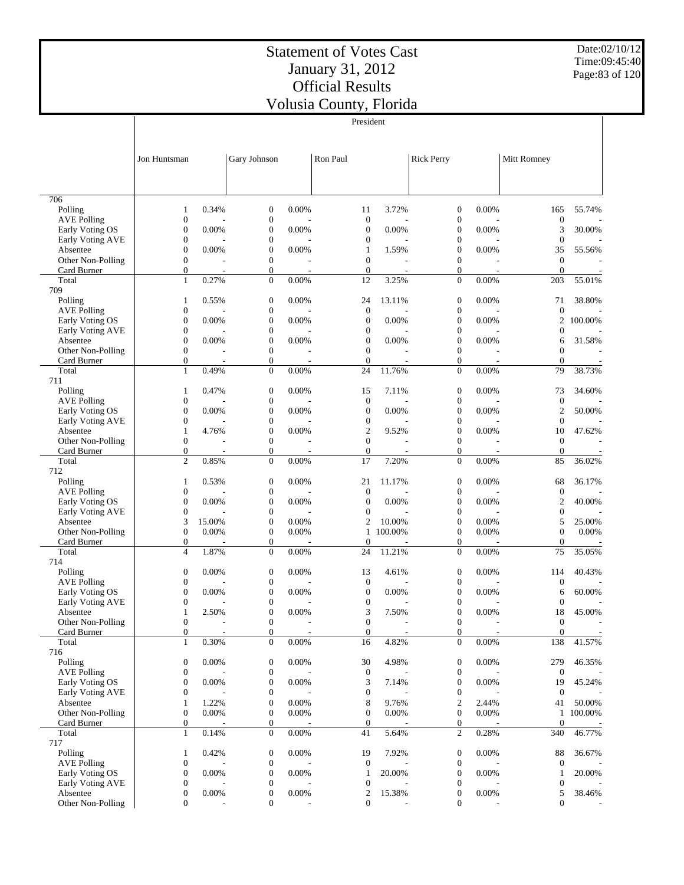Date:02/10/12 Time:09:45:40 Page:83 of 120

|                        |                                      |        |                                      |       | President              |         |                                      |       |                                      |         |
|------------------------|--------------------------------------|--------|--------------------------------------|-------|------------------------|---------|--------------------------------------|-------|--------------------------------------|---------|
|                        |                                      |        |                                      |       |                        |         |                                      |       |                                      |         |
|                        |                                      |        |                                      |       |                        |         |                                      |       |                                      |         |
|                        | Jon Huntsman                         |        | Gary Johnson                         |       | Ron Paul               |         | <b>Rick Perry</b>                    |       | Mitt Romney                          |         |
|                        |                                      |        |                                      |       |                        |         |                                      |       |                                      |         |
|                        |                                      |        |                                      |       |                        |         |                                      |       |                                      |         |
| 706                    |                                      |        |                                      |       |                        |         |                                      |       |                                      |         |
| Polling                | 1                                    | 0.34%  | $\boldsymbol{0}$                     | 0.00% | 11                     | 3.72%   | $\boldsymbol{0}$                     | 0.00% | 165                                  | 55.74%  |
| <b>AVE Polling</b>     | $\boldsymbol{0}$                     |        | $\boldsymbol{0}$                     |       | $\boldsymbol{0}$       |         | $\boldsymbol{0}$                     |       | $\boldsymbol{0}$                     |         |
| Early Voting OS        | $\boldsymbol{0}$                     | 0.00%  | $\boldsymbol{0}$                     | 0.00% | $\boldsymbol{0}$       | 0.00%   | $\boldsymbol{0}$                     | 0.00% | 3                                    | 30.00%  |
| Early Voting AVE       | $\boldsymbol{0}$                     |        | $\boldsymbol{0}$                     |       | $\boldsymbol{0}$       |         | $\boldsymbol{0}$                     |       | $\boldsymbol{0}$                     |         |
| Absentee               | $\boldsymbol{0}$                     | 0.00%  | $\boldsymbol{0}$                     | 0.00% | 1                      | 1.59%   | $\boldsymbol{0}$                     | 0.00% | 35                                   | 55.56%  |
| Other Non-Polling      | $\boldsymbol{0}$<br>$\boldsymbol{0}$ |        | $\boldsymbol{0}$<br>$\boldsymbol{0}$ |       | $\boldsymbol{0}$       |         | $\boldsymbol{0}$<br>$\boldsymbol{0}$ |       | $\boldsymbol{0}$<br>$\boldsymbol{0}$ |         |
| Card Burner<br>Total   | $\mathbf{1}$                         | 0.27%  | $\boldsymbol{0}$                     | 0.00% | $\boldsymbol{0}$<br>12 | 3.25%   | $\boldsymbol{0}$                     | 0.00% | 203                                  | 55.01%  |
| 709                    |                                      |        |                                      |       |                        |         |                                      |       |                                      |         |
| Polling                | 1                                    | 0.55%  | $\boldsymbol{0}$                     | 0.00% | 24                     | 13.11%  | $\boldsymbol{0}$                     | 0.00% | 71                                   | 38.80%  |
| <b>AVE Polling</b>     | $\boldsymbol{0}$                     |        | $\boldsymbol{0}$                     |       | $\boldsymbol{0}$       |         | $\boldsymbol{0}$                     |       | $\mathbf{0}$                         |         |
| Early Voting OS        | $\boldsymbol{0}$                     | 0.00%  | $\boldsymbol{0}$                     | 0.00% | $\boldsymbol{0}$       | 0.00%   | $\boldsymbol{0}$                     | 0.00% | 2                                    | 100.00% |
| Early Voting AVE       | $\boldsymbol{0}$                     |        | $\boldsymbol{0}$                     |       | $\boldsymbol{0}$       |         | $\boldsymbol{0}$                     |       | $\boldsymbol{0}$                     |         |
| Absentee               | $\boldsymbol{0}$                     | 0.00%  | $\boldsymbol{0}$                     | 0.00% | $\boldsymbol{0}$       | 0.00%   | $\mathbf{0}$                         | 0.00% | 6                                    | 31.58%  |
| Other Non-Polling      | $\boldsymbol{0}$                     |        | $\boldsymbol{0}$                     |       | $\boldsymbol{0}$       |         | $\boldsymbol{0}$                     |       | $\boldsymbol{0}$                     |         |
| Card Burner<br>Total   | $\boldsymbol{0}$<br>$\mathbf{1}$     | 0.49%  | $\boldsymbol{0}$<br>$\boldsymbol{0}$ | 0.00% | $\mathbf{0}$<br>24     | 11.76%  | $\boldsymbol{0}$<br>$\boldsymbol{0}$ | 0.00% | $\overline{0}$<br>79                 | 38.73%  |
| 711                    |                                      |        |                                      |       |                        |         |                                      |       |                                      |         |
| Polling                | 1                                    | 0.47%  | $\boldsymbol{0}$                     | 0.00% | 15                     | 7.11%   | $\boldsymbol{0}$                     | 0.00% | 73                                   | 34.60%  |
| <b>AVE Polling</b>     | $\boldsymbol{0}$                     |        | $\boldsymbol{0}$                     |       | $\boldsymbol{0}$       |         | $\boldsymbol{0}$                     |       | $\mathbf{0}$                         |         |
| Early Voting OS        | $\boldsymbol{0}$                     | 0.00%  | $\boldsymbol{0}$                     | 0.00% | $\boldsymbol{0}$       | 0.00%   | $\mathbf{0}$                         | 0.00% | $\overline{2}$                       | 50.00%  |
| Early Voting AVE       | $\boldsymbol{0}$                     |        | $\boldsymbol{0}$                     |       | $\boldsymbol{0}$       |         | $\boldsymbol{0}$                     |       | $\boldsymbol{0}$                     |         |
| Absentee               | $\mathbf{1}$                         | 4.76%  | $\boldsymbol{0}$                     | 0.00% | $\boldsymbol{2}$       | 9.52%   | $\boldsymbol{0}$                     | 0.00% | 10                                   | 47.62%  |
| Other Non-Polling      | $\boldsymbol{0}$                     |        | $\boldsymbol{0}$                     |       | $\boldsymbol{0}$       |         | $\boldsymbol{0}$                     |       | $\boldsymbol{0}$                     |         |
| Card Burner            | $\boldsymbol{0}$                     |        | $\boldsymbol{0}$                     |       | $\boldsymbol{0}$       |         | $\boldsymbol{0}$                     |       | $\boldsymbol{0}$                     |         |
| Total<br>712           | $\overline{c}$                       | 0.85%  | $\boldsymbol{0}$                     | 0.00% | 17                     | 7.20%   | $\mathbf{0}$                         | 0.00% | 85                                   | 36.02%  |
| Polling                | $\mathbf{1}$                         | 0.53%  | $\boldsymbol{0}$                     | 0.00% | 21                     | 11.17%  | $\boldsymbol{0}$                     | 0.00% | 68                                   | 36.17%  |
| <b>AVE Polling</b>     | $\boldsymbol{0}$                     |        | $\boldsymbol{0}$                     |       | $\boldsymbol{0}$       |         | $\boldsymbol{0}$                     |       | $\mathbf{0}$                         |         |
| Early Voting OS        | $\boldsymbol{0}$                     | 0.00%  | $\boldsymbol{0}$                     | 0.00% | $\boldsymbol{0}$       | 0.00%   | $\boldsymbol{0}$                     | 0.00% | $\mathbf{2}$                         | 40.00%  |
| Early Voting AVE       | $\boldsymbol{0}$                     |        | $\boldsymbol{0}$                     |       | $\boldsymbol{0}$       |         | $\boldsymbol{0}$                     |       | $\boldsymbol{0}$                     |         |
| Absentee               | 3                                    | 15.00% | $\boldsymbol{0}$                     | 0.00% | $\boldsymbol{2}$       | 10.00%  | $\boldsymbol{0}$                     | 0.00% | 5                                    | 25.00%  |
| Other Non-Polling      | $\boldsymbol{0}$                     | 0.00%  | $\boldsymbol{0}$                     | 0.00% | $\mathbf{1}$           | 100.00% | $\boldsymbol{0}$                     | 0.00% | $\boldsymbol{0}$                     | 0.00%   |
| Card Burner            | $\boldsymbol{0}$                     |        | $\boldsymbol{0}$                     |       | $\mathbf{0}$           |         | $\boldsymbol{0}$                     |       | $\theta$                             |         |
| Total                  | $\overline{4}$                       | 1.87%  | $\boldsymbol{0}$                     | 0.00% | 24                     | 11.21%  | $\boldsymbol{0}$                     | 0.00% | 75                                   | 35.05%  |
| 714<br>Polling         | $\boldsymbol{0}$                     | 0.00%  | $\boldsymbol{0}$                     | 0.00% | 13                     | 4.61%   | $\boldsymbol{0}$                     | 0.00% | 114                                  | 40.43%  |
| <b>AVE Polling</b>     | $\boldsymbol{0}$                     |        | $\boldsymbol{0}$                     |       | $\boldsymbol{0}$       |         | $\boldsymbol{0}$                     |       | $\boldsymbol{0}$                     |         |
| Early Voting OS        | $\boldsymbol{0}$                     | 0.00%  | $\boldsymbol{0}$                     | 0.00% | $\boldsymbol{0}$       | 0.00%   | $\mathbf{0}$                         | 0.00% | 6                                    | 60.00%  |
| Early Voting AVE       | $\boldsymbol{0}$                     |        | $\boldsymbol{0}$                     |       | $\boldsymbol{0}$       |         | $\boldsymbol{0}$                     |       | $\mathbf{0}$                         |         |
| Absentee               | $\mathbf{1}$                         | 2.50%  | $\theta$                             | 0.00% | 3                      | 7.50%   | $\overline{0}$                       | 0.00% | 18                                   | 45.00%  |
| Other Non-Polling      | $\boldsymbol{0}$                     |        | $\boldsymbol{0}$                     |       | $\boldsymbol{0}$       |         | $\boldsymbol{0}$                     |       | $\boldsymbol{0}$                     |         |
| Card Burner            | $\boldsymbol{0}$                     |        | $\boldsymbol{0}$                     |       | $\boldsymbol{0}$       |         | $\boldsymbol{0}$                     |       | $\boldsymbol{0}$                     |         |
| Total                  | $\mathbf{1}$                         | 0.30%  | $\boldsymbol{0}$                     | 0.00% | 16                     | 4.82%   | $\boldsymbol{0}$                     | 0.00% | 138                                  | 41.57%  |
| 716<br>Polling         | $\boldsymbol{0}$                     | 0.00%  | $\boldsymbol{0}$                     | 0.00% |                        | 4.98%   | $\boldsymbol{0}$                     | 0.00% | 279                                  |         |
| <b>AVE Polling</b>     | $\boldsymbol{0}$                     |        | $\boldsymbol{0}$                     |       | 30<br>$\boldsymbol{0}$ |         | $\boldsymbol{0}$                     |       | $\boldsymbol{0}$                     | 46.35%  |
| Early Voting OS        | $\boldsymbol{0}$                     | 0.00%  | $\boldsymbol{0}$                     | 0.00% | 3                      | 7.14%   | $\boldsymbol{0}$                     | 0.00% | 19                                   | 45.24%  |
| Early Voting AVE       | $\boldsymbol{0}$                     |        | $\boldsymbol{0}$                     |       | $\boldsymbol{0}$       |         | $\boldsymbol{0}$                     |       | $\boldsymbol{0}$                     |         |
| Absentee               | $\mathbf{1}$                         | 1.22%  | $\boldsymbol{0}$                     | 0.00% | 8                      | 9.76%   | $\mathfrak{2}$                       | 2.44% | 41                                   | 50.00%  |
| Other Non-Polling      | $\boldsymbol{0}$                     | 0.00%  | $\boldsymbol{0}$                     | 0.00% | $\boldsymbol{0}$       | 0.00%   | $\boldsymbol{0}$                     | 0.00% | $\mathbf{1}$                         | 100.00% |
| Card Burner            | $\boldsymbol{0}$                     |        | $\boldsymbol{0}$                     |       | $\mathbf{0}$           |         | $\boldsymbol{0}$                     |       | $\boldsymbol{0}$                     |         |
| Total                  | $\mathbf{1}$                         | 0.14%  | $\mathbf{0}$                         | 0.00% | 41                     | 5.64%   | $\mathfrak{2}$                       | 0.28% | 340                                  | 46.77%  |
| 717                    |                                      |        |                                      |       |                        |         |                                      |       |                                      |         |
| Polling<br>AVE Polling | 1<br>$\boldsymbol{0}$                | 0.42%  | $\boldsymbol{0}$<br>$\boldsymbol{0}$ | 0.00% | 19<br>$\boldsymbol{0}$ | 7.92%   | $\boldsymbol{0}$<br>$\boldsymbol{0}$ | 0.00% | 88<br>$\boldsymbol{0}$               | 36.67%  |
| Early Voting OS        | $\boldsymbol{0}$                     | 0.00%  | $\boldsymbol{0}$                     | 0.00% | 1                      | 20.00%  | $\boldsymbol{0}$                     | 0.00% | 1                                    | 20.00%  |
| Early Voting AVE       | $\boldsymbol{0}$                     |        | $\boldsymbol{0}$                     |       | $\boldsymbol{0}$       |         | 0                                    |       | $\boldsymbol{0}$                     |         |
| Absentee               | $\boldsymbol{0}$                     | 0.00%  | $\boldsymbol{0}$                     | 0.00% | $\mathbf{2}$           | 15.38%  | $\boldsymbol{0}$                     | 0.00% | 5                                    | 38.46%  |
| Other Non-Polling      | $\boldsymbol{0}$                     |        | $\boldsymbol{0}$                     |       | $\boldsymbol{0}$       |         | $\boldsymbol{0}$                     |       | $\mathbf{0}$                         |         |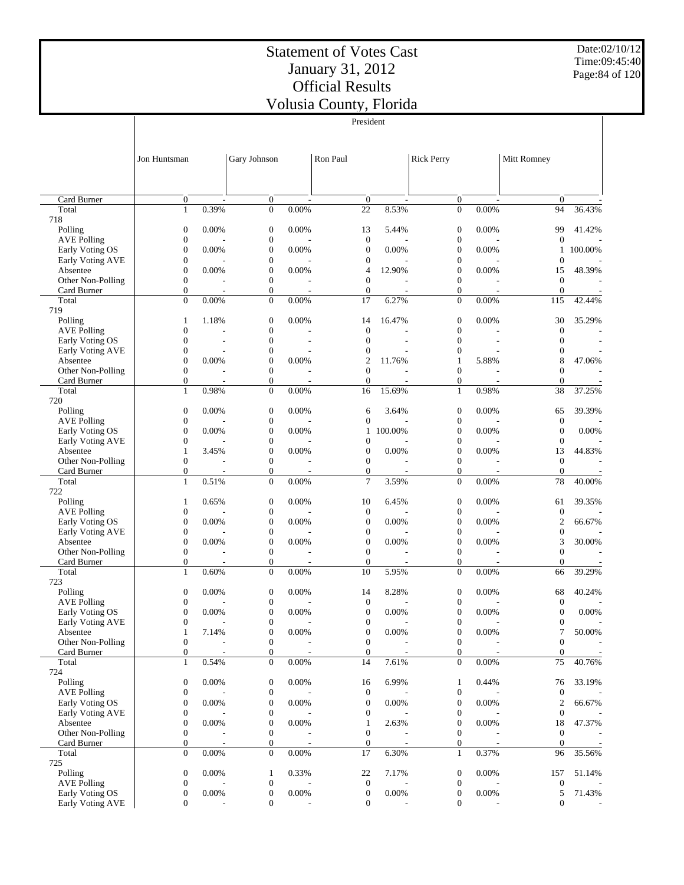President

Date:02/10/12 Time:09:45:40 Page:84 of 120

|                               |                                      |                          |                                      |                          | President                          |                          |                                      |                          |                       |         |
|-------------------------------|--------------------------------------|--------------------------|--------------------------------------|--------------------------|------------------------------------|--------------------------|--------------------------------------|--------------------------|-----------------------|---------|
|                               | Jon Huntsman                         |                          | Gary Johnson                         |                          | Ron Paul                           |                          | <b>Rick Perry</b>                    |                          | Mitt Romney           |         |
|                               |                                      |                          |                                      |                          |                                    |                          |                                      |                          |                       |         |
| Card Burner                   | $\mathbf{0}$                         | $\overline{a}$           | $\mathbf{0}$                         | $\overline{\phantom{a}}$ | $\mathbf{0}$                       | $\overline{\phantom{a}}$ | $\boldsymbol{0}$                     | $\overline{\phantom{a}}$ | $\theta$              |         |
| Total                         | $\mathbf{1}$                         | 0.39%                    | $\boldsymbol{0}$                     | 0.00%                    | 22                                 | 8.53%                    | $\mathbf{0}$                         | 0.00%                    | 94                    | 36.43%  |
| 718                           |                                      |                          |                                      |                          |                                    |                          |                                      |                          |                       |         |
| Polling                       | $\boldsymbol{0}$                     | 0.00%                    | $\boldsymbol{0}$                     | 0.00%                    | 13                                 | 5.44%                    | $\boldsymbol{0}$                     | 0.00%                    | 99                    | 41.42%  |
| <b>AVE Polling</b>            | $\boldsymbol{0}$                     |                          | $\boldsymbol{0}$                     |                          | $\boldsymbol{0}$                   |                          | $\boldsymbol{0}$                     |                          | $\mathbf{0}$          |         |
| Early Voting OS               | $\boldsymbol{0}$                     | 0.00%                    | $\mathbf{0}$                         | 0.00%                    | $\boldsymbol{0}$                   | 0.00%                    | $\boldsymbol{0}$                     | 0.00%                    | 1                     | 100.00% |
| Early Voting AVE              | $\boldsymbol{0}$                     |                          | $\boldsymbol{0}$                     |                          | 0                                  |                          | $\boldsymbol{0}$                     | 0.00%                    | $\mathbf{0}$          |         |
| Absentee<br>Other Non-Polling | $\boldsymbol{0}$<br>$\boldsymbol{0}$ | 0.00%                    | $\boldsymbol{0}$<br>$\boldsymbol{0}$ | 0.00%                    | 4<br>$\mathbf{0}$                  | 12.90%                   | $\boldsymbol{0}$<br>$\boldsymbol{0}$ |                          | 15<br>$\mathbf{0}$    | 48.39%  |
| Card Burner                   | $\boldsymbol{0}$                     |                          | $\boldsymbol{0}$                     |                          | $\boldsymbol{0}$                   |                          | $\boldsymbol{0}$                     |                          | $\mathbf{0}$          |         |
| Total                         | $\overline{0}$                       | 0.00%                    | $\boldsymbol{0}$                     | 0.00%                    | 17                                 | 6.27%                    | $\mathbf{0}$                         | 0.00%                    | 115                   | 42.44%  |
| 719                           |                                      |                          |                                      |                          |                                    |                          |                                      |                          |                       |         |
| Polling                       | $\mathbf{1}$                         | 1.18%                    | $\boldsymbol{0}$                     | 0.00%                    | 14                                 | 16.47%                   | $\boldsymbol{0}$                     | 0.00%                    | 30                    | 35.29%  |
| <b>AVE Polling</b>            | $\boldsymbol{0}$                     |                          | $\boldsymbol{0}$                     |                          | $\mathbf{0}$                       |                          | $\boldsymbol{0}$                     |                          | $\mathbf{0}$          |         |
| Early Voting OS               | $\boldsymbol{0}$                     | $\overline{\phantom{a}}$ | $\overline{0}$                       | ÷,                       | $\overline{0}$                     |                          | $\mathbf{0}$                         | ٠                        | $\boldsymbol{0}$      |         |
| Early Voting AVE              | $\boldsymbol{0}$                     |                          | $\overline{0}$                       |                          | $\mathbf{0}$                       |                          | $\boldsymbol{0}$                     |                          | $\boldsymbol{0}$      |         |
| Absentee                      | $\boldsymbol{0}$                     | 0.00%                    | $\overline{0}$                       | 0.00%                    | $\overline{2}$                     | 11.76%                   | 1                                    | 5.88%                    | 8                     | 47.06%  |
| Other Non-Polling             | $\boldsymbol{0}$                     |                          | $\boldsymbol{0}$                     |                          | $\mathbf{0}$                       |                          | $\boldsymbol{0}$                     |                          | $\boldsymbol{0}$      |         |
| Card Burner                   | $\mathbf{0}$                         | $\overline{\phantom{a}}$ | $\boldsymbol{0}$                     |                          | $\mathbf{0}$                       | ٠                        | $\mathbf{0}$                         | $\overline{\phantom{a}}$ | $\overline{0}$        |         |
| Total                         | $\mathbf{1}$                         | 0.98%                    | $\boldsymbol{0}$                     | 0.00%                    | 16                                 | 15.69%                   | $\mathbf{1}$                         | 0.98%                    | 38                    | 37.25%  |
| 720                           |                                      |                          | $\boldsymbol{0}$                     | 0.00%                    |                                    |                          |                                      | 0.00%                    |                       |         |
| Polling<br><b>AVE Polling</b> | $\boldsymbol{0}$<br>$\boldsymbol{0}$ | 0.00%                    | $\boldsymbol{0}$                     |                          | 6<br>$\mathbf{0}$                  | 3.64%                    | $\boldsymbol{0}$<br>$\boldsymbol{0}$ |                          | 65<br>$\mathbf{0}$    | 39.39%  |
| Early Voting OS               | $\boldsymbol{0}$                     | 0.00%                    | $\mathbf{0}$                         | 0.00%                    | 1                                  | 100.00%                  | $\boldsymbol{0}$                     | 0.00%                    | $\mathbf{0}$          | 0.00%   |
| Early Voting AVE              | $\boldsymbol{0}$                     |                          | $\overline{0}$                       |                          | $\boldsymbol{0}$                   |                          | $\boldsymbol{0}$                     |                          | $\mathbf{0}$          |         |
| Absentee                      | $\mathbf{1}$                         | 3.45%                    | $\mathbf{0}$                         | 0.00%                    | $\boldsymbol{0}$                   | 0.00%                    | $\boldsymbol{0}$                     | 0.00%                    | 13                    | 44.83%  |
| Other Non-Polling             | $\boldsymbol{0}$                     |                          | $\boldsymbol{0}$                     |                          | $\mathbf{0}$                       |                          | $\boldsymbol{0}$                     |                          | $\mathbf{0}$          |         |
| Card Burner                   | $\boldsymbol{0}$                     |                          | $\mathbf{0}$                         |                          | $\mathbf{0}$                       |                          | $\mathbf{0}$                         |                          | $\mathbf{0}$          |         |
| Total                         | $\mathbf{1}$                         | 0.51%                    | $\boldsymbol{0}$                     | 0.00%                    | 7                                  | 3.59%                    | $\mathbf{0}$                         | 0.00%                    | 78                    | 40.00%  |
| 722                           |                                      |                          |                                      |                          |                                    |                          |                                      |                          |                       |         |
| Polling                       | 1                                    | 0.65%                    | $\mathbf{0}$                         | 0.00%                    | 10                                 | 6.45%                    | $\boldsymbol{0}$                     | 0.00%                    | 61                    | 39.35%  |
| <b>AVE Polling</b>            | $\boldsymbol{0}$                     |                          | $\boldsymbol{0}$                     |                          | $\boldsymbol{0}$                   |                          | $\boldsymbol{0}$                     |                          | $\mathbf{0}$          |         |
| Early Voting OS               | $\boldsymbol{0}$                     | 0.00%                    | $\overline{0}$                       | 0.00%                    | $\mathbf{0}$                       | 0.00%                    | $\boldsymbol{0}$                     | 0.00%                    | $\mathfrak{2}$        | 66.67%  |
| Early Voting AVE<br>Absentee  | $\boldsymbol{0}$<br>$\mathbf{0}$     | 0.00%                    | $\boldsymbol{0}$<br>$\overline{0}$   | 0.00%                    | $\boldsymbol{0}$<br>$\overline{0}$ | 0.00%                    | $\boldsymbol{0}$<br>$\mathbf{0}$     | 0.00%                    | $\boldsymbol{0}$<br>3 | 30.00%  |
| Other Non-Polling             | $\boldsymbol{0}$                     |                          | $\boldsymbol{0}$                     |                          | $\mathbf{0}$                       |                          | $\boldsymbol{0}$                     |                          | $\boldsymbol{0}$      |         |
| Card Burner                   | $\boldsymbol{0}$                     | $\overline{\phantom{a}}$ | $\overline{0}$                       |                          | $\mathbf{0}$                       | ٠                        | $\mathbf{0}$                         | ٠                        | $\overline{0}$        |         |
| Total                         | $\mathbf{1}$                         | 0.60%                    | $\boldsymbol{0}$                     | 0.00%                    | 10                                 | 5.95%                    | $\boldsymbol{0}$                     | 0.00%                    | 66                    | 39.29%  |
| 723                           |                                      |                          |                                      |                          |                                    |                          |                                      |                          |                       |         |
| Polling                       | $\boldsymbol{0}$                     | 0.00%                    | $\boldsymbol{0}$                     | 0.00%                    | 14                                 | 8.28%                    | $\boldsymbol{0}$                     | 0.00%                    | 68                    | 40.24%  |
| <b>AVE Polling</b>            | $\boldsymbol{0}$                     |                          | $\boldsymbol{0}$                     |                          | $\mathbf{0}$                       |                          | $\boldsymbol{0}$                     |                          | $\mathbf{0}$          |         |
| Early Voting OS               | $\boldsymbol{0}$                     | 0.00%                    | $\boldsymbol{0}$                     | 0.00%                    | $\mathbf{0}$                       | 0.00%                    | $\boldsymbol{0}$                     | 0.00%                    | $\boldsymbol{0}$      | 0.00%   |
| Early Voting AVE              | $\boldsymbol{0}$                     |                          | $\boldsymbol{0}$                     |                          | 0                                  |                          | 0                                    |                          | $\boldsymbol{0}$      |         |
| Absentee                      | $\mathbf{1}$                         | 7.14%                    | $\boldsymbol{0}$                     | $0.00\%$                 | $\boldsymbol{0}$                   | 0.00%                    | $\boldsymbol{0}$                     | 0.00%                    | $\tau$                | 50.00%  |
| Other Non-Polling             | $\boldsymbol{0}$                     |                          | $\boldsymbol{0}$                     |                          | $\boldsymbol{0}$                   |                          | $\boldsymbol{0}$                     |                          | $\boldsymbol{0}$      |         |
| Card Burner                   | $\mathbf{0}$                         |                          | $\boldsymbol{0}$                     |                          | $\mathbf{0}$                       |                          | $\boldsymbol{0}$                     |                          | $\boldsymbol{0}$      |         |
| Total<br>724                  | $\mathbf{1}$                         | 0.54%                    | $\boldsymbol{0}$                     | $0.00\%$                 | 14                                 | 7.61%                    | $\mathbf{0}$                         | $0.00\%$                 | 75                    | 40.76%  |
| Polling                       | $\boldsymbol{0}$                     | 0.00%                    | $\boldsymbol{0}$                     | 0.00%                    | 16                                 | 6.99%                    | 1                                    | 0.44%                    | 76                    | 33.19%  |
| <b>AVE Polling</b>            | $\boldsymbol{0}$                     |                          | $\boldsymbol{0}$                     |                          | $\boldsymbol{0}$                   |                          | $\boldsymbol{0}$                     |                          | $\boldsymbol{0}$      |         |
| Early Voting OS               | $\boldsymbol{0}$                     | 0.00%                    | $\boldsymbol{0}$                     | 0.00%                    | $\boldsymbol{0}$                   | 0.00%                    | $\boldsymbol{0}$                     | 0.00%                    | $\boldsymbol{2}$      | 66.67%  |
| Early Voting AVE              | $\boldsymbol{0}$                     |                          | $\boldsymbol{0}$                     |                          | $\boldsymbol{0}$                   |                          | $\boldsymbol{0}$                     |                          | $\boldsymbol{0}$      |         |
| Absentee                      | $\boldsymbol{0}$                     | 0.00%                    | $\boldsymbol{0}$                     | 0.00%                    | 1                                  | 2.63%                    | $\boldsymbol{0}$                     | 0.00%                    | 18                    | 47.37%  |
| Other Non-Polling             | $\boldsymbol{0}$                     |                          | $\boldsymbol{0}$                     |                          | $\boldsymbol{0}$                   |                          | $\boldsymbol{0}$                     |                          | $\mathbf{0}$          |         |
| Card Burner                   | $\mathbf{0}$                         | $\overline{\phantom{a}}$ | $\boldsymbol{0}$                     | $\overline{a}$           | $\mathbf{0}$                       |                          | $\boldsymbol{0}$                     | $\overline{\phantom{a}}$ | $\mathbf{0}$          |         |
| Total                         | $\mathbf{0}$                         | $0.00\%$                 | $\boldsymbol{0}$                     | $0.00\%$                 | 17                                 | 6.30%                    | $\mathbf{1}$                         | 0.37%                    | 96                    | 35.56%  |
| 725                           |                                      |                          |                                      |                          |                                    |                          |                                      |                          |                       |         |
| Polling                       | $\boldsymbol{0}$                     | 0.00%                    | $\mathbf{1}$                         | 0.33%                    | 22                                 | 7.17%                    | $\boldsymbol{0}$                     | 0.00%                    | 157                   | 51.14%  |
| <b>AVE Polling</b>            | $\boldsymbol{0}$                     |                          | $\boldsymbol{0}$                     |                          | $\boldsymbol{0}$                   |                          | $\boldsymbol{0}$                     |                          | $\boldsymbol{0}$      |         |
| Early Voting OS               | $\boldsymbol{0}$                     | 0.00%                    | $\boldsymbol{0}$                     | 0.00%                    | $\boldsymbol{0}$                   | 0.00%                    | $\boldsymbol{0}$                     | 0.00%                    | 5                     | 71.43%  |
| Early Voting AVE              | $\boldsymbol{0}$                     |                          | $\boldsymbol{0}$                     |                          | $\mathbf{0}$                       |                          | $\mathbf{0}$                         |                          | $\mathbf{0}$          |         |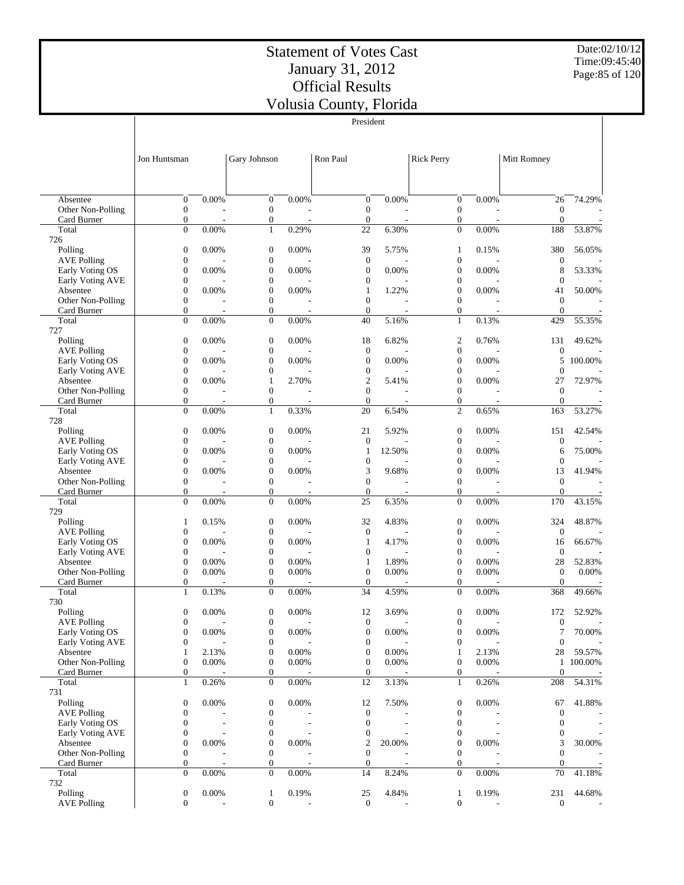Date:02/10/12 Time:09:45:40 Page:85 of 120

|                                  |                                      |                                   |                                      |                                   | President                    |                          |                                      |                          |                                |         |
|----------------------------------|--------------------------------------|-----------------------------------|--------------------------------------|-----------------------------------|------------------------------|--------------------------|--------------------------------------|--------------------------|--------------------------------|---------|
|                                  |                                      |                                   |                                      |                                   |                              |                          |                                      |                          |                                |         |
|                                  | Jon Huntsman                         |                                   | Gary Johnson                         |                                   | Ron Paul                     |                          | <b>Rick Perry</b>                    |                          | Mitt Romney                    |         |
|                                  |                                      |                                   |                                      |                                   |                              |                          |                                      |                          |                                |         |
| Absentee                         | $\boldsymbol{0}$                     | 0.00%                             | $\boldsymbol{0}$                     | 0.00%                             | $\boldsymbol{0}$             | 0.00%                    | $\boldsymbol{0}$                     | 0.00%                    | 26                             | 74.29%  |
| Other Non-Polling                | $\mathbf{0}$                         |                                   | $\boldsymbol{0}$                     |                                   | $\mathbf{0}$                 |                          | $\boldsymbol{0}$                     |                          | $\mathbf{0}$                   |         |
| Card Burner                      | $\boldsymbol{0}$                     | $\overline{\phantom{a}}$          | 0                                    |                                   | $\overline{0}$               |                          | $\boldsymbol{0}$                     |                          | $\overline{0}$                 |         |
| Total<br>726                     | $\overline{0}$                       | 0.00%                             | $\mathbf{1}$                         | 0.29%                             | 22                           | 6.30%                    | $\boldsymbol{0}$                     | 0.00%                    | 188                            | 53.87%  |
| Polling                          | $\boldsymbol{0}$                     | 0.00%                             | $\boldsymbol{0}$                     | 0.00%                             | 39                           | 5.75%                    | 1                                    | 0.15%                    | 380                            | 56.05%  |
| <b>AVE Polling</b>               | $\boldsymbol{0}$                     |                                   | $\boldsymbol{0}$                     |                                   | $\mathbf{0}$                 |                          | $\boldsymbol{0}$                     |                          | $\overline{0}$                 |         |
| Early Voting OS                  | $\boldsymbol{0}$                     | 0.00%                             | $\overline{0}$                       | 0.00%                             | $\mathbf{0}$                 | 0.00%                    | $\boldsymbol{0}$                     | 0.00%                    | 8                              | 53.33%  |
| Early Voting AVE<br>Absentee     | $\boldsymbol{0}$<br>$\boldsymbol{0}$ | 0.00%                             | $\boldsymbol{0}$<br>$\boldsymbol{0}$ | 0.00%                             | $\boldsymbol{0}$<br>1        | 1.22%                    | $\boldsymbol{0}$<br>$\boldsymbol{0}$ | 0.00%                    | $\theta$<br>41                 | 50.00%  |
| Other Non-Polling                | $\boldsymbol{0}$                     |                                   | $\boldsymbol{0}$                     |                                   | $\mathbf{0}$                 |                          | $\boldsymbol{0}$                     |                          | $\mathbf{0}$                   |         |
| Card Burner                      | $\boldsymbol{0}$                     | $\overline{\phantom{a}}$          | 0                                    |                                   | $\mathbf{0}$                 |                          | 0                                    | $\overline{\phantom{a}}$ | $\theta$                       | Ĭ,      |
| Total                            | $\overline{0}$                       | 0.00%                             | $\boldsymbol{0}$                     | 0.00%                             | 40                           | 5.16%                    | $\mathbf{1}$                         | 0.13%                    | 429                            | 55.35%  |
| 727<br>Polling                   | $\boldsymbol{0}$                     | 0.00%                             | $\boldsymbol{0}$                     | 0.00%                             | 18                           | 6.82%                    | 2                                    | 0.76%                    | 131                            | 49.62%  |
| <b>AVE Polling</b>               | $\boldsymbol{0}$                     |                                   | $\boldsymbol{0}$                     |                                   | $\boldsymbol{0}$             |                          | $\boldsymbol{0}$                     |                          | $\mathbf{0}$                   |         |
| Early Voting OS                  | $\boldsymbol{0}$                     | 0.00%                             | $\boldsymbol{0}$                     | 0.00%                             | $\boldsymbol{0}$             | 0.00%                    | $\boldsymbol{0}$                     | 0.00%                    | 5                              | 100.00% |
| Early Voting AVE                 | $\boldsymbol{0}$                     |                                   | $\overline{0}$                       |                                   | $\boldsymbol{0}$             |                          | $\boldsymbol{0}$                     |                          | $\boldsymbol{0}$               |         |
| Absentee                         | $\boldsymbol{0}$                     | 0.00%                             | 1                                    | 2.70%                             | $\overline{2}$               | 5.41%                    | $\boldsymbol{0}$                     | 0.00%                    | 27                             | 72.97%  |
| Other Non-Polling                | $\boldsymbol{0}$                     |                                   | $\mathbf{0}$                         | $\overline{a}$                    | $\mathbf{0}$                 |                          | $\boldsymbol{0}$                     |                          | $\mathbf{0}$                   |         |
| Card Burner                      | $\boldsymbol{0}$                     | $\overline{\phantom{a}}$          | $\boldsymbol{0}$                     |                                   | $\mathbf{0}$                 |                          | $\boldsymbol{0}$                     |                          | $\theta$                       |         |
| Total<br>728                     | $\overline{0}$                       | 0.00%                             | $\mathbf{1}$                         | 0.33%                             | 20                           | 6.54%                    | $\overline{c}$                       | 0.65%                    | 163                            | 53.27%  |
| Polling                          | $\boldsymbol{0}$                     | 0.00%                             | 0                                    | 0.00%                             | 21                           | 5.92%                    | $\boldsymbol{0}$                     | 0.00%                    | 151                            | 42.54%  |
| <b>AVE Polling</b>               | $\boldsymbol{0}$                     |                                   | $\boldsymbol{0}$                     |                                   | $\mathbf{0}$                 |                          | $\boldsymbol{0}$                     |                          | $\mathbf{0}$                   |         |
| Early Voting OS                  | $\boldsymbol{0}$                     | 0.00%                             | $\boldsymbol{0}$                     | 0.00%                             | 1                            | 12.50%                   | $\boldsymbol{0}$                     | 0.00%                    | 6                              | 75.00%  |
| Early Voting AVE                 | $\boldsymbol{0}$                     |                                   | $\boldsymbol{0}$                     |                                   | $\mathbf{0}$                 |                          | $\boldsymbol{0}$                     |                          | $\overline{0}$                 |         |
| Absentee                         | $\mathbf{0}$                         | 0.00%                             | $\overline{0}$                       | 0.00%                             | 3                            | 9.68%                    | $\boldsymbol{0}$                     | 0.00%                    | 13                             | 41.94%  |
| Other Non-Polling                | $\boldsymbol{0}$                     |                                   | $\boldsymbol{0}$                     |                                   | $\mathbf{0}$                 |                          | $\boldsymbol{0}$                     |                          | $\overline{0}$                 |         |
| Card Burner                      | $\mathbf{0}$                         | $\overline{\phantom{a}}$          | 0                                    | $\overline{\phantom{a}}$          | $\mathbf{0}$                 | ٠                        | 0                                    | $\overline{\phantom{a}}$ | $\theta$                       |         |
| Total<br>729                     | $\overline{0}$                       | 0.00%                             | $\boldsymbol{0}$                     | 0.00%                             | 25                           | 6.35%                    | $\boldsymbol{0}$                     | 0.00%                    | 170                            | 43.15%  |
| Polling                          | 1                                    | 0.15%                             | $\boldsymbol{0}$                     | 0.00%                             | 32                           | 4.83%                    | $\boldsymbol{0}$                     | 0.00%                    | 324                            | 48.87%  |
| <b>AVE Polling</b>               | $\boldsymbol{0}$                     |                                   | 0                                    |                                   | $\mathbf{0}$                 |                          | $\boldsymbol{0}$                     |                          | $\mathbf{0}$                   |         |
| Early Voting OS                  | $\boldsymbol{0}$                     | 0.00%                             | $\boldsymbol{0}$                     | 0.00%                             | 1                            | 4.17%                    | $\boldsymbol{0}$                     | 0.00%                    | 16                             | 66.67%  |
| Early Voting AVE                 | $\boldsymbol{0}$                     |                                   | $\boldsymbol{0}$                     |                                   | $\mathbf{0}$                 |                          | $\boldsymbol{0}$                     |                          | $\boldsymbol{0}$               |         |
| Absentee                         | $\boldsymbol{0}$                     | 0.00%                             | $\boldsymbol{0}$                     | 0.00%                             | 1                            | 1.89%                    | $\boldsymbol{0}$                     | 0.00%                    | 28                             | 52.83%  |
| Other Non-Polling<br>Card Burner | $\boldsymbol{0}$<br>$\mathbf{0}$     | 0.00%<br>$\overline{\phantom{a}}$ | $\mathbf{0}$<br>$\overline{0}$       | 0.00%                             | $\mathbf{0}$<br>$\mathbf{0}$ | 0.00%                    | $\boldsymbol{0}$<br>$\overline{0}$   | 0.00%                    | $\mathbf{0}$<br>$\overline{0}$ | 0.00%   |
| Total                            | $\mathbf{1}$                         | 0.13%                             | $\overline{0}$                       | 0.00%                             | 34                           | 4.59%                    | $\overline{0}$                       | 0.00%                    | 368                            | 49.66%  |
| 730                              |                                      |                                   |                                      |                                   |                              |                          |                                      |                          |                                |         |
| $\operatorname{Polling}$         | $\mathbf{0}$                         | 0.00%                             | 0                                    | $0.00\%$                          | 12                           | 3.69%                    | $\overline{0}$                       | $0.00\%$                 | 172                            | 52.92%  |
| <b>AVE Polling</b>               | $\boldsymbol{0}$                     | $\overline{\phantom{a}}$          | $\boldsymbol{0}$                     | $\overline{\phantom{a}}$          | $\boldsymbol{0}$             | $\overline{\phantom{a}}$ | $\boldsymbol{0}$                     |                          | $\mathbf{0}$                   |         |
| Early Voting OS                  | $\boldsymbol{0}$                     | 0.00%                             | $\boldsymbol{0}$                     | 0.00%                             | $\mathbf{0}$                 | 0.00%                    | $\overline{0}$                       | 0.00%                    | 7                              | 70.00%  |
| Early Voting AVE                 | $\boldsymbol{0}$                     |                                   | $\boldsymbol{0}$                     |                                   | $\mathbf{0}$                 |                          | $\boldsymbol{0}$                     |                          | $\mathbf{0}$                   |         |
| Absentee                         | 1                                    | 2.13%                             | $\boldsymbol{0}$                     | 0.00%                             | $\mathbf{0}$                 | 0.00%                    | 1                                    | 2.13%                    | 28                             | 59.57%  |
| Other Non-Polling                | $\boldsymbol{0}$                     | 0.00%                             | $\boldsymbol{0}$                     | 0.00%                             | $\mathbf{0}$                 | 0.00%                    | $\boldsymbol{0}$                     | 0.00%                    | 1                              | 100.00% |
| Card Burner                      | $\mathbf{0}$                         | $\overline{\phantom{a}}$<br>0.26% | 0                                    | $\overline{\phantom{a}}$<br>0.00% | $\overline{0}$               | 3.13%                    | 0                                    | $\sim$<br>0.26%          | $\overline{0}$                 | 54.31%  |
| Total<br>731                     | $\mathbf{1}$                         |                                   | $\boldsymbol{0}$                     |                                   | 12                           |                          | 1                                    |                          | 208                            |         |
| Polling                          | $\boldsymbol{0}$                     | 0.00%                             | $\boldsymbol{0}$                     | 0.00%                             | 12                           | 7.50%                    | $\boldsymbol{0}$                     | 0.00%                    | 67                             | 41.88%  |
| <b>AVE Polling</b>               | $\boldsymbol{0}$                     |                                   | $\boldsymbol{0}$                     |                                   | $\mathbf{0}$                 |                          | $\boldsymbol{0}$                     |                          | $\mathbf{0}$                   |         |
| Early Voting OS                  | $\boldsymbol{0}$                     |                                   | $\boldsymbol{0}$                     |                                   | $\mathbf{0}$                 |                          | $\boldsymbol{0}$                     |                          | $\mathbf{0}$                   |         |
| Early Voting AVE                 | $\boldsymbol{0}$                     |                                   | 0                                    |                                   | $\mathbf{0}$                 |                          | $\boldsymbol{0}$                     |                          | 0                              |         |
| Absentee                         | $\boldsymbol{0}$                     | 0.00%                             | $\boldsymbol{0}$                     | 0.00%                             | $\overline{c}$               | 20.00%                   | $\boldsymbol{0}$                     | 0.00%                    | 3                              | 30.00%  |
| Other Non-Polling                | $\boldsymbol{0}$                     |                                   | $\boldsymbol{0}$                     |                                   | $\mathbf{0}$                 |                          | $\boldsymbol{0}$                     |                          | $\overline{0}$                 |         |
| Card Burner<br>Total             | $\boldsymbol{0}$<br>$\overline{0}$   | 0.00%                             | $\boldsymbol{0}$<br>$\boldsymbol{0}$ | 0.00%                             | $\mathbf{0}$<br>14           | 8.24%                    | $\boldsymbol{0}$<br>$\boldsymbol{0}$ | 0.00%                    | $\theta$<br>70                 | 41.18%  |
| 732                              |                                      |                                   |                                      |                                   |                              |                          |                                      |                          |                                |         |
| Polling                          | $\boldsymbol{0}$                     | 0.00%                             | 1                                    | 0.19%                             | 25                           | 4.84%                    | 1                                    | 0.19%                    | 231                            | 44.68%  |
| <b>AVE Polling</b>               | $\mathbf{0}$                         | $\overline{\phantom{a}}$          | $\overline{0}$                       |                                   | $\overline{0}$               |                          | $\boldsymbol{0}$                     |                          | $\overline{0}$                 |         |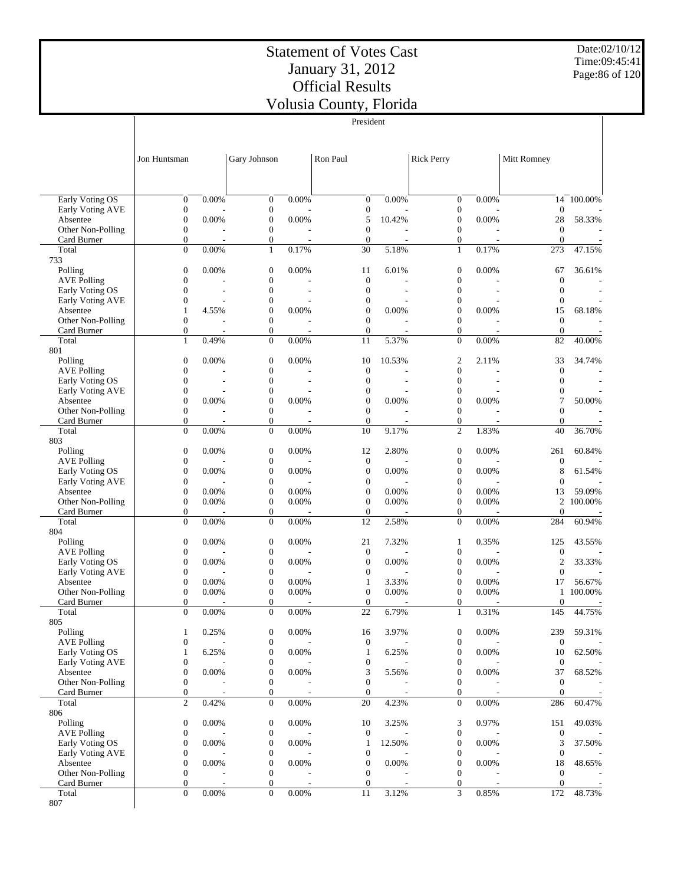Date:02/10/12 Time:09:45:41 Page:86 of 120

|                                            |                                      |          |                                      |       | President                        |          |                                      |       |                                  |           |
|--------------------------------------------|--------------------------------------|----------|--------------------------------------|-------|----------------------------------|----------|--------------------------------------|-------|----------------------------------|-----------|
|                                            |                                      |          |                                      |       |                                  |          |                                      |       |                                  |           |
|                                            |                                      |          |                                      |       |                                  |          |                                      |       |                                  |           |
|                                            | Jon Huntsman                         |          | Gary Johnson                         |       | Ron Paul                         |          | <b>Rick Perry</b>                    |       | Mitt Romney                      |           |
|                                            |                                      |          |                                      |       |                                  |          |                                      |       |                                  |           |
|                                            |                                      |          |                                      |       |                                  |          |                                      |       |                                  |           |
|                                            |                                      |          |                                      |       |                                  |          |                                      |       |                                  |           |
| <b>Early Voting OS</b><br>Early Voting AVE | $\boldsymbol{0}$<br>$\boldsymbol{0}$ | 0.00%    | $\boldsymbol{0}$<br>$\boldsymbol{0}$ | 0.00% | $\mathbf{0}$<br>$\boldsymbol{0}$ | 0.00%    | $\boldsymbol{0}$<br>$\boldsymbol{0}$ | 0.00% | 14<br>$\overline{0}$             | 100.00%   |
| Absentee                                   | $\boldsymbol{0}$                     | 0.00%    | $\boldsymbol{0}$                     | 0.00% | 5                                | 10.42%   | $\boldsymbol{0}$                     | 0.00% | 28                               | 58.33%    |
| Other Non-Polling                          | $\boldsymbol{0}$                     |          | $\boldsymbol{0}$                     |       | $\mathbf{0}$                     |          | $\boldsymbol{0}$                     |       | $\mathbf{0}$                     |           |
| Card Burner                                | $\boldsymbol{0}$                     |          | $\boldsymbol{0}$                     |       | $\mathbf{0}$                     |          | $\boldsymbol{0}$                     |       | $\overline{0}$                   |           |
| Total                                      | $\mathbf{0}$                         | 0.00%    | $\mathbf{1}$                         | 0.17% | 30                               | 5.18%    | $\mathbf{1}$                         | 0.17% | 273                              | 47.15%    |
| 733                                        |                                      |          |                                      |       |                                  |          |                                      |       |                                  |           |
| Polling                                    | $\boldsymbol{0}$                     | 0.00%    | $\boldsymbol{0}$                     | 0.00% | 11                               | 6.01%    | $\boldsymbol{0}$                     | 0.00% | 67                               | 36.61%    |
| <b>AVE Polling</b><br>Early Voting OS      | $\mathbf{0}$<br>$\boldsymbol{0}$     |          | $\boldsymbol{0}$<br>$\boldsymbol{0}$ |       | $\mathbf{0}$<br>$\mathbf{0}$     |          | $\mathbf{0}$<br>$\mathbf{0}$         |       | $\overline{0}$<br>$\theta$       |           |
| Early Voting AVE                           | $\boldsymbol{0}$                     |          | $\boldsymbol{0}$                     |       | $\mathbf{0}$                     |          | $\boldsymbol{0}$                     |       | $\boldsymbol{0}$                 |           |
| Absentee                                   | $\mathbf{1}$                         | 4.55%    | $\boldsymbol{0}$                     | 0.00% | $\mathbf{0}$                     | 0.00%    | $\mathbf{0}$                         | 0.00% | 15                               | 68.18%    |
| Other Non-Polling                          | $\overline{0}$                       |          | $\boldsymbol{0}$                     |       | $\mathbf{0}$                     |          | $\mathbf{0}$                         |       | $\overline{0}$                   |           |
| Card Burner                                | $\boldsymbol{0}$                     |          | $\boldsymbol{0}$                     |       | $\mathbf{0}$                     |          | $\mathbf{0}$                         |       | $\mathbf{0}$                     |           |
| Total                                      | $\mathbf{1}$                         | 0.49%    | $\boldsymbol{0}$                     | 0.00% | 11                               | 5.37%    | $\overline{0}$                       | 0.00% | 82                               | 40.00%    |
| 801                                        |                                      |          |                                      |       |                                  |          |                                      |       |                                  |           |
| Polling                                    | $\boldsymbol{0}$                     | 0.00%    | $\boldsymbol{0}$                     | 0.00% | 10                               | 10.53%   | $\overline{c}$                       | 2.11% | 33                               | 34.74%    |
| <b>AVE Polling</b><br>Early Voting OS      | $\boldsymbol{0}$<br>$\boldsymbol{0}$ | Ĭ.       | $\boldsymbol{0}$<br>$\boldsymbol{0}$ |       | $\overline{0}$<br>$\mathbf{0}$   |          | $\mathbf{0}$<br>$\mathbf{0}$         |       | $\mathbf{0}$<br>$\boldsymbol{0}$ |           |
| Early Voting AVE                           | $\boldsymbol{0}$                     |          | $\boldsymbol{0}$                     |       | $\mathbf{0}$                     |          | $\mathbf{0}$                         |       | $\mathbf{0}$                     |           |
| Absentee                                   | $\boldsymbol{0}$                     | 0.00%    | $\boldsymbol{0}$                     | 0.00% | $\mathbf{0}$                     | 0.00%    | $\mathbf{0}$                         | 0.00% | 7                                | 50.00%    |
| Other Non-Polling                          | $\boldsymbol{0}$                     | Ĩ.       | $\boldsymbol{0}$                     |       | $\theta$                         |          | $\boldsymbol{0}$                     |       | $\overline{0}$                   |           |
| Card Burner                                | $\boldsymbol{0}$                     |          | $\boldsymbol{0}$                     |       | $\mathbf{0}$                     |          | $\boldsymbol{0}$                     |       | $\mathbf{0}$                     |           |
| Total                                      | $\mathbf{0}$                         | 0.00%    | $\boldsymbol{0}$                     | 0.00% | 10                               | 9.17%    | $\overline{c}$                       | 1.83% | 40                               | 36.70%    |
| 803                                        |                                      |          |                                      |       |                                  |          |                                      |       |                                  |           |
| Polling                                    | $\boldsymbol{0}$                     | 0.00%    | $\boldsymbol{0}$                     | 0.00% | 12                               | 2.80%    | $\boldsymbol{0}$                     | 0.00% | 261                              | 60.84%    |
| <b>AVE Polling</b><br>Early Voting OS      | $\boldsymbol{0}$<br>$\boldsymbol{0}$ | 0.00%    | $\boldsymbol{0}$<br>$\mathbf{0}$     | 0.00% | $\theta$<br>$\mathbf{0}$         | 0.00%    | $\boldsymbol{0}$<br>$\mathbf{0}$     | 0.00% | $\mathbf{0}$<br>8                | 61.54%    |
| Early Voting AVE                           | $\boldsymbol{0}$                     |          | $\boldsymbol{0}$                     |       | $\mathbf{0}$                     |          | $\mathbf{0}$                         |       | $\overline{0}$                   |           |
| Absentee                                   | $\boldsymbol{0}$                     | 0.00%    | $\boldsymbol{0}$                     | 0.00% | $\mathbf{0}$                     | 0.00%    | $\mathbf{0}$                         | 0.00% | 13                               | 59.09%    |
| Other Non-Polling                          | $\boldsymbol{0}$                     | 0.00%    | $\boldsymbol{0}$                     | 0.00% | $\theta$                         | 0.00%    | $\boldsymbol{0}$                     | 0.00% |                                  | 2 100.00% |
| Card Burner                                | $\boldsymbol{0}$                     |          | $\boldsymbol{0}$                     |       | $\mathbf{0}$                     |          | $\mathbf{0}$                         |       | $\theta$                         |           |
| Total                                      | $\mathbf{0}$                         | 0.00%    | $\mathbf{0}$                         | 0.00% | 12                               | 2.58%    | $\mathbf{0}$                         | 0.00% | 284                              | 60.94%    |
| 804                                        |                                      |          |                                      |       |                                  |          |                                      |       |                                  |           |
| Polling<br><b>AVE Polling</b>              | $\boldsymbol{0}$<br>$\boldsymbol{0}$ | 0.00%    | $\boldsymbol{0}$<br>$\boldsymbol{0}$ | 0.00% | 21<br>$\mathbf{0}$               | 7.32%    | $\mathbf{1}$<br>$\boldsymbol{0}$     | 0.35% | 125<br>$\mathbf{0}$              | 43.55%    |
| Early Voting OS                            | $\boldsymbol{0}$                     | $0.00\%$ | $\boldsymbol{0}$                     | 0.00% | $\theta$                         | $0.00\%$ | $\mathbf{0}$                         | 0.00% | $\mathfrak{2}$                   | 33.33%    |
| Early Voting AVE                           | $\boldsymbol{0}$                     |          | $\boldsymbol{0}$                     |       | $\mathbf{0}$                     |          | $\mathbf{0}$                         |       | $\mathbf{0}$                     |           |
| Absentee                                   | $\boldsymbol{0}$                     | 0.00%    | $\boldsymbol{0}$                     | 0.00% | $\mathbf{1}$                     | 3.33%    | $\mathbf{0}$                         | 0.00% | 17                               | 56.67%    |
| Other Non-Polling                          | $\boldsymbol{0}$                     | 0.00%    | $\boldsymbol{0}$                     | 0.00% | $\boldsymbol{0}$                 | 0.00%    | $\boldsymbol{0}$                     | 0.00% |                                  | 1 100.00% |
| Card Burner                                | $\mathbf{0}$                         |          | $\mathbf{0}$                         |       | $\mathbf{0}$                     |          | $\boldsymbol{0}$                     |       | $\theta$                         |           |
| Total                                      | $\Omega$                             | 0.00%    | $\Omega$                             | 0.00% | 22                               | 6.79%    | $\mathbf{1}$                         | 0.31% | 145                              | 44.75%    |
| 805<br>Polling                             | 1                                    | 0.25%    | $\boldsymbol{0}$                     | 0.00% | 16                               | 3.97%    | $\boldsymbol{0}$                     | 0.00% | 239                              | 59.31%    |
| <b>AVE Polling</b>                         | $\boldsymbol{0}$                     |          | $\boldsymbol{0}$                     |       | $\overline{0}$                   |          | $\boldsymbol{0}$                     |       | $\mathbf{0}$                     |           |
| Early Voting OS                            | $\mathbf{1}$                         | 6.25%    | $\boldsymbol{0}$                     | 0.00% | $\mathbf{1}$                     | 6.25%    | $\mathbf{0}$                         | 0.00% | 10                               | 62.50%    |
| Early Voting AVE                           | $\boldsymbol{0}$                     |          | $\boldsymbol{0}$                     |       | $\mathbf{0}$                     |          | 0                                    |       | $\mathbf{0}$                     |           |
| Absentee                                   | $\boldsymbol{0}$                     | 0.00%    | $\boldsymbol{0}$                     | 0.00% | 3                                | 5.56%    | $\boldsymbol{0}$                     | 0.00% | 37                               | 68.52%    |
| Other Non-Polling                          | $\boldsymbol{0}$                     |          | $\boldsymbol{0}$                     |       | $\mathbf{0}$                     |          | $\mathbf{0}$                         |       | $\theta$                         |           |
| Card Burner                                | $\boldsymbol{0}$                     |          | $\boldsymbol{0}$                     |       | $\boldsymbol{0}$                 |          | $\mathbf{0}$                         |       | $\overline{0}$                   |           |
| Total                                      | $\overline{c}$                       | 0.42%    | $\boldsymbol{0}$                     | 0.00% | 20                               | 4.23%    | $\mathbf{0}$                         | 0.00% | 286                              | 60.47%    |
| 806<br>Polling                             | $\boldsymbol{0}$                     | 0.00%    | $\boldsymbol{0}$                     | 0.00% | 10                               | 3.25%    | 3                                    | 0.97% | 151                              | 49.03%    |
| <b>AVE Polling</b>                         | $\boldsymbol{0}$                     |          | $\boldsymbol{0}$                     |       | $\mathbf{0}$                     |          | $\boldsymbol{0}$                     |       | $\boldsymbol{0}$                 |           |
| Early Voting OS                            | $\boldsymbol{0}$                     | 0.00%    | $\boldsymbol{0}$                     | 0.00% | $\mathbf{1}$                     | 12.50%   | $\boldsymbol{0}$                     | 0.00% | 3                                | 37.50%    |
| Early Voting AVE                           | $\boldsymbol{0}$                     |          | $\boldsymbol{0}$                     |       | $\mathbf{0}$                     |          | $\boldsymbol{0}$                     |       | $\mathbf{0}$                     |           |
| Absentee                                   | $\boldsymbol{0}$                     | 0.00%    | $\boldsymbol{0}$                     | 0.00% | $\boldsymbol{0}$                 | 0.00%    | $\boldsymbol{0}$                     | 0.00% | 18                               | 48.65%    |
| Other Non-Polling                          | $\boldsymbol{0}$                     |          | $\boldsymbol{0}$                     |       | $\mathbf{0}$                     |          | $\mathbf{0}$                         |       | $\mathbf{0}$                     |           |
| Card Burner                                | $\boldsymbol{0}$                     |          | $\boldsymbol{0}$                     |       | $\mathbf{0}$                     |          | $\mathbf{0}$                         |       | $\theta$                         |           |
| Total                                      | $\mathbf{0}$                         | 0.00%    | $\boldsymbol{0}$                     | 0.00% | 11                               | 3.12%    | 3                                    | 0.85% | 172                              | 48.73%    |
| 807                                        |                                      |          |                                      |       |                                  |          |                                      |       |                                  |           |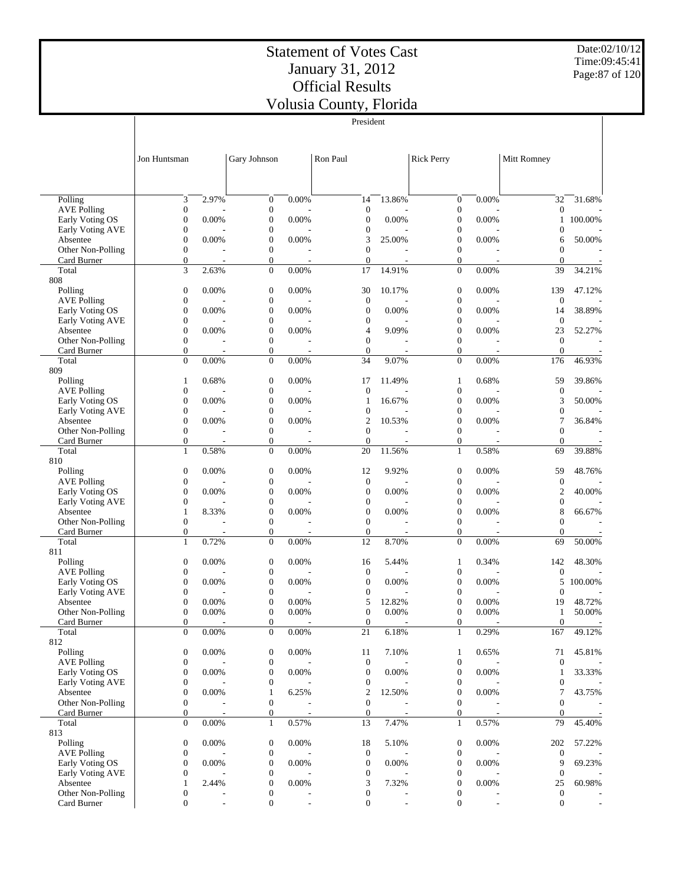Date:02/10/12 Time:09:45:41 Page:87 of 120

|                                     |                                      |                          |                                      |                                   | President                            |        |                                      |       |                        |         |
|-------------------------------------|--------------------------------------|--------------------------|--------------------------------------|-----------------------------------|--------------------------------------|--------|--------------------------------------|-------|------------------------|---------|
|                                     |                                      |                          |                                      |                                   |                                      |        |                                      |       |                        |         |
|                                     |                                      |                          |                                      |                                   |                                      |        |                                      |       |                        |         |
|                                     | Jon Huntsman                         |                          | Gary Johnson                         |                                   | Ron Paul                             |        | <b>Rick Perry</b>                    |       | Mitt Romney            |         |
|                                     |                                      |                          |                                      |                                   |                                      |        |                                      |       |                        |         |
|                                     |                                      |                          |                                      |                                   |                                      |        |                                      |       |                        |         |
| Polling                             | 3                                    | 2.97%                    | $\boldsymbol{0}$                     | 0.00%                             | 14                                   | 13.86% | $\boldsymbol{0}$                     | 0.00% | 32                     | 31.68%  |
| <b>AVE Polling</b>                  | $\boldsymbol{0}$                     |                          | $\mathbf{0}$                         |                                   | $\boldsymbol{0}$                     |        | $\boldsymbol{0}$                     |       | $\boldsymbol{0}$       |         |
| Early Voting OS                     | $\boldsymbol{0}$                     | 0.00%                    | $\boldsymbol{0}$                     | 0.00%                             | $\boldsymbol{0}$                     | 0.00%  | $\boldsymbol{0}$                     | 0.00% | 1                      | 100.00% |
| Early Voting AVE                    | $\boldsymbol{0}$                     |                          | $\boldsymbol{0}$                     |                                   | $\boldsymbol{0}$                     |        | 0                                    |       | $\boldsymbol{0}$       |         |
| Absentee<br>Other Non-Polling       | $\boldsymbol{0}$<br>$\boldsymbol{0}$ | 0.00%                    | $\boldsymbol{0}$<br>$\mathbf{0}$     | 0.00%                             | 3<br>$\mathbf{0}$                    | 25.00% | $\boldsymbol{0}$<br>$\boldsymbol{0}$ | 0.00% | 6<br>$\mathbf{0}$      | 50.00%  |
| Card Burner                         | $\boldsymbol{0}$                     |                          | $\boldsymbol{0}$                     |                                   | $\boldsymbol{0}$                     |        | $\mathbf{0}$                         |       | $\mathbf{0}$           |         |
| Total                               | 3                                    | 2.63%                    | $\mathbf{0}$                         | 0.00%                             | 17                                   | 14.91% | $\mathbf{0}$                         | 0.00% | 39                     | 34.21%  |
| 808                                 |                                      |                          |                                      |                                   |                                      |        |                                      |       |                        |         |
| Polling<br><b>AVE Polling</b>       | $\boldsymbol{0}$<br>$\boldsymbol{0}$ | 0.00%                    | $\boldsymbol{0}$<br>$\boldsymbol{0}$ | 0.00%                             | 30<br>$\mathbf{0}$                   | 10.17% | $\boldsymbol{0}$<br>$\boldsymbol{0}$ | 0.00% | 139<br>$\mathbf{0}$    | 47.12%  |
| Early Voting OS                     | $\boldsymbol{0}$                     | 0.00%                    | $\boldsymbol{0}$                     | 0.00%                             | $\mathbf{0}$                         | 0.00%  | $\overline{0}$                       | 0.00% | 14                     | 38.89%  |
| Early Voting AVE                    | $\boldsymbol{0}$                     |                          | $\boldsymbol{0}$                     |                                   | $\boldsymbol{0}$                     |        | 0                                    |       | $\mathbf{0}$           |         |
| Absentee                            | $\boldsymbol{0}$                     | 0.00%                    | $\boldsymbol{0}$                     | 0.00%                             | 4                                    | 9.09%  | $\overline{0}$                       | 0.00% | 23                     | 52.27%  |
| Other Non-Polling                   | $\boldsymbol{0}$                     |                          | $\mathbf{0}$                         |                                   | $\mathbf{0}$                         |        | $\boldsymbol{0}$                     |       | $\mathbf{0}$           |         |
| Card Burner<br>Total                | $\boldsymbol{0}$<br>$\boldsymbol{0}$ | 0.00%                    | $\boldsymbol{0}$<br>$\mathbf{0}$     | 0.00%                             | $\mathbf{0}$<br>34                   | 9.07%  | $\mathbf{0}$<br>$\mathbf{0}$         | 0.00% | $\mathbf{0}$<br>176    | 46.93%  |
| 809                                 |                                      |                          |                                      |                                   |                                      |        |                                      |       |                        |         |
| Polling                             | 1                                    | 0.68%                    | $\boldsymbol{0}$                     | 0.00%                             | 17                                   | 11.49% | 1                                    | 0.68% | 59                     | 39.86%  |
| <b>AVE Polling</b>                  | $\boldsymbol{0}$                     |                          | $\mathbf{0}$                         |                                   | $\mathbf{0}$                         |        | 0                                    |       | $\mathbf{0}$           |         |
| Early Voting OS<br>Early Voting AVE | $\boldsymbol{0}$<br>$\boldsymbol{0}$ | 0.00%                    | $\boldsymbol{0}$<br>$\boldsymbol{0}$ | 0.00%                             | $\mathbf{1}$<br>$\boldsymbol{0}$     | 16.67% | $\boldsymbol{0}$<br>0                | 0.00% | 3<br>$\boldsymbol{0}$  | 50.00%  |
| Absentee                            | $\boldsymbol{0}$                     | 0.00%                    | $\boldsymbol{0}$                     | 0.00%                             | $\overline{2}$                       | 10.53% | $\boldsymbol{0}$                     | 0.00% | 7                      | 36.84%  |
| Other Non-Polling                   | $\boldsymbol{0}$                     |                          | $\mathbf{0}$                         |                                   | $\mathbf{0}$                         |        | $\boldsymbol{0}$                     |       | $\boldsymbol{0}$       |         |
| Card Burner                         | $\boldsymbol{0}$                     |                          | $\boldsymbol{0}$                     |                                   | $\mathbf{0}$                         |        | 0                                    |       | $\mathbf{0}$           |         |
| Total<br>810                        | $\mathbf{1}$                         | 0.58%                    | $\mathbf{0}$                         | 0.00%                             | 20                                   | 11.56% | $\mathbf{1}$                         | 0.58% | 69                     | 39.88%  |
| Polling                             | $\boldsymbol{0}$                     | 0.00%                    | $\mathbf{0}$                         | 0.00%                             | 12                                   | 9.92%  | $\boldsymbol{0}$                     | 0.00% | 59                     | 48.76%  |
| <b>AVE Polling</b>                  | $\boldsymbol{0}$                     |                          | $\mathbf{0}$                         |                                   | $\mathbf{0}$                         |        | $\boldsymbol{0}$                     |       | $\boldsymbol{0}$       |         |
| Early Voting OS                     | $\boldsymbol{0}$                     | 0.00%                    | $\boldsymbol{0}$                     | 0.00%                             | $\boldsymbol{0}$                     | 0.00%  | 0                                    | 0.00% | 2                      | 40.00%  |
| Early Voting AVE                    | $\boldsymbol{0}$                     |                          | $\boldsymbol{0}$                     |                                   | $\boldsymbol{0}$                     |        | 0                                    |       | $\boldsymbol{0}$       |         |
| Absentee<br>Other Non-Polling       | $\mathbf{1}$<br>$\boldsymbol{0}$     | 8.33%                    | $\boldsymbol{0}$<br>$\boldsymbol{0}$ | 0.00%                             | $\mathbf{0}$<br>$\boldsymbol{0}$     | 0.00%  | $\overline{0}$<br>$\boldsymbol{0}$   | 0.00% | 8<br>$\mathbf{0}$      | 66.67%  |
| Card Burner                         | $\boldsymbol{0}$                     | ٠                        | $\boldsymbol{0}$                     | $\overline{a}$                    | $\boldsymbol{0}$                     |        | $\mathbf{0}$                         | ÷,    | $\mathbf{0}$           |         |
| Total                               | $\mathbf{1}$                         | 0.72%                    | $\mathbf{0}$                         | 0.00%                             | 12                                   | 8.70%  | $\mathbf{0}$                         | 0.00% | 69                     | 50.00%  |
| 811                                 |                                      |                          |                                      |                                   |                                      |        |                                      |       |                        |         |
| Polling<br><b>AVE Polling</b>       | $\boldsymbol{0}$<br>$\boldsymbol{0}$ | 0.00%                    | $\boldsymbol{0}$<br>$\boldsymbol{0}$ | 0.00%                             | 16<br>$\mathbf{0}$                   | 5.44%  | 1<br>0                               | 0.34% | 142<br>$\mathbf{0}$    | 48.30%  |
| Early Voting OS                     | $\boldsymbol{0}$                     | 0.00%                    | $\boldsymbol{0}$                     | 0.00%                             | $\boldsymbol{0}$                     | 0.00%  | $\boldsymbol{0}$                     | 0.00% | 5                      | 100.00% |
| Early Voting AVE                    | $\boldsymbol{0}$                     |                          | $\boldsymbol{0}$                     |                                   | $\boldsymbol{0}$                     |        | $\overline{0}$                       |       | 0                      |         |
| Absentee                            | $\boldsymbol{0}$                     | 0.00%                    | $\mathbf{0}$                         | 0.00%                             | 5                                    | 12.82% | $\boldsymbol{0}$                     | 0.00% | 19                     | 48.72%  |
| Other Non-Polling<br>Card Burner    | $\boldsymbol{0}$<br>$\boldsymbol{0}$ | 0.00%                    | $\boldsymbol{0}$<br>$\boldsymbol{0}$ | 0.00%                             | $\boldsymbol{0}$<br>$\boldsymbol{0}$ | 0.00%  | $\boldsymbol{0}$<br>0                | 0.00% | 1<br>$\boldsymbol{0}$  | 50.00%  |
| Total                               | $\overline{0}$                       | 0.00%                    | $\overline{0}$                       | $\overline{\phantom{a}}$<br>0.00% | 21                                   | 6.18%  | $\mathbf{1}$                         | 0.29% | 167                    | 49.12%  |
| 812                                 |                                      |                          |                                      |                                   |                                      |        |                                      |       |                        |         |
| Polling                             | $\boldsymbol{0}$                     | 0.00%                    | $\boldsymbol{0}$                     | 0.00%                             | 11                                   | 7.10%  | $\mathbf{1}$                         | 0.65% | 71                     | 45.81%  |
| <b>AVE Polling</b>                  | $\boldsymbol{0}$                     |                          | $\boldsymbol{0}$                     |                                   | $\boldsymbol{0}$                     |        | $\boldsymbol{0}$                     |       | $\mathbf{0}$           |         |
| Early Voting OS<br>Early Voting AVE | $\boldsymbol{0}$<br>$\boldsymbol{0}$ | 0.00%                    | $\mathbf{0}$<br>$\boldsymbol{0}$     | 0.00%                             | $\boldsymbol{0}$<br>$\boldsymbol{0}$ | 0.00%  | $\boldsymbol{0}$<br>$\boldsymbol{0}$ | 0.00% | 1<br>$\mathbf{0}$      | 33.33%  |
| Absentee                            | $\boldsymbol{0}$                     | 0.00%                    | $\mathbf{1}$                         | 6.25%                             | 2                                    | 12.50% | $\overline{0}$                       | 0.00% | 7                      | 43.75%  |
| Other Non-Polling                   | $\boldsymbol{0}$                     |                          | $\boldsymbol{0}$                     |                                   | $\boldsymbol{0}$                     |        | $\boldsymbol{0}$                     |       | $\mathbf{0}$           |         |
| Card Burner                         | $\boldsymbol{0}$                     | $\overline{\phantom{a}}$ | $\boldsymbol{0}$                     | $\overline{\phantom{a}}$          | $\boldsymbol{0}$                     | $\sim$ | $\overline{0}$                       |       | $\theta$               |         |
| Total<br>813                        | $\boldsymbol{0}$                     | 0.00%                    | $\mathbf{1}$                         | 0.57%                             | 13                                   | 7.47%  | $\mathbf{1}$                         | 0.57% | 79                     | 45.40%  |
| Polling                             | $\boldsymbol{0}$                     | 0.00%                    | $\boldsymbol{0}$                     | 0.00%                             | 18                                   | 5.10%  | $\boldsymbol{0}$                     | 0.00% | 202                    | 57.22%  |
| <b>AVE Polling</b>                  | $\boldsymbol{0}$                     |                          | $\boldsymbol{0}$                     |                                   | $\boldsymbol{0}$                     |        | $\boldsymbol{0}$                     |       | $\boldsymbol{0}$       |         |
| Early Voting OS                     | $\boldsymbol{0}$                     | 0.00%                    | $\boldsymbol{0}$                     | 0.00%                             | $\boldsymbol{0}$                     | 0.00%  | $\boldsymbol{0}$                     | 0.00% | 9                      | 69.23%  |
| Early Voting AVE                    | $\boldsymbol{0}$<br>$\mathbf{1}$     |                          | $\boldsymbol{0}$                     | 0.00%                             | $\boldsymbol{0}$<br>3                | 7.32%  | 0                                    | 0.00% | $\mathbf{0}$           | 60.98%  |
| Absentee<br>Other Non-Polling       | $\boldsymbol{0}$                     | 2.44%                    | $\boldsymbol{0}$<br>$\boldsymbol{0}$ |                                   | $\boldsymbol{0}$                     |        | $\boldsymbol{0}$<br>0                |       | 25<br>$\boldsymbol{0}$ |         |
| Card Burner                         | $\boldsymbol{0}$                     | $\overline{\phantom{a}}$ | $\mathbf{0}$                         |                                   | $\mathbf{0}$                         |        | $\boldsymbol{0}$                     |       | $\boldsymbol{0}$       |         |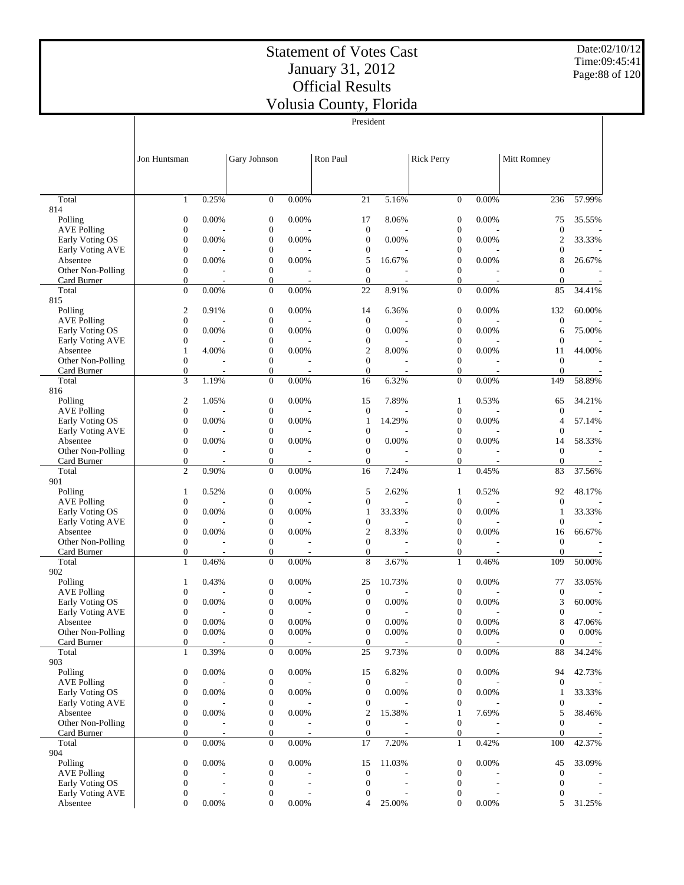$\overline{\phantom{a}}$ 

President

Date:02/10/12 Time:09:45:41 Page:88 of 120

 $\overline{\phantom{a}}$ 

|                                       | Jon Huntsman                     |                                   | Gary Johnson                         |                                   | Ron Paul                             |                                   | <b>Rick Perry</b>                |                                   | Mitt Romney                        |                                    |
|---------------------------------------|----------------------------------|-----------------------------------|--------------------------------------|-----------------------------------|--------------------------------------|-----------------------------------|----------------------------------|-----------------------------------|------------------------------------|------------------------------------|
|                                       |                                  |                                   |                                      |                                   |                                      |                                   |                                  |                                   |                                    |                                    |
|                                       |                                  |                                   |                                      |                                   |                                      |                                   |                                  |                                   |                                    |                                    |
| Total<br>814                          | $\mathbf{1}$                     | 0.25%                             | $\mathbf{0}$                         | 0.00%                             | 21                                   | 5.16%                             | $\mathbf{0}$                     | 0.00%                             | 236                                | 57.99%                             |
| Polling                               | $\boldsymbol{0}$                 | 0.00%                             | $\boldsymbol{0}$                     | 0.00%                             | 17                                   | 8.06%                             | $\boldsymbol{0}$                 | 0.00%                             | 75                                 | 35.55%                             |
| <b>AVE Polling</b><br>Early Voting OS | $\boldsymbol{0}$<br>$\mathbf{0}$ | 0.00%                             | $\boldsymbol{0}$<br>$\boldsymbol{0}$ | 0.00%                             | $\boldsymbol{0}$<br>$\boldsymbol{0}$ | 0.00%                             | $\boldsymbol{0}$<br>$\mathbf{0}$ | 0.00%                             | $\boldsymbol{0}$<br>$\mathfrak{2}$ | 33.33%                             |
| Early Voting AVE                      | $\boldsymbol{0}$                 |                                   | $\boldsymbol{0}$                     |                                   | $\boldsymbol{0}$                     |                                   | 0                                |                                   | 0                                  |                                    |
| Absentee                              | $\mathbf{0}$                     | 0.00%                             | $\boldsymbol{0}$                     | 0.00%                             | 5                                    | 16.67%                            | $\overline{0}$                   | 0.00%                             | 8                                  | 26.67%                             |
| Other Non-Polling                     | $\boldsymbol{0}$                 |                                   | $\boldsymbol{0}$                     |                                   | $\mathbf{0}$                         |                                   | $\overline{0}$                   |                                   | $\overline{0}$                     |                                    |
| Card Burner<br>Total                  | $\mathbf{0}$<br>$\overline{0}$   | $\overline{\phantom{m}}$<br>0.00% | $\boldsymbol{0}$<br>$\boldsymbol{0}$ | $\overline{\phantom{0}}$<br>0.00% | $\mathbf{0}$<br>22                   | $\overline{\phantom{a}}$<br>8.91% | $\mathbf{0}$<br>$\mathbf{0}$     | $\overline{\phantom{a}}$<br>0.00% | $\theta$<br>85                     | $\overline{\phantom{a}}$<br>34.41% |
| 815                                   |                                  |                                   |                                      |                                   |                                      |                                   |                                  |                                   |                                    |                                    |
| Polling                               | $\overline{2}$                   | 0.91%                             | $\boldsymbol{0}$                     | 0.00%                             | 14                                   | 6.36%                             | $\mathbf{0}$                     | 0.00%                             | 132                                | 60.00%                             |
| <b>AVE Polling</b><br>Early Voting OS | $\mathbf{0}$<br>$\mathbf{0}$     | 0.00%                             | $\boldsymbol{0}$<br>$\boldsymbol{0}$ | 0.00%                             | $\boldsymbol{0}$<br>$\boldsymbol{0}$ | 0.00%                             | $\boldsymbol{0}$<br>$\mathbf{0}$ | 0.00%                             | $\boldsymbol{0}$<br>6              | 75.00%                             |
| Early Voting AVE                      | $\boldsymbol{0}$                 |                                   | $\boldsymbol{0}$                     |                                   | $\boldsymbol{0}$                     |                                   | $\boldsymbol{0}$                 |                                   | $\boldsymbol{0}$                   |                                    |
| Absentee                              | $\mathbf{1}$                     | 4.00%                             | $\boldsymbol{0}$                     | 0.00%                             | $\boldsymbol{2}$                     | 8.00%                             | $\boldsymbol{0}$                 | 0.00%                             | 11                                 | 44.00%                             |
| Other Non-Polling                     | $\mathbf{0}$                     |                                   | $\boldsymbol{0}$                     |                                   | $\mathbf{0}$                         |                                   | $\boldsymbol{0}$                 |                                   | $\boldsymbol{0}$                   |                                    |
| Card Burner<br>Total                  | $\boldsymbol{0}$<br>3            | 1.19%                             | $\boldsymbol{0}$<br>$\boldsymbol{0}$ | 0.00%                             | $\mathbf{0}$<br>16                   | 6.32%                             | $\mathbf{0}$<br>$\overline{0}$   | 0.00%                             | $\mathbf{0}$<br>149                | 58.89%                             |
| 816                                   |                                  |                                   |                                      |                                   |                                      |                                   |                                  |                                   |                                    |                                    |
| Polling                               | $\mathfrak{2}$                   | 1.05%                             | $\boldsymbol{0}$                     | 0.00%                             | 15                                   | 7.89%                             | $\mathbf{1}$                     | 0.53%                             | 65                                 | 34.21%                             |
| <b>AVE Polling</b>                    | $\mathbf{0}$                     |                                   | $\boldsymbol{0}$                     |                                   | $\boldsymbol{0}$                     |                                   | $\boldsymbol{0}$                 |                                   | $\overline{0}$                     |                                    |
| Early Voting OS<br>Early Voting AVE   | $\mathbf{0}$<br>$\boldsymbol{0}$ | 0.00%                             | $\boldsymbol{0}$<br>$\boldsymbol{0}$ | 0.00%                             | $\mathbf{1}$<br>$\boldsymbol{0}$     | 14.29%                            | $\overline{0}$<br>0              | 0.00%                             | 4<br>$\theta$                      | 57.14%                             |
| Absentee                              | $\mathbf{0}$                     | 0.00%                             | $\boldsymbol{0}$                     | 0.00%                             | $\boldsymbol{0}$                     | 0.00%                             | $\overline{0}$                   | 0.00%                             | 14                                 | 58.33%                             |
| Other Non-Polling                     | $\boldsymbol{0}$                 |                                   | $\boldsymbol{0}$                     |                                   | $\mathbf{0}$                         |                                   | $\overline{0}$                   |                                   | $\overline{0}$                     | ÷                                  |
| Card Burner                           | $\boldsymbol{0}$                 |                                   | $\boldsymbol{0}$                     |                                   | $\mathbf{0}$                         | ٠                                 | $\overline{0}$                   |                                   | $\boldsymbol{0}$                   | $\overline{\phantom{a}}$           |
| Total<br>901                          | $\overline{2}$                   | 0.90%                             | $\boldsymbol{0}$                     | 0.00%                             | 16                                   | 7.24%                             | $\mathbf{1}$                     | 0.45%                             | 83                                 | 37.56%                             |
| Polling                               | $\mathbf{1}$                     | 0.52%                             | $\boldsymbol{0}$                     | 0.00%                             | 5                                    | 2.62%                             | 1                                | 0.52%                             | 92                                 | 48.17%                             |
| <b>AVE Polling</b>                    | $\boldsymbol{0}$                 |                                   | $\boldsymbol{0}$                     |                                   | $\boldsymbol{0}$                     |                                   | $\boldsymbol{0}$                 |                                   | $\boldsymbol{0}$                   |                                    |
| Early Voting OS                       | $\mathbf{0}$                     | 0.00%                             | $\boldsymbol{0}$                     | 0.00%                             | $\mathbf{1}$                         | 33.33%                            | $\mathbf{0}$                     | 0.00%                             | 1                                  | 33.33%                             |
| Early Voting AVE<br>Absentee          | $\boldsymbol{0}$<br>$\mathbf{0}$ | 0.00%                             | $\boldsymbol{0}$<br>$\boldsymbol{0}$ | 0.00%                             | $\boldsymbol{0}$<br>$\boldsymbol{2}$ | 8.33%                             | 0<br>$\mathbf{0}$                | 0.00%                             | $\boldsymbol{0}$<br>16             | 66.67%                             |
| Other Non-Polling                     | $\boldsymbol{0}$                 |                                   | $\boldsymbol{0}$                     |                                   | $\mathbf{0}$                         |                                   | $\mathbf{0}$                     |                                   | $\boldsymbol{0}$                   | ٠                                  |
| Card Burner                           | $\boldsymbol{0}$                 |                                   | $\boldsymbol{0}$                     |                                   | $\boldsymbol{0}$                     | $\overline{\phantom{a}}$          | $\mathbf{0}$                     |                                   | $\mathbf{0}$                       |                                    |
| Total<br>902                          | $\mathbf{1}$                     | 0.46%                             | $\boldsymbol{0}$                     | 0.00%                             | 8                                    | 3.67%                             | $\mathbf{1}$                     | 0.46%                             | 109                                | 50.00%                             |
| Polling                               | $\mathbf{1}$                     | 0.43%                             | $\boldsymbol{0}$                     | 0.00%                             | 25                                   | 10.73%                            | $\boldsymbol{0}$                 | 0.00%                             | 77                                 | 33.05%                             |
| <b>AVE Polling</b>                    | $\boldsymbol{0}$                 |                                   | $\boldsymbol{0}$                     |                                   | $\boldsymbol{0}$                     |                                   | $\boldsymbol{0}$                 |                                   | $\boldsymbol{0}$                   |                                    |
| Early Voting OS                       | $\boldsymbol{0}$                 | 0.00%                             | $\boldsymbol{0}$                     | 0.00%                             | $\boldsymbol{0}$                     | 0.00%                             | $\overline{0}$                   | 0.00%                             | 3                                  | 60.00%                             |
| Early Voting AVE<br>Absentee          | $\boldsymbol{0}$<br>$\mathbf{0}$ | 0.00%                             | $\boldsymbol{0}$<br>$\overline{0}$   | 0.00%                             | $\boldsymbol{0}$<br>$\mathbf{0}$     | 0.00%                             | 0<br>$\overline{0}$              | 0.00%                             | $\boldsymbol{0}$<br>8              | 47.06%                             |
| Other Non-Polling                     | $\boldsymbol{0}$                 | 0.00%                             | $\boldsymbol{0}$                     | 0.00%                             | $\boldsymbol{0}$                     | 0.00%                             | $\boldsymbol{0}$                 | 0.00%                             | $\boldsymbol{0}$                   | $0.00\%$                           |
| Card Burner                           | $\boldsymbol{0}$                 |                                   | $\boldsymbol{0}$                     |                                   | $\boldsymbol{0}$                     |                                   | $\boldsymbol{0}$                 |                                   | $\mathbf{0}$                       |                                    |
| Total<br>903                          | $\mathbf{1}$                     | 0.39%                             | $\mathbf{0}$                         | $0.00\%$                          | 25                                   | 9.73%                             | $\mathbf{0}$                     | $0.00\%$                          | 88                                 | 34.24%                             |
| Polling                               | $\boldsymbol{0}$                 | 0.00%                             | $\boldsymbol{0}$                     | 0.00%                             | 15                                   | 6.82%                             | $\mathbf{0}$                     | 0.00%                             | 94                                 | 42.73%                             |
| <b>AVE Polling</b>                    | $\boldsymbol{0}$                 |                                   | $\boldsymbol{0}$                     |                                   | $\boldsymbol{0}$                     |                                   | $\boldsymbol{0}$                 |                                   | $\boldsymbol{0}$                   |                                    |
| Early Voting OS                       | $\mathbf{0}$                     | $0.00\%$                          | $\boldsymbol{0}$                     | 0.00%                             | $\boldsymbol{0}$                     | 0.00%                             | $\boldsymbol{0}$                 | 0.00%                             | 1                                  | 33.33%                             |
| Early Voting AVE<br>Absentee          | $\boldsymbol{0}$<br>$\mathbf{0}$ | 0.00%                             | $\boldsymbol{0}$<br>$\boldsymbol{0}$ | 0.00%                             | $\boldsymbol{0}$<br>2                | 15.38%                            | 0<br>1                           | 7.69%                             | $\boldsymbol{0}$<br>5              | 38.46%                             |
| Other Non-Polling                     | $\boldsymbol{0}$                 |                                   | $\boldsymbol{0}$                     |                                   | $\boldsymbol{0}$                     |                                   | $\mathbf{0}$                     |                                   | 0                                  |                                    |
| Card Burner                           | $\boldsymbol{0}$                 | $\overline{\phantom{a}}$          | 0                                    |                                   | $\mathbf{0}$                         | $\overline{\phantom{a}}$          | $\mathbf{0}$                     |                                   | $\mathbf{0}$                       | $\overline{\phantom{a}}$           |
| Total                                 | $\overline{0}$                   | 0.00%                             | $\boldsymbol{0}$                     | 0.00%                             | 17                                   | 7.20%                             | $\mathbf{1}$                     | 0.42%                             | 100                                | 42.37%                             |
| 904<br>Polling                        | $\boldsymbol{0}$                 | 0.00%                             | $\boldsymbol{0}$                     | 0.00%                             | 15                                   | 11.03%                            | $\mathbf{0}$                     | 0.00%                             | 45                                 | 33.09%                             |
| <b>AVE Polling</b>                    | $\boldsymbol{0}$                 |                                   | $\boldsymbol{0}$                     |                                   | $\boldsymbol{0}$                     |                                   | $\boldsymbol{0}$                 |                                   | $\mathbf{0}$                       |                                    |
| Early Voting OS                       | $\boldsymbol{0}$                 |                                   | $\boldsymbol{0}$                     |                                   | $\boldsymbol{0}$                     |                                   | $\boldsymbol{0}$                 |                                   | $\mathbf{0}$                       |                                    |
| Early Voting AVE                      | $\boldsymbol{0}$<br>$\mathbf{0}$ |                                   | $\boldsymbol{0}$                     |                                   | 0                                    |                                   | $\boldsymbol{0}$<br>$\theta$     |                                   | $\overline{0}$                     |                                    |
| Absentee                              |                                  | 0.00%                             | $\boldsymbol{0}$                     | 0.00%                             | $\overline{4}$                       | 25.00%                            |                                  | 0.00%                             | 5                                  | 31.25%                             |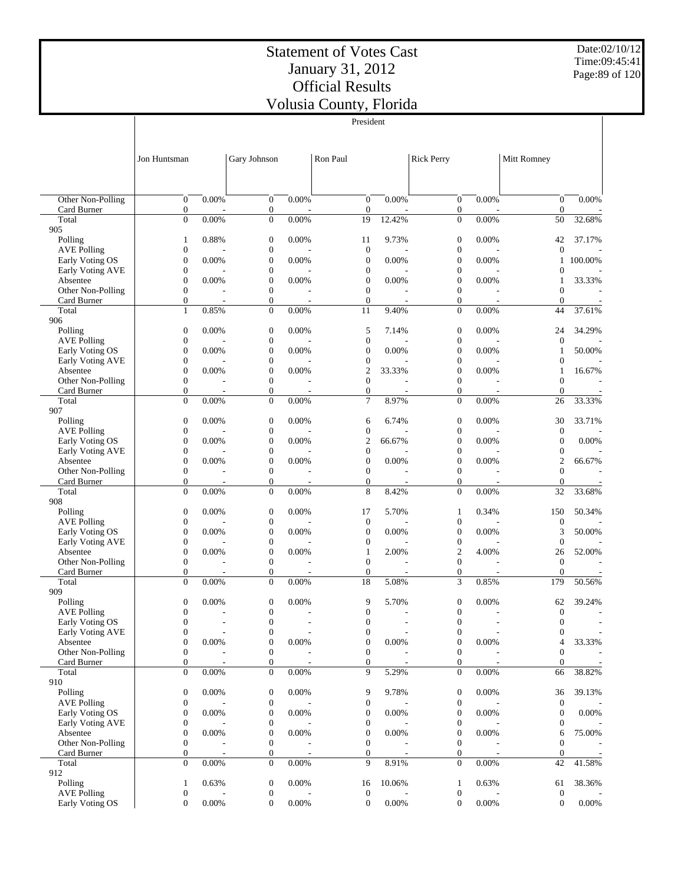$\mathcal{L}$ 

President

Date:02/10/12 Time:09:45:41 Page:89 of 120

 $\overline{\phantom{a}}$ 

|                                       | Jon Huntsman                         |            | Gary Johnson                         |                                   | Ron Paul                                    |                                   | <b>Rick Perry</b>                    |                                   | Mitt Romney                          |                               |
|---------------------------------------|--------------------------------------|------------|--------------------------------------|-----------------------------------|---------------------------------------------|-----------------------------------|--------------------------------------|-----------------------------------|--------------------------------------|-------------------------------|
|                                       |                                      |            |                                      |                                   |                                             |                                   |                                      |                                   |                                      |                               |
|                                       |                                      |            |                                      |                                   |                                             |                                   |                                      |                                   |                                      |                               |
| Other Non-Polling<br>Card Burner      | $\overline{0}$<br>$\mathbf{0}$       | 0.00%      | $\overline{0}$<br>$\boldsymbol{0}$   | 0.00%                             | $\mathbf{0}$<br>$\mathbf{0}$                | 0.00%                             | $\mathbf{0}$<br>$\boldsymbol{0}$     | 0.00%                             | $\overline{0}$<br>$\mathbf{0}$       | 0.00%                         |
| Total<br>905                          | $\overline{0}$                       | 0.00%      | $\boldsymbol{0}$                     | 0.00%                             | 19                                          | 12.42%                            | $\overline{0}$                       | 0.00%                             | 50                                   | 32.68%                        |
| Polling                               | $\mathbf{1}$                         | 0.88%      | $\boldsymbol{0}$                     | 0.00%                             | 11                                          | 9.73%                             | $\boldsymbol{0}$                     | 0.00%                             | 42                                   | 37.17%                        |
| <b>AVE Polling</b><br>Early Voting OS | $\boldsymbol{0}$<br>$\mathbf{0}$     | 0.00%      | $\boldsymbol{0}$<br>$\boldsymbol{0}$ | 0.00%                             | $\boldsymbol{0}$<br>$\mathbf{0}$            | 0.00%                             | $\boldsymbol{0}$<br>$\overline{0}$   | 0.00%                             | $\mathbf{0}$<br>$\mathbf{1}$         | 100.00%                       |
| <b>Early Voting AVE</b>               | $\boldsymbol{0}$                     |            | $\boldsymbol{0}$                     |                                   | $\boldsymbol{0}$                            |                                   | $\boldsymbol{0}$                     |                                   | $\mathbf{0}$                         | $\overline{\phantom{a}}$      |
| Absentee                              | $\mathbf{0}$                         | 0.00%      | $\boldsymbol{0}$                     | 0.00%                             | $\mathbf{0}$                                | 0.00%                             | $\overline{0}$                       | 0.00%                             | 1                                    | 33.33%                        |
| Other Non-Polling<br>Card Burner      | $\mathbf{0}$<br>$\boldsymbol{0}$     | ٠          | $\boldsymbol{0}$<br>$\boldsymbol{0}$ | $\overline{\phantom{a}}$          | $\mathbf{0}$<br>$\mathbf{0}$                | $\overline{\phantom{a}}$          | $\mathbf{0}$<br>$\overline{0}$       |                                   | $\overline{0}$<br>$\theta$           | ٠<br>$\overline{\phantom{a}}$ |
| Total                                 | $\mathbf{1}$                         | 0.85%      | $\boldsymbol{0}$                     | 0.00%                             | 11                                          | 9.40%                             | $\mathbf{0}$                         | 0.00%                             | 44                                   | 37.61%                        |
| 906<br>Polling                        | $\boldsymbol{0}$                     | 0.00%      | $\boldsymbol{0}$                     | 0.00%                             | 5                                           | 7.14%                             | $\boldsymbol{0}$                     | 0.00%                             | 24                                   | 34.29%                        |
| <b>AVE Polling</b>                    | $\boldsymbol{0}$                     |            | $\boldsymbol{0}$                     |                                   | $\boldsymbol{0}$                            |                                   | $\boldsymbol{0}$                     |                                   | $\boldsymbol{0}$                     |                               |
| Early Voting OS                       | $\boldsymbol{0}$                     | 0.00%      | $\boldsymbol{0}$                     | 0.00%                             | $\boldsymbol{0}$                            | 0.00%                             | $\boldsymbol{0}$                     | 0.00%                             | 1                                    | 50.00%                        |
| Early Voting AVE<br>Absentee          | $\mathbf{0}$<br>$\boldsymbol{0}$     | 0.00%      | $\boldsymbol{0}$<br>$\boldsymbol{0}$ | 0.00%                             | $\boldsymbol{0}$<br>$\overline{\mathbf{c}}$ | 33.33%                            | $\overline{0}$<br>$\boldsymbol{0}$   | 0.00%                             | 0<br>1                               | 16.67%                        |
| Other Non-Polling                     | $\mathbf{0}$                         |            | $\boldsymbol{0}$                     |                                   | $\mathbf{0}$                                |                                   | $\overline{0}$                       |                                   | $\overline{0}$                       |                               |
| Card Burner<br>Total                  | $\mathbf{0}$<br>$\overline{0}$       | ٠<br>0.00% | $\boldsymbol{0}$<br>$\boldsymbol{0}$ | $\overline{\phantom{a}}$<br>0.00% | $\mathbf{0}$<br>$\overline{7}$              | $\overline{\phantom{a}}$<br>8.97% | $\mathbf{0}$<br>$\overline{0}$       | $\overline{\phantom{a}}$<br>0.00% | $\boldsymbol{0}$<br>26               | 33.33%                        |
| 907                                   |                                      |            |                                      |                                   |                                             |                                   |                                      |                                   |                                      |                               |
| Polling                               | $\boldsymbol{0}$                     | 0.00%      | $\boldsymbol{0}$                     | 0.00%                             | 6                                           | 6.74%                             | $\boldsymbol{0}$                     | 0.00%                             | 30                                   | 33.71%                        |
| <b>AVE Polling</b><br>Early Voting OS | $\boldsymbol{0}$<br>$\mathbf{0}$     | 0.00%      | $\boldsymbol{0}$<br>$\boldsymbol{0}$ | 0.00%                             | $\boldsymbol{0}$<br>$\mathfrak{2}$          | 66.67%                            | $\boldsymbol{0}$<br>$\overline{0}$   | 0.00%                             | $\boldsymbol{0}$<br>$\boldsymbol{0}$ | 0.00%                         |
| Early Voting AVE                      | $\boldsymbol{0}$                     |            | $\boldsymbol{0}$                     |                                   | $\boldsymbol{0}$                            |                                   | $\boldsymbol{0}$                     |                                   | 0                                    |                               |
| Absentee<br>Other Non-Polling         | $\mathbf{0}$<br>$\mathbf{0}$         | 0.00%      | $\boldsymbol{0}$<br>$\boldsymbol{0}$ | 0.00%                             | $\overline{0}$<br>$\mathbf{0}$              | 0.00%                             | $\overline{0}$<br>$\overline{0}$     | 0.00%                             | $\overline{c}$<br>$\overline{0}$     | 66.67%                        |
| Card Burner                           | $\mathbf{0}$                         | ٠          | $\boldsymbol{0}$                     | $\overline{\phantom{a}}$          | $\mathbf{0}$                                | $\overline{\phantom{a}}$          | 0                                    | $\overline{\phantom{a}}$          | $\mathbf{0}$                         | $\overline{\phantom{a}}$      |
| Total                                 | $\mathbf{0}$                         | 0.00%      | $\boldsymbol{0}$                     | 0.00%                             | 8                                           | 8.42%                             | $\boldsymbol{0}$                     | 0.00%                             | 32                                   | 33.68%                        |
| 908<br>Polling                        | $\boldsymbol{0}$                     | 0.00%      | $\boldsymbol{0}$                     | 0.00%                             | 17                                          | 5.70%                             | 1                                    | 0.34%                             | 150                                  | 50.34%                        |
| <b>AVE Polling</b>                    | $\boldsymbol{0}$                     |            | $\boldsymbol{0}$                     |                                   | $\boldsymbol{0}$                            |                                   | $\boldsymbol{0}$                     |                                   | $\boldsymbol{0}$                     |                               |
| Early Voting OS<br>Early Voting AVE   | $\boldsymbol{0}$<br>$\boldsymbol{0}$ | 0.00%      | $\boldsymbol{0}$<br>$\boldsymbol{0}$ | 0.00%                             | $\boldsymbol{0}$<br>$\boldsymbol{0}$        | 0.00%                             | $\boldsymbol{0}$<br>$\boldsymbol{0}$ | 0.00%                             | 3<br>$\boldsymbol{0}$                | 50.00%                        |
| Absentee                              | $\boldsymbol{0}$                     | 0.00%      | $\boldsymbol{0}$                     | 0.00%                             | $\mathbf{1}$                                | 2.00%                             | $\mathfrak{2}$                       | 4.00%                             | 26                                   | 52.00%                        |
| Other Non-Polling                     | $\mathbf{0}$                         |            | $\boldsymbol{0}$                     |                                   | $\mathbf{0}$                                |                                   | $\overline{0}$                       |                                   | $\boldsymbol{0}$                     |                               |
| Card Burner<br>Total                  | $\mathbf{0}$<br>$\theta$             | 0.00%      | $\boldsymbol{0}$<br>$\boldsymbol{0}$ | 0.00%                             | $\mathbf{0}$<br>18                          | 5.08%                             | $\boldsymbol{0}$<br>3                | 0.85%                             | $\overline{0}$<br>179                | 50.56%                        |
| 909                                   |                                      |            |                                      |                                   |                                             |                                   |                                      |                                   |                                      |                               |
| Polling<br><b>AVE Polling</b>         | $\boldsymbol{0}$<br>$\boldsymbol{0}$ | 0.00%      | $\boldsymbol{0}$<br>$\boldsymbol{0}$ | 0.00%                             | 9<br>$\boldsymbol{0}$                       | 5.70%                             | $\boldsymbol{0}$<br>$\boldsymbol{0}$ | 0.00%                             | 62<br>$\boldsymbol{0}$               | 39.24%                        |
| Early Voting OS                       | $\mathbf{0}$                         | ÷.         | $\boldsymbol{0}$                     | $\overline{a}$                    | $\boldsymbol{0}$                            | ÷                                 | $\overline{0}$                       | $\overline{\phantom{a}}$          | $\boldsymbol{0}$                     | $\sim$                        |
| Early Voting AVE                      | $\boldsymbol{0}$                     |            | $\boldsymbol{0}$                     |                                   | $\boldsymbol{0}$                            |                                   | $\boldsymbol{0}$                     |                                   | $\boldsymbol{0}$                     |                               |
| Absentee<br>Other Non-Polling         | $\boldsymbol{0}$<br>$\boldsymbol{0}$ | 0.00%      | $\boldsymbol{0}$<br>$\boldsymbol{0}$ | 0.00%                             | $\boldsymbol{0}$<br>$\boldsymbol{0}$        | 0.00%                             | $\boldsymbol{0}$<br>$\boldsymbol{0}$ | 0.00%                             | 4<br>$\boldsymbol{0}$                | 33.33%                        |
| Card Burner                           | $\boldsymbol{0}$                     |            | 0                                    | $\overline{\phantom{a}}$          | $\mathbf{0}$                                | $\overline{a}$                    | $\mathbf{0}$                         | $\overline{a}$                    | $\mathbf{0}$                         |                               |
| Total<br>910                          | $\boldsymbol{0}$                     | 0.00%      | $\boldsymbol{0}$                     | 0.00%                             | 9                                           | 5.29%                             | $\boldsymbol{0}$                     | 0.00%                             | 66                                   | 38.82%                        |
| Polling                               | $\boldsymbol{0}$                     | 0.00%      | 0                                    | 0.00%                             | 9                                           | 9.78%                             | $\mathbf{0}$                         | 0.00%                             | 36                                   | 39.13%                        |
| <b>AVE Polling</b>                    | $\boldsymbol{0}$                     |            | $\boldsymbol{0}$                     |                                   | $\boldsymbol{0}$                            |                                   | $\boldsymbol{0}$                     |                                   | $\boldsymbol{0}$                     |                               |
| Early Voting OS<br>Early Voting AVE   | $\boldsymbol{0}$<br>$\boldsymbol{0}$ | 0.00%      | $\boldsymbol{0}$<br>$\boldsymbol{0}$ | 0.00%                             | $\boldsymbol{0}$<br>$\boldsymbol{0}$        | 0.00%                             | $\boldsymbol{0}$<br>0                | 0.00%                             | $\boldsymbol{0}$<br>0                | $0.00\%$                      |
| Absentee                              | $\boldsymbol{0}$                     | 0.00%      | $\boldsymbol{0}$                     | 0.00%                             | $\boldsymbol{0}$                            | 0.00%                             | $\boldsymbol{0}$                     | 0.00%                             | 6                                    | 75.00%                        |
| Other Non-Polling<br>Card Burner      | $\mathbf{0}$<br>$\mathbf{0}$         |            | $\boldsymbol{0}$<br>$\boldsymbol{0}$ |                                   | $\boldsymbol{0}$<br>$\boldsymbol{0}$        |                                   | $\boldsymbol{0}$<br>$\boldsymbol{0}$ |                                   | $\mathbf{0}$<br>$\boldsymbol{0}$     |                               |
| Total                                 | $\mathbf{0}$                         | 0.00%      | $\boldsymbol{0}$                     | 0.00%                             | 9                                           | 8.91%                             | $\overline{0}$                       | 0.00%                             | 42                                   | 41.58%                        |
| 912                                   |                                      |            |                                      |                                   |                                             |                                   |                                      |                                   |                                      |                               |
| Polling<br><b>AVE Polling</b>         | $\mathbf{1}$<br>$\boldsymbol{0}$     | 0.63%      | $\boldsymbol{0}$<br>$\boldsymbol{0}$ | 0.00%                             | 16<br>$\boldsymbol{0}$                      | 10.06%                            | 1<br>$\mathbf{0}$                    | 0.63%                             | 61<br>$\boldsymbol{0}$               | 38.36%                        |
| Early Voting OS                       | $\mathbf{0}$                         | 0.00%      | $\boldsymbol{0}$                     | 0.00%                             | $\boldsymbol{0}$                            | 0.00%                             | $\mathbf{0}$                         | 0.00%                             | $\boldsymbol{0}$                     | $0.00\%$                      |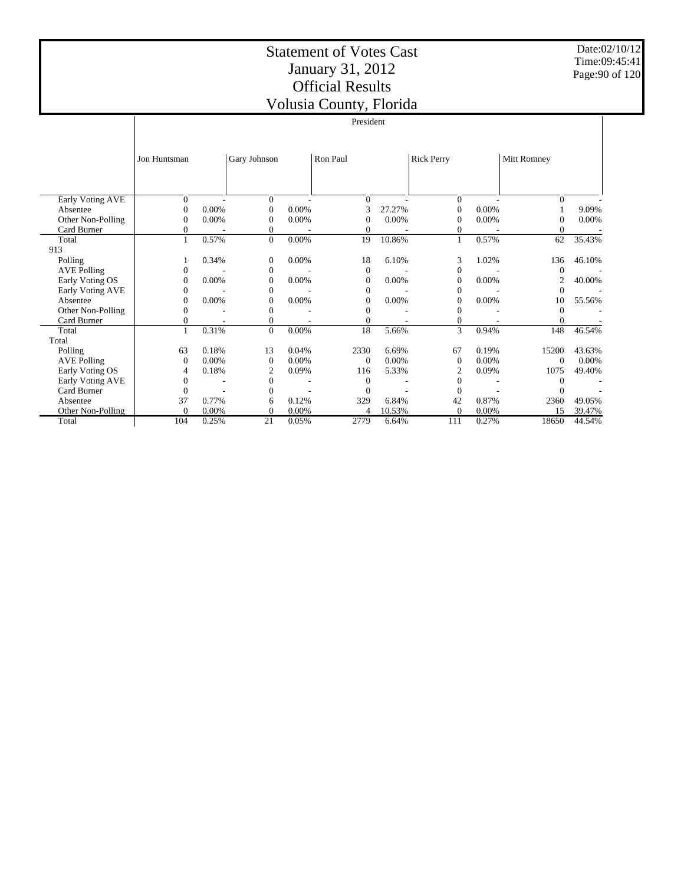Date:02/10/12 Time:09:45:41 Page:90 of 120

|                    |              |       |              |          | VOIUSIA COUNTY, FIOMICA |        |                   |       |             |        |
|--------------------|--------------|-------|--------------|----------|-------------------------|--------|-------------------|-------|-------------|--------|
|                    |              |       |              |          | President               |        |                   |       |             |        |
|                    |              |       |              |          |                         |        |                   |       |             |        |
|                    | Jon Huntsman |       | Gary Johnson |          | Ron Paul                |        | <b>Rick Perry</b> |       | Mitt Romney |        |
|                    |              |       |              |          |                         |        |                   |       |             |        |
| Early Voting AVE   | $\Omega$     |       | $\Omega$     |          | $\Omega$                |        | $\overline{0}$    |       | $\Omega$    |        |
| Absentee           | $\theta$     | 0.00% | $\Omega$     | 0.00%    |                         | 27.27% | $\theta$          | 0.00% |             | 9.09%  |
| Other Non-Polling  | 0            | 0.00% | $\Omega$     | 0.00%    | $\Omega$                | 0.00%  | $\Omega$          | 0.00% | $\Omega$    | 0.00%  |
| Card Burner        | 0            |       | 0            |          | $\Omega$                |        | 0                 |       | $\Omega$    |        |
| Total              | $\mathbf{1}$ | 0.57% | $\mathbf{0}$ | 0.00%    | 19                      | 10.86% | $\mathbf{1}$      | 0.57% | 62          | 35.43% |
| 913                |              |       |              |          |                         |        |                   |       |             |        |
| Polling            |              | 0.34% | $\mathbf{0}$ | $0.00\%$ | 18                      | 6.10%  | 3                 | 1.02% | 136         | 46.10% |
| <b>AVE Polling</b> | 0            |       | $\mathbf{0}$ |          | $\theta$                |        | $\mathbf{0}$      |       | $\Omega$    |        |
| Early Voting OS    | 0            | 0.00% | $\mathbf{0}$ | 0.00%    | $\Omega$                | 0.00%  | $\mathbf{0}$      | 0.00% | 2           | 40.00% |
| Early Voting AVE   | 0            |       | $\Omega$     |          | $\Omega$                |        | $\Omega$          |       | $\Omega$    |        |
| Absentee           | 0            | 0.00% | $\Omega$     | 0.00%    | $\Omega$                | 0.00%  | $\Omega$          | 0.00% | 10          | 55.56% |
| Other Non-Polling  | 0            |       | $\theta$     |          | $\Omega$                |        | $\overline{0}$    |       | $\Omega$    |        |
| Card Burner        |              |       | 0            |          |                         |        | $\overline{0}$    |       |             |        |
| Total              | $\mathbf{1}$ | 0.31% | $\Omega$     | 0.00%    | 18                      | 5.66%  | 3                 | 0.94% | 148         | 46.54% |
| Total              |              |       |              |          |                         |        |                   |       |             |        |
| Polling            | 63           | 0.18% | 13           | 0.04%    | 2330                    | 6.69%  | 67                | 0.19% | 15200       | 43.63% |
| <b>AVE Polling</b> | $\mathbf{0}$ | 0.00% | $\theta$     | 0.00%    | $\Omega$                | 0.00%  | $\theta$          | 0.00% | $\Omega$    | 0.00%  |
| Early Voting OS    | 4            | 0.18% | 2            | 0.09%    | 116                     | 5.33%  | $\mathfrak{2}$    | 0.09% | 1075        | 49.40% |
| Early Voting AVE   | 0            |       | $\Omega$     |          | $\Omega$                |        | $\Omega$          |       | $\Omega$    |        |
| Card Burner        | $\Omega$     |       | $\Omega$     |          | $\Omega$                |        | $\Omega$          |       | $\Omega$    |        |
| Absentee           | 37           | 0.77% | 6            | 0.12%    | 329                     | 6.84%  | 42                | 0.87% | 2360        | 49.05% |
| Other Non-Polling  | $\Omega$     | 0.00% | $\theta$     | 0.00%    |                         | 10.53% | $\Omega$          | 0.00% | 15          | 39.47% |
| Total              | 104          | 0.25% | 21           | 0.05%    | 2779                    | 6.64%  | 111               | 0.27% | 18650       | 44.54% |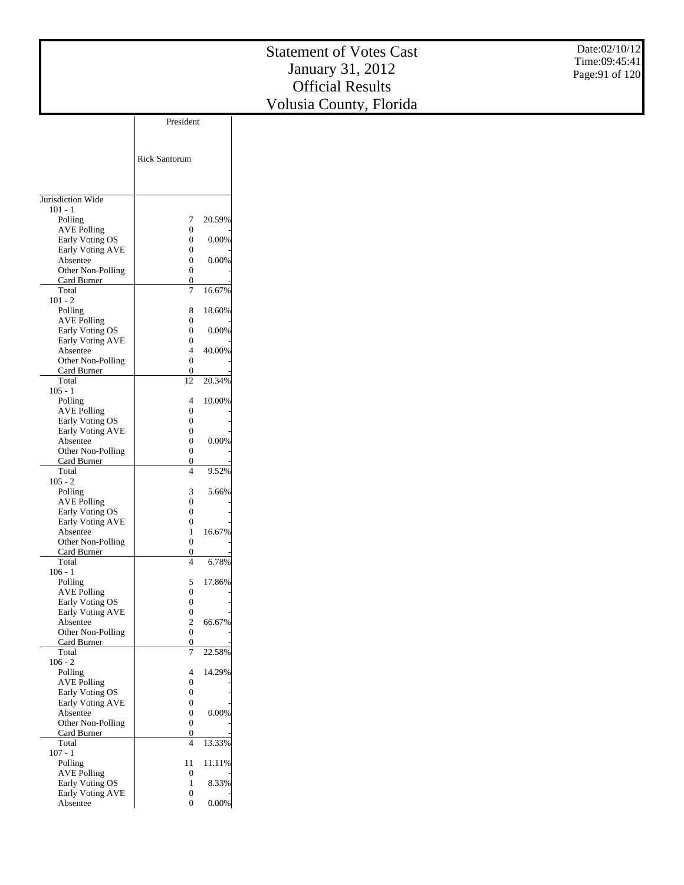|                                     |                                      |          | <b>Statement of Votes Cast</b><br>January 31, 2012<br><b>Official Results</b> | Date:02/10/12<br>Time:09:45:41<br>Page: 91 of 120 |
|-------------------------------------|--------------------------------------|----------|-------------------------------------------------------------------------------|---------------------------------------------------|
|                                     |                                      |          | Volusia County, Florida                                                       |                                                   |
|                                     | President                            |          |                                                                               |                                                   |
|                                     |                                      |          |                                                                               |                                                   |
|                                     |                                      |          |                                                                               |                                                   |
|                                     | Rick Santorum                        |          |                                                                               |                                                   |
|                                     |                                      |          |                                                                               |                                                   |
|                                     |                                      |          |                                                                               |                                                   |
| Jurisdiction Wide                   |                                      |          |                                                                               |                                                   |
| $101 - 1$                           |                                      |          |                                                                               |                                                   |
| Polling                             | 7                                    | 20.59%   |                                                                               |                                                   |
| <b>AVE Polling</b>                  | 0                                    |          |                                                                               |                                                   |
| Early Voting OS<br>Early Voting AVE | $\boldsymbol{0}$                     | 0.00%    |                                                                               |                                                   |
| Absentee                            | $\boldsymbol{0}$<br>$\boldsymbol{0}$ | 0.00%    |                                                                               |                                                   |
| Other Non-Polling                   | $\boldsymbol{0}$                     |          |                                                                               |                                                   |
| Card Burner                         | $\boldsymbol{0}$                     |          |                                                                               |                                                   |
| Total<br>$101 - 2$                  | $\boldsymbol{7}$                     | 16.67%   |                                                                               |                                                   |
| Polling                             | 8                                    | 18.60%   |                                                                               |                                                   |
| <b>AVE Polling</b>                  | $\boldsymbol{0}$                     |          |                                                                               |                                                   |
| Early Voting OS                     | $\boldsymbol{0}$                     | 0.00%    |                                                                               |                                                   |
| Early Voting AVE<br>Absentee        | $\boldsymbol{0}$<br>$\overline{4}$   | 40.00%   |                                                                               |                                                   |
| Other Non-Polling                   | $\boldsymbol{0}$                     |          |                                                                               |                                                   |
| Card Burner                         | $\boldsymbol{0}$                     |          |                                                                               |                                                   |
| Total                               | $12\,$                               | 20.34%   |                                                                               |                                                   |
| $105 - 1$<br>Polling                | 4                                    | 10.00%   |                                                                               |                                                   |
| <b>AVE Polling</b>                  | $\boldsymbol{0}$                     |          |                                                                               |                                                   |
| Early Voting OS                     | $\boldsymbol{0}$                     |          |                                                                               |                                                   |
| Early Voting AVE<br>Absentee        | $\boldsymbol{0}$<br>$\boldsymbol{0}$ | 0.00%    |                                                                               |                                                   |
| Other Non-Polling                   | $\boldsymbol{0}$                     |          |                                                                               |                                                   |
| Card Burner                         | $\boldsymbol{0}$                     |          |                                                                               |                                                   |
| Total<br>$105 - 2$                  | $\overline{4}$                       | 9.52%    |                                                                               |                                                   |
| Polling                             | 3                                    | 5.66%    |                                                                               |                                                   |
| <b>AVE Polling</b>                  | $\boldsymbol{0}$                     |          |                                                                               |                                                   |
| Early Voting OS                     | $\boldsymbol{0}$                     |          |                                                                               |                                                   |
| Early Voting AVE<br>Absentee        | $\boldsymbol{0}$<br>$\mathbf{1}$     | 16.67%   |                                                                               |                                                   |
| Other Non-Polling                   | $\boldsymbol{0}$                     |          |                                                                               |                                                   |
| Card Burner                         | $\boldsymbol{0}$                     |          |                                                                               |                                                   |
| Total<br>$106 - 1$                  | $\overline{4}$                       | 6.78%    |                                                                               |                                                   |
| Polling                             | 5                                    | 17.86%   |                                                                               |                                                   |
| <b>AVE Polling</b>                  | $\boldsymbol{0}$                     |          |                                                                               |                                                   |
| Early Voting OS                     | $\boldsymbol{0}$                     |          |                                                                               |                                                   |
| Early Voting AVE<br>Absentee        | $\boldsymbol{0}$<br>$\sqrt{2}$       | 66.67%   |                                                                               |                                                   |
| Other Non-Polling                   | $\boldsymbol{0}$                     |          |                                                                               |                                                   |
| Card Burner                         | $\boldsymbol{0}$                     |          |                                                                               |                                                   |
| Total<br>$106 - 2$                  | $\boldsymbol{7}$                     | 22.58%   |                                                                               |                                                   |
| Polling                             | 4                                    | 14.29%   |                                                                               |                                                   |
| <b>AVE Polling</b>                  | $\boldsymbol{0}$                     |          |                                                                               |                                                   |
| Early Voting OS<br>Early Voting AVE | $\boldsymbol{0}$<br>$\boldsymbol{0}$ |          |                                                                               |                                                   |
| Absentee                            | $\boldsymbol{0}$                     | 0.00%    |                                                                               |                                                   |
| Other Non-Polling                   | $\boldsymbol{0}$                     |          |                                                                               |                                                   |
| Card Burner                         | $\boldsymbol{0}$                     |          |                                                                               |                                                   |
| Total<br>$107 - 1$                  | $\overline{4}$                       | 13.33%   |                                                                               |                                                   |
| Polling                             | 11                                   | 11.11%   |                                                                               |                                                   |
| <b>AVE Polling</b>                  | $\boldsymbol{0}$                     |          |                                                                               |                                                   |
| Early Voting OS<br>Early Voting AVE | $\mathbf{1}$<br>$\boldsymbol{0}$     | 8.33%    |                                                                               |                                                   |
| Absentee                            | $\boldsymbol{0}$                     | $0.00\%$ |                                                                               |                                                   |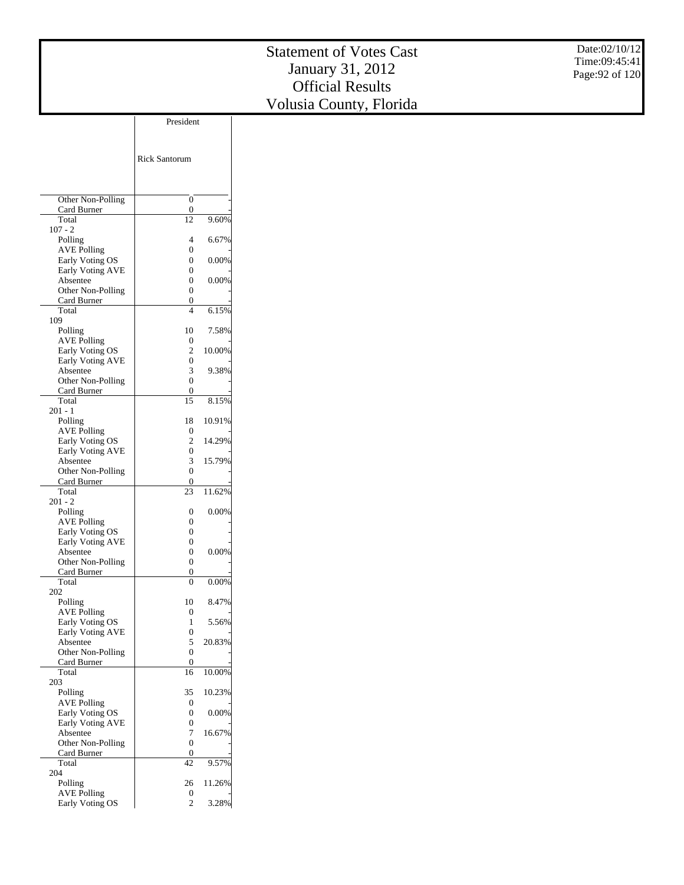Date:02/10/12 Time:09:45:41 Page:92 of 120

|                                       | President            |        |
|---------------------------------------|----------------------|--------|
|                                       |                      |        |
|                                       |                      |        |
|                                       | <b>Rick Santorum</b> |        |
|                                       |                      |        |
|                                       |                      |        |
| Other Non-Polling                     | 0                    |        |
| Card Burner                           | 0                    |        |
| Total<br>$107 - 2$                    | 12                   | 9.60%  |
| Polling                               | 4                    | 6.67%  |
| <b>AVE Polling</b>                    | 0                    |        |
| Early Voting OS                       | 0                    | 0.00%  |
| Early Voting AVE                      | 0                    |        |
| Absentee<br>Other Non-Polling         | 0<br>0               | 0.00%  |
| Card Burner                           | 0                    |        |
| Total                                 | 4                    | 6.15%  |
| 109                                   |                      |        |
| Polling                               | 10                   | 7.58%  |
| <b>AVE Polling</b>                    | 0                    |        |
| Early Voting OS                       | 2                    | 10.00% |
| Early Voting AVE<br>Absentee          | 0<br>3               | 9.38%  |
| Other Non-Polling                     | $\overline{0}$       |        |
| Card Burner                           | 0                    |        |
| Total                                 | 15                   | 8.15%  |
| 201 - 1                               |                      |        |
| Polling                               | 18                   | 10.91% |
| <b>AVE Polling</b><br>Early Voting OS | 0<br>2               | 14.29% |
| Early Voting AVE                      | 0                    |        |
| Absentee                              | 3                    | 15.79% |
| Other Non-Polling                     | 0                    |        |
| Card Burner                           | 0                    |        |
| Total                                 | 23                   | 11.62% |
| 201 - 2<br>Polling                    | 0                    | 0.00%  |
| <b>AVE Polling</b>                    | 0                    |        |
| Early Voting OS                       | 0                    |        |
| Early Voting AVE                      | 0                    |        |
| Absentee                              | 0                    | 0.00%  |
| Other Non-Polling                     | 0                    |        |
| Card Burner<br>Total                  | 0<br>0               | 0.00%  |
| 202                                   |                      |        |
| Polling                               | 10                   | 8.47%  |
| <b>AVE Polling</b>                    | 0                    |        |
| Early Voting OS                       | 1                    | 5.56%  |
| Early Voting AVE                      | 0                    |        |
| Absentee<br>Other Non-Polling         | 5<br>0               | 20.83% |
| Card Burner                           | 0                    |        |
| Total                                 | 16                   | 10.00% |
| 203                                   |                      |        |
| Polling                               | 35                   | 10.23% |
| <b>AVE Polling</b>                    | 0                    |        |
| Early Voting OS<br>Early Voting AVE   | 0<br>0               | 0.00%  |
| Absentee                              | 7                    | 16.67% |
| Other Non-Polling                     | $\overline{0}$       |        |
| Card Burner                           | 0                    |        |
| Total                                 | 42                   | 9.57%  |
| 204                                   |                      |        |
| Polling<br><b>AVE Polling</b>         | 26<br>0              | 11.26% |
| Early Voting OS                       | $\overline{c}$       | 3.28%  |
|                                       |                      |        |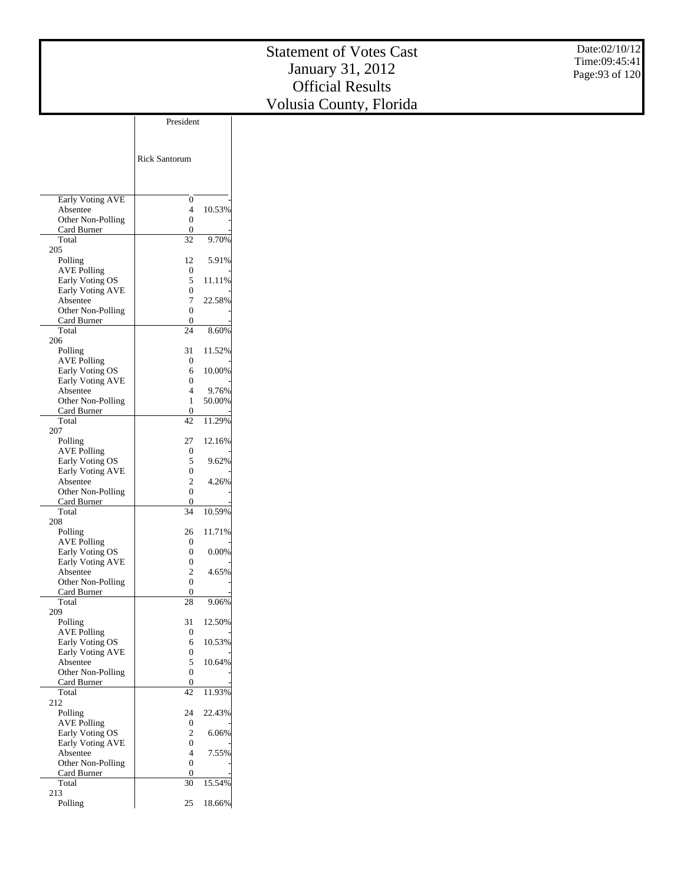Date:02/10/12 Time:09:45:41 Page:93 of 120

|                                            | <b>Rick Santorum</b> |        |
|--------------------------------------------|----------------------|--------|
| Early Voting AVE                           | 0                    |        |
| Absentee                                   | 4                    | 10.53% |
| Other Non-Polling<br>Card Burner           | 0<br>0               |        |
| Total                                      | 32                   | 9.70%  |
| 205                                        |                      |        |
| Polling<br><b>AVE Polling</b>              | 12<br>0              | 5.91%  |
| Early Voting OS                            | 5                    | 11.11% |
| <b>Early Voting AVE</b>                    | 0                    |        |
| Absentee                                   | 7                    | 22.58% |
| Other Non-Polling<br>Card Burner           | 0<br>0               |        |
| Total                                      | 24                   | 8.60%  |
| 206                                        |                      |        |
| Polling                                    | 31                   | 11.52% |
| <b>AVE Polling</b><br>Early Voting OS      | 0<br>6               | 10.00% |
| Early Voting AVE                           | 0                    |        |
| Absentee                                   | 4                    | 9.76%  |
| Other Non-Polling                          | 1                    | 50.00% |
| Card Burner<br>Total                       | 0<br>42              | 11.29% |
| 207                                        |                      |        |
| Polling                                    | 27                   | 12.16% |
| <b>AVE Polling</b>                         | 0                    |        |
| Early Voting OS<br><b>Early Voting AVE</b> | 5<br>0               | 9.62%  |
| Absentee                                   | 2                    | 4.26%  |
| Other Non-Polling                          | 0                    |        |
| Card Burner                                | 0                    |        |
| Total<br>208                               | 34                   | 10.59% |
| Polling                                    | 26                   | 11.71% |
| AVE Polling                                | 0                    |        |
| Early Voting OS                            | 0                    | 0.00%  |
| <b>Early Voting AVE</b><br>Absentee        | 0<br>2               | 4.65%  |
| Other Non-Polling                          | 0                    |        |
| Card Burner                                | 0                    |        |
| Total<br>209                               | 28                   | 9.06%  |
| Polling                                    | 31                   | 12.50% |
| <b>AVE Polling</b>                         | 0                    |        |
| Early Voting OS                            | 6                    | 10.53% |
| Early Voting AVE<br>Absentee               | 0<br>5               | 10.64% |
| Other Non-Polling                          | 0                    |        |
| Card Burner                                | 0                    |        |
| Total                                      | 42                   | 11.93% |
| 212<br>Polling                             | 24                   | 22.43% |
| <b>AVE Polling</b>                         | 0                    |        |
| Early Voting OS                            | 2                    | 6.06%  |
| Early Voting AVE                           | 0                    |        |
| Absentee<br>Other Non-Polling              | 4<br>0               | 7.55%  |
| Card Burner                                | 0                    |        |
| Total                                      | 30                   | 15.54% |
| 213                                        | 25                   | 18.66% |
| Polling                                    |                      |        |
|                                            |                      |        |

President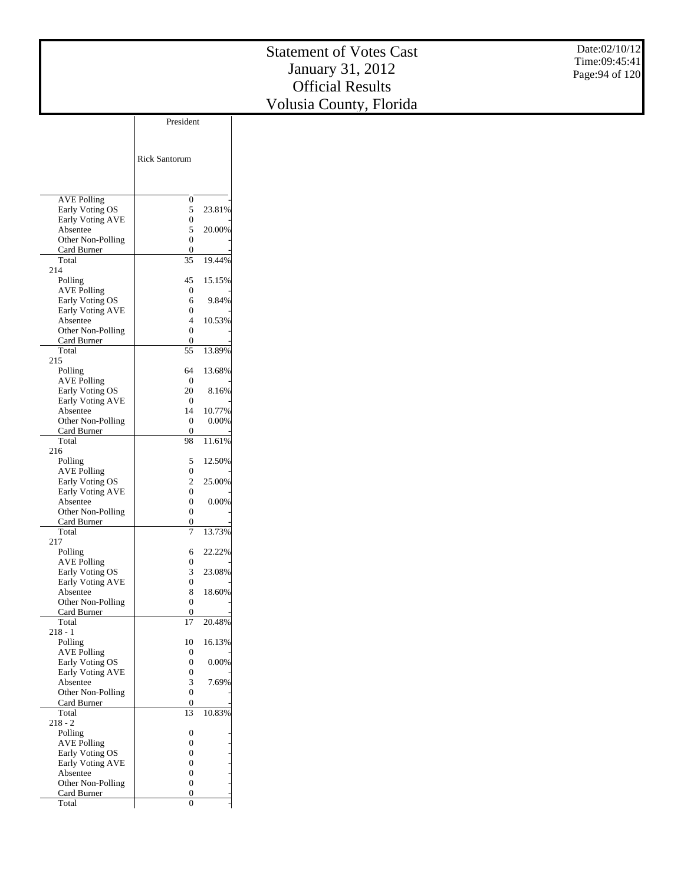Date:02/10/12 Time:09:45:41 Page:94 of 120

| <b>AVE Polling</b><br>0<br>Early Voting OS<br>5<br>23.81%<br><b>Early Voting AVE</b><br>0<br>5<br>20.00%<br>Absentee<br>Other Non-Polling<br>0<br>Card Burner<br>0<br>Total<br>19.44%<br>35<br>214<br>45<br>15.15%<br>Polling<br><b>AVE Polling</b><br>0<br>Early Voting OS<br>6<br>9.84%<br>Early Voting AVE<br>0<br>10.53%<br>4<br>Absentee<br>Other Non-Polling<br>0<br>Card Burner<br>0<br>55<br>13.89%<br>Total<br>215<br>13.68%<br>Polling<br>64<br><b>AVE Polling</b><br>0<br>Early Voting OS<br>20<br>8.16%<br><b>Early Voting AVE</b><br>$\Omega$<br>14<br>10.77%<br>Absentee<br>Other Non-Polling<br>0<br>0.00%<br>Card Burner<br>$\Omega$<br>11.61%<br>Total<br>98<br>216<br>5<br>12.50%<br>Polling<br><b>AVE Polling</b><br>0<br>Early Voting OS<br>$\overline{c}$<br>25.00%<br>Early Voting AVE<br>0<br>0<br>Absentee<br>$0.00\%$<br>0<br>Other Non-Polling<br>Card Burner<br>0<br>13.73%<br>Total<br>7<br>217<br>22.22%<br>Polling<br>6<br><b>AVE Polling</b><br>0<br>Early Voting OS<br>3<br>23.08%<br><b>Early Voting AVE</b><br>0<br>Absentee<br>8<br>18.60%<br>0<br>Other Non-Polling<br>Card Burner<br>0<br>Total<br>20.48%<br>17<br>218 - 1<br>16.13%<br>Polling<br>10<br><b>AVE Polling</b><br>0<br>Early Voting OS<br>0.00%<br>0<br>Early Voting AVE<br>0<br>3<br>Absentee<br>7.69%<br>0<br>Other Non-Polling<br>Card Burner<br>0<br>Total<br>13<br>10.83%<br>$218 - 2$<br>Polling<br>0<br><b>AVE Polling</b><br>0<br>Early Voting OS<br>0<br><b>Early Voting AVE</b><br>0<br>Absentee<br>0<br>-<br>-<br>Other Non-Polling<br>0<br>Card Burner<br>0<br>Total<br>0 | <b>Rick Santorum</b> |  |
|-----------------------------------------------------------------------------------------------------------------------------------------------------------------------------------------------------------------------------------------------------------------------------------------------------------------------------------------------------------------------------------------------------------------------------------------------------------------------------------------------------------------------------------------------------------------------------------------------------------------------------------------------------------------------------------------------------------------------------------------------------------------------------------------------------------------------------------------------------------------------------------------------------------------------------------------------------------------------------------------------------------------------------------------------------------------------------------------------------------------------------------------------------------------------------------------------------------------------------------------------------------------------------------------------------------------------------------------------------------------------------------------------------------------------------------------------------------------------------------------------------------------------------------------------------------------------------------------|----------------------|--|
|                                                                                                                                                                                                                                                                                                                                                                                                                                                                                                                                                                                                                                                                                                                                                                                                                                                                                                                                                                                                                                                                                                                                                                                                                                                                                                                                                                                                                                                                                                                                                                                         |                      |  |
|                                                                                                                                                                                                                                                                                                                                                                                                                                                                                                                                                                                                                                                                                                                                                                                                                                                                                                                                                                                                                                                                                                                                                                                                                                                                                                                                                                                                                                                                                                                                                                                         |                      |  |
|                                                                                                                                                                                                                                                                                                                                                                                                                                                                                                                                                                                                                                                                                                                                                                                                                                                                                                                                                                                                                                                                                                                                                                                                                                                                                                                                                                                                                                                                                                                                                                                         |                      |  |
|                                                                                                                                                                                                                                                                                                                                                                                                                                                                                                                                                                                                                                                                                                                                                                                                                                                                                                                                                                                                                                                                                                                                                                                                                                                                                                                                                                                                                                                                                                                                                                                         |                      |  |
|                                                                                                                                                                                                                                                                                                                                                                                                                                                                                                                                                                                                                                                                                                                                                                                                                                                                                                                                                                                                                                                                                                                                                                                                                                                                                                                                                                                                                                                                                                                                                                                         |                      |  |
|                                                                                                                                                                                                                                                                                                                                                                                                                                                                                                                                                                                                                                                                                                                                                                                                                                                                                                                                                                                                                                                                                                                                                                                                                                                                                                                                                                                                                                                                                                                                                                                         |                      |  |
|                                                                                                                                                                                                                                                                                                                                                                                                                                                                                                                                                                                                                                                                                                                                                                                                                                                                                                                                                                                                                                                                                                                                                                                                                                                                                                                                                                                                                                                                                                                                                                                         |                      |  |
|                                                                                                                                                                                                                                                                                                                                                                                                                                                                                                                                                                                                                                                                                                                                                                                                                                                                                                                                                                                                                                                                                                                                                                                                                                                                                                                                                                                                                                                                                                                                                                                         |                      |  |
|                                                                                                                                                                                                                                                                                                                                                                                                                                                                                                                                                                                                                                                                                                                                                                                                                                                                                                                                                                                                                                                                                                                                                                                                                                                                                                                                                                                                                                                                                                                                                                                         |                      |  |
|                                                                                                                                                                                                                                                                                                                                                                                                                                                                                                                                                                                                                                                                                                                                                                                                                                                                                                                                                                                                                                                                                                                                                                                                                                                                                                                                                                                                                                                                                                                                                                                         |                      |  |
|                                                                                                                                                                                                                                                                                                                                                                                                                                                                                                                                                                                                                                                                                                                                                                                                                                                                                                                                                                                                                                                                                                                                                                                                                                                                                                                                                                                                                                                                                                                                                                                         |                      |  |
|                                                                                                                                                                                                                                                                                                                                                                                                                                                                                                                                                                                                                                                                                                                                                                                                                                                                                                                                                                                                                                                                                                                                                                                                                                                                                                                                                                                                                                                                                                                                                                                         |                      |  |
|                                                                                                                                                                                                                                                                                                                                                                                                                                                                                                                                                                                                                                                                                                                                                                                                                                                                                                                                                                                                                                                                                                                                                                                                                                                                                                                                                                                                                                                                                                                                                                                         |                      |  |
|                                                                                                                                                                                                                                                                                                                                                                                                                                                                                                                                                                                                                                                                                                                                                                                                                                                                                                                                                                                                                                                                                                                                                                                                                                                                                                                                                                                                                                                                                                                                                                                         |                      |  |
|                                                                                                                                                                                                                                                                                                                                                                                                                                                                                                                                                                                                                                                                                                                                                                                                                                                                                                                                                                                                                                                                                                                                                                                                                                                                                                                                                                                                                                                                                                                                                                                         |                      |  |
|                                                                                                                                                                                                                                                                                                                                                                                                                                                                                                                                                                                                                                                                                                                                                                                                                                                                                                                                                                                                                                                                                                                                                                                                                                                                                                                                                                                                                                                                                                                                                                                         |                      |  |
|                                                                                                                                                                                                                                                                                                                                                                                                                                                                                                                                                                                                                                                                                                                                                                                                                                                                                                                                                                                                                                                                                                                                                                                                                                                                                                                                                                                                                                                                                                                                                                                         |                      |  |
|                                                                                                                                                                                                                                                                                                                                                                                                                                                                                                                                                                                                                                                                                                                                                                                                                                                                                                                                                                                                                                                                                                                                                                                                                                                                                                                                                                                                                                                                                                                                                                                         |                      |  |
|                                                                                                                                                                                                                                                                                                                                                                                                                                                                                                                                                                                                                                                                                                                                                                                                                                                                                                                                                                                                                                                                                                                                                                                                                                                                                                                                                                                                                                                                                                                                                                                         |                      |  |
|                                                                                                                                                                                                                                                                                                                                                                                                                                                                                                                                                                                                                                                                                                                                                                                                                                                                                                                                                                                                                                                                                                                                                                                                                                                                                                                                                                                                                                                                                                                                                                                         |                      |  |
|                                                                                                                                                                                                                                                                                                                                                                                                                                                                                                                                                                                                                                                                                                                                                                                                                                                                                                                                                                                                                                                                                                                                                                                                                                                                                                                                                                                                                                                                                                                                                                                         |                      |  |
|                                                                                                                                                                                                                                                                                                                                                                                                                                                                                                                                                                                                                                                                                                                                                                                                                                                                                                                                                                                                                                                                                                                                                                                                                                                                                                                                                                                                                                                                                                                                                                                         |                      |  |
|                                                                                                                                                                                                                                                                                                                                                                                                                                                                                                                                                                                                                                                                                                                                                                                                                                                                                                                                                                                                                                                                                                                                                                                                                                                                                                                                                                                                                                                                                                                                                                                         |                      |  |
|                                                                                                                                                                                                                                                                                                                                                                                                                                                                                                                                                                                                                                                                                                                                                                                                                                                                                                                                                                                                                                                                                                                                                                                                                                                                                                                                                                                                                                                                                                                                                                                         |                      |  |
|                                                                                                                                                                                                                                                                                                                                                                                                                                                                                                                                                                                                                                                                                                                                                                                                                                                                                                                                                                                                                                                                                                                                                                                                                                                                                                                                                                                                                                                                                                                                                                                         |                      |  |
|                                                                                                                                                                                                                                                                                                                                                                                                                                                                                                                                                                                                                                                                                                                                                                                                                                                                                                                                                                                                                                                                                                                                                                                                                                                                                                                                                                                                                                                                                                                                                                                         |                      |  |
|                                                                                                                                                                                                                                                                                                                                                                                                                                                                                                                                                                                                                                                                                                                                                                                                                                                                                                                                                                                                                                                                                                                                                                                                                                                                                                                                                                                                                                                                                                                                                                                         |                      |  |
|                                                                                                                                                                                                                                                                                                                                                                                                                                                                                                                                                                                                                                                                                                                                                                                                                                                                                                                                                                                                                                                                                                                                                                                                                                                                                                                                                                                                                                                                                                                                                                                         |                      |  |
|                                                                                                                                                                                                                                                                                                                                                                                                                                                                                                                                                                                                                                                                                                                                                                                                                                                                                                                                                                                                                                                                                                                                                                                                                                                                                                                                                                                                                                                                                                                                                                                         |                      |  |
|                                                                                                                                                                                                                                                                                                                                                                                                                                                                                                                                                                                                                                                                                                                                                                                                                                                                                                                                                                                                                                                                                                                                                                                                                                                                                                                                                                                                                                                                                                                                                                                         |                      |  |
|                                                                                                                                                                                                                                                                                                                                                                                                                                                                                                                                                                                                                                                                                                                                                                                                                                                                                                                                                                                                                                                                                                                                                                                                                                                                                                                                                                                                                                                                                                                                                                                         |                      |  |
|                                                                                                                                                                                                                                                                                                                                                                                                                                                                                                                                                                                                                                                                                                                                                                                                                                                                                                                                                                                                                                                                                                                                                                                                                                                                                                                                                                                                                                                                                                                                                                                         |                      |  |
|                                                                                                                                                                                                                                                                                                                                                                                                                                                                                                                                                                                                                                                                                                                                                                                                                                                                                                                                                                                                                                                                                                                                                                                                                                                                                                                                                                                                                                                                                                                                                                                         |                      |  |
|                                                                                                                                                                                                                                                                                                                                                                                                                                                                                                                                                                                                                                                                                                                                                                                                                                                                                                                                                                                                                                                                                                                                                                                                                                                                                                                                                                                                                                                                                                                                                                                         |                      |  |
|                                                                                                                                                                                                                                                                                                                                                                                                                                                                                                                                                                                                                                                                                                                                                                                                                                                                                                                                                                                                                                                                                                                                                                                                                                                                                                                                                                                                                                                                                                                                                                                         |                      |  |
|                                                                                                                                                                                                                                                                                                                                                                                                                                                                                                                                                                                                                                                                                                                                                                                                                                                                                                                                                                                                                                                                                                                                                                                                                                                                                                                                                                                                                                                                                                                                                                                         |                      |  |
|                                                                                                                                                                                                                                                                                                                                                                                                                                                                                                                                                                                                                                                                                                                                                                                                                                                                                                                                                                                                                                                                                                                                                                                                                                                                                                                                                                                                                                                                                                                                                                                         |                      |  |
|                                                                                                                                                                                                                                                                                                                                                                                                                                                                                                                                                                                                                                                                                                                                                                                                                                                                                                                                                                                                                                                                                                                                                                                                                                                                                                                                                                                                                                                                                                                                                                                         |                      |  |
|                                                                                                                                                                                                                                                                                                                                                                                                                                                                                                                                                                                                                                                                                                                                                                                                                                                                                                                                                                                                                                                                                                                                                                                                                                                                                                                                                                                                                                                                                                                                                                                         |                      |  |
|                                                                                                                                                                                                                                                                                                                                                                                                                                                                                                                                                                                                                                                                                                                                                                                                                                                                                                                                                                                                                                                                                                                                                                                                                                                                                                                                                                                                                                                                                                                                                                                         |                      |  |
|                                                                                                                                                                                                                                                                                                                                                                                                                                                                                                                                                                                                                                                                                                                                                                                                                                                                                                                                                                                                                                                                                                                                                                                                                                                                                                                                                                                                                                                                                                                                                                                         |                      |  |
|                                                                                                                                                                                                                                                                                                                                                                                                                                                                                                                                                                                                                                                                                                                                                                                                                                                                                                                                                                                                                                                                                                                                                                                                                                                                                                                                                                                                                                                                                                                                                                                         |                      |  |
|                                                                                                                                                                                                                                                                                                                                                                                                                                                                                                                                                                                                                                                                                                                                                                                                                                                                                                                                                                                                                                                                                                                                                                                                                                                                                                                                                                                                                                                                                                                                                                                         |                      |  |
|                                                                                                                                                                                                                                                                                                                                                                                                                                                                                                                                                                                                                                                                                                                                                                                                                                                                                                                                                                                                                                                                                                                                                                                                                                                                                                                                                                                                                                                                                                                                                                                         |                      |  |
|                                                                                                                                                                                                                                                                                                                                                                                                                                                                                                                                                                                                                                                                                                                                                                                                                                                                                                                                                                                                                                                                                                                                                                                                                                                                                                                                                                                                                                                                                                                                                                                         |                      |  |
|                                                                                                                                                                                                                                                                                                                                                                                                                                                                                                                                                                                                                                                                                                                                                                                                                                                                                                                                                                                                                                                                                                                                                                                                                                                                                                                                                                                                                                                                                                                                                                                         |                      |  |
|                                                                                                                                                                                                                                                                                                                                                                                                                                                                                                                                                                                                                                                                                                                                                                                                                                                                                                                                                                                                                                                                                                                                                                                                                                                                                                                                                                                                                                                                                                                                                                                         |                      |  |
|                                                                                                                                                                                                                                                                                                                                                                                                                                                                                                                                                                                                                                                                                                                                                                                                                                                                                                                                                                                                                                                                                                                                                                                                                                                                                                                                                                                                                                                                                                                                                                                         |                      |  |
|                                                                                                                                                                                                                                                                                                                                                                                                                                                                                                                                                                                                                                                                                                                                                                                                                                                                                                                                                                                                                                                                                                                                                                                                                                                                                                                                                                                                                                                                                                                                                                                         |                      |  |
|                                                                                                                                                                                                                                                                                                                                                                                                                                                                                                                                                                                                                                                                                                                                                                                                                                                                                                                                                                                                                                                                                                                                                                                                                                                                                                                                                                                                                                                                                                                                                                                         |                      |  |
|                                                                                                                                                                                                                                                                                                                                                                                                                                                                                                                                                                                                                                                                                                                                                                                                                                                                                                                                                                                                                                                                                                                                                                                                                                                                                                                                                                                                                                                                                                                                                                                         |                      |  |
|                                                                                                                                                                                                                                                                                                                                                                                                                                                                                                                                                                                                                                                                                                                                                                                                                                                                                                                                                                                                                                                                                                                                                                                                                                                                                                                                                                                                                                                                                                                                                                                         |                      |  |
|                                                                                                                                                                                                                                                                                                                                                                                                                                                                                                                                                                                                                                                                                                                                                                                                                                                                                                                                                                                                                                                                                                                                                                                                                                                                                                                                                                                                                                                                                                                                                                                         |                      |  |

President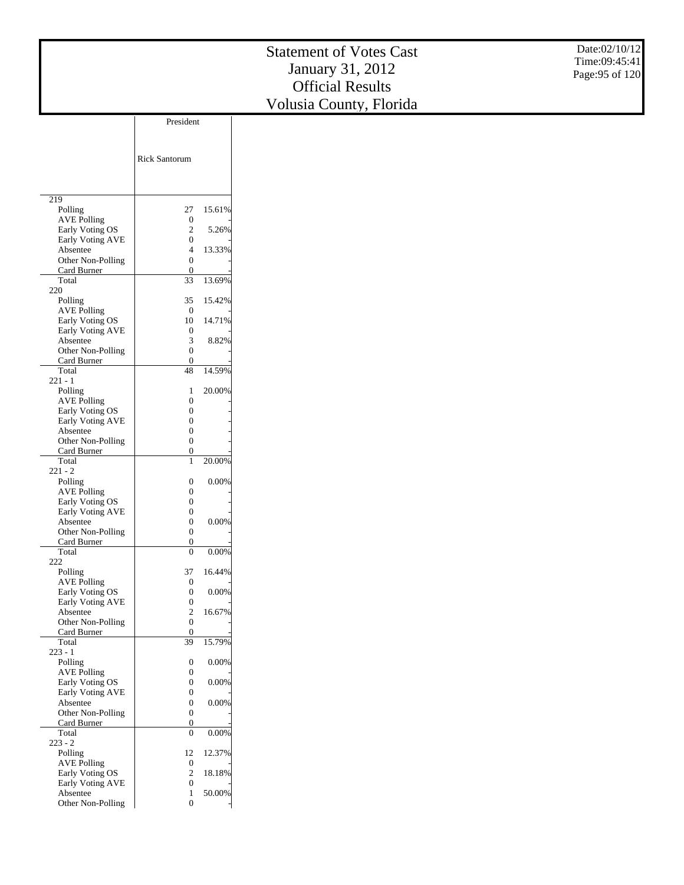|                                       |                                      |          | <b>Statement of Votes Cast</b> | Date:02/10/12   |
|---------------------------------------|--------------------------------------|----------|--------------------------------|-----------------|
|                                       |                                      |          |                                | Time:09:45:41   |
|                                       |                                      |          | January 31, 2012               | Page: 95 of 120 |
|                                       |                                      |          | <b>Official Results</b>        |                 |
|                                       |                                      |          | Volusia County, Florida        |                 |
|                                       | President                            |          |                                |                 |
|                                       |                                      |          |                                |                 |
|                                       |                                      |          |                                |                 |
|                                       | <b>Rick Santorum</b>                 |          |                                |                 |
|                                       |                                      |          |                                |                 |
|                                       |                                      |          |                                |                 |
| 219<br>Polling                        | 27                                   |          |                                |                 |
| <b>AVE Polling</b>                    | $\boldsymbol{0}$                     | 15.61%   |                                |                 |
| Early Voting OS                       | $\boldsymbol{2}$                     | 5.26%    |                                |                 |
| Early Voting AVE<br>Absentee          | $\boldsymbol{0}$<br>4                | 13.33%   |                                |                 |
| Other Non-Polling                     | $\boldsymbol{0}$                     |          |                                |                 |
| Card Burner                           | $\boldsymbol{0}$                     |          |                                |                 |
| Total<br>220                          | 33                                   | 13.69%   |                                |                 |
| Polling                               | 35                                   | 15.42%   |                                |                 |
| <b>AVE Polling</b><br>Early Voting OS | $\boldsymbol{0}$<br>10               | 14.71%   |                                |                 |
| Early Voting AVE                      | $\boldsymbol{0}$                     |          |                                |                 |
| Absentee                              | 3                                    | 8.82%    |                                |                 |
| Other Non-Polling<br>Card Burner      | $\boldsymbol{0}$<br>$\boldsymbol{0}$ |          |                                |                 |
| Total                                 | $48\,$                               | 14.59%   |                                |                 |
| $221 - 1$<br>Polling                  | 1                                    | 20.00%   |                                |                 |
| <b>AVE Polling</b>                    | $\mathbf{0}$                         |          |                                |                 |
| Early Voting OS                       | $\boldsymbol{0}$                     |          |                                |                 |
| Early Voting AVE<br>Absentee          | $\boldsymbol{0}$<br>$\boldsymbol{0}$ |          |                                |                 |
| Other Non-Polling                     | $\boldsymbol{0}$                     |          |                                |                 |
| Card Burner<br>Total                  | $\boldsymbol{0}$<br>$\mathbf{1}$     | 20.00%   |                                |                 |
| $221 - 2$                             |                                      |          |                                |                 |
| Polling                               | $\boldsymbol{0}$                     | $0.00\%$ |                                |                 |
| <b>AVE Polling</b><br>Early Voting OS | $\boldsymbol{0}$<br>$\boldsymbol{0}$ |          |                                |                 |
| Early Voting AVE                      | $\boldsymbol{0}$                     |          |                                |                 |
| Absentee<br>Other Non-Polling         | $\boldsymbol{0}$<br>$\boldsymbol{0}$ | 0.00%    |                                |                 |
| Card Burner                           | $\boldsymbol{0}$                     |          |                                |                 |
| Total                                 | $\overline{0}$                       | $0.00\%$ |                                |                 |
| 222<br>Polling                        | 37                                   | 16.44%   |                                |                 |
| <b>AVE Polling</b>                    | $\boldsymbol{0}$                     |          |                                |                 |
| Early Voting OS<br>Early Voting AVE   | $\boldsymbol{0}$<br>$\boldsymbol{0}$ | 0.00%    |                                |                 |
| Absentee                              | $\boldsymbol{2}$                     | 16.67%   |                                |                 |
| Other Non-Polling<br>Card Burner      | $\boldsymbol{0}$<br>$\boldsymbol{0}$ |          |                                |                 |
| Total                                 | $\overline{39}$                      | 15.79%   |                                |                 |
| $223 - 1$                             |                                      |          |                                |                 |
| Polling<br><b>AVE Polling</b>         | $\boldsymbol{0}$<br>$\boldsymbol{0}$ | $0.00\%$ |                                |                 |
| Early Voting OS                       | $\boldsymbol{0}$                     | $0.00\%$ |                                |                 |
| Early Voting AVE<br>Absentee          | $\boldsymbol{0}$<br>$\boldsymbol{0}$ | 0.00%    |                                |                 |
| Other Non-Polling                     | $\boldsymbol{0}$                     |          |                                |                 |
| Card Burner                           | $\boldsymbol{0}$                     |          |                                |                 |
| Total<br>$223 - 2$                    | $\boldsymbol{0}$                     | 0.00%    |                                |                 |
| Polling                               | 12                                   | 12.37%   |                                |                 |
| <b>AVE Polling</b><br>Early Voting OS | $\boldsymbol{0}$<br>$\mathbf{2}$     | 18.18%   |                                |                 |
| Early Voting AVE                      | $\boldsymbol{0}$                     |          |                                |                 |
| Absentee                              | $\mathbf{1}$                         | 50.00%   |                                |                 |
| Other Non-Polling                     | $\boldsymbol{0}$                     |          |                                |                 |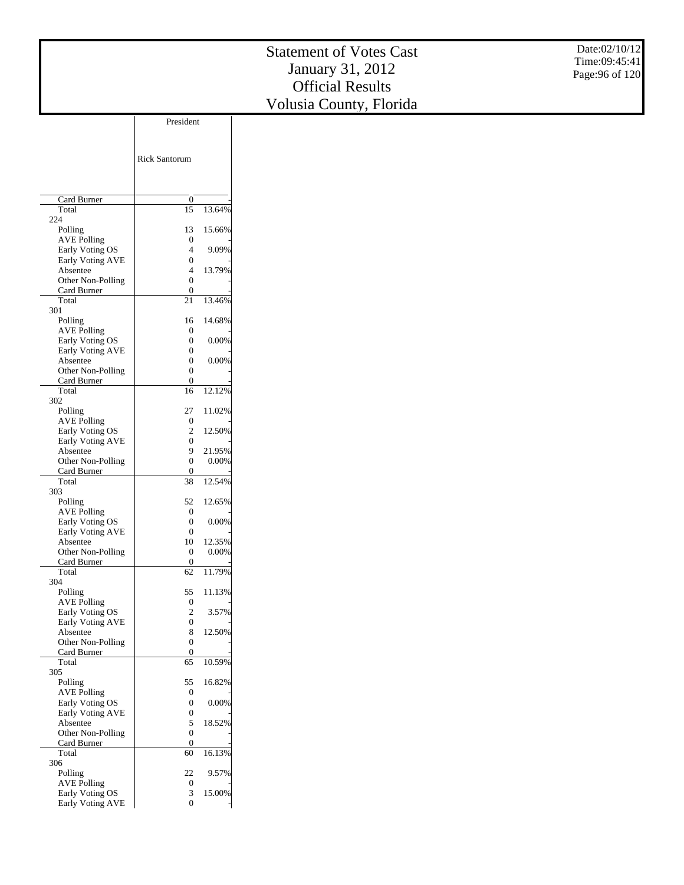Date:02/10/12 Time:09:45:41 Page:96 of 120

|                                       | <b>Rick Santorum</b> |                 |
|---------------------------------------|----------------------|-----------------|
|                                       |                      |                 |
| Card Burner                           | 0                    |                 |
| Total                                 | 15                   | 13.64%          |
| 224                                   |                      |                 |
| Polling                               | 13                   | 15.66%          |
| <b>AVE Polling</b><br>Early Voting OS | 0<br>4               | 9.09%           |
| Early Voting AVE                      | 0                    |                 |
| Absentee                              | 4                    | 13.79%          |
| Other Non-Polling                     | 0                    |                 |
| Card Burner                           | 0                    |                 |
| Total<br>301                          | 21                   | 13.46%          |
| Polling                               | 16                   | 14.68%          |
| <b>AVE Polling</b>                    | 0                    |                 |
| Early Voting OS                       | 0                    | 0.00%           |
| Early Voting AVE                      | 0                    |                 |
| Absentee<br>Other Non-Polling         | 0<br>0               | 0.00%           |
| Card Burner                           | 0                    |                 |
| Total                                 | 16                   | 12.12%          |
| 302                                   |                      |                 |
| Polling                               | 27                   | 11.02%          |
| <b>AVE Polling</b><br>Early Voting OS | 0<br>2               | 12.50%          |
| Early Voting AVE                      | 0                    |                 |
| Absentee                              | 9                    | 21.95%          |
| Other Non-Polling                     | 0                    | 0.00%           |
| Card Burner                           | 0                    |                 |
| Total<br>303                          | 38                   | 12.54%          |
| Polling                               | 52                   | 12.65%          |
| <b>AVE Polling</b>                    | 0                    |                 |
| Early Voting OS                       | 0                    | 0.00%           |
| Early Voting AVE                      | 0                    |                 |
| Absentee<br>Other Non-Polling         | 10<br>0              | 12.35%<br>0.00% |
| Card Burner                           | 0                    |                 |
| Total                                 | 62                   | 11.79%          |
| 304                                   |                      |                 |
| Polling                               | 55                   | 11.13%          |
| <b>AVE Polling</b><br>Early Voting OS | 0<br>2               | 3.57%           |
| <b>Early Voting AVE</b>               | 0                    |                 |
| Absentee                              | 8                    | 12.50%          |
| Other Non-Polling                     | 0                    |                 |
| Card Burner                           | 0                    |                 |
| Total<br>305                          | 65                   | 10.59%          |
| Polling                               | 55                   | 16.82%          |
| <b>AVE Polling</b>                    | 0                    |                 |
| Early Voting OS                       | 0                    | 0.00%           |
| Early Voting AVE                      | 0                    | 18.52%          |
| Absentee<br>Other Non-Polling         | 5<br>0               |                 |
| Card Burner                           | 0                    |                 |
| Total                                 | 60                   | 16.13%          |
| 306                                   |                      |                 |
| Polling<br><b>AVE Polling</b>         | 22<br>0              | 9.57%           |
| Early Voting OS                       | 3                    | 15.00%          |
| Early Voting AVE                      | $\overline{0}$       |                 |

President

 $\overline{\phantom{a}}$ 

 $\overline{\phantom{a}}$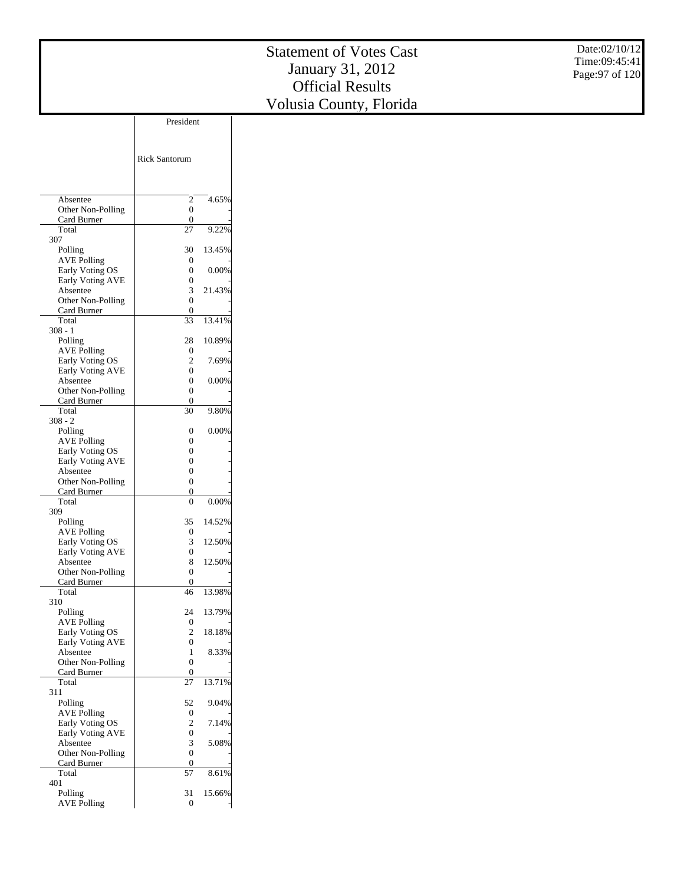Date:02/10/12 Time:09:45:41 Page:97 of 120

|                                     | <b>Rick Santorum</b> |          |
|-------------------------------------|----------------------|----------|
|                                     |                      |          |
| Absentee                            | 2                    | 4.65%    |
| Other Non-Polling                   | 0                    |          |
| Card Burner                         | 0                    |          |
| Total                               | 27                   | 9.22%    |
| 307                                 | 30                   |          |
| Polling<br><b>AVE Polling</b>       | 0                    | 13.45%   |
| Early Voting OS                     | 0                    | 0.00%    |
| Early Voting AVE                    | 0                    |          |
| Absentee                            | 3                    | 21.43%   |
| Other Non-Polling                   | 0                    |          |
| Card Burner                         | 0                    |          |
| Total                               | 33                   | 13.41%   |
| 308 - 1                             |                      |          |
| Polling                             | 28                   | 10.89%   |
| <b>AVE Polling</b>                  | 0                    |          |
| Early Voting OS                     | 2                    | 7.69%    |
| Early Voting AVE                    | 0                    |          |
| Absentee                            | 0                    | $0.00\%$ |
| Other Non-Polling                   | 0                    |          |
| Card Burner<br>Total                | 0<br>30              | 9.80%    |
| 308 - 2                             |                      |          |
| Polling                             | 0                    | $0.00\%$ |
| <b>AVE Polling</b>                  | 0                    |          |
| Early Voting OS                     | 0                    |          |
| Early Voting AVE                    | 0                    |          |
| Absentee                            | 0                    |          |
| Other Non-Polling                   | 0                    |          |
| Card Burner                         | 0                    |          |
| Total                               | 0                    | $0.00\%$ |
| 309                                 |                      |          |
| Polling                             | 35                   | 14.52%   |
| <b>AVE Polling</b>                  | 0<br>3               |          |
| Early Voting OS<br>Early Voting AVE | 0                    | 12.50%   |
| Absentee                            | 8                    | 12.50%   |
| Other Non-Polling                   | 0                    |          |
| Card Burner                         | 0                    |          |
| Total                               | 46                   | 13.98%   |
| 310                                 |                      |          |
| Polling                             | 24                   | 13.79%   |
| AVE Polling                         | 0                    |          |
| Early Voting US                     | 2                    | 18.18%   |
| Early Voting AVE                    | 0                    |          |
| Absentee                            | 1                    | 8.33%    |
| Other Non-Polling                   | 0                    |          |
| Card Burner                         | 0                    |          |
| Total<br>311                        | 27                   | 13.71%   |
| Polling                             | 52                   | 9.04%    |
| <b>AVE Polling</b>                  | 0                    |          |
| Early Voting OS                     | 2                    | 7.14%    |
| Early Voting AVE                    | 0                    |          |
| Absentee                            | 3                    | 5.08%    |
| Other Non-Polling                   | 0                    |          |
| Card Burner                         | 0                    |          |
| Total                               | 57                   | 8.61%    |
| 401                                 |                      |          |
| Polling                             | 31                   | 15.66%   |
| <b>AVE Polling</b>                  | $\boldsymbol{0}$     |          |

President

 $\overline{\phantom{a}}$ 

 $\overline{\phantom{a}}$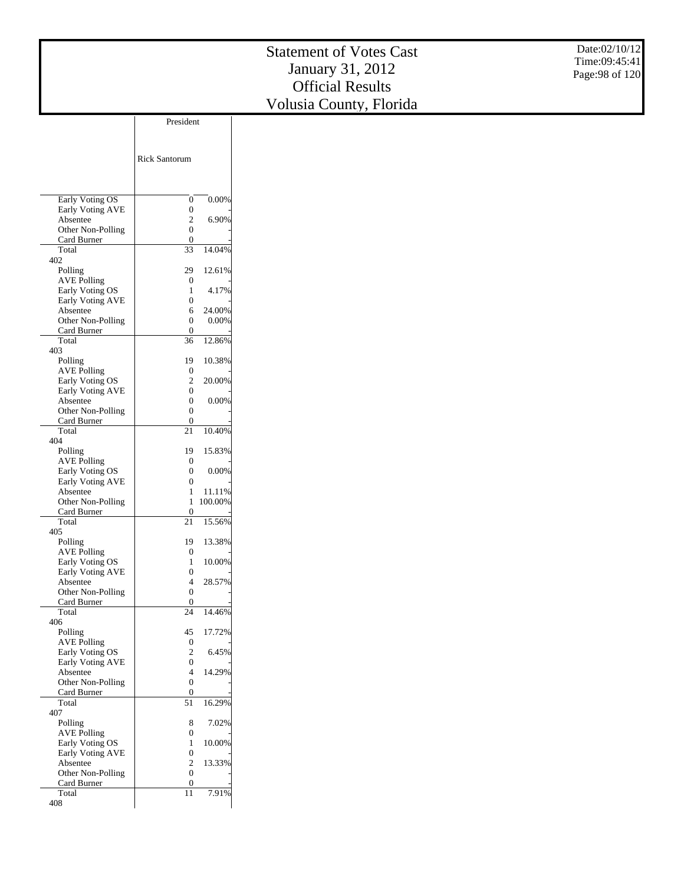|                                       |                                      |          | <b>Statement of Votes Cast</b> | Date:02/10/12   |
|---------------------------------------|--------------------------------------|----------|--------------------------------|-----------------|
|                                       |                                      |          | January 31, 2012               | Time:09:45:41   |
|                                       |                                      |          |                                | Page: 98 of 120 |
|                                       |                                      |          | <b>Official Results</b>        |                 |
|                                       |                                      |          | Volusia County, Florida        |                 |
|                                       |                                      |          |                                |                 |
|                                       | President                            |          |                                |                 |
|                                       |                                      |          |                                |                 |
|                                       |                                      |          |                                |                 |
|                                       | Rick Santorum                        |          |                                |                 |
|                                       |                                      |          |                                |                 |
|                                       |                                      |          |                                |                 |
| Early Voting OS                       |                                      | $0.00\%$ |                                |                 |
| Early Voting AVE                      | $\boldsymbol{0}$<br>$\boldsymbol{0}$ |          |                                |                 |
| Absentee                              | $\sqrt{2}$                           | 6.90%    |                                |                 |
| Other Non-Polling                     | $\boldsymbol{0}$                     |          |                                |                 |
| Card Burner                           | $\boldsymbol{0}$                     |          |                                |                 |
| Total                                 | $\overline{33}$                      | 14.04%   |                                |                 |
| 402                                   |                                      |          |                                |                 |
| Polling                               | 29                                   | 12.61%   |                                |                 |
| <b>AVE Polling</b><br>Early Voting OS | $\mathbf{0}$<br>$\mathbf{1}$         | 4.17%    |                                |                 |
| Early Voting AVE                      | $\mathbf{0}$                         |          |                                |                 |
| Absentee                              | 6                                    | 24.00%   |                                |                 |
| Other Non-Polling                     | $\overline{0}$                       | 0.00%    |                                |                 |
| Card Burner                           | $\theta$                             |          |                                |                 |
| Total                                 | 36                                   | 12.86%   |                                |                 |
| 403                                   |                                      |          |                                |                 |
| Polling                               | 19<br>$\overline{0}$                 | 10.38%   |                                |                 |
| <b>AVE Polling</b><br>Early Voting OS | $\sqrt{2}$                           | 20.00%   |                                |                 |
| Early Voting AVE                      | $\boldsymbol{0}$                     |          |                                |                 |
| Absentee                              | $\boldsymbol{0}$                     | 0.00%    |                                |                 |
| Other Non-Polling                     | $\boldsymbol{0}$                     |          |                                |                 |
| Card Burner                           | $\boldsymbol{0}$                     |          |                                |                 |
| Total                                 | 21                                   | 10.40%   |                                |                 |
| 404                                   |                                      |          |                                |                 |
| Polling<br><b>AVE Polling</b>         | 19<br>$\boldsymbol{0}$               | 15.83%   |                                |                 |
| Early Voting OS                       | $\boldsymbol{0}$                     | 0.00%    |                                |                 |
| Early Voting AVE                      | $\boldsymbol{0}$                     |          |                                |                 |
| Absentee                              | $\mathbf{1}$                         | 11.11%   |                                |                 |

 Other Non-Polling Card Burner Total 405 Polling AVE Polling Early Voting OS Early Voting AVE Absentee Other Non-Polling Card Burner Total 406 Polling AVE Polling Early Voting OS Early Voting AVE Absentee Other Non-Polling Card Burner Total 407 Polling AVE Polling Early Voting OS Early Voting AVE Absentee Other Non-Polling Card Burner Total 408

1 11.11% 1 100.00%

15.56% 19 13.38%  $\begin{matrix}0\\1\end{matrix}$ 

1 10.00%

28.57%

14.46% 45 17.72%

6.45%

4 14.29%

16.29% 8 7.02%

1 10.00%

2 13.33%

7.91%

 $\frac{0}{21}$ 

 $\boldsymbol{0}$ 

 $\frac{4}{0}$  $\frac{0}{24}$ 

 $\begin{array}{c} 45 \\ 0 \\ 2 \end{array}$ 

 $\begin{matrix}0\\4\end{matrix}$ 

 $\boldsymbol{0}$  $\frac{0}{51}$ 

 $\begin{matrix}0\\1\end{matrix}$ 

 $\begin{matrix}0\\2\end{matrix}$ 

 $\overline{0}$  $\frac{0}{11}$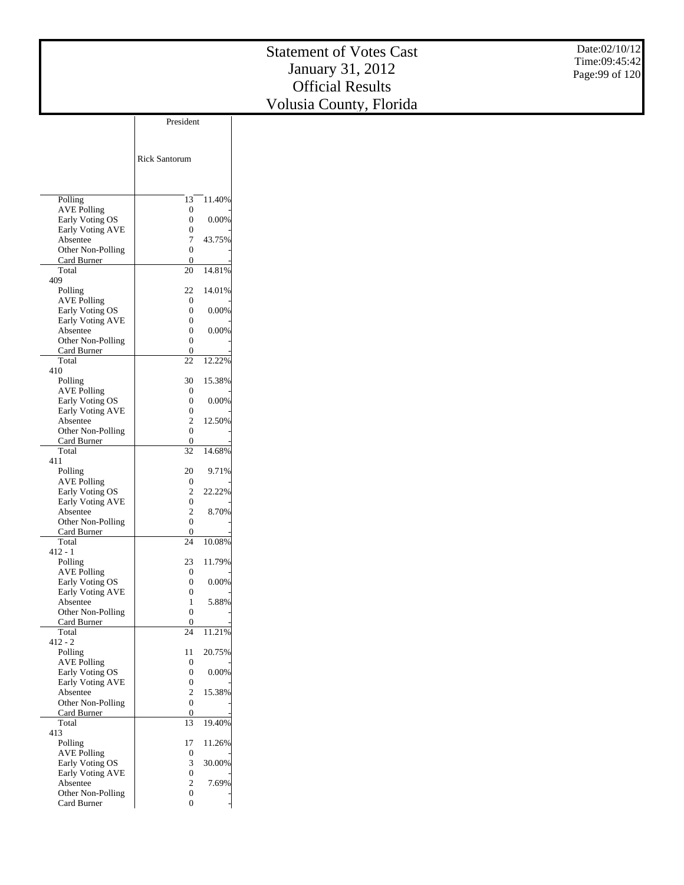Date:02/10/12 Time:09:45:42 Page:99 of 120

|                                     | President            |          |
|-------------------------------------|----------------------|----------|
|                                     |                      |          |
|                                     |                      |          |
|                                     | <b>Rick Santorum</b> |          |
|                                     |                      |          |
|                                     |                      |          |
|                                     |                      |          |
| Polling                             | 13                   | 11.40%   |
| <b>AVE Polling</b>                  | 0                    |          |
| Early Voting OS                     | 0                    | 0.00%    |
| <b>Early Voting AVE</b>             | 0                    |          |
| Absentee                            | 7                    | 43.75%   |
| Other Non-Polling                   | 0                    |          |
| Card Burner                         | 0                    |          |
| Total                               | 20                   | 14.81%   |
| 409                                 |                      | 14.01%   |
| Polling<br><b>AVE Polling</b>       | 22<br>0              |          |
| Early Voting OS                     | 0                    | $0.00\%$ |
| Early Voting AVE                    | 0                    |          |
| Absentee                            | 0                    | 0.00%    |
| Other Non-Polling                   | 0                    |          |
| Card Burner                         | 0                    |          |
| Total                               | 22                   | 12.22%   |
| 410                                 |                      |          |
| Polling                             | 30                   | 15.38%   |
| <b>AVE Polling</b>                  | 0                    |          |
| Early Voting OS                     | 0                    | 0.00%    |
| Early Voting AVE                    | 0                    |          |
| Absentee                            | 2                    | 12.50%   |
| Other Non-Polling                   | 0                    |          |
| Card Burner<br>Total                | 0<br>32              | 14.68%   |
| 411                                 |                      |          |
| Polling                             | 20                   | 9.71%    |
| <b>AVE Polling</b>                  | 0                    |          |
| Early Voting OS                     | 2                    | 22.22%   |
| <b>Early Voting AVE</b>             | 0                    |          |
| Absentee                            | 2                    | 8.70%    |
| Other Non-Polling                   | 0                    |          |
| Card Burner                         | 0                    |          |
| Total                               | 24                   | 10.08%   |
| 412 - 1                             |                      |          |
| Polling                             | 23                   | 11.79%   |
| <b>AVE Polling</b>                  | 0<br>0               | 0.00%    |
| Early Voting OS<br>Early Voting AVE | 0                    |          |
| Absentee                            | 1                    | 5.88%    |
| Other Non-Polling                   | 0                    |          |
| Card Burner                         | 0                    |          |
| Total                               | 24                   | 11.21%   |
| $412 - 2$                           |                      |          |
| Polling                             | 11                   | 20.75%   |
| <b>AVE Polling</b>                  | 0                    |          |
| Early Voting OS                     | 0                    | 0.00%    |
| Early Voting AVE                    | 0                    |          |
| Absentee                            | 2                    | 15.38%   |
| Other Non-Polling                   | 0                    |          |
| Card Burner<br>Total                | 0<br>13              | 19.40%   |
| 413                                 |                      |          |
| Polling                             | 17                   | 11.26%   |
| <b>AVE Polling</b>                  | 0                    |          |
| Early Voting OS                     | 3                    | 30.00%   |
| Early Voting AVE                    | 0                    |          |
| Absentee                            | 2                    | 7.69%    |
| Other Non-Polling                   | 0                    |          |
| Card Burner                         | 0                    |          |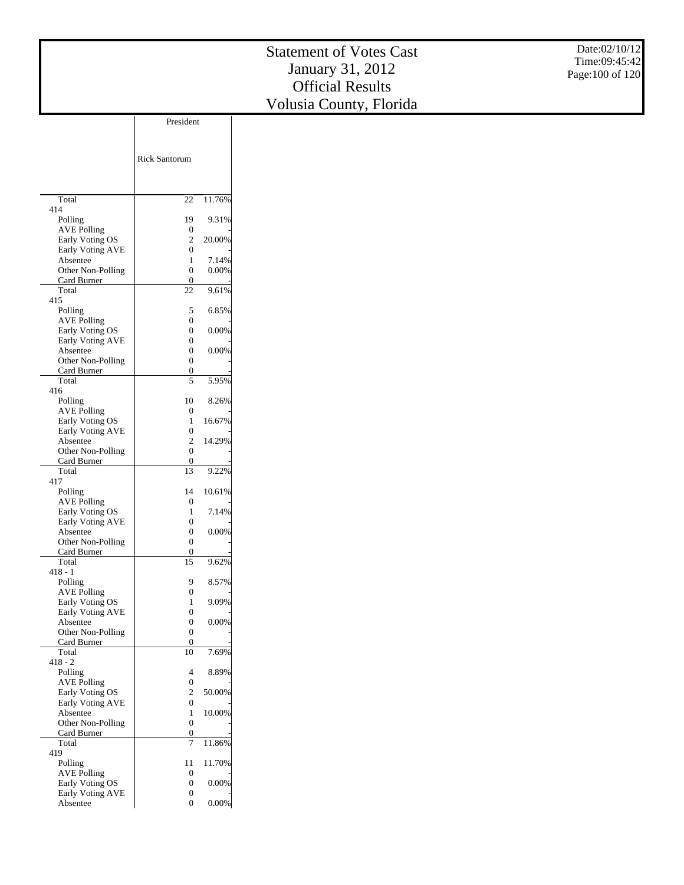| President<br><b>Rick Santorum</b><br>11.76%<br>Total<br>22<br>414<br>19<br>9.31%<br>Polling<br><b>AVE Polling</b><br>$\boldsymbol{0}$<br>$\sqrt{2}$<br>20.00%<br>Early Voting OS<br>Early Voting AVE<br>$\boldsymbol{0}$<br>Absentee<br>$\mathbf{1}$<br>7.14%<br>$\boldsymbol{0}$<br>0.00%<br>Other Non-Polling<br>$\boldsymbol{0}$<br>Card Burner<br>Total<br>$22\,$<br>9.61%<br>415<br>Polling<br>5<br>6.85%<br>$\boldsymbol{0}$<br><b>AVE Polling</b><br>0.00%<br>Early Voting OS<br>$\boldsymbol{0}$<br>Early Voting AVE<br>$\boldsymbol{0}$<br>$\boldsymbol{0}$<br>0.00%<br>Absentee<br>$\boldsymbol{0}$<br>Other Non-Polling<br>Card Burner<br>$\boldsymbol{0}$<br>$\sqrt{5}$<br>Total<br>5.95%<br>416<br>Polling<br>$10\,$<br>8.26%<br><b>AVE Polling</b><br>$\boldsymbol{0}$<br>Early Voting OS<br>$\mathbf{1}$<br>16.67%<br>Early Voting AVE<br>$\boldsymbol{0}$<br>$\sqrt{2}$<br>Absentee<br>14.29%<br>$\boldsymbol{0}$<br>Other Non-Polling<br>Card Burner<br>$\boldsymbol{0}$<br>13<br>9.22%<br>Total<br>417<br>10.61%<br>Polling<br>14<br><b>AVE Polling</b><br>$\boldsymbol{0}$<br>Early Voting OS<br>$\mathbf{1}$<br>7.14%<br>Early Voting AVE<br>$\boldsymbol{0}$<br>$0.00\%$<br>$\Omega$<br>Absentee<br>Other Non-Polling<br>$\boldsymbol{0}$<br>$\boldsymbol{0}$<br>Card Burner<br>$\overline{15}$<br>Total<br>9.62%<br>$418 - 1$<br>Polling<br>9<br>8.57%<br><b>AVE Polling</b><br>$\boldsymbol{0}$<br>Early Voting OS<br>9.09%<br>$\mathbf{1}$<br>Early Voting AVE<br>$\boldsymbol{0}$<br>Absentee<br>$\boldsymbol{0}$<br>$0.00\%$<br>Other Non-Polling<br>$\boldsymbol{0}$<br>Card Burner<br>$\boldsymbol{0}$<br>Total<br>10<br>7.69%<br>$418 - 2$<br>Polling<br>8.89%<br>$\overline{4}$<br><b>AVE Polling</b><br>$\boldsymbol{0}$<br>Early Voting OS<br>$\sqrt{2}$<br>50.00%<br>Early Voting AVE<br>$\boldsymbol{0}$<br>10.00%<br>Absentee<br>$\mathbf{1}$<br>Other Non-Polling<br>$\boldsymbol{0}$<br>Card Burner<br>$\boldsymbol{0}$<br>$\overline{7}$<br>11.86%<br>Total<br>419 |  | <b>Statement of Votes Cast</b><br>January 31, 2012<br><b>Official Results</b> | Date:02/10/12<br>Time:09:45:42<br>Page: 100 of 120 |
|----------------------------------------------------------------------------------------------------------------------------------------------------------------------------------------------------------------------------------------------------------------------------------------------------------------------------------------------------------------------------------------------------------------------------------------------------------------------------------------------------------------------------------------------------------------------------------------------------------------------------------------------------------------------------------------------------------------------------------------------------------------------------------------------------------------------------------------------------------------------------------------------------------------------------------------------------------------------------------------------------------------------------------------------------------------------------------------------------------------------------------------------------------------------------------------------------------------------------------------------------------------------------------------------------------------------------------------------------------------------------------------------------------------------------------------------------------------------------------------------------------------------------------------------------------------------------------------------------------------------------------------------------------------------------------------------------------------------------------------------------------------------------------------------------------------------------------------------------------------------------------------------------------------------------------------------------------------------------------------------------------|--|-------------------------------------------------------------------------------|----------------------------------------------------|
|                                                                                                                                                                                                                                                                                                                                                                                                                                                                                                                                                                                                                                                                                                                                                                                                                                                                                                                                                                                                                                                                                                                                                                                                                                                                                                                                                                                                                                                                                                                                                                                                                                                                                                                                                                                                                                                                                                                                                                                                          |  | Volusia County, Florida                                                       |                                                    |
|                                                                                                                                                                                                                                                                                                                                                                                                                                                                                                                                                                                                                                                                                                                                                                                                                                                                                                                                                                                                                                                                                                                                                                                                                                                                                                                                                                                                                                                                                                                                                                                                                                                                                                                                                                                                                                                                                                                                                                                                          |  |                                                                               |                                                    |
|                                                                                                                                                                                                                                                                                                                                                                                                                                                                                                                                                                                                                                                                                                                                                                                                                                                                                                                                                                                                                                                                                                                                                                                                                                                                                                                                                                                                                                                                                                                                                                                                                                                                                                                                                                                                                                                                                                                                                                                                          |  |                                                                               |                                                    |
|                                                                                                                                                                                                                                                                                                                                                                                                                                                                                                                                                                                                                                                                                                                                                                                                                                                                                                                                                                                                                                                                                                                                                                                                                                                                                                                                                                                                                                                                                                                                                                                                                                                                                                                                                                                                                                                                                                                                                                                                          |  |                                                                               |                                                    |
|                                                                                                                                                                                                                                                                                                                                                                                                                                                                                                                                                                                                                                                                                                                                                                                                                                                                                                                                                                                                                                                                                                                                                                                                                                                                                                                                                                                                                                                                                                                                                                                                                                                                                                                                                                                                                                                                                                                                                                                                          |  |                                                                               |                                                    |
|                                                                                                                                                                                                                                                                                                                                                                                                                                                                                                                                                                                                                                                                                                                                                                                                                                                                                                                                                                                                                                                                                                                                                                                                                                                                                                                                                                                                                                                                                                                                                                                                                                                                                                                                                                                                                                                                                                                                                                                                          |  |                                                                               |                                                    |
|                                                                                                                                                                                                                                                                                                                                                                                                                                                                                                                                                                                                                                                                                                                                                                                                                                                                                                                                                                                                                                                                                                                                                                                                                                                                                                                                                                                                                                                                                                                                                                                                                                                                                                                                                                                                                                                                                                                                                                                                          |  |                                                                               |                                                    |
|                                                                                                                                                                                                                                                                                                                                                                                                                                                                                                                                                                                                                                                                                                                                                                                                                                                                                                                                                                                                                                                                                                                                                                                                                                                                                                                                                                                                                                                                                                                                                                                                                                                                                                                                                                                                                                                                                                                                                                                                          |  |                                                                               |                                                    |
|                                                                                                                                                                                                                                                                                                                                                                                                                                                                                                                                                                                                                                                                                                                                                                                                                                                                                                                                                                                                                                                                                                                                                                                                                                                                                                                                                                                                                                                                                                                                                                                                                                                                                                                                                                                                                                                                                                                                                                                                          |  |                                                                               |                                                    |
|                                                                                                                                                                                                                                                                                                                                                                                                                                                                                                                                                                                                                                                                                                                                                                                                                                                                                                                                                                                                                                                                                                                                                                                                                                                                                                                                                                                                                                                                                                                                                                                                                                                                                                                                                                                                                                                                                                                                                                                                          |  |                                                                               |                                                    |
|                                                                                                                                                                                                                                                                                                                                                                                                                                                                                                                                                                                                                                                                                                                                                                                                                                                                                                                                                                                                                                                                                                                                                                                                                                                                                                                                                                                                                                                                                                                                                                                                                                                                                                                                                                                                                                                                                                                                                                                                          |  |                                                                               |                                                    |
|                                                                                                                                                                                                                                                                                                                                                                                                                                                                                                                                                                                                                                                                                                                                                                                                                                                                                                                                                                                                                                                                                                                                                                                                                                                                                                                                                                                                                                                                                                                                                                                                                                                                                                                                                                                                                                                                                                                                                                                                          |  |                                                                               |                                                    |
|                                                                                                                                                                                                                                                                                                                                                                                                                                                                                                                                                                                                                                                                                                                                                                                                                                                                                                                                                                                                                                                                                                                                                                                                                                                                                                                                                                                                                                                                                                                                                                                                                                                                                                                                                                                                                                                                                                                                                                                                          |  |                                                                               |                                                    |
|                                                                                                                                                                                                                                                                                                                                                                                                                                                                                                                                                                                                                                                                                                                                                                                                                                                                                                                                                                                                                                                                                                                                                                                                                                                                                                                                                                                                                                                                                                                                                                                                                                                                                                                                                                                                                                                                                                                                                                                                          |  |                                                                               |                                                    |
|                                                                                                                                                                                                                                                                                                                                                                                                                                                                                                                                                                                                                                                                                                                                                                                                                                                                                                                                                                                                                                                                                                                                                                                                                                                                                                                                                                                                                                                                                                                                                                                                                                                                                                                                                                                                                                                                                                                                                                                                          |  |                                                                               |                                                    |
|                                                                                                                                                                                                                                                                                                                                                                                                                                                                                                                                                                                                                                                                                                                                                                                                                                                                                                                                                                                                                                                                                                                                                                                                                                                                                                                                                                                                                                                                                                                                                                                                                                                                                                                                                                                                                                                                                                                                                                                                          |  |                                                                               |                                                    |
|                                                                                                                                                                                                                                                                                                                                                                                                                                                                                                                                                                                                                                                                                                                                                                                                                                                                                                                                                                                                                                                                                                                                                                                                                                                                                                                                                                                                                                                                                                                                                                                                                                                                                                                                                                                                                                                                                                                                                                                                          |  |                                                                               |                                                    |
|                                                                                                                                                                                                                                                                                                                                                                                                                                                                                                                                                                                                                                                                                                                                                                                                                                                                                                                                                                                                                                                                                                                                                                                                                                                                                                                                                                                                                                                                                                                                                                                                                                                                                                                                                                                                                                                                                                                                                                                                          |  |                                                                               |                                                    |
|                                                                                                                                                                                                                                                                                                                                                                                                                                                                                                                                                                                                                                                                                                                                                                                                                                                                                                                                                                                                                                                                                                                                                                                                                                                                                                                                                                                                                                                                                                                                                                                                                                                                                                                                                                                                                                                                                                                                                                                                          |  |                                                                               |                                                    |
|                                                                                                                                                                                                                                                                                                                                                                                                                                                                                                                                                                                                                                                                                                                                                                                                                                                                                                                                                                                                                                                                                                                                                                                                                                                                                                                                                                                                                                                                                                                                                                                                                                                                                                                                                                                                                                                                                                                                                                                                          |  |                                                                               |                                                    |
|                                                                                                                                                                                                                                                                                                                                                                                                                                                                                                                                                                                                                                                                                                                                                                                                                                                                                                                                                                                                                                                                                                                                                                                                                                                                                                                                                                                                                                                                                                                                                                                                                                                                                                                                                                                                                                                                                                                                                                                                          |  |                                                                               |                                                    |
|                                                                                                                                                                                                                                                                                                                                                                                                                                                                                                                                                                                                                                                                                                                                                                                                                                                                                                                                                                                                                                                                                                                                                                                                                                                                                                                                                                                                                                                                                                                                                                                                                                                                                                                                                                                                                                                                                                                                                                                                          |  |                                                                               |                                                    |
|                                                                                                                                                                                                                                                                                                                                                                                                                                                                                                                                                                                                                                                                                                                                                                                                                                                                                                                                                                                                                                                                                                                                                                                                                                                                                                                                                                                                                                                                                                                                                                                                                                                                                                                                                                                                                                                                                                                                                                                                          |  |                                                                               |                                                    |
|                                                                                                                                                                                                                                                                                                                                                                                                                                                                                                                                                                                                                                                                                                                                                                                                                                                                                                                                                                                                                                                                                                                                                                                                                                                                                                                                                                                                                                                                                                                                                                                                                                                                                                                                                                                                                                                                                                                                                                                                          |  |                                                                               |                                                    |
|                                                                                                                                                                                                                                                                                                                                                                                                                                                                                                                                                                                                                                                                                                                                                                                                                                                                                                                                                                                                                                                                                                                                                                                                                                                                                                                                                                                                                                                                                                                                                                                                                                                                                                                                                                                                                                                                                                                                                                                                          |  |                                                                               |                                                    |
|                                                                                                                                                                                                                                                                                                                                                                                                                                                                                                                                                                                                                                                                                                                                                                                                                                                                                                                                                                                                                                                                                                                                                                                                                                                                                                                                                                                                                                                                                                                                                                                                                                                                                                                                                                                                                                                                                                                                                                                                          |  |                                                                               |                                                    |
|                                                                                                                                                                                                                                                                                                                                                                                                                                                                                                                                                                                                                                                                                                                                                                                                                                                                                                                                                                                                                                                                                                                                                                                                                                                                                                                                                                                                                                                                                                                                                                                                                                                                                                                                                                                                                                                                                                                                                                                                          |  |                                                                               |                                                    |
|                                                                                                                                                                                                                                                                                                                                                                                                                                                                                                                                                                                                                                                                                                                                                                                                                                                                                                                                                                                                                                                                                                                                                                                                                                                                                                                                                                                                                                                                                                                                                                                                                                                                                                                                                                                                                                                                                                                                                                                                          |  |                                                                               |                                                    |
|                                                                                                                                                                                                                                                                                                                                                                                                                                                                                                                                                                                                                                                                                                                                                                                                                                                                                                                                                                                                                                                                                                                                                                                                                                                                                                                                                                                                                                                                                                                                                                                                                                                                                                                                                                                                                                                                                                                                                                                                          |  |                                                                               |                                                    |
|                                                                                                                                                                                                                                                                                                                                                                                                                                                                                                                                                                                                                                                                                                                                                                                                                                                                                                                                                                                                                                                                                                                                                                                                                                                                                                                                                                                                                                                                                                                                                                                                                                                                                                                                                                                                                                                                                                                                                                                                          |  |                                                                               |                                                    |
|                                                                                                                                                                                                                                                                                                                                                                                                                                                                                                                                                                                                                                                                                                                                                                                                                                                                                                                                                                                                                                                                                                                                                                                                                                                                                                                                                                                                                                                                                                                                                                                                                                                                                                                                                                                                                                                                                                                                                                                                          |  |                                                                               |                                                    |
|                                                                                                                                                                                                                                                                                                                                                                                                                                                                                                                                                                                                                                                                                                                                                                                                                                                                                                                                                                                                                                                                                                                                                                                                                                                                                                                                                                                                                                                                                                                                                                                                                                                                                                                                                                                                                                                                                                                                                                                                          |  |                                                                               |                                                    |
|                                                                                                                                                                                                                                                                                                                                                                                                                                                                                                                                                                                                                                                                                                                                                                                                                                                                                                                                                                                                                                                                                                                                                                                                                                                                                                                                                                                                                                                                                                                                                                                                                                                                                                                                                                                                                                                                                                                                                                                                          |  |                                                                               |                                                    |
|                                                                                                                                                                                                                                                                                                                                                                                                                                                                                                                                                                                                                                                                                                                                                                                                                                                                                                                                                                                                                                                                                                                                                                                                                                                                                                                                                                                                                                                                                                                                                                                                                                                                                                                                                                                                                                                                                                                                                                                                          |  |                                                                               |                                                    |
|                                                                                                                                                                                                                                                                                                                                                                                                                                                                                                                                                                                                                                                                                                                                                                                                                                                                                                                                                                                                                                                                                                                                                                                                                                                                                                                                                                                                                                                                                                                                                                                                                                                                                                                                                                                                                                                                                                                                                                                                          |  |                                                                               |                                                    |
|                                                                                                                                                                                                                                                                                                                                                                                                                                                                                                                                                                                                                                                                                                                                                                                                                                                                                                                                                                                                                                                                                                                                                                                                                                                                                                                                                                                                                                                                                                                                                                                                                                                                                                                                                                                                                                                                                                                                                                                                          |  |                                                                               |                                                    |
|                                                                                                                                                                                                                                                                                                                                                                                                                                                                                                                                                                                                                                                                                                                                                                                                                                                                                                                                                                                                                                                                                                                                                                                                                                                                                                                                                                                                                                                                                                                                                                                                                                                                                                                                                                                                                                                                                                                                                                                                          |  |                                                                               |                                                    |
|                                                                                                                                                                                                                                                                                                                                                                                                                                                                                                                                                                                                                                                                                                                                                                                                                                                                                                                                                                                                                                                                                                                                                                                                                                                                                                                                                                                                                                                                                                                                                                                                                                                                                                                                                                                                                                                                                                                                                                                                          |  |                                                                               |                                                    |
|                                                                                                                                                                                                                                                                                                                                                                                                                                                                                                                                                                                                                                                                                                                                                                                                                                                                                                                                                                                                                                                                                                                                                                                                                                                                                                                                                                                                                                                                                                                                                                                                                                                                                                                                                                                                                                                                                                                                                                                                          |  |                                                                               |                                                    |
|                                                                                                                                                                                                                                                                                                                                                                                                                                                                                                                                                                                                                                                                                                                                                                                                                                                                                                                                                                                                                                                                                                                                                                                                                                                                                                                                                                                                                                                                                                                                                                                                                                                                                                                                                                                                                                                                                                                                                                                                          |  |                                                                               |                                                    |
|                                                                                                                                                                                                                                                                                                                                                                                                                                                                                                                                                                                                                                                                                                                                                                                                                                                                                                                                                                                                                                                                                                                                                                                                                                                                                                                                                                                                                                                                                                                                                                                                                                                                                                                                                                                                                                                                                                                                                                                                          |  |                                                                               |                                                    |
|                                                                                                                                                                                                                                                                                                                                                                                                                                                                                                                                                                                                                                                                                                                                                                                                                                                                                                                                                                                                                                                                                                                                                                                                                                                                                                                                                                                                                                                                                                                                                                                                                                                                                                                                                                                                                                                                                                                                                                                                          |  |                                                                               |                                                    |
|                                                                                                                                                                                                                                                                                                                                                                                                                                                                                                                                                                                                                                                                                                                                                                                                                                                                                                                                                                                                                                                                                                                                                                                                                                                                                                                                                                                                                                                                                                                                                                                                                                                                                                                                                                                                                                                                                                                                                                                                          |  |                                                                               |                                                    |

 Polling AVE Polling Early Voting OS Early Voting AVE Absentee

11 11.70% 0 - 0 0.00% 0 - 0 0.00%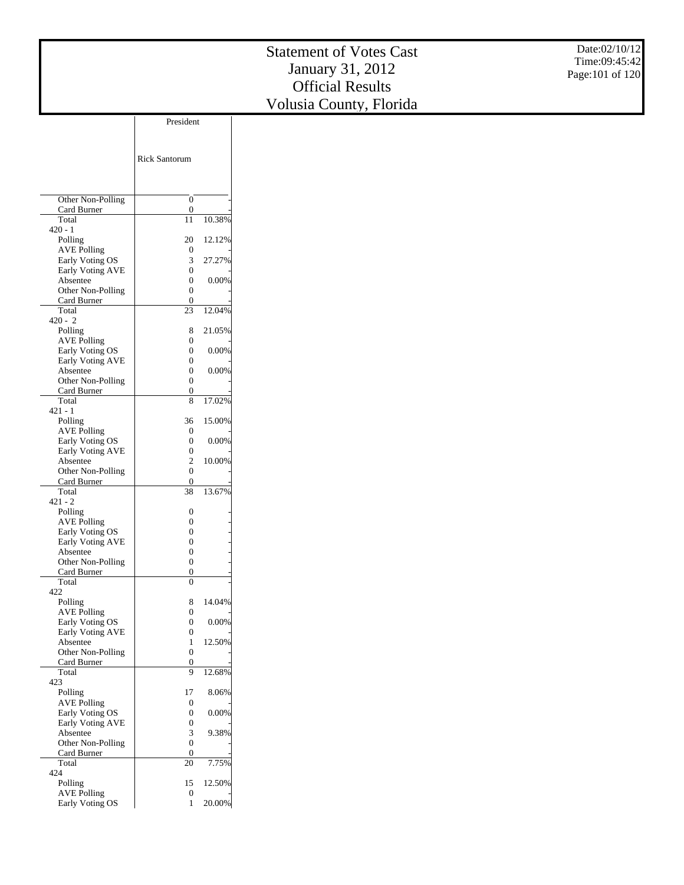|                                     | President            |        |
|-------------------------------------|----------------------|--------|
|                                     |                      |        |
|                                     | <b>Rick Santorum</b> |        |
|                                     |                      |        |
|                                     |                      |        |
| Other Non-Polling<br>Card Burner    | 0<br>0               |        |
| Total                               | 11                   | 10.38% |
| $420 - 1$                           |                      |        |
| Polling<br><b>AVE Polling</b>       | 20<br>0              | 12.12% |
| Early Voting OS                     | 3                    | 27.27% |
| Early Voting AVE                    | 0                    |        |
| Absentee                            | 0                    | 0.00%  |
| Other Non-Polling<br>Card Burner    | 0<br>0               |        |
| Total                               | 23                   | 12.04% |
| $420 - 2$                           |                      |        |
| Polling                             | 8                    | 21.05% |
| <b>AVE Polling</b>                  | 0                    |        |
| Early Voting OS<br>Early Voting AVE | 0<br>0               | 0.00%  |
| Absentee                            | 0                    | 0.00%  |
| Other Non-Polling                   | 0                    |        |
| Card Burner                         | 0                    |        |
| Total<br>$421 - 1$                  | 8                    | 17.02% |
| Polling                             | 36                   | 15.00% |
| <b>AVE Polling</b>                  | 0                    |        |
| Early Voting OS                     | 0                    | 0.00%  |
| Early Voting AVE                    | 0                    |        |
| Absentee<br>Other Non-Polling       | $\overline{c}$<br>0  | 10.00% |
| Card Burner                         | 0                    |        |
| Total                               | 38                   | 13.67% |
| $421 - 2$                           |                      |        |
| Polling<br><b>AVE Polling</b>       | 0<br>0               |        |
| Early Voting OS                     | 0                    |        |
| Early Voting AVE                    | 0                    |        |
| Absentee                            | 0                    |        |
| Other Non-Polling                   | 0                    |        |
| Card Burner<br>Total                | 0<br>0               |        |
| 422                                 |                      |        |
| Polling                             | 8                    | 14.04% |
| <b>AVE Polling</b>                  | 0                    |        |
| Early Voting OS<br>Early Voting AVE | 0<br>0               | 0.00%  |
| Absentee                            | 1                    | 12.50% |
| Other Non-Polling                   | $\boldsymbol{0}$     |        |
| Card Burner                         | 0                    |        |
| Total<br>423                        | 9                    | 12.68% |
| Polling                             | 17                   | 8.06%  |
| <b>AVE Polling</b>                  | 0                    |        |
| Early Voting OS                     | 0                    | 0.00%  |
| Early Voting AVE<br>Absentee        | 0<br>3               | 9.38%  |
| Other Non-Polling                   | $\overline{0}$       |        |
| Card Burner                         | 0                    |        |
| Total                               | 20                   | 7.75%  |
| 424                                 |                      |        |
| Polling<br><b>AVE Polling</b>       | 15<br>0              | 12.50% |
| Early Voting OS                     | 1                    | 20.00% |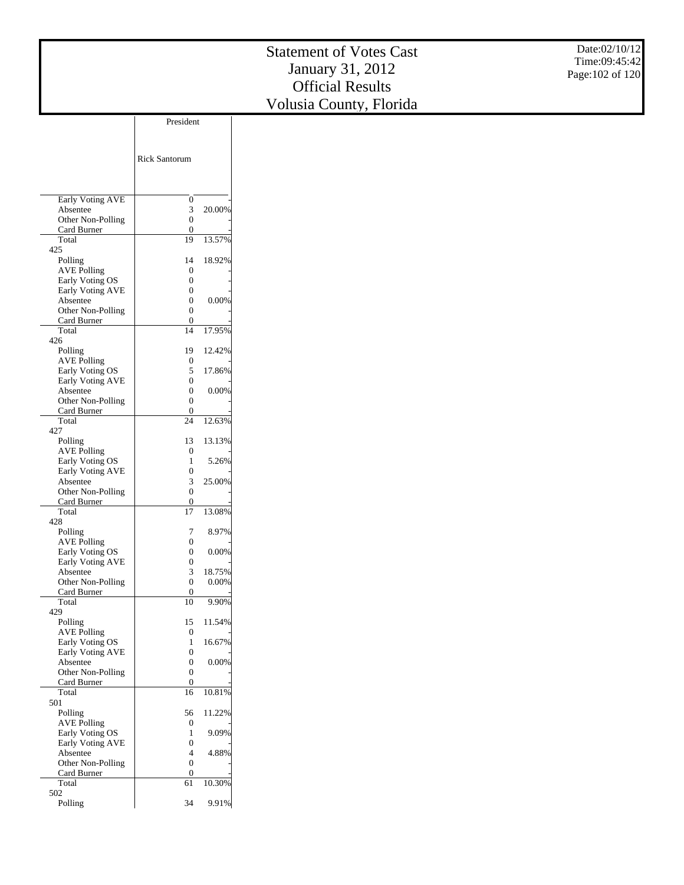Date:02/10/12 Time:09:45:42 Page:102 of 120

|                                       | <b>Rick Santorum</b>  |                 |
|---------------------------------------|-----------------------|-----------------|
|                                       |                       |                 |
| Early Voting AVE<br>Absentee          | 0<br>3                | 20.00%          |
| Other Non-Polling                     | $\overline{0}$        |                 |
| Card Burner                           | 0                     |                 |
| Total                                 | 19                    | 13.57%          |
| 425                                   |                       |                 |
| Polling                               | 14<br>0               | 18.92%          |
| <b>AVE Polling</b><br>Early Voting OS | 0                     |                 |
| Early Voting AVE                      | 0                     |                 |
| Absentee                              | 0                     | 0.00%           |
| Other Non-Polling                     | 0                     |                 |
| Card Burner                           | 0<br>14               |                 |
| Total<br>426                          |                       | 17.95%          |
| Polling                               | 19                    | 12.42%          |
| <b>AVE Polling</b>                    | 0                     |                 |
| Early Voting OS                       | 5                     | 17.86%          |
| Early Voting AVE                      | 0                     |                 |
| Absentee                              | 0<br>0                | 0.00%           |
| Other Non-Polling<br>Card Burner      | 0                     |                 |
| Total                                 | 24                    | 12.63%          |
| 427                                   |                       |                 |
| Polling                               | 13                    | 13.13%          |
| <b>AVE Polling</b><br>Early Voting OS | 0<br>1                | 5.26%           |
| Early Voting AVE                      | 0                     |                 |
| Absentee                              | 3                     | 25.00%          |
| Other Non-Polling                     | 0                     |                 |
| Card Burner                           | 0                     |                 |
| Total<br>428                          | 17                    | 13.08%          |
| Polling                               | 7                     | 8.97%           |
| <b>AVE Polling</b>                    | 0                     |                 |
| Early Voting OS                       | 0                     | 0.00%           |
| Early Voting AVE                      | 0                     |                 |
| Absentee                              | 3<br>$\overline{0}$   | 18.75%<br>0.00% |
| Other Non-Polling<br>Card Burner      | 0                     |                 |
| Total                                 | 10                    | 9.90%           |
| 429                                   |                       |                 |
| Polling                               | 15                    | 11.54%          |
| <b>AVE Polling</b>                    | 0<br>1                |                 |
| Early Voting OS<br>Early Voting AVE   | 0                     | 16.67%          |
| Absentee                              | 0                     | 0.00%           |
| Other Non-Polling                     | 0                     |                 |
| Card Burner                           | 0                     |                 |
| Total                                 | 16                    | 10.81%          |
| 501<br>Polling                        | 56                    | 11.22%          |
| <b>AVE Polling</b>                    | 0                     |                 |
| Early Voting OS                       | 1                     | 9.09%           |
| Early Voting AVE                      | 0                     |                 |
| Absentee                              | 4                     | 4.88%           |
| Other Non-Polling<br>Card Burner      | $\boldsymbol{0}$<br>0 |                 |
| Total                                 | 61                    | 10.30%          |
| 502                                   |                       |                 |
| Polling                               | 34                    | 9.91%           |
|                                       |                       |                 |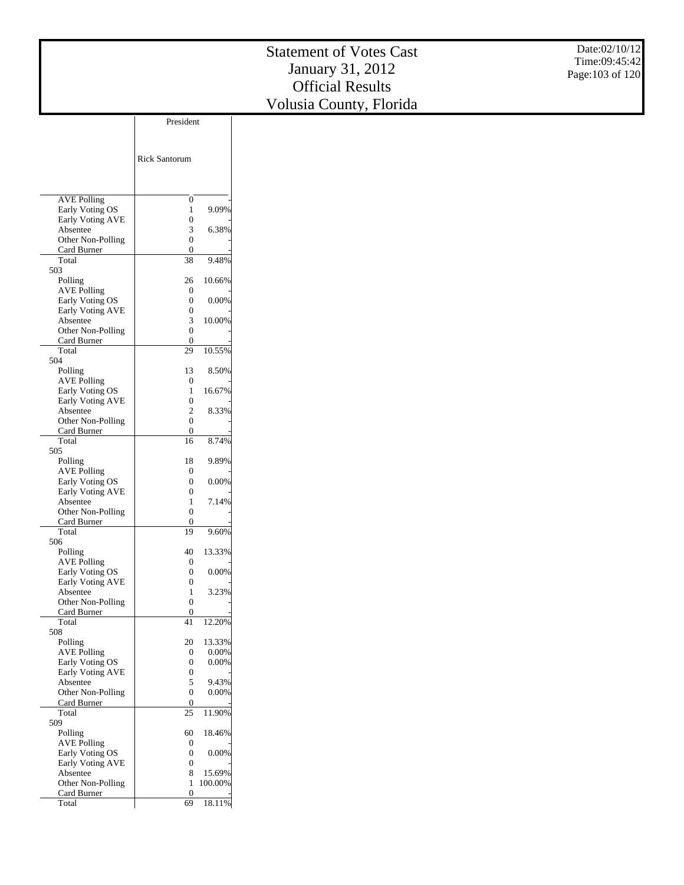|                               | <b>Rick Santorum</b>       |                   |
|-------------------------------|----------------------------|-------------------|
| <b>AVE Polling</b>            | 0                          |                   |
| Early Voting OS               | 1                          | 9.09%             |
| Early Voting AVE<br>Absentee  | $\theta$<br>3              | 6.38%             |
| Other Non-Polling             | 0                          |                   |
| Card Burner                   | 0                          |                   |
| Total                         | 38                         | 9.48%             |
| 503                           | 26                         |                   |
| Polling<br><b>AVE Polling</b> | 0                          | 10.66%            |
| Early Voting OS               | 0                          | 0.00%             |
| <b>Early Voting AVE</b>       | 0                          |                   |
| Absentee                      | 3                          | 10.00%            |
| Other Non-Polling             | 0<br>0                     |                   |
| Card Burner<br>Total          | 29                         | 10.55%            |
| 504                           |                            |                   |
| Polling                       | 13                         | 8.50%             |
| <b>AVE Polling</b>            | 0                          |                   |
| Early Voting OS               | 1                          | 16.67%            |
| Early Voting AVE<br>Absentee  | $\theta$<br>$\overline{c}$ | 8.33%             |
| Other Non-Polling             | 0                          |                   |
| Card Burner                   | 0                          |                   |
| Total                         | 16                         | 8.74%             |
| 505                           |                            |                   |
| Polling<br><b>AVE Polling</b> | 18<br>0                    | 9.89%             |
| Early Voting OS               | $\theta$                   | 0.00%             |
| Early Voting AVE              | $\theta$                   |                   |
| Absentee                      | 1                          | 7.14%             |
| Other Non-Polling             | 0                          |                   |
| Card Burner<br>Total          | 0<br>19                    | 9.60%             |
| 506                           |                            |                   |
| Polling                       | 40                         | 13.33%            |
| <b>AVE Polling</b>            | 0                          |                   |
| Early Voting OS               | 0                          | 0.00%             |
| Early Voting AVE<br>Absentee  | 0<br>1                     | 3.23%             |
| Other Non-Polling             | 0                          |                   |
| Card Burner                   | 0                          |                   |
| Total                         | 41                         | 12.20%            |
| 508                           |                            |                   |
| Polling<br><b>AVE Polling</b> | 20<br>0                    | 13.33%<br>0.00%   |
| Early Voting OS               | 0                          | 0.00%             |
| Early Voting AVE              | 0                          |                   |
| Absentee                      | 5                          | 9.43%             |
| Other Non-Polling             | 0                          | $0.00\%$          |
| Card Burner<br>Total          | 0<br>25                    | 11.90%            |
| 509                           |                            |                   |
| Polling                       | 60                         | 18.46%            |
| <b>AVE Polling</b>            | 0                          |                   |
| Early Voting OS               | 0                          | 0.00%             |
| Early Voting AVE              | 0<br>8                     |                   |
| Absentee<br>Other Non-Polling | 1                          | 15.69%<br>100.00% |
| Card Burner                   | $\overline{0}$             |                   |
| Total                         | 69                         | 18.11%            |
|                               |                            |                   |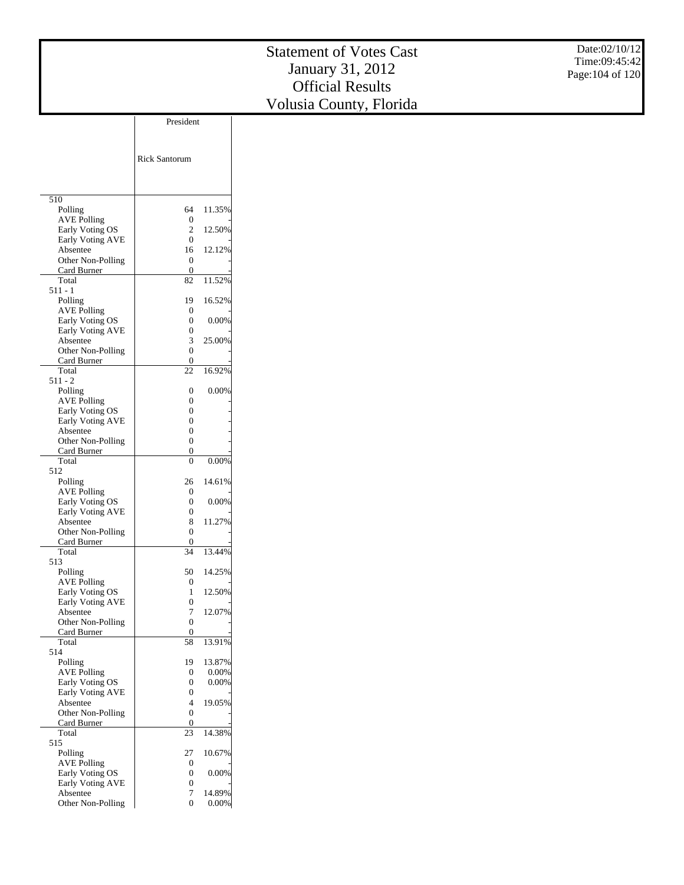|                                       |                                      |                 | <b>Statement of Votes Cast</b> | Date:02/10/12    |
|---------------------------------------|--------------------------------------|-----------------|--------------------------------|------------------|
|                                       |                                      |                 |                                | Time:09:45:42    |
|                                       |                                      |                 | January 31, 2012               | Page: 104 of 120 |
|                                       |                                      |                 | <b>Official Results</b>        |                  |
|                                       |                                      |                 | Volusia County, Florida        |                  |
|                                       | President                            |                 |                                |                  |
|                                       |                                      |                 |                                |                  |
|                                       |                                      |                 |                                |                  |
|                                       | <b>Rick Santorum</b>                 |                 |                                |                  |
|                                       |                                      |                 |                                |                  |
|                                       |                                      |                 |                                |                  |
| $\overline{510}$                      |                                      |                 |                                |                  |
| Polling<br><b>AVE Polling</b>         | 64<br>$\boldsymbol{0}$               | 11.35%          |                                |                  |
| Early Voting OS                       | $\boldsymbol{2}$                     | 12.50%          |                                |                  |
| Early Voting AVE<br>Absentee          | $\boldsymbol{0}$<br>16               | 12.12%          |                                |                  |
| Other Non-Polling                     | $\boldsymbol{0}$                     |                 |                                |                  |
| Card Burner                           | $\boldsymbol{0}$                     |                 |                                |                  |
| Total<br>$511 - 1$                    | 82                                   | 11.52%          |                                |                  |
| Polling                               | 19                                   | 16.52%          |                                |                  |
| <b>AVE Polling</b><br>Early Voting OS | $\boldsymbol{0}$<br>$\boldsymbol{0}$ | 0.00%           |                                |                  |
| Early Voting AVE                      | $\boldsymbol{0}$                     |                 |                                |                  |
| Absentee                              | 3                                    | 25.00%          |                                |                  |
| Other Non-Polling<br>Card Burner      | $\boldsymbol{0}$<br>$\boldsymbol{0}$ |                 |                                |                  |
| Total                                 | $22\,$                               | 16.92%          |                                |                  |
| $511 - 2$                             |                                      | 0.00%           |                                |                  |
| Polling<br><b>AVE Polling</b>         | $\boldsymbol{0}$<br>$\boldsymbol{0}$ |                 |                                |                  |
| Early Voting OS                       | $\boldsymbol{0}$                     |                 |                                |                  |
| Early Voting AVE<br>Absentee          | $\boldsymbol{0}$<br>$\boldsymbol{0}$ |                 |                                |                  |
| Other Non-Polling                     | $\boldsymbol{0}$                     |                 |                                |                  |
| Card Burner<br>Total                  | $\boldsymbol{0}$<br>$\boldsymbol{0}$ | 0.00%           |                                |                  |
| 512                                   |                                      |                 |                                |                  |
| Polling                               | 26                                   | 14.61%          |                                |                  |
| <b>AVE Polling</b><br>Early Voting OS | $\boldsymbol{0}$<br>$\boldsymbol{0}$ | 0.00%           |                                |                  |
| Early Voting AVE                      | $\boldsymbol{0}$                     |                 |                                |                  |
| Absentee                              | 8                                    | 11.27%          |                                |                  |
| Other Non-Polling<br>Card Burner      | $\boldsymbol{0}$<br>$\boldsymbol{0}$ |                 |                                |                  |
| Total                                 | 34                                   | 13.44%          |                                |                  |
| 513<br>Polling                        | 50                                   | 14.25%          |                                |                  |
| AVE Polling                           | $\boldsymbol{0}$                     |                 |                                |                  |
| Early Voting OS<br>Early Voting AVE   | 1<br>$\boldsymbol{0}$                | 12.50%          |                                |                  |
| Absentee                              | $\tau$                               | 12.07%          |                                |                  |
| Other Non-Polling                     | $\boldsymbol{0}$                     |                 |                                |                  |
| Card Burner<br>Total                  | $\boldsymbol{0}$<br>58               | 13.91%          |                                |                  |
| 514                                   |                                      |                 |                                |                  |
| Polling<br><b>AVE Polling</b>         | 19<br>$\boldsymbol{0}$               | 13.87%<br>0.00% |                                |                  |
| Early Voting OS                       | $\boldsymbol{0}$                     | 0.00%           |                                |                  |
| Early Voting AVE                      | $\boldsymbol{0}$                     |                 |                                |                  |
| Absentee<br>Other Non-Polling         | 4<br>$\boldsymbol{0}$                | 19.05%          |                                |                  |
| Card Burner                           | $\boldsymbol{0}$                     |                 |                                |                  |
| Total<br>515                          | 23                                   | 14.38%          |                                |                  |
| Polling                               | 27                                   | 10.67%          |                                |                  |
| <b>AVE Polling</b><br>Early Voting OS | $\boldsymbol{0}$                     | $0.00\%$        |                                |                  |
| Early Voting AVE                      | $\boldsymbol{0}$<br>$\mathbf{0}$     |                 |                                |                  |

Absentee

Other Non-Polling

7 14.89% 0 0.00%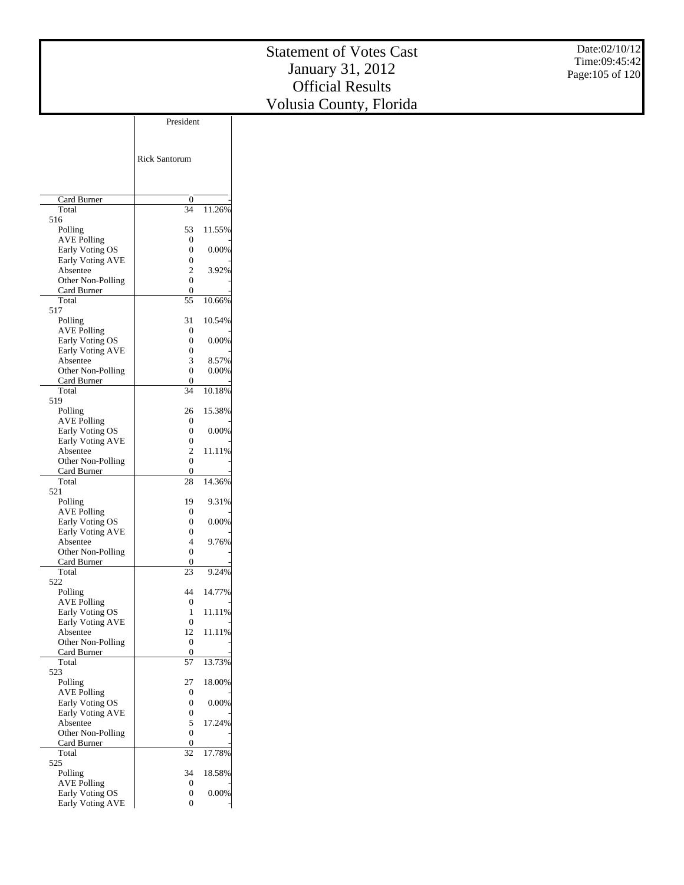|                                       | <b>Rick Santorum</b>   |        |
|---------------------------------------|------------------------|--------|
|                                       |                        |        |
|                                       |                        |        |
| Card Burner<br>Total                  | 0<br>34                | 11.26% |
| 516                                   |                        |        |
| Polling                               | 53                     | 11.55% |
| <b>AVE Polling</b>                    | $\overline{0}$         |        |
| Early Voting OS                       | 0                      | 0.00%  |
| <b>Early Voting AVE</b><br>Absentee   | $\theta$<br>2          | 3.92%  |
| Other Non-Polling                     | 0                      |        |
| Card Burner                           | 0                      |        |
| Total                                 | 55                     | 10.66% |
| 517                                   |                        |        |
| Polling<br><b>AVE Polling</b>         | 31<br>0                | 10.54% |
| Early Voting OS                       | $\theta$               | 0.00%  |
| Early Voting AVE                      | 0                      |        |
| Absentee                              | 3                      | 8.57%  |
| Other Non-Polling                     | 0                      | 0.00%  |
| Card Burner                           | 0                      |        |
| Total<br>519                          | 34                     | 10.18% |
| Polling                               | 26                     | 15.38% |
| <b>AVE Polling</b>                    | 0                      |        |
| Early Voting OS                       | 0                      | 0.00%  |
| Early Voting AVE                      | 0                      |        |
| Absentee                              | $\overline{c}$         | 11.11% |
| Other Non-Polling                     | 0                      |        |
| Card Burner<br>Total                  | 0<br>28                | 14.36% |
| 521                                   |                        |        |
| Polling                               | 19                     | 9.31%  |
| <b>AVE Polling</b>                    | 0                      |        |
| Early Voting OS                       | 0                      | 0.00%  |
| <b>Early Voting AVE</b><br>Absentee   | 0<br>4                 | 9.76%  |
| Other Non-Polling                     | 0                      |        |
| Card Burner                           | 0                      |        |
| Total                                 | 23                     | 9.24%  |
| 522                                   |                        |        |
| Polling                               | 44                     | 14.77% |
| <b>AVE Polling</b><br>Early Voting OS | $\overline{0}$<br>1    | 11.11% |
| <b>Early Voting AVE</b>               | 0                      |        |
| Absentee                              | 12                     | 11.11% |
| Other Non-Polling                     | $\boldsymbol{0}$       |        |
| Card Burner                           | $\boldsymbol{0}$       |        |
| Total                                 | 57                     | 13.73% |
| 523<br>Polling                        | 27                     | 18.00% |
| <b>AVE Polling</b>                    | 0                      |        |
| Early Voting OS                       | 0                      | 0.00%  |
| Early Voting AVE                      | 0                      |        |
| Absentee                              | 5                      | 17.24% |
| Other Non-Polling                     | 0                      |        |
| Card Burner<br>Total                  | $\boldsymbol{0}$<br>32 | 17.78% |
| 525                                   |                        |        |
| Polling                               | 34                     | 18.58% |
| <b>AVE Polling</b>                    | $\boldsymbol{0}$       |        |
| Early Voting OS                       | 0                      | 0.00%  |
| <b>Early Voting AVE</b>               | 0                      |        |

President

 $\overline{1}$ 

 $\overline{\phantom{a}}$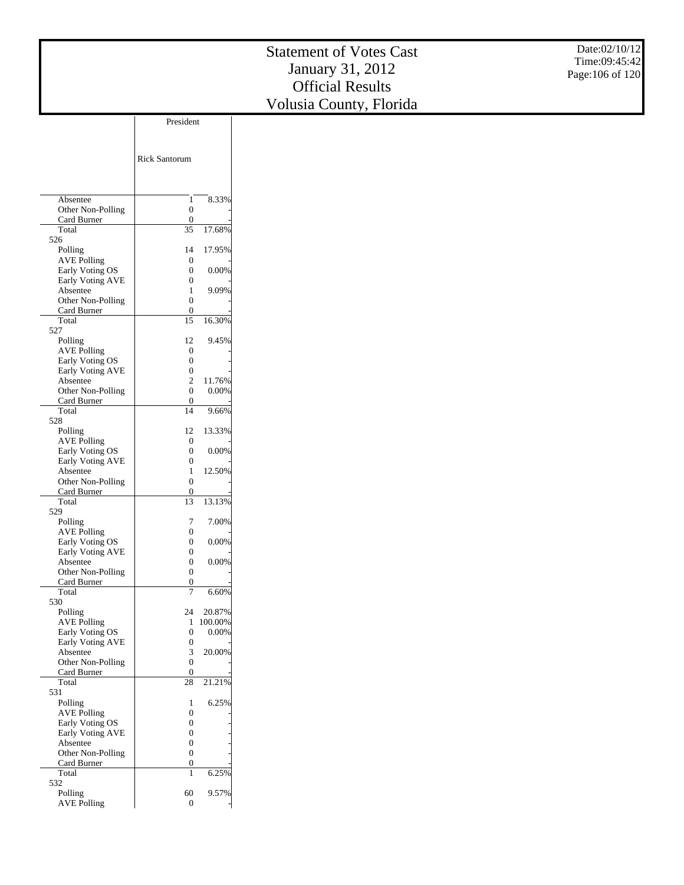|                         | President            |         |
|-------------------------|----------------------|---------|
|                         |                      |         |
|                         |                      |         |
|                         |                      |         |
|                         | <b>Rick Santorum</b> |         |
|                         |                      |         |
|                         |                      |         |
| Absentee                |                      |         |
|                         | 1                    | 8.33%   |
| Other Non-Polling       | 0                    |         |
| Card Burner<br>Total    | 0                    |         |
|                         | 35                   | 17.68%  |
| 526                     |                      |         |
| Polling                 | 14                   | 17.95%  |
| <b>AVE Polling</b>      | 0                    |         |
| Early Voting OS         | 0                    | 0.00%   |
| Early Voting AVE        | 0                    |         |
| Absentee                | 1                    | 9.09%   |
| Other Non-Polling       | 0                    |         |
| Card Burner             | 0                    |         |
| Total                   | 15                   | 16.30%  |
| 527                     |                      |         |
| Polling                 | 12                   | 9.45%   |
| <b>AVE Polling</b>      | 0                    |         |
| Early Voting OS         | 0                    |         |
| <b>Early Voting AVE</b> | 0                    |         |
| Absentee                | $\overline{c}$       | 11.76%  |
| Other Non-Polling       | 0                    | 0.00%   |
| Card Burner             | 0                    |         |
| Total                   | 14                   | 9.66%   |
| 528                     |                      |         |
| Polling                 | 12                   | 13.33%  |
| <b>AVE Polling</b>      | 0                    |         |
| Early Voting OS         | 0                    | 0.00%   |
| Early Voting AVE        | 0                    |         |
| Absentee                | 1                    | 12.50%  |
| Other Non-Polling       | 0                    |         |
| Card Burner             | 0                    |         |
| Total                   | 13                   | 13.13%  |
| 529                     |                      |         |
| Polling                 | 7                    | 7.00%   |
| <b>AVE Polling</b>      | 0                    |         |
| Early Voting OS         | 0                    | 0.00%   |
| Early Voting AVE        | 0                    |         |
| Absentee                | 0                    | 0.00%   |
| Other Non-Polling       | 0                    |         |
| Card Burner             | 0                    |         |
| Total                   |                      | 6.60%   |
| 530                     |                      |         |
| Polling                 | 24                   | 20.87%  |
| <b>AVE Polling</b>      | 1                    | 100.00% |
| Early Voting OS         | 0                    | 0.00%   |
| Early Voting AVE        | 0                    |         |
| Absentee                | 3                    | 20.00%  |
| Other Non-Polling       | 0                    |         |
| Card Burner             | 0                    |         |
| Total                   | 28                   | 21.21%  |
| 531                     |                      |         |
| Polling                 | 1                    | 6.25%   |
| <b>AVE Polling</b>      | 0                    |         |
| Early Voting OS         | 0                    |         |
| <b>Early Voting AVE</b> | 0                    |         |
| Absentee                | 0                    |         |
| Other Non-Polling       | 0                    |         |
| Card Burner             | 0                    |         |
| Total                   | 1                    | 6.25%   |
| 532                     |                      |         |
|                         | 60                   | 9.57%   |
| Polling                 |                      |         |
| <b>AVE Polling</b>      | $\boldsymbol{0}$     |         |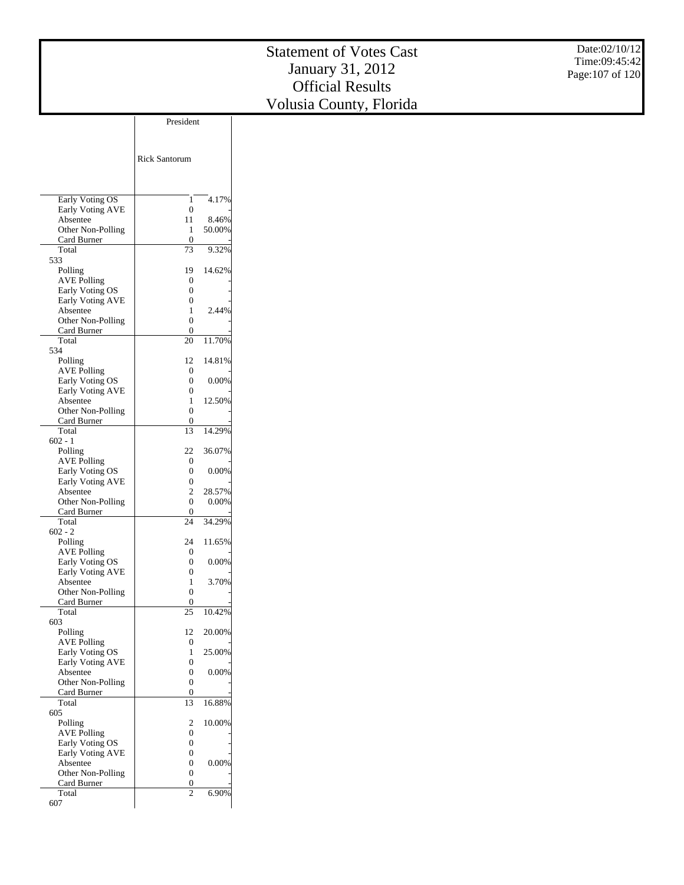|                                       |                                               | <b>Statement of Votes Cast</b> | Date:02/10/12    |
|---------------------------------------|-----------------------------------------------|--------------------------------|------------------|
|                                       |                                               |                                | Time:09:45:42    |
|                                       |                                               | January 31, 2012               | Page: 107 of 120 |
|                                       |                                               | <b>Official Results</b>        |                  |
|                                       |                                               | Volusia County, Florida        |                  |
|                                       | President                                     |                                |                  |
|                                       |                                               |                                |                  |
|                                       |                                               |                                |                  |
|                                       | <b>Rick Santorum</b>                          |                                |                  |
|                                       |                                               |                                |                  |
|                                       |                                               |                                |                  |
| Early Voting OS<br>Early Voting AVE   | 4.17%<br>1<br>$\boldsymbol{0}$                |                                |                  |
| Absentee                              | 11<br>8.46%                                   |                                |                  |
| Other Non-Polling                     | 50.00%<br>$\mathbf{1}$                        |                                |                  |
| Card Burner<br>Total                  | $\boldsymbol{0}$<br>9.32%<br>73               |                                |                  |
| 533                                   |                                               |                                |                  |
| Polling<br><b>AVE Polling</b>         | 14.62%<br>19<br>$\boldsymbol{0}$              |                                |                  |
| Early Voting OS                       | $\boldsymbol{0}$                              |                                |                  |
| Early Voting AVE<br>Absentee          | $\boldsymbol{0}$<br>2.44%                     |                                |                  |
| Other Non-Polling                     | $\mathbf{1}$<br>$\boldsymbol{0}$              |                                |                  |
| Card Burner                           | $\boldsymbol{0}$                              |                                |                  |
| Total<br>534                          | 20<br>11.70%                                  |                                |                  |
| Polling                               | 14.81%<br>12                                  |                                |                  |
| <b>AVE Polling</b><br>Early Voting OS | $\boldsymbol{0}$<br>$\boldsymbol{0}$<br>0.00% |                                |                  |
| Early Voting AVE                      | $\boldsymbol{0}$                              |                                |                  |
| Absentee                              | 12.50%<br>$\mathbf{1}$                        |                                |                  |
| Other Non-Polling<br>Card Burner      | $\boldsymbol{0}$<br>$\boldsymbol{0}$          |                                |                  |
| Total                                 | 14.29%<br>13                                  |                                |                  |
| $602 - 1$<br>Polling                  | 22<br>36.07%                                  |                                |                  |
| <b>AVE Polling</b>                    | $\boldsymbol{0}$                              |                                |                  |
| Early Voting OS<br>Early Voting AVE   | $\boldsymbol{0}$<br>0.00%<br>$\boldsymbol{0}$ |                                |                  |
| Absentee                              | $\boldsymbol{2}$<br>28.57%                    |                                |                  |
| Other Non-Polling                     | $\mathbf{0}$<br>0.00%                         |                                |                  |
| Card Burner<br>Total                  | $\boldsymbol{0}$<br>24<br>34.29%              |                                |                  |
| $602 - 2$                             |                                               |                                |                  |
| Polling<br>AVE Polling                | 11.65%<br>24<br>$\boldsymbol{0}$              |                                |                  |
| Early Voting OS                       | $\boldsymbol{0}$<br>0.00%                     |                                |                  |
| Early Voting AVE<br>Absentee          | $\boldsymbol{0}$<br>3.70%<br>$\mathbf{1}$     |                                |                  |
| Other Non-Polling                     | $\boldsymbol{0}$                              |                                |                  |
| Card Burner                           | $\mathbf{0}$                                  |                                |                  |
| Total<br>603                          | 10.42%<br>$25\,$                              |                                |                  |
| Polling                               | 20.00%<br>12                                  |                                |                  |
| <b>AVE Polling</b><br>Early Voting OS | $\boldsymbol{0}$<br>25.00%<br>$\mathbf{1}$    |                                |                  |
| Early Voting AVE                      | $\boldsymbol{0}$                              |                                |                  |
| Absentee                              | $\boldsymbol{0}$<br>0.00%<br>$\boldsymbol{0}$ |                                |                  |
| Other Non-Polling<br>Card Burner      | $\boldsymbol{0}$                              |                                |                  |
| Total                                 | 13<br>16.88%                                  |                                |                  |
| 605<br>Polling                        | $\sqrt{2}$<br>10.00%                          |                                |                  |
| <b>AVE Polling</b>                    | $\boldsymbol{0}$                              |                                |                  |
| Early Voting OS<br>Early Voting AVE   | $\boldsymbol{0}$<br>$\boldsymbol{0}$          |                                |                  |
| Absentee                              | $\overline{0}$<br>$0.00\%$                    |                                |                  |

 Other Non-Polling Card Burner Total 607

 $\boldsymbol{0}$  $\frac{0}{2}$ 

6.90%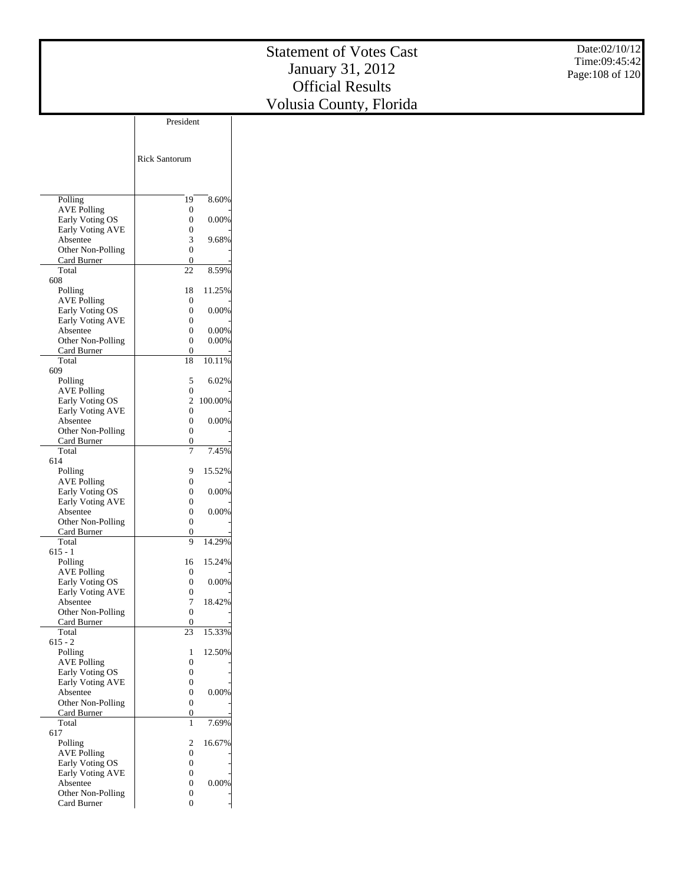|                                     | President            |  |
|-------------------------------------|----------------------|--|
|                                     |                      |  |
|                                     |                      |  |
|                                     | <b>Rick Santorum</b> |  |
|                                     |                      |  |
|                                     |                      |  |
|                                     |                      |  |
| Polling                             | 19<br>8.60%          |  |
| <b>AVE Polling</b>                  | 0                    |  |
| Early Voting OS                     | 0<br>0.00%           |  |
| Early Voting AVE                    | 0                    |  |
| Absentee                            | 3<br>9.68%           |  |
| Other Non-Polling                   | 0                    |  |
| Card Burner                         | 0                    |  |
| Total                               | 8.59%<br>22          |  |
| 608                                 |                      |  |
| Polling                             | 11.25%<br>18         |  |
| <b>AVE Polling</b>                  | 0                    |  |
| Early Voting OS                     | 0<br>0.00%           |  |
| <b>Early Voting AVE</b><br>Absentee | 0<br>0<br>0.00%      |  |
| Other Non-Polling                   | 0.00%<br>0           |  |
| Card Burner                         | 0                    |  |
| Total                               | 10.11%<br>18         |  |
| 609                                 |                      |  |
| Polling                             | 5<br>6.02%           |  |
| <b>AVE Polling</b>                  | 0                    |  |
| Early Voting OS                     | 2<br>100.00%         |  |
| <b>Early Voting AVE</b>             | 0                    |  |
| Absentee                            | 0<br>$0.00\%$        |  |
| Other Non-Polling                   | 0                    |  |
| Card Burner                         | 0                    |  |
| Total                               | 7<br>7.45%           |  |
| 614                                 |                      |  |
| Polling                             | 15.52%<br>9          |  |
| <b>AVE Polling</b>                  | 0                    |  |
| Early Voting OS                     | 0<br>0.00%           |  |
| <b>Early Voting AVE</b><br>Absentee | 0<br>0<br>0.00%      |  |
| Other Non-Polling                   | 0                    |  |
| Card Burner                         | 0                    |  |
| Total                               | 14.29%<br>9          |  |
| $615 - 1$                           |                      |  |
| Polling                             | 15.24%<br>16         |  |
| AVE Polling                         | 0                    |  |
| Early Voting OS                     | $0.00\%$<br>0        |  |
| <b>Early Voting AVE</b>             | 0                    |  |
| Absentee                            | 18.42%<br>7          |  |
| Other Non-Polling                   | 0                    |  |
| Card Burner                         | $\boldsymbol{0}$     |  |
| Total                               | 23<br>15.33%         |  |
| $615 - 2$                           |                      |  |
| Polling                             | 12.50%<br>1          |  |
| <b>AVE Polling</b>                  | 0                    |  |
| Early Voting OS                     | 0                    |  |
| Early Voting AVE                    | 0                    |  |
| Absentee                            | 0<br>0.00%           |  |
| Other Non-Polling<br>Card Burner    | 0<br>0               |  |
| Total                               | 7.69%<br>1           |  |
| 617                                 |                      |  |
| Polling                             | 16.67%<br>2          |  |
| <b>AVE Polling</b>                  | 0                    |  |
| Early Voting OS                     | 0                    |  |
| <b>Early Voting AVE</b>             | 0                    |  |
| Absentee                            | 0<br>0.00%           |  |
| Other Non-Polling                   | 0                    |  |
| Card Burner                         | 0                    |  |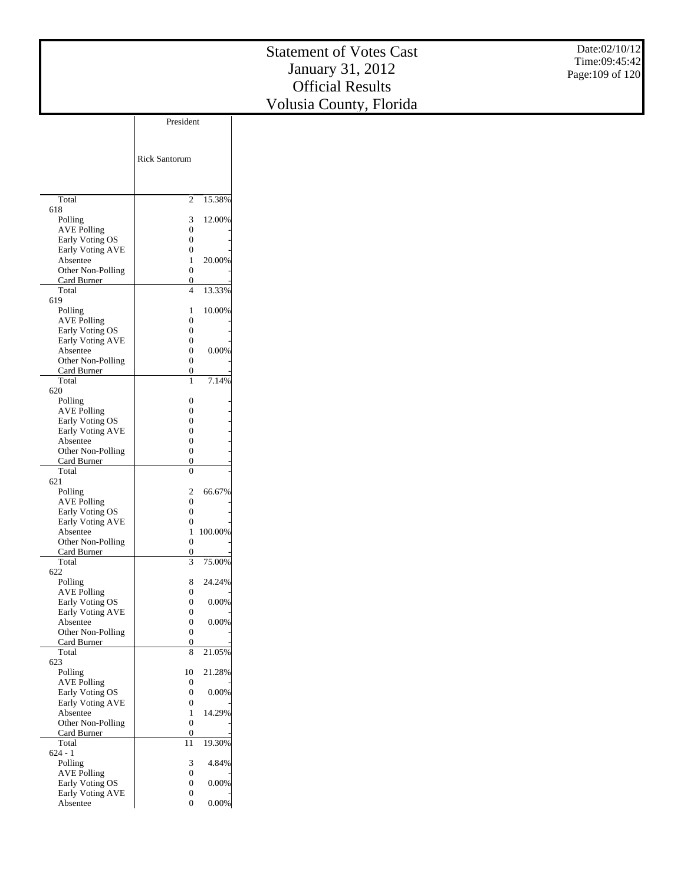|                                       |                                      |          | <b>Statement of Votes Cast</b> | Date:02/10/12    |
|---------------------------------------|--------------------------------------|----------|--------------------------------|------------------|
|                                       |                                      |          |                                | Time:09:45:42    |
|                                       |                                      |          | January 31, 2012               | Page: 109 of 120 |
|                                       |                                      |          | <b>Official Results</b>        |                  |
|                                       |                                      |          | Volusia County, Florida        |                  |
|                                       | President                            |          |                                |                  |
|                                       |                                      |          |                                |                  |
|                                       |                                      |          |                                |                  |
|                                       | Rick Santorum                        |          |                                |                  |
|                                       |                                      |          |                                |                  |
|                                       |                                      |          |                                |                  |
| Total                                 | $\overline{2}$                       | 15.38%   |                                |                  |
| 618<br>Polling                        | 3                                    | 12.00%   |                                |                  |
| <b>AVE Polling</b>                    | $\boldsymbol{0}$                     |          |                                |                  |
| Early Voting OS                       | $\boldsymbol{0}$                     |          |                                |                  |
| Early Voting AVE<br>Absentee          | $\boldsymbol{0}$<br>$\mathbf{1}$     | 20.00%   |                                |                  |
| Other Non-Polling                     | $\boldsymbol{0}$                     |          |                                |                  |
| Card Burner                           | $\boldsymbol{0}$<br>$\overline{4}$   | 13.33%   |                                |                  |
| Total<br>619                          |                                      |          |                                |                  |
| Polling                               | 1                                    | 10.00%   |                                |                  |
| <b>AVE Polling</b><br>Early Voting OS | $\boldsymbol{0}$<br>$\boldsymbol{0}$ |          |                                |                  |
| Early Voting AVE                      | $\boldsymbol{0}$                     |          |                                |                  |
| Absentee                              | $\boldsymbol{0}$                     | 0.00%    |                                |                  |
| Other Non-Polling<br>Card Burner      | $\boldsymbol{0}$<br>$\boldsymbol{0}$ |          |                                |                  |
| Total                                 | $\mathbf{1}$                         | 7.14%    |                                |                  |
| 620                                   | $\boldsymbol{0}$                     |          |                                |                  |
| Polling<br><b>AVE Polling</b>         | $\boldsymbol{0}$                     |          |                                |                  |
| Early Voting OS                       | $\boldsymbol{0}$                     |          |                                |                  |
| Early Voting AVE<br>Absentee          | $\boldsymbol{0}$<br>$\boldsymbol{0}$ |          |                                |                  |
| Other Non-Polling                     | $\boldsymbol{0}$                     |          |                                |                  |
| Card Burner<br>Total                  | $\boldsymbol{0}$<br>$\boldsymbol{0}$ |          |                                |                  |
| 621                                   |                                      |          |                                |                  |
| Polling                               | $\overline{\mathbf{c}}$              | 66.67%   |                                |                  |
| <b>AVE Polling</b><br>Early Voting OS | $\boldsymbol{0}$<br>$\boldsymbol{0}$ |          |                                |                  |
| Early Voting AVE                      | $\boldsymbol{0}$                     |          |                                |                  |
| Absentee<br>Other Non-Polling         | $\mathbf{1}$                         | 100.00%  |                                |                  |
| Card Burner                           | $\boldsymbol{0}$<br>$\boldsymbol{0}$ |          |                                |                  |
| Total                                 | 3                                    | 75.00%   |                                |                  |
| 622<br>Polling                        | 8                                    | 24.24%   |                                |                  |
| <b>AVE Polling</b>                    | $\boldsymbol{0}$                     |          |                                |                  |
| Early Voting OS<br>Early Voting AVE   | $\boldsymbol{0}$<br>$\boldsymbol{0}$ | 0.00%    |                                |                  |
| Absentee                              | $\boldsymbol{0}$                     | 0.00%    |                                |                  |
| Other Non-Polling                     | $\boldsymbol{0}$                     |          |                                |                  |
| Card Burner<br>Total                  | $\boldsymbol{0}$<br>$\,$ 8 $\,$      | 21.05%   |                                |                  |
| 623                                   |                                      |          |                                |                  |
| Polling<br><b>AVE Polling</b>         | 10<br>$\boldsymbol{0}$               | 21.28%   |                                |                  |
| Early Voting OS                       | $\boldsymbol{0}$                     | 0.00%    |                                |                  |
| Early Voting AVE<br>Absentee          | $\boldsymbol{0}$                     | 14.29%   |                                |                  |
| Other Non-Polling                     | $\mathbf{1}$<br>$\boldsymbol{0}$     |          |                                |                  |
| Card Burner                           | $\boldsymbol{0}$                     |          |                                |                  |
| Total<br>$624 - 1$                    | $11\,$                               | 19.30%   |                                |                  |
| Polling                               | 3                                    | 4.84%    |                                |                  |
| <b>AVE Polling</b>                    | $\boldsymbol{0}$<br>$\boldsymbol{0}$ | 0.00%    |                                |                  |
| Early Voting OS<br>Early Voting AVE   | $\boldsymbol{0}$                     |          |                                |                  |
| Absentee                              | $\boldsymbol{0}$                     | $0.00\%$ |                                |                  |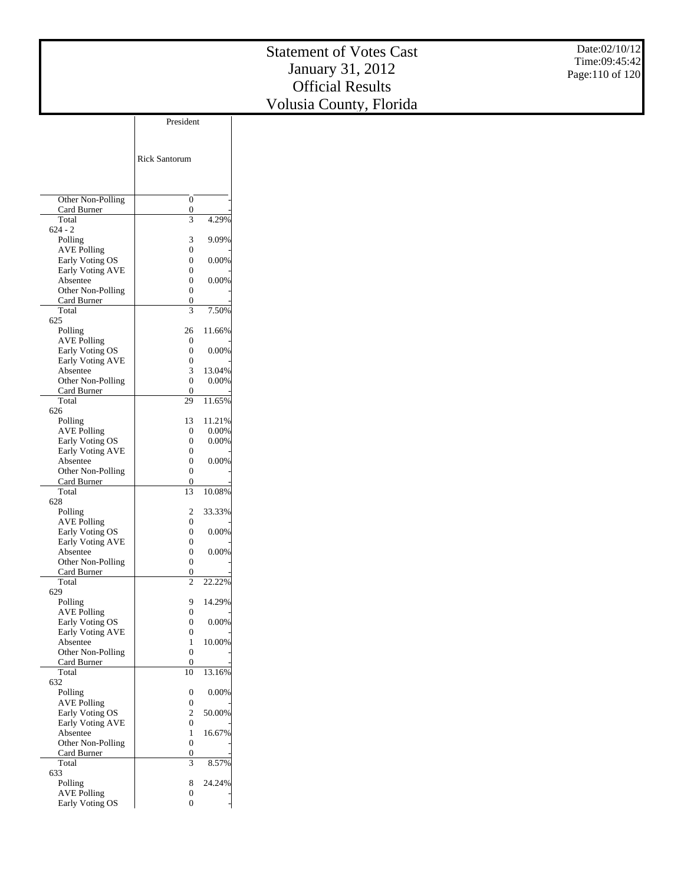Date:02/10/12 Time:09:45:42 Page:110 of 120

|                                       | <b>Rick Santorum</b> |          |
|---------------------------------------|----------------------|----------|
|                                       |                      |          |
| Other Non-Polling                     | 0                    |          |
| Card Burner                           | 0<br>3               | 4.29%    |
| Total<br>$624 - 2$                    |                      |          |
| Polling                               | 3                    | 9.09%    |
| <b>AVE Polling</b>                    | 0                    |          |
| Early Voting OS                       | 0                    | $0.00\%$ |
| <b>Early Voting AVE</b>               | 0<br>$\theta$        |          |
| Absentee<br>Other Non-Polling         | 0                    | 0.00%    |
| Card Burner                           | 0                    |          |
| Total                                 | 3                    | 7.50%    |
| 625                                   |                      |          |
| Polling                               | 26<br>$\theta$       | 11.66%   |
| <b>AVE Polling</b><br>Early Voting OS | 0                    | $0.00\%$ |
| <b>Early Voting AVE</b>               | 0                    |          |
| Absentee                              | 3                    | 13.04%   |
| Other Non-Polling                     | 0                    | 0.00%    |
| Card Burner                           | 0                    |          |
| Total                                 | 29                   | 11.65%   |
| 626<br>Polling                        | 13                   | 11.21%   |
| <b>AVE Polling</b>                    | $\Omega$             | 0.00%    |
| Early Voting OS                       | 0                    | 0.00%    |
| <b>Early Voting AVE</b>               | 0                    |          |
| Absentee                              | $\theta$             | 0.00%    |
| Other Non-Polling                     | 0                    |          |
| Card Burner<br>Total                  | 0<br>13              | 10.08%   |
| 628                                   |                      |          |
| Polling                               | $\overline{c}$       | 33.33%   |
| <b>AVE Polling</b>                    | $\theta$             |          |
| Early Voting OS                       | 0                    | $0.00\%$ |
| Early Voting AVE                      | 0                    |          |
| Absentee                              | 0<br>0               | $0.00\%$ |
| Other Non-Polling<br>Card Burner      | 0                    |          |
| Total                                 | $\overline{c}$       | 22.22%   |
| 629                                   |                      |          |
| Polling                               | 9                    | 14.29%   |
| <b>AVE Polling</b>                    | 0                    |          |
| Early Voting OS<br>Early Voting AVE   | $\theta$<br>0        | 0.00%    |
| Absentee                              | 1                    | 10.00%   |
| Other Non-Polling                     | $\boldsymbol{0}$     |          |
| Card Burner                           | 0                    |          |
| Total                                 | 10                   | 13.16%   |
| 632<br>Polling                        | 0                    | 0.00%    |
| <b>AVE Polling</b>                    | 0                    |          |
| Early Voting OS                       | $\overline{c}$       | 50.00%   |
| Early Voting AVE                      | 0                    |          |
| Absentee                              | 1                    | 16.67%   |
| Other Non-Polling                     | 0                    |          |
| Card Burner                           | 0<br>3               |          |
| Total<br>633                          |                      | 8.57%    |
| Polling                               | 8                    | 24.24%   |
| <b>AVE Polling</b>                    | 0                    |          |
| Early Voting OS                       | 0                    |          |

President

 $\overline{\phantom{a}}$ 

 $\overline{\phantom{a}}$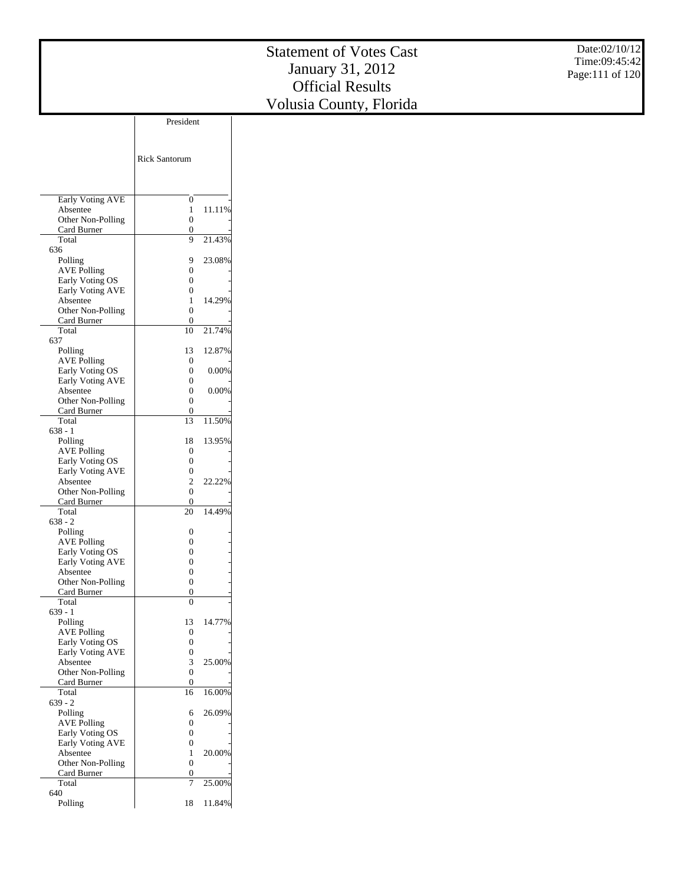|                                       |                                      |        | <b>Statement of Votes Cast</b> | Date:02/10/12   |
|---------------------------------------|--------------------------------------|--------|--------------------------------|-----------------|
|                                       |                                      |        |                                | Time:09:45:42   |
|                                       |                                      |        | January 31, 2012               | Page:111 of 120 |
|                                       |                                      |        | <b>Official Results</b>        |                 |
|                                       |                                      |        |                                |                 |
|                                       |                                      |        | Volusia County, Florida        |                 |
|                                       | President                            |        |                                |                 |
|                                       |                                      |        |                                |                 |
|                                       |                                      |        |                                |                 |
|                                       | Rick Santorum                        |        |                                |                 |
|                                       |                                      |        |                                |                 |
|                                       |                                      |        |                                |                 |
| <b>Early Voting AVE</b>               | $\boldsymbol{0}$                     |        |                                |                 |
| Absentee                              | $\mathbf{1}$                         | 11.11% |                                |                 |
| Other Non-Polling                     | $\boldsymbol{0}$                     |        |                                |                 |
| Card Burner<br>Total                  | $\boldsymbol{0}$<br>9                | 21.43% |                                |                 |
| 636                                   |                                      |        |                                |                 |
| Polling                               | 9                                    | 23.08% |                                |                 |
| <b>AVE Polling</b>                    | $\boldsymbol{0}$                     |        |                                |                 |
| Early Voting OS                       | $\boldsymbol{0}$                     |        |                                |                 |
| Early Voting AVE                      | $\boldsymbol{0}$                     |        |                                |                 |
| Absentee                              | $\mathbf{1}$                         | 14.29% |                                |                 |
| Other Non-Polling<br>Card Burner      | $\boldsymbol{0}$<br>$\boldsymbol{0}$ |        |                                |                 |
| Total                                 | 10                                   | 21.74% |                                |                 |
| 637                                   |                                      |        |                                |                 |
| Polling                               | 13                                   | 12.87% |                                |                 |
| <b>AVE Polling</b>                    | $\boldsymbol{0}$                     |        |                                |                 |
| Early Voting OS                       | $\boldsymbol{0}$                     | 0.00%  |                                |                 |
| Early Voting AVE<br>Absentee          | $\boldsymbol{0}$<br>$\boldsymbol{0}$ | 0.00%  |                                |                 |
| Other Non-Polling                     | $\boldsymbol{0}$                     |        |                                |                 |
| Card Burner                           | $\boldsymbol{0}$                     |        |                                |                 |
| Total                                 | 13                                   | 11.50% |                                |                 |
| $638 - 1$                             |                                      |        |                                |                 |
| Polling                               | 18                                   | 13.95% |                                |                 |
| <b>AVE Polling</b><br>Early Voting OS | $\boldsymbol{0}$<br>$\boldsymbol{0}$ |        |                                |                 |
| Early Voting AVE                      | $\boldsymbol{0}$                     |        |                                |                 |
| Absentee                              | $\sqrt{2}$                           | 22.22% |                                |                 |
| Other Non-Polling                     | $\boldsymbol{0}$                     |        |                                |                 |
| Card Burner                           | $\boldsymbol{0}$                     |        |                                |                 |
| Total                                 | $20\,$                               | 14.49% |                                |                 |
| $638 - 2$<br>Polling                  | $\boldsymbol{0}$                     |        |                                |                 |
| <b>AVE Polling</b>                    | $\boldsymbol{0}$                     |        |                                |                 |
| Early Voting OS                       | $\boldsymbol{0}$                     |        |                                |                 |
| Early Voting AVE                      | $\boldsymbol{0}$                     |        |                                |                 |
| Absentee                              | $\boldsymbol{0}$                     |        |                                |                 |
| Other Non-Polling                     | $\boldsymbol{0}$                     |        |                                |                 |
| Card Burner<br>Total                  | $\boldsymbol{0}$<br>$\boldsymbol{0}$ |        |                                |                 |
| $639 - 1$                             |                                      |        |                                |                 |
| Polling                               | 13                                   | 14.77% |                                |                 |
| <b>AVE Polling</b>                    | $\boldsymbol{0}$                     |        |                                |                 |
| Early Voting OS                       | $\boldsymbol{0}$                     |        |                                |                 |
| Early Voting AVE                      | $\boldsymbol{0}$                     |        |                                |                 |
| Absentee<br>Other Non-Polling         | 3<br>$\boldsymbol{0}$                | 25.00% |                                |                 |
| Card Burner                           | $\boldsymbol{0}$                     |        |                                |                 |
| Total                                 | 16                                   | 16.00% |                                |                 |
| $639 - 2$                             |                                      |        |                                |                 |
| Polling                               | 6                                    | 26.09% |                                |                 |

 Polling AVE Polling Early Voting OS Early Voting AVE Absentee Other Non-Polling Card Burner Total 640 Polling

0 - 0 - 0 - 20.00% 0 -  $0$  -7 25.00% 18 11.84%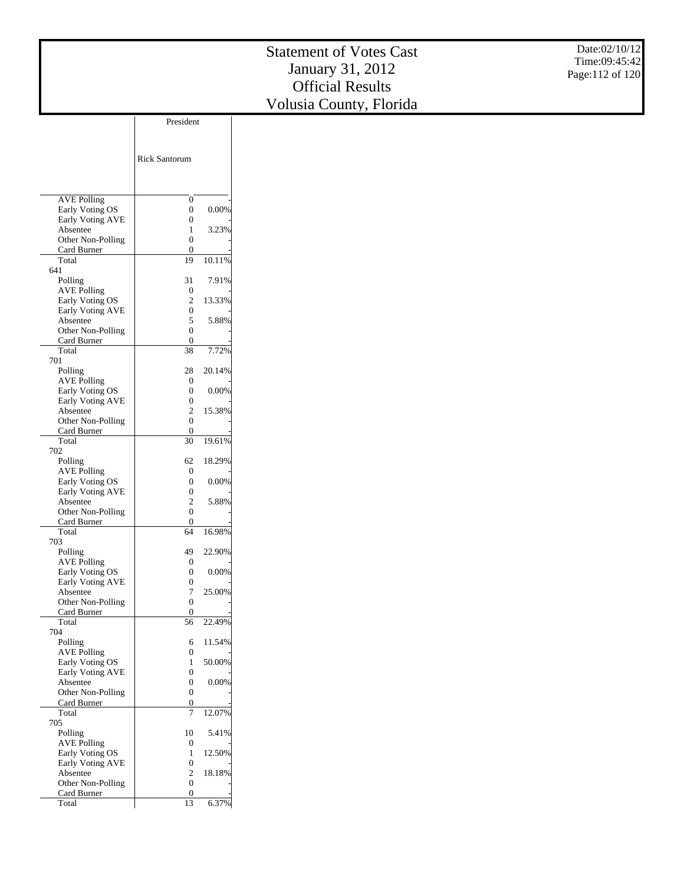Date:02/10/12 Time:09:45:42 Page:112 of 120

|                                  | President            |          |
|----------------------------------|----------------------|----------|
|                                  |                      |          |
|                                  |                      |          |
|                                  | <b>Rick Santorum</b> |          |
|                                  |                      |          |
|                                  |                      |          |
|                                  |                      |          |
| <b>AVE Polling</b>               | 0                    |          |
| Early Voting OS                  | 0                    | 0.00%    |
| <b>Early Voting AVE</b>          | 0                    |          |
| Absentee<br>Other Non-Polling    | 1<br>0               | 3.23%    |
| Card Burner                      | 0                    |          |
| Total                            | 19                   | 10.11%   |
| 641                              |                      |          |
| Polling                          | 31                   | 7.91%    |
| <b>AVE Polling</b>               | 0                    |          |
| Early Voting OS                  | $\overline{c}$       | 13.33%   |
| <b>Early Voting AVE</b>          | 0                    |          |
| Absentee<br>Other Non-Polling    | 5<br>0               | 5.88%    |
| Card Burner                      | 0                    |          |
| Total                            | 38                   | 7.72%    |
| 701                              |                      |          |
| Polling                          | 28                   | 20.14%   |
| <b>AVE Polling</b>               | 0                    |          |
| Early Voting OS                  | 0                    | $0.00\%$ |
| Early Voting AVE                 | 0                    |          |
| Absentee                         | 2                    | 15.38%   |
| Other Non-Polling<br>Card Burner | 0<br>0               |          |
| Total                            | 30                   | 19.61%   |
| 702                              |                      |          |
| Polling                          | 62                   | 18.29%   |
| <b>AVE Polling</b>               | 0                    |          |
| Early Voting OS                  | 0                    | 0.00%    |
| Early Voting AVE                 | 0                    |          |
| Absentee<br>Other Non-Polling    | 2<br>0               | 5.88%    |
| Card Burner                      | 0                    |          |
| Total                            | 64                   | 16.98%   |
| 703                              |                      |          |
| Polling                          | 49                   | 22.90%   |
| <b>AVE Polling</b>               | 0                    |          |
| Early Voting OS                  | 0                    | 0.00%    |
| Early Voting AVE                 | 0                    |          |
| Absentee                         | 7<br>0               | 25.00%   |
| Other Non-Polling<br>Card Burner | 0                    |          |
| Total                            | 56                   | 22.49%   |
| 704                              |                      |          |
| Polling                          | 6                    | 11.54%   |
| <b>AVE Polling</b>               | 0                    |          |
| Early Voting OS                  | 1                    | 50.00%   |
| Early Voting AVE                 | 0                    |          |
| Absentee                         | 0                    | 0.00%    |
| Other Non-Polling                | 0                    |          |
| Card Burner<br>Total             | 0<br>7               | 12.07%   |
| 705                              |                      |          |
| Polling                          | 10                   | 5.41%    |
| <b>AVE Polling</b>               | 0                    |          |
| Early Voting OS                  | 1                    | 12.50%   |
| Early Voting AVE                 | 0                    |          |
| Absentee                         | 2                    | 18.18%   |
| Other Non-Polling                | 0                    |          |
| Card Burner<br>Total             | 0<br>13              | 6.37%    |
|                                  |                      |          |
|                                  |                      |          |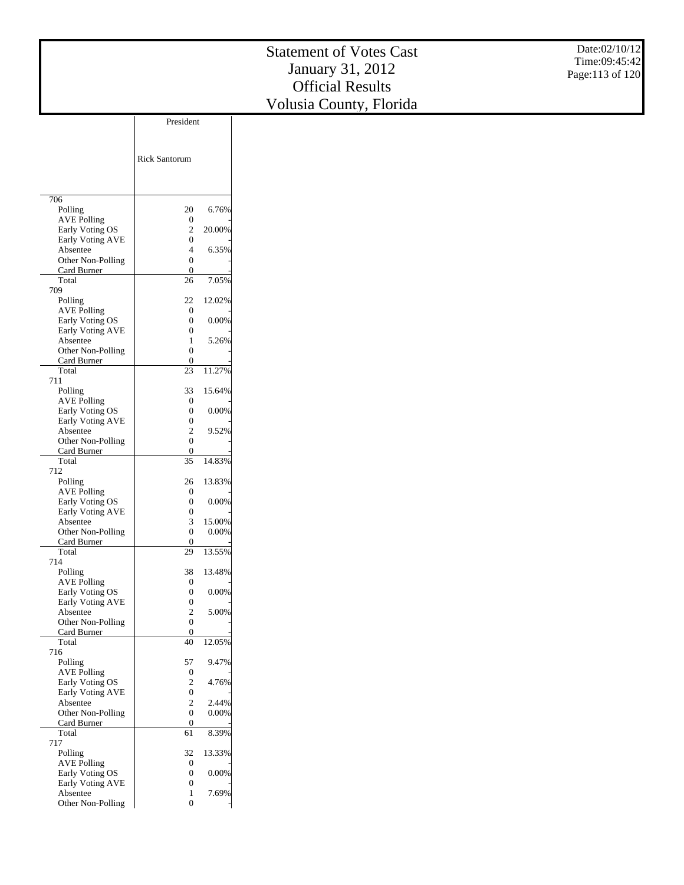|                                            | President            |          |
|--------------------------------------------|----------------------|----------|
|                                            |                      |          |
|                                            |                      |          |
|                                            | <b>Rick Santorum</b> |          |
|                                            |                      |          |
|                                            |                      |          |
|                                            |                      |          |
| 706                                        | 20                   |          |
| Polling<br><b>AVE Polling</b>              | 0                    | 6.76%    |
| Early Voting OS                            | 2                    | 20.00%   |
| Early Voting AVE                           | 0                    |          |
| Absentee                                   | 4                    | 6.35%    |
| Other Non-Polling                          | 0                    |          |
| Card Burner                                | 0                    |          |
| Total<br>709                               | 26                   | 7.05%    |
| Polling                                    | 22                   | 12.02%   |
| <b>AVE Polling</b>                         | 0                    |          |
| Early Voting OS                            | 0                    | 0.00%    |
| <b>Early Voting AVE</b>                    | 0                    |          |
| Absentee                                   | 1                    | 5.26%    |
| Other Non-Polling<br>Card Burner           | 0<br>0               |          |
| Total                                      | 23                   | 11.27%   |
| 711                                        |                      |          |
| Polling                                    | 33                   | 15.64%   |
| <b>AVE Polling</b>                         | 0                    |          |
| Early Voting OS                            | 0                    | 0.00%    |
| <b>Early Voting AVE</b>                    | 0                    | 9.52%    |
| Absentee<br>Other Non-Polling              | 2<br>0               |          |
| Card Burner                                | 0                    |          |
| Total                                      | 35                   | 14.83%   |
| 712                                        |                      |          |
| Polling                                    | 26                   | 13.83%   |
| AVE Polling                                | 0<br>0               | 0.00%    |
| Early Voting OS<br><b>Early Voting AVE</b> | 0                    |          |
| Absentee                                   | 3                    | 15.00%   |
| Other Non-Polling                          | 0                    | $0.00\%$ |
| Card Burner                                | 0                    |          |
| Total                                      | 29                   | 13.55%   |
| 714                                        |                      | 13.48%   |
| Polling<br><b>AVE Polling</b>              | 38<br>0              |          |
| Early Voting OS                            | 0                    | 0.00%    |
| Early Voting AVE                           | 0                    |          |
| Absentee                                   | 2                    | 5.00%    |
| Other Non-Polling                          | 0                    |          |
| Card Burner                                | 0                    |          |
| Total<br>716                               | 40                   | 12.05%   |
| Polling                                    | 57                   | 9.47%    |
| <b>AVE Polling</b>                         | 0                    |          |
| Early Voting OS                            | 2                    | 4.76%    |
| Early Voting AVE                           | 0                    |          |
| Absentee                                   | 2                    | 2.44%    |
| Other Non-Polling                          | 0                    | $0.00\%$ |
| Card Burner<br>Total                       | 0                    | 8.39%    |
| 717                                        | 61                   |          |
| Polling                                    | 32                   | 13.33%   |
| <b>AVE Polling</b>                         | 0                    |          |
| Early Voting OS                            | 0                    | $0.00\%$ |
| <b>Early Voting AVE</b>                    | 0                    |          |
| Absentee                                   | 1                    | 7.69%    |
| Other Non-Polling                          | 0                    |          |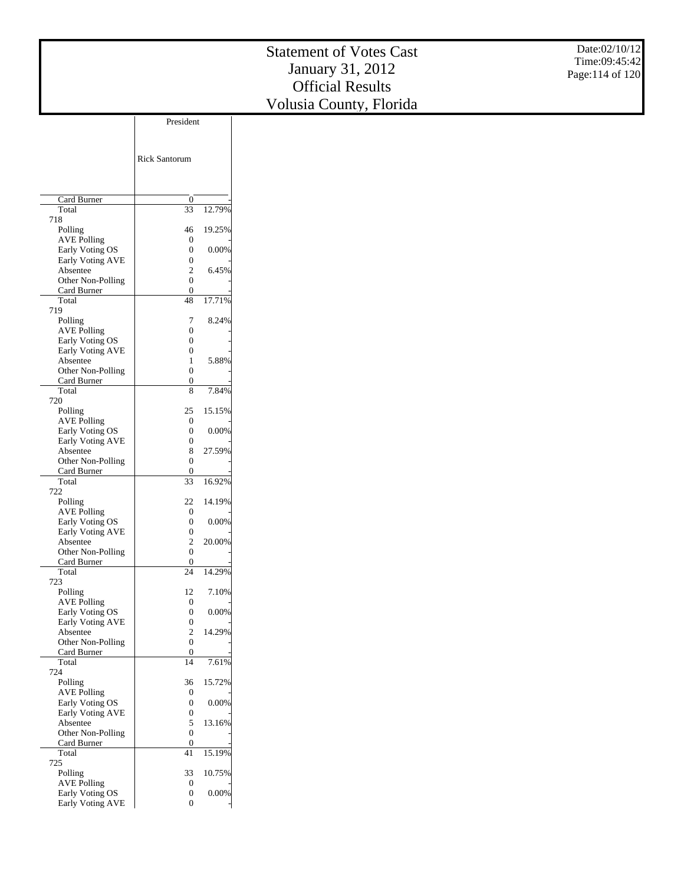|                                            | <b>Rick Santorum</b> |        |
|--------------------------------------------|----------------------|--------|
|                                            |                      |        |
| Card Burner                                | 0                    |        |
| Total                                      | 33                   | 12.79% |
| 718                                        |                      |        |
| Polling                                    | 46                   | 19.25% |
| <b>AVE Polling</b><br>Early Voting OS      | 0<br>0               | 0.00%  |
| <b>Early Voting AVE</b>                    | 0                    |        |
| Absentee                                   | 2                    | 6.45%  |
| Other Non-Polling                          | 0                    |        |
| Card Burner<br>Total                       | 0                    |        |
| 719                                        | 48                   | 17.71% |
| Polling                                    | 7                    | 8.24%  |
| <b>AVE Polling</b>                         | 0                    |        |
| Early Voting OS                            | 0                    |        |
| Early Voting AVE                           | 0                    |        |
| Absentee<br>Other Non-Polling              | 1<br>0               | 5.88%  |
| Card Burner                                | 0                    |        |
| Total                                      | 8                    | 7.84%  |
| 720                                        |                      |        |
| Polling                                    | 25                   | 15.15% |
| <b>AVE Polling</b><br>Early Voting OS      | 0<br>0               | 0.00%  |
| <b>Early Voting AVE</b>                    | 0                    |        |
| Absentee                                   | 8                    | 27.59% |
| Other Non-Polling                          | 0                    |        |
| Card Burner<br>Total                       | 0<br>33              | 16.92% |
| 722                                        |                      |        |
| Polling                                    | 22                   | 14.19% |
| <b>AVE Polling</b>                         | 0                    |        |
| Early Voting OS                            | 0                    | 0.00%  |
| Early Voting AVE<br>Absentee               | 0<br>2               | 20.00% |
| Other Non-Polling                          | 0                    |        |
| Card Burner                                | 0                    |        |
| Total                                      | 24                   | 14.29% |
| 723<br>Polling                             |                      |        |
| <b>AVE Polling</b>                         | 12<br>0              | 7.10%  |
| Early Voting OS                            | 0                    | 0.00%  |
| <b>Early Voting AVE</b>                    | 0                    |        |
| Absentee                                   | 2                    | 14.29% |
| Other Non-Polling<br>Card Burner           | 0<br>0               |        |
| Total                                      | 14                   | 7.61%  |
| 724                                        |                      |        |
| Polling                                    | 36                   | 15.72% |
| <b>AVE Polling</b>                         | 0                    |        |
| Early Voting OS<br><b>Early Voting AVE</b> | 0<br>0               | 0.00%  |
| Absentee                                   | 5                    | 13.16% |
| Other Non-Polling                          | 0                    |        |
| Card Burner                                | 0                    |        |
| Total                                      | 41                   | 15.19% |
| 725<br>Polling                             | 33                   | 10.75% |
| <b>AVE Polling</b>                         | 0                    |        |
| Early Voting OS                            | 0                    | 0.00%  |
| Early Voting AVE                           | 0                    |        |

President

 $\overline{\phantom{a}}$ 

 $\overline{\phantom{a}}$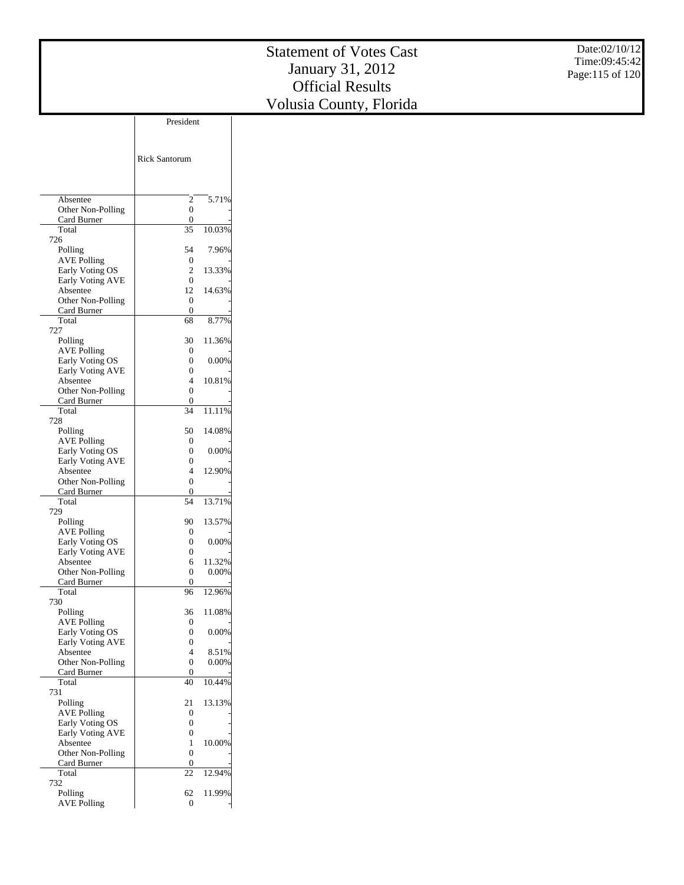|                               | President            |        |
|-------------------------------|----------------------|--------|
|                               |                      |        |
|                               |                      |        |
|                               | <b>Rick Santorum</b> |        |
|                               |                      |        |
|                               |                      |        |
|                               |                      |        |
| Absentee                      | 2                    | 5.71%  |
| Other Non-Polling             | 0                    |        |
| Card Burner                   | 0                    |        |
| Total                         | 35                   | 10.03% |
| 726                           |                      |        |
| Polling                       | 54                   | 7.96%  |
| <b>AVE Polling</b>            | 0                    |        |
| Early Voting OS               | 2                    | 13.33% |
| <b>Early Voting AVE</b>       | 0<br>12              | 14.63% |
| Absentee<br>Other Non-Polling | 0                    |        |
| Card Burner                   | 0                    |        |
| Total                         | 68                   | 8.77%  |
| 727                           |                      |        |
| Polling                       | 30                   | 11.36% |
| <b>AVE Polling</b>            | 0                    |        |
| Early Voting OS               | 0                    | 0.00%  |
| <b>Early Voting AVE</b>       | 0                    |        |
| Absentee                      | 4                    | 10.81% |
| Other Non-Polling             | 0                    |        |
| Card Burner                   | 0                    |        |
| Total                         | 34                   | 11.11% |
| 728                           | 50                   | 14.08% |
| Polling<br><b>AVE Polling</b> | 0                    |        |
| Early Voting OS               | 0                    | 0.00%  |
| <b>Early Voting AVE</b>       | 0                    |        |
| Absentee                      | 4                    | 12.90% |
| Other Non-Polling             | 0                    |        |
| Card Burner                   | 0                    |        |
| Total                         | 54                   | 13.71% |
| 729                           |                      |        |
| Polling                       | 90                   | 13.57% |
| <b>AVE Polling</b>            | 0                    |        |
| Early Voting OS               | 0                    | 0.00%  |
| Early Voting AVE<br>Absentee  | 0                    | 11.32% |
| Other Non-Polling             | 6<br>0               | 0.00%  |
| Card Burner                   | 0                    |        |
| Total                         | 96                   | 12.96% |
| 730                           |                      |        |
| Polling                       | 36                   | 11.08% |
| <b>AVE Polling</b>            | 0                    |        |
| Early Voting OS               | 0                    | 0.00%  |
| <b>Early Voting AVE</b>       | 0                    |        |
| Absentee                      | 4                    | 8.51%  |
| Other Non-Polling             | 0                    | 0.00%  |
| Card Burner                   | 0                    |        |
| Total<br>731                  | 40                   | 10.44% |
| Polling                       | 21                   | 13.13% |
| <b>AVE Polling</b>            | 0                    |        |
| Early Voting OS               | 0                    |        |
| <b>Early Voting AVE</b>       | 0                    |        |
| Absentee                      | 1                    | 10.00% |
| Other Non-Polling             | 0                    |        |
| Card Burner                   | 0                    |        |
| Total                         | 22                   | 12.94% |
| 732                           |                      |        |
| Polling                       | 62                   | 11.99% |
| <b>AVE Polling</b>            | 0                    |        |

President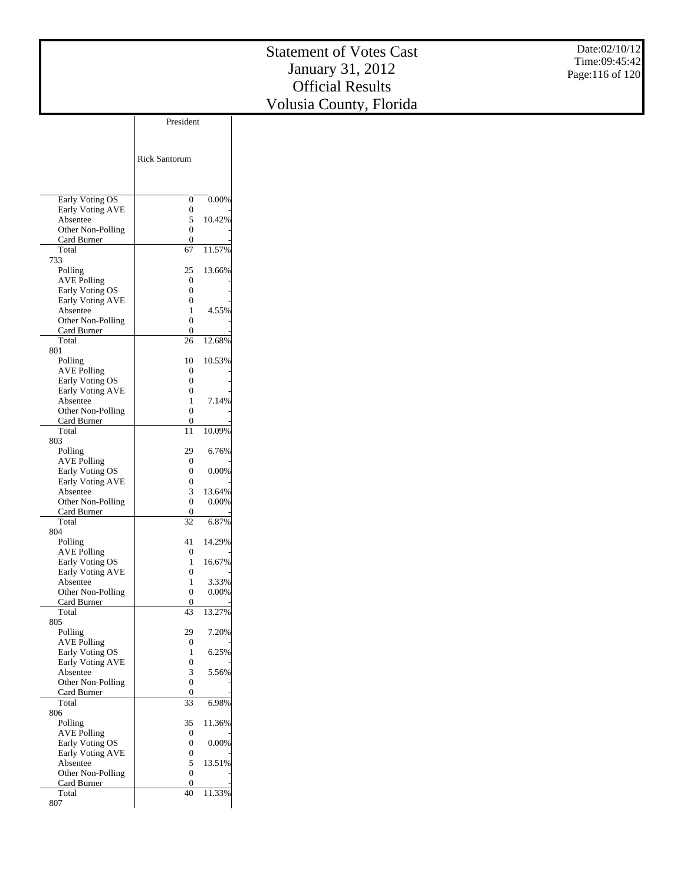|                                       |                                      |          | <b>Statement of Votes Cast</b> | Date:02/10/12   |
|---------------------------------------|--------------------------------------|----------|--------------------------------|-----------------|
|                                       |                                      |          | January 31, 2012               | Time:09:45:42   |
|                                       |                                      |          | <b>Official Results</b>        | Page:116 of 120 |
|                                       |                                      |          |                                |                 |
|                                       |                                      |          | Volusia County, Florida        |                 |
|                                       | President                            |          |                                |                 |
|                                       |                                      |          |                                |                 |
|                                       | Rick Santorum                        |          |                                |                 |
|                                       |                                      |          |                                |                 |
|                                       |                                      |          |                                |                 |
| Early Voting OS                       | $\boldsymbol{0}$                     | $0.00\%$ |                                |                 |
| Early Voting AVE                      | $\boldsymbol{0}$                     |          |                                |                 |
| Absentee<br>Other Non-Polling         | 5<br>$\boldsymbol{0}$                | 10.42%   |                                |                 |
| Card Burner                           | $\boldsymbol{0}$                     |          |                                |                 |
| Total<br>733                          | 67                                   | 11.57%   |                                |                 |
| Polling                               | 25                                   | 13.66%   |                                |                 |
| <b>AVE Polling</b><br>Early Voting OS | $\boldsymbol{0}$<br>$\boldsymbol{0}$ |          |                                |                 |
| Early Voting AVE                      | $\boldsymbol{0}$                     |          |                                |                 |
| Absentee                              | $\mathbf{1}$                         | 4.55%    |                                |                 |
| Other Non-Polling<br>Card Burner      | $\boldsymbol{0}$<br>$\boldsymbol{0}$ |          |                                |                 |
| Total                                 | 26                                   | 12.68%   |                                |                 |
| 801<br>Polling                        | 10                                   | 10.53%   |                                |                 |
| <b>AVE Polling</b>                    | $\boldsymbol{0}$                     |          |                                |                 |
| Early Voting OS<br>Early Voting AVE   | $\boldsymbol{0}$<br>$\boldsymbol{0}$ |          |                                |                 |
| Absentee                              | $\mathbf{1}$                         | 7.14%    |                                |                 |
| Other Non-Polling<br>Card Burner      | $\boldsymbol{0}$<br>$\boldsymbol{0}$ |          |                                |                 |
| Total                                 | 11                                   | 10.09%   |                                |                 |
| 803<br>Polling                        | 29                                   | 6.76%    |                                |                 |
| <b>AVE Polling</b>                    | $\boldsymbol{0}$                     |          |                                |                 |
| Early Voting OS<br>Early Voting AVE   | $\boldsymbol{0}$                     | 0.00%    |                                |                 |
| Absentee                              | $\boldsymbol{0}$<br>3                | 13.64%   |                                |                 |
| Other Non-Polling                     | $\boldsymbol{0}$                     | 0.00%    |                                |                 |
| Card Burner<br>Total                  | $\boldsymbol{0}$<br>32               | 6.87%    |                                |                 |
| 804                                   |                                      |          |                                |                 |
| Polling<br><b>AVE Polling</b>         | 41<br>$\boldsymbol{0}$               | 14.29%   |                                |                 |
| Early Voting OS                       | $\mathbf{1}$                         | 16.67%   |                                |                 |
| Early Voting AVE<br>Absentee          | 0<br>$\mathbf{1}$                    | 3.33%    |                                |                 |
| Other Non-Polling                     | $\boldsymbol{0}$                     | $0.00\%$ |                                |                 |
| Card Burner<br>Total                  | $\mathbf{0}$<br>43                   | 13.27%   |                                |                 |
| 805                                   |                                      |          |                                |                 |
| Polling<br><b>AVE Polling</b>         | 29<br>$\mathbf{0}$                   | 7.20%    |                                |                 |
| Early Voting OS                       | $\mathbf{1}$                         | 6.25%    |                                |                 |
| Early Voting AVE<br>Absentee          | $\boldsymbol{0}$<br>3                | 5.56%    |                                |                 |
| Other Non-Polling                     | $\boldsymbol{0}$                     |          |                                |                 |
| Card Burner<br>Total                  | $\boldsymbol{0}$<br>$\overline{33}$  | 6.98%    |                                |                 |
| 806                                   |                                      |          |                                |                 |
| Polling                               | 35                                   | 11.36%   |                                |                 |
| <b>AVE Polling</b><br>Early Voting OS | $\boldsymbol{0}$<br>$\boldsymbol{0}$ | $0.00\%$ |                                |                 |
| Early Voting AVE                      | $\boldsymbol{0}$                     |          |                                |                 |

 Absentee Other Non-Polling Card Burner Total 807

5 13.51% 0 -  $0$  -40 11.33%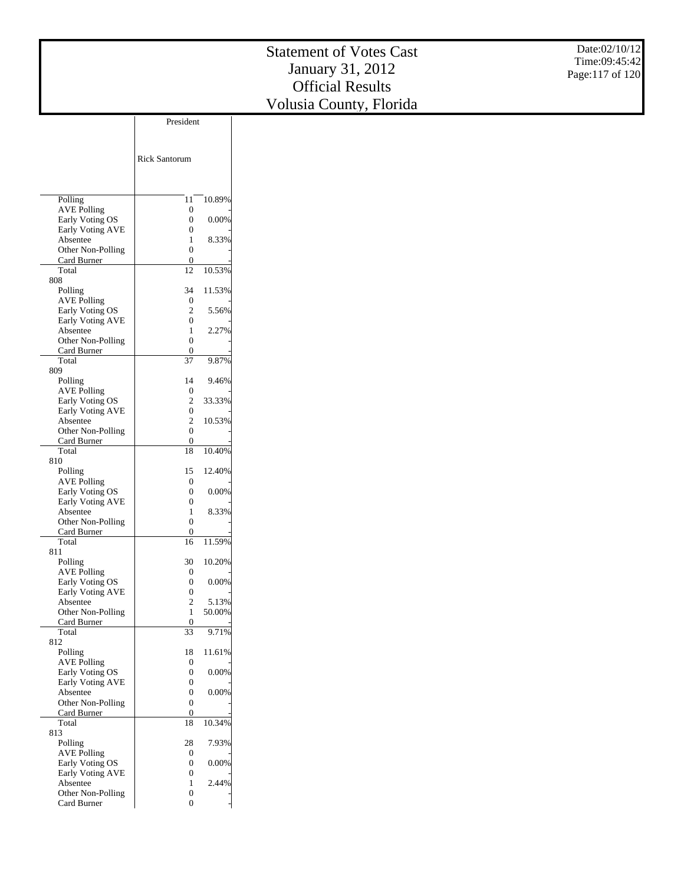|                                       | President            |          |
|---------------------------------------|----------------------|----------|
|                                       |                      |          |
|                                       |                      |          |
|                                       | <b>Rick Santorum</b> |          |
|                                       |                      |          |
|                                       |                      |          |
|                                       |                      |          |
| Polling                               | 11                   | 10.89%   |
| <b>AVE Polling</b>                    | 0                    |          |
| Early Voting OS                       | 0                    | 0.00%    |
| Early Voting AVE                      | 0                    |          |
| Absentee                              | 1                    | 8.33%    |
| Other Non-Polling                     | 0                    |          |
| Card Burner                           | 0                    |          |
| Total                                 | 12                   | 10.53%   |
| 808                                   |                      |          |
| Polling                               | 34                   | 11.53%   |
| AVE Polling                           | 0                    |          |
| Early Voting OS                       | 2<br>0               | 5.56%    |
| Early Voting AVE<br>Absentee          | 1                    | 2.27%    |
| Other Non-Polling                     | 0                    |          |
| Card Burner                           | 0                    |          |
| Total                                 | 37                   | 9.87%    |
| 809                                   |                      |          |
| Polling                               | 14                   | 9.46%    |
| <b>AVE Polling</b>                    | 0                    |          |
| Early Voting OS                       | 2                    | 33.33%   |
| Early Voting AVE                      | 0                    |          |
| Absentee                              | 2                    | 10.53%   |
| Other Non-Polling                     | 0                    |          |
| Card Burner                           | 0                    |          |
| Total                                 | 18                   | 10.40%   |
| 810                                   |                      |          |
| Polling                               | 15                   | 12.40%   |
| <b>AVE Polling</b>                    | 0                    |          |
| Early Voting OS                       | 0                    | 0.00%    |
| <b>Early Voting AVE</b><br>Absentee   | 0<br>1               | 8.33%    |
| Other Non-Polling                     | 0                    |          |
| Card Burner                           | 0                    |          |
| Total                                 | 16                   | 11.59%   |
| 811                                   |                      |          |
| Polling                               | 30                   | 10.20%   |
| <b>AVE Polling</b>                    | 0                    |          |
| Early Voting OS                       | 0                    | 0.00%    |
| Early Voting AVE                      | 0                    |          |
| Absentee                              | 2                    | 5.13%    |
| Other Non-Polling                     | 1                    | 50.00%   |
| Card Burner                           | 0                    |          |
| Total                                 | 33                   | 9.71%    |
| 812                                   |                      |          |
| Polling                               | 18                   | 11.61%   |
| <b>AVE Polling</b><br>Early Voting OS | 0<br>0               |          |
| Early Voting AVE                      | 0                    | 0.00%    |
| Absentee                              | 0                    | 0.00%    |
| Other Non-Polling                     | 0                    |          |
| Card Burner                           | 0                    |          |
| Total                                 | 18                   | 10.34%   |
| 813                                   |                      |          |
| Polling                               | 28                   | 7.93%    |
| <b>AVE Polling</b>                    | 0                    |          |
| Early Voting OS                       | 0                    | $0.00\%$ |
| Early Voting AVE                      | 0                    |          |
| Absentee                              | 1                    | 2.44%    |
| Other Non-Polling                     | 0                    |          |
| Card Burner                           | 0                    |          |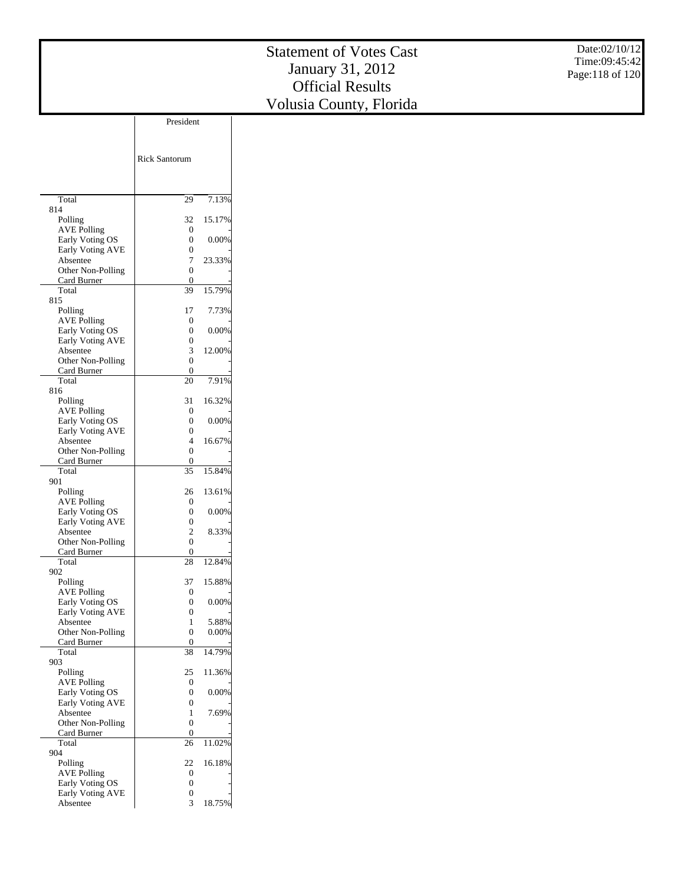|                                       |                                              |                   | <b>Statement of Votes Cast</b> | Date:02/10/12   |
|---------------------------------------|----------------------------------------------|-------------------|--------------------------------|-----------------|
|                                       |                                              |                   |                                | Time:09:45:42   |
|                                       |                                              |                   | January 31, 2012               | Page:118 of 120 |
|                                       |                                              |                   | <b>Official Results</b>        |                 |
|                                       |                                              |                   | Volusia County, Florida        |                 |
|                                       | President                                    |                   |                                |                 |
|                                       |                                              |                   |                                |                 |
|                                       |                                              |                   |                                |                 |
|                                       | <b>Rick Santorum</b>                         |                   |                                |                 |
|                                       |                                              |                   |                                |                 |
|                                       |                                              |                   |                                |                 |
| Total<br>814                          | 29                                           | 7.13%             |                                |                 |
| Polling                               | 32                                           | 15.17%            |                                |                 |
| <b>AVE Polling</b><br>Early Voting OS | $\boldsymbol{0}$<br>$\boldsymbol{0}$         | 0.00%             |                                |                 |
| Early Voting AVE                      | $\boldsymbol{0}$                             |                   |                                |                 |
| Absentee<br>Other Non-Polling         | 7<br>$\boldsymbol{0}$                        | 23.33%            |                                |                 |
| Card Burner                           | $\boldsymbol{0}$                             |                   |                                |                 |
| Total                                 | 39                                           | 15.79%            |                                |                 |
| 815<br>Polling                        | 17                                           | 7.73%             |                                |                 |
| <b>AVE Polling</b>                    | $\boldsymbol{0}$                             |                   |                                |                 |
| Early Voting OS<br>Early Voting AVE   | $\boldsymbol{0}$<br>$\boldsymbol{0}$         | 0.00%             |                                |                 |
| Absentee                              | 3                                            | 12.00%            |                                |                 |
| Other Non-Polling<br>Card Burner      | $\boldsymbol{0}$<br>$\boldsymbol{0}$         |                   |                                |                 |
| Total                                 | $20\,$                                       | 7.91%             |                                |                 |
| 816                                   | 31                                           | 16.32%            |                                |                 |
| Polling<br><b>AVE Polling</b>         | $\boldsymbol{0}$                             |                   |                                |                 |
| Early Voting OS                       | $\boldsymbol{0}$                             | 0.00%             |                                |                 |
| Early Voting AVE<br>Absentee          | $\boldsymbol{0}$<br>$\overline{\mathcal{A}}$ | 16.67%            |                                |                 |
| Other Non-Polling                     | $\boldsymbol{0}$                             |                   |                                |                 |
| Card Burner<br>Total                  | $\boldsymbol{0}$<br>$\overline{35}$          | 15.84%            |                                |                 |
| 901                                   |                                              |                   |                                |                 |
| Polling<br><b>AVE Polling</b>         | 26<br>$\boldsymbol{0}$                       | 13.61%            |                                |                 |
| Early Voting OS                       | $\boldsymbol{0}$                             | 0.00%             |                                |                 |
| Early Voting AVE<br>Absentee          | $\boldsymbol{0}$<br>$\mathbf{2}$             | 8.33%             |                                |                 |
| Other Non-Polling                     | $\boldsymbol{0}$                             |                   |                                |                 |
| Card Burner<br>Total                  | $\boldsymbol{0}$<br>$\overline{28}$          | 12.84%            |                                |                 |
| 902                                   |                                              |                   |                                |                 |
| Polling                               | 37                                           | 15.88%            |                                |                 |
| <b>AVE Polling</b><br>Early Voting OS | $\boldsymbol{0}$<br>$\boldsymbol{0}$         | $0.00\%$          |                                |                 |
| Early Voting AVE                      | $\boldsymbol{0}$                             |                   |                                |                 |
| Absentee<br>Other Non-Polling         | $\mathbf{1}$<br>$\boldsymbol{0}$             | 5.88%<br>$0.00\%$ |                                |                 |
| Card Burner                           | $\boldsymbol{0}$                             |                   |                                |                 |
| Total<br>903                          | 38                                           | 14.79%            |                                |                 |
| Polling                               | 25                                           | 11.36%            |                                |                 |
| <b>AVE Polling</b><br>Early Voting OS | $\boldsymbol{0}$<br>$\boldsymbol{0}$         | $0.00\%$          |                                |                 |
| Early Voting AVE                      | $\boldsymbol{0}$                             |                   |                                |                 |
| Absentee<br>Other Non-Polling         | $\mathbf{1}$<br>$\boldsymbol{0}$             | 7.69%             |                                |                 |
| Card Burner                           | $\boldsymbol{0}$                             |                   |                                |                 |
| Total<br>904                          | 26                                           | 11.02%            |                                |                 |
| Polling                               | 22                                           | 16.18%            |                                |                 |
| <b>AVE Polling</b>                    | $\boldsymbol{0}$                             |                   |                                |                 |
| Early Voting OS                       | $\boldsymbol{0}$                             |                   |                                |                 |

 Early Voting AVE Absentee

0 - 3 18.75%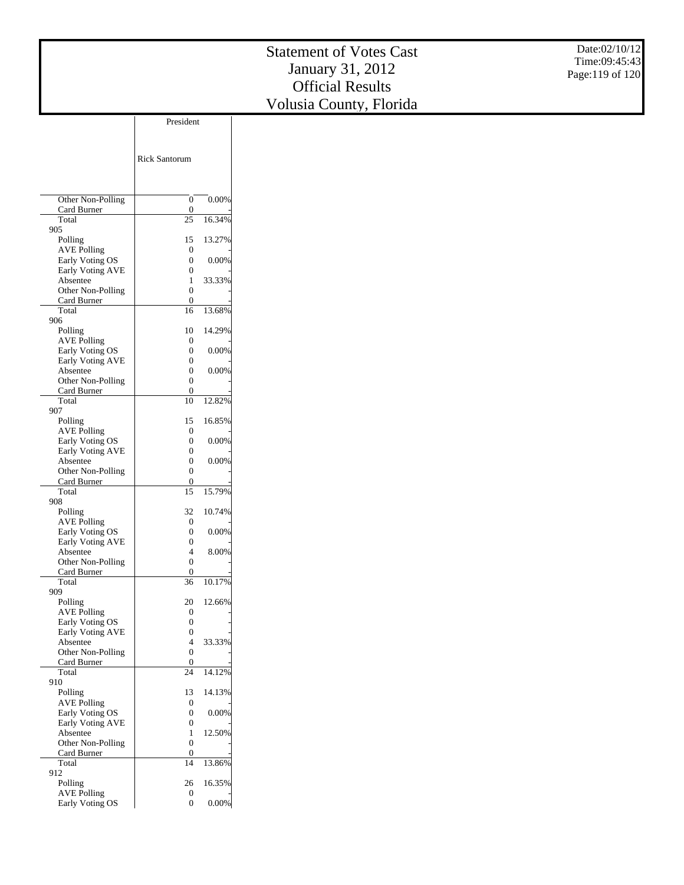|                         | President            |        |
|-------------------------|----------------------|--------|
|                         |                      |        |
|                         |                      |        |
|                         |                      |        |
|                         | <b>Rick Santorum</b> |        |
|                         |                      |        |
|                         |                      |        |
|                         |                      |        |
| Other Non-Polling       | 0                    | 0.00%  |
| Card Burner             | 0                    |        |
| Total                   | 25                   | 16.34% |
| 905                     |                      |        |
| Polling                 | 15                   | 13.27% |
| <b>AVE Polling</b>      | 0                    |        |
| Early Voting OS         | 0                    | 0.00%  |
| Early Voting AVE        | 0                    |        |
| Absentee                | 1                    | 33.33% |
| Other Non-Polling       | 0                    |        |
| Card Burner             | 0                    |        |
| Total                   | 16                   | 13.68% |
| 906                     |                      |        |
| Polling                 | 10                   | 14.29% |
| <b>AVE Polling</b>      | 0                    |        |
| Early Voting OS         | 0                    | 0.00%  |
| <b>Early Voting AVE</b> | 0                    |        |
| Absentee                | 0                    | 0.00%  |
| Other Non-Polling       | 0                    |        |
| Card Burner             | 0                    |        |
| Total                   | 10                   | 12.82% |
| 907                     |                      |        |
| Polling                 | 15                   | 16.85% |
| <b>AVE Polling</b>      | 0                    |        |
| Early Voting OS         | 0                    | 0.00%  |
| <b>Early Voting AVE</b> | 0                    |        |
| Absentee                | 0                    | 0.00%  |
| Other Non-Polling       | 0                    |        |
| Card Burner             | 0                    |        |
| Total                   | 15                   | 15.79% |
| 908                     |                      |        |
|                         | 32                   | 10.74% |
| Polling                 |                      |        |
| <b>AVE Polling</b>      | $\mathbf{0}$         |        |
| Early Voting OS         | 0                    | 0.00%  |
| <b>Early Voting AVE</b> | $\theta$             |        |
| Absentee                | 4                    | 8.00%  |
| Other Non-Polling       | 0                    |        |
| Card Burner             | 0                    |        |
| Total                   | 36                   | 10.17% |
| 909                     |                      |        |
| Polling                 | 20                   | 12.66% |
| <b>AVE Polling</b>      | 0                    |        |
| Early Voting OS         | 0                    |        |
| <b>Early Voting AVE</b> | 0                    |        |
| Absentee                | 4                    | 33.33% |
| Other Non-Polling       | $\boldsymbol{0}$     |        |
| Card Burner             | $\mathbf{0}$         |        |
| Total                   | 24                   | 14.12% |
| 910                     |                      |        |
| Polling                 | 13                   | 14.13% |
| <b>AVE Polling</b>      | 0                    |        |
| Early Voting OS         | 0                    | 0.00%  |
| <b>Early Voting AVE</b> | 0                    |        |
| Absentee                | 1                    | 12.50% |
| Other Non-Polling       | 0                    |        |
| Card Burner             | 0                    |        |
| Total                   | 14                   | 13.86% |
| 912                     |                      |        |
|                         |                      |        |
| Polling                 | 26                   | 16.35% |

Early Voting OS

0 0.00%